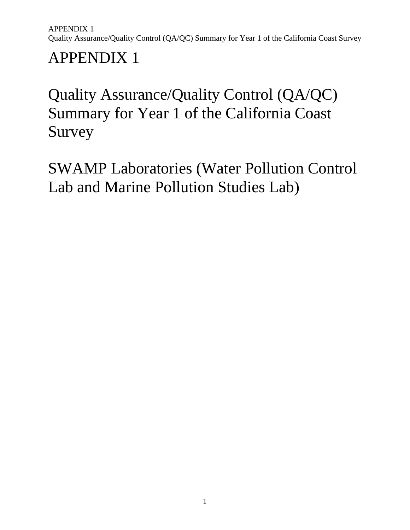# Quality Assurance/Quality Control (QA/QC) Summary for Year 1 of the California Coast Survey

SWAMP Laboratories (Water Pollution Control Lab and Marine Pollution Studies Lab)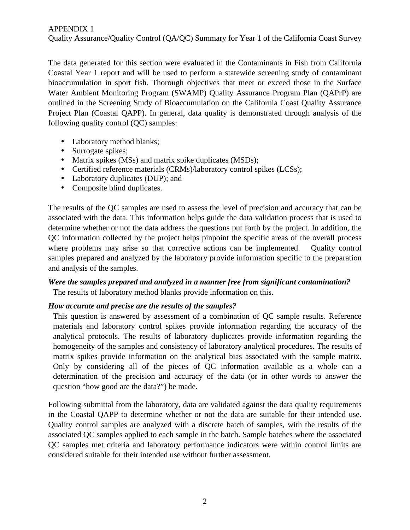Quality Assurance/Quality Control (QA/QC) Summary for Year 1 of the California Coast Survey

The data generated for this section were evaluated in the Contaminants in Fish from California Coastal Year 1 report and will be used to perform a statewide screening study of contaminant bioaccumulation in sport fish. Thorough objectives that meet or exceed those in the Surface Water Ambient Monitoring Program (SWAMP) Quality Assurance Program Plan (QAPrP) are outlined in the Screening Study of Bioaccumulation on the California Coast Quality Assurance Project Plan (Coastal QAPP). In general, data quality is demonstrated through analysis of the following quality control (QC) samples:

- Laboratory method blanks;
- Surrogate spikes;
- Matrix spikes (MSs) and matrix spike duplicates (MSDs);
- Certified reference materials (CRMs)/laboratory control spikes (LCSs);
- Laboratory duplicates (DUP); and
- Composite blind duplicates.

The results of the QC samples are used to assess the level of precision and accuracy that can be associated with the data. This information helps guide the data validation process that is used to determine whether or not the data address the questions put forth by the project. In addition, the QC information collected by the project helps pinpoint the specific areas of the overall process where problems may arise so that corrective actions can be implemented. Quality control samples prepared and analyzed by the laboratory provide information specific to the preparation and analysis of the samples.

# *Were the samples prepared and analyzed in a manner free from significant contamination?*

The results of laboratory method blanks provide information on this.

#### *How accurate and precise are the results of the samples?*

This question is answered by assessment of a combination of QC sample results. Reference materials and laboratory control spikes provide information regarding the accuracy of the analytical protocols. The results of laboratory duplicates provide information regarding the homogeneity of the samples and consistency of laboratory analytical procedures. The results of matrix spikes provide information on the analytical bias associated with the sample matrix. Only by considering all of the pieces of QC information available as a whole can a determination of the precision and accuracy of the data (or in other words to answer the question "how good are the data?") be made.

Following submittal from the laboratory, data are validated against the data quality requirements in the Coastal QAPP to determine whether or not the data are suitable for their intended use. Quality control samples are analyzed with a discrete batch of samples, with the results of the associated QC samples applied to each sample in the batch. Sample batches where the associated QC samples met criteria and laboratory performance indicators were within control limits are considered suitable for their intended use without further assessment.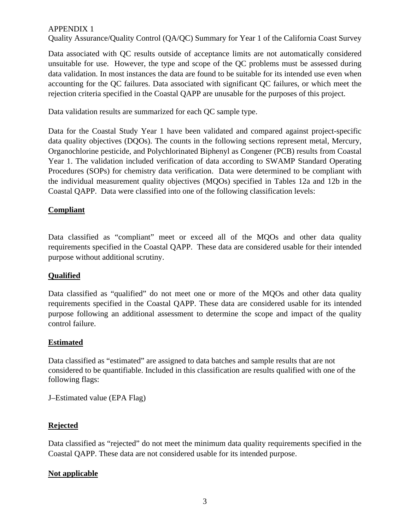Quality Assurance/Quality Control (QA/QC) Summary for Year 1 of the California Coast Survey

Data associated with QC results outside of acceptance limits are not automatically considered unsuitable for use. However, the type and scope of the QC problems must be assessed during data validation. In most instances the data are found to be suitable for its intended use even when accounting for the QC failures. Data associated with significant QC failures, or which meet the rejection criteria specified in the Coastal QAPP are unusable for the purposes of this project.

Data validation results are summarized for each QC sample type.

Data for the Coastal Study Year 1 have been validated and compared against project-specific data quality objectives (DOOs). The counts in the following sections represent metal, Mercury, Organochlorine pesticide, and Polychlorinated Biphenyl as Congener (PCB) results from Coastal Year 1. The validation included verification of data according to SWAMP Standard Operating Procedures (SOPs) for chemistry data verification. Data were determined to be compliant with the individual measurement quality objectives (MQOs) specified in Tables 12a and 12b in the Coastal QAPP. Data were classified into one of the following classification levels:

# **Compliant**

Data classified as "compliant" meet or exceed all of the MQOs and other data quality requirements specified in the Coastal QAPP. These data are considered usable for their intended purpose without additional scrutiny.

### **Qualified**

Data classified as "qualified" do not meet one or more of the MQOs and other data quality requirements specified in the Coastal QAPP. These data are considered usable for its intended purpose following an additional assessment to determine the scope and impact of the quality control failure.

### **Estimated**

Data classified as "estimated" are assigned to data batches and sample results that are not considered to be quantifiable. Included in this classification are results qualified with one of the following flags:

J–Estimated value (EPA Flag)

### **Rejected**

Data classified as "rejected" do not meet the minimum data quality requirements specified in the Coastal QAPP. These data are not considered usable for its intended purpose.

### **Not applicable**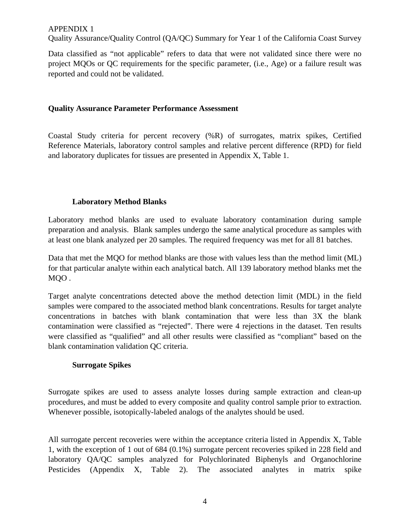Quality Assurance/Quality Control (QA/QC) Summary for Year 1 of the California Coast Survey

Data classified as "not applicable" refers to data that were not validated since there were no project MQOs or QC requirements for the specific parameter, (i.e., Age) or a failure result was reported and could not be validated.

#### **Quality Assurance Parameter Performance Assessment**

Coastal Study criteria for percent recovery (%R) of surrogates, matrix spikes, Certified Reference Materials, laboratory control samples and relative percent difference (RPD) for field and laboratory duplicates for tissues are presented in Appendix X, Table 1.

#### **Laboratory Method Blanks**

Laboratory method blanks are used to evaluate laboratory contamination during sample preparation and analysis. Blank samples undergo the same analytical procedure as samples with at least one blank analyzed per 20 samples. The required frequency was met for all 81 batches.

Data that met the MQO for method blanks are those with values less than the method limit (ML) for that particular analyte within each analytical batch. All 139 laboratory method blanks met the MQO .

Target analyte concentrations detected above the method detection limit (MDL) in the field samples were compared to the associated method blank concentrations. Results for target analyte concentrations in batches with blank contamination that were less than 3X the blank contamination were classified as "rejected". There were 4 rejections in the dataset. Ten results were classified as "qualified" and all other results were classified as "compliant" based on the blank contamination validation QC criteria.

#### **Surrogate Spikes**

Surrogate spikes are used to assess analyte losses during sample extraction and clean-up procedures, and must be added to every composite and quality control sample prior to extraction. Whenever possible, isotopically-labeled analogs of the analytes should be used.

All surrogate percent recoveries were within the acceptance criteria listed in Appendix X, Table 1, with the exception of 1 out of 684 (0.1%) surrogate percent recoveries spiked in 228 field and laboratory QA/QC samples analyzed for Polychlorinated Biphenyls and Organochlorine Pesticides (Appendix X, Table 2). The associated analytes in matrix spike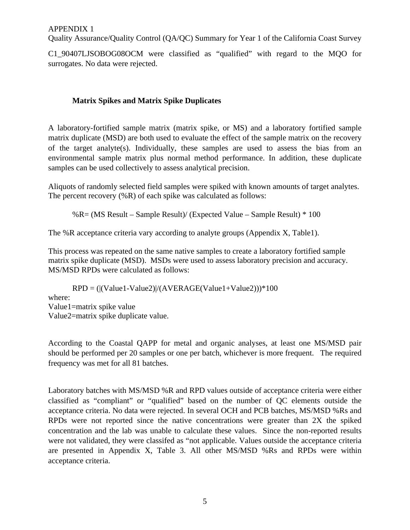Quality Assurance/Quality Control (QA/QC) Summary for Year 1 of the California Coast Survey

C1\_90407LJSOBOG08OCM were classified as "qualified" with regard to the MQO for surrogates. No data were rejected.

#### **Matrix Spikes and Matrix Spike Duplicates**

A laboratory-fortified sample matrix (matrix spike, or MS) and a laboratory fortified sample matrix duplicate (MSD) are both used to evaluate the effect of the sample matrix on the recovery of the target analyte(s). Individually, these samples are used to assess the bias from an environmental sample matrix plus normal method performance. In addition, these duplicate samples can be used collectively to assess analytical precision.

Aliquots of randomly selected field samples were spiked with known amounts of target analytes. The percent recovery (%R) of each spike was calculated as follows:

%R= (MS Result – Sample Result)/ (Expected Value – Sample Result) \* 100

The %R acceptance criteria vary according to analyte groups (Appendix X, Table1).

This process was repeated on the same native samples to create a laboratory fortified sample matrix spike duplicate (MSD). MSDs were used to assess laboratory precision and accuracy. MS/MSD RPDs were calculated as follows:

 $RPD = (|(Value1-Value2)/(AVERAGE(Value1+Value2)))*100$ where: Value1=matrix spike value Value2=matrix spike duplicate value.

According to the Coastal QAPP for metal and organic analyses, at least one MS/MSD pair should be performed per 20 samples or one per batch, whichever is more frequent. The required frequency was met for all 81 batches.

Laboratory batches with MS/MSD %R and RPD values outside of acceptance criteria were either classified as "compliant" or "qualified" based on the number of QC elements outside the acceptance criteria. No data were rejected. In several OCH and PCB batches, MS/MSD %Rs and RPDs were not reported since the native concentrations were greater than 2X the spiked concentration and the lab was unable to calculate these values. Since the non-reported results were not validated, they were classifed as "not applicable. Values outside the acceptance criteria are presented in Appendix X, Table 3. All other MS/MSD %Rs and RPDs were within acceptance criteria.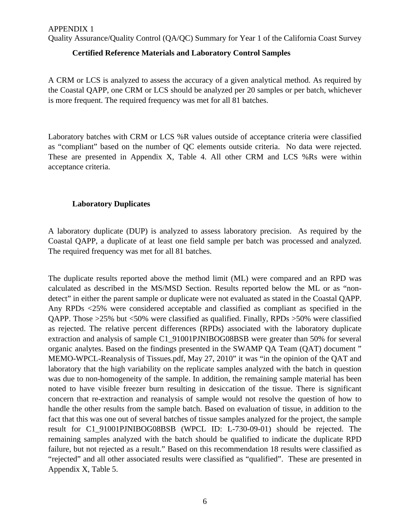Quality Assurance/Quality Control (QA/QC) Summary for Year 1 of the California Coast Survey

#### **Certified Reference Materials and Laboratory Control Samples**

A CRM or LCS is analyzed to assess the accuracy of a given analytical method. As required by the Coastal QAPP, one CRM or LCS should be analyzed per 20 samples or per batch, whichever is more frequent. The required frequency was met for all 81 batches.

Laboratory batches with CRM or LCS %R values outside of acceptance criteria were classified as "compliant" based on the number of QC elements outside criteria. No data were rejected. These are presented in Appendix X, Table 4. All other CRM and LCS %Rs were within acceptance criteria.

#### **Laboratory Duplicates**

A laboratory duplicate (DUP) is analyzed to assess laboratory precision. As required by the Coastal QAPP, a duplicate of at least one field sample per batch was processed and analyzed. The required frequency was met for all 81 batches.

The duplicate results reported above the method limit (ML) were compared and an RPD was calculated as described in the MS/MSD Section. Results reported below the ML or as "nondetect" in either the parent sample or duplicate were not evaluated as stated in the Coastal QAPP. Any RPDs <25% were considered acceptable and classified as compliant as specified in the QAPP. Those >25% but <50% were classified as qualified. Finally, RPDs >50% were classified as rejected. The relative percent differences (RPDs) associated with the laboratory duplicate extraction and analysis of sample C1\_91001PJNIBOG08BSB were greater than 50% for several organic analytes. Based on the findings presented in the SWAMP QA Team (QAT) document " MEMO-WPCL-Reanalysis of Tissues.pdf, May 27, 2010" it was "in the opinion of the QAT and laboratory that the high variability on the replicate samples analyzed with the batch in question was due to non-homogeneity of the sample. In addition, the remaining sample material has been noted to have visible freezer burn resulting in desiccation of the tissue. There is significant concern that re-extraction and reanalysis of sample would not resolve the question of how to handle the other results from the sample batch. Based on evaluation of tissue, in addition to the fact that this was one out of several batches of tissue samples analyzed for the project, the sample result for C1\_91001PJNIBOG08BSB (WPCL ID: L-730-09-01) should be rejected. The remaining samples analyzed with the batch should be qualified to indicate the duplicate RPD failure, but not rejected as a result." Based on this recommendation 18 results were classified as "rejected" and all other associated results were classified as "qualified". These are presented in Appendix X, Table 5.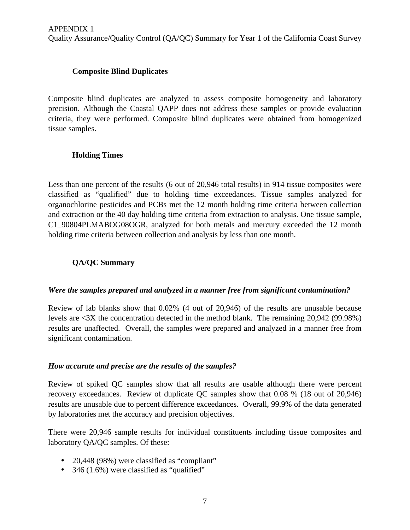### **Composite Blind Duplicates**

Composite blind duplicates are analyzed to assess composite homogeneity and laboratory precision. Although the Coastal QAPP does not address these samples or provide evaluation criteria, they were performed. Composite blind duplicates were obtained from homogenized tissue samples.

# **Holding Times**

Less than one percent of the results (6 out of 20,946 total results) in 914 tissue composites were classified as "qualified" due to holding time exceedances. Tissue samples analyzed for organochlorine pesticides and PCBs met the 12 month holding time criteria between collection and extraction or the 40 day holding time criteria from extraction to analysis. One tissue sample, C1\_90804PLMABOG08OGR, analyzed for both metals and mercury exceeded the 12 month holding time criteria between collection and analysis by less than one month.

# **QA/QC Summary**

### *Were the samples prepared and analyzed in a manner free from significant contamination?*

Review of lab blanks show that 0.02% (4 out of 20,946) of the results are unusable because levels are <3X the concentration detected in the method blank. The remaining 20,942 (99.98%) results are unaffected. Overall, the samples were prepared and analyzed in a manner free from significant contamination.

### *How accurate and precise are the results of the samples?*

Review of spiked QC samples show that all results are usable although there were percent recovery exceedances. Review of duplicate QC samples show that 0.08 % (18 out of 20,946) results are unusable due to percent difference exceedances. Overall, 99.9% of the data generated by laboratories met the accuracy and precision objectives.

There were 20,946 sample results for individual constituents including tissue composites and laboratory QA/QC samples. Of these:

- 20,448 (98%) were classified as "compliant"
- 346 (1.6%) were classified as "qualified"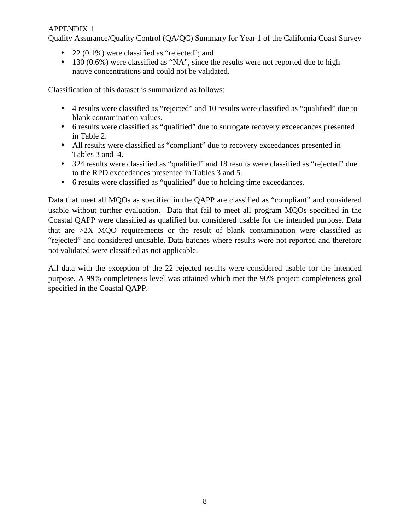Quality Assurance/Quality Control (QA/QC) Summary for Year 1 of the California Coast Survey

- 22 (0.1%) were classified as "rejected"; and
- 130 (0.6%) were classified as "NA", since the results were not reported due to high native concentrations and could not be validated.

Classification of this dataset is summarized as follows:

- 4 results were classified as "rejected" and 10 results were classified as "qualified" due to blank contamination values.
- 6 results were classified as "qualified" due to surrogate recovery exceedances presented in Table 2.
- All results were classified as "compliant" due to recovery exceedances presented in Tables 3 and 4.
- 324 results were classified as "qualified" and 18 results were classified as "rejected" due to the RPD exceedances presented in Tables 3 and 5.
- 6 results were classified as "qualified" due to holding time exceedances.

Data that meet all MQOs as specified in the QAPP are classified as "compliant" and considered usable without further evaluation. Data that fail to meet all program MQOs specified in the Coastal QAPP were classified as qualified but considered usable for the intended purpose. Data that are  $>2X$  MQO requirements or the result of blank contamination were classified as "rejected" and considered unusable. Data batches where results were not reported and therefore not validated were classified as not applicable.

All data with the exception of the 22 rejected results were considered usable for the intended purpose. A 99% completeness level was attained which met the 90% project completeness goal specified in the Coastal QAPP.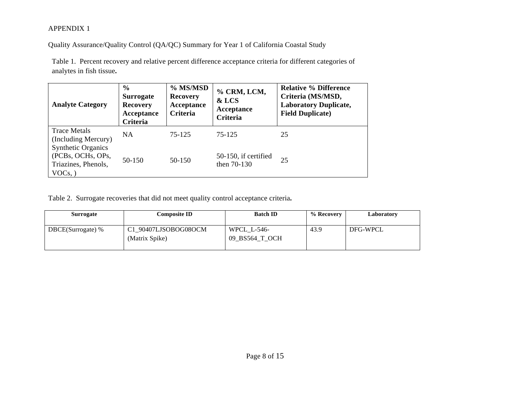Quality Assurance/Quality Control (QA/QC) Summary for Year 1 of California Coastal Study

Table 1. Percent recovery and relative percent difference acceptance criteria for different categories of analytes in fish tissue**.**

| <b>Analyte Category</b>                                                               | $\frac{6}{9}$<br><b>Surrogate</b><br><b>Recovery</b><br>Acceptance<br>Criteria | % MS/MSD<br><b>Recovery</b><br>Acceptance<br>Criteria | % CRM, LCM,<br>& LCS<br>Acceptance<br>Criteria | <b>Relative % Difference</b><br>Criteria (MS/MSD,<br><b>Laboratory Duplicate,</b><br><b>Field Duplicate)</b> |
|---------------------------------------------------------------------------------------|--------------------------------------------------------------------------------|-------------------------------------------------------|------------------------------------------------|--------------------------------------------------------------------------------------------------------------|
| <b>Trace Metals</b><br>(Including Mercury)                                            | <b>NA</b>                                                                      | 75-125                                                | 75-125                                         | 25                                                                                                           |
| <b>Synthetic Organics</b><br>(PCBs, OCHs, OPs,<br>Triazines, Phenols,<br>$VOCs$ , $)$ | 50-150                                                                         | $50 - 150$                                            | 50-150, if certified<br>then 70-130            | 25                                                                                                           |

Table 2. Surrogate recoveries that did not meet quality control acceptance criteria**.**

| <b>Surrogate</b>  | <b>Composite ID</b>                    | <b>Batch ID</b>               | % Recovery | Laboratory |
|-------------------|----------------------------------------|-------------------------------|------------|------------|
| DBCE(Surrogate) % | C1_90407LJSOBOG08OCM<br>(Matrix Spike) | WPCL L-546-<br>09_BS564_T_OCH | 43.9       | DFG-WPCL   |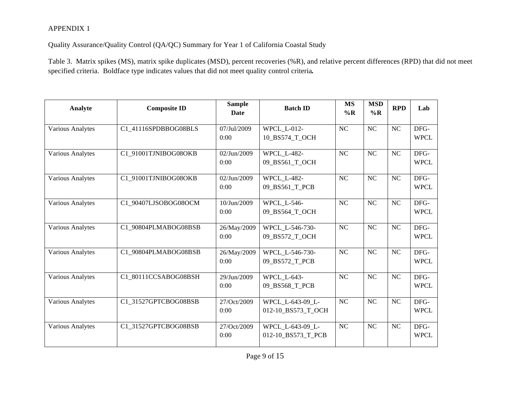Quality Assurance/Quality Control (QA/QC) Summary for Year 1 of California Coastal Study

Table 3. Matrix spikes (MS), matrix spike duplicates (MSD), percent recoveries (%R), and relative percent differences (RPD) that did not meet specified criteria. Boldface type indicates values that did not meet quality control criteria*.* 

| Analyte                 | <b>Composite ID</b>  | <b>Sample</b><br><b>Date</b> | <b>Batch ID</b>                        | <b>MS</b><br>$\%$ R | <b>MSD</b><br>%R | <b>RPD</b>     | Lab                 |
|-------------------------|----------------------|------------------------------|----------------------------------------|---------------------|------------------|----------------|---------------------|
| <b>Various Analytes</b> | C1 41116SPDBBOG08BLS | 07/Jul/2009<br>0:00          | <b>WPCL L-012-</b><br>10_BS574_T_OCH   | <b>NC</b>           | NC               | NC             | DFG-<br><b>WPCL</b> |
| Various Analytes        | C1 91001TJNIBOG08OKB | 02/Jun/2009<br>0:00          | <b>WPCL_L-482-</b><br>09 BS561 T OCH   | <b>NC</b>           | NC               | <b>NC</b>      | DFG-<br><b>WPCL</b> |
| <b>Various Analytes</b> | C1 91001TJNIBOG08OKB | 02/Jun/2009<br>0:00          | <b>WPCL L-482-</b><br>09 BS561 T PCB   | <b>NC</b>           | NC               | NC             | DFG-<br><b>WPCL</b> |
| <b>Various Analytes</b> | C1 90407LJSOBOG08OCM | 10/Jun/2009<br>0:00          | <b>WPCL L-546-</b><br>09 BS564 T OCH   | <b>NC</b>           | NC               | NC             | DFG-<br><b>WPCL</b> |
| <b>Various Analytes</b> | C1 90804PLMABOG08BSB | 26/May/2009<br>0:00          | WPCL L-546-730-<br>09 BS572 T OCH      | <b>NC</b>           | N <sub>C</sub>   | NC             | DFG-<br><b>WPCL</b> |
| <b>Various Analytes</b> | C1 90804PLMABOG08BSB | 26/May/2009<br>0:00          | WPCL L-546-730-<br>09 BS572 T PCB      | <b>NC</b>           | NC               | NC             | DFG-<br><b>WPCL</b> |
| <b>Various Analytes</b> | C1 80111CCSABOG08BSH | 29/Jun/2009<br>0:00          | <b>WPCL L-643-</b><br>09 BS568 T PCB   | N <sub>C</sub>      | NC               | NC             | DFG-<br><b>WPCL</b> |
| <b>Various Analytes</b> | C1 31527GPTCBOG08BSB | 27/Oct/2009<br>0:00          | WPCL L-643-09 L-<br>012-10_BS573_T_OCH | N <sub>C</sub>      | NC               | NC             | DFG-<br><b>WPCL</b> |
| <b>Various Analytes</b> | C1 31527GPTCBOG08BSB | 27/Oct/2009<br>0:00          | WPCL L-643-09 L-<br>012-10 BS573 T PCB | <b>NC</b>           | NC               | N <sub>C</sub> | DFG-<br><b>WPCL</b> |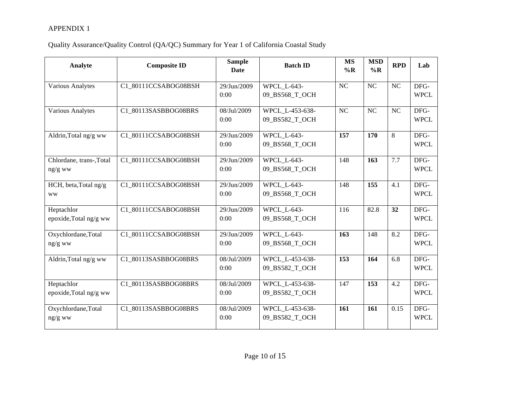| Analyte                              | <b>Composite ID</b>  | <b>Sample</b><br><b>Date</b> | <b>Batch ID</b>                      | <b>MS</b><br>$\%$ R | <b>MSD</b><br>$\%$ R | <b>RPD</b>     | Lab                 |
|--------------------------------------|----------------------|------------------------------|--------------------------------------|---------------------|----------------------|----------------|---------------------|
| <b>Various Analytes</b>              | C1 80111CCSABOG08BSH | 29/Jun/2009<br>0:00          | <b>WPCL L-643-</b><br>09_BS568_T_OCH | N <sub>C</sub>      | <b>NC</b>            | N <sub>C</sub> | DFG-<br><b>WPCL</b> |
| <b>Various Analytes</b>              | C1_80113SASBBOG08BRS | 08/Jul/2009<br>0:00          | WPCL L-453-638-<br>09_BS582_T_OCH    | <b>NC</b>           | <b>NC</b>            | NC             | DFG-<br><b>WPCL</b> |
| Aldrin, Total ng/g ww                | C1_80111CCSABOG08BSH | 29/Jun/2009<br>0:00          | <b>WPCL L-643-</b><br>09_BS568_T_OCH | 157                 | 170                  | 8              | DFG-<br><b>WPCL</b> |
| Chlordane, trans-,Total<br>$ng/g$ ww | C1_80111CCSABOG08BSH | 29/Jun/2009<br>0:00          | <b>WPCL L-643-</b><br>09_BS568_T_OCH | 148                 | 163                  | 7.7            | DFG-<br><b>WPCL</b> |
| HCH, beta, Total ng/g<br><b>WW</b>   | C1_80111CCSABOG08BSH | 29/Jun/2009<br>0:00          | <b>WPCL L-643-</b><br>09_BS568_T_OCH | 148                 | 155                  | 4.1            | DFG-<br><b>WPCL</b> |
| Heptachlor<br>epoxide, Total ng/g ww | C1_80111CCSABOG08BSH | 29/Jun/2009<br>0:00          | <b>WPCL L-643-</b><br>09 BS568 T OCH | 116                 | 82.8                 | 32             | DFG-<br><b>WPCL</b> |
| Oxychlordane, Total<br>ng/g ww       | C1_80111CCSABOG08BSH | 29/Jun/2009<br>0:00          | <b>WPCL L-643-</b><br>09 BS568 T OCH | 163                 | 148                  | 8.2            | DFG-<br><b>WPCL</b> |
| Aldrin, Total ng/g ww                | C1_80113SASBBOG08BRS | 08/Jul/2009<br>0:00          | WPCL L-453-638-<br>09 BS582 T OCH    | 153                 | 164                  | 6.8            | DFG-<br><b>WPCL</b> |
| Heptachlor<br>epoxide, Total ng/g ww | C1_80113SASBBOG08BRS | 08/Jul/2009<br>0:00          | WPCL_L-453-638-<br>09 BS582 T OCH    | 147                 | 153                  | 4.2            | DFG-<br><b>WPCL</b> |
| Oxychlordane, Total<br>ng/g ww       | C1_80113SASBBOG08BRS | 08/Jul/2009<br>0:00          | WPCL_L-453-638-<br>09 BS582 T OCH    | 161                 | 161                  | 0.15           | DFG-<br><b>WPCL</b> |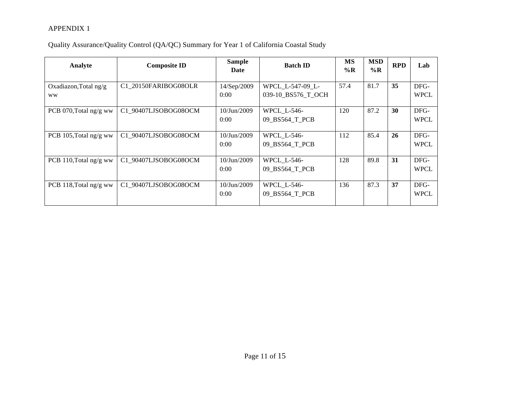| Analyte                            | <b>Composite ID</b>  | <b>Sample</b><br>Date  | <b>Batch ID</b>                        | MS<br>$\%$ R | <b>MSD</b><br>$\%$ R | <b>RPD</b> | Lab                 |
|------------------------------------|----------------------|------------------------|----------------------------------------|--------------|----------------------|------------|---------------------|
| Oxadiazon, Total ng/g<br><b>WW</b> | C1 20150FARIBOG08OLR | 14/Sep/2009<br>0:00    | WPCL_L-547-09_L-<br>039-10 BS576 T OCH | 57.4         | 81.7                 | 35         | DFG-<br><b>WPCL</b> |
| PCB 070, Total ng/g ww             | C1 90407LJSOBOG08OCM | 10/Jun/2009<br>0:00    | WPCL_L-546-<br>09_BS564_T_PCB          | 120          | 87.2                 | 30         | DFG-<br><b>WPCL</b> |
| PCB 105, Total ng/g ww             | C1_90407LJSOBOG08OCM | $10/J$ un/2009<br>0:00 | <b>WPCL L-546-</b><br>09 BS564 T PCB   | 112          | 85.4                 | 26         | DFG-<br><b>WPCL</b> |
| PCB 110, Total ng/g ww             | C1 90407LJSOBOG08OCM | $10/J$ un/2009<br>0:00 | <b>WPCL L-546-</b><br>09 BS564 T PCB   | 128          | 89.8                 | 31         | DFG-<br><b>WPCL</b> |
| PCB 118, Total ng/g ww             | C1 90407LJSOBOG08OCM | 10/Jun/2009<br>0:00    | WPCL_L-546-<br>09 BS564 T PCB          | 136          | 87.3                 | 37         | DFG-<br><b>WPCL</b> |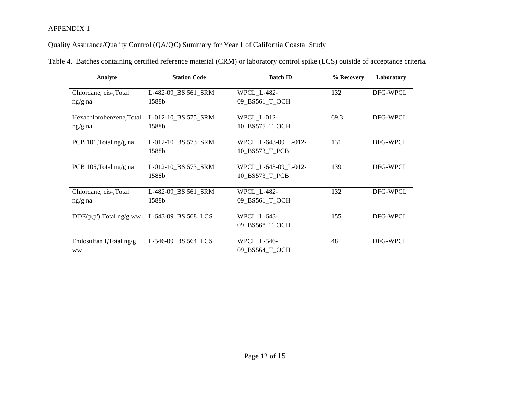Quality Assurance/Quality Control (QA/QC) Summary for Year 1 of California Coastal Study

| Analyte                               | <b>Station Code</b>          | <b>Batch ID</b>                        | % Recovery | Laboratory |
|---------------------------------------|------------------------------|----------------------------------------|------------|------------|
| Chlordane, cis-, Total<br>$ng/g$ na   | L-482-09_BS 561_SRM<br>1588b | <b>WPCL L-482-</b><br>09_BS561_T_OCH   | 132        | DFG-WPCL   |
| Hexachlorobenzene, Total<br>$ng/g$ na | L-012-10_BS 575_SRM<br>1588b | WPCL_L-012-<br>10 BS575 T OCH          | 69.3       | DFG-WPCL   |
| PCB 101, Total ng/g na                | L-012-10 BS 573 SRM<br>1588b | WPCL L-643-09 L-012-<br>10_BS573_T_PCB | 131        | DFG-WPCL   |
| PCB 105, Total ng/g na                | L-012-10_BS 573_SRM<br>1588b | WPCL_L-643-09_L-012-<br>10 BS573 T PCB | 139        | DFG-WPCL   |
| Chlordane, cis-, Total<br>$ng/g$ na   | L-482-09_BS 561_SRM<br>1588b | <b>WPCL L-482-</b><br>09 BS561 T OCH   | 132        | DFG-WPCL   |
| $DDE(p,p')$ , Total ng/g ww           | L-643-09_BS 568_LCS          | WPCL_L-643-<br>09 BS568 T OCH          | 155        | DFG-WPCL   |
| Endosulfan I, Total ng/g<br><b>WW</b> | L-546-09 BS 564 LCS          | <b>WPCL L-546-</b><br>09_BS564_T_OCH   | 48         | DFG-WPCL   |

Table 4. Batches containing certified reference material (CRM) or laboratory control spike (LCS) outside of acceptance criteria**.**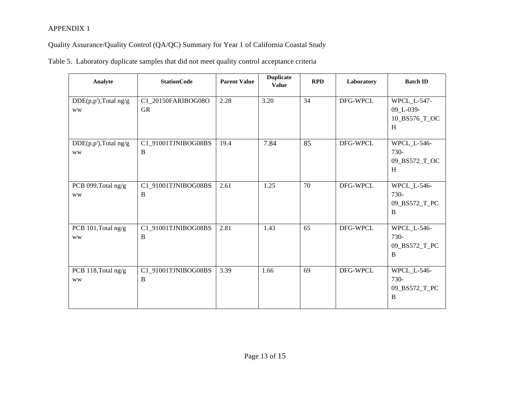|  |  |  | Table 5. Laboratory duplicate samples that did not meet quality control acceptance criteria |  |
|--|--|--|---------------------------------------------------------------------------------------------|--|
|  |  |  |                                                                                             |  |
|  |  |  |                                                                                             |  |

| Analyte                               | <b>StationCode</b>              | <b>Parent Value</b> | <b>Duplicate</b><br><b>Value</b> | <b>RPD</b> | Laboratory | <b>Batch ID</b>                                |
|---------------------------------------|---------------------------------|---------------------|----------------------------------|------------|------------|------------------------------------------------|
| $DDE(p,p')$ , Total ng/g<br><b>WW</b> | C1_20150FARIBOG08O<br><b>GR</b> | 2.28                | 3.20                             | 34         | DFG-WPCL   | WPCL_L-547-<br>09_L-039-<br>10_BS576_T_OC<br>H |
| $DDE(p,p')$ , Total ng/g<br><b>WW</b> | C1_91001TJNIBOG08BS<br>B        | 19.4                | 7.84                             | 85         | DFG-WPCL   | WPCL_L-546-<br>730-<br>09_BS572_T_OC<br>H      |
| PCB 099, Total ng/g<br><b>WW</b>      | C1_91001TJNIBOG08BS<br>B        | 2.61                | 1.25                             | 70         | DFG-WPCL   | WPCL_L-546-<br>730-<br>09_BS572_T_PC<br>B      |
| PCB 101, Total ng/g<br><b>WW</b>      | C1_91001TJNIBOG08BS<br>B        | 2.81                | 1.43                             | 65         | DFG-WPCL   | WPCL_L-546-<br>730-<br>09_BS572_T_PC<br>B      |
| PCB 118, Total ng/g<br><b>WW</b>      | C1_91001TJNIBOG08BS<br>B        | 3.39                | 1.66                             | 69         | DFG-WPCL   | WPCL_L-546-<br>730-<br>09_BS572_T_PC<br>B      |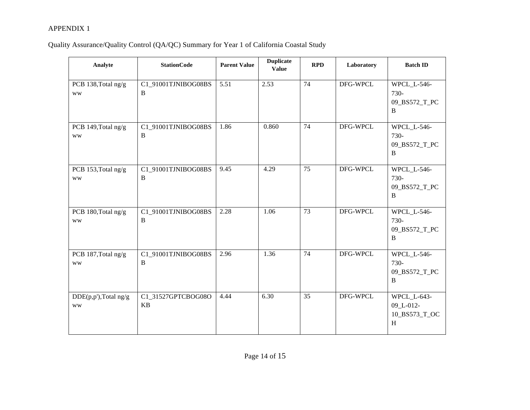| Analyte                           | <b>StationCode</b>              | <b>Parent Value</b> | <b>Duplicate</b><br><b>Value</b> | RPD             | Laboratory | <b>Batch ID</b>                                         |
|-----------------------------------|---------------------------------|---------------------|----------------------------------|-----------------|------------|---------------------------------------------------------|
| PCB 138, Total ng/g<br><b>WW</b>  | C1_91001TJNIBOG08BS<br>B        | 5.51                | 2.53                             | 74              | DFG-WPCL   | WPCL_L-546-<br>730-<br>09_BS572_T_PC<br>B               |
| PCB 149, Total ng/g<br><b>WW</b>  | C1_91001TJNIBOG08BS<br>B        | 1.86                | 0.860                            | 74              | DFG-WPCL   | WPCL_L-546-<br>730-<br>09_BS572_T_PC<br>$\, {\bf B}$    |
| PCB 153, Total ng/g<br><b>WW</b>  | C1_91001TJNIBOG08BS<br>B        | 9.45                | 4.29                             | 75              | DFG-WPCL   | WPCL_L-546-<br>730-<br>09_BS572_T_PC<br>B               |
| PCB 180, Total ng/g<br><b>WW</b>  | C1_91001TJNIBOG08BS<br>B        | 2.28                | 1.06                             | $\overline{73}$ | DFG-WPCL   | <b>WPCL L-546-</b><br>730-<br>09_BS572_T_PC<br>$\bf{B}$ |
| PCB 187, Total ng/g<br><b>WW</b>  | C1_91001TJNIBOG08BS<br>B        | 2.96                | 1.36                             | 74              | DFG-WPCL   | WPCL_L-546-<br>730-<br>09_BS572_T_PC<br>B               |
| DDE(p,p'),Total ng/g<br><b>WW</b> | C1_31527GPTCBOG08O<br><b>KB</b> | 4.44                | 6.30                             | 35              | DFG-WPCL   | WPCL_L-643-<br>09_L-012-<br>10_BS573_T_OC<br>H          |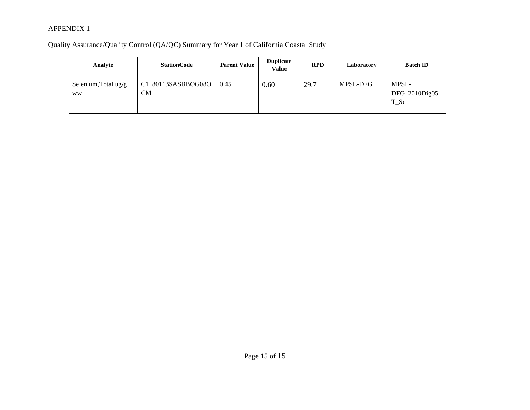| Analyte                           | <b>StationCode</b>              | <b>Parent Value</b> | <b>Duplicate</b><br>Value | <b>RPD</b> | Laboratory | <b>Batch ID</b>                  |
|-----------------------------------|---------------------------------|---------------------|---------------------------|------------|------------|----------------------------------|
| Selenium, Total ug/g<br><b>WW</b> | C1_80113SASBBOG08O<br><b>CM</b> | 0.45                | 0.60                      | 29.7       | MPSL-DFG   | MPSL-<br>DFG_2010Dig05<br>$T_Se$ |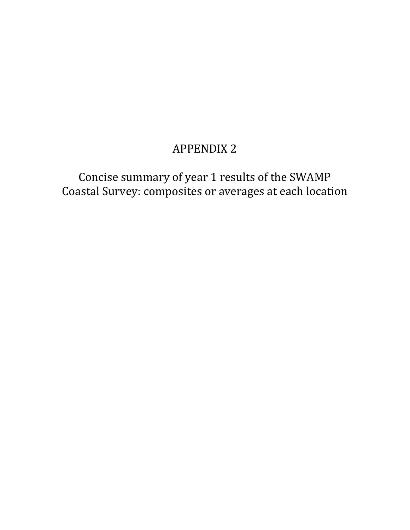Concise summary of year 1 results of the SWAMP Coastal Survey: composites or averages at each location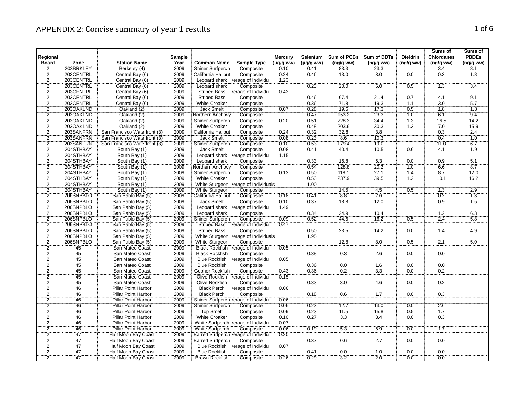|                                  |                 |                              |        |                         |                                       |                |                |                    |                          |                  | Sums of           | Sums of          |
|----------------------------------|-----------------|------------------------------|--------|-------------------------|---------------------------------------|----------------|----------------|--------------------|--------------------------|------------------|-------------------|------------------|
| Regional                         |                 |                              | Sample |                         |                                       | <b>Mercury</b> | Selenium       | <b>Sum of PCBs</b> | <b>Sum of DDTs</b>       | <b>Dieldrin</b>  | <b>Chlordanes</b> | <b>PBDEs</b>     |
| <b>Board</b>                     | Zone            | <b>Station Name</b>          | Year   | <b>Common Name</b>      | <b>Sample Type</b>                    | (µg/g ww)      | $(\mu g/g$ ww) | (ng/gww)           | (ng/g ww)                | (ng/g ww)        | (ng/g ww)         | (ng/g ww)        |
| 2                                | 203BRKLEY       | Berkeley (4)                 | 2009   | Shiner Surfperch        | Composite                             | 0.10           | 0.41           | 83.3               | 23.3<br>$\overline{3.0}$ |                  | 3.4<br>0.3        | 8.1<br>1.8       |
| $\overline{2}$                   | 203CENTRL       | Central Bay (6)              | 2009   | California Halibut      | Composite                             | 0.24           | 0.46           | 13.0               |                          | 0.0              |                   |                  |
| $\overline{2}$<br>$\overline{2}$ | 203CENTRL       | Central Bay (6)              | 2009   | Leopard shark           | erage of Individua                    | 1.23           |                |                    | 5.0                      |                  |                   |                  |
|                                  | 203CENTRL       | Central Bay (6)              | 2009   | Leopard shark           | Composite                             |                | 0.23           | 20.0               |                          | 0.5              | 1.3               | $\overline{3.4}$ |
| $\overline{2}$                   | 203CENTRL       | Central Bay (6)              | 2009   | <b>Striped Bass</b>     | erage of Individua                    | 0.43           |                |                    |                          |                  |                   |                  |
| $\overline{2}$                   | 203CENTRL       | Central Bay (6)              | 2009   | <b>Striped Bass</b>     | Composite                             |                | 0.46           | 67.4               | 21.4                     | 0.7              | 4.1               | 9.1              |
| $\frac{2}{2}$                    | 203CENTRL       | Central Bay (6)              | 2009   | <b>White Croaker</b>    | Composite                             |                | 0.36           | 71.8               | 19.3                     | 1.1              | 3.0               | 5.7              |
|                                  | 203OAKLND       | Oakland (2)                  | 2009   | Jack Smelt              | Composite                             | 0.07           | 0.28           | 19.6               | 17.3                     | 0.5              | $\overline{1.8}$  | $\overline{1.8}$ |
| $\overline{2}$                   | 203OAKLND       | Oakland (2)                  | 2009   | Northern Anchovy        | Composite                             |                | 0.47           | 153.2              | 23.3                     | 10               | 6.1               | 94               |
| $\overline{2}$                   | 203OAKLND       | Oakland (2)                  | 2009   | Shiner Surfperch        | Composite                             | 0.20           | 0.51           | 228.3              | 34.4                     | $\overline{1.3}$ | 16.5              | 14.2             |
| $\overline{2}$                   | 203OAKLND       | Oakland (2)                  | 2009   | <b>White Croaker</b>    | Composite                             |                | 0.48           | 203.6              | 30.3                     | 1.3              | 7.0               | 15.9             |
| $\frac{2}{2}$                    | 203SANFRN       | San Francisco Waterfront (3) | 2009   | California Halibut      | Composite                             | 0.24           | 0.32           | 32.8               | 3.8                      |                  | 0.3               | 2.4              |
|                                  | 203SANFRN       | San Francisco Waterfront (3) | 2009   | <b>Jack Smelt</b>       | Composite                             | 0.08           | 0.23           | 8.6                | 10.3                     |                  | 0.4               | 1.0              |
| $\overline{2}$                   | 203SANFRN       | San Francisco Waterfront (3) | 2009   | <b>Shiner Surfperch</b> | Composite                             | 0.10           | 0.53           | 179.4              | 19.0                     |                  | 11.0              | 6.7              |
| $\frac{2}{2}$                    | 204STHBAY       | South Bay (1)                | 2009   | <b>Jack Smelt</b>       | Composite                             | 0.08           | 0.41           | 40.4               | 10.5                     | 0.6              | 4.1               | 1.9              |
|                                  | 204STHBAY       | South Bay (1)                | 2009   | Leopard shark           | erage of Individua                    | 1.15           |                |                    |                          |                  |                   |                  |
| $\overline{2}$                   | 204STHBAY       | South Bay (1)                | 2009   | Leopard shark           | Composite                             |                | 0.33           | 16.8               | 6.3                      | 0.0              | 0.9               | $\overline{5.1}$ |
| $\overline{2}$                   | 204STHBAY       | South Bay (1)                | 2009   | Northern Anchovy        | Composite                             |                | 0.54           | 128.8              | 20.2                     | 1.0              | 6.6               | 8.7              |
| $\overline{2}$                   | 204STHBAY       | South Bay (1)                | 2009   | <b>Shiner Surfperch</b> | Composite                             | 0.13           | 0.50           | 118.1              | 27.1                     | 1.4              | 8.7               | 12.0             |
| $\frac{2}{2}$                    | 204STHBAY       | South Bay (1)                | 2009   | <b>White Croaker</b>    | Composite                             |                | 0.53           | 237.9              | 39.5                     | 1.2              | 10.1              | 16.2             |
|                                  | 204STHBAY       | South Bay (1)                | 2009   | White Sturgeon          | erage of Individuals                  |                | 1.00           |                    |                          |                  |                   |                  |
| $\overline{2}$                   | 204STHBAY       | South Bay (1)                | 2009   | White Sturgeon          | Composite                             |                |                | 14.5               | 4.5                      | 0.5              | 1.3               | 2.9              |
| $\frac{2}{2}$                    | 206SNPBLO       | San Pablo Bay (5)            | 2009   | California Halibut      | Composite                             | 0.18           | 0.41           | 8.8                | 2.6                      |                  | 0.2               | 1.3              |
|                                  | 206SNPBLO       | San Pablo Bay (5)            | 2009   | Jack Smelt              | Composite                             | 0.10           | 0.37           | 18.8               | 12.0                     |                  | 0.9               | $\overline{1.5}$ |
| $\overline{2}$                   | 206SNPBLO       | San Pablo Bay (5)            | 2009   | Leopard shark           | erage of Individual                   | 1.49           |                |                    |                          |                  |                   |                  |
| $\overline{2}$                   | 206SNPBLO       | San Pablo Bay (5)            | 2009   | Leopard shark           | Composite                             |                | 0.34           | 24.9               | 10.4                     |                  | 12                | 6.3              |
| $\overline{2}$                   | 206SNPBLO       | San Pablo Bay (5)            | 2009   | Shiner Surfperch        | Composite                             | 0.09           | 0.52           | 44.6               | 16.2                     | 0.5              | 2.4               | 5.8              |
| $\frac{2}{2}$                    | 206SNPBLO       | San Pablo Bay (5)            | 2009   | <b>Striped Bass</b>     | erage of Individual                   | 0.47           |                |                    |                          |                  |                   |                  |
|                                  | 206SNPBLO       | San Pablo Bay (5)            | 2009   | <b>Striped Bass</b>     | Composite                             |                | 0.50           | 23.5               | $\overline{14.2}$        | 0.0              | 1.4               | 4.9              |
| $\overline{2}$                   | 206SNPBLO       | San Pablo Bay (5)            | 2009   | White Sturgeon          | erage of Individuals                  |                | 1.95           |                    |                          |                  |                   |                  |
| $\overline{2}$                   | 206SNPBLO       | San Pablo Bay (5)            | 2009   | White Sturgeon          | Composite                             |                |                | 12.8               | 8.0                      | 0.5              | 2.1               | 5.0              |
| $\frac{2}{2}$                    | 45<br>45        | San Mateo Coast              | 2009   | <b>Black Rockfish</b>   | erage of Individual                   | 0.05           |                |                    |                          |                  |                   |                  |
|                                  |                 | San Mateo Coast              | 2009   | <b>Black Rockfish</b>   | Composite                             |                | 0.38           | $\overline{0.3}$   | $\overline{2.6}$         | $0.0$            | 0.0               |                  |
| $\overline{2}$                   | 45              | San Mateo Coast              | 2009   | <b>Blue Rockfish</b>    | erage of Individual                   | 0.05           |                |                    |                          |                  |                   |                  |
| $\overline{2}$                   | 45              | San Mateo Coast              | 2009   | Blue Rockfish           | Composite                             |                | 0.36           | 0.0                | 1.6                      | 0.0              | 0.0               |                  |
| $\overline{2}$                   | 45              | San Mateo Coast              | 2009   | Gopher Rockfish         | Composite                             | 0.43           | 0.36           | 0.2                | 3.3                      | 0.0              | 0.2               |                  |
| $\overline{2}$                   | 45              | San Mateo Coast              | 2009   | <b>Olive Rockfish</b>   | erage of Individual                   | 0.15           |                |                    |                          |                  |                   |                  |
| $\overline{2}$                   | 45              | San Mateo Coast              | 2009   | <b>Olive Rockfish</b>   | Composite                             |                | 0.33           | $\overline{3.0}$   | 4.6                      | 0.0              | 0.2               |                  |
| $\overline{2}$                   | 46              | <b>Pillar Point Harbor</b>   | 2009   | <b>Black Perch</b>      | erage of Individual                   | 0.06           |                |                    |                          |                  |                   |                  |
|                                  | 46              | Pillar Point Harbor          | 2009   | <b>Black Perch</b>      | Composite                             |                | 0.18           | 0.6                | $\overline{1.7}$         | 0.0              | 0.3               |                  |
| $\frac{2}{2}$                    | 46              | <b>Pillar Point Harbor</b>   | 2009   |                         | Shiner Surfperch lerage of Individual | 0.06           |                |                    |                          |                  |                   |                  |
| $\overline{2}$                   | 46              | Pillar Point Harbor          | 2009   | Shiner Surfperch        | Composite                             | 0.06           | 0.23           | 12.7               | 13.0                     | 0.0              | 2.6               |                  |
| $\overline{2}$                   | 46              | Pillar Point Harbor          | 2009   | <b>Top Smelt</b>        | Composite                             | 0.09           | 0.23           | 11.5               | 15.8                     | 0.5              | 1.7               |                  |
| $\overline{2}$                   | 46              | Pillar Point Harbor          | 2009   | <b>White Croaker</b>    | Composite                             | 0.10           | 0.27           | 3.3                | 3.4                      | 0.0              | 0.3               |                  |
| $\overline{2}$                   | 46              | Pillar Point Harbor          | 2009   | White Surfperch         | erage of Individua                    | 0.07           |                |                    |                          |                  |                   |                  |
| $\overline{2}$                   | 46              | Pillar Point Harbor          | 2009   | White Surfperch         | Composite                             | 0.06           | 0.19           | 5.3                | 6.9                      | 0.0              | $\overline{1.7}$  |                  |
| $\overline{2}$                   | 47              | Half Moon Bay Coast          | 2009   |                         | Barred Surfperch lerage of Individual | 0.20           |                |                    |                          |                  |                   |                  |
| $\overline{2}$                   | 47              | <b>Half Moon Bay Coast</b>   | 2009   | <b>Barred Surfperch</b> | Composite                             |                | 0.37           | 0.6                | 2.7                      | 0.0              | 0.0               |                  |
| $\overline{2}$                   | 47              | <b>Half Moon Bay Coast</b>   | 2009   | <b>Blue Rockfish</b>    | erage of Individua                    | 0.07           |                |                    |                          |                  |                   |                  |
| $\overline{2}$                   | $\overline{47}$ | Half Moon Bay Coast          | 2009   | <b>Blue Rockfish</b>    | Composite                             |                | 0.41           | 0.0                | 1.0                      | 0.0              | 0.0               |                  |
| $\overline{2}$                   | 47              | Half Moon Bay Coast          | 2009   | <b>Brown Rockfish</b>   | Composite                             | 0.26           | 0.29           | 3.2                | 2.0                      | 0.0              | 0.0               |                  |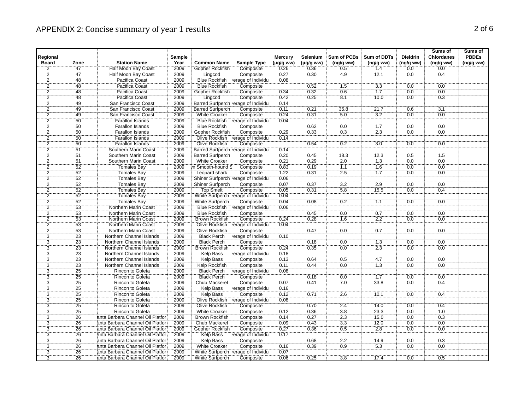|                |                 |                                   |        |                         |                                       |                |                |                    |                    |                 | Sums of           | Sums of      |
|----------------|-----------------|-----------------------------------|--------|-------------------------|---------------------------------------|----------------|----------------|--------------------|--------------------|-----------------|-------------------|--------------|
| Regional       |                 |                                   | Sample |                         |                                       | <b>Mercury</b> | Selenium       | <b>Sum of PCBs</b> | <b>Sum of DDTs</b> | <b>Dieldrin</b> | <b>Chlordanes</b> | <b>PBDEs</b> |
| <b>Board</b>   | Zone            | <b>Station Name</b>               | Year   | <b>Common Name</b>      | <b>Sample Type</b>                    | (µg/g ww)      | $(\mu g/g$ ww) | (ng/g ww)          | (ng/gww)           | (ng/g ww)       | (ng/g ww)         | (ng/g ww)    |
| $\overline{2}$ | 47              | Half Moon Bay Coast               | 2009   | Gopher Rockfish         | Composite                             | 0.26           | 0.36           | 0.5                | 1.4                | 0.0             | 0.0               |              |
| $\overline{2}$ | 47              | Half Moon Bay Coast               | 2009   | Lingcod                 | Composite                             | 0.27           | 0.30           | 4.9                | 72.1               | 0.0             | 0.4               |              |
| $\overline{c}$ | 48              | Pacifica Coast                    | 2009   | <b>Blue Rockfish</b>    | erage of Individua                    | 0.08           |                |                    |                    |                 |                   |              |
| $\overline{2}$ | 48              | Pacifica Coast                    | 2009   | <b>Blue Rockfish</b>    | Composite                             |                | 0.52           | 1.5                | 3.3                | 0.0             | 0.0               |              |
| $\overline{2}$ | $\overline{48}$ | Pacifica Coast                    | 2009   | Gopher Rockfish         | Composite                             | 0.34           | 0.32           | 0.6                | $\overline{1.7}$   | 0.0             | 0.0               |              |
| $\overline{2}$ | 48              | Pacifica Coast                    | 2009   | Lingcod                 | Composite                             | 0.42           | 0.25           | 8.1                | 10.0               | 0.0             | 0.3               |              |
| $\frac{2}{2}$  | 49              | San Francisco Coast               | 2009   |                         | Barred Surfperch lerage of Individual | 0.14           |                |                    |                    |                 |                   |              |
|                | 49              | San Francisco Coast               | 2009   | <b>Barred Surfperch</b> | Composite                             | 0.11           | 0.21           | 35.8               | 21.7               | 0.6             | $\overline{3.1}$  |              |
| $\overline{2}$ | 49              | San Francisco Coast               | 2009   | <b>White Croaker</b>    | Composite                             | 0.24           | 0.31           | 5.0                | 3.2                | 0.0             | 0.0               |              |
| $\overline{2}$ | $\overline{50}$ | Farallon Islands                  | 2009   | <b>Blue Rockfish</b>    | erage of Individual                   | 0.04           |                |                    |                    |                 |                   |              |
| $\overline{2}$ | 50              | <b>Farallon Islands</b>           | 2009   | <b>Blue Rockfish</b>    | Composite                             |                | 0.62           | 0.0                | 1.7                | 0.0             | 0.0               |              |
| $\overline{2}$ | 50              | Farallon Islands                  | 2009   | Gopher Rockfish         | Composite                             | 0.29           | 0.33           | 0.3                | 2.3                | 0.0             | 0.0               |              |
| $\frac{1}{2}$  | 50              | <b>Farallon Islands</b>           | 2009   | Olive Rockfish          | erage of Individua                    | 0.14           |                |                    |                    |                 |                   |              |
| $\overline{2}$ | 50              | <b>Farallon Islands</b>           | 2009   | <b>Olive Rockfish</b>   | Composite                             |                | 0.54           | 0.2                | 3.0                | 0.0             | 0.0               |              |
| $\frac{2}{2}$  | $\overline{51}$ | Southern Marin Coast              | 2009   |                         | Barred Surfperch lerage of Individua  | 0.14           |                |                    |                    |                 |                   |              |
|                | 51              | Southern Marin Coast              | 2009   | <b>Barred Surfperch</b> | Composite                             | 0.20           | 0.45           | 18.3               | 12.3               | 0.5             | 1.5               |              |
| $\overline{2}$ | 51              | Southern Marin Coast              | 2009   | <b>White Croaker</b>    | Composite                             | 0.21           | 0.29           | 2.0                | 1.3                | 0.0             | 0.0               |              |
| $\overline{2}$ | 52              | Tomales Bay                       | 2009   | in Smooth-hound S       | Composite                             | 0.83           | 0.19           | 1.1                | 1.6                | 0.0             | 0.0               |              |
| $\overline{2}$ | 52              | Tomales Bay                       | 2009   | Leopard shark           | Composite                             | 1.22           | 0.31           | 2.5                | 1.7                | 0.0             | 0.0               |              |
|                | 52              | <b>Tomales Bay</b>                | 2009   |                         | Shiner Surfperch jerage of Individual | 0.06           |                |                    |                    |                 |                   |              |
| $\frac{2}{2}$  | $\overline{52}$ | Tomales Bay                       | 2009   | Shiner Surfperch        | Composite                             | 0.07           | 0.37           | 3.2                | 2.9                | 0.0             | 0.0               |              |
| $\overline{2}$ | 52              | <b>Tomales Bay</b>                | 2009   | <b>Top Smelt</b>        | Composite                             | 0.05           | 0.31           | 5.8                | 15.5               | 0.0             | 0.4               |              |
| $\overline{2}$ | 52              | <b>Tomales Bay</b>                | 2009   | White Surfperch         | erage of Individual                   | 0.04           |                |                    |                    |                 |                   |              |
| $\overline{2}$ | $\overline{52}$ | Tomales Bay                       | 2009   | White Surfperch         | Composite                             | 0.04           | 0.08           | 0.2                | 7.1                | 0.0             | 0.0               |              |
| $\overline{2}$ | 53              | Northern Marin Coast              | 2009   | <b>Blue Rockfish</b>    | erage of Individual                   | 0.06           |                |                    |                    |                 |                   |              |
| $\overline{2}$ | $\overline{53}$ | Northern Marin Coast              | 2009   | <b>Blue Rockfish</b>    | Composite                             |                | 0.45           | 0.0                | 0.7                | 0.0             | 0.0               |              |
| $\overline{2}$ | 53              | <b>Northern Marin Coast</b>       | 2009   | <b>Brown Rockfish</b>   | Composite                             | 0.24           | 0.28           | 1.6                | 2.2                | 0.0             | 0.0               |              |
|                | 53              | <b>Northern Marin Coast</b>       | 2009   | Olive Rockfish          | erage of Individual                   | 0.04           |                |                    |                    |                 |                   |              |
| $\frac{2}{2}$  | $\overline{53}$ | Northern Marin Coast              | 2009   | Olive Rockfish          | Composite                             |                | 0.47           | 0.0                | 0.7                | 0.0             | 0.0               |              |
| $\dddot{3}$    | $\overline{23}$ | Northern Channel Islands          | 2009   | <b>Black Perch</b>      | erage of Individual                   | 0.10           |                |                    |                    |                 |                   |              |
| 3              | 23              | Northern Channel Islands          | 2009   | <b>Black Perch</b>      | Composite                             |                | 0.18           | 0.0                | 1.3                | 0.0             | 0.0               |              |
| $\ddot{3}$     | 23              | Northern Channel Islands          | 2009   | Brown Rockfish          | Composite                             | 0.24           | 0.35           | 0.0                | $\overline{2.3}$   | 0.0             | 0.0               |              |
| $\overline{3}$ | $\overline{23}$ | Northern Channel Islands          | 2009   | Kelp Bass               | erage of Individual                   | 0.18           |                |                    |                    |                 |                   |              |
| $\overline{3}$ | 23              | Northern Channel Islands          | 2009   | <b>Kelp Bass</b>        | Composite                             | 0.13           | 0.64           | 0.5                | 4.7                | 0.0             | 0.0               |              |
| $\overline{3}$ | 23              | Northern Channel Islands          | 2009   | Kelp Rockfish           | Composite                             | 0.11           | 0.44           | 0.0                | 1.3                | 0.0             | 0.0               |              |
| $\overline{3}$ | 25              | <b>Rincon to Goleta</b>           | 2009   | <b>Black Perch</b>      | erage of Individua                    | 0.08           |                |                    |                    |                 |                   |              |
| $\overline{3}$ | $\overline{25}$ | Rincon to Goleta                  | 2009   | <b>Black Perch</b>      | Composite                             |                | 0.18           | 0.0                | $\overline{1.7}$   | 0.0             | 0.0               |              |
| $\overline{3}$ | 25              | Rincon to Goleta                  | 2009   | <b>Chub Mackerel</b>    | Composite                             | 0.07           | 0.41           | 7.0                | 33.8               | 0.0             | 0.4               |              |
| $\overline{3}$ | 25              | Rincon to Goleta                  | 2009   | <b>Kelp Bass</b>        | erage of Individual                   | 0.16           |                |                    |                    |                 |                   |              |
| $\overline{3}$ | $\overline{25}$ | Rincon to Goleta                  | 2009   | <b>Kelp Bass</b>        |                                       | 0.12           | 0.71           | 2.6                |                    | 0.0             | 0.4               |              |
| $\overline{3}$ | 25              |                                   |        |                         | Composite                             |                |                |                    | 10.1               |                 |                   |              |
|                |                 | Rincon to Goleta                  | 2009   | <b>Olive Rockfish</b>   | erage of Individual                   | 0.08           |                |                    |                    |                 |                   |              |
| $\overline{3}$ | 25              | Rincon to Goleta                  | 2009   | Olive Rockfish          | Composite                             |                | 0.70           | 2.4                | 14.0               | 0.0             | 0.4               |              |
| $\overline{3}$ | $\overline{25}$ | Rincon to Goleta                  | 2009   | <b>White Croaker</b>    | Composite                             | 0.12           | 0.36           | $\overline{3.8}$   | 23.3               | 0.0             | 1.0               |              |
| $\overline{3}$ | 26              | anta Barbara Channel Oil Platfor  | 2009   | <b>Brown Rockfish</b>   | Composite                             | 0.14           | 0.27           | 2.3                | 15.0               | 0.0             | 0.3               |              |
| 3              | 26              | anta Barbara Channel Oil Platfori | 2009   | Chub Mackerel           | Composite                             | 0.09           | 0.43           | 3.3                | 12.0               | 0.0             | 0.0               |              |
| $\overline{3}$ | 26              | anta Barbara Channel Oil Platfor  | 2009   | Gopher Rockfish         | Composite                             | 0.27           | 0.36           | 0.5                | 2.8                | 0.0             | 0.0               |              |
| $\overline{3}$ | 26              | anta Barbara Channel Oil Platfor  | 2009   | <b>Kelp Bass</b>        | erage of Individua                    | 0.17           |                |                    |                    |                 |                   |              |
| $\overline{3}$ | 26              | anta Barbara Channel Oil Platfor  | 2009   | <b>Kelp Bass</b>        | Composite                             |                | 0.68           | 2.2                | 14.9               | 0.0             | 0.3               |              |
| $\overline{3}$ | 26              | anta Barbara Channel Oil Platfor  | 2009   | <b>White Croaker</b>    | Composite                             | 0.16           | 0.39           | 0.9                | $\overline{5.3}$   | 0.0             | 0.0               |              |
| $\frac{1}{3}$  | 26              | anta Barbara Channel Oil Platfori | 2009   | White Surfperch         | erage of Individual                   | 0.07           |                |                    |                    |                 |                   |              |
| $\overline{3}$ | 26              | anta Barbara Channel Oil Platfor  | 2009   | White Surfperch         | Composite                             | 0.06           | 0.25           | $\overline{3.8}$   | 17.4               | 0.0             | 0.5               |              |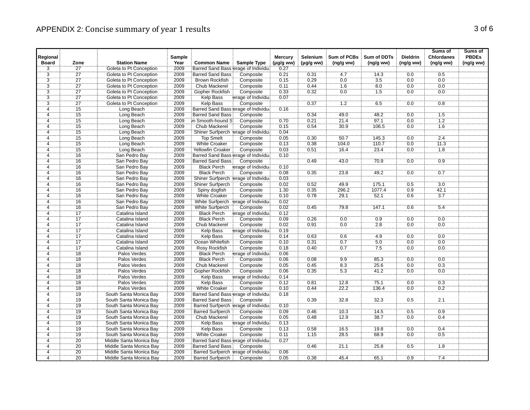|                          |                 |                         |                |                                       |                     |                                  |                            |                          |                                 |                              | Sums of                        | Sums of                   |
|--------------------------|-----------------|-------------------------|----------------|---------------------------------------|---------------------|----------------------------------|----------------------------|--------------------------|---------------------------------|------------------------------|--------------------------------|---------------------------|
| Regional<br><b>Board</b> | Zone            | <b>Station Name</b>     | Sample<br>Year | <b>Common Name</b>                    | Sample Type         | <b>Mercury</b><br>$(\mu g/g$ ww) | Selenium<br>$(\mu g/g$ ww) | Sum of PCBs<br>(ng/g ww) | <b>Sum of DDTs</b><br>(ng/g ww) | <b>Dieldrin</b><br>(ng/g ww) | <b>Chlordanes</b><br>(ng/g ww) | <b>PBDEs</b><br>(ng/g ww) |
|                          | $\overline{27}$ | Goleta to Pt Conception | 2009           | Barred Sand Bass erage of Individual  |                     | 0.27                             |                            |                          |                                 |                              |                                |                           |
| $rac{3}{3}$              | $\overline{27}$ | Goleta to Pt Conception | 2009           | <b>Barred Sand Bass</b>               | Composite           | 0.21                             | 0.31                       | 4.7                      | 14.3                            | 0.0                          | 0.5                            |                           |
|                          | 27              | Goleta to Pt Conception | 2009           | <b>Brown Rockfish</b>                 | Composite           | 0.15                             | 0.29                       | 0.0                      | 3.5                             | 0.0                          | 0.0                            |                           |
| $\frac{3}{3}$            | $\overline{27}$ | Goleta to Pt Conception | 2009           | Chub Mackerel                         | Composite           | 0.11                             | 0.44                       | 1.6                      | $\overline{8.0}$                | 0.0                          | 0.0                            |                           |
| $\overline{3}$           | $\overline{27}$ | Goleta to Pt Conception | 2009           | Gopher Rockfish                       | Composite           | 0.33                             | 0.32                       | 0.0                      | 1.5                             | 0.0                          | 0.0                            |                           |
| $\overline{3}$           | 27              | Goleta to Pt Conception | 2009           | <b>Kelp Bass</b>                      | erage of Individual | 0.07                             |                            |                          |                                 |                              |                                |                           |
|                          | $\overline{27}$ | Goleta to Pt Conception | 2009           | <b>Kelp Bass</b>                      | Composite           |                                  | 0.37                       | $\overline{1.2}$         | 6.5                             | 0.0                          | $\overline{0.8}$               |                           |
| $\frac{3}{4}$            | $\overline{15}$ | Long Beach              | 2009           | Barred Sand Bass erage of Individual  |                     | 0.16                             |                            |                          |                                 |                              |                                |                           |
| Ä,                       | $\overline{15}$ | Long Beach              | 2009           | <b>Barred Sand Bass</b>               | Composite           |                                  | 0.34                       | 49.0                     | 48.2                            | 0.0                          | $\overline{1.5}$               |                           |
| 4                        | $\overline{15}$ | Long Beach              | 2009           | n Smooth-hound S                      | Composite           | 0.70                             | 0.21                       | 21.4                     | 97.1                            | 0.0                          | 1.2                            |                           |
| $\overline{4}$           | 15              | Long Beach              | 2009           | <b>Chub Mackerel</b>                  | Composite           | 0.15                             | 0.54                       | 30.9                     | 106.5                           | 0.0                          | 1.6                            |                           |
| $\overline{4}$           |                 | Long Beach              | 2009           | Shiner Surfperch lerage of Individual |                     | 0.04                             |                            |                          |                                 |                              |                                |                           |
| $\ddot{4}$               | $\frac{15}{15}$ | Long Beach              | 2009           | <b>Top Smelt</b>                      | Composite           | 0.05                             | 0.30                       | 50.7                     | 145.3                           | 0.0                          | 2.4                            |                           |
| $\overline{4}$           | 15              | Long Beach              | 2009           | <b>White Croaker</b>                  | Composite           | 0.13                             | 0.38                       | 104.0                    | 110.7                           | 0.0                          | 11.3                           |                           |
| 4                        | $\overline{15}$ | Long Beach              | 2009           | <b>Yellowfin Croaker</b>              | Composite           | 0.03                             | 0.51                       | 16.4                     | 23.4                            | 0.0                          | 1.8                            |                           |
| ä,                       | $\overline{16}$ | San Pedro Bay           | 2009           | Barred Sand Bass erage of Individual  |                     | 0.10                             |                            |                          |                                 |                              |                                |                           |
| $\overline{4}$           | $\overline{16}$ | San Pedro Bay           | 2009           | <b>Barred Sand Bass</b>               | Composite           |                                  | 0.49                       | 43.0                     | 70.9                            | 0.0                          | 0.9                            |                           |
| Ä.                       | 16              | San Pedro Bay           | 2009           | <b>Black Perch</b>                    | erage of Individual | 0.10                             |                            |                          |                                 |                              |                                |                           |
| $\overline{4}$           | 16              | San Pedro Bay           | 2009           | <b>Black Perch</b>                    | Composite           | 0.08                             | 0.35                       | 23.8                     | 49.2                            | 0.0                          | 0.7                            |                           |
| 4                        | 16              | San Pedro Bay           | 2009           | Shiner Surfperch lerage of Individual |                     | 0.03                             |                            |                          |                                 |                              |                                |                           |
| $\overline{4}$           | $\overline{16}$ | San Pedro Bay           | 2009           | Shiner Surfperch                      | Composite           | 0.02                             | 0.52                       | 49.9                     | 175.1                           | 0.5                          | $\overline{3.0}$               |                           |
| 4                        | 16              | San Pedro Bay           | 2009           | Spiny dogfish                         | Composite           | 1.30                             | 0.35                       | 296.2                    | 1077.4                          | 0.9                          | 42.1                           |                           |
| 4                        | 16              | San Pedro Bay           | 2009           | <b>White Croaker</b>                  | Composite           | 0.10                             | 0.78                       | 29.1                     | 52.1                            | 0.6                          | 3.7                            |                           |
| $\overline{4}$           | $\overline{16}$ | San Pedro Bay           | 2009           | White Surfperch                       | erage of Individual | 0.02                             |                            |                          |                                 |                              |                                |                           |
| 4                        | $\overline{16}$ | San Pedro Bay           | 2009           | White Surfperch                       | Composite           | 0.02                             | 0.45                       | 79.8                     | 147.1                           | 0.6                          | $\overline{5.4}$               |                           |
| 4                        | $\overline{17}$ | Catalina Island         | 2009           | Black Perch                           | erage of Individual | 0.12                             |                            |                          |                                 |                              |                                |                           |
| 4                        | $\overline{17}$ | Catalina Island         | 2009           | <b>Black Perch</b>                    | Composite           | 0.09                             | 0.26                       | 0.0                      | $\overline{0.9}$                | $\overline{0.0}$             | 0.0                            |                           |
| 4                        | 17              | Catalina Island         | 2009           | Chub Mackerel                         | Composite           | 0.02                             | 0.91                       | 0.0                      | 2.8                             | 0.0                          | 0.0                            |                           |
| 4                        | $\overline{17}$ | Catalina Island         | 2009           | <b>Kelp Bass</b>                      | erage of Individual | 0.19                             |                            |                          |                                 |                              |                                |                           |
| 4                        | 17              | Catalina Island         | 2009           | <b>Kelp Bass</b>                      | Composite           | 0.14                             | 0.63                       | 0.6                      | 4.9                             | 0.0                          | 0.0                            |                           |
| 4                        | 17              | Catalina Island         | 2009           | Ocean Whitefish                       | Composite           | 0.10                             | 0.31                       | 0.7                      | 5.0                             | 0.0                          | 0.0                            |                           |
| $\ddot{4}$               | $\overline{17}$ | Catalina Island         | 2009           | Rosy Rockfish                         | Composite           | 0.18                             | 0.40                       | 0.7                      | 7.5                             | 0.0                          | 0.0                            |                           |
| $\ddot{4}$               | $\overline{18}$ | Palos Verdes            | 2009           | <b>Black Perch</b>                    | erage of Individual | 0.06                             |                            |                          |                                 |                              |                                |                           |
| $\overline{4}$           | $\overline{18}$ | Palos Verdes            | 2009           | <b>Black Perch</b>                    | Composite           | 0.06                             | 0.08                       | 9.9                      | 85.3                            | 0.0                          | 0.0                            |                           |
| $\overline{4}$           | $\overline{18}$ | Palos Verdes            | 2009           | Chub Mackerel                         | Composite           | 0.05                             | 0.45                       | 8.3                      | 25.6                            | 0.0                          | 0.3                            |                           |
| 4                        | 18              | Palos Verdes            | 2009           | Gopher Rockfish                       | Composite           | 0.06                             | 0.35                       | 5.3                      | 41.2                            | 0.0                          | 0.0                            |                           |
| $\overline{4}$           | $\overline{18}$ | Palos Verdes            | 2009           | <b>Kelp Bass</b>                      | erage of Individua  | 0.14                             |                            |                          |                                 |                              |                                |                           |
| $\overline{4}$           | $\overline{18}$ | Palos Verdes            | 2009           | Kelp Bass                             | Composite           | 0.12                             | 0.81                       | 12.8                     | 75.1                            | 0.0                          | 0.3                            |                           |
| 4                        | 18              | Palos Verdes            | 2009           | <b>White Croaker</b>                  | Composite           | 0.10                             | 0.44                       | 22.2                     | 136.4                           | 0.0                          | 0.2                            |                           |
| 4                        | $\overline{19}$ | South Santa Monica Bay  | 2009           | Barred Sand Bass erage of Individual  |                     | 0.18                             |                            |                          |                                 |                              |                                |                           |
| ä,                       | $\overline{19}$ | South Santa Monica Bay  | 2009           | <b>Barred Sand Bass</b>               | Composite           |                                  | 0.39                       | 32.8                     | 32.3                            | 0.5                          | $\overline{2.1}$               |                           |
| $\overline{4}$           | 19              | South Santa Monica Bay  | 2009           | Barred Surfperch lerage of Individual |                     | 0.10                             |                            |                          |                                 |                              |                                |                           |
| 4                        | 19              | South Santa Monica Bay  | 2009           | <b>Barred Surfperch</b>               | Composite           | 0.09                             | 0.46                       | 10.3                     | 14.5                            | 0.5                          | 0.9                            |                           |
| 4                        | 19              | South Santa Monica Bay  | 2009           | Chub Mackerel                         | Composite           | 0.05                             | 0.48                       | 12.9                     | 38.7                            | 0.0                          | 0.4                            |                           |
| 4                        | 19              | South Santa Monica Bay  | 2009           | Kelp Bass                             | erage of Individual | 0.13                             |                            |                          |                                 |                              |                                |                           |
| Ä.                       | $\overline{19}$ | South Santa Monica Bay  | 2009           | Kelp Bass                             | Composite           | 0.13                             | 0.58                       | 76.5                     | 19.8                            | 0.0                          | 0.4                            |                           |
| 4                        | 19              | South Santa Monica Bay  | 2009           | White Croaker                         | Composite           | 0.11                             | 1.15                       | 28.5                     | 68.9                            | 0.0                          | 0.5                            |                           |
| 4                        | 20              | Middle Santa Monica Bay | 2009           | Barred Sand Bass erage of Individual  |                     | 0.27                             |                            |                          |                                 |                              |                                |                           |
| $\ddot{4}$               | $\overline{20}$ | Middle Santa Monica Bay | 2009           | <b>Barred Sand Bass</b>               | Composite           |                                  | 0.46                       | 21.1                     | 25.8                            | 0.5                          | $\overline{1.8}$               |                           |
| $\overline{4}$           | $\overline{20}$ | Middle Santa Monica Bay | 2009           | Barred Surfperch lerage of Individual |                     | 0.06                             |                            |                          |                                 |                              |                                |                           |
| 4                        | $\overline{20}$ | Middle Santa Monica Bay | 2009           | <b>Barred Surfperch</b>               | Composite           | 0.05                             | 0.38                       | 45.4                     | 65.1                            | 0.9                          | 7.4                            |                           |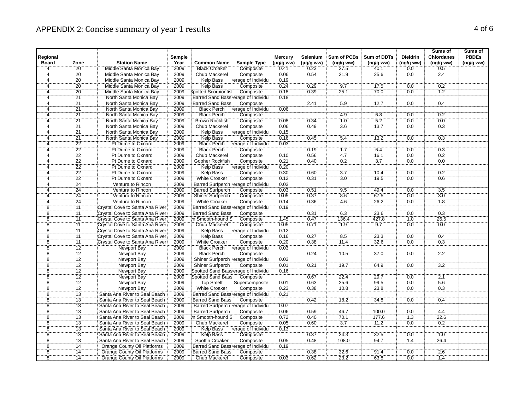|                          |                            |                                                |                |                                            |                                       |                   |                |                  |                    |                  | Sums of           | Sums of      |
|--------------------------|----------------------------|------------------------------------------------|----------------|--------------------------------------------|---------------------------------------|-------------------|----------------|------------------|--------------------|------------------|-------------------|--------------|
| Regional<br><b>Board</b> |                            |                                                | Sample<br>Year |                                            |                                       | <b>Mercury</b>    | Selenium       | Sum of PCBs      | <b>Sum of DDTs</b> | <b>Dieldrin</b>  | <b>Chlordanes</b> | <b>PBDEs</b> |
| $\overline{4}$           | Zone<br>$\overline{20}$    | <b>Station Name</b><br>Middle Santa Monica Bay | 2009           | <b>Common Name</b><br><b>Black Croaker</b> | Sample Type<br>Composite              | (µg/g ww)<br>0.41 | $(\mu g/g$ ww) | (ng/g ww)        | (ng/gww)           | (ng/g ww)        | (ng/g ww)         | (ng/g ww)    |
| 4                        | $\overline{20}$            | Middle Santa Monica Bay                        | 2009           | Chub Mackerel                              | Composite                             | 0.06              | 0.23<br>0.54   | 27.5<br>21.9     | 40.1<br>25.6       | 0.0<br>0.0       | 0.5<br>2.4        |              |
| $\overline{\mathbf{4}}$  | 20                         | Middle Santa Monica Bay                        | 2009           | Kelp Bass                                  | erage of Individua                    | 0.19              |                |                  |                    |                  |                   |              |
| 4                        | $\overline{20}$            |                                                | 2009           |                                            |                                       |                   | 0.29           | 9.7              | 17.5               | 0.0              | 0.2               |              |
| 4                        | $\overline{20}$            | Middle Santa Monica Bay                        |                | <b>Kelp Bass</b>                           | Composite                             | 0.24<br>0.18      | 0.39           |                  | 70.0               | 0.0              | 1.2               |              |
|                          |                            | Middle Santa Monica Bay                        | 2009           | Spotted Scorpionfish                       | Composite                             |                   |                | 25.1             |                    |                  |                   |              |
| $\overline{4}$           | 21                         | North Santa Monica Bay                         | 2009           | Barred Sand Bass erage of Individual       |                                       | 0.18              |                | 5.9              | 12.7               | $\overline{0.0}$ | 0.4               |              |
| 4                        | $\overline{21}$            | North Santa Monica Bay                         | 2009           | <b>Barred Sand Bass</b>                    | Composite                             |                   | 2.41           |                  |                    |                  |                   |              |
| ä,                       | $\overline{21}$            | North Santa Monica Bay                         | 2009           | <b>Black Perch</b>                         | erage of Individual                   | 0.06              |                |                  |                    |                  |                   |              |
| 4                        | 21                         | North Santa Monica Bay                         | 2009           | <b>Black Perch</b>                         | Composite                             |                   |                | 4.9              | 6.8                | 0.0              | 0.2               |              |
| 4                        | $\overline{21}$            | North Santa Monica Bay                         | 2009           | Brown Rockfish                             | Composite                             | 0.08              | 0.34           | 1.0              | 5.2                | 0.0              | 0.0               |              |
| 4                        | 21                         | North Santa Monica Bay                         | 2009           | <b>Chub Mackerel</b>                       | Composite                             | 0.06              | 0.49           | 3.6              | 13.7               | 0.0              | 0.3               |              |
| 4                        | $\overline{21}$            | North Santa Monica Bay                         | 2009           | <b>Kelp Bass</b>                           | erage of Individual                   | 0.15              |                |                  |                    |                  |                   |              |
| $\ddot{4}$               | $\overline{21}$            | North Santa Monica Bay                         | 2009           | <b>Kelp Bass</b>                           | Composite                             | 0.16              | 0.45           | 5.4              | 13.2               | 0.0              | 0.3               |              |
| 4                        | 22                         | Pt Dume to Oxnard                              | 2009           | <b>Black Perch</b>                         | erage of Individu:                    | 0.03              |                |                  |                    |                  |                   |              |
| 4                        | $\overline{22}$            | Pt Dume to Oxnard                              | 2009           | <b>Black Perch</b>                         | Composite                             |                   | 0.19           | 1.7              | 6.4                | 0.0              | 0.3               |              |
| $\overline{4}$           | $\overline{22}$            | Pt Dume to Oxnard                              | 2009           | Chub Mackerel                              | Composite                             | 0.10              | 0.56           | 4.7              | 16.1               | 0.0              | 0.2               |              |
| 4                        | $\overline{22}$            | Pt Dume to Oxnard                              | 2009           | Gopher Rockfish                            | Composite                             | 0.21              | 0.40           | 0.2              | 3.7                | 0.0              | 0.0               |              |
| Ä.                       | $\overline{2}\overline{2}$ | Pt Dume to Oxnard                              | 2009           | <b>Kelp Bass</b>                           | erage of Individual                   | 0.20              |                |                  |                    |                  |                   |              |
| 4                        | $\overline{22}$            | Pt Dume to Oxnard                              | 2009           | <b>Kelp Bass</b>                           | Composite                             | 0.30              | 0.60           | 3.7              | 10.4               | 0.0              | 0.2               |              |
| 4                        | $\overline{22}$            | Pt Dume to Oxnard                              | 2009           | <b>White Croaker</b>                       | Composite                             | 0.12              | 0.31           | 3.0              | 19.5               | 0.0              | 0.6               |              |
| $\frac{1}{4}$            | $\overline{24}$            | Ventura to Rincon                              | 2009           |                                            | Barred Surfperch lerage of Individual | 0.03              |                |                  |                    |                  |                   |              |
| 4                        | 24                         | Ventura to Rincon                              | 2009           | <b>Barred Surfperch</b>                    | Composite                             | 0.03              | 0.51           | 9.5              | 49.4               | 0.0              | 3.5               |              |
| 4                        | 24                         | Ventura to Rincon                              | 2009           | Shiner Surfperch                           | Composite                             | 0.05              | 0.37           | 8.6              | 67.5               | 0.0              | 3.0               |              |
| $\frac{1}{4}$            | $\overline{24}$            | Ventura to Rincon                              | 2009           | White Croaker                              | Composite                             | 0.14              | 0.36           | 4.6              | 26.2               | 0.0              | 1.8               |              |
| $\overline{8}$           | $\overline{11}$            | Crystal Cove to Santa Ana River                | 2009           |                                            | Barred Sand Bass erage of Individual  | 0.19              |                |                  |                    |                  |                   |              |
| $\overline{8}$           | 11                         | Crystal Cove to Santa Ana River                | 2009           | <b>Barred Sand Bass</b>                    | Composite                             |                   | 0.31           | 6.3              | 23.6               | 0.0              | 0.3               |              |
| $\overline{8}$           | 11                         | Crystal Cove to Santa Ana River                | 2009           | in Smooth-hound S                          | Composite                             | 1.45              | 0.47           | 136.4            | 427.8              | 10               | 26.5              |              |
| 8                        | 11                         | Crystal Cove to Santa Ana River                | 2009           | Chub Mackerel                              | Composite                             | 0.05              | 0.71           | 1.9              | 9.7                | 0 <sub>0</sub>   | 0.0               |              |
| $\overline{8}$           | $\overline{11}$            | Crystal Cove to Santa Ana River                | 2009           | Kelp Bass                                  | erage of Individual                   | 0.12              |                |                  |                    |                  |                   |              |
| $\overline{8}$           | $\overline{11}$            | Crystal Cove to Santa Ana River                | 2009           | <b>Kelp Bass</b>                           | Composite                             | 0.16              | 0.27           | $\overline{8.5}$ | 23.3               | 0.0              | 0.4               |              |
| 8                        | 11                         | Crystal Cove to Santa Ana River                | 2009           | <b>White Croaker</b>                       | Composite                             | 0.20              | 0.38           | 11.4             | 32.6               | 0.0              | 0.3               |              |
| $\dddot{\bf{8}}$         | 12                         | Newport Bay                                    | 2009           | <b>Black Perch</b>                         | erage of Individua                    | 0.03              |                |                  |                    |                  |                   |              |
| $\ddot{\bf{8}}$          | $\overline{12}$            | Newport Bay                                    | 2009           | <b>Black Perch</b>                         | Composite                             |                   | 0.24           | 10.5             | 37.0               | 0.0              | 2.2               |              |
| $\overline{8}$           | $\overline{12}$            | <b>Newport Bay</b>                             | 2009           |                                            | Shiner Surfperch lerage of Individual | 0.03              |                |                  |                    |                  |                   |              |
| $\overline{8}$           | $\overline{12}$            | Newport Bay                                    | 2009           | <b>Shiner Surfperch</b>                    | Composite                             | 0.01              | 0.21           | 19.7             | 64.9               | 0.0              | $\overline{3.2}$  |              |
| 8                        | 12                         | Newport Bay                                    | 2009           | Spotted Sand Basslerage of Individual      |                                       | 0.16              |                |                  |                    |                  |                   |              |
| $\overline{8}$           | $\overline{12}$            | Newport Bay                                    | 2009           | <b>Spotted Sand Bass</b>                   | Composite                             |                   | 0.67           | 22.4             | 29.7               | 0.0              | $\overline{2.1}$  |              |
| $\overline{8}$           | $\overline{12}$            | Newport Bay                                    | 2009           | Top Smelt                                  | Supercomposite                        | 0.01              | 0.63           | 25.6             | 99.5               | 0.0              | 5.6               |              |
| 8                        | $\overline{12}$            | Newport Bay                                    | 2009           | <b>White Croaker</b>                       | Composite                             | 0.23              | 0.38           | 10.8             | 23.8               | 0.0              | 0.3               |              |
| 8                        | 13                         | Santa Ana River to Seal Beach                  | 2009           | Barred Sand Bass erage of Individual       |                                       | 0.21              |                |                  |                    |                  |                   |              |
| $\ddot{8}$               | $\overline{13}$            | Santa Ana River to Seal Beach                  | 2009           | <b>Barred Sand Bass</b>                    | Composite                             |                   | 0.42           | 18.2             | 34.8               | 0.0              | 0.4               |              |
| $\overline{\bf 8}$       | $\overline{13}$            | Santa Ana River to Seal Beach                  | 2009           |                                            | Barred Surfperch lerage of Individual | 0.07              |                |                  |                    |                  |                   |              |
| $\overline{8}$           | 13                         | Santa Ana River to Seal Beach                  | 2009           | <b>Barred Surfperch</b>                    | Composite                             | 0.06              | 0.59           | 46.7             | 100.0              | 0.0              | 4.4               |              |
| $\overline{8}$           | $\overline{13}$            | Santa Ana River to Seal Beach                  | 2009           | n Smooth-hound S                           | Composite                             | 0.72              | 0.40           | 70.1             | 177.6              | 1.3              | 22.6              |              |
| 8                        | 13                         | Santa Ana River to Seal Beach                  | 2009           | Chub Mackerel                              | Composite                             | 0.05              | 0.60           | 3.7              | 11.2               | 0.0              | 0.2               |              |
| $\overline{8}$           | $\overline{13}$            | Santa Ana River to Seal Beach                  | 2009           |                                            |                                       | 0.13              |                |                  |                    |                  |                   |              |
|                          |                            |                                                |                | Kelp Bass                                  | erage of Individual                   |                   |                |                  |                    |                  |                   |              |
| 8<br>$\overline{8}$      | 13                         | Santa Ana River to Seal Beach                  | 2009<br>2009   | <b>Kelp Bass</b><br>Spotfin Croaker        | Composite                             | 0.05              | 0.37<br>0.48   | 24.3             | 32.5               | 0.0              | 1.0               |              |
| $\overline{\bf 8}$       | 13<br>$\overline{14}$      | Santa Ana River to Seal Beach                  |                |                                            | Composite                             | 0.19              |                | 108.0            | 94.7               | 1.4              | 26.4              |              |
|                          |                            | Orange County Oil Platforms                    | 2009           | Barred Sand Bass erage of Individual       |                                       |                   |                |                  |                    |                  |                   |              |
| $\overline{8}$           | $\overline{14}$            | Orange County Oil Platforms                    | 2009           | <b>Barred Sand Bass</b>                    | Composite                             |                   | 0.38           | 326              | 91.4               | 0.0              | 2.6               |              |
| 8                        | 14                         | <b>Orange County Oil Platforms</b>             | 2009           | Chub Mackerel                              | Composite                             | 0.03              | 0.62           | 23.2             | 63.8               | 0.0              | 1.4               |              |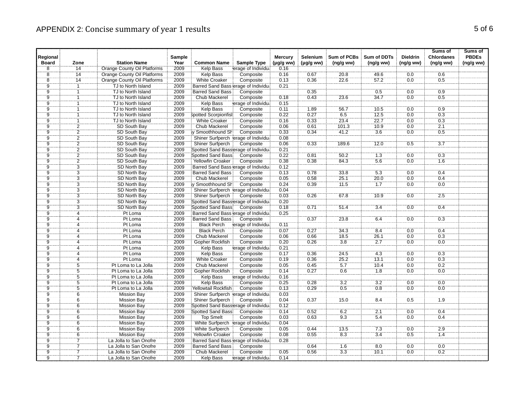|                          |                 |                                              |                |                                          |                                  |                             |                            |                         |                                |                              | Sums of                        | Sums of                   |
|--------------------------|-----------------|----------------------------------------------|----------------|------------------------------------------|----------------------------------|-----------------------------|----------------------------|-------------------------|--------------------------------|------------------------------|--------------------------------|---------------------------|
| Regional<br><b>Board</b> | Zone            | <b>Station Name</b>                          | Sample<br>Year | <b>Common Name</b>                       | Sample Type                      | <b>Mercury</b><br>(µg/g ww) | Selenium<br>$(\mu g/g$ ww) | Sum of PCBs<br>(ng/gww) | <b>Sum of DDTs</b><br>(ng/gww) | <b>Dieldrin</b><br>(ng/g ww) | <b>Chlordanes</b><br>(ng/g ww) | <b>PBDEs</b><br>(ng/g ww) |
| $\overline{8}$           | 14              | Orange County Oil Platforms                  | 2009           | <b>Kelp Bass</b>                         | erage of Individual              | 0.16                        |                            |                         |                                |                              |                                |                           |
| $\overline{8}$           | $\overline{14}$ | <b>Orange County Oil Platforms</b>           | 2009           | Kelp Bass                                | Composite                        | 0.16                        | 0.67                       | 20.8                    | 49.6                           | 0.0                          | 0.6                            |                           |
| 8                        | 14              | Orange County Oil Platforms                  | 2009           | <b>White Croaker</b>                     | Composite                        | 0.13                        | 0.36                       | 22.6                    | 57.2                           | 0.0                          | 0.5                            |                           |
| ÿ.                       |                 | TJ to North Island                           | 2009           | Barred Sand Bass erage of Individual     |                                  | 0.21                        |                            |                         |                                |                              |                                |                           |
| $\overline{9}$           | ñ               | TJ to North Island                           | 2009           | <b>Barred Sand Bass</b>                  | Composite                        |                             | 0.35                       |                         | 0.5                            | 0.0                          | 0.9                            |                           |
| $\overline{9}$           |                 | TJ to North Island                           | 2009           | <b>Chub Mackerel</b>                     | Composite                        | 0.18                        | 0.43                       | 23.6                    | 34.7                           | 0.0                          | 0.5                            |                           |
| ÿ.                       |                 | TJ to North Island                           | 2009           | Kelp Bass                                | erage of Individual              | 0.15                        |                            |                         |                                |                              |                                |                           |
| ġ                        |                 | TJ to North Island                           | 2009           | Kelp Bass                                | Composite                        | 0.11                        | 1.89                       | 56.7                    | 70.5                           | 0.0                          | 0.9                            |                           |
| $\overline{9}$           |                 | TJ to North Island                           | 2009           | Spotted Scorpionfisi                     | Composite                        | 0.22                        | 0.27                       | 6.5                     | 12.5                           | 0.0                          | 0.3                            |                           |
| ġ.                       |                 | TJ to North Island                           | 2009           | White Croaker                            | Composite                        | 0.16                        | 0.33                       | 23.4                    | 22.7                           | 0.0                          | 0.3                            |                           |
| $\overline{9}$           | $\overline{2}$  | SD South Bay                                 | 2009           | <b>Chub Mackerel</b>                     | Composite                        | 0.06                        | 0.61                       | 101.3                   | 10.9                           | 0.0                          | 2.1                            |                           |
| $\overline{9}$           |                 | SD South Bay                                 | 2009           | y Smoothhound Sh                         | Composite                        | 0.33                        | 0.34                       | 41.2                    | 3.6                            | 0.0                          | 0.5                            |                           |
| $\overline{9}$           | $\frac{2}{2}$   | SD South Bay                                 | 2009           | Shiner Surfperch lerage of Individual    |                                  | 0.08                        |                            |                         |                                |                              |                                |                           |
| 9                        |                 | SD South Bay                                 | 2009           | <b>Shiner Surfperch</b>                  | Composite                        | 0.06                        | 0.33                       | 189.6                   | 12.0                           | 0.5                          | 3.7                            |                           |
|                          | $\frac{2}{2}$   | SD South Bay                                 | 2009           | Spotted Sand Basslerage of Individual    |                                  | 0.21                        |                            |                         |                                |                              |                                |                           |
| $\frac{9}{9}$            |                 | SD South Bay                                 | 2009           | <b>Spotted Sand Bass</b>                 | Composite                        | 0.22                        | 0.81                       | 50.2                    | 1.3                            | 0.0                          | 0.3                            |                           |
| $\overline{9}$           |                 | SD South Bay                                 | 2009           | Yellowfin Croaker                        | Composite                        | 0.38                        | 0.38                       | 84.3                    | 5.6                            | 0.0                          | 1.6                            |                           |
| ġ.                       | $rac{2}{3}$     | SD North Bay                                 | 2009           | Barred Sand Bass erage of Individual     |                                  | 0.12                        |                            |                         |                                |                              |                                |                           |
| $\overline{9}$           | $\overline{3}$  | SD North Bay                                 | 2009           | <b>Barred Sand Bass</b>                  | Composite                        | 0.13                        | 0.78                       | 33.8                    | 5.3                            | 0.0                          | 0.4                            |                           |
|                          |                 | SD North Bay                                 | 2009           | <b>Chub Mackerel</b>                     | Composite                        | 0.05                        | 0.58                       | 25.1                    | 20.0                           | 0.0                          | 0.4                            |                           |
| $\frac{9}{9}$            | $\frac{3}{3}$   | SD North Bay                                 | 2009           | ly Smoothhound Sh                        | Composite                        | 0.24                        | 0.39                       | 71.5                    | 7.7                            | 0.0                          | 0.0                            |                           |
| $\overline{9}$           | $\overline{3}$  | <b>SD North Bay</b>                          | 2009           | Shiner Surfperch lerage of Individual    |                                  | 0.04                        |                            |                         |                                |                              |                                |                           |
|                          |                 | SD North Bay                                 | 2009           | Shiner Surfperch                         | Composite                        | 0.03                        | 0.26                       | 67.8                    | 10.9                           | $0.0\,$                      | 2.5                            |                           |
| $\frac{9}{9}$            | $\frac{3}{3}$   | <b>SD North Bay</b>                          | 2009           | Spotted Sand Basserage of Individual     |                                  | 0.20                        |                            |                         |                                |                              |                                |                           |
| $\tilde{9}$              | $\overline{3}$  | SD North Bay                                 | 2009           | Spotted Sand Bass                        | Composite                        | 0.18                        | 0.71                       | 51.4                    | $\overline{3.4}$               | 0.0                          | 0.4                            |                           |
| Ï9                       | 4               | Pt Loma                                      | 2009           | Barred Sand Bass erage of Individual     |                                  | 0.25                        |                            |                         |                                |                              |                                |                           |
| Ïğ                       | 4               | Pt Loma                                      | 2009           | <b>Barred Sand Bass</b>                  | Composite                        |                             | 0.37                       | 23.8                    | 6.4                            | 0.0                          | 0.3                            |                           |
| 9                        | $\overline{4}$  | Pt Loma                                      | 2009           | <b>Black Perch</b>                       | erage of Individua               | 0.11                        |                            |                         |                                |                              |                                |                           |
| $\frac{1}{9}$            |                 | Pt Loma                                      | 2009           | <b>Black Perch</b>                       | Composite                        | 0.07                        | 0.27                       | 343                     | 8.4                            | 0.0                          | 0.4                            |                           |
| ġ                        | 4               | Pt Loma                                      | 2009           | Chub Mackerel                            | Composite                        | 0.06                        | 0.66                       | 18.5                    | 26.1                           | 0.0                          | 0.3                            |                           |
| $\overline{9}$           | $\overline{4}$  | Pt Loma                                      | 2009           | <b>Gopher Rockfish</b>                   | Composite                        | 0.20                        | 0.26                       | 3.8                     | 2.7                            | 0.0                          | 0.0                            |                           |
| $\overline{9}$           | 4               | Pt Loma                                      | 2009           | <b>Kelp Bass</b>                         | erage of Individua               | 0.21                        |                            |                         |                                |                              |                                |                           |
| ġ.                       |                 | Pt Loma                                      | 2009           | <b>Kelp Bass</b>                         | Composite                        | 0.17                        | 0.36                       | 24.5                    | 4.3                            | 0.0                          | 0.3                            |                           |
| $\overline{9}$           | 4               | Pt Loma                                      | 2009           | <b>White Croaker</b>                     | Composite                        | 0.19                        | 0.36                       | 25.2                    | 13.1                           | 0.0                          | 0.3                            |                           |
| ğ.                       | $\overline{5}$  | Pt Loma to La Jolla                          | 2009           | Chub Mackerel                            | Composite                        | 0.05                        | 0.45                       | 5.7                     | 10.4                           | 0.0                          | 0.2                            |                           |
| $\overline{9}$           | $\overline{5}$  | Pt Loma to La Jolla                          | 2009           | Gopher Rockfish                          | Composite                        | 0.14                        | 0.27                       | 0.6                     | 1.8                            | 0.0                          | 0.0                            |                           |
| $\overline{9}$           | $\overline{5}$  | Pt Loma to La Jolla                          | 2009           | <b>Kelp Bass</b>                         | erage of Individua               | 0.16                        |                            |                         |                                |                              |                                |                           |
| ِّقَ                     | $\ddot{5}$      | Pt Loma to La Jolla                          | 2009           | Kelp Bass                                | Composite                        | 0.25                        | 0.28                       | $\overline{3.2}$        | 3.2                            | 0.0                          | 0.0                            |                           |
| 9                        | $\overline{5}$  | Pt Loma to La Jolla                          | 2009           | Yellowtail Rockfish                      | Composite                        | 0.13                        | 0.29                       | 0.5                     | 0.8                            | 0.0                          | 0.0                            |                           |
| $\overline{9}$           | 6               | <b>Mission Bay</b>                           | 2009           | Shiner Surfperch lerage of Individual    |                                  | 0.03                        |                            |                         |                                |                              |                                |                           |
| Ï.                       | $\overline{6}$  | <b>Mission Bay</b>                           | 2009           | Shiner Surfperch                         | Composite                        | 0.04                        | 0.37                       | 15.0                    | 8.4                            | 0.5                          | 1.9                            |                           |
| $\overline{9}$           | 6               | <b>Mission Bay</b>                           | 2009           | Spotted Sand Bassierage of Individual    |                                  | 0.12                        |                            |                         |                                |                              |                                |                           |
| ġ.                       | $\overline{6}$  |                                              | 2009           | Spotted Sand Bass                        | Composite                        | 0.14                        | 0.52                       | 6.2                     | $\overline{2.1}$               | 0.0                          | 0.4                            |                           |
| $\overline{9}$           | $\overline{6}$  | Mission Bay                                  | 2009           | <b>Top Smelt</b>                         |                                  | 0.03                        | 0.63                       | 9.3                     | 5.4                            | 0.0                          | 0.4                            |                           |
| 9                        | 6               | <b>Mission Bay</b><br><b>Mission Bay</b>     | 2009           | White Surfperch                          | Composite<br>erage of Individual | 0.04                        |                            |                         |                                |                              |                                |                           |
| Ïġ                       | $\dddot{6}$     | <b>Mission Bay</b>                           | 2009           |                                          | Composite                        | 0.05                        | 0.44                       | 13.5                    | 7.3                            | 0.0                          | 2.9                            |                           |
| $\overline{9}$           |                 |                                              |                | White Surfperch                          |                                  |                             |                            |                         |                                |                              |                                |                           |
| $\overline{9}$           | 6               | <b>Mission Bay</b><br>La Jolla to San Onofre | 2009           | <b>Yellowfin Croaker</b>                 | Composite                        | 0.08                        | 0.55                       | 8.3                     | 3.4                            | 0.5                          | 1.4                            |                           |
| $\overline{9}$           | $\frac{7}{7}$   |                                              | 2009<br>2009   | Barred Sand Bass erage of Individual     |                                  | 0.28                        | 0.64                       |                         | $\overline{8.0}$               | 0.0                          | 0.0                            |                           |
| ğ                        | 7               | La Jolla to San Onofre                       | 2009           | <b>Barred Sand Bass</b><br>Chub Mackerel | Composite<br>Composite           | 0.05                        | 0.56                       | 1.6<br>$\overline{3.3}$ | 10.1                           | 0.0                          | 0.2                            |                           |
| 9                        |                 | La Jolla to San Onofre                       | 2009           |                                          |                                  |                             |                            |                         |                                |                              |                                |                           |
|                          |                 | La Jolla to San Onofre                       |                | Kelp Bass                                | erage of Individua               | 0.14                        |                            |                         |                                |                              |                                |                           |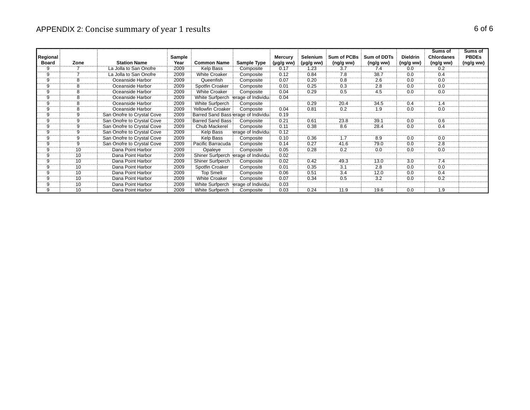# APPENDIX 2: Concise summary of year 1 results and the summary of  $6$  of 6

|              |      |                            |        |                                      |                                       |                |           |             |                |                 | Sums of           | Sums of      |
|--------------|------|----------------------------|--------|--------------------------------------|---------------------------------------|----------------|-----------|-------------|----------------|-----------------|-------------------|--------------|
| Regional     |      |                            | Sample |                                      |                                       | Mercury        | Selenium  | Sum of PCBs | Sum of DDTs    | <b>Dieldrin</b> | <b>Chlordanes</b> | <b>PBDEs</b> |
| <b>Board</b> | Zone | <b>Station Name</b>        | Year   | <b>Common Name</b>                   | Sample Type                           | $(\mu g/g ww)$ | (µg/g ww) | (ng/gww)    | (ng/g ww)      | (ng/g ww)       | (ng/gww)          | (ng/g ww)    |
|              |      | La Jolla to San Onofre     | 2009   | Kelp Bass                            | Composite                             | 0.17           | .23       | 3.7         | 7.4            | 0.0             |                   |              |
|              |      | La Jolla to San Onofre     | 2009   | <b>White Croaker</b>                 | Composite                             | 0.12           | 0.84      | 7.8         | 38.7           | 0.0             | 0.4               |              |
|              |      | Oceanside Harbor           | 2009   | Queenfish                            | Composite                             | 0.07           | 0.20      | 0.8         | 2.6            | 0.0             | 0.0               |              |
|              |      | Oceanside Harbor           | 2009   | Spotfin Croaker                      | Composite                             | 0.01           | 0.25      | 0.3         | 2.8            | 0.0             | 0.0               |              |
|              |      | Oceanside Harbor           | 2009   | <b>White Croaker</b>                 | Composite                             | 0.04           | 0.29      | 0.5         | 4.5            | 0.0             | 0.0               |              |
|              |      | Oceanside Harbor           | 2009   | White Surfperch                      | erage of Individual                   | 0.04           |           |             |                |                 |                   |              |
|              |      | Oceanside Harbor           | 2009   | White Surfperch                      | Composite                             |                | 0.29      | 20.4        | 34.5           |                 |                   |              |
|              |      | Oceanside Harbor           | 2009   | Yellowfin Croaker                    | Composite                             | 0.04           | 0.81      | 0.2         |                | 0.0             |                   |              |
|              |      | San Onofre to Crystal Cove | 2009   | Barred Sand Bass erage of Individual |                                       | 0.19           |           |             |                |                 |                   |              |
|              |      | San Onofre to Crystal Cove | 2009   | <b>Barred Sand Bass</b>              | Composite                             | 0.21           | 0.61      | 23.8        | 39.            | 0.0             | 0.6               |              |
|              |      | San Onofre to Crystal Cove | 2009   | Chub Mackerel                        | Composite                             | 0.11           | 0.38      | 8.6         | 28.4           | 0.0             | 0.4               |              |
|              |      | San Onofre to Crystal Cove | 2009   | Kelp Bass                            | erage of Individual                   | 0.12           |           |             |                |                 |                   |              |
|              |      | San Onofre to Crystal Cove | 2009   | Kelp Bass                            | Composite                             | 0.10           | 0.36      | 1.7         | 8.9            | 0.0             | 0.0               |              |
|              |      | San Onofre to Crystal Cove | 2009   | Pacific Barracuda                    | Composite                             | 0.14           | 0.27      | 41.6        | 79.0           | 0.0             | 2.8               |              |
|              |      | Dana Point Harbor          | 2009   | Opaleve                              | Composite                             | 0.05           | 0.28      | 0.2         | 0 <sub>0</sub> | 0.0             | n n               |              |
|              |      | Dana Point Harbor          | 2009   |                                      | Shiner Surfperch lerage of Individual | 0.02           |           |             |                |                 |                   |              |
|              |      | Dana Point Harbor          | 2009   | <b>Shiner Surfperch</b>              | Composite                             | 0.02           | 0.42      | 49.3        | 13.0           | 3.0             | 7.4               |              |
|              |      | Dana Point Harbor          | 2009   | Spotfin Croaker                      | Composite                             | 0.01           | 0.35      | 3.1         | 2.8            | 0.0             |                   |              |
|              |      | Dana Point Harbor          | 2009   | <b>Top Smelt</b>                     | Composite                             | 0.06           | 0.51      | 3.4         | 12.0           | 0.0             | 0.4               |              |
|              |      | Dana Point Harbor          | 2009   | <b>White Croaker</b>                 | Composite                             | 0.07           | 0.34      | 0.5         | 3.2            | 0.0             | 0.2               |              |
|              |      | Dana Point Harbor          | 2009   | White Surfperch                      | erage of Individual                   | 0.03           |           |             |                |                 |                   |              |
|              |      | Dana Point Harbor          | 2009   | White Surfperch                      | Composite                             | 0.03           | 0.24      | 11.9        | 19.6           | 0.0             |                   |              |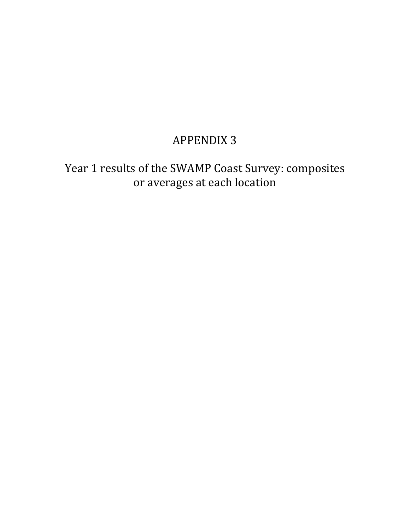Year 1 results of the SWAMP Coast Survey: composites or averages at each location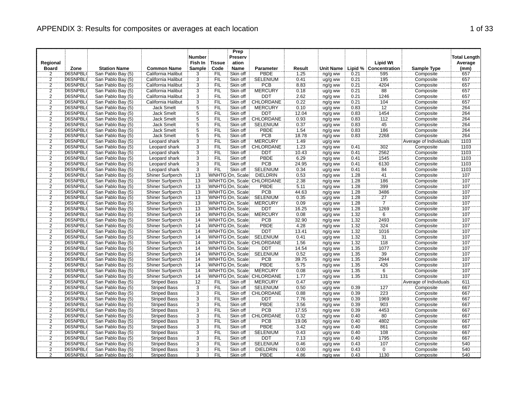|                |          |                     |                         | <b>Number</b>   |               | Prep<br>Preserv |                           |        |           |      |                       |                        | <b>Total Length</b> |
|----------------|----------|---------------------|-------------------------|-----------------|---------------|-----------------|---------------------------|--------|-----------|------|-----------------------|------------------------|---------------------|
| Regional       |          |                     |                         | Fish In         | <b>Tissue</b> | ation           |                           |        |           |      | <b>Lipid Wt</b>       |                        | Average             |
| <b>Board</b>   | Zone     | <b>Station Name</b> | <b>Common Name</b>      | Sample          | Code          | <b>Name</b>     | <b>Parameter</b>          | Result | Unit Name |      | Lipid % Concentration | <b>Sample Type</b>     | (mm)                |
| 2              | 06SNPBL( | San Pablo Bay (5)   | California Halibut      | 3               | FIL           | Skin off        | <b>PBDE</b>               | 1.25   | ng/g ww   | 0.21 | 595                   | Composite              | 657                 |
| $\frac{2}{2}$  | 06SNPBL( | San Pablo Bay (5)   | California Halibut      | $\frac{3}{3}$   | FIL           | Skin off        | <b>SELENIUM</b>           | 0.41   | ug/g ww   | 0.21 | 195                   | Composite              | 657                 |
|                | 06SNPBL( | San Pablo Bay (5)   | California Halibut      |                 | <b>FIL</b>    | Skin off        | <b>PCB</b>                | 8.83   | ng/g ww   | 0.21 | 4204                  | Composite              | 657                 |
|                | 06SNPBL( | San Pablo Bay (5)   | California Halibut      |                 | FIL           | Skin off        | <b>MERCURY</b>            | 0.18   | ug/g ww   | 0.21 | 88                    | Composite              | 657                 |
| $\overline{2}$ | 06SNPBL( | San Pablo Bay (5)   | California Halibut      | $\overline{3}$  | FIL           | Skin off        | <b>DDT</b>                | 2.62   | ng/g ww   | 0.21 | 1246                  | Composite              | 657                 |
| 2              | 06SNPBL( | San Pablo Bay (5)   | California Halibut      | 3               | <b>FIL</b>    | Skin off        | CHLORDANE                 | 0.22   | ng/g ww   | 0.21 | 104                   | Composite              | 657                 |
| $\frac{2}{2}$  | 06SNPBL( | San Pablo Bay (5)   | <b>Jack Smelt</b>       | $\frac{5}{5}$   | FIL           | Skin off        | <b>MERCURY</b>            | 0.10   | ug/g ww   | 0.83 | 12                    | Composite              | 264                 |
|                | 06SNPBL( | San Pablo Bay (5)   | <b>Jack Smelt</b>       |                 | ΈİĹ           | Skin off        | <b>DDT</b>                | 12.04  | ng/g ww   | 0.83 | 1454                  | Composite              | 264                 |
| $\overline{2}$ | 06SNPBL( | San Pablo Bay (5)   | <b>Jack Smelt</b>       | $\overline{5}$  | <b>FIL</b>    | Skin off        | CHLORDANE                 | 0.93   | ng/g ww   | 0.83 | 112                   | Composite              | 264                 |
| $\frac{2}{2}$  | 06SNPBL( | San Pablo Bay (5)   | <b>Jack Smelt</b>       | $\frac{5}{5}$   | FIL           | Skin off        | <b>SELENIUM</b>           | 0.37   | ug/g ww   | 0.83 | 45                    | Composite              | 264                 |
|                | 06SNPBL( | San Pablo Bay (5)   | Jack Smelt              |                 | FIL           | Skin off        | <b>PBDE</b>               | 1.54   | ng/g ww   | 0.83 | 186                   | Composite              | 264                 |
| $\overline{2}$ | 06SNPBL( | San Pablo Bay (5)   | <b>Jack Smelt</b>       | $\overline{5}$  | FIL           | Skin off        | <b>PCB</b>                | 18.78  | ng/g ww   | 0.83 | 2268                  | Composite              | 264                 |
|                | 06SNPBL( | San Pablo Bay (5)   | Leopard shark           | $\ddot{3}$      | FIL           | Skin off        | <b>MERCURY</b>            | 1.49   | ug/g ww   |      |                       | Average of Individuals | 1103                |
| $\frac{2}{2}$  | 06SNPBL( | San Pablo Bay (5)   | Leopard shark           | $\overline{3}$  | FIL           | Skin off        | <b>CHLORDANE</b>          | 1.23   | ng/g ww   | 0.41 | 302                   | Composite              | 1103                |
| $\overline{2}$ | 06SNPBL( | San Pablo Bay (5)   | Leopard shark           | $\overline{3}$  | FIL           | Skin off        | <b>DDT</b>                | 10.43  | ng/g ww   | 0.41 | 2562                  | Composite              | 1103                |
| $\overline{2}$ | 06SNPBL( | San Pablo Bay (5)   | Leopard shark           | $\overline{3}$  | FIL           | Skin off        | <b>PBDE</b>               | 6.29   | ng/g ww   | 0.41 | 1545                  | Composite              | 1103                |
| $\overline{2}$ | 06SNPBL( | San Pablo Bay (5)   | Leopard shark           |                 | <b>FIL</b>    | Skin off        | <b>PCB</b>                | 24.95  | ng/g ww   | 0.41 | 6130                  | Composite              | 1103                |
| $\overline{2}$ | 06SNPBL( | San Pablo Bay (5)   | Leopard shark           | $\frac{3}{3}$   | FIL           | Skin off        | <b>SELENIUM</b>           | 0.34   | ug/g ww   | 0.41 | 84                    | Composite              | 1103                |
| $\overline{2}$ | 06SNPBL( | San Pablo Bay (5)   | <b>Shiner Surfperch</b> | 13              |               | WNHTG On, Scale | <b>DIELDRIN</b>           | 0.53   | ng/g ww   | 1.28 | 41                    | Composite              | 107                 |
| $\overline{2}$ | 06SNPBL( | San Pablo Bay (5)   | Shiner Surfperch        | $\overline{13}$ |               |                 | WNHTG On, Scale CHLORDANE | 2.38   | ng/g ww   | 1.28 | 186                   | Composite              | 107                 |
| $\overline{2}$ | 06SNPBL( | San Pablo Bay (5)   | Shiner Surfperch        | 13              |               | WNHTG On, Scale | <b>PBDE</b>               | 5.11   | ng/g ww   | 1.28 | 399                   | Composite              | 107                 |
|                | 06SNPBL( | San Pablo Bay (5)   | Shiner Surfperch        | 13              |               | WNHTG On, Scale | <b>PCB</b>                | 44.63  | ng/g ww   | 1.28 | 3486                  | Composite              | 107                 |
| $\frac{2}{2}$  | 06SNPBL( | San Pablo Bay (5)   | Shiner Surfperch        | 13              |               | WNHTG On, Scale | SELENIUM                  | 0.35   | ug/g ww   | 1.28 | $\overline{27}$       | Composite              | 107                 |
| $\overline{2}$ | 06SNPBL( | San Pablo Bay (5)   | <b>Shiner Surfperch</b> | 13              |               | WNHTG On, Scale | <b>MERCURY</b>            | 0.09   | ug/g ww   | 1.28 | $\overline{7}$        | Composite              | 107                 |
| $\overline{2}$ | 06SNPBL( | San Pablo Bay (5)   | Shiner Surfperch        | $\overline{13}$ |               | WNHTG On, Scale | <b>DDT</b>                | 16.25  | ng/g ww   | 1.28 | 1269                  | Composite              | 107                 |
| $\overline{2}$ | 06SNPBL( | San Pablo Bay (5)   | Shiner Surfperch        | $\overline{14}$ |               | WNHTG On, Scale | <b>MERCURY</b>            | 0.08   | ug/g ww   | 1.32 | $\overline{6}$        | Composite              | 107                 |
| $\overline{2}$ | 06SNPBL( | San Pablo Bay (5)   | Shiner Surfperch        | 14              |               | WNHTG On, Scale | <b>PCB</b>                | 32.90  | ng/g ww   | 1.32 | 2493                  | Composite              | 107                 |
| $\overline{2}$ | 06SNPBL( | San Pablo Bay (5)   | Shiner Surfperch        | 14              |               | WNHTG On, Scale | PBDE                      | 4.28   | ng/g ww   | 1.32 | 324                   | Composite              | 107                 |
| $\overline{2}$ | 06SNPBL( | San Pablo Bay (5)   | <b>Shiner Surfperch</b> | 14              |               | WNHTG On, Scale | <b>DDT</b>                | 13.41  | ng/g ww   | 1.32 | 1016                  | Composite              | 107                 |
| $\overline{2}$ | 06SNPBL( | San Pablo Bay (5)   | Shiner Surfperch        | 14              |               | WNHTG On, Scale | <b>SELENIUM</b>           | 0.41   | ug/g ww   | 1.32 | 31                    | Composite              | 107                 |
| $\overline{2}$ | 06SNPBL( | San Pablo Bay (5)   | Shiner Surfperch        | 14              |               |                 | WNHTG On, Scale CHLORDANE | 1.56   | ng/g ww   | 1.32 | 118                   | Composite              | 107                 |
|                | 06SNPBL( | San Pablo Bay (5)   | <b>Shiner Surfperch</b> | 14              |               | WNHTG On, Scale | <b>DDT</b>                | 14.54  | ng/g ww   | 1.35 | 1077                  | Composite              | 107                 |
| $\frac{2}{2}$  | 06SNPBL( | San Pablo Bay (5)   | Shiner Surfperch        | 14              |               | WNHTG On, Scale | <b>SELENIUM</b>           | 0.52   | ug/g ww   | 1.35 | $\overline{39}$       | Composite              | 107                 |
| $\overline{2}$ | 06SNPBL( | San Pablo Bay (5)   | Shiner Surfperch        | 14              |               | WNHTG On, Scale | <b>PCB</b>                | 39.75  |           | 1.35 | 2944                  | Composite              | 107                 |
|                | 06SNPBL( | San Pablo Bay (5)   | <b>Shiner Surfperch</b> | 14              |               | WNHTG On, Scale | <b>PBDE</b>               | 5.75   | ng/g ww   | 1.35 | 426                   | Composite              | 107                 |
| $\frac{2}{2}$  | 06SNPBL( | San Pablo Bay (5)   | Shiner Surfperch        | $\overline{14}$ |               | WNHTG On, Scale | <b>MERCURY</b>            | 0.08   | ng/g ww   | 1.35 | $\overline{6}$        | Composite              | 107                 |
| $\overline{2}$ | 06SNPBL( |                     |                         | 14              |               |                 |                           |        | ug/g ww   |      | 131                   |                        | 107                 |
|                |          | San Pablo Bay (5)   | Shiner Surfperch        |                 |               |                 | WNHTG On, Scale CHLORDANE | 1.77   | ng/g ww   | 1.35 |                       | Composite              |                     |
| $\overline{2}$ | 06SNPBL( | San Pablo Bay (5)   | <b>Striped Bass</b>     | 12              | FIL           | Skin off        | <b>MERCURY</b>            | 0.47   | ug/g ww   |      | 127                   | Average of Individuals | 611                 |
| $\overline{2}$ | 06SNPBL( | San Pablo Bay (5)   | <b>Striped Bass</b>     | $\overline{3}$  | <b>FIL</b>    | Skin off        | <b>SELENIUM</b>           | 0.50   | ug/g ww   | 0.39 |                       | Composite              | 667                 |
| $\overline{2}$ | 06SNPBL( | San Pablo Bay (5)   | <b>Striped Bass</b>     | $\overline{3}$  | FIL           | Skin off        | CHLORDANE                 | 0.88   | ng/g ww   | 0.39 | 223                   | Composite              | 667                 |
| $\overline{2}$ | 06SNPBL( | San Pablo Bay (5)   | <b>Striped Bass</b>     | $\overline{3}$  | FIL           | Skin off        | <b>DDT</b>                | 7.76   | ng/g ww   | 0.39 | 1969                  | Composite              | 667                 |
|                | 06SNPBL( | San Pablo Bay (5)   | <b>Striped Bass</b>     | $\frac{3}{3}$   | <b>FIL</b>    | Skin off        | <b>PBDE</b>               | 3.56   | ng/g ww   | 0.39 | 903                   | Composite              | 667                 |
| $\frac{2}{2}$  | 06SNPBL( | San Pablo Bay (5)   | <b>Striped Bass</b>     |                 | FIL           | Skin off        | <b>PCB</b>                | 17.55  | ng/g ww   | 0.39 | 4453                  | Composite              | 667                 |
|                | 06SNPBL( | San Pablo Bay (5)   | <b>Striped Bass</b>     | $\overline{3}$  | FIL           | Skin off        | CHLORDANE                 | 0.32   | ng/g ww   | 0.40 | 80                    | Composite              | 667                 |
| $\overline{2}$ | 06SNPBL( | San Pablo Bay (5)   | <b>Striped Bass</b>     | $\overline{3}$  | FIL           | Skin off        | PCB                       | 19.06  | ng/g ww   | 0.40 | 4802                  | Composite              | 667                 |
| $\overline{2}$ | 06SNPBL( | San Pablo Bay (5)   | <b>Striped Bass</b>     | $\overline{3}$  | FIL           | Skin off        | <b>PBDE</b>               | 3.42   | ng/g ww   | 0.40 | 861                   | Composite              | 667                 |
| $\overline{2}$ | 06SNPBL( | San Pablo Bay (5)   | <b>Striped Bass</b>     | $\overline{3}$  | FIL           | Skin off        | <b>SELENIUM</b>           | 0.43   | ug/g ww   | 0.40 | 108                   | Composite              | 667                 |
| $\overline{2}$ | 06SNPBL( | San Pablo Bay (5)   | <b>Striped Bass</b>     | 3               | <b>FIL</b>    | Skin off        | <b>DDT</b>                | 7.13   | ng/g ww   | 0.40 | 1795                  | Composite              | 667                 |
| $\frac{2}{2}$  | 06SNPBL( | San Pablo Bay (5)   | <b>Striped Bass</b>     | $\frac{3}{3}$   | FIL           | Skin off        | <b>SELENIUM</b>           | 0.46   | ug/g ww   | 0.43 | 107                   | Composite              | 540                 |
|                | 06SNPBL( | San Pablo Bay (5)   | <b>Striped Bass</b>     |                 | ÏΪ            | Skin off        | <b>DIELDRIN</b>           | 0.00   | ng/g ww   | 0.43 | $\overline{0}$        | Composite              | 540                 |
| $\overline{2}$ | 06SNPBL( | San Pablo Bay (5)   | <b>Striped Bass</b>     | 3               | FIL           | Skin off        | <b>PBDE</b>               | 4.86   | ng/g ww   | 0.43 | 1130                  | Composite              | 540                 |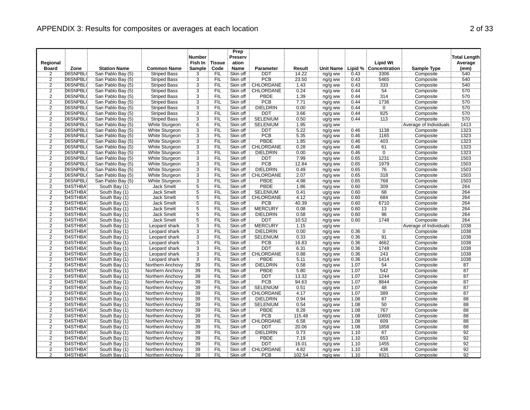| Regional<br><b>Board</b> | Zone     | <b>Station Name</b> | <b>Common Name</b>  | <b>Number</b><br>Fish In<br>Sample | <b>Tissue</b><br>Code | Prep<br>Preserv<br>ation<br><b>Name</b> | Parameter        | Result | <b>Unit Name</b>   |      | <b>Lipid Wt</b><br>Lipid % Concentration | <b>Sample Type</b>     | <b>Total Length</b><br>Average<br>(mm) |
|--------------------------|----------|---------------------|---------------------|------------------------------------|-----------------------|-----------------------------------------|------------------|--------|--------------------|------|------------------------------------------|------------------------|----------------------------------------|
| 2                        | 06SNPBL( | San Pablo Bay (5)   | <b>Striped Bass</b> | 3                                  | FIL                   | Skin off                                | <b>DDT</b>       | 14.22  | ng/g ww            | 0.43 | 3306                                     | Composite              | 540                                    |
|                          | 06SNPBL( | San Pablo Bay (5)   | <b>Striped Bass</b> |                                    | FIL                   | Skin off                                | <b>PCB</b>       | 23.50  | ng/g ww            | 0.43 | 5465                                     | Composite              | 540                                    |
| $\frac{2}{2}$            | 06SNPBL( | San Pablo Bay (5)   | <b>Striped Bass</b> | $\frac{3}{3}$                      | FIL                   | Skin off                                | <b>CHLORDANE</b> | 1.43   | ng/g ww            | 0.43 | 333                                      | Composite              | 540                                    |
| $\overline{2}$           | 06SNPBL( | San Pablo Bay (5)   | <b>Striped Bass</b> | $\overline{3}$                     | FIL                   | Skin off                                | CHLORDANE        | 0.24   | ng/g ww            | 0.44 | 54                                       | Composite              | 570                                    |
| $\overline{2}$           | 06SNPBL( | San Pablo Bay (5)   | <b>Striped Bass</b> | $\overline{3}$                     | FIL                   | Skin off                                | <b>PBDE</b>      | 1.39   | ng/g ww            | 0.44 | 314                                      | Composite              | 570                                    |
| $\overline{2}$           | 06SNPBL( | San Pablo Bay (5)   | <b>Striped Bass</b> | $\overline{3}$                     | FIL                   | Skin off                                | PCB              | 7.71   | ng/g ww            | 0.44 | 1736                                     | Composite              | 570                                    |
|                          | 06SNPBL( | San Pablo Bay (5)   | <b>Striped Bass</b> |                                    | FIL                   | Skin off                                | <b>DIELDRIN</b>  | 0.00   | ng/g ww            | 0.44 | $\overline{0}$                           | Composite              | 570                                    |
| $\frac{2}{2}$            | 06SNPBL( | San Pablo Bay (5)   | <b>Striped Bass</b> | $\frac{3}{3}$                      | ΈÏL                   | Skin off                                | <b>DDT</b>       | 3.66   | ng/g ww            | 0.44 | 825                                      | Composite              | 570                                    |
| $\overline{2}$           | 06SNPBL( | San Pablo Bay (5)   | <b>Striped Bass</b> | $\overline{3}$                     | <b>FIL</b>            | Skin off                                | <b>SELENIUM</b>  | 0.50   | ug/g ww            | 0.44 | 113                                      | Composite              | 570                                    |
|                          | 06SNPBL( | San Pablo Bay (5)   | White Sturgeon      |                                    | FIL                   | Skin off                                | <b>SELENIUM</b>  | 1.95   | ug/g ww            |      |                                          | Average of Individuals | 1413                                   |
| $\frac{2}{2}$            | 06SNPBL0 | San Pablo Bay (5)   | White Sturgeon      | $\frac{6}{3}$                      | FIL                   | Skin off                                | <b>DDT</b>       | 5.22   | ng/g ww            | 0.46 | 1138                                     | Composite              | 1323                                   |
| $\overline{2}$           | 06SNPBL( | San Pablo Bay (5)   | White Sturgeon      | $\overline{3}$                     | FIL                   | Skin off                                | PCB              | 5.35   | ng/g ww            | 0.46 | 1165                                     | Composite              | 1323                                   |
|                          | 06SNPBL( | San Pablo Bay (5)   | White Sturgeon      | $\dddot{3}$                        | <b>FIL</b>            | Skin off                                | PBDE             | 1.85   | ng/g ww            | 0.46 | 403                                      | Composite              | 1323                                   |
| $\frac{2}{2}$            | 06SNPBL( | San Pablo Bay (5)   | White Sturgeon      | $\overline{3}$                     | FIL                   | Skin off                                | CHLORDANE        | 0.28   | ng/g ww            | 0.46 | 61                                       | Composite              | 1323                                   |
| $\overline{2}$           | 06SNPBL( | San Pablo Bay (5)   | White Sturgeon      | $\overline{3}$                     | FIL                   | Skin off                                | <b>DIELDRIN</b>  | 0.00   | ng/g ww            | 0.46 | $\overline{0}$                           | Composite              | 1323                                   |
| $\overline{2}$           | 06SNPBL( | San Pablo Bay (5)   | White Sturgeon      | 3                                  | <b>FIL</b>            | Skin off                                | DDT              | 7.99   | ng/g ww            | 0.65 | 1231                                     | Composite              | 1503                                   |
| $\overline{2}$           | 06SNPBL( | San Pablo Bay (5)   | White Sturgeon      |                                    | <b>FIL</b>            | Skin off                                | PCB              | 12.84  | ng/g ww            | 0.65 | 1979                                     | Composite              | 1503                                   |
| $\overline{2}$           | 06SNPBL( | San Pablo Bay (5)   | White Sturgeon      | $\frac{3}{3}$                      | ΪFIL                  | Skin off                                | <b>DIELDRIN</b>  | 0.49   | ng/g ww            | 0.65 | 76                                       | Composite              | 1503                                   |
| $\overline{2}$           | 06SNPBL( | San Pablo Bay (5)   | White Sturgeon      | $\overline{3}$                     | FIL                   | Skin off                                | CHLORDANE        | 2.07   | ng/g ww            | 0.65 | 318                                      | Composite              | 1503                                   |
| $\overline{2}$           | 06SNPBL( | San Pablo Bay (5)   | White Sturgeon      | $\overline{3}$                     | FIL                   | Skin off                                | <b>PBDE</b>      | 4.98   | ng/g ww            | 0.65 | 768                                      | Composite              | 1503                                   |
| $\overline{2}$           | 04STHBA  | South Bay (1)       | <b>Jack Smelt</b>   | $\overline{5}$                     | FIL                   | Skin off                                | <b>PBDE</b>      | 1.86   | ng/g ww            | 0.60 | 309                                      | Composite              | 264                                    |
|                          | 04STHBA  | South Bay (1)       | <b>Jack Smelt</b>   |                                    | <b>FIL</b>            | Skin off                                | <b>SELENIUM</b>  | 0.41   |                    | 0.60 | 68                                       | Composite              | 264                                    |
| $\frac{2}{2}$            | 04STHBA  | South Bay (1)       | <b>Jack Smelt</b>   | $\frac{5}{5}$                      | ΈÏL                   | Skin off                                | CHLORDANE        | 4.12   | ug/g ww            | 0.60 | 684                                      | Composite              | 264                                    |
| $\overline{2}$           | 04STHBA  | South Bay (1)       | <b>Jack Smelt</b>   | $\overline{5}$                     | <b>FIL</b>            | Skin off                                | <b>PCB</b>       | 40.39  | ng/g ww<br>ng/g ww | 0.60 | 6710                                     | Composite              | 264                                    |
| $\overline{2}$           | 04STHBA  | South Bay (1)       | <b>Jack Smelt</b>   | $\overline{5}$                     | FIL                   | Skin off                                | <b>MERCURY</b>   | 0.08   | ug/g ww            | 0.60 | $\overline{13}$                          | Composite              | 264                                    |
| $\overline{2}$           | 04STHBA  | South Bay (1)       | Jack Smelt          | $\overline{5}$                     | FIL                   | Skin off                                | <b>DIELDRIN</b>  | 0.58   | ng/g ww            | 0.60 | 96                                       | Composite              | 264                                    |
| $\overline{\mathbf{c}}$  | 04STHBA  | South Bay (1)       | <b>Jack Smelt</b>   | 5                                  | <b>FIL</b>            | Skin off                                | <b>DDT</b>       | 10.52  | ng/g ww            | 0.60 | 1748                                     | Composite              | 264                                    |
| $\overline{2}$           | 04STHBA  | South Bay (1)       | Leopard shark       | $\overline{3}$                     | FIL                   | Skin off                                | <b>MERCURY</b>   | 1.15   | ug/g ww            |      |                                          | Average of Individuals | 1038                                   |
| $\overline{2}$           | 04STHBA  | South Bay (1)       | Leopard shark       | 3                                  | FIL                   | Skin off                                | <b>DIELDRIN</b>  | 0.00   | ng/g ww            | 0.36 | $\overline{0}$                           | Composite              | 1038                                   |
| $\overline{2}$           | 04STHBA  | South Bay (1)       | Leopard shark       | $\overline{3}$                     | FIL                   | Skin off                                | <b>SELENIUM</b>  | 0.33   | ug/g ww            | 0.36 | 91                                       | Composite              | 1038                                   |
| $\overline{2}$           | 04STHBA  | South Bay (1)       | Leopard shark       | $\overline{3}$                     | FIL                   | Skin off                                | PCB              | 16.83  | ng/g ww            | 0.36 | 4662                                     | Composite              | 1038                                   |
|                          | 04STHBA  | South Bay (1)       | Leopard shark       |                                    | FIL                   | Skin off                                | <b>DDT</b>       | 6.31   | ng/g ww            | 0.36 | 1748                                     | Composite              | 1038                                   |
| $\frac{2}{2}$            | 04STHBA  | South Bay (1)       | Leopard shark       | $\frac{3}{3}$                      | ΪFIL                  | Skin off                                | CHLORDANE        | 0.88   | ng/g ww            | 0.36 | 243                                      | Composite              | 1038                                   |
| $\overline{2}$           | 04STHBA  | South Bay (1)       | Leopard shark       | $\overline{3}$                     | <b>FIL</b>            | Skin off                                | <b>PBDE</b>      | 5.11   | ng/g ww            | 0.36 | 1414                                     | Composite              | 1038                                   |
|                          | 04STHBA  | South Bay (1)       | Northern Anchovy    | 39                                 | FIL                   | Skin off                                | <b>DIELDRIN</b>  | 0.58   | ng/g ww            | 1.07 | 54                                       | Composite              | 87                                     |
| $\frac{2}{2}$            | 04STHBA  | South Bay (1)       | Northern Anchovy    | 39                                 | FIL                   | Skin off                                | <b>PBDE</b>      | 5.80   | ng/g ww            | 1.07 | 542                                      | Composite              | $\overline{87}$                        |
| $\overline{2}$           | 04STHBA  | South Bay (1)       | Northern Anchovy    | 39                                 | FIL                   | Skin off                                | <b>DDT</b>       | 13.32  | ng/g ww            | 1.07 | 1244                                     | Composite              | 87                                     |
| 2                        | 04STHBA  | South Bay (1)       | Northern Anchovy    | 39                                 | <b>FIL</b>            | Skin off                                | PCB              | 94.63  | ng/g ww            | 1.07 | 8844                                     | Composite              | 87                                     |
| $\overline{2}$           | 04STHBA  | South Bay (1)       | Northern Anchovy    | 39                                 | FIL                   | Skin off                                | <b>SELENIUM</b>  | 0.51   | ug/g ww            | 1.07 | 48                                       | Composite              | $\overline{87}$                        |
| $\overline{2}$           | 04STHBA  | South Bay (1)       | Northern Anchovy    | 39                                 | FIL                   | Skin off                                | CHLORDANE        | 4.17   | ng/g ww            | 1.07 | 389                                      | Composite              | 87                                     |
| $\overline{2}$           | 04STHBA  | South Bay (1)       | Northern Anchovy    | 39                                 | <b>FIL</b>            | Skin off                                | <b>DIELDRIN</b>  | 0.94   | ng/g ww            | 1.08 | 87                                       | Composite              | 88                                     |
|                          | 04STHBA  | South Bay (1)       | Northern Anchovy    | 39                                 | FIL                   | Skin off                                | <b>SELENIUM</b>  | 0.54   | ug/g ww            | 1.08 | 50                                       | Composite              | 88                                     |
| $\frac{2}{2}$            | 04STHBA  | South Bay (1)       | Northern Anchovy    | 39                                 | ΪFIL                  | Skin off                                | <b>PBDE</b>      | 8.28   | ng/g ww            | 1.08 | 767                                      | Composite              | $\overline{88}$                        |
| $\overline{2}$           | 04STHBA  | South Bay (1)       | Northern Anchovy    | 39                                 | FIL                   | Skin off                                | PCB              | 115.48 | ng/g ww            | 1.08 | 10693                                    | Composite              | 88                                     |
| $\overline{2}$           | 04STHBA  | South Bay (1)       | Northern Anchovy    | 39                                 | FIL                   | Skin off                                | CHLORDANE        | 6.58   | ng/g ww            | 1.08 | 609                                      | Composite              | 88                                     |
| $\overline{2}$           | 04STHBA  | South Bay (1)       | Northern Anchovy    | 39                                 | FIL                   | Skin off                                | <b>DDT</b>       | 20.06  | ng/g ww            | 1.08 | 1858                                     | Composite              | 88                                     |
| $\overline{2}$           | 04STHBA  | South Bay (1)       | Northern Anchovy    | 39                                 | FIL                   | Skin off                                | <b>DIELDRIN</b>  | 0.73   | ng/g ww            | 1.10 | 67                                       | Composite              |                                        |
| $\overline{2}$           | 04STHBA  | South Bay (1)       | Northern Anchovy    | 39                                 | ΈÏL                   | Skin off                                | PBDE             | 7.19   | ng/g ww            | 1.10 | 653                                      | Composite              | $\frac{92}{92}$                        |
| $\overline{2}$           | 04STHBA  | South Bay (1)       | Northern Anchovy    | 39                                 | FIL                   | Skin off                                | <b>DDT</b>       | 16.01  | ng/g ww            | 1.10 | 1455                                     | Composite              | $\overline{92}$                        |
| $\overline{2}$           | 04STHBA  | South Bay (1)       | Northern Anchovy    | 39                                 | ÏΪ                    | Skin off                                | <b>CHLORDANE</b> | 4.82   | ng/g ww            | 1.10 | 438                                      | Composite              | 92                                     |
| $\mathfrak{p}$           | 04STHBA  | South Bay (1)       | Northern Anchovy    | 39                                 | FIL                   | Skin off                                | <b>PCB</b>       | 102.54 | ng/g ww            | 1.10 | 9321                                     | Composite              | 92                                     |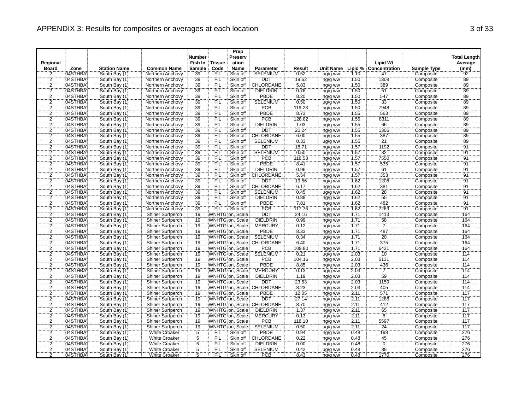|                |         |                     |                         | <b>Number</b>  |               | Prep<br>Preserv  |                            |        |                    |      |                       |                    | <b>Total Length</b> |
|----------------|---------|---------------------|-------------------------|----------------|---------------|------------------|----------------------------|--------|--------------------|------|-----------------------|--------------------|---------------------|
| Regional       |         |                     |                         | Fish In        | <b>Tissue</b> | ation            |                            |        |                    |      | <b>Lipid Wt</b>       |                    | Average             |
| <b>Board</b>   | Zone    | <b>Station Name</b> | <b>Common Name</b>      | Sample         | Code          | Name             | <b>Parameter</b>           | Result | Unit Name:         |      | Lipid % Concentration | <b>Sample Type</b> | (mm)                |
| $\overline{2}$ | 04STHBA | South Bay (1)       | Northern Anchovy        | 39             | <b>FIL</b>    | Skin off         | <b>SELENIUM</b>            | 0.52   | ug/g ww            | 1.10 | 47                    | Composite          | $\overline{92}$     |
| $\overline{2}$ | 04STHBA | South Bay (1)       | Northern Anchovy        | 39             | FIL           | Skin off         | <b>DDT</b>                 | 19.62  | ng/g ww            | 1.50 | 1308                  | Composite          | 89                  |
| $\overline{c}$ | 04STHBA | South Bay (1)       | Northern Anchovy        | 39             | <b>FIL</b>    | Skin off         | <b>CHLORDANE</b>           | 5.83   | ng/g ww            | 1.50 | 389                   | Composite          | $\overline{89}$     |
| $\overline{2}$ | 04STHBA | South Bay (1)       | Northern Anchovy        | 39             | FIL           | Skin off         | <b>DIELDRIN</b>            | 0.76   | ng/g ww            | 1.50 | 51                    | Composite          | 89                  |
| $\overline{2}$ | 04STHBA | South Bay (1)       | Northern Anchovy        | 39             | FIL           | Skin off         | <b>PBDE</b>                | 8.20   | ng/g ww            | 1.50 | 547                   | Composite          | 89                  |
| $\overline{2}$ | 04STHBA | South Bay (1)       | Northern Anchovy        | 39             | <b>FIL</b>    | Skin off         | <b>SELENIUM</b>            | 0.50   | ug/g ww            | 1.50 | 33                    | Composite          | 89                  |
| $\frac{2}{2}$  | 04STHBA | South Bay (1)       | Northern Anchovy        | 39             | <b>FIL</b>    | Skin off         | <b>PCB</b>                 | 119.23 | ng/g ww            | 1.50 | 7948                  | Composite          | 89                  |
|                | 04STHBA | South Bay (1)       | Northern Anchovy        | 39             | ΈİĹ           | Skin off         | <b>PBDE</b>                | 8.73   | ng/g ww            | 1.55 | 563                   | Composite          | $\overline{89}$     |
| $\overline{2}$ | 04STHBA | South Bay (1)       | Northern Anchovy        | 39             | FIL           | Skin off         | PCB                        | 128.82 | ng/g ww            | 1.55 | 8311                  | Composite          | 89                  |
| $\frac{2}{2}$  | 04STHBA | South Bay (1)       | Northern Anchovy        | 39             | <b>FIL</b>    | Skin off         | <b>DIELDRIN</b>            | 1.03   | ng/g ww            | 1.55 | 66                    | Composite          | 89                  |
|                | 04STHBA | South Bay (1)       | Northern Anchovy        | 39             | FIL           | Skin off         | <b>DDT</b>                 | 20.24  | ng/g ww            | 1.55 | 1306                  | Composite          | 89                  |
| $\overline{2}$ | 04STHBA | South Bay (1)       | Northern Anchovy        | 39             | <b>FIL</b>    | Skin off         | CHLORDANE                  | 6.00   | ng/g ww            | 1.55 | 387                   | Composite          | 89                  |
| $\overline{2}$ | 04STHBA | South Bay (1)       | Northern Anchovy        | 39             | <b>FIL</b>    | Skin off         | <b>SELENIUM</b>            | 0.33   | ug/g ww            | 1.55 | $\overline{21}$       | Composite          | $\overline{89}$     |
| $\overline{2}$ | 04STHBA | South Bay (1)       | Northern Anchovy        | 39             | <b>FIL</b>    | Skin off         | <b>DDT</b>                 | 18.71  | ng/g ww            | 1.57 | 1192                  | Composite          | 91                  |
| $\overline{2}$ | 04STHBA | South Bay (1)       | Northern Anchovy        | 39             | FIL           | Skin off         | <b>SELENIUM</b>            | 0.50   | ug/g ww            | 1.57 | 32                    | Composite          | 91                  |
| $\overline{2}$ | 04STHBA | South Bay (1)       | Northern Anchovy        | 39             | FIL           | Skin off         | PCB                        | 118.53 | ng/g ww            | 1.57 | 7550                  | Composite          | 91                  |
|                | 04STHBA | South Bay (1)       | Northern Anchovy        | 39             | <b>FIL</b>    | Skin off         | PBDE                       | 8.41   | ng/g ww            | 1.57 | 535                   | Composite          |                     |
| $\frac{2}{2}$  | 04STHBA | South Bay (1)       | Northern Anchovy        | 39             | FIL           | Skin off         | <b>DIELDRIN</b>            | 0.96   | ng/g ww            | 1.57 | 61                    | Composite          | $\frac{91}{91}$     |
| $\overline{2}$ | 04STHBA | South Bay (1)       | Northern Anchovy        | 39             | FIL           | Skin off         | CHLORDANE                  | 5.54   | ng/g ww            | 1.57 | 353                   | Composite          | 91                  |
| $\overline{2}$ | 04STHBA | South Bay (1)       | Northern Anchovy        | 39             | <b>FIL</b>    | Skin off         | <b>DDT</b>                 | 19.56  | ng/g ww            | 1.62 | 1208                  | Composite          | $\overline{91}$     |
| $\overline{2}$ | 04STHBA | South Bay (1)       | Northern Anchovy        | 39             | <b>FIL</b>    | Skin off         | CHLORDANE                  | 6.17   | ng/g ww            | 1.62 | 381                   | Composite          | $\overline{91}$     |
| $\overline{2}$ | 04STHBA | South Bay (1)       | Northern Anchovy        | 39             | FIL           | Skin off         | <b>SELENIUM</b>            | 0.45   | ug/g ww            | 1.62 | $28\,$                | Composite          | 91                  |
| $\overline{2}$ | 04STHBA | South Bay (1)       | Northern Anchovy        | 39             | ΪFIL          | Skin off         | <b>DIELDRIN</b>            | 0.88   | ng/g ww            | 1.62 | $\frac{1}{55}$        | Composite          | $\frac{5}{91}$      |
| $\overline{2}$ | 04STHBA | South Bay (1)       | Northern Anchovy        | 39             | FIL           | Skin off         | PBDE                       | 7.81   | ng/g ww            | 1.62 | 482                   | Composite          | 91                  |
| $\overline{2}$ | 04STHBA | South Bay (1)       | Northern Anchovy        | 39             | FIL           | Skin off         | PCB                        | 117.76 | ng/g ww            | 1.62 | 7269                  | Composite          | 91                  |
| $\overline{2}$ | 04STHBA | South Bay (1)       | Shiner Surfperch        | 19             |               | WNHTG on, Scale  | DDT                        | 24.16  | ng/g ww            | 1.71 | 1413                  | Composite          | 164                 |
| $\overline{a}$ | 04STHBA | South Bay (1)       | Shiner Surfperch        | 19             |               | WNHTG on, Scale  | <b>DIELDRIN</b>            | 0.99   | ng/g ww            | 1.71 | 58                    | Composite          | 164                 |
| $\overline{2}$ | 04STHBA | South Bay (1)       | Shiner Surfperch        | 19             |               | WNHTG on, Scale  | <b>MERCURY</b>             | 0.12   | ug/g ww            | 1.71 | 7                     | Composite          | 164                 |
| $\overline{2}$ | 04STHBA | South Bay (1)       | <b>Shiner Surfperch</b> | 19             |               | WNHTG on, Scale  | <b>PBDE</b>                | 8.33   | ng/g ww            | 171  | 487                   | Composite          | 164                 |
| $\overline{2}$ | 04STHBA | South Bay (1)       | Shiner Surfperch        | 19             |               | WNHTG on, Scale  | <b>SELENIUM</b>            | 0.34   | ug/g ww            | 1.71 | 20                    | Composite          | 164                 |
| $\overline{2}$ | 04STHBA | South Bay (1)       | Shiner Surfperch        | 19             |               |                  | WNHTG on, Scale: CHLORDANE | 6.40   | ng/g ww            | 1.71 | 375                   | Composite          | 164                 |
|                | 04STHBA | South Bay (1)       | <b>Shiner Surfperch</b> | 19             |               | WNHTG on, Scale  | <b>PCB</b>                 | 109.80 | ng/g ww            | 1.71 | 6421                  | Composite          | 164                 |
| $\frac{2}{2}$  | 04STHBA | South Bay (1)       | Shiner Surfperch        | 19             |               | WNHTG on, Scale  | <b>SELENIUM</b>            | 0.21   | ug/g ww            | 2.03 | $\overline{10}$       | Composite          | 114                 |
| $\overline{2}$ | 04STHBA | South Bay (1)       | <b>Shiner Surfperch</b> | 19             |               | WNHTG on, Scale  | <b>PCB</b>                 | 104.16 | ng/g ww            | 2.03 | 5131                  | Composite          | 114                 |
|                | 04STHBA | South Bay (1)       | Shiner Surfperch        | 19             |               | WNHTG on, Scale  | PBDE                       | 8.85   | ng/g ww            | 2.03 |                       | Composite          | 114                 |
| $\frac{2}{2}$  | 04STHBA | South Bay (1)       | Shiner Surfperch        | 19             |               | WNHTG on, Scale: | <b>MERCURY</b>             | 0.13   | ug/g ww            | 2.03 | $\frac{436}{7}$       | Composite          | 114                 |
| $\overline{2}$ | 04STHBA | South Bay (1)       | Shiner Surfperch        | 19             |               | WNHTG on, Scale  | <b>DIELDRIN</b>            | 1.19   | ng/g ww            | 2.03 | 59                    | Composite          | 114                 |
|                | 04STHBA | South Bay (1)       | Shiner Surfperch        | 19             |               | WNHTG on, Scale  | <b>DDT</b>                 | 23.53  | ng/g ww            | 2.03 | 1159                  | Composite          | 114                 |
| $\frac{2}{2}$  | 04STHBA | South Bay (1)       | <b>Shiner Surfperch</b> | 19             |               |                  | WNHTG on, Scale CHLORDANE  | 8.23   | ng/g ww            | 2.03 | 405                   | Composite          | 114                 |
| $\overline{2}$ | 04STHBA | South Bay (1)       | Shiner Surfperch        | 19             |               | WNHTG on, Scale  | <b>PBDE</b>                | 12.05  | ng/g ww            | 2.11 | 571                   | Composite          | 117                 |
| $\overline{2}$ | 04STHBA | South Bay (1)       | Shiner Surfperch        | 19             |               | WNHTG on, Scale: | <b>DDT</b>                 | 27.14  | ng/g ww            | 2.11 | 1286                  | Composite          | 117                 |
| $\overline{2}$ | 04STHBA | South Bay (1)       | <b>Shiner Surfperch</b> | 19             |               |                  | WNHTG on, Scale: CHLORDANE | 8.70   | ng/g ww            | 2.11 | 412                   | Composite          | 117                 |
| 2              | 04STHBA | South Bay (1)       | Shiner Surfperch        | 19             |               | WNHTG on, Scale  | <b>DIELDRIN</b>            | 1.37   | ng/g ww            | 2.11 | $65$                  | Composite          | 717                 |
| $\overline{2}$ | 04STHBA | South Bay (1)       | <b>Shiner Surfperch</b> | 19             |               | WNHTG on, Scale  | <b>MERCURY</b>             | 0.13   | ug/g ww            | 2.11 | $\overline{6}$        | Composite          | 117                 |
|                | 04STHBA | South Bay (1)       | Shiner Surfperch        | 19             |               | WNHTG on, Scale  | <b>PCB</b>                 | 118.10 | ng/g ww            | 2.11 | 5597                  | Composite          | 117                 |
| $\frac{2}{2}$  | 04STHBA | South Bay (1)       | Shiner Surfperch        | 19             |               | WNHTG on, Scale  | <b>SELENIUM</b>            | 0.50   | ug/g ww            | 2.11 | 24                    | Composite          | 717                 |
| $\overline{2}$ | 04STHBA | South Bay (1)       | <b>White Croaker</b>    | $\overline{5}$ | FIL           | Skin off         | <b>PBDE</b>                | 0.94   |                    | 0.48 | 198                   | Composite          | 276                 |
| $\overline{2}$ | 04STHBA | South Bay (1)       | <b>White Croaker</b>    | $\overline{5}$ | <b>FIL</b>    | Skin off         | CHLORDANE                  | 0.22   | ng/g ww            | 0.48 | $\overline{45}$       | Composite          | 276                 |
| $\overline{2}$ | 04STHBA | South Bay (1)       | <b>White Croaker</b>    |                | FIL           | Skin off         | <b>DIELDRIN</b>            | 0.00   | ng/g ww<br>ng/g ww | 0.48 | $\overline{0}$        | Composite          | 276                 |
| $\overline{2}$ | 04STHBA | South Bay (1)       | <b>White Croaker</b>    | $\frac{5}{5}$  | ÏΪ            | Skin off         | <b>SELENIUM</b>            | 0.42   |                    | 0.48 | 88                    | Composite          | 276                 |
| $\overline{2}$ | 04STHBA |                     | <b>White Croaker</b>    | $\overline{5}$ | <b>FIL</b>    | Skin off         | <b>PCB</b>                 | 8.43   | ug/g ww            | 0.48 | 1770                  |                    | 276                 |
|                |         | South Bay (1)       |                         |                |               |                  |                            |        | ng/g ww            |      |                       | Composite          |                     |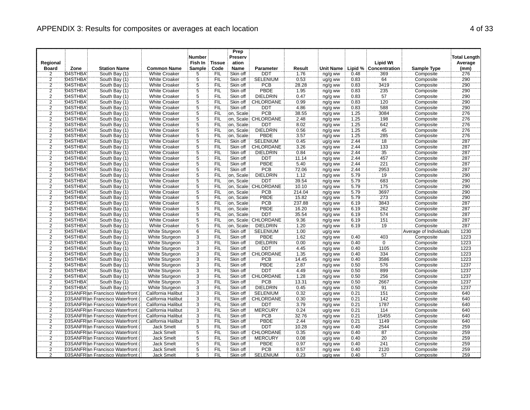| Regional                  |         |                                   |                       | <b>Number</b><br>Fish In         | <b>Tissue</b> | Prep<br>Preserv<br>ation |                      |        |                  |      | <b>Lipid Wt</b>       |                               | <b>Total Length</b><br>Average |
|---------------------------|---------|-----------------------------------|-----------------------|----------------------------------|---------------|--------------------------|----------------------|--------|------------------|------|-----------------------|-------------------------------|--------------------------------|
| <b>Board</b>              | Zone    | <b>Station Name</b>               | <b>Common Name</b>    | <b>Sample</b>                    | Code          | <b>Name</b>              | <b>Parameter</b>     | Result | <b>Unit Name</b> |      | Lipid % Concentration | <b>Sample Type</b>            | (mm)                           |
| 2                         | 04STHBA | South Bay (1)                     | <b>White Croaker</b>  | 5                                | <b>FIL</b>    | Skin off                 | <b>DDT</b>           | 1.76   | ng/g ww          | 0.48 | 369                   | Composite                     | 276                            |
| $\frac{2}{2}$             | 04STHBA | South Bay (1)                     | <b>White Croaker</b>  | $\frac{5}{5}$                    | FIL           | Skin off                 | <b>SELENIUM</b>      | 0.53   | ug/g ww          | 0.83 | 64                    | Composite                     | 290                            |
|                           | 04STHBA | South Bay (1)                     | <b>White Croaker</b>  |                                  | <b>FIL</b>    | Skin off                 | PCB                  | 28.28  | ng/g ww          | 0.83 | 3419                  | Composite                     | 290                            |
| $\overline{2}$            | 04STHBA | South Bay (1)                     | <b>White Croaker</b>  | $\overline{5}$                   | FIL           | Skin off                 | <b>PBDE</b>          | 1.95   | ng/g ww          | 0.83 | 235                   | Composite                     | 290                            |
| $\overline{2}$            | 04STHBA | South Bay (1)                     | <b>White Croaker</b>  | $\overline{5}$                   | FIL           | Skin off                 | <b>DIELDRIN</b>      | 0.47   | ng/g ww          | 0.83 | 57                    | Composite                     | 290                            |
| $\overline{2}$            | 04STHBA | South Bay (1)                     | <b>White Croaker</b>  | 5                                | <b>FIL</b>    | Skin off                 | CHLORDANE            | 0.99   | ng/g ww          | 0.83 | 120                   | Composite                     | 290                            |
| $\frac{2}{2}$             | 04STHBA | South Bay (1)                     | <b>White Croaker</b>  | $\frac{5}{5}$                    | FIL           | Skin off                 | <b>DDT</b>           | 4.86   | ng/g ww          | 0.83 | 588                   | Composite                     | 290                            |
|                           | 04STHBA | South Bay (1)                     | White Croaker         |                                  | Έiϊ           | on, Scale                | PCB                  | 38.55  | ng/g ww          | 1.25 | 3084                  | Composite                     | 276                            |
| $\overline{2}$            | 04STHBA | South Bay (1)                     | <b>White Croaker</b>  | $\overline{5}$                   | <b>FIL</b>    |                          | on, Scale CHLORDANE  | 2.48   | ng/g ww          | 1.25 | 198                   | Composite                     | 276                            |
| $\overline{2}$            | 04STHBA | South Bay (1)                     | <b>White Croaker</b>  | $\overline{5}$                   | FIL           | on, Scale                | <b>DDT</b>           | 8.02   | ng/g ww          | 1.25 | 642                   | Composite                     | 276                            |
| $\overline{2}$            | 04STHBA | South Bay (1)                     | <b>White Croaker</b>  | $\overline{5}$                   | FIL           | on, Scale                | <b>DIELDRIN</b>      | 0.56   | ng/g ww          | 1.25 | 45                    | Composite                     | 276                            |
| $\overline{2}$            | 04STHBA | South Bay (1)                     | <b>White Croaker</b>  | $\overline{5}$                   | FIL           | on, Scale                | <b>PBDE</b>          | 3.57   | ng/g ww          | 1.25 | 285                   | Composite                     | 276                            |
| $\overline{2}$            | 04STHBA | South Bay (1)                     | <b>White Croaker</b>  | Ë,                               | FIL           | Skin off                 | <b>SELENIUM</b>      | 0.45   | ug/g ww          | 2.44 | $\overline{18}$       | Composite                     | 287                            |
| $\overline{2}$            | 04STHBA | South Bay (1)                     | <b>White Croaker</b>  | $\overline{5}$                   | <b>FIL</b>    | Skin off                 | CHLORDANE            | 3.26   | ng/g ww          | 2.44 | 133                   | Composite                     | 287                            |
| $\overline{2}$            | 04STHBA | South Bay (1)                     | <b>White Croaker</b>  | $\overline{5}$                   | FIL           | Skin off                 | <b>DIELDRIN</b>      | 0.84   | ng/g ww          | 2.44 | $\overline{35}$       | Composite                     | 287                            |
| $\overline{2}$            | 04STHBA | South Bay (1)                     | <b>White Croaker</b>  | 5                                | FIL           | Skin off                 | <b>DDT</b>           | 11.14  | ng/g ww          | 2.44 | 457                   | Composite                     | 287                            |
| $\overline{2}$            | 04STHBA | South Bay (1)                     | <b>White Croaker</b>  | $\overline{5}$                   | <b>FIL</b>    | Skin off                 | <b>PBDE</b>          | 5.40   | ng/g ww          | 2.44 | 221                   | Composite                     | 287                            |
| $\overline{2}$            | 04STHBA | South Bay (1)                     | <b>White Croaker</b>  | $\overline{5}$                   | FIL           | Skin off                 | <b>PCB</b>           | 72.06  | ng/g ww          | 2.44 | 2953                  | Composite                     | 287                            |
| $\overline{2}$            | 04STHBA | South Bay (1)                     | <b>White Croaker</b>  | $\overline{5}$                   | FIL           | on, Scale                | <b>DIELDRIN</b>      | 1.12   | ng/g ww          | 5.79 | 19                    | Composite                     | 290                            |
| $\overline{2}$            | 04STHBA | South Bay (1)                     | <b>White Croaker</b>  | 5                                | FIL           | on, Scale                | <b>DDT</b>           | 39.54  | ng/g ww          | 5.79 | 683                   | Composite                     | 290                            |
| $\overline{2}$            | 04STHBA | South Bay (1)                     | <b>White Croaker</b>  | $\overline{5}$                   | FIL           |                          | on, Scale: CHLORDANE | 10.10  | ng/g ww          | 5.79 | 175                   | Composite                     | 290                            |
| $\overline{2}$            | 04STHBA | South Bay (1)                     | <b>White Croaker</b>  | $\overline{5}$                   | <b>FIL</b>    | on, Scale                | <b>PCB</b>           | 214.04 | ng/g ww          | 5.79 | 3697                  | Composite                     | 290                            |
| 2                         | 04STHBA | South Bay (1)                     | <b>White Croaker</b>  | 5                                | <b>FIL</b>    | on, Scale                | PBDE                 | 15.82  | ng/g ww          | 5.79 | 273                   | Composite                     | 290                            |
| $\overline{2}$            | 04STHBA | South Bay (1)                     | <b>White Croaker</b>  | $\overline{5}$                   | FIL           | on, Scale                | <b>PCB</b>           | 237.88 | ng/g ww          | 6.19 | 3843                  | Composite                     | 287                            |
| $\frac{2}{2}$             | 04STHBA | South Bay (1)                     | <b>White Croaker</b>  | $\overline{5}$                   | FIL           | on, Scale                | <b>PBDE</b>          | 16.20  | ng/g ww          | 6.19 | 262                   | Composite                     | 287                            |
|                           | 04STHBA | South Bay (1)                     | <b>White Croaker</b>  | 5                                | FIL           | on, Scale                | <b>DDT</b>           | 35.54  | ng/g ww          | 6.19 | 574                   | Composite                     | 287                            |
| $\frac{2}{2}$             | 04STHBA | South Bay (1)                     | <b>White Croaker</b>  | $\overline{5}$                   | FIL           |                          | on. Scale: CHLORDANE | 9.36   | ng/g ww          | 6.19 | 151                   | Composite                     | 287                            |
|                           | 04STHBA | South Bay (1)                     | <b>White Croaker</b>  | $\overline{5}$                   | <b>FIL</b>    | on. Scale                | <b>DIELDRIN</b>      | 1.20   | ng/g ww          | 6.19 | 19                    | Composite                     | 287                            |
| $\overline{2}$            | 04STHBA | South Bay (1)                     | <b>White Sturgeon</b> | $\overline{6}$                   | FIL           | Skin off                 | <b>SELENIUM</b>      | 1.00   | ug/g ww          |      |                       | <b>Average of Individuals</b> | 1230                           |
| $\overline{2}$            | 04STHBA | South Bay (1)                     | White Sturgeon        | $\overline{3}$                   | FIL           | Skin off                 | <b>PBDE</b>          | 1.62   | ng/g ww          | 0.40 | 403                   | Composite                     | 1223                           |
| $\overline{2}$            | 04STHBA | South Bay (1)                     | White Sturgeon        | 3                                | FIL           | Skin off                 | <b>DIELDRIN</b>      | 0.00   | ng/g ww          | 0.40 | Ö                     | Composite                     | 1223                           |
| $\overline{2}$            | 04STHBA | South Bay (1)                     | White Sturgeon        | $\overline{3}$                   | FIL           | Skin off                 | <b>DDT</b>           | 4.45   | ng/g ww          | 0.40 | 1105                  | Composite                     | 1223                           |
| $\overline{\overline{2}}$ | 04STHBA | South Bay (1)                     | White Sturgeon        | $\overline{3}$                   | FIL           | Skin off                 | CHLORDANE            | 1.35   | ng/g ww          | 0.40 | 334                   | Composite                     | 1223                           |
| $\overline{2}$            | 04STHBA | South Bay (1)                     | White Sturgeon        | $\overline{3}$                   | <b>FIL</b>    | Skin off                 | <b>PCB</b>           | 14.45  | ng/g ww          | 0.40 | 3586                  | Composite                     | 1223                           |
| $\frac{2}{2}$             | 04STHBA | South Bay (1)                     | White Sturgeon        | $\frac{3}{3}$                    | FIL           | Skin off                 | PBDE                 | 2.87   | ng/g ww          | 0.50 | 576                   | Composite                     | 1237                           |
|                           | 04STHBA | South Bay (1)                     | White Sturgeon        |                                  | FIL           | Skin off                 | <b>DDT</b>           | 4.49   | ng/g ww          | 0.50 | 899                   | Composite                     | 1237                           |
| $\overline{2}$            | 04STHBA | South Bay (1)                     | <b>White Sturgeon</b> | 3                                | <b>FIL</b>    | Skin off                 | CHLORDANE            | 1.28   | ng/g ww          | 0.50 | 256                   | Composite                     | 1237                           |
| $\overline{2}$            | 04STHBA | South Bay (1)                     | White Sturgeon        | $\dddot{3}$                      | FIL           | Skin off                 | <b>PCB</b>           | 13.31  | ng/g ww          | 0.50 | 2667                  | Composite                     | 1237                           |
| $\overline{2}$            | 04STHBA | South Bay (1)                     | <b>White Sturgeon</b> | $\overline{3}$                   | FIL           | Skin off                 | <b>DIELDRIN</b>      | 0.45   | ng/g ww          | 0.50 | 91                    | Composite                     | 1237                           |
| $\overline{2}$            |         | 03SANFR an Francisco Waterfront   | California Halibut    | $\overline{3}$                   | FIL           | Skin off                 | <b>SELENIUM</b>      | 0.32   | ug/g ww          | 0.21 | 151                   | Composite                     | 640                            |
| $\overline{2}$            |         | 03SANFRIan Francisco Waterfront ( | California Halibut    | 3                                | FIL           | Skin off                 | CHLORDANE            | 0.30   | ng/g ww          | 0.21 | 142                   | Composite                     | 640                            |
| $\overline{2}$            |         | 03SANFRIan Francisco Waterfront ( | California Halibut    | $\overline{3}$                   | FIL           | Skin off                 | <b>DDT</b>           | 3.79   | ng/g ww          | 0.21 | 1787                  | Composite                     | 640                            |
| $\overline{2}$            |         | 03SANFRIan Francisco Waterfront   | California Halibut    | $\overline{3}$<br>$\overline{3}$ | FIL           | Skin off                 | <b>MERCURY</b>       | 0.24   | ug/g ww          | 0.21 | 114                   | Composite                     | 640                            |
| $\overline{2}$            |         | 03SANFRIan Francisco Waterfront   | California Halibut    |                                  | <b>FIL</b>    | Skin off                 | <b>PCB</b>           | 32.76  | ng/g ww          | 0.21 | 15455                 | Composite                     | 640                            |
| $\frac{2}{2}$             |         | 03SANFRIan Francisco Waterfront   | California Halibut    | 3                                | FIL           | Skin off                 | <b>PBDE</b>          | 2.44   | ng/g ww          | 0.21 | 1149                  | Composite                     | 640                            |
|                           |         | 03SANFRIan Francisco Waterfront   | Jack Smelt            | $\overline{5}$                   | FIL           | Skin off                 | DDT                  | 10.28  | ng/g ww          | 0.40 | 2544                  | Composite                     | 259                            |
| $\overline{\mathbf{2}}$   |         | 03SANFRIan Francisco Waterfront   | <b>Jack Smelt</b>     | $\overline{5}$<br>Ë,             | FIL           | Skin off                 | CHLORDANE            | 0.35   | ng/g ww          | 0.40 | 87                    | Composite                     | 259                            |
| 2<br>$\overline{2}$       |         | 03SANFRIan Francisco Waterfront   | <b>Jack Smelt</b>     | $\overline{5}$                   | FIL           | Skin off                 | <b>MERCURY</b>       | 0.08   | ug/g ww          | 0.40 | $\overline{20}$       | Composite                     | 259                            |
|                           |         | 03SANFRIan Francisco Waterfront   | <b>Jack Smelt</b>     |                                  | FIL           | Skin off                 | <b>PBDE</b>          | 0.97   | ng/g ww          | 0.40 | 241                   | Composite                     | 259                            |
| $\overline{2}$            |         | 03SANFRIan Francisco Waterfront   | <b>Jack Smelt</b>     | $\overline{5}$                   | FIL           | Skin off                 | <b>PCB</b>           | 8.57   | ng/g ww          | 0.40 | 2120                  | Composite                     | 259                            |
| $\overline{2}$            |         | 03SANFRIan Francisco Waterfront   | <b>Jack Smelt</b>     | 5                                | <b>FIL</b>    | Skin off                 | <b>SELENIUM</b>      | 0.23   | ug/g ww          | 0.40 | 57                    | Composite                     | 259                            |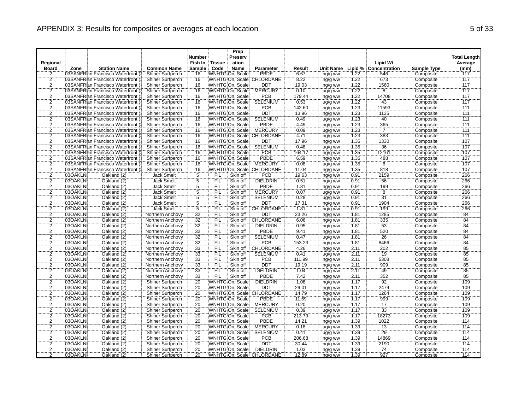|                |         |                                   |                         | <b>Number</b>   |               | Prep<br>Preserv |                                   |        |                  |      |                       |                    | <b>Total Length</b> |
|----------------|---------|-----------------------------------|-------------------------|-----------------|---------------|-----------------|-----------------------------------|--------|------------------|------|-----------------------|--------------------|---------------------|
| Regional       |         |                                   |                         | Fish In         | <b>Tissue</b> | ation           |                                   |        |                  |      | <b>Lipid Wt</b>       |                    | Average             |
| <b>Board</b>   | Zone    | <b>Station Name</b>               | <b>Common Name</b>      | Sample          | Code          | <b>Name</b>     | Parameter                         | Result | <b>Unit Name</b> |      | Lipid % Concentration | <b>Sample Type</b> | (mm)                |
| 2              |         | 03SANFRIan Francisco Waterfront   | Shiner Surfperch        | 16              |               | WNHTG On, Scale | <b>PBDE</b>                       | 6.67   | ng/g ww          | 1.22 | 546                   | Composite          | 117                 |
|                |         | 03SANFRIan Francisco Waterfront ( | Shiner Surfperch        | 16              |               |                 | WNHTG On, Scale CHLORDANE         | 8.22   | ng/g ww          | 1.22 | 673                   | Composite          | 117                 |
| $\frac{2}{2}$  |         | 03SANFRIan Francisco Waterfront ( | Shiner Surfperch        | 16              |               | WNHTG On, Scale | <b>DDT</b>                        | 19.03  | ng/g ww          | 1.22 | 1560                  | Composite          | 117                 |
| $\overline{2}$ |         | 03SANFR an Francisco Waterfront ( | <b>Shiner Surfperch</b> | 16              |               | WNHTG On, Scale | <b>MERCURY</b>                    | 0.10   | ug/g ww          | 1.22 | $\overline{8}$        | Composite          | $\overline{117}$    |
| $\overline{2}$ |         | 03SANFRIan Francisco Waterfront   | Shiner Surfperch        | 16              |               | WNHTG On, Scale | PCB                               | 179.44 | ng/g ww          | 1.22 | 14708                 | Composite          | 117                 |
| $\overline{2}$ |         | 03SANFRIan Francisco Waterfront ( | Shiner Surfperch        | 16              |               | WNHTG On, Scale | <b>SELENIUM</b>                   | 0.53   | ug/g ww          | 1.22 | 43                    | Composite          | 117                 |
| $\overline{2}$ |         | 03SANFRIan Francisco Waterfront ( | Shiner Surfperch        | 16              |               | WNHTG On, Scale | <b>PCB</b>                        | 142.60 | ng/g ww          | 1.23 | 11593                 | Composite          | 111                 |
| $\overline{2}$ |         | 03SANFRIan Francisco Waterfront ( | Shiner Surfperch        | 16              |               | WNHTG On, Scale | <b>DDT</b>                        | 13.96  | ng/g ww          | 1.23 | 1135                  | Composite          | 111                 |
| $\overline{2}$ |         | 03SANFRIan Francisco Waterfront ( | <b>Shiner Surfperch</b> | 16              |               | WNHTG On, Scale | <b>SELENIUM</b>                   | 0.49   | ug/g ww          | 1.23 | 40                    | Composite          | 111                 |
| $\frac{2}{2}$  |         | 03SANFR an Francisco Waterfront ( | Shiner Surfperch        | 16              |               | WNHTG On, Scale | <b>PBDE</b>                       | 4.49   | ng/g ww          | 1.23 | 365                   | Composite          | 111                 |
|                |         | 03SANFR an Francisco Waterfront ( | Shiner Surfperch        | 16              |               | WNHTG On, Scale | <b>MERCURY</b>                    | 0.09   | ug/g ww          | 1.23 | 7                     | Composite          | 111                 |
| $\overline{2}$ |         | 03SANFRIan Francisco Waterfront ( | <b>Shiner Surfperch</b> | 16              |               |                 | WNHTG On, Scale CHLORDANE         | 4.71   | ng/g ww          | 1.23 | 383                   | Composite          | 111                 |
| $\frac{2}{2}$  |         | 03SANFRIan Francisco Waterfront ( | Shiner Surfperch        | 16              |               | WNHTG On, Scale | <b>DDT</b>                        | 17.96  | ng/g ww          | 1.35 | 1330                  | Composite          | $\overline{107}$    |
|                |         | 03SANFR an Francisco Waterfront ( | <b>Shiner Surfperch</b> | 16              |               | WNHTG On, Scale | <b>SELENIUM</b>                   | 0.48   | ug/g ww          | 1.35 | 36                    | Composite          | 107                 |
| $\overline{2}$ |         | 03SANFRIan Francisco Waterfront ( | <b>Shiner Surfperch</b> | 16              |               | WNHTG On, Scale | <b>PCB</b>                        | 164.17 | ng/g ww          | 1.35 | 12161                 | Composite          | 107                 |
| $\overline{2}$ |         | 03SANFR an Francisco Waterfront ( | Shiner Surfperch        | 16              |               | WNHTG On, Scale | PBDE                              | 6.59   | ng/g ww          | 1.35 | 488                   | Composite          | 107                 |
| $\overline{2}$ |         | 03SANFRIan Francisco Waterfront ( | Shiner Surfperch        | 16              |               | WNHTG On, Scale | <b>MERCURY</b>                    | 0.08   | ug/g ww          | 1.35 | 6                     | Composite          | 107                 |
| $\overline{2}$ |         | 03SANFRIan Francisco Waterfront ( | Shiner Surfperch        | 16              |               |                 | WNHTG On, Scale CHLORDANE         | 11.04  | ng/g ww          | 1.35 | 818                   | Composite          | 107                 |
| $\overline{2}$ | 03OAKLN | Oakland (2)                       | <b>Jack Smelt</b>       | $\overline{5}$  | <b>FIL</b>    | Skin off        | <b>PCB</b>                        | 19.63  | ng/g ww          | 0.91 | 2159                  | Composite          | 266                 |
|                | 03OAKLN | Oakland (2)                       | <b>Jack Smelt</b>       | $\overline{5}$  | FIL           | Skin off        | <b>DIELDRIN</b>                   | 0.51   | ng/g ww          | 0.91 | 56                    | Composite          | 266                 |
| $\frac{2}{2}$  | 03OAKLN | Oakland (2)                       | <b>Jack Smelt</b>       | $\overline{5}$  | <b>FIL</b>    | Skin off        | PBDE                              | 1.81   | ng/g ww          | 0.91 | 199                   | Composite          | 266                 |
| $\overline{2}$ | 03OAKLN | Oakland (2)                       | <b>Jack Smelt</b>       | $\overline{5}$  | FIL           | Skin off        | <b>MERCURY</b>                    | 0.07   | ug/g ww          | 0.91 | $\overline{8}$        | Composite          | 266                 |
| $\overline{2}$ | 03OAKLN | Oakland (2)                       | Jack Smelt              | 5               | <b>FIL</b>    | Skin off        | <b>SELENIUM</b>                   | 0.28   | ug/g ww          | 0.91 | $\overline{31}$       | Composite          | 266                 |
| $\overline{2}$ | 03OAKLN | Oakland (2)                       | Jack Smelt              | $\overline{5}$  | <b>FIL</b>    | Skin off        | <b>DDT</b>                        | 17.31  | ng/g ww          | 0.91 | 1904                  | Composite          | 266                 |
| $\frac{2}{2}$  | 03OAKLN | Oakland (2)                       | <b>Jack Smelt</b>       | $\overline{5}$  | FIL           | Skin off        | CHLORDANE                         | 1.81   | ng/g ww          | 0.91 | 199                   | Composite          | 266                 |
|                | 03OAKLN | Oakland (2)                       | Northern Anchovy        | $\overline{32}$ | FIL           | Skin off        | DDT                               | 23.26  | ng/g ww          | 1.81 | 1285                  | Composite          | 84                  |
|                | 03OAKLN | Oakland (2)                       | Northern Anchovy        | 32              | <b>FIL</b>    | Skin off        | CHLORDANE                         | 6.06   | ng/g ww          | 1.81 | 335                   | Composite          | 84                  |
| $\frac{2}{2}$  | 03OAKLN | Oakland (2)                       | Northern Anchovy        | 32              | FIL           | Skin off        | <b>DIELDRIN</b>                   | 0.95   | ng/g ww          | 1.81 | $\overline{53}$       | Composite          | $\overline{84}$     |
| $\overline{2}$ | 03OAKLN | Oakland (2)                       | Northern Anchovy        | 32              | FIL           | Skin off        | <b>PBDE</b>                       | 9.41   | ng/g ww          | 1.81 | 520                   | Composite          | 84                  |
| $\overline{2}$ | 03OAKLN | Oakland (2)                       | Northern Anchovy        | 32              | <b>FIL</b>    | Skin off        | <b>SELENIUM</b>                   | 0.47   | ug/g ww          | 1.81 | 26                    | Composite          | 84                  |
| $\overline{2}$ | 03OAKLN | Oakland (2)                       | Northern Anchovy        | $\overline{32}$ | FIL           | Skin off        | PCB                               | 153.23 | ng/g ww          | 1.81 | 8466                  | Composite          | 84                  |
| $\overline{2}$ | 03OAKLN | Oakland (2)                       | Northern Anchovy        | 33              | <b>FIL</b>    | Skin off        | CHLORDANE                         | 4.26   | ng/g ww          | 2.11 | 202                   | Composite          | 85                  |
| 2              | 03OAKLN | Oakland (2)                       | Northern Anchovy        | 33              | <b>FIL</b>    | Skin off        | <b>SELENIUM</b>                   | 0.41   | ug/g ww          | 2.11 | 19                    | Composite          | 85                  |
| $\overline{2}$ | 03OAKLN | Oakland (2)                       | Northern Anchovy        | 33              | FIL           | Skin off        | <b>PCB</b>                        | 111.99 | ng/g ww          | 2.11 | 5308                  | Composite          | 85                  |
|                | 03OAKLN | Oakland (2)                       | Northern Anchovy        | 33              | FIL           | Skin off        | <b>DDT</b>                        | 19.19  | ng/g ww          | 2.11 | 909                   | Composite          | 85                  |
| $\frac{2}{2}$  | 03OAKLN | Oakland (2)                       | Northern Anchovy        | 33              | FIL           | Skin off        | <b>DIELDRIN</b>                   | 1.04   | ng/g ww          | 2.11 | 49                    | Composite          | 85                  |
| $\overline{2}$ | 03OAKLN | Oakland (2)                       | Northern Anchovy        | 33              | FIL           | Skin off        | <b>PBDE</b>                       | 7.42   | ng/g ww          | 2.11 | 352                   | Composite          | 85                  |
| $\frac{2}{2}$  | 03OAKLN | Oakland (2)                       | Shiner Surfperch        | 20              |               | WNHTG On, Scale | <b>DIELDRIN</b>                   | 1.08   | ng/g ww          | 1.17 | 92                    | Composite          | 109                 |
|                | 03OAKLN | Oakland (2)                       | <b>Shiner Surfperch</b> | 20              |               | WNHTG On, Scale | <b>DDT</b>                        | 29.01  | ng/g ww          | 1.17 | 2479                  | Composite          | 109                 |
| $\overline{2}$ | 03OAKLN | Oakland (2)                       | <b>Shiner Surfperch</b> | 20              |               |                 | <b>WNHTG On, Scale: CHLORDANE</b> | 14.79  | ng/g ww          | 1.17 | 1264                  | Composite          | 109                 |
| $\overline{2}$ | 03OAKLN | Oakland (2)                       | Shiner Surfperch        | 20              |               | WNHTG On, Scale | PBDE                              | 11.69  | ng/g ww          | 1.17 | 999                   | Composite          | 109                 |
| $\overline{2}$ | 03OAKLN | Oakland (2)                       | <b>Shiner Surfperch</b> | 20              |               | WNHTG On, Scale | <b>MERCURY</b>                    | 0.20   | ug/g ww          | 1.17 | 17                    | Composite          | 109                 |
| $\overline{2}$ | 03OAKLN | Oakland (2)                       | Shiner Surfperch        | 20              |               | WNHTG On, Scale | <b>SELENIUM</b>                   | 0.39   | ug/g ww          | 1.17 | $\overline{33}$       | Composite          | 109                 |
| $\overline{2}$ | 03OAKLN | Oakland (2)                       | <b>Shiner Surfperch</b> | 20              |               | WNHTG On, Scale | <b>PCB</b>                        | 213.79 | ng/g ww          | 1.17 | 18273                 | Composite          | 109                 |
| $\frac{2}{2}$  | 03OAKLN | Oakland (2)                       | Shiner Surfperch        | 20              |               | WNHTG On, Scale | <b>PBDE</b>                       | 14.21  | ng/g ww          | 1.39 | 1022                  | Composite          | 114                 |
|                | 03OAKLN | Oakland (2)                       | <b>Shiner Surfperch</b> | 20              |               | WNHTG On, Scale | <b>MERCURY</b>                    | 0.18   | ug/g ww          | 1.39 | 13                    | Composite          | 114                 |
| $\overline{2}$ | 03OAKLN | Oakland (2)                       | Shiner Surfperch        | 20              |               | WNHTG On, Scale | <b>SELENIUM</b>                   | 0.41   | ug/g ww          | 1.39 | 29                    | Composite          | 114                 |
| $\overline{2}$ | 03OAKLN | Oakland (2)                       | Shiner Surfperch        | 20              |               | WNHTG On, Scale | <b>PCB</b>                        | 206.68 | ng/g ww          | 1.39 | 14869                 | Composite          | 114                 |
| $\overline{2}$ | 03OAKLN | Oakland (2)                       | <b>Shiner Surfperch</b> | 20              |               | WNHTG On, Scale | DDT                               | 30.44  | ng/g ww          | 1.39 | 2190                  | Composite          | 114                 |
| $\overline{2}$ | 03OAKLN | Oakland (2)                       | Shiner Surfperch        | 20              |               | WNHTG On, Scale | <b>DIELDRIN</b>                   | 1.03   | ng/g ww          | 1.39 | 74                    | Composite          | 114                 |
| $\overline{2}$ | 03OAKLN | Oakland (2)                       | <b>Shiner Surfperch</b> | 20              |               |                 | WNHTG On, Scale: CHLORDANE        | 12.89  | ng/g ww          | 1.39 | 927                   | Composite          | 114                 |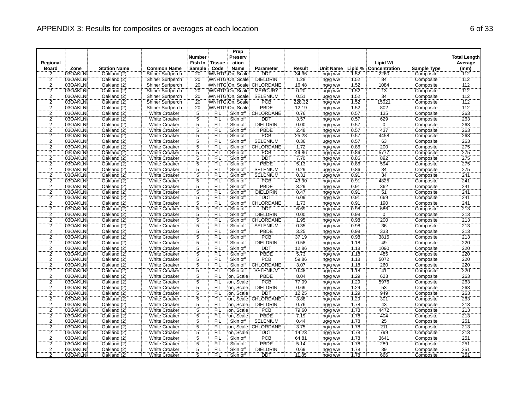| <b>Number</b><br>Preserv<br>Regional<br>Fish In<br><b>Lipid Wt</b><br><b>Tissue</b><br>ation<br><b>Station Name</b><br><b>Common Name</b><br>Code<br>Name<br>Lipid %<br><b>Board</b><br>Zone<br><b>Sample</b><br><b>Parameter</b><br>Result<br>Unit Name<br>Concentration<br><b>Sample Type</b><br>03OAKLN<br><b>DDT</b><br>2<br>Oakland (2)<br>Shiner Surfperch<br>20<br>WNHTG On, Scale<br>34.36<br>2260<br>Composite<br>ng/g ww<br>1.52<br>$\frac{2}{2}$<br>03OAKLN<br>20<br><b>DIELDRIN</b><br>1.52<br>84<br>Oakland (2)<br>Shiner Surfperch<br>WNHTG On. Scale<br>1.28<br>ng/g ww<br>Composite<br>WNHTG On, Scale CHLORDANE<br>1.52<br>03OAKLN<br>Oakland (2)<br>Shiner Surfperch<br>20<br>16.48<br>1084<br>Composite<br>ng/g ww<br>$\overline{2}$<br>$\overline{13}$<br>03OAKLN<br>Oakland (2)<br>20<br>0.20<br>1.52<br><b>Shiner Surfperch</b><br>WNHTG On, Scale<br><b>MERCURY</b><br>Composite<br>ug/g ww<br>$\overline{2}$<br>$\overline{34}$<br>20<br>WNHTG On, Scale<br><b>SELENIUM</b><br>1.52<br>03OAKLN<br>Oakland (2)<br>Shiner Surfperch<br>0.51<br>Composite<br>ug/g ww<br>$\overline{2}$<br>1.52<br>15021<br>03OAKLN<br>Shiner Surfperch<br>20<br>WNHTG On, Scale<br><b>PCB</b><br>228.32<br>Composite<br>Oakland (2)<br>ng/g ww<br><b>PBDE</b><br>$\frac{2}{2}$<br>03OAKLN<br>Oakland (2)<br>20<br>WNHTG On, Scale<br>12.19<br>1.52<br>802<br>Shiner Surfperch<br>ng/g ww<br>Composite<br>5<br>0.57<br>135<br>03OAKLN<br>Oakland (2)<br><b>White Croaker</b><br><b>FIL</b><br>Skin off<br>CHLORDANE<br>0.76<br>Composite<br>ng/g ww<br>$\overline{2}$<br><b>DDT</b><br>629<br>03OAKLN<br>Oakland (2)<br><b>White Croaker</b><br>$\overline{5}$<br>FIL<br>Skin off<br>3.57<br>0.57<br>Composite<br>ng/g ww<br>$\overline{5}$<br>$\overline{2}$<br>03OAKLN<br>Ö<br>Oakland (2)<br><b>White Croaker</b><br>FIL<br>Skin off<br><b>DIELDRIN</b><br>0.00<br>0.57<br>Composite<br>ng/g ww<br>$\overline{2}$<br>5<br>2.48<br>437<br>03OAKLN<br>Oakland (2)<br><b>White Croaker</b><br><b>FIL</b><br>Skin off<br>PBDE<br>0.57<br>Composite<br>ng/g ww<br>$\overline{2}$<br>$\overline{5}$<br><b>PCB</b><br>4458<br>03OAKLN<br>Oakland (2)<br><b>White Croaker</b><br>FIL<br>Skin off<br>25.28<br>0.57<br>Composite<br>ng/g ww<br>$\ddot{5}$<br><b>SELENIUM</b><br>$\overline{63}$<br>$\overline{2}$<br>03OAKLN<br>Skin off<br>0.57<br>Composite<br>Oakland (2)<br><b>White Croaker</b><br><b>FIL</b><br>0.36<br>ug/g ww<br>$\overline{2}$<br>$\overline{5}$<br><b>CHLORDANE</b><br>200<br>03OAKLN<br>Oakland (2)<br><b>White Croaker</b><br><b>FIL</b><br>Skin off<br>1.72<br>0.86<br>Composite<br>ng/g ww<br>$\overline{2}$<br>$\overline{5}$<br>5777<br>Composite<br>03OAKLN<br>Oakland (2)<br>White Croaker<br>FIL<br>Skin off<br>PCB<br>49.86<br>0.86<br>ng/g ww<br>$\overline{2}$<br>$\overline{5}$<br>03OAKLN<br>DDT<br>0.86<br>892<br>Oakland (2)<br><b>White Croaker</b><br><b>FIL</b><br>Skin off<br>7.70<br>Composite<br>ng/g ww<br>$\frac{2}{2}$<br>03OAKLN<br>$\overline{5}$<br><b>PBDE</b><br>5.13<br>594<br>Oakland (2)<br><b>White Croaker</b><br>Skin off<br>0.86<br>Composite<br>FIL<br>ng/g ww<br>$\ddot{5}$<br>$\overline{34}$<br>03OAKLN<br>Oakland (2)<br>FIL<br>Skin off<br><b>SELENIUM</b><br>0.29<br>0.86<br>Composite<br><b>White Croaker</b><br>ug/g ww<br>$\overline{2}$<br>$\overline{5}$<br>34<br>FIL<br>Skin off<br><b>SELENIUM</b><br>0.91<br>03OAKLN<br>Oakland (2)<br><b>White Croaker</b><br>0.31<br>Composite<br>ug/g ww<br>$\overline{2}$<br>03OAKLN<br>$\overline{5}$<br><b>PCB</b><br>43.90<br>4825<br>Composite<br>Oakland (2)<br><b>White Croaker</b><br><b>FIL</b><br>Skin off<br>0.91<br>ng/g ww<br>$\overline{2}$<br>PBDE<br>03OAKLN<br>Oakland (2)<br>White Croaker<br>$\overline{5}$<br>FIL<br>Skin off<br>3.29<br>0.91<br>362<br>Composite<br>ng/g ww<br>5<br>FIL<br><b>DIELDRIN</b><br>51<br>$\overline{\mathbf{c}}$<br>03OAKLN<br>Oakland (2)<br><b>White Croaker</b><br>Skin off<br>0.47<br>0.91<br>Composite<br>ng/g ww<br>$\overline{2}$<br>$\overline{5}$<br>6.09<br>0.91<br>669<br>03OAKLN<br>Oakland (2)<br><b>White Croaker</b><br><b>FIL</b><br>Skin off<br><b>DDT</b><br>Composite<br>ng/g ww<br>$\overline{2}$<br>$\overline{5}$<br>CHLORDANE<br>03OAKLN<br>Oakland (2)<br>Skin off<br>1.73<br>190<br>Composite<br><b>White Croaker</b><br><b>FIL</b><br>0.91<br>ng/g ww<br>$\overline{2}$<br>03OAKLN<br>$\overline{5}$<br>Skin off<br>6.69<br>0.98<br>Composite<br>Oakland (2)<br><b>White Croaker</b><br><b>FIL</b><br><b>DDT</b><br>686<br>ng/g ww<br>$\overline{2}$<br>Ö<br>$\overline{5}$<br>Skin off<br><b>DIELDRIN</b><br>0.00<br>0.98<br>03OAKLN<br>Oakland (2)<br><b>White Croaker</b><br><b>FIL</b><br>Composite<br>ng/g ww<br>$\frac{2}{2}$<br>03OAKLN<br>$\overline{5}$<br>FIL<br>Skin off<br>CHLORDANE<br>1.95<br>0.98<br>200<br>Composite<br>Oakland (2)<br><b>White Croaker</b><br>ng/g ww<br>$\overline{5}$<br>$\overline{36}$<br>03OAKLN<br>FIL<br>Skin off<br><b>SELENIUM</b><br>0.35<br>0.98<br>Composite<br>Oakland (2)<br><b>White Croaker</b><br>ug/g ww<br>$\overline{2}$<br>3.25<br>333<br>$\overline{5}$<br>03OAKLN<br>Oakland (2)<br><b>FIL</b><br>Skin off<br>PBDE<br>0.98<br>Composite<br><b>White Croaker</b><br>ng/g ww<br>$\overline{2}$<br>$\overline{5}$<br>PCB<br>03OAKLN<br>FIL<br>Skin off<br>37.19<br>0.98<br>3815<br>Composite<br>Oakland (2)<br><b>White Croaker</b><br>ng/g ww<br>$\overline{2}$<br>49<br>$\overline{5}$<br>Skin off<br><b>DIELDRIN</b><br>1.18<br>Composite<br>03OAKLN<br>Oakland (2)<br><b>White Croaker</b><br><b>FIL</b><br>0.58<br>ng/g ww<br>$\overline{c}$<br>03OAKLN<br>Oakland (2)<br><b>White Croaker</b><br>5<br><b>FIL</b><br>Skin off<br><b>DDT</b><br>12.86<br>1.18<br>1090<br>Composite<br>ng/g ww<br>$\overline{2}$<br>$\overline{5}$<br>PBDE<br>FIL<br>Skin off<br>5.73<br>1.18<br>485<br>Composite<br>03OAKLN<br>Oakland (2)<br><b>White Croaker</b><br>ng/g ww<br>PCB<br>$\overline{2}$<br>$\overline{5}$<br>Composite<br>03OAKLN<br>Oakland (2)<br><b>White Croaker</b><br><b>FIL</b><br>Skin off<br>59.86<br>1.18<br>5072<br>ng/g ww<br><b>CHLORDANE</b><br>$\overline{2}$<br>03OAKLN<br>$\overline{5}$<br>FIL<br>260<br>Oakland (2)<br><b>White Croaker</b><br>Skin off<br>3.07<br>ng/g ww<br>1.18<br>Composite<br>$\overline{2}$<br>5<br>03OAKLN<br>FIL<br>Skin off<br><b>SELENIUM</b><br>41<br>Oakland (2)<br><b>White Croaker</b><br>0.48<br>1.18<br>Composite<br>ug/g ww<br>$\overline{2}$<br>03OAKLN<br>$\overline{5}$<br>on. Scale<br><b>PBDE</b><br>8.04<br>1.29<br>623<br>Composite<br>Oakland (2)<br><b>White Croaker</b><br><b>FIL</b><br>ng/g ww<br>$\overline{5}$<br>PCB<br>1.29<br>5976<br>$\overline{2}$<br>03OAKLN<br><b>White Croaker</b><br>FIL<br>on, Scale<br>77.09<br>Composite<br>Oakland (2)<br>ng/g ww<br>$\overline{2}$<br>$\overline{5}$<br>FIL<br><b>DIELDRIN</b><br>1.29<br>53<br>03OAKLN<br>Oakland (2)<br><b>White Croaker</b><br>on, Scale<br>0.69<br>Composite<br>ng/g ww<br>$\overline{2}$<br>949<br>$\overline{5}$<br>03OAKLN<br>on, Scale<br>12.25<br>1.29<br>Composite<br>Oakland (2)<br><b>White Croaker</b><br><b>FIL</b><br><b>DDT</b><br>ng/g ww<br>$\overline{2}$<br>1.29<br>03OAKLN<br>$\overline{5}$<br>on, Scale: CHLORDANE<br>3.88<br>301<br>Composite<br>Oakland (2)<br><b>White Croaker</b><br><b>FIL</b><br>ng/g ww<br>$\overline{2}$<br>03OAKLN<br>$\overline{5}$<br>on, Scale<br><b>DIELDRIN</b><br>0.76<br>1.78<br>43<br>Oakland (2)<br><b>White Croaker</b><br>FIL<br>Composite<br>ng/g ww<br>$\overline{2}$<br>5<br>Έiϊ<br><b>PCB</b><br>1.78<br>4472<br>03OAKLN<br>Oakland (2)<br><b>White Croaker</b><br>on, Scale<br>79.60<br>Composite<br>ng/g ww<br>$\overline{2}$<br>$\overline{5}$<br><b>PBDE</b><br>03OAKLN<br>FIL<br>on, Scale<br>7.19<br>1.78<br>404<br>Oakland (2)<br><b>White Croaker</b><br>Composite<br>ng/g ww<br><b>SELENIUM</b><br>25<br>$\overline{2}$<br>03OAKLN<br>$\overline{5}$<br>0.44<br>1.78<br>Composite<br>Oakland (2)<br><b>White Croaker</b><br><b>FIL</b><br>Skin off<br>ug/g ww |                                |
|-----------------------------------------------------------------------------------------------------------------------------------------------------------------------------------------------------------------------------------------------------------------------------------------------------------------------------------------------------------------------------------------------------------------------------------------------------------------------------------------------------------------------------------------------------------------------------------------------------------------------------------------------------------------------------------------------------------------------------------------------------------------------------------------------------------------------------------------------------------------------------------------------------------------------------------------------------------------------------------------------------------------------------------------------------------------------------------------------------------------------------------------------------------------------------------------------------------------------------------------------------------------------------------------------------------------------------------------------------------------------------------------------------------------------------------------------------------------------------------------------------------------------------------------------------------------------------------------------------------------------------------------------------------------------------------------------------------------------------------------------------------------------------------------------------------------------------------------------------------------------------------------------------------------------------------------------------------------------------------------------------------------------------------------------------------------------------------------------------------------------------------------------------------------------------------------------------------------------------------------------------------------------------------------------------------------------------------------------------------------------------------------------------------------------------------------------------------------------------------------------------------------------------------------------------------------------------------------------------------------------------------------------------------------------------------------------------------------------------------------------------------------------------------------------------------------------------------------------------------------------------------------------------------------------------------------------------------------------------------------------------------------------------------------------------------------------------------------------------------------------------------------------------------------------------------------------------------------------------------------------------------------------------------------------------------------------------------------------------------------------------------------------------------------------------------------------------------------------------------------------------------------------------------------------------------------------------------------------------------------------------------------------------------------------------------------------------------------------------------------------------------------------------------------------------------------------------------------------------------------------------------------------------------------------------------------------------------------------------------------------------------------------------------------------------------------------------------------------------------------------------------------------------------------------------------------------------------------------------------------------------------------------------------------------------------------------------------------------------------------------------------------------------------------------------------------------------------------------------------------------------------------------------------------------------------------------------------------------------------------------------------------------------------------------------------------------------------------------------------------------------------------------------------------------------------------------------------------------------------------------------------------------------------------------------------------------------------------------------------------------------------------------------------------------------------------------------------------------------------------------------------------------------------------------------------------------------------------------------------------------------------------------------------------------------------------------------------------------------------------------------------------------------------------------------------------------------------------------------------------------------------------------------------------------------------------------------------------------------------------------------------------------------------------------------------------------------------------------------------------------------------------------------------------------------------------------------------------------------------------------------------------------------------------------------------------------------------------------------------------------------------------------------------------------------------------------------------------------------------------------------------------------------------------------------------------------------------------------------------------------------------------------------------------------------------------------------------------------------------------------------------------------------------------------------------------------------------------------------------------------------------------------------------------------------------------------------------------------------------------------------------------------------------------------------------------------------------------------------------------------------------------------------------------------------------------------------------------------------------------------------------------------------------------------------------------------------------------------------------------------------------------------------------------------------------------------------------------------------------------------------------------------------------------------------------------------------------------------------------------------------------------------------------------------------------------------------------------------------------------------------------------------------------------------------------------------------------------------------------------------------------------------------------------------------------------------------------------------------------------------------------------------------------------------------------------------------------------------------------------------------------------------------------------------------------------------------------------------------------------------------------------------------------------------------------------------------------------------------------------------------------------------|--------------------------------|
|                                                                                                                                                                                                                                                                                                                                                                                                                                                                                                                                                                                                                                                                                                                                                                                                                                                                                                                                                                                                                                                                                                                                                                                                                                                                                                                                                                                                                                                                                                                                                                                                                                                                                                                                                                                                                                                                                                                                                                                                                                                                                                                                                                                                                                                                                                                                                                                                                                                                                                                                                                                                                                                                                                                                                                                                                                                                                                                                                                                                                                                                                                                                                                                                                                                                                                                                                                                                                                                                                                                                                                                                                                                                                                                                                                                                                                                                                                                                                                                                                                                                                                                                                                                                                                                                                                                                                                                                                                                                                                                                                                                                                                                                                                                                                                                                                                                                                                                                                                                                                                                                                                                                                                                                                                                                                                                                                                                                                                                                                                                                                                                                                                                                                                                                                                                                                                                                                                                                                                                                                                                                                                                                                                                                                                                                                                                                                                                                                                                                                                                                                                                                                                                                                                                                                                                                                                                                                                                                                                                                                                                                                                                                                                                                                                                                                                                                                                                                                                                                                                                                                                                                                                                                                                                                                                                                                                                                                                                                                                                                                       | <b>Total Length</b><br>Average |
|                                                                                                                                                                                                                                                                                                                                                                                                                                                                                                                                                                                                                                                                                                                                                                                                                                                                                                                                                                                                                                                                                                                                                                                                                                                                                                                                                                                                                                                                                                                                                                                                                                                                                                                                                                                                                                                                                                                                                                                                                                                                                                                                                                                                                                                                                                                                                                                                                                                                                                                                                                                                                                                                                                                                                                                                                                                                                                                                                                                                                                                                                                                                                                                                                                                                                                                                                                                                                                                                                                                                                                                                                                                                                                                                                                                                                                                                                                                                                                                                                                                                                                                                                                                                                                                                                                                                                                                                                                                                                                                                                                                                                                                                                                                                                                                                                                                                                                                                                                                                                                                                                                                                                                                                                                                                                                                                                                                                                                                                                                                                                                                                                                                                                                                                                                                                                                                                                                                                                                                                                                                                                                                                                                                                                                                                                                                                                                                                                                                                                                                                                                                                                                                                                                                                                                                                                                                                                                                                                                                                                                                                                                                                                                                                                                                                                                                                                                                                                                                                                                                                                                                                                                                                                                                                                                                                                                                                                                                                                                                                                       | (mm)                           |
|                                                                                                                                                                                                                                                                                                                                                                                                                                                                                                                                                                                                                                                                                                                                                                                                                                                                                                                                                                                                                                                                                                                                                                                                                                                                                                                                                                                                                                                                                                                                                                                                                                                                                                                                                                                                                                                                                                                                                                                                                                                                                                                                                                                                                                                                                                                                                                                                                                                                                                                                                                                                                                                                                                                                                                                                                                                                                                                                                                                                                                                                                                                                                                                                                                                                                                                                                                                                                                                                                                                                                                                                                                                                                                                                                                                                                                                                                                                                                                                                                                                                                                                                                                                                                                                                                                                                                                                                                                                                                                                                                                                                                                                                                                                                                                                                                                                                                                                                                                                                                                                                                                                                                                                                                                                                                                                                                                                                                                                                                                                                                                                                                                                                                                                                                                                                                                                                                                                                                                                                                                                                                                                                                                                                                                                                                                                                                                                                                                                                                                                                                                                                                                                                                                                                                                                                                                                                                                                                                                                                                                                                                                                                                                                                                                                                                                                                                                                                                                                                                                                                                                                                                                                                                                                                                                                                                                                                                                                                                                                                                       | 112                            |
|                                                                                                                                                                                                                                                                                                                                                                                                                                                                                                                                                                                                                                                                                                                                                                                                                                                                                                                                                                                                                                                                                                                                                                                                                                                                                                                                                                                                                                                                                                                                                                                                                                                                                                                                                                                                                                                                                                                                                                                                                                                                                                                                                                                                                                                                                                                                                                                                                                                                                                                                                                                                                                                                                                                                                                                                                                                                                                                                                                                                                                                                                                                                                                                                                                                                                                                                                                                                                                                                                                                                                                                                                                                                                                                                                                                                                                                                                                                                                                                                                                                                                                                                                                                                                                                                                                                                                                                                                                                                                                                                                                                                                                                                                                                                                                                                                                                                                                                                                                                                                                                                                                                                                                                                                                                                                                                                                                                                                                                                                                                                                                                                                                                                                                                                                                                                                                                                                                                                                                                                                                                                                                                                                                                                                                                                                                                                                                                                                                                                                                                                                                                                                                                                                                                                                                                                                                                                                                                                                                                                                                                                                                                                                                                                                                                                                                                                                                                                                                                                                                                                                                                                                                                                                                                                                                                                                                                                                                                                                                                                                       | 112                            |
|                                                                                                                                                                                                                                                                                                                                                                                                                                                                                                                                                                                                                                                                                                                                                                                                                                                                                                                                                                                                                                                                                                                                                                                                                                                                                                                                                                                                                                                                                                                                                                                                                                                                                                                                                                                                                                                                                                                                                                                                                                                                                                                                                                                                                                                                                                                                                                                                                                                                                                                                                                                                                                                                                                                                                                                                                                                                                                                                                                                                                                                                                                                                                                                                                                                                                                                                                                                                                                                                                                                                                                                                                                                                                                                                                                                                                                                                                                                                                                                                                                                                                                                                                                                                                                                                                                                                                                                                                                                                                                                                                                                                                                                                                                                                                                                                                                                                                                                                                                                                                                                                                                                                                                                                                                                                                                                                                                                                                                                                                                                                                                                                                                                                                                                                                                                                                                                                                                                                                                                                                                                                                                                                                                                                                                                                                                                                                                                                                                                                                                                                                                                                                                                                                                                                                                                                                                                                                                                                                                                                                                                                                                                                                                                                                                                                                                                                                                                                                                                                                                                                                                                                                                                                                                                                                                                                                                                                                                                                                                                                                       | 112                            |
|                                                                                                                                                                                                                                                                                                                                                                                                                                                                                                                                                                                                                                                                                                                                                                                                                                                                                                                                                                                                                                                                                                                                                                                                                                                                                                                                                                                                                                                                                                                                                                                                                                                                                                                                                                                                                                                                                                                                                                                                                                                                                                                                                                                                                                                                                                                                                                                                                                                                                                                                                                                                                                                                                                                                                                                                                                                                                                                                                                                                                                                                                                                                                                                                                                                                                                                                                                                                                                                                                                                                                                                                                                                                                                                                                                                                                                                                                                                                                                                                                                                                                                                                                                                                                                                                                                                                                                                                                                                                                                                                                                                                                                                                                                                                                                                                                                                                                                                                                                                                                                                                                                                                                                                                                                                                                                                                                                                                                                                                                                                                                                                                                                                                                                                                                                                                                                                                                                                                                                                                                                                                                                                                                                                                                                                                                                                                                                                                                                                                                                                                                                                                                                                                                                                                                                                                                                                                                                                                                                                                                                                                                                                                                                                                                                                                                                                                                                                                                                                                                                                                                                                                                                                                                                                                                                                                                                                                                                                                                                                                                       | 112                            |
|                                                                                                                                                                                                                                                                                                                                                                                                                                                                                                                                                                                                                                                                                                                                                                                                                                                                                                                                                                                                                                                                                                                                                                                                                                                                                                                                                                                                                                                                                                                                                                                                                                                                                                                                                                                                                                                                                                                                                                                                                                                                                                                                                                                                                                                                                                                                                                                                                                                                                                                                                                                                                                                                                                                                                                                                                                                                                                                                                                                                                                                                                                                                                                                                                                                                                                                                                                                                                                                                                                                                                                                                                                                                                                                                                                                                                                                                                                                                                                                                                                                                                                                                                                                                                                                                                                                                                                                                                                                                                                                                                                                                                                                                                                                                                                                                                                                                                                                                                                                                                                                                                                                                                                                                                                                                                                                                                                                                                                                                                                                                                                                                                                                                                                                                                                                                                                                                                                                                                                                                                                                                                                                                                                                                                                                                                                                                                                                                                                                                                                                                                                                                                                                                                                                                                                                                                                                                                                                                                                                                                                                                                                                                                                                                                                                                                                                                                                                                                                                                                                                                                                                                                                                                                                                                                                                                                                                                                                                                                                                                                       | 112                            |
|                                                                                                                                                                                                                                                                                                                                                                                                                                                                                                                                                                                                                                                                                                                                                                                                                                                                                                                                                                                                                                                                                                                                                                                                                                                                                                                                                                                                                                                                                                                                                                                                                                                                                                                                                                                                                                                                                                                                                                                                                                                                                                                                                                                                                                                                                                                                                                                                                                                                                                                                                                                                                                                                                                                                                                                                                                                                                                                                                                                                                                                                                                                                                                                                                                                                                                                                                                                                                                                                                                                                                                                                                                                                                                                                                                                                                                                                                                                                                                                                                                                                                                                                                                                                                                                                                                                                                                                                                                                                                                                                                                                                                                                                                                                                                                                                                                                                                                                                                                                                                                                                                                                                                                                                                                                                                                                                                                                                                                                                                                                                                                                                                                                                                                                                                                                                                                                                                                                                                                                                                                                                                                                                                                                                                                                                                                                                                                                                                                                                                                                                                                                                                                                                                                                                                                                                                                                                                                                                                                                                                                                                                                                                                                                                                                                                                                                                                                                                                                                                                                                                                                                                                                                                                                                                                                                                                                                                                                                                                                                                                       | 112                            |
|                                                                                                                                                                                                                                                                                                                                                                                                                                                                                                                                                                                                                                                                                                                                                                                                                                                                                                                                                                                                                                                                                                                                                                                                                                                                                                                                                                                                                                                                                                                                                                                                                                                                                                                                                                                                                                                                                                                                                                                                                                                                                                                                                                                                                                                                                                                                                                                                                                                                                                                                                                                                                                                                                                                                                                                                                                                                                                                                                                                                                                                                                                                                                                                                                                                                                                                                                                                                                                                                                                                                                                                                                                                                                                                                                                                                                                                                                                                                                                                                                                                                                                                                                                                                                                                                                                                                                                                                                                                                                                                                                                                                                                                                                                                                                                                                                                                                                                                                                                                                                                                                                                                                                                                                                                                                                                                                                                                                                                                                                                                                                                                                                                                                                                                                                                                                                                                                                                                                                                                                                                                                                                                                                                                                                                                                                                                                                                                                                                                                                                                                                                                                                                                                                                                                                                                                                                                                                                                                                                                                                                                                                                                                                                                                                                                                                                                                                                                                                                                                                                                                                                                                                                                                                                                                                                                                                                                                                                                                                                                                                       | 112                            |
|                                                                                                                                                                                                                                                                                                                                                                                                                                                                                                                                                                                                                                                                                                                                                                                                                                                                                                                                                                                                                                                                                                                                                                                                                                                                                                                                                                                                                                                                                                                                                                                                                                                                                                                                                                                                                                                                                                                                                                                                                                                                                                                                                                                                                                                                                                                                                                                                                                                                                                                                                                                                                                                                                                                                                                                                                                                                                                                                                                                                                                                                                                                                                                                                                                                                                                                                                                                                                                                                                                                                                                                                                                                                                                                                                                                                                                                                                                                                                                                                                                                                                                                                                                                                                                                                                                                                                                                                                                                                                                                                                                                                                                                                                                                                                                                                                                                                                                                                                                                                                                                                                                                                                                                                                                                                                                                                                                                                                                                                                                                                                                                                                                                                                                                                                                                                                                                                                                                                                                                                                                                                                                                                                                                                                                                                                                                                                                                                                                                                                                                                                                                                                                                                                                                                                                                                                                                                                                                                                                                                                                                                                                                                                                                                                                                                                                                                                                                                                                                                                                                                                                                                                                                                                                                                                                                                                                                                                                                                                                                                                       | 263                            |
|                                                                                                                                                                                                                                                                                                                                                                                                                                                                                                                                                                                                                                                                                                                                                                                                                                                                                                                                                                                                                                                                                                                                                                                                                                                                                                                                                                                                                                                                                                                                                                                                                                                                                                                                                                                                                                                                                                                                                                                                                                                                                                                                                                                                                                                                                                                                                                                                                                                                                                                                                                                                                                                                                                                                                                                                                                                                                                                                                                                                                                                                                                                                                                                                                                                                                                                                                                                                                                                                                                                                                                                                                                                                                                                                                                                                                                                                                                                                                                                                                                                                                                                                                                                                                                                                                                                                                                                                                                                                                                                                                                                                                                                                                                                                                                                                                                                                                                                                                                                                                                                                                                                                                                                                                                                                                                                                                                                                                                                                                                                                                                                                                                                                                                                                                                                                                                                                                                                                                                                                                                                                                                                                                                                                                                                                                                                                                                                                                                                                                                                                                                                                                                                                                                                                                                                                                                                                                                                                                                                                                                                                                                                                                                                                                                                                                                                                                                                                                                                                                                                                                                                                                                                                                                                                                                                                                                                                                                                                                                                                                       | 263                            |
|                                                                                                                                                                                                                                                                                                                                                                                                                                                                                                                                                                                                                                                                                                                                                                                                                                                                                                                                                                                                                                                                                                                                                                                                                                                                                                                                                                                                                                                                                                                                                                                                                                                                                                                                                                                                                                                                                                                                                                                                                                                                                                                                                                                                                                                                                                                                                                                                                                                                                                                                                                                                                                                                                                                                                                                                                                                                                                                                                                                                                                                                                                                                                                                                                                                                                                                                                                                                                                                                                                                                                                                                                                                                                                                                                                                                                                                                                                                                                                                                                                                                                                                                                                                                                                                                                                                                                                                                                                                                                                                                                                                                                                                                                                                                                                                                                                                                                                                                                                                                                                                                                                                                                                                                                                                                                                                                                                                                                                                                                                                                                                                                                                                                                                                                                                                                                                                                                                                                                                                                                                                                                                                                                                                                                                                                                                                                                                                                                                                                                                                                                                                                                                                                                                                                                                                                                                                                                                                                                                                                                                                                                                                                                                                                                                                                                                                                                                                                                                                                                                                                                                                                                                                                                                                                                                                                                                                                                                                                                                                                                       | 263                            |
|                                                                                                                                                                                                                                                                                                                                                                                                                                                                                                                                                                                                                                                                                                                                                                                                                                                                                                                                                                                                                                                                                                                                                                                                                                                                                                                                                                                                                                                                                                                                                                                                                                                                                                                                                                                                                                                                                                                                                                                                                                                                                                                                                                                                                                                                                                                                                                                                                                                                                                                                                                                                                                                                                                                                                                                                                                                                                                                                                                                                                                                                                                                                                                                                                                                                                                                                                                                                                                                                                                                                                                                                                                                                                                                                                                                                                                                                                                                                                                                                                                                                                                                                                                                                                                                                                                                                                                                                                                                                                                                                                                                                                                                                                                                                                                                                                                                                                                                                                                                                                                                                                                                                                                                                                                                                                                                                                                                                                                                                                                                                                                                                                                                                                                                                                                                                                                                                                                                                                                                                                                                                                                                                                                                                                                                                                                                                                                                                                                                                                                                                                                                                                                                                                                                                                                                                                                                                                                                                                                                                                                                                                                                                                                                                                                                                                                                                                                                                                                                                                                                                                                                                                                                                                                                                                                                                                                                                                                                                                                                                                       | 263                            |
|                                                                                                                                                                                                                                                                                                                                                                                                                                                                                                                                                                                                                                                                                                                                                                                                                                                                                                                                                                                                                                                                                                                                                                                                                                                                                                                                                                                                                                                                                                                                                                                                                                                                                                                                                                                                                                                                                                                                                                                                                                                                                                                                                                                                                                                                                                                                                                                                                                                                                                                                                                                                                                                                                                                                                                                                                                                                                                                                                                                                                                                                                                                                                                                                                                                                                                                                                                                                                                                                                                                                                                                                                                                                                                                                                                                                                                                                                                                                                                                                                                                                                                                                                                                                                                                                                                                                                                                                                                                                                                                                                                                                                                                                                                                                                                                                                                                                                                                                                                                                                                                                                                                                                                                                                                                                                                                                                                                                                                                                                                                                                                                                                                                                                                                                                                                                                                                                                                                                                                                                                                                                                                                                                                                                                                                                                                                                                                                                                                                                                                                                                                                                                                                                                                                                                                                                                                                                                                                                                                                                                                                                                                                                                                                                                                                                                                                                                                                                                                                                                                                                                                                                                                                                                                                                                                                                                                                                                                                                                                                                                       | 263                            |
|                                                                                                                                                                                                                                                                                                                                                                                                                                                                                                                                                                                                                                                                                                                                                                                                                                                                                                                                                                                                                                                                                                                                                                                                                                                                                                                                                                                                                                                                                                                                                                                                                                                                                                                                                                                                                                                                                                                                                                                                                                                                                                                                                                                                                                                                                                                                                                                                                                                                                                                                                                                                                                                                                                                                                                                                                                                                                                                                                                                                                                                                                                                                                                                                                                                                                                                                                                                                                                                                                                                                                                                                                                                                                                                                                                                                                                                                                                                                                                                                                                                                                                                                                                                                                                                                                                                                                                                                                                                                                                                                                                                                                                                                                                                                                                                                                                                                                                                                                                                                                                                                                                                                                                                                                                                                                                                                                                                                                                                                                                                                                                                                                                                                                                                                                                                                                                                                                                                                                                                                                                                                                                                                                                                                                                                                                                                                                                                                                                                                                                                                                                                                                                                                                                                                                                                                                                                                                                                                                                                                                                                                                                                                                                                                                                                                                                                                                                                                                                                                                                                                                                                                                                                                                                                                                                                                                                                                                                                                                                                                                       | 263                            |
|                                                                                                                                                                                                                                                                                                                                                                                                                                                                                                                                                                                                                                                                                                                                                                                                                                                                                                                                                                                                                                                                                                                                                                                                                                                                                                                                                                                                                                                                                                                                                                                                                                                                                                                                                                                                                                                                                                                                                                                                                                                                                                                                                                                                                                                                                                                                                                                                                                                                                                                                                                                                                                                                                                                                                                                                                                                                                                                                                                                                                                                                                                                                                                                                                                                                                                                                                                                                                                                                                                                                                                                                                                                                                                                                                                                                                                                                                                                                                                                                                                                                                                                                                                                                                                                                                                                                                                                                                                                                                                                                                                                                                                                                                                                                                                                                                                                                                                                                                                                                                                                                                                                                                                                                                                                                                                                                                                                                                                                                                                                                                                                                                                                                                                                                                                                                                                                                                                                                                                                                                                                                                                                                                                                                                                                                                                                                                                                                                                                                                                                                                                                                                                                                                                                                                                                                                                                                                                                                                                                                                                                                                                                                                                                                                                                                                                                                                                                                                                                                                                                                                                                                                                                                                                                                                                                                                                                                                                                                                                                                                       | 275                            |
|                                                                                                                                                                                                                                                                                                                                                                                                                                                                                                                                                                                                                                                                                                                                                                                                                                                                                                                                                                                                                                                                                                                                                                                                                                                                                                                                                                                                                                                                                                                                                                                                                                                                                                                                                                                                                                                                                                                                                                                                                                                                                                                                                                                                                                                                                                                                                                                                                                                                                                                                                                                                                                                                                                                                                                                                                                                                                                                                                                                                                                                                                                                                                                                                                                                                                                                                                                                                                                                                                                                                                                                                                                                                                                                                                                                                                                                                                                                                                                                                                                                                                                                                                                                                                                                                                                                                                                                                                                                                                                                                                                                                                                                                                                                                                                                                                                                                                                                                                                                                                                                                                                                                                                                                                                                                                                                                                                                                                                                                                                                                                                                                                                                                                                                                                                                                                                                                                                                                                                                                                                                                                                                                                                                                                                                                                                                                                                                                                                                                                                                                                                                                                                                                                                                                                                                                                                                                                                                                                                                                                                                                                                                                                                                                                                                                                                                                                                                                                                                                                                                                                                                                                                                                                                                                                                                                                                                                                                                                                                                                                       | 275                            |
|                                                                                                                                                                                                                                                                                                                                                                                                                                                                                                                                                                                                                                                                                                                                                                                                                                                                                                                                                                                                                                                                                                                                                                                                                                                                                                                                                                                                                                                                                                                                                                                                                                                                                                                                                                                                                                                                                                                                                                                                                                                                                                                                                                                                                                                                                                                                                                                                                                                                                                                                                                                                                                                                                                                                                                                                                                                                                                                                                                                                                                                                                                                                                                                                                                                                                                                                                                                                                                                                                                                                                                                                                                                                                                                                                                                                                                                                                                                                                                                                                                                                                                                                                                                                                                                                                                                                                                                                                                                                                                                                                                                                                                                                                                                                                                                                                                                                                                                                                                                                                                                                                                                                                                                                                                                                                                                                                                                                                                                                                                                                                                                                                                                                                                                                                                                                                                                                                                                                                                                                                                                                                                                                                                                                                                                                                                                                                                                                                                                                                                                                                                                                                                                                                                                                                                                                                                                                                                                                                                                                                                                                                                                                                                                                                                                                                                                                                                                                                                                                                                                                                                                                                                                                                                                                                                                                                                                                                                                                                                                                                       | 275                            |
|                                                                                                                                                                                                                                                                                                                                                                                                                                                                                                                                                                                                                                                                                                                                                                                                                                                                                                                                                                                                                                                                                                                                                                                                                                                                                                                                                                                                                                                                                                                                                                                                                                                                                                                                                                                                                                                                                                                                                                                                                                                                                                                                                                                                                                                                                                                                                                                                                                                                                                                                                                                                                                                                                                                                                                                                                                                                                                                                                                                                                                                                                                                                                                                                                                                                                                                                                                                                                                                                                                                                                                                                                                                                                                                                                                                                                                                                                                                                                                                                                                                                                                                                                                                                                                                                                                                                                                                                                                                                                                                                                                                                                                                                                                                                                                                                                                                                                                                                                                                                                                                                                                                                                                                                                                                                                                                                                                                                                                                                                                                                                                                                                                                                                                                                                                                                                                                                                                                                                                                                                                                                                                                                                                                                                                                                                                                                                                                                                                                                                                                                                                                                                                                                                                                                                                                                                                                                                                                                                                                                                                                                                                                                                                                                                                                                                                                                                                                                                                                                                                                                                                                                                                                                                                                                                                                                                                                                                                                                                                                                                       | 275                            |
|                                                                                                                                                                                                                                                                                                                                                                                                                                                                                                                                                                                                                                                                                                                                                                                                                                                                                                                                                                                                                                                                                                                                                                                                                                                                                                                                                                                                                                                                                                                                                                                                                                                                                                                                                                                                                                                                                                                                                                                                                                                                                                                                                                                                                                                                                                                                                                                                                                                                                                                                                                                                                                                                                                                                                                                                                                                                                                                                                                                                                                                                                                                                                                                                                                                                                                                                                                                                                                                                                                                                                                                                                                                                                                                                                                                                                                                                                                                                                                                                                                                                                                                                                                                                                                                                                                                                                                                                                                                                                                                                                                                                                                                                                                                                                                                                                                                                                                                                                                                                                                                                                                                                                                                                                                                                                                                                                                                                                                                                                                                                                                                                                                                                                                                                                                                                                                                                                                                                                                                                                                                                                                                                                                                                                                                                                                                                                                                                                                                                                                                                                                                                                                                                                                                                                                                                                                                                                                                                                                                                                                                                                                                                                                                                                                                                                                                                                                                                                                                                                                                                                                                                                                                                                                                                                                                                                                                                                                                                                                                                                       | 275                            |
|                                                                                                                                                                                                                                                                                                                                                                                                                                                                                                                                                                                                                                                                                                                                                                                                                                                                                                                                                                                                                                                                                                                                                                                                                                                                                                                                                                                                                                                                                                                                                                                                                                                                                                                                                                                                                                                                                                                                                                                                                                                                                                                                                                                                                                                                                                                                                                                                                                                                                                                                                                                                                                                                                                                                                                                                                                                                                                                                                                                                                                                                                                                                                                                                                                                                                                                                                                                                                                                                                                                                                                                                                                                                                                                                                                                                                                                                                                                                                                                                                                                                                                                                                                                                                                                                                                                                                                                                                                                                                                                                                                                                                                                                                                                                                                                                                                                                                                                                                                                                                                                                                                                                                                                                                                                                                                                                                                                                                                                                                                                                                                                                                                                                                                                                                                                                                                                                                                                                                                                                                                                                                                                                                                                                                                                                                                                                                                                                                                                                                                                                                                                                                                                                                                                                                                                                                                                                                                                                                                                                                                                                                                                                                                                                                                                                                                                                                                                                                                                                                                                                                                                                                                                                                                                                                                                                                                                                                                                                                                                                                       | 241                            |
|                                                                                                                                                                                                                                                                                                                                                                                                                                                                                                                                                                                                                                                                                                                                                                                                                                                                                                                                                                                                                                                                                                                                                                                                                                                                                                                                                                                                                                                                                                                                                                                                                                                                                                                                                                                                                                                                                                                                                                                                                                                                                                                                                                                                                                                                                                                                                                                                                                                                                                                                                                                                                                                                                                                                                                                                                                                                                                                                                                                                                                                                                                                                                                                                                                                                                                                                                                                                                                                                                                                                                                                                                                                                                                                                                                                                                                                                                                                                                                                                                                                                                                                                                                                                                                                                                                                                                                                                                                                                                                                                                                                                                                                                                                                                                                                                                                                                                                                                                                                                                                                                                                                                                                                                                                                                                                                                                                                                                                                                                                                                                                                                                                                                                                                                                                                                                                                                                                                                                                                                                                                                                                                                                                                                                                                                                                                                                                                                                                                                                                                                                                                                                                                                                                                                                                                                                                                                                                                                                                                                                                                                                                                                                                                                                                                                                                                                                                                                                                                                                                                                                                                                                                                                                                                                                                                                                                                                                                                                                                                                                       | 241                            |
|                                                                                                                                                                                                                                                                                                                                                                                                                                                                                                                                                                                                                                                                                                                                                                                                                                                                                                                                                                                                                                                                                                                                                                                                                                                                                                                                                                                                                                                                                                                                                                                                                                                                                                                                                                                                                                                                                                                                                                                                                                                                                                                                                                                                                                                                                                                                                                                                                                                                                                                                                                                                                                                                                                                                                                                                                                                                                                                                                                                                                                                                                                                                                                                                                                                                                                                                                                                                                                                                                                                                                                                                                                                                                                                                                                                                                                                                                                                                                                                                                                                                                                                                                                                                                                                                                                                                                                                                                                                                                                                                                                                                                                                                                                                                                                                                                                                                                                                                                                                                                                                                                                                                                                                                                                                                                                                                                                                                                                                                                                                                                                                                                                                                                                                                                                                                                                                                                                                                                                                                                                                                                                                                                                                                                                                                                                                                                                                                                                                                                                                                                                                                                                                                                                                                                                                                                                                                                                                                                                                                                                                                                                                                                                                                                                                                                                                                                                                                                                                                                                                                                                                                                                                                                                                                                                                                                                                                                                                                                                                                                       | 241                            |
|                                                                                                                                                                                                                                                                                                                                                                                                                                                                                                                                                                                                                                                                                                                                                                                                                                                                                                                                                                                                                                                                                                                                                                                                                                                                                                                                                                                                                                                                                                                                                                                                                                                                                                                                                                                                                                                                                                                                                                                                                                                                                                                                                                                                                                                                                                                                                                                                                                                                                                                                                                                                                                                                                                                                                                                                                                                                                                                                                                                                                                                                                                                                                                                                                                                                                                                                                                                                                                                                                                                                                                                                                                                                                                                                                                                                                                                                                                                                                                                                                                                                                                                                                                                                                                                                                                                                                                                                                                                                                                                                                                                                                                                                                                                                                                                                                                                                                                                                                                                                                                                                                                                                                                                                                                                                                                                                                                                                                                                                                                                                                                                                                                                                                                                                                                                                                                                                                                                                                                                                                                                                                                                                                                                                                                                                                                                                                                                                                                                                                                                                                                                                                                                                                                                                                                                                                                                                                                                                                                                                                                                                                                                                                                                                                                                                                                                                                                                                                                                                                                                                                                                                                                                                                                                                                                                                                                                                                                                                                                                                                       | 241                            |
|                                                                                                                                                                                                                                                                                                                                                                                                                                                                                                                                                                                                                                                                                                                                                                                                                                                                                                                                                                                                                                                                                                                                                                                                                                                                                                                                                                                                                                                                                                                                                                                                                                                                                                                                                                                                                                                                                                                                                                                                                                                                                                                                                                                                                                                                                                                                                                                                                                                                                                                                                                                                                                                                                                                                                                                                                                                                                                                                                                                                                                                                                                                                                                                                                                                                                                                                                                                                                                                                                                                                                                                                                                                                                                                                                                                                                                                                                                                                                                                                                                                                                                                                                                                                                                                                                                                                                                                                                                                                                                                                                                                                                                                                                                                                                                                                                                                                                                                                                                                                                                                                                                                                                                                                                                                                                                                                                                                                                                                                                                                                                                                                                                                                                                                                                                                                                                                                                                                                                                                                                                                                                                                                                                                                                                                                                                                                                                                                                                                                                                                                                                                                                                                                                                                                                                                                                                                                                                                                                                                                                                                                                                                                                                                                                                                                                                                                                                                                                                                                                                                                                                                                                                                                                                                                                                                                                                                                                                                                                                                                                       | 241                            |
|                                                                                                                                                                                                                                                                                                                                                                                                                                                                                                                                                                                                                                                                                                                                                                                                                                                                                                                                                                                                                                                                                                                                                                                                                                                                                                                                                                                                                                                                                                                                                                                                                                                                                                                                                                                                                                                                                                                                                                                                                                                                                                                                                                                                                                                                                                                                                                                                                                                                                                                                                                                                                                                                                                                                                                                                                                                                                                                                                                                                                                                                                                                                                                                                                                                                                                                                                                                                                                                                                                                                                                                                                                                                                                                                                                                                                                                                                                                                                                                                                                                                                                                                                                                                                                                                                                                                                                                                                                                                                                                                                                                                                                                                                                                                                                                                                                                                                                                                                                                                                                                                                                                                                                                                                                                                                                                                                                                                                                                                                                                                                                                                                                                                                                                                                                                                                                                                                                                                                                                                                                                                                                                                                                                                                                                                                                                                                                                                                                                                                                                                                                                                                                                                                                                                                                                                                                                                                                                                                                                                                                                                                                                                                                                                                                                                                                                                                                                                                                                                                                                                                                                                                                                                                                                                                                                                                                                                                                                                                                                                                       | 241                            |
|                                                                                                                                                                                                                                                                                                                                                                                                                                                                                                                                                                                                                                                                                                                                                                                                                                                                                                                                                                                                                                                                                                                                                                                                                                                                                                                                                                                                                                                                                                                                                                                                                                                                                                                                                                                                                                                                                                                                                                                                                                                                                                                                                                                                                                                                                                                                                                                                                                                                                                                                                                                                                                                                                                                                                                                                                                                                                                                                                                                                                                                                                                                                                                                                                                                                                                                                                                                                                                                                                                                                                                                                                                                                                                                                                                                                                                                                                                                                                                                                                                                                                                                                                                                                                                                                                                                                                                                                                                                                                                                                                                                                                                                                                                                                                                                                                                                                                                                                                                                                                                                                                                                                                                                                                                                                                                                                                                                                                                                                                                                                                                                                                                                                                                                                                                                                                                                                                                                                                                                                                                                                                                                                                                                                                                                                                                                                                                                                                                                                                                                                                                                                                                                                                                                                                                                                                                                                                                                                                                                                                                                                                                                                                                                                                                                                                                                                                                                                                                                                                                                                                                                                                                                                                                                                                                                                                                                                                                                                                                                                                       | 213                            |
|                                                                                                                                                                                                                                                                                                                                                                                                                                                                                                                                                                                                                                                                                                                                                                                                                                                                                                                                                                                                                                                                                                                                                                                                                                                                                                                                                                                                                                                                                                                                                                                                                                                                                                                                                                                                                                                                                                                                                                                                                                                                                                                                                                                                                                                                                                                                                                                                                                                                                                                                                                                                                                                                                                                                                                                                                                                                                                                                                                                                                                                                                                                                                                                                                                                                                                                                                                                                                                                                                                                                                                                                                                                                                                                                                                                                                                                                                                                                                                                                                                                                                                                                                                                                                                                                                                                                                                                                                                                                                                                                                                                                                                                                                                                                                                                                                                                                                                                                                                                                                                                                                                                                                                                                                                                                                                                                                                                                                                                                                                                                                                                                                                                                                                                                                                                                                                                                                                                                                                                                                                                                                                                                                                                                                                                                                                                                                                                                                                                                                                                                                                                                                                                                                                                                                                                                                                                                                                                                                                                                                                                                                                                                                                                                                                                                                                                                                                                                                                                                                                                                                                                                                                                                                                                                                                                                                                                                                                                                                                                                                       | 213                            |
|                                                                                                                                                                                                                                                                                                                                                                                                                                                                                                                                                                                                                                                                                                                                                                                                                                                                                                                                                                                                                                                                                                                                                                                                                                                                                                                                                                                                                                                                                                                                                                                                                                                                                                                                                                                                                                                                                                                                                                                                                                                                                                                                                                                                                                                                                                                                                                                                                                                                                                                                                                                                                                                                                                                                                                                                                                                                                                                                                                                                                                                                                                                                                                                                                                                                                                                                                                                                                                                                                                                                                                                                                                                                                                                                                                                                                                                                                                                                                                                                                                                                                                                                                                                                                                                                                                                                                                                                                                                                                                                                                                                                                                                                                                                                                                                                                                                                                                                                                                                                                                                                                                                                                                                                                                                                                                                                                                                                                                                                                                                                                                                                                                                                                                                                                                                                                                                                                                                                                                                                                                                                                                                                                                                                                                                                                                                                                                                                                                                                                                                                                                                                                                                                                                                                                                                                                                                                                                                                                                                                                                                                                                                                                                                                                                                                                                                                                                                                                                                                                                                                                                                                                                                                                                                                                                                                                                                                                                                                                                                                                       | 213                            |
|                                                                                                                                                                                                                                                                                                                                                                                                                                                                                                                                                                                                                                                                                                                                                                                                                                                                                                                                                                                                                                                                                                                                                                                                                                                                                                                                                                                                                                                                                                                                                                                                                                                                                                                                                                                                                                                                                                                                                                                                                                                                                                                                                                                                                                                                                                                                                                                                                                                                                                                                                                                                                                                                                                                                                                                                                                                                                                                                                                                                                                                                                                                                                                                                                                                                                                                                                                                                                                                                                                                                                                                                                                                                                                                                                                                                                                                                                                                                                                                                                                                                                                                                                                                                                                                                                                                                                                                                                                                                                                                                                                                                                                                                                                                                                                                                                                                                                                                                                                                                                                                                                                                                                                                                                                                                                                                                                                                                                                                                                                                                                                                                                                                                                                                                                                                                                                                                                                                                                                                                                                                                                                                                                                                                                                                                                                                                                                                                                                                                                                                                                                                                                                                                                                                                                                                                                                                                                                                                                                                                                                                                                                                                                                                                                                                                                                                                                                                                                                                                                                                                                                                                                                                                                                                                                                                                                                                                                                                                                                                                                       | 213                            |
|                                                                                                                                                                                                                                                                                                                                                                                                                                                                                                                                                                                                                                                                                                                                                                                                                                                                                                                                                                                                                                                                                                                                                                                                                                                                                                                                                                                                                                                                                                                                                                                                                                                                                                                                                                                                                                                                                                                                                                                                                                                                                                                                                                                                                                                                                                                                                                                                                                                                                                                                                                                                                                                                                                                                                                                                                                                                                                                                                                                                                                                                                                                                                                                                                                                                                                                                                                                                                                                                                                                                                                                                                                                                                                                                                                                                                                                                                                                                                                                                                                                                                                                                                                                                                                                                                                                                                                                                                                                                                                                                                                                                                                                                                                                                                                                                                                                                                                                                                                                                                                                                                                                                                                                                                                                                                                                                                                                                                                                                                                                                                                                                                                                                                                                                                                                                                                                                                                                                                                                                                                                                                                                                                                                                                                                                                                                                                                                                                                                                                                                                                                                                                                                                                                                                                                                                                                                                                                                                                                                                                                                                                                                                                                                                                                                                                                                                                                                                                                                                                                                                                                                                                                                                                                                                                                                                                                                                                                                                                                                                                       | 213                            |
|                                                                                                                                                                                                                                                                                                                                                                                                                                                                                                                                                                                                                                                                                                                                                                                                                                                                                                                                                                                                                                                                                                                                                                                                                                                                                                                                                                                                                                                                                                                                                                                                                                                                                                                                                                                                                                                                                                                                                                                                                                                                                                                                                                                                                                                                                                                                                                                                                                                                                                                                                                                                                                                                                                                                                                                                                                                                                                                                                                                                                                                                                                                                                                                                                                                                                                                                                                                                                                                                                                                                                                                                                                                                                                                                                                                                                                                                                                                                                                                                                                                                                                                                                                                                                                                                                                                                                                                                                                                                                                                                                                                                                                                                                                                                                                                                                                                                                                                                                                                                                                                                                                                                                                                                                                                                                                                                                                                                                                                                                                                                                                                                                                                                                                                                                                                                                                                                                                                                                                                                                                                                                                                                                                                                                                                                                                                                                                                                                                                                                                                                                                                                                                                                                                                                                                                                                                                                                                                                                                                                                                                                                                                                                                                                                                                                                                                                                                                                                                                                                                                                                                                                                                                                                                                                                                                                                                                                                                                                                                                                                       | 213                            |
|                                                                                                                                                                                                                                                                                                                                                                                                                                                                                                                                                                                                                                                                                                                                                                                                                                                                                                                                                                                                                                                                                                                                                                                                                                                                                                                                                                                                                                                                                                                                                                                                                                                                                                                                                                                                                                                                                                                                                                                                                                                                                                                                                                                                                                                                                                                                                                                                                                                                                                                                                                                                                                                                                                                                                                                                                                                                                                                                                                                                                                                                                                                                                                                                                                                                                                                                                                                                                                                                                                                                                                                                                                                                                                                                                                                                                                                                                                                                                                                                                                                                                                                                                                                                                                                                                                                                                                                                                                                                                                                                                                                                                                                                                                                                                                                                                                                                                                                                                                                                                                                                                                                                                                                                                                                                                                                                                                                                                                                                                                                                                                                                                                                                                                                                                                                                                                                                                                                                                                                                                                                                                                                                                                                                                                                                                                                                                                                                                                                                                                                                                                                                                                                                                                                                                                                                                                                                                                                                                                                                                                                                                                                                                                                                                                                                                                                                                                                                                                                                                                                                                                                                                                                                                                                                                                                                                                                                                                                                                                                                                       | 220                            |
|                                                                                                                                                                                                                                                                                                                                                                                                                                                                                                                                                                                                                                                                                                                                                                                                                                                                                                                                                                                                                                                                                                                                                                                                                                                                                                                                                                                                                                                                                                                                                                                                                                                                                                                                                                                                                                                                                                                                                                                                                                                                                                                                                                                                                                                                                                                                                                                                                                                                                                                                                                                                                                                                                                                                                                                                                                                                                                                                                                                                                                                                                                                                                                                                                                                                                                                                                                                                                                                                                                                                                                                                                                                                                                                                                                                                                                                                                                                                                                                                                                                                                                                                                                                                                                                                                                                                                                                                                                                                                                                                                                                                                                                                                                                                                                                                                                                                                                                                                                                                                                                                                                                                                                                                                                                                                                                                                                                                                                                                                                                                                                                                                                                                                                                                                                                                                                                                                                                                                                                                                                                                                                                                                                                                                                                                                                                                                                                                                                                                                                                                                                                                                                                                                                                                                                                                                                                                                                                                                                                                                                                                                                                                                                                                                                                                                                                                                                                                                                                                                                                                                                                                                                                                                                                                                                                                                                                                                                                                                                                                                       | 220                            |
|                                                                                                                                                                                                                                                                                                                                                                                                                                                                                                                                                                                                                                                                                                                                                                                                                                                                                                                                                                                                                                                                                                                                                                                                                                                                                                                                                                                                                                                                                                                                                                                                                                                                                                                                                                                                                                                                                                                                                                                                                                                                                                                                                                                                                                                                                                                                                                                                                                                                                                                                                                                                                                                                                                                                                                                                                                                                                                                                                                                                                                                                                                                                                                                                                                                                                                                                                                                                                                                                                                                                                                                                                                                                                                                                                                                                                                                                                                                                                                                                                                                                                                                                                                                                                                                                                                                                                                                                                                                                                                                                                                                                                                                                                                                                                                                                                                                                                                                                                                                                                                                                                                                                                                                                                                                                                                                                                                                                                                                                                                                                                                                                                                                                                                                                                                                                                                                                                                                                                                                                                                                                                                                                                                                                                                                                                                                                                                                                                                                                                                                                                                                                                                                                                                                                                                                                                                                                                                                                                                                                                                                                                                                                                                                                                                                                                                                                                                                                                                                                                                                                                                                                                                                                                                                                                                                                                                                                                                                                                                                                                       | 220                            |
|                                                                                                                                                                                                                                                                                                                                                                                                                                                                                                                                                                                                                                                                                                                                                                                                                                                                                                                                                                                                                                                                                                                                                                                                                                                                                                                                                                                                                                                                                                                                                                                                                                                                                                                                                                                                                                                                                                                                                                                                                                                                                                                                                                                                                                                                                                                                                                                                                                                                                                                                                                                                                                                                                                                                                                                                                                                                                                                                                                                                                                                                                                                                                                                                                                                                                                                                                                                                                                                                                                                                                                                                                                                                                                                                                                                                                                                                                                                                                                                                                                                                                                                                                                                                                                                                                                                                                                                                                                                                                                                                                                                                                                                                                                                                                                                                                                                                                                                                                                                                                                                                                                                                                                                                                                                                                                                                                                                                                                                                                                                                                                                                                                                                                                                                                                                                                                                                                                                                                                                                                                                                                                                                                                                                                                                                                                                                                                                                                                                                                                                                                                                                                                                                                                                                                                                                                                                                                                                                                                                                                                                                                                                                                                                                                                                                                                                                                                                                                                                                                                                                                                                                                                                                                                                                                                                                                                                                                                                                                                                                                       | 220                            |
|                                                                                                                                                                                                                                                                                                                                                                                                                                                                                                                                                                                                                                                                                                                                                                                                                                                                                                                                                                                                                                                                                                                                                                                                                                                                                                                                                                                                                                                                                                                                                                                                                                                                                                                                                                                                                                                                                                                                                                                                                                                                                                                                                                                                                                                                                                                                                                                                                                                                                                                                                                                                                                                                                                                                                                                                                                                                                                                                                                                                                                                                                                                                                                                                                                                                                                                                                                                                                                                                                                                                                                                                                                                                                                                                                                                                                                                                                                                                                                                                                                                                                                                                                                                                                                                                                                                                                                                                                                                                                                                                                                                                                                                                                                                                                                                                                                                                                                                                                                                                                                                                                                                                                                                                                                                                                                                                                                                                                                                                                                                                                                                                                                                                                                                                                                                                                                                                                                                                                                                                                                                                                                                                                                                                                                                                                                                                                                                                                                                                                                                                                                                                                                                                                                                                                                                                                                                                                                                                                                                                                                                                                                                                                                                                                                                                                                                                                                                                                                                                                                                                                                                                                                                                                                                                                                                                                                                                                                                                                                                                                       | 220                            |
|                                                                                                                                                                                                                                                                                                                                                                                                                                                                                                                                                                                                                                                                                                                                                                                                                                                                                                                                                                                                                                                                                                                                                                                                                                                                                                                                                                                                                                                                                                                                                                                                                                                                                                                                                                                                                                                                                                                                                                                                                                                                                                                                                                                                                                                                                                                                                                                                                                                                                                                                                                                                                                                                                                                                                                                                                                                                                                                                                                                                                                                                                                                                                                                                                                                                                                                                                                                                                                                                                                                                                                                                                                                                                                                                                                                                                                                                                                                                                                                                                                                                                                                                                                                                                                                                                                                                                                                                                                                                                                                                                                                                                                                                                                                                                                                                                                                                                                                                                                                                                                                                                                                                                                                                                                                                                                                                                                                                                                                                                                                                                                                                                                                                                                                                                                                                                                                                                                                                                                                                                                                                                                                                                                                                                                                                                                                                                                                                                                                                                                                                                                                                                                                                                                                                                                                                                                                                                                                                                                                                                                                                                                                                                                                                                                                                                                                                                                                                                                                                                                                                                                                                                                                                                                                                                                                                                                                                                                                                                                                                                       | 220                            |
|                                                                                                                                                                                                                                                                                                                                                                                                                                                                                                                                                                                                                                                                                                                                                                                                                                                                                                                                                                                                                                                                                                                                                                                                                                                                                                                                                                                                                                                                                                                                                                                                                                                                                                                                                                                                                                                                                                                                                                                                                                                                                                                                                                                                                                                                                                                                                                                                                                                                                                                                                                                                                                                                                                                                                                                                                                                                                                                                                                                                                                                                                                                                                                                                                                                                                                                                                                                                                                                                                                                                                                                                                                                                                                                                                                                                                                                                                                                                                                                                                                                                                                                                                                                                                                                                                                                                                                                                                                                                                                                                                                                                                                                                                                                                                                                                                                                                                                                                                                                                                                                                                                                                                                                                                                                                                                                                                                                                                                                                                                                                                                                                                                                                                                                                                                                                                                                                                                                                                                                                                                                                                                                                                                                                                                                                                                                                                                                                                                                                                                                                                                                                                                                                                                                                                                                                                                                                                                                                                                                                                                                                                                                                                                                                                                                                                                                                                                                                                                                                                                                                                                                                                                                                                                                                                                                                                                                                                                                                                                                                                       | 263                            |
|                                                                                                                                                                                                                                                                                                                                                                                                                                                                                                                                                                                                                                                                                                                                                                                                                                                                                                                                                                                                                                                                                                                                                                                                                                                                                                                                                                                                                                                                                                                                                                                                                                                                                                                                                                                                                                                                                                                                                                                                                                                                                                                                                                                                                                                                                                                                                                                                                                                                                                                                                                                                                                                                                                                                                                                                                                                                                                                                                                                                                                                                                                                                                                                                                                                                                                                                                                                                                                                                                                                                                                                                                                                                                                                                                                                                                                                                                                                                                                                                                                                                                                                                                                                                                                                                                                                                                                                                                                                                                                                                                                                                                                                                                                                                                                                                                                                                                                                                                                                                                                                                                                                                                                                                                                                                                                                                                                                                                                                                                                                                                                                                                                                                                                                                                                                                                                                                                                                                                                                                                                                                                                                                                                                                                                                                                                                                                                                                                                                                                                                                                                                                                                                                                                                                                                                                                                                                                                                                                                                                                                                                                                                                                                                                                                                                                                                                                                                                                                                                                                                                                                                                                                                                                                                                                                                                                                                                                                                                                                                                                       | 263                            |
|                                                                                                                                                                                                                                                                                                                                                                                                                                                                                                                                                                                                                                                                                                                                                                                                                                                                                                                                                                                                                                                                                                                                                                                                                                                                                                                                                                                                                                                                                                                                                                                                                                                                                                                                                                                                                                                                                                                                                                                                                                                                                                                                                                                                                                                                                                                                                                                                                                                                                                                                                                                                                                                                                                                                                                                                                                                                                                                                                                                                                                                                                                                                                                                                                                                                                                                                                                                                                                                                                                                                                                                                                                                                                                                                                                                                                                                                                                                                                                                                                                                                                                                                                                                                                                                                                                                                                                                                                                                                                                                                                                                                                                                                                                                                                                                                                                                                                                                                                                                                                                                                                                                                                                                                                                                                                                                                                                                                                                                                                                                                                                                                                                                                                                                                                                                                                                                                                                                                                                                                                                                                                                                                                                                                                                                                                                                                                                                                                                                                                                                                                                                                                                                                                                                                                                                                                                                                                                                                                                                                                                                                                                                                                                                                                                                                                                                                                                                                                                                                                                                                                                                                                                                                                                                                                                                                                                                                                                                                                                                                                       | 263                            |
|                                                                                                                                                                                                                                                                                                                                                                                                                                                                                                                                                                                                                                                                                                                                                                                                                                                                                                                                                                                                                                                                                                                                                                                                                                                                                                                                                                                                                                                                                                                                                                                                                                                                                                                                                                                                                                                                                                                                                                                                                                                                                                                                                                                                                                                                                                                                                                                                                                                                                                                                                                                                                                                                                                                                                                                                                                                                                                                                                                                                                                                                                                                                                                                                                                                                                                                                                                                                                                                                                                                                                                                                                                                                                                                                                                                                                                                                                                                                                                                                                                                                                                                                                                                                                                                                                                                                                                                                                                                                                                                                                                                                                                                                                                                                                                                                                                                                                                                                                                                                                                                                                                                                                                                                                                                                                                                                                                                                                                                                                                                                                                                                                                                                                                                                                                                                                                                                                                                                                                                                                                                                                                                                                                                                                                                                                                                                                                                                                                                                                                                                                                                                                                                                                                                                                                                                                                                                                                                                                                                                                                                                                                                                                                                                                                                                                                                                                                                                                                                                                                                                                                                                                                                                                                                                                                                                                                                                                                                                                                                                                       | 263                            |
|                                                                                                                                                                                                                                                                                                                                                                                                                                                                                                                                                                                                                                                                                                                                                                                                                                                                                                                                                                                                                                                                                                                                                                                                                                                                                                                                                                                                                                                                                                                                                                                                                                                                                                                                                                                                                                                                                                                                                                                                                                                                                                                                                                                                                                                                                                                                                                                                                                                                                                                                                                                                                                                                                                                                                                                                                                                                                                                                                                                                                                                                                                                                                                                                                                                                                                                                                                                                                                                                                                                                                                                                                                                                                                                                                                                                                                                                                                                                                                                                                                                                                                                                                                                                                                                                                                                                                                                                                                                                                                                                                                                                                                                                                                                                                                                                                                                                                                                                                                                                                                                                                                                                                                                                                                                                                                                                                                                                                                                                                                                                                                                                                                                                                                                                                                                                                                                                                                                                                                                                                                                                                                                                                                                                                                                                                                                                                                                                                                                                                                                                                                                                                                                                                                                                                                                                                                                                                                                                                                                                                                                                                                                                                                                                                                                                                                                                                                                                                                                                                                                                                                                                                                                                                                                                                                                                                                                                                                                                                                                                                       | 263                            |
|                                                                                                                                                                                                                                                                                                                                                                                                                                                                                                                                                                                                                                                                                                                                                                                                                                                                                                                                                                                                                                                                                                                                                                                                                                                                                                                                                                                                                                                                                                                                                                                                                                                                                                                                                                                                                                                                                                                                                                                                                                                                                                                                                                                                                                                                                                                                                                                                                                                                                                                                                                                                                                                                                                                                                                                                                                                                                                                                                                                                                                                                                                                                                                                                                                                                                                                                                                                                                                                                                                                                                                                                                                                                                                                                                                                                                                                                                                                                                                                                                                                                                                                                                                                                                                                                                                                                                                                                                                                                                                                                                                                                                                                                                                                                                                                                                                                                                                                                                                                                                                                                                                                                                                                                                                                                                                                                                                                                                                                                                                                                                                                                                                                                                                                                                                                                                                                                                                                                                                                                                                                                                                                                                                                                                                                                                                                                                                                                                                                                                                                                                                                                                                                                                                                                                                                                                                                                                                                                                                                                                                                                                                                                                                                                                                                                                                                                                                                                                                                                                                                                                                                                                                                                                                                                                                                                                                                                                                                                                                                                                       | 213                            |
|                                                                                                                                                                                                                                                                                                                                                                                                                                                                                                                                                                                                                                                                                                                                                                                                                                                                                                                                                                                                                                                                                                                                                                                                                                                                                                                                                                                                                                                                                                                                                                                                                                                                                                                                                                                                                                                                                                                                                                                                                                                                                                                                                                                                                                                                                                                                                                                                                                                                                                                                                                                                                                                                                                                                                                                                                                                                                                                                                                                                                                                                                                                                                                                                                                                                                                                                                                                                                                                                                                                                                                                                                                                                                                                                                                                                                                                                                                                                                                                                                                                                                                                                                                                                                                                                                                                                                                                                                                                                                                                                                                                                                                                                                                                                                                                                                                                                                                                                                                                                                                                                                                                                                                                                                                                                                                                                                                                                                                                                                                                                                                                                                                                                                                                                                                                                                                                                                                                                                                                                                                                                                                                                                                                                                                                                                                                                                                                                                                                                                                                                                                                                                                                                                                                                                                                                                                                                                                                                                                                                                                                                                                                                                                                                                                                                                                                                                                                                                                                                                                                                                                                                                                                                                                                                                                                                                                                                                                                                                                                                                       | 213                            |
|                                                                                                                                                                                                                                                                                                                                                                                                                                                                                                                                                                                                                                                                                                                                                                                                                                                                                                                                                                                                                                                                                                                                                                                                                                                                                                                                                                                                                                                                                                                                                                                                                                                                                                                                                                                                                                                                                                                                                                                                                                                                                                                                                                                                                                                                                                                                                                                                                                                                                                                                                                                                                                                                                                                                                                                                                                                                                                                                                                                                                                                                                                                                                                                                                                                                                                                                                                                                                                                                                                                                                                                                                                                                                                                                                                                                                                                                                                                                                                                                                                                                                                                                                                                                                                                                                                                                                                                                                                                                                                                                                                                                                                                                                                                                                                                                                                                                                                                                                                                                                                                                                                                                                                                                                                                                                                                                                                                                                                                                                                                                                                                                                                                                                                                                                                                                                                                                                                                                                                                                                                                                                                                                                                                                                                                                                                                                                                                                                                                                                                                                                                                                                                                                                                                                                                                                                                                                                                                                                                                                                                                                                                                                                                                                                                                                                                                                                                                                                                                                                                                                                                                                                                                                                                                                                                                                                                                                                                                                                                                                                       | 213                            |
|                                                                                                                                                                                                                                                                                                                                                                                                                                                                                                                                                                                                                                                                                                                                                                                                                                                                                                                                                                                                                                                                                                                                                                                                                                                                                                                                                                                                                                                                                                                                                                                                                                                                                                                                                                                                                                                                                                                                                                                                                                                                                                                                                                                                                                                                                                                                                                                                                                                                                                                                                                                                                                                                                                                                                                                                                                                                                                                                                                                                                                                                                                                                                                                                                                                                                                                                                                                                                                                                                                                                                                                                                                                                                                                                                                                                                                                                                                                                                                                                                                                                                                                                                                                                                                                                                                                                                                                                                                                                                                                                                                                                                                                                                                                                                                                                                                                                                                                                                                                                                                                                                                                                                                                                                                                                                                                                                                                                                                                                                                                                                                                                                                                                                                                                                                                                                                                                                                                                                                                                                                                                                                                                                                                                                                                                                                                                                                                                                                                                                                                                                                                                                                                                                                                                                                                                                                                                                                                                                                                                                                                                                                                                                                                                                                                                                                                                                                                                                                                                                                                                                                                                                                                                                                                                                                                                                                                                                                                                                                                                                       | 251                            |
| $\overline{2}$<br>03OAKLN<br>$\overline{5}$<br>3.75<br>211<br>Oakland (2)<br><b>White Croaker</b><br><b>FIL</b><br>on, Scale CHLORDANE<br>1.78<br>Composite<br>ng/g ww                                                                                                                                                                                                                                                                                                                                                                                                                                                                                                                                                                                                                                                                                                                                                                                                                                                                                                                                                                                                                                                                                                                                                                                                                                                                                                                                                                                                                                                                                                                                                                                                                                                                                                                                                                                                                                                                                                                                                                                                                                                                                                                                                                                                                                                                                                                                                                                                                                                                                                                                                                                                                                                                                                                                                                                                                                                                                                                                                                                                                                                                                                                                                                                                                                                                                                                                                                                                                                                                                                                                                                                                                                                                                                                                                                                                                                                                                                                                                                                                                                                                                                                                                                                                                                                                                                                                                                                                                                                                                                                                                                                                                                                                                                                                                                                                                                                                                                                                                                                                                                                                                                                                                                                                                                                                                                                                                                                                                                                                                                                                                                                                                                                                                                                                                                                                                                                                                                                                                                                                                                                                                                                                                                                                                                                                                                                                                                                                                                                                                                                                                                                                                                                                                                                                                                                                                                                                                                                                                                                                                                                                                                                                                                                                                                                                                                                                                                                                                                                                                                                                                                                                                                                                                                                                                                                                                                                | 213                            |
| $\overline{2}$<br>03OAKLN<br>$\overline{5}$<br>FIL<br>on, Scale<br>14.23<br>1.78<br>799<br>Oakland (2)<br><b>White Croaker</b><br><b>DDT</b><br>Composite                                                                                                                                                                                                                                                                                                                                                                                                                                                                                                                                                                                                                                                                                                                                                                                                                                                                                                                                                                                                                                                                                                                                                                                                                                                                                                                                                                                                                                                                                                                                                                                                                                                                                                                                                                                                                                                                                                                                                                                                                                                                                                                                                                                                                                                                                                                                                                                                                                                                                                                                                                                                                                                                                                                                                                                                                                                                                                                                                                                                                                                                                                                                                                                                                                                                                                                                                                                                                                                                                                                                                                                                                                                                                                                                                                                                                                                                                                                                                                                                                                                                                                                                                                                                                                                                                                                                                                                                                                                                                                                                                                                                                                                                                                                                                                                                                                                                                                                                                                                                                                                                                                                                                                                                                                                                                                                                                                                                                                                                                                                                                                                                                                                                                                                                                                                                                                                                                                                                                                                                                                                                                                                                                                                                                                                                                                                                                                                                                                                                                                                                                                                                                                                                                                                                                                                                                                                                                                                                                                                                                                                                                                                                                                                                                                                                                                                                                                                                                                                                                                                                                                                                                                                                                                                                                                                                                                                             | 213                            |
| ng/g ww<br>PCB<br>$\overline{2}$<br>03OAKLN<br>$\overline{5}$<br>64.81<br>1.78<br>3641<br>Oakland (2)<br><b>White Croaker</b><br><b>FIL</b><br>Skin off<br>Composite<br>ng/g ww                                                                                                                                                                                                                                                                                                                                                                                                                                                                                                                                                                                                                                                                                                                                                                                                                                                                                                                                                                                                                                                                                                                                                                                                                                                                                                                                                                                                                                                                                                                                                                                                                                                                                                                                                                                                                                                                                                                                                                                                                                                                                                                                                                                                                                                                                                                                                                                                                                                                                                                                                                                                                                                                                                                                                                                                                                                                                                                                                                                                                                                                                                                                                                                                                                                                                                                                                                                                                                                                                                                                                                                                                                                                                                                                                                                                                                                                                                                                                                                                                                                                                                                                                                                                                                                                                                                                                                                                                                                                                                                                                                                                                                                                                                                                                                                                                                                                                                                                                                                                                                                                                                                                                                                                                                                                                                                                                                                                                                                                                                                                                                                                                                                                                                                                                                                                                                                                                                                                                                                                                                                                                                                                                                                                                                                                                                                                                                                                                                                                                                                                                                                                                                                                                                                                                                                                                                                                                                                                                                                                                                                                                                                                                                                                                                                                                                                                                                                                                                                                                                                                                                                                                                                                                                                                                                                                                                       | 251                            |
| $\overline{5}$<br>$\overline{2}$<br><b>PBDE</b><br>1.78<br>03OAKLN<br>Oakland (2)<br><b>White Croaker</b><br><b>FIL</b><br>Skin off<br>5.14<br>289<br>Composite<br>ng/g ww                                                                                                                                                                                                                                                                                                                                                                                                                                                                                                                                                                                                                                                                                                                                                                                                                                                                                                                                                                                                                                                                                                                                                                                                                                                                                                                                                                                                                                                                                                                                                                                                                                                                                                                                                                                                                                                                                                                                                                                                                                                                                                                                                                                                                                                                                                                                                                                                                                                                                                                                                                                                                                                                                                                                                                                                                                                                                                                                                                                                                                                                                                                                                                                                                                                                                                                                                                                                                                                                                                                                                                                                                                                                                                                                                                                                                                                                                                                                                                                                                                                                                                                                                                                                                                                                                                                                                                                                                                                                                                                                                                                                                                                                                                                                                                                                                                                                                                                                                                                                                                                                                                                                                                                                                                                                                                                                                                                                                                                                                                                                                                                                                                                                                                                                                                                                                                                                                                                                                                                                                                                                                                                                                                                                                                                                                                                                                                                                                                                                                                                                                                                                                                                                                                                                                                                                                                                                                                                                                                                                                                                                                                                                                                                                                                                                                                                                                                                                                                                                                                                                                                                                                                                                                                                                                                                                                                            | 251                            |
| $\overline{2}$<br>$\overline{5}$<br>39<br>03OAKLN<br>Oakland (2)<br>FIL<br>Skin off<br><b>DIELDRIN</b><br>0.69<br>1.78<br><b>White Croaker</b><br>ng/g ww<br>Composite                                                                                                                                                                                                                                                                                                                                                                                                                                                                                                                                                                                                                                                                                                                                                                                                                                                                                                                                                                                                                                                                                                                                                                                                                                                                                                                                                                                                                                                                                                                                                                                                                                                                                                                                                                                                                                                                                                                                                                                                                                                                                                                                                                                                                                                                                                                                                                                                                                                                                                                                                                                                                                                                                                                                                                                                                                                                                                                                                                                                                                                                                                                                                                                                                                                                                                                                                                                                                                                                                                                                                                                                                                                                                                                                                                                                                                                                                                                                                                                                                                                                                                                                                                                                                                                                                                                                                                                                                                                                                                                                                                                                                                                                                                                                                                                                                                                                                                                                                                                                                                                                                                                                                                                                                                                                                                                                                                                                                                                                                                                                                                                                                                                                                                                                                                                                                                                                                                                                                                                                                                                                                                                                                                                                                                                                                                                                                                                                                                                                                                                                                                                                                                                                                                                                                                                                                                                                                                                                                                                                                                                                                                                                                                                                                                                                                                                                                                                                                                                                                                                                                                                                                                                                                                                                                                                                                                                | 251                            |
| ぅ<br>$\overline{5}$<br>1.78<br>666<br>03OAKLN<br>Oakland (2)<br><b>White Croaker</b><br><b>FIL</b><br>Skin off<br><b>DDT</b><br>11.85<br>Composite<br>ng/g ww                                                                                                                                                                                                                                                                                                                                                                                                                                                                                                                                                                                                                                                                                                                                                                                                                                                                                                                                                                                                                                                                                                                                                                                                                                                                                                                                                                                                                                                                                                                                                                                                                                                                                                                                                                                                                                                                                                                                                                                                                                                                                                                                                                                                                                                                                                                                                                                                                                                                                                                                                                                                                                                                                                                                                                                                                                                                                                                                                                                                                                                                                                                                                                                                                                                                                                                                                                                                                                                                                                                                                                                                                                                                                                                                                                                                                                                                                                                                                                                                                                                                                                                                                                                                                                                                                                                                                                                                                                                                                                                                                                                                                                                                                                                                                                                                                                                                                                                                                                                                                                                                                                                                                                                                                                                                                                                                                                                                                                                                                                                                                                                                                                                                                                                                                                                                                                                                                                                                                                                                                                                                                                                                                                                                                                                                                                                                                                                                                                                                                                                                                                                                                                                                                                                                                                                                                                                                                                                                                                                                                                                                                                                                                                                                                                                                                                                                                                                                                                                                                                                                                                                                                                                                                                                                                                                                                                                         | 251                            |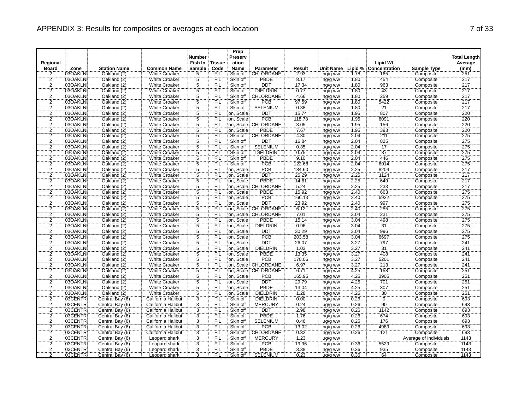|                                  |                    |                                    |                                          | <b>Number</b>                    |                   | Prep<br>Preserv       |                                    |               |                    |              |                                   |                        | <b>Total Length</b> |
|----------------------------------|--------------------|------------------------------------|------------------------------------------|----------------------------------|-------------------|-----------------------|------------------------------------|---------------|--------------------|--------------|-----------------------------------|------------------------|---------------------|
| Regional                         |                    |                                    |                                          | Fish In                          | <b>Tissue</b>     | ation                 |                                    |               |                    |              | <b>Lipid Wt</b>                   |                        | Average             |
| <b>Board</b>                     | Zone               | <b>Station Name</b>                | <b>Common Name</b>                       | <b>Sample</b>                    | Code              | Name                  | <b>Parameter</b>                   | Result        | <b>Unit Name</b>   |              | Lipid % Concentration             | <b>Sample Type</b>     | (mm)                |
| 2                                | 03OAKLN            | Oakland (2)                        | White Croaker                            | 5                                | <b>FIL</b>        | Skin off              | CHLORDANE                          | 2.93          | ng/g ww            | 1.78         | 165                               | Composite              | 251                 |
| $\frac{2}{2}$                    | 03OAKLN            | Oakland (2)                        | <b>White Croaker</b>                     | $\overline{5}$                   | FIL               | Skin off              | <b>PBDE</b>                        | 8.17          | ng/g ww            | 1.80         | 454                               | Composite              | 217                 |
|                                  | 03OAKLN            | Oakland (2)                        | <b>White Croaker</b>                     | $\overline{5}$                   | <b>FIL</b>        | Skin off              | <b>DDT</b>                         | 17.34         | ng/g ww            | 1.80         | 963                               | Composite              | 217                 |
| $\overline{2}$                   | 03OAKLN            | Oakland (2)                        | <b>White Croaker</b>                     | $\overline{5}$                   | <b>FIL</b>        | Skin off              | <b>DIELDRIN</b>                    | 0.77          | ng/g ww            | 1.80         | 43                                | Composite              | 217                 |
| $\frac{2}{2}$                    | 03OAKLN            | Oakland (2)                        | <b>White Croaker</b>                     | $\overline{5}$                   | <b>FIL</b>        | Skin off              | <b>CHLORDANE</b>                   | 4.66          | ng/g ww            | 1.80         | 259                               | Composite              | 217                 |
|                                  | 03OAKLN            | Oakland (2)                        | <b>White Croaker</b>                     | $\overline{5}$                   | <b>FIL</b>        | Skin off              | PCB                                | 97.59         | ng/g ww            | 1.80         | 5422                              | Composite              | 217                 |
| $\frac{2}{2}$                    | 03OAKLN            | Oakland (2)                        | <b>White Croaker</b>                     | 5                                | FIL               | Skin off              | <b>SELENIUM</b>                    | 0.38          | ug/g ww            | 1.80         | 21                                | Composite              | 217                 |
|                                  | 03OAKLN            | Oakland (2)                        | <b>White Croaker</b>                     | $\overline{5}$                   | Έiϊ               | on, Scale             | <b>DDT</b>                         | 15.74         | ng/g ww            | 1.95         | 807                               | Composite              | 220                 |
| $\overline{2}$                   | 03OAKLN            | Oakland (2)                        | <b>White Croaker</b>                     | $\overline{5}$                   | <b>FIL</b>        | on, Scale             | PCB                                | 118.78        | ng/g ww            | 1.95         | 6091                              | Composite              | 220                 |
| $\frac{2}{2}$                    | 03OAKLN            | Oakland (2)                        | <b>White Croaker</b>                     | $\overline{5}$                   | <b>FIL</b>        |                       | on, Scale: CHLORDANE               | 3.05          | ng/g ww            | 1.95         | 156                               | Composite              | 220                 |
|                                  | 03OAKLN            | Oakland (2)                        | <b>White Croaker</b>                     | $\overline{5}$                   | FIL               | on, Scale             | PBDE                               | 7.67          | ng/g ww            | 1.95         | 393                               | Composite              | 220                 |
| $\overline{2}$                   | 03OAKLN            | Oakland (2)                        | <b>White Croaker</b>                     | $\overline{5}$                   | FIL               | Skin off              | <b>CHLORDANE</b>                   | 4.30          | ng/g ww            | 2.04         | 211                               | Composite              | 275                 |
| $\overline{2}$                   | 03OAKLN            | Oakland (2)                        | <b>White Croaker</b>                     | 5                                | <b>FIL</b>        | Skin off              | <b>DDT</b>                         | 16.84         | ng/g ww            | 2.04         | 825                               | Composite              | 275                 |
| $\overline{2}$                   | 03OAKLN            | Oakland (2)                        | <b>White Croaker</b>                     | $\overline{5}$                   | FIL               | Skin off              | <b>SELENIUM</b>                    | 0.35          | ug/g ww            | 2.04         | $\overline{17}$                   | Composite              | 275                 |
| $\overline{2}$                   | 03OAKLN            | Oakland (2)                        | <b>White Croaker</b>                     | $\overline{5}$                   | FIL               | Skin off              | <b>DIELDRIN</b>                    | 0.75          | ng/g ww            | 2.04         | $\overline{37}$                   | Composite              | 275                 |
| $\overline{2}$                   | 03OAKLN            | Oakland (2)                        | <b>White Croaker</b>                     | 5                                | <b>FIL</b>        | Skin off              | PBDE                               | 9.10          | ng/g ww            | 2.04         | 446                               | Composite              | 275                 |
| $\frac{2}{2}$                    | 03OAKLN            | Oakland (2)                        | <b>White Croaker</b>                     | $\overline{5}$                   | FIL               | Skin off              | <b>PCB</b>                         | 122.68        | ng/g ww            | 2.04         | 6014                              | Composite              | 275                 |
|                                  | 03OAKLN            | Oakland (2)                        | <b>White Croaker</b>                     | $\ddot{5}$                       | FIL               | on, Scale             | PCB                                | 184.60        | ng/g ww            | 2.25         | 8204                              | Composite              | 217                 |
| $\overline{2}$                   | 03OAKLN            | Oakland (2)                        | <b>White Croaker</b>                     | $\overline{5}$                   | FIL               | on, Scale             | <b>DDT</b>                         | 25.29         | ng/g ww            | 2.25         | 1124                              | Composite              | 217                 |
| $\overline{2}$                   | 03OAKLN            | Oakland (2)                        | <b>White Croaker</b>                     | $\overline{5}$                   | <b>FIL</b>        | on, Scale             | PBDE                               | 14.61         | ng/g ww            | 2.25         | 649                               | Composite              | 217                 |
| $\overline{2}$                   | 03OAKLN            | Oakland (2)                        | <b>White Croaker</b>                     | $\overline{5}$                   | FIL               |                       | on, Scale: CHLORDANE               | 5.24          | ng/g ww            | 2.25         | 233                               | Composite              | 217                 |
| $\overline{2}$                   | 03OAKLN            | Oakland (2)                        | <b>White Croaker</b>                     | 5                                | FIL               | on, Scale             | <b>PBDE</b>                        | 15.92         | ng/g ww            | 2.40         | 663                               | Composite              | 275                 |
| $\overline{2}$                   | 03OAKLN            | Oakland (2)                        | <b>White Croaker</b>                     | $\overline{5}$                   | <b>FIL</b>        | on, Scale             | PCB                                | 166.13        | ng/g ww            | 2.40         | 6922                              | Composite              | 275                 |
| $\overline{2}$                   | 03OAKLN            | Oakland (2)                        | <b>White Croaker</b>                     | $\overline{5}$                   | <b>FIL</b>        | on, Scale             | <b>DDT</b>                         | 23.92         | ng/g ww            | 2.40         | 997                               | Composite              | 275                 |
| $\overline{2}$                   | 03OAKLN            | Oakland (2)                        | <b>White Croaker</b>                     | $\overline{5}$                   | FIL               |                       | on. Scale: CHLORDANE               | 6.12          | ng/g ww            | 2.40         | 255                               | Composite              | 275                 |
| $\overline{2}$                   | 03OAKLN            | Oakland (2)                        | <b>White Croaker</b>                     | $\overline{5}$                   | <b>FIL</b>        |                       | on, Scale: CHLORDANE               | 7.01          | ng/g ww            | 3.04         | 231                               | Composite              | 275                 |
| $\frac{2}{2}$                    | 03OAKLN            | Oakland (2)                        | <b>White Croaker</b>                     | 5                                | FIL               | on, Scale             | <b>PBDE</b>                        | 15.14         | ng/g ww            | 3.04         | 498                               | Composite              | 275                 |
|                                  | 03OAKLN            | Oakland (2)                        | <b>White Croaker</b>                     | $\ddot{5}$                       | FIL               | on, Scale             | <b>DIELDRIN</b>                    | 0.96          | ng/g ww            | 3.04         | $\overline{31}$                   | Composite              | 275                 |
| $\overline{2}$                   | 03OAKLN            | Oakland (2)                        | <b>White Croaker</b>                     | $\overline{5}$                   | <b>FIL</b>        | on, Scale             | <b>DDT</b>                         | 30.29         | ng/g ww            | 3.04         | 996                               | Composite              | 275                 |
| $\overline{2}$                   | 03OAKLN            | Oakland (2)                        | <b>White Croaker</b>                     | $\overline{5}$                   | FIL               | on, Scale             | PCB                                | 203.58        | ng/g ww            | 3.04         | 6697                              | Composite              | 275                 |
| $\overline{2}$                   | 03OAKLN            | Oakland (2)                        | <b>White Croaker</b>                     | $\overline{5}$                   | <b>FIL</b>        | on, Scale             | DDT                                | 26.07         | ng/g ww            | 3.27         | 797                               | Composite              | 241                 |
| $\overline{2}$                   | 03OAKLN            | Oakland (2)                        | <b>White Croaker</b>                     | 5                                | <b>FIL</b>        | on, Scale             | <b>DIELDRIN</b>                    | 1.03          | ng/g ww            | 3.27         | 31                                | Composite              | 241                 |
| $\overline{2}$                   | 03OAKLN            | Oakland (2)                        | White Croaker                            | $\overline{5}$                   | FIL               | on, Scale             | <b>PBDE</b>                        | 13.35         | ng/g ww            | 3.27         | 408                               | Composite              | 241                 |
| $\overline{2}$                   | 03OAKLN            | Oakland (2)                        | <b>White Croaker</b>                     | $\overline{5}$                   | <b>FIL</b>        | on, Scale             | PCB                                | 170.06        | ng/g ww            | 3.27         | 5201                              | Composite              | 241                 |
| $\frac{2}{2}$                    | 03OAKLN            | Oakland (2)                        | <b>White Croaker</b>                     | $\overline{5}$                   | FIL               |                       | on. Scale: CHLORDANE               | 6.97          | ng/g ww            | 3.27         | 213                               | Composite              | 241                 |
|                                  | 03OAKLN            | Oakland (2)                        | <b>White Croaker</b>                     | $\overline{5}$                   | FIL               |                       | on, Scale: CHLORDANE               | 6.71          | ng/g ww            | 4.25         | 158                               | Composite              | 251                 |
| $\overline{2}$                   | 03OAKLN            | Oakland (2)                        | <b>White Croaker</b>                     | $\overline{5}$                   | FIL               | on, Scale             | <b>PCB</b>                         | 165.95        | ng/g ww            | 4.25         | 3905                              | Composite              | 251                 |
| $\overline{2}$<br>$\overline{2}$ | 03OAKLN            | Oakland (2)                        | <b>White Croaker</b>                     | $\overline{5}$                   | <b>FIL</b>        | on, Scale             | <b>DDT</b>                         | 29.79         | ng/g ww            | 4.25         | 701                               | Composite              | 251                 |
|                                  | 03OAKLN            | Oakland (2)                        | <b>White Croaker</b>                     | $\overline{5}$                   | <b>FIL</b>        | on, Scale             | <b>PBDE</b>                        | 13.04         | ng/g ww            | 4.25         | 307                               | Composite              | 251                 |
| $\overline{2}$<br>$\overline{2}$ | 03OAKLN<br>03CENTR | Oakland (2)                        | <b>White Croaker</b>                     | $\overline{5}$<br>$\overline{3}$ | FIL<br><b>FIL</b> | on, Scale<br>Skin off | <b>DIELDRIN</b><br><b>DIELDRIN</b> | 1.28          | ng/g ww            | 4.25<br>0.26 | $\overline{30}$<br>$\overline{0}$ | Composite              | 251<br>693          |
|                                  |                    | Central Bay (6)                    | California Halibut                       |                                  |                   |                       |                                    | 0.00          | ng/g ww            |              |                                   | Composite              |                     |
| $\overline{2}$<br>2              | 03CENTR            | Central Bay (6)                    | California Halibut                       | 3                                | <b>FIL</b><br>FIL | Skin off              | <b>MERCURY</b>                     | 0.24          | ug/g ww            | 0.26         | 90<br>1142                        | Composite              | 693                 |
| $\overline{2}$                   | 03CENTR            | Central Bay (6)                    | California Halibut                       | $\overline{3}$<br>$\overline{3}$ | <b>FIL</b>        | Skin off<br>Skin off  | <b>DDT</b><br><b>PBDE</b>          | 2.98          | ng/g ww            | 0.26<br>0.26 | 674                               | Composite              | 693<br>693          |
|                                  | 03CENTR            | Central Bay (6)                    | California Halibut                       |                                  |                   |                       |                                    | 1.76          | ng/g ww            |              | 176                               | Composite              |                     |
| $\frac{2}{2}$                    | 03CENTR<br>03CENTR | Central Bay (6)<br>Central Bay (6) | California Halibut<br>California Halibut | $\overline{3}$<br>$\overline{3}$ | <b>FIL</b><br>FIL | Skin off<br>Skin off  | <b>SELENIUM</b><br>PCB             | 0.46<br>13.02 | ug/g ww            | 0.26<br>0.26 | 4989                              | Composite<br>Composite | 693<br>693          |
|                                  | 03CENTR            |                                    |                                          | $\overline{3}$                   | FIL               | Skin off              | CHLORDANE                          |               | ng/g ww            | 0.26         | 121                               | Composite              | 693                 |
| $\overline{2}$<br>$\overline{2}$ | 03CENTR            | Central Bay (6)<br>Central Bay (6) | California Halibut<br>Leopard shark      | $\overline{3}$                   | <b>FIL</b>        | Skin off              | <b>MERCURY</b>                     | 0.32<br>1.23  | ng/g ww            |              |                                   | Average of Individuals | 1143                |
| $\overline{2}$                   | 03CENTR            | Central Bay (6)                    | Leopard shark                            | $\overline{3}$                   | FIL               | Skin off              | PCB                                | 19.96         | ug/g ww<br>ng/g ww | 0.36         | 5529                              | Composite              | 1143                |
| $\overline{2}$                   | 03CENTR            | Central Bay (6)                    | Leopard shark                            | $\overline{3}$                   | FIL               | Skin off              | PBDE                               | 3.38          |                    | 0.36         | 935                               | Composite              | 1143                |
| $\overline{2}$                   | 03CENTR            | Central Bay (6)                    | Leopard shark                            | $\overline{3}$                   | <b>FIL</b>        | Skin off              | <b>SELENIUM</b>                    | 0.23          | ng/g ww<br>ug/g ww | 0.36         | 64                                | Composite              | 1143                |
|                                  |                    |                                    |                                          |                                  |                   |                       |                                    |               |                    |              |                                   |                        |                     |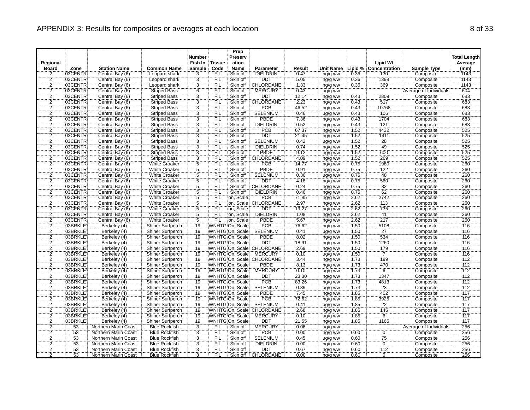|                         |          |                             |                         | <b>Number</b>  |               | Prep<br>Preserv |                            |        |           |      |                       |                        | <b>Total Length</b> |
|-------------------------|----------|-----------------------------|-------------------------|----------------|---------------|-----------------|----------------------------|--------|-----------|------|-----------------------|------------------------|---------------------|
| Regional                |          |                             |                         | Fish In        | <b>Tissue</b> | ation           |                            |        |           |      | <b>Lipid Wt</b>       |                        | Average             |
| <b>Board</b>            | Zone     | <b>Station Name</b>         | <b>Common Name</b>      | <b>Sample</b>  | Code          | Name            | Parameter                  | Result | Unit Name |      | Lipid % Concentration | <b>Sample Type</b>     | (mm)                |
| 2                       | 03CENTR  | Central Bay (6)             | Leopard shark           | 3              | <b>FIL</b>    | Skin off        | <b>DIELDRIN</b>            | 0.47   | ng/g ww   | 0.36 | 130                   | Composite              | 1143                |
|                         | 03CENTR  | Central Bay (6)             | Leopard shark           | $\overline{3}$ | FIL           | Skin off        | <b>DDT</b>                 | 5.05   | ng/g ww   | 0.36 | 1398                  | Composite              | 1143                |
| $\frac{2}{2}$           | 03CENTR  | Central Bay (6)             | Leopard shark           | 3              | <b>FIL</b>    | Skin off        | <b>CHLORDANE</b>           | 1.33   | ng/g ww   | 0.36 | 369                   | Composite              | 1143                |
|                         | 03CENTR  | Central Bay (6)             | <b>Striped Bass</b>     | $\overline{6}$ | <b>FIL</b>    | Skin off        | <b>MERCURY</b>             | 0.43   | ug/g ww   |      |                       | Average of Individuals | 604                 |
| $\frac{2}{2}$           | 03CENTR  | Central Bay (6)             | <b>Striped Bass</b>     | $\overline{3}$ | FIL           | Skin off        | <b>DDT</b>                 | 12.14  | ng/g ww   | 0.43 | 2809                  | Composite              | 683                 |
|                         | 03CENTR  | Central Bay (6)             | <b>Striped Bass</b>     | $\overline{3}$ | <b>FIL</b>    | Skin off        | CHLORDANE                  | 2.23   | ng/g ww   | 0.43 | 517                   | Composite              | 683                 |
| $\frac{2}{2}$           | 03CENTR  | Central Bay (6)             | <b>Striped Bass</b>     | $\frac{3}{3}$  | <b>FIL</b>    | Skin off        | <b>PCB</b>                 | 46.52  | ng/g ww   | 0.43 | 10768                 | Composite              | 683                 |
|                         | 03CENTR  | Central Bay (6)             | <b>Striped Bass</b>     |                | ΈİĹ           | Skin off        | <b>SELENIUM</b>            | 0.46   | ug/g ww   | 0.43 | 106                   | Composite              | 683                 |
| $\overline{2}$          | 03CENTR  | Central Bay (6)             | <b>Striped Bass</b>     | $\overline{3}$ | <b>FIL</b>    | Skin off        | <b>PBDE</b>                | 7 3 6  | ng/g ww   | 0.43 | 1704                  | Composite              | 683                 |
| $\frac{2}{2}$           | 03CENTR  | Central Bay (6)             | <b>Striped Bass</b>     | $\overline{3}$ | <b>FIL</b>    | Skin off        | <b>DIELDRIN</b>            | 0.52   | ng/g ww   | 0.43 | 121                   | Composite              | 683                 |
|                         | 03CENTR  | Central Bay (6)             | <b>Striped Bass</b>     | $\overline{3}$ | FIL           | Skin off        | PCB                        | 67.37  | ng/g ww   | 1.52 | 4432                  | Composite              | 525                 |
| $\overline{2}$          | 03CENTR  | Central Bay (6)             | <b>Striped Bass</b>     | $\overline{3}$ | <b>FIL</b>    | Skin off        | <b>DDT</b>                 | 21.45  | ng/g ww   | 1.52 | 1411                  | Composite              | 525                 |
| $\overline{2}$          | 03CENTR  | Central Bay (6)             | <b>Striped Bass</b>     | $\overline{3}$ | <b>FIL</b>    | Skin off        | <b>SELENIUM</b>            | 0.42   | ug/g ww   | 1.52 | 28                    | Composite              | 525                 |
| $\overline{2}$          | 03CENTR  | Central Bay (6)             | <b>Striped Bass</b>     | $\overline{3}$ | FIL           | Skin off        | <b>DIELDRIN</b>            | 0.74   | ng/g ww   | 1.52 | 49                    | Composite              | 525                 |
| $\overline{2}$          | 03CENTR  | Central Bay (6)             | <b>Striped Bass</b>     | $\overline{3}$ | FIL           | Skin off        | PBDE                       | 9.12   | ng/g ww   | 1.52 | 600                   | Composite              | 525                 |
| $\overline{2}$          | 03CENTR  | Central Bay (6)             | <b>Striped Bass</b>     | $\overline{3}$ | <b>FIL</b>    | Skin off        | CHLORDANE                  | 4.09   | ng/g ww   | 1.52 | 269                   | Composite              | 525                 |
| $\frac{2}{2}$           | 03CENTR  | Central Bay (6)             | <b>White Croaker</b>    | $\overline{5}$ | FIL           | Skin off        | <b>PCB</b>                 | 14.77  | ng/g ww   | 0.75 | 1980                  | Composite              | 260                 |
|                         | 03CENTR  | Central Bay (6)             | <b>White Croaker</b>    | $\ddot{5}$     | FIL           | Skin off        | PBDE                       | 0.91   | ng/g ww   | 0.75 | 122                   | Composite              | 260                 |
| $\overline{2}$          | 03CENTR  | Central Bay (6)             | <b>White Croaker</b>    | $\overline{5}$ | FIL           | Skin off        | <b>SELENIUM</b>            | 0.36   | ug/g ww   | 0.75 | 48                    | Composite              | 260                 |
| $\overline{2}$          | 03CENTR  | Central Bay (6)             | <b>White Croaker</b>    | $\overline{5}$ | <b>FIL</b>    | Skin off        | <b>DDT</b>                 | 4.18   | ng/g ww   | 0.75 | 560                   | Composite              | 260                 |
| $\overline{2}$          | 03CENTR  | Central Bay (6)             | <b>White Croaker</b>    | $\overline{5}$ | FIL           | Skin off        | <b>CHLORDANE</b>           | 0.24   | ng/g ww   | 0.75 | 32                    | Composite              | 260                 |
| $\overline{\mathbf{c}}$ | 03CENTR  | Central Bay (6)             | <b>White Croaker</b>    | 5              | FIL           | Skin off        | <b>DIELDRIN</b>            | 0.46   | ng/g ww   | 0.75 | 62                    | Composite              | 260                 |
| $\overline{2}$          | 03CENTR  | Central Bay (6)             | <b>White Croaker</b>    | $\overline{5}$ | <b>FIL</b>    | on, Scale       | <b>PCB</b>                 | 71.85  | ng/g ww   | 2.62 | 2742                  | Composite              | 260                 |
| $\overline{2}$          | 03CENTR  | Central Bay (6)             | <b>White Croaker</b>    | $\overline{5}$ | <b>FIL</b>    |                 | on, Scale CHLORDANE        | 2.97   | ng/g ww   | 2.62 | 113                   | Composite              | 260                 |
| $\frac{2}{2}$           | 03CENTR  | Central Bay (6)             | <b>White Croaker</b>    | $\overline{5}$ | FIL           | on. Scale       | <b>DDT</b>                 | 19.27  | ng/g ww   | 2.62 | 735                   | Composite              | 260                 |
|                         | 03CENTR  | Central Bay (6)             | <b>White Croaker</b>    | $\overline{5}$ | <b>FIL</b>    | on, Scale       | <b>DIELDRIN</b>            | 1.08   | ng/g ww   | 2.62 | 41                    | Composite              | 260                 |
| $\frac{2}{2}$           | 03CENTR  | Central Bay (6)             | <b>White Croaker</b>    | 5              | <b>FIL</b>    | on, Scale       | <b>PBDE</b>                | 5.67   | ng/g ww   | 2.62 | 217                   | Composite              | 260                 |
|                         | 03BRKLE  | Berkeley (4)                | Shiner Surfperch        | 19             |               | WNHTG On, Scale | PCB                        | 76.62  | ng/g ww   | 1.50 | 5108                  | Composite              | 116                 |
| $\overline{2}$          | 03BRKLE  | Berkeley (4)                | <b>Shiner Surfperch</b> | 19             |               | WNHTG On, Scale | <b>SELENIUM</b>            | 0.41   | ug/g ww   | 1.50 | $\overline{27}$       | Composite              | 116                 |
| $\overline{2}$          | 03BRKLE  | Berkeley (4)                | Shiner Surfperch        | 19             |               | WNHTG On, Scale | <b>PBDE</b>                | 8.02   | ng/g ww   | 1.50 | 534                   | Composite              | 116                 |
| $\overline{2}$          | 03BRKLE  | Berkeley (4)                | Shiner Surfperch        | 19             |               | WNHTG On, Scale | DDT                        | 18.91  | ng/g ww   | 1.50 | 1260                  | Composite              | 116                 |
| $\overline{c}$          | 03BRKLE  | Berkeley (4)                | Shiner Surfperch        | 19             |               |                 | WNHTG On, Scale CHLORDANE  | 2.69   | ng/g ww   | 1.50 | 179                   | Composite              | 116                 |
| $\overline{2}$          | 03BRKLE  | Berkeley (4)                | Shiner Surfperch        | 19             |               | WNHTG On, Scale | <b>MERCURY</b>             | 0.10   | ug/g ww   | 1.50 | $\frac{1}{7}$         | Composite              | 116                 |
| $\overline{2}$          | 03BRKLE  | Berkeley (4)                | <b>Shiner Surfperch</b> | 19             |               |                 | WNHTG On, Scale: CHLORDANE | 3.44   | ng/g ww   | 1.73 | 199                   | Composite              | 112                 |
| $\frac{2}{2}$           | 03BRKLE  | Berkeley (4)                | Shiner Surfperch        | 19             |               | WNHTG On. Scale | <b>PBDE</b>                | 8.13   | ng/g ww   | 1.73 | 470                   | Composite              | 112                 |
|                         | 03BRKLE  | Berkeley (4)                | Shiner Surfperch        | 19             |               | WNHTG On, Scale | <b>MERCURY</b>             | 0.10   | ug/g ww   | 1.73 | $\overline{6}$        | Composite              | 112                 |
| $\overline{2}$          | 03BRKLE  | Berkeley (4)                | <b>Shiner Surfperch</b> | 19             |               | WNHTG On, Scale | <b>DDT</b>                 | 23.30  | ng/g ww   | 1.73 | 1347                  | Composite              | 112                 |
| $\frac{2}{2}$           | 03BRKLE  | Berkeley (4)                | Shiner Surfperch        | 19             |               | WNHTG On, Scale | PCB                        | 83.26  | ng/g ww   | 7.73 | 4813                  | Composite              | 112                 |
|                         | 03BRKLE  | Berkeley (4)                | <b>Shiner Surfperch</b> | 19             |               | WNHTG On, Scale | <b>SELENIUM</b>            | 0.39   | ug/g ww   | 1.73 | 23                    | Composite              | 112                 |
| $\overline{2}$          | 03BRKLE  | Berkeley (4)                | Shiner Surfperch        | 19             |               | WNHTG On, Scale | <b>PBDE</b>                | 7.45   | ng/g ww   | 1.85 | 402                   | Composite              | 117                 |
| $\overline{2}$          | 03BRKLE  | Berkeley (4)                | Shiner Surfperch        | 19             |               | WNHTG On, Scale | PCB                        | 72.62  | ng/g ww   | 1.85 | 3925                  | Composite              | 117                 |
| $\overline{2}$          | 03BRKLE  | Berkeley (4)                | Shiner Surfperch        | 19             |               | WNHTG On, Scale | <b>SELENIUM</b>            | 0.41   | ug/g ww   | 1.85 | 22                    | Composite              | 117                 |
| $\overline{2}$          | 03BRKLE  | Berkeley (4)                | Shiner Surfperch        | 19             |               |                 | WNHTG On, Scale: CHLORDANE | 2.68   | ng/g ww   | 1.85 | 145                   | Composite              | 717                 |
| $\overline{2}$          | 03BRKLE  | Berkeley (4)                | <b>Shiner Surfperch</b> | 19             |               | WNHTG On, Scale | <b>MERCURY</b>             | 0.10   | ug/g ww   | 1.85 | 6                     | Composite              | 117                 |
| $\frac{2}{2}$           | 03BRKLEY | Berkeley (4)                | Shiner Surfperch        | 19             |               | WNHTG On, Scale | <b>DDT</b>                 | 21.55  | ng/g ww   | 1.85 | 1165                  | Composite              | 117                 |
|                         | 53       | Northern Marin Coast        | <b>Blue Rockfish</b>    | $\overline{3}$ | FIL           | Skin off        | MERCURY                    | 0.06   | ug/g ww   |      |                       | Average of Individuals | 256                 |
| $\overline{2}$          | 53       | Northern Marin Coast        | <b>Blue Rockfish</b>    | $\overline{3}$ | <b>FIL</b>    | Skin off        | <b>PCB</b>                 | 0.00   | ng/g ww   | 0.60 | $\overline{0}$        | Composite              | 256                 |
| $\overline{2}$          | 53       | Northern Marin Coast        | <b>Blue Rockfish</b>    | 3              | <b>FIL</b>    | Skin off        | <b>SELENIUM</b>            | 0.45   | ug/g ww   | 0.60 | 75                    | Composite              | 256                 |
| $\overline{2}$          | 53       | <b>Northern Marin Coast</b> | <b>Blue Rockfish</b>    | $\overline{3}$ | FIL           | Skin off        | <b>DIELDRIN</b>            | 0.00   | ng/g ww   | 0.60 | $\overline{0}$        | Composite              | 256                 |
| $\overline{2}$          | 53       | Northern Marin Coast        | <b>Blue Rockfish</b>    | $\overline{3}$ | FIL           | Skin off        | <b>DDT</b>                 | 0.67   | ng/g ww   | 0.60 | 112                   | Composite              | 256                 |
| ぅ                       | 53       | Northern Marin Coast        | <b>Blue Rockfish</b>    | $\overline{3}$ | <b>FIL</b>    | Skin off        | <b>CHLORDANE</b>           | 0.00   | ng/g ww   | 0.60 | ö                     | Composite              | 256                 |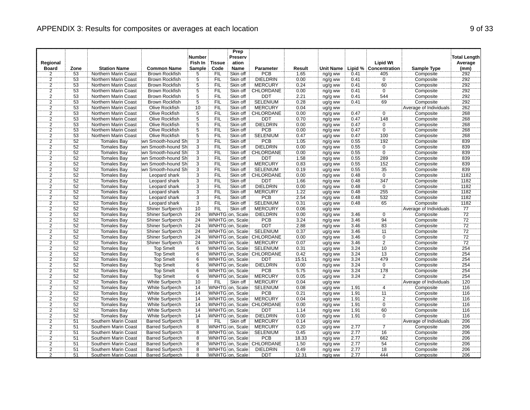| Regional       |      |                             |                         | <b>Number</b><br>Fish In | <b>Tissue</b> | Prep<br>Preserv<br>ation |                            |        |           |      | <b>Lipid Wt</b>       |                        | <b>Total Length</b><br>Average |
|----------------|------|-----------------------------|-------------------------|--------------------------|---------------|--------------------------|----------------------------|--------|-----------|------|-----------------------|------------------------|--------------------------------|
| <b>Board</b>   | Zone | <b>Station Name</b>         | <b>Common Name</b>      | <b>Sample</b>            | Code          | Name                     | <b>Parameter</b>           | Result | Unit Name |      | Lipid % Concentration | <b>Sample Type</b>     | (mm)                           |
| $\overline{2}$ | 53   | Northern Marin Coast        | Brown Rockfish          | 5                        | <b>FIL</b>    | Skin off                 | PCB                        | 1.65   | ng/g ww   | 0.41 | 405                   | Composite              | 292                            |
|                | 53   | Northern Marin Coast        | <b>Brown Rockfish</b>   |                          | FIL           | Skin off                 | <b>DIELDRIN</b>            | 0.00   | ng/g ww   | 0.41 | $\overline{0}$        | Composite              | 292                            |
| $\frac{2}{2}$  | 53   | Northern Marin Coast        | <b>Brown Rockfish</b>   | $\frac{5}{5}$            | <b>FIL</b>    | Skin off                 | <b>MERCURY</b>             | 0.24   | ug/g ww   | 0.41 | 60                    | Composite              | 292                            |
|                | 53   | Northern Marin Coast        | <b>Brown Rockfish</b>   | $\overline{5}$           | <b>FIL</b>    | Skin off                 | CHLORDANE                  | 0.00   | ng/g ww   | 0.41 | $\overline{0}$        | Composite              | 292                            |
|                | 53   | Northern Marin Coast        | <b>Brown Rockfish</b>   | $\overline{5}$           | FIL           | Skin off                 | <b>DDT</b>                 | 2.21   | ng/g ww   | 0.41 | 544                   | Composite              | 292                            |
| $\frac{2}{2}$  | 53   | Northern Marin Coast        | <b>Brown Rockfish</b>   | $\overline{5}$           | <b>FIL</b>    | Skin off                 | <b>SELENIUM</b>            | 0.28   | ug/g ww   | 0.41 | 69                    | Composite              | 292                            |
|                | 53   | Northern Marin Coast        | Olive Rockfish          | 10                       | <b>FIL</b>    | Skin off                 | <b>MERCURY</b>             | 0.04   | ug/g ww   |      |                       | Average of Individuals | 262                            |
| $\frac{2}{2}$  | 53   | Northern Marin Coast        | Olive Rockfish          | $\overline{5}$           | ΈİĹ           | Skin off                 | CHLORDANE                  | 0.00   | ng/g ww   | 0.47 | $\overline{0}$        | Composite              | 268                            |
| $\overline{2}$ | 53   | Northern Marin Coast        | <b>Olive Rockfish</b>   | $\overline{5}$           | <b>FIL</b>    | Skin off                 | <b>DDT</b>                 | 0.70   | ng/g ww   | 0.47 | 148                   | Composite              | 268                            |
| $\frac{2}{2}$  | 53   | Northern Marin Coast        | Olive Rockfish          | $\overline{5}$           | FIL           | Skin off                 | <b>DIELDRIN</b>            | 0.00   | ng/g ww   | 0.47 | $\overline{0}$        | Composite              | 268                            |
|                | 53   | Northern Marin Coast        | Olive Rockfish          | $\overline{5}$           | FIL           | Skin off                 | PCB                        | 0.00   | ng/g ww   | 0.47 | ö                     | Composite              | 268                            |
| $\overline{2}$ | 53   | Northern Marin Coast        | Olive Rockfish          | $\overline{5}$           | FIL           | Skin off                 | <b>SELENIUM</b>            | 0.47   | ug/g ww   | 0.47 | 100                   | Composite              | 268                            |
| $\overline{2}$ | 52   | Tomales Bay                 | wn Smooth-hound Shi     | $\overline{3}$           | <b>FIL</b>    | Skin off                 | <b>PCB</b>                 | 1.05   | ng/g ww   | 0.55 | 192                   | Composite              | 839                            |
| $\frac{2}{2}$  | 52   | <b>Tomales Bay</b>          | wn Smooth-hound Sh      | $\overline{3}$           | FIL           | Skin off                 | <b>DIELDRIN</b>            | 0.00   | ng/g ww   | 0.55 | $\overline{0}$        | Composite              | 839                            |
|                | 52   | <b>Tomales Bay</b>          | wn Smooth-hound Sh      | $\overline{3}$           | FIL           | Skin off                 | CHLORDANE                  | 0.00   | ng/g ww   | 0.55 | $\overline{0}$        | Composite              | 839                            |
| $\overline{2}$ | 52   | <b>Tomales Bay</b>          | wn Smooth-hound Shi     | $\overline{3}$           | <b>FIL</b>    | Skin off                 | <b>DDT</b>                 | 1.58   | ng/g ww   | 0.55 | 289                   | Composite              | 839                            |
|                | 52   | <b>Tomales Bay</b>          | wn Smooth-hound Shi     | $\overline{3}$           | FIL           | Skin off                 | <b>MERCURY</b>             | 0.83   | ug/g ww   | 0.55 | 152                   | Composite              | 839                            |
| $\frac{2}{2}$  | 52   | Tomales Bay                 | wn Smooth-hound Sh      | $rac{1}{3}$              | FIL           | Skin off                 | <b>SELENIUM</b>            | 0.19   | ug/g ww   | 0.55 | $\overline{35}$       | Composite              | 839                            |
|                | 52   | <b>Tomales Bay</b>          | Leopard shark           |                          | FIL           | Skin off                 | CHLORDANE                  | 0.00   | ng/g ww   | 0.48 | $\overline{0}$        | Composite              | 1182                           |
| $\overline{2}$ | 52   | <b>Tomales Bay</b>          | Leopard shark           | $\overline{3}$           | <b>FIL</b>    | Skin off                 | <b>DDT</b>                 | 1.66   | ng/g ww   | 0.48 | 347                   | Composite              | 1182                           |
| $\overline{2}$ | 52   | Tomales Bay                 | Leopard shark           | $\overline{3}$           | FIL           | Skin off                 | <b>DIELDRIN</b>            | 0.00   | ng/g ww   | 0.48 | Ö                     | Composite              | 1182                           |
|                | 52   | <b>Tomales Bay</b>          | Leopard shark           | 3                        | <b>FIL</b>    | Skin off                 | <b>MERCURY</b>             | 1.22   | ug/g ww   | 0.48 | 255                   | Composite              | 1182                           |
| $\frac{2}{2}$  | 52   | Tomales Bay                 | Leopard shark           | $\overline{3}$           | <b>FIL</b>    | Skin off                 | <b>PCB</b>                 | 2.54   | ng/g ww   | 0.48 | 532                   | Composite              | 1182                           |
| $\overline{2}$ | 52   | <b>Tomales Bay</b>          | Leopard shark           | $\overline{3}$           | <b>FIL</b>    | Skin off                 | <b>SELENIUM</b>            | 0.31   | ug/g ww   | 0.48 | 65                    | Composite              | 1182                           |
| $\frac{2}{2}$  | 52   | <b>Tomales Bay</b>          | Shiner Surfperch        | 10                       | FIL           | Skin off                 | <b>MERCURY</b>             | 0.06   | ug/g ww   |      |                       | Average of Individuals | $\overline{77}$                |
|                | 52   | <b>Tomales Bay</b>          | Shiner Surfperch        | 24                       |               | WNHTG on, Scale          | <b>DIELDRIN</b>            | 0.00   | ng/g ww   | 3.46 | $\overline{0}$        | Composite              | $\overline{72}$                |
|                | 52   | <b>Tomales Bay</b>          | <b>Shiner Surfperch</b> | 24                       |               | WNHTG on, Scale          | <b>PCB</b>                 | 3.24   | ng/g ww   | 3.46 | 94                    | Composite              | 72                             |
| $\frac{2}{2}$  | 52   | Tomales Bay                 | Shiner Surfperch        | 24                       |               | WNHTG on, Scale          | <b>DDT</b>                 | 2.88   | ng/g ww   | 3.46 | $\overline{83}$       | Composite              | $\frac{1}{72}$                 |
|                | 52   | <b>Tomales Bay</b>          | <b>Shiner Surfperch</b> | 24                       |               | WNHTG on, Scale          | <b>SELENIUM</b>            | 0.37   | ug/g ww   | 3.46 | $\overline{11}$       | Composite              | $\overline{72}$                |
| $\overline{2}$ | 52   | <b>Tomales Bay</b>          | Shiner Surfperch        | $\overline{24}$          |               |                          | WNHTG on, Scale CHLORDANE  | 0.00   | ng/g ww   | 3.46 | ö                     | Composite              | $\overline{72}$                |
| $\overline{2}$ | 52   | <b>Tomales Bay</b>          | Shiner Surfperch        | 24                       |               | WNHTG on, Scale          | <b>MERCURY</b>             | 0.07   | ug/g ww   | 3.46 | $\overline{2}$        | Composite              | $\overline{72}$                |
| $\overline{c}$ | 52   | <b>Tomales Bay</b>          | <b>Top Smelt</b>        | 6                        |               | WNHTG on, Scale          | <b>SELENIUM</b>            | 0.31   | ug/g ww   | 3.24 | 10                    | Composite              | 254                            |
| $\overline{2}$ | 52   | <b>Tomales Bay</b>          | <b>Top Smelt</b>        | $\overline{6}$           |               |                          | WNHTG on, Scale: CHLORDANE | 0.42   | ng/g ww   | 3.24 | $\overline{13}$       | Composite              | 254                            |
| $\overline{2}$ | 52   | <b>Tomales Bay</b>          | <b>Top Smelt</b>        | 6                        |               | WNHTG on, Scale          | <b>DDT</b>                 | 15.51  | ng/g ww   | 3.24 | 479                   | Composite              | 254                            |
| $\frac{2}{2}$  | 52   | <b>Tomales Bay</b>          | <b>Top Smelt</b>        | $\frac{6}{6}$            |               | WNHTG on, Scale          | <b>DIELDRIN</b>            | 0.00   | ng/g ww   | 3.24 | $\overline{0}$        | Composite              | 254                            |
|                | 52   | <b>Tomales Bay</b>          | <b>Top Smelt</b>        |                          |               | WNHTG on, Scale          | <b>PCB</b>                 | 5.75   | ng/g ww   | 3.24 | 178                   | Composite              | 254                            |
| $\frac{2}{2}$  | 52   | <b>Tomales Bay</b>          | <b>Top Smelt</b>        | 6                        |               | WNHTG on, Scale          | <b>MERCURY</b>             | 0.05   | ug/g ww   | 3.24 | $\overline{2}$        | Composite              | 254                            |
|                | 52   | Tomales Bay                 | White Surfperch         | 10                       | <b>FIL</b>    | Skin off                 | <b>MERCURY</b>             | 0.04   | ug/g ww   |      |                       | Average of Individuals | 120                            |
|                | 52   | <b>Tomales Bay</b>          | <b>White Surfperch</b>  | 14                       |               | WNHTG on, Scale          | <b>SELENIUM</b>            | 0.08   | ug/g ww   | 1.91 | $\overline{4}$        | Composite              | 116                            |
| $\overline{2}$ | 52   | <b>Tomales Bay</b>          | White Surfperch         | 14                       |               | WNHTG on, Scale          | PCB                        | 0.21   | ng/g ww   | 1.91 | $\overline{11}$       | Composite              | 116                            |
| $\overline{2}$ | 52   | <b>Tomales Bay</b>          | White Surfperch         | 14                       |               | WNHTG on, Scale          | <b>MERCURY</b>             | 0.04   | ug/g ww   | 1.91 | $\overline{2}$        | Composite              | 116                            |
| $\overline{2}$ | 52   | <b>Tomales Bay</b>          | White Surfperch         | 14                       |               |                          | WNHTG on, Scale: CHLORDANE | 0.00   | ng/g ww   | 1.91 | $\overline{0}$        | Composite              | 116                            |
| $\overline{2}$ | 52   | <b>Tomales Bay</b>          | White Surfperch         | $\overline{14}$          |               | WNHTG on, Scale          | <b>DDT</b>                 | 1.14   | ng/g ww   | 1.91 | 60                    | Composite              | 116                            |
| $\overline{2}$ | 52   | <b>Tomales Bay</b>          | White Surfperch         | 14                       |               | WNHTG on, Scale          | <b>DIELDRIN</b>            | 0.00   | ng/g ww   | 1.91 | $\overline{0}$        | Composite              | 116                            |
| $\frac{2}{2}$  | 51   | Southern Marin Coast        | <b>Barred Surfperch</b> | 8                        | FIL           | Skin off                 | <b>MERCURY</b>             | 0.14   | ug/g ww   |      |                       | Average of Individuals | 206                            |
|                | 51   | Southern Marin Coast        | <b>Barred Surfperch</b> | $\overline{8}$           |               | WNHTG on, Scale          | <b>MERCURY</b>             | 0.20   | ug/g ww   | 2.77 | 7                     | Composite              | 206                            |
| $\frac{2}{2}$  | 51   | Southern Marin Coast        | <b>Barred Surfperch</b> | $\overline{8}$           |               | WNHTG on, Scale          | <b>SELENIUM</b>            | 0.45   | ug/g ww   | 2.77 | 16                    | Composite              | 206                            |
|                | 51   | Southern Marin Coast        | <b>Barred Surfperch</b> | 8                        |               | WNHTG on, Scale          | PCB                        | 18.33  | ng/g ww   | 2.77 | 662                   | Composite              | 206                            |
| $\overline{2}$ | 51   | <b>Southern Marin Coast</b> | <b>Barred Surfperch</b> | $\overline{8}$           |               |                          | WNHTG on, Scale CHLORDANE  | 1.50   | ng/g ww   | 2.77 | 54                    | Composite              | 206                            |
| $\overline{2}$ | 51   | Southern Marin Coast        | <b>Barred Surfperch</b> | $\overline{8}$           |               | WNHTG on, Scale          | <b>DIELDRIN</b>            | 0.49   | ng/g ww   | 2.77 | $\overline{18}$       | Composite              | 206                            |
| ぅ              | 51   | Southern Marin Coast        | <b>Barred Surfperch</b> | $\overline{8}$           |               | WNHTG on, Scale          | <b>DDT</b>                 | 12.31  | ng/g ww   | 2.77 | 444                   | Composite              | 206                            |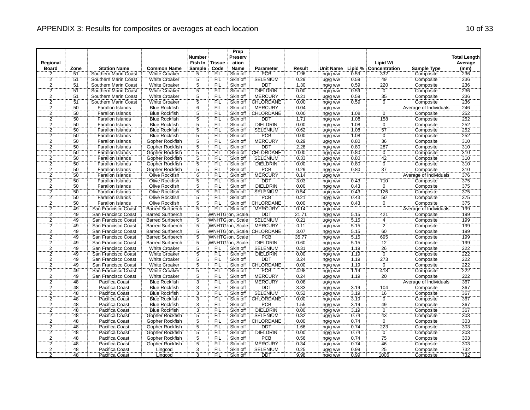|                                |                 |                                             |                                    | <b>Number</b>   |                       | Prep<br>Preserv  |                            |                |                    |      |                              |                                 | <b>Total Length</b> |
|--------------------------------|-----------------|---------------------------------------------|------------------------------------|-----------------|-----------------------|------------------|----------------------------|----------------|--------------------|------|------------------------------|---------------------------------|---------------------|
| Regional                       |                 |                                             | <b>Common Name</b>                 | Fish In         | <b>Tissue</b><br>Code | ation            |                            |                |                    |      | <b>Lipid Wt</b>              |                                 | Average             |
| <b>Board</b><br>$\overline{2}$ | Zone<br>51      | <b>Station Name</b><br>Southern Marin Coast | <b>White Croaker</b>               | Sample<br>5     | <b>FIL</b>            | Name<br>Skin off | <b>Parameter</b><br>PCB    | Result<br>1.96 | <b>Unit Name</b>   | 0.59 | Lipid % Concentration<br>332 | <b>Sample Type</b><br>Composite | (mm)<br>236         |
|                                | 51              | Southern Marin Coast                        | <b>White Croaker</b>               |                 | FIL                   | Skin off         | <b>SELENIUM</b>            | 0.29           | ng/g ww            | 0.59 | 49                           | Composite                       | 236                 |
| $\frac{2}{2}$                  | $\overline{51}$ | Southern Marin Coast                        | <b>White Croaker</b>               | $\frac{5}{5}$   | <b>FIL</b>            | Skin off         | <b>DDT</b>                 | 1.30           | ug/g ww<br>ng/g ww | 0.59 | 220                          | Composite                       | 236                 |
| $\overline{2}$                 | 51              | Southern Marin Coast                        | <b>White Croaker</b>               | $\overline{5}$  | <b>FIL</b>            | Skin off         | <b>DIELDRIN</b>            | 0.00           | ng/g ww            | 0.59 | Ö                            | Composite                       | 236                 |
| $\overline{2}$                 | 51              | Southern Marin Coast                        | <b>White Croaker</b>               | $\overline{5}$  | FIL                   | Skin off         | <b>MERCURY</b>             | 0.21           | ug/g ww            | 0.59 | 35                           | Composite                       | 236                 |
| $\overline{2}$                 | 51              | Southern Marin Coast                        | <b>White Croaker</b>               | $\overline{5}$  | <b>FIL</b>            | Skin off         | CHLORDANE                  | 0.00           | ng/g ww            | 0.59 | Ö                            | Composite                       | 236                 |
| $\overline{2}$                 | 50              | Farallon Islands                            | <b>Blue Rockfish</b>               | $6\phantom{1}6$ | <b>FIL</b>            | Skin off         | <b>MERCURY</b>             | 0.04           | ug/g ww            |      |                              | Average of Individuals          | 246                 |
| $\overline{2}$                 | 50              | Farallon Islands                            | <b>Blue Rockfish</b>               | $\overline{5}$  | Έiϊ                   | Skin off         | CHLORDANE                  | 0.00           | ng/g ww            | 1.08 | $\overline{0}$               | Composite                       | 252                 |
| $\overline{2}$                 | 50              | <b>Farallon Islands</b>                     | <b>Blue Rockfish</b>               | $\overline{5}$  | <b>FIL</b>            | Skin off         | <b>DDT</b>                 | 1.71           | ng/g ww            | 1.08 | 158                          | Composite                       | 252                 |
| $\overline{2}$                 | 50              | Farallon Islands                            | <b>Blue Rockfish</b>               | $\overline{5}$  | <b>FIL</b>            | Skin off         | <b>DIELDRIN</b>            | 0.00           | ng/g ww            | 1.08 | $\overline{0}$               | Composite                       | 252                 |
| $\overline{2}$                 | 50              | Farallon Islands                            | <b>Blue Rockfish</b>               | $\overline{5}$  | FIL                   | Skin off         | <b>SELENIUM</b>            | 0.62           | ug/g ww            | 1.08 | $\overline{57}$              | Composite                       | 252                 |
| $\overline{2}$                 | 50              | Farallon Islands                            | <b>Blue Rockfish</b>               | $\overline{5}$  | <b>FIL</b>            | Skin off         | <b>PCB</b>                 | 0.00           |                    | 1.08 | $\overline{0}$               | Composite                       | 252                 |
| $\overline{2}$                 | 50              | <b>Farallon Islands</b>                     | Gopher Rockfish                    | $\overline{5}$  | <b>FIL</b>            | Skin off         | <b>MERCURY</b>             | 0.29           | ng/g ww<br>ug/g ww | 0.80 | $\overline{36}$              | Composite                       | 310                 |
| $\overline{2}$                 | 50              | <b>Farallon Islands</b>                     | Gopher Rockfish                    | $\overline{5}$  | FIL                   | Skin off         | <b>DDT</b>                 | 2.28           | ng/g ww            | 0.80 | 287                          | Composite                       | 310                 |
| $\overline{2}$                 | 50              | Farallon Islands                            | Gopher Rockfish                    | $\overline{5}$  | FIL                   | Skin off         | CHLORDANE                  | 0.00           |                    | 0.80 | $\overline{0}$               | Composite                       | 310                 |
| $\overline{2}$                 | 50              | <b>Farallon Islands</b>                     | Gopher Rockfish                    | 5               | <b>FIL</b>            | Skin off         | <b>SELENIUM</b>            | 0.33           | ng/g ww            | 0.80 | 42                           | Composite                       | 310                 |
| $\overline{2}$                 | 50              | <b>Farallon Islands</b>                     | Gopher Rockfish                    | $\overline{5}$  | FIL                   | Skin off         | <b>DIELDRIN</b>            | 0.00           | ug/g ww<br>ng/g ww | 0.80 | $\overline{0}$               | Composite                       | 310                 |
| $\overline{2}$                 | 50              | Farallon Islands                            | Gopher Rockfish                    | 5               | FIL                   | Skin off         | <b>PCB</b>                 | 0.29           |                    | 0.80 | $\overline{37}$              | Composite                       | 310                 |
| $\overline{2}$                 | 50              | <b>Farallon Islands</b>                     | <b>Olive Rockfish</b>              | 6               | FIL                   | Skin off         | <b>MERCURY</b>             | 0.14           | ng/g ww<br>ug/g ww |      |                              | Average of Individuals          | 376                 |
| $\overline{2}$                 | 50              | <b>Farallon Islands</b>                     | Olive Rockfish                     | 5               | <b>FIL</b>            | Skin off         | <b>DDT</b>                 | 3.03           |                    | 0.43 | 710                          | Composite                       | 375                 |
| $\overline{2}$                 | 50              | Farallon Islands                            | Olive Rockfish                     | $\overline{5}$  | FIL                   | Skin off         | <b>DIELDRIN</b>            | 0.00           | ng/g ww            | 0.43 | ö                            | Composite                       | 375                 |
| $\overline{2}$                 | 50              | <b>Farallon Islands</b>                     | <b>Olive Rockfish</b>              | $\overline{5}$  | FIL                   | Skin off         | <b>SELENIUM</b>            | 0.54           | ng/g ww<br>ug/g ww | 0.43 | 126                          | Composite                       | 375                 |
| $\overline{2}$                 | 50              |                                             | Olive Rockfish                     | $\ddot{5}$      | <b>FIL</b>            | Skin off         | <b>PCB</b>                 | 0.21           |                    | 0.43 | $\overline{50}$              | Composite                       | 375                 |
| $\overline{2}$                 | 50              | Farallon Islands<br><b>Farallon Islands</b> | <b>Olive Rockfish</b>              | $\overline{5}$  | FIL                   | Skin off         | <b>CHLORDANE</b>           | 0.00           | ng/g ww            | 0.43 | $\overline{0}$               | Composite                       | 375                 |
| $\overline{2}$                 | 49              | San Francisco Coast                         | <b>Barred Surfperch</b>            | $\overline{5}$  | FIL                   | Skin off         | <b>MERCURY</b>             | 0.14           | ng/g ww            |      |                              | Average of Individuals          | 199                 |
| $\overline{2}$                 | 49              | San Francisco Coast                         | <b>Barred Surfperch</b>            | 5               |                       | WNHTG on, Scale  | <b>DDT</b>                 | 21.71          | ug/g ww            | 5.15 | 421                          | Composite                       | 199                 |
| $\overline{2}$                 | 49              | San Francisco Coast                         | <b>Barred Surfperch</b>            | $\overline{5}$  |                       | WNHTG on, Scale  | <b>SELENIUM</b>            | 0.21           | ng/g ww            | 5.15 | $\overline{4}$               | Composite                       | 199                 |
| $\overline{2}$                 | 49              | San Francisco Coast                         | <b>Barred Surfperch</b>            | $\overline{5}$  |                       | WNHTG on, Scale  | <b>MERCURY</b>             | 0.11           | ug/g ww            | 5.15 | $\overline{2}$               | Composite                       | 199                 |
| $\overline{2}$                 | 49              | San Francisco Coast                         | <b>Barred Surfperch</b>            | $\overline{5}$  |                       |                  | WNHTG on, Scale: CHLORDANE | 3.07           | ug/g ww<br>ng/g ww | 5.15 | 60                           | Composite                       | 199                 |
| $\overline{2}$                 | 49              | San Francisco Coast                         | <b>Barred Surfperch</b>            | $\overline{5}$  |                       | WNHTG on, Scale  | PCB                        | 35.77          | ng/g ww            | 5.15 | 695                          | Composite                       | 199                 |
| $\overline{2}$                 | 49              | San Francisco Coast                         | <b>Barred Surfperch</b>            | $\overline{5}$  |                       | WNHTG on, Scale  | <b>DIELDRIN</b>            | 0.60           | ng/g ww            | 5.15 | $\overline{12}$              | Composite                       | 199                 |
|                                | 49              | San Francisco Coast                         | <b>White Croaker</b>               |                 | <b>FIL</b>            | Skin off         | <b>SELENIUM</b>            | 0.31           |                    | 1.19 | 26                           | Composite                       | 222                 |
| $\frac{2}{2}$                  | 49              | San Francisco Coast                         | White Croaker                      | $\frac{5}{5}$   | ΪFIL                  | Skin off         | <b>DIELDRIN</b>            | 0.00           | ug/g ww            | 7.19 | $\overline{0}$               | Composite                       | 222                 |
| $\overline{2}$                 | 49              | San Francisco Coast                         | <b>White Croaker</b>               | $\overline{5}$  | <b>FIL</b>            | Skin off         | <b>DDT</b>                 | 3.24           | ng/g ww<br>ng/g ww | 1.19 | 273                          | Composite                       | 222                 |
| $\overline{2}$                 | 49              | San Francisco Coast                         | <b>White Croaker</b>               | $\overline{5}$  | FIL                   | Skin off         | <b>CHLORDANE</b>           | 0.00           | ng/g ww            | 1.19 | $\overline{0}$               | Composite                       | 222                 |
| $\overline{2}$                 | 49              | San Francisco Coast                         | <b>White Croaker</b>               | 5               | FIL                   | Skin off         | <b>PCB</b>                 | 4.98           | ng/g ww            | 1.19 | 418                          | Composite                       | 222                 |
| $\overline{2}$                 | 49              | San Francisco Coast                         | <b>White Croaker</b>               | $\overline{5}$  | FIL                   | Skin off         | <b>MERCURY</b>             | 0.24           | ug/g ww            | 1.19 | 20                           | Composite                       | 222                 |
| $\overline{2}$                 | 48              | Pacifica Coast                              | <b>Blue Rockfish</b>               | $\overline{3}$  | <b>FIL</b>            | Skin off         | <b>MERCURY</b>             | 0.08           | ug/g ww            |      |                              | Average of Individuals          | 367                 |
| $\overline{2}$                 | 48              | <b>Pacifica Coast</b>                       | <b>Blue Rockfish</b>               | $\overline{3}$  | <b>FIL</b>            | Skin off         | <b>DDT</b>                 | 3.33           | ng/g ww            | 3.19 | 104                          | Composite                       | 367                 |
| $\overline{2}$                 | 48              | Pacifica Coast                              | <b>Blue Rockfish</b>               | $\overline{3}$  | FIL                   | Skin off         | <b>SELENIUM</b>            | 0.52           |                    | 3.19 | 16                           | Composite                       | 367                 |
| $\overline{2}$                 | 48              | Pacifica Coast                              | <b>Blue Rockfish</b>               | $\overline{3}$  | <b>FIL</b>            | Skin off         | CHLORDANE                  | 0.00           | ug/g ww<br>ng/g ww | 3.19 | ö                            | Composite                       | 367                 |
| $\overline{2}$                 | 48              | Pacifica Coast                              | <b>Blue Rockfish</b>               | 3               | <b>FIL</b>            | Skin off         | <b>PCB</b>                 | 1.55           |                    | 3.19 | 49                           | Composite                       | 367                 |
| $\overline{2}$                 | $\overline{48}$ | Pacifica Coast                              | <b>Blue Rockfish</b>               | $\overline{3}$  | FIL                   | Skin off         | DIELDRIN                   | 0.00           | ng/g ww            | 3.19 | $\overline{0}$               |                                 | 367                 |
| $\overline{2}$                 | 48              | Pacifica Coast                              | Gopher Rockfish                    | $\overline{5}$  | <b>FIL</b>            | Skin off         | <b>SELENIUM</b>            | 0.32           | ng/g ww<br>ug/g ww | 0.74 | 43                           | Composite<br>Composite          | 303                 |
| $\overline{2}$                 | 48              |                                             |                                    | $\overline{5}$  | <b>FIL</b>            | Skin off         | CHLORDANE                  | 0.00           |                    | 0.74 | $\overline{0}$               |                                 | 303                 |
| $\overline{2}$                 | 48              | Pacifica Coast<br>Pacifica Coast            | Gopher Rockfish<br>Gopher Rockfish | 5               | FIL                   | Skin off         | DDT                        | 1.66           | ng/g ww            | 0.74 | 223                          | Composite<br>Composite          | 303                 |
|                                | 48              | <b>Pacifica Coast</b>                       | <b>Gopher Rockfish</b>             | $\overline{5}$  | FIL                   | Skin off         | <b>DIELDRIN</b>            | 0.00           | ng/g ww            | 0.74 | $\overline{0}$               | Composite                       | 303                 |
| $\overline{2}$<br>2            | 48              | Pacifica Coast                              | Gopher Rockfish                    | Ë,              | <b>FIL</b>            | Skin off         | <b>PCB</b>                 | 0.56           | ng/g ww            | 0.74 | 75                           | Composite                       | 303                 |
| $\overline{2}$                 | 48              | <b>Pacifica Coast</b>                       | Gopher Rockfish                    | $\overline{5}$  | FIL                   | Skin off         | <b>MERCURY</b>             | 0.34           | ng/g ww            | 0.74 | 46                           | Composite                       | 303                 |
| $\overline{2}$                 | 48              | Pacifica Coast                              | Lingcod                            | $\overline{3}$  | FIL                   | Skin off         | <b>SELENIUM</b>            | 0.25           | ug/g ww            | 0.99 | 25                           | Composite                       | 732                 |
| ゔ                              | 48              | Pacifica Coast                              | Lingcod                            | 3               | <b>FIL</b>            | Skin off         | <b>DDT</b>                 | 9.98           | ug/g ww<br>ng/g ww | 0.99 | 1006                         | Composite                       | 732                 |
|                                |                 |                                             |                                    |                 |                       |                  |                            |                |                    |      |                              |                                 |                     |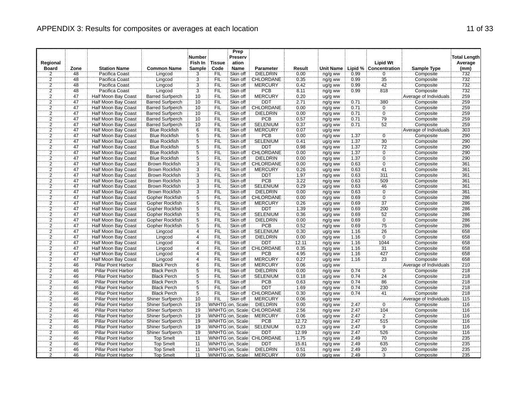|                |                 |                            |                         | <b>Number</b>    |            | Prep<br>Preserv |                           |        |           |      |                       |                        | <b>Total Length</b> |
|----------------|-----------------|----------------------------|-------------------------|------------------|------------|-----------------|---------------------------|--------|-----------|------|-----------------------|------------------------|---------------------|
| Regional       |                 |                            |                         | Fish In   Tissue |            | ation           |                           |        |           |      | <b>Lipid Wt</b>       |                        | Average             |
| <b>Board</b>   | Zone            | <b>Station Name</b>        | <b>Common Name</b>      | Sample           | Code       | <b>Name</b>     | Parameter                 | Result | Unit Name |      | Lipid % Concentration | <b>Sample Type</b>     | (mm)                |
| 2              | 48              | Pacifica Coast             | Lingcod                 | 3                | <b>FIL</b> | Skin off        | <b>DIELDRIN</b>           | 0.00   | ng/g ww   | 0.99 | 0                     | Composite              | 732                 |
| $\overline{2}$ | 48              | Pacifica Coast             | Lingcod                 | $\frac{3}{3}$    | FIL        | Skin off        | CHLORDANE                 | 0.35   | ng/g ww   | 0.99 | 35                    | Composite              | 732                 |
| $\overline{2}$ | 48              | Pacifica Coast             | Lingcod                 |                  | <b>FIL</b> | Skin off        | <b>MERCURY</b>            | 0.42   | ug/g ww   | 0.99 | 42                    | Composite              | 732                 |
| $\overline{2}$ | 48              | Pacifica Coast             | Lingcod                 | $\overline{3}$   | FIL        | Skin off        | <b>PCB</b>                | 8.11   | ng/g ww   | 0.99 | 818                   | Composite              | 732                 |
| $\frac{2}{2}$  | 47              | Half Moon Bay Coast        | <b>Barred Surfperch</b> | 10               | FIL        | Skin off        | <b>MERCURY</b>            | 0.20   | ug/g ww   |      |                       | Average of Individuals | 259                 |
|                | 47              | Half Moon Bay Coast        | <b>Barred Surfperch</b> | 10               | FIL        | Skin off        | DDT                       | 2.71   | ng/g ww   | 0.71 | 380                   | Composite              | 259                 |
|                | 47              | Half Moon Bay Coast        | <b>Barred Surfperch</b> | 10               | <b>FIL</b> | Skin off        | CHLORDANE                 | 0.00   | ng/g ww   | 0.71 |                       | Composite              | 259                 |
| $\frac{2}{2}$  | $\overline{47}$ | <b>Half Moon Bay Coast</b> | <b>Barred Surfperch</b> | 10               | ΪFIL       | Skin off        | <b>DIELDRIN</b>           | 0.00   | ng/g ww   | 0.71 | $\frac{0}{0}$         | Composite              | 259                 |
| $\overline{2}$ | 47              | Half Moon Bay Coast        | <b>Barred Surfperch</b> | 10               | FIL        | Skin off        | <b>PCB</b>                | 0.57   | ng/g ww   | 0.71 | 79                    | Composite              | 259                 |
|                | 47              | Half Moon Bay Coast        | <b>Barred Surfperch</b> | 10               | <b>FIL</b> | Skin off        | SELENIUM                  | 0.37   | ug/g ww   | 0.71 | 52                    | Composite              | 259                 |
| $\frac{2}{2}$  | 47              | Half Moon Bay Coast        | <b>Blue Rockfish</b>    | $\overline{6}$   | FIL        | Skin off        | <b>MERCURY</b>            | 0.07   | ug/g ww   |      |                       | Average of Individuals | 303                 |
| $\overline{2}$ | 47              | Half Moon Bay Coast        | <b>Blue Rockfish</b>    | $\overline{5}$   | FIL        | Skin off        | PCB                       | 0.00   | ng/g ww   | 1.37 | $\overline{0}$        | Composite              | 290                 |
| $\overline{2}$ | 47              | Half Moon Bay Coast        | <b>Blue Rockfish</b>    | $\overline{5}$   | <b>FIL</b> | Skin off        | SELENIUM                  | 0.41   | ug/g ww   | 1.37 | $\overline{30}$       | Composite              | 290                 |
| $\overline{2}$ | 47              | Half Moon Bay Coast        | <b>Blue Rockfish</b>    | $\overline{5}$   | FIL        | Skin off        | <b>DDT</b>                | 0.98   | ng/g ww   | 1.37 |                       | Composite              | 290                 |
| $\overline{2}$ | $\overline{47}$ | <b>Half Moon Bay Coast</b> | <b>Blue Rockfish</b>    | $\overline{5}$   | FIL        | Skin off        | <b>CHLORDANE</b>          | 0.00   | ng/g ww   | 1.37 | $\frac{72}{0}$        | Composite              | 290                 |
| $\overline{2}$ | 47              | Half Moon Bay Coast        | <b>Blue Rockfish</b>    | 5                | FIL        | Skin off        | <b>DIELDRIN</b>           | 0.00   | ng/g ww   | 1.37 | ö                     | Composite              | 290                 |
| $\overline{2}$ | 47              | <b>Half Moon Bay Coast</b> | <b>Brown Rockfish</b>   | $\overline{3}$   | FIL        | Skin off        | <b>CHLORDANE</b>          | 0.00   | ng/g ww   | 0.63 | $\overline{0}$        | Composite              | 361                 |
| $\overline{2}$ | 47              | Half Moon Bay Coast        | <b>Brown Rockfish</b>   | $\dddot{3}$      | ΪË         | Skin off        | <b>MERCURY</b>            | 0.26   | ug/g ww   | 0.63 | 41                    | Composite              | 361                 |
| $\overline{2}$ | 47              | Half Moon Bay Coast        | <b>Brown Rockfish</b>   | $\overline{3}$   | FIL        | Skin off        | <b>DDT</b>                | 1.97   | ng/g ww   | 0.63 | 311                   | Composite              | 361                 |
| $\overline{2}$ | 47              | <b>Half Moon Bay Coast</b> | <b>Brown Rockfish</b>   | $\overline{3}$   | FIL        | Skin off        | PCB                       | 3.22   | ng/g ww   | 0.63 | 509                   | Composite              | 361                 |
| $\overline{2}$ | 47              | Half Moon Bay Coast        | <b>Brown Rockfish</b>   | $\overline{3}$   | FIL        | Skin off        | SELENIUM                  | 0.29   | ug/g ww   | 0.63 | 46                    | Composite              | 361                 |
| $\overline{2}$ | 47              | <b>Half Moon Bay Coast</b> | <b>Brown Rockfish</b>   | $\overline{3}$   | <b>FIL</b> | Skin off        | <b>DIELDRIN</b>           | 0.00   | ng/g ww   | 0.63 | $\overline{0}$        | Composite              | 361                 |
| $\overline{2}$ | <br>47          | Half Moon Bay Coast        | Gopher Rockfish         | $\dddot{5}$      | ΪFIL       | Skin off        | CHLORDANE                 | 0.00   | ng/g ww   | 0.69 | $\overline{0}$        | Composite              | 286                 |
| $\overline{2}$ | 47              | Half Moon Bay Coast        | Gopher Rockfish         | $\overline{5}$   | <b>FIL</b> | Skin off        | <b>MERCURY</b>            | 0.26   | ug/g ww   | 0.69 | $\overline{37}$       | Composite              | 286                 |
| $\overline{2}$ | 47              | <b>Half Moon Bay Coast</b> | Gopher Rockfish         | $\overline{5}$   | FIL        | Skin off        | <b>DDT</b>                | 1.39   | ng/g ww   | 0.69 | 200                   | Composite              | 286                 |
| $\overline{2}$ | 47              | Half Moon Bay Coast        | Gopher Rockfish         | $\overline{5}$   | FIL        | Skin off        | <b>SELENIUM</b>           | 0.36   | ug/g ww   | 0.69 | 52                    | Composite              | 286                 |
| $\overline{2}$ | 47              | <b>Half Moon Bay Coast</b> | Gopher Rockfish         | 5                | FIL        | Skin off        | <b>DIELDRIN</b>           | 0.00   | ng/g ww   | 0.69 | $\overline{0}$        | Composite              | 286                 |
| $\overline{2}$ | 47              | Half Moon Bay Coast        | Gopher Rockfish         | $\overline{5}$   | `FIL       | Skin off        | <b>PCB</b>                | 0.52   | ng/g ww   | 0.69 | $\overline{75}$       | Composite              | 286                 |
| $\overline{2}$ | 47              | Half Moon Bay Coast        | Lingcod                 | $\overline{4}$   | FIL        | Skin off        | <b>SELENIUM</b>           | 0.30   | ug/g ww   | 1.16 | $\overline{26}$       | Composite              | 658                 |
| $\overline{2}$ | $\overline{47}$ | Half Moon Bay Coast        | Lingcod                 | 4                | FIL        | Skin off        | <b>DIELDRIN</b>           | 0.00   | ng/g ww   | 1.16 | $\overline{0}$        | Composite              | 658                 |
| $\overline{2}$ | 47              | Half Moon Bay Coast        | Lingcod                 | 4                | <b>FIL</b> | Skin off        | DDT                       | 12.11  | ng/g ww   | 1.16 | 1044                  | Composite              | 658                 |
|                | 47              | <b>Half Moon Bay Coast</b> | Lingcod                 | $\overline{4}$   | FIL        | Skin off        | <b>CHLORDANE</b>          | 0.35   | ng/g ww   | 1.16 | 31                    | Composite              | 658                 |
| $\frac{2}{2}$  | 47              | Half Moon Bay Coast        | Lingcod                 | $\overline{4}$   | FIL        | Skin off        | <b>PCB</b>                | 4.95   | ng/g ww   | 7.16 | 427                   | Composite              | 658                 |
| $\overline{2}$ | 47              | Half Moon Bay Coast        | Lingcod                 | $\overline{4}$   | <b>FIL</b> | Skin off        | <b>MERCURY</b>            | 0.27   | ug/g ww   | 1.16 | 23                    | Composite              | 658                 |
| $\overline{2}$ | 46              | Pillar Point Harbor        | <b>Black Perch</b>      | 6                | FIL        | Skin off        | <b>MERCURY</b>            | 0.06   | ug/g ww   |      |                       | Average of Individuals | 210                 |
| $\overline{2}$ | 46              | Pillar Point Harbor        | <b>Black Perch</b>      | $\overline{5}$   | FIL        | Skin off        | <b>DIELDRIN</b>           | 0.00   | ng/g ww   | 0.74 | Ö                     | Composite              | 218                 |
| $\overline{2}$ | 46              | <b>Pillar Point Harbor</b> | <b>Black Perch</b>      | $\overline{5}$   | FIL        | Skin off        | <b>SELENIUM</b>           | 0.18   | ug/g ww   | 0.74 | 24                    | Composite              | 218                 |
| $\overline{2}$ | 46              | <b>Pillar Point Harbor</b> | <b>Black Perch</b>      | $\overline{5}$   | <b>FIL</b> | Skin off        | PCB                       | 0.63   | ng/g ww   | 0.74 | $\overline{86}$       | Composite              | 218                 |
|                | 46              | <b>Pillar Point Harbor</b> | <b>Black Perch</b>      | $\overline{5}$   | FIL        | Skin off        | <b>DDT</b>                | 1.69   | ng/g ww   | 0.74 | 230                   | Composite              | 218                 |
| $\frac{2}{2}$  | 46              | Pillar Point Harbor        | <b>Black Perch</b>      | $\overline{5}$   | FIL        | Skin off        | <b>CHLORDANE</b>          | 0.30   | ng/g ww   | 0.74 | $\overline{41}$       | Composite              | 218                 |
| $\overline{2}$ | 46              | <b>Pillar Point Harbor</b> | Shiner Surfperch        | 10               | FIL        | Skin off        | <b>MERCURY</b>            | 0.06   | ug/g ww   |      |                       | Average of Individuals | 115                 |
| $\overline{2}$ | 46              | <b>Pillar Point Harbor</b> | <b>Shiner Surfperch</b> | 19               |            | WNHTG on, Scale | <b>DIELDRIN</b>           | 0.00   | ng/g ww   | 2.47 | $\overline{0}$        | Composite              | 116                 |
| $\overline{2}$ | 46              | Pillar Point Harbor        | Shiner Surfperch        | 19               |            |                 | WNHTG on, Scale CHLORDANE | 2.56   | ng/g ww   | 2.47 | 104                   | Composite              | $\overline{116}$    |
| $\overline{2}$ | 46              | <b>Pillar Point Harbor</b> | <b>Shiner Surfperch</b> | 19               |            | WNHTG on, Scale | <b>MERCURY</b>            | 0.06   | ug/g ww   | 2.47 | $\overline{2}$        | Composite              | 116                 |
| $\overline{2}$ | 46              | <b>Pillar Point Harbor</b> | Shiner Surfperch        | 19               |            | WNHTG on, Scale | <b>PCB</b>                | 12.72  | ng/g ww   | 2.47 | 515                   | Composite              | 116                 |
| $\overline{2}$ | 46              | Pillar Point Harbor        | Shiner Surfperch        | $\overline{19}$  |            | WNHTG on, Scale | <b>SELENIUM</b>           | 0.23   | ug/g ww   | 2.47 | `ğ                    | Composite              | 116                 |
| $\overline{2}$ | 46              | Pillar Point Harbor        | Shiner Surfperch        | 19               |            | WNHTG on, Scale | <b>DDT</b>                | 12.99  | ng/g ww   | 2.47 | 526                   | Composite              | 116                 |
| 2              | 46              | <b>Pillar Point Harbor</b> | <b>Top Smelt</b>        | 11               |            |                 | WNHTG on, Scale CHLORDANE | 1.75   | ng/g ww   | 2.49 | 70                    | Composite              | 235                 |
| $\overline{2}$ | 46              | Pillar Point Harbor        | <b>Top Smelt</b>        | $\overline{11}$  |            | WNHTG on, Scale | <b>DDT</b>                | 15.81  | ng/g ww   | 2.49 | 635                   | Composite              | 235                 |
| $\overline{2}$ | 46              | Pillar Point Harbor        | <b>Top Smelt</b>        | $\overline{11}$  |            | WNHTG on, Scale | <b>DIELDRIN</b>           | 0.51   | ng/g ww   | 2.49 | 20                    | Composite              | 235                 |
| ゔ              | 46              | Pillar Point Harbor        | <b>Top Smelt</b>        | $\overline{11}$  |            | WNHTG on, Scale | <b>MERCURY</b>            | 0.09   | ug/g ww   | 2.49 | $\overline{3}$        | Composite              | 235                 |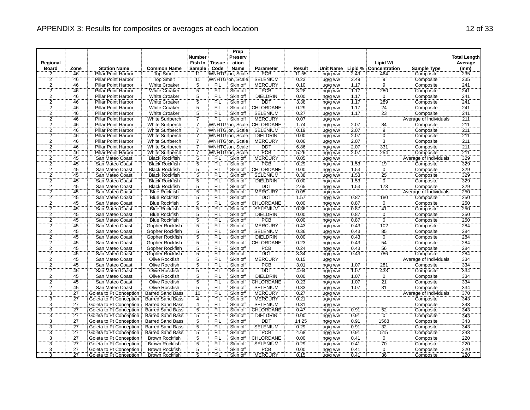|                |                 |                            |                         | <b>Number</b>  |               | Prep<br>Preserv  |                           |        |                  |      |                       |                        | <b>Total Length</b> |
|----------------|-----------------|----------------------------|-------------------------|----------------|---------------|------------------|---------------------------|--------|------------------|------|-----------------------|------------------------|---------------------|
| Regional       |                 |                            |                         | Fish In        | <b>Tissue</b> | ation            |                           |        |                  |      | <b>Lipid Wt</b>       |                        | Average             |
| <b>Board</b>   | Zone            | <b>Station Name</b>        | <b>Common Name</b>      | <b>Sample</b>  | Code          | Name             | <b>Parameter</b>          | Result | <b>Unit Name</b> |      | Lipid % Concentration | Sample Type            | (mm)                |
| $\overline{2}$ | 46              | <b>Pillar Point Harbor</b> | <b>Top Smelt</b>        | 11             |               | WNHTG on, Scale  | PCB                       | 11.55  | ng/g ww          | 2.49 | 464                   | Composite              | 235                 |
|                | 46              | Pillar Point Harbor        | <b>Top Smelt</b>        | 11             |               | WNHTG on, Scale  | <b>SELENIUM</b>           | 0.23   | ug/g ww          | 2.49 |                       | Composite              | 235                 |
| $\frac{2}{2}$  | 46              | <b>Pillar Point Harbor</b> | <b>White Croaker</b>    | $\overline{5}$ | FIL           | Skin off         | MERCURY                   | 0.10   | ug/g ww          | 1.17 | $\frac{9}{9}$         | Composite              | 241                 |
|                | 46              | Pillar Point Harbor        | <b>White Croaker</b>    | $\overline{5}$ | <b>FIL</b>    | Skin off         | <b>PCB</b>                | 3.28   | ng/g ww          | 1.17 | 280                   | Composite              | 241                 |
| $\overline{2}$ | 46              | Pillar Point Harbor        | <b>White Croaker</b>    | $\overline{5}$ | FIL           | Skin off         | <b>DIELDRIN</b>           | 0.00   | ng/g ww          | 1.17 | $\overline{0}$        | Composite              | 241                 |
| $\overline{2}$ | 46              | <b>Pillar Point Harbor</b> | <b>White Croaker</b>    | $\overline{5}$ | <b>FIL</b>    | Skin off         | <b>DDT</b>                | 3.38   | ng/g ww          | 1.17 | 289                   | Composite              | 241                 |
|                | 46              | <b>Pillar Point Harbor</b> | <b>White Croaker</b>    |                | <b>FIL</b>    | Skin off         | CHLORDANE                 | 0.29   | ng/g ww          | 1.17 | 24                    | Composite              | 241                 |
| $\frac{2}{2}$  | 46              | Pillar Point Harbor        | <b>White Croaker</b>    | $rac{5}{5}$    | ΈİĹ           | Skin off         | <b>SELENIUM</b>           | 0.27   | ug/g ww          | 7.17 | $\overline{23}$       | Composite              | 241                 |
| $\overline{2}$ | 46              | <b>Pillar Point Harbor</b> | <b>White Surfperch</b>  | 7              | FIL           | Skin off         | <b>MERCURY</b>            | 0.07   | ug/g ww          |      |                       | Average of Individuals | 211                 |
|                | 46              | <b>Pillar Point Harbor</b> | White Surfperch         | 7              |               |                  | WNHTG on, Scale CHLORDANE | 1.74   | ng/g ww          | 2.07 | 84                    | Composite              | 211                 |
| $\frac{2}{2}$  | 46              | <b>Pillar Point Harbor</b> | White Surfperch         | 7              |               | WNHTG on, Scale  | SELENIUM                  | 0.19   | ug/g ww          | 2.07 | ġ.                    | Composite              | 211                 |
| $\overline{2}$ | 46              | Pillar Point Harbor        | White Surfperch         | 7              |               | WNHTG on, Scale  | <b>DIELDRIN</b>           | 0.00   | ng/g ww          | 2.07 | $\overline{0}$        | Composite              | 211                 |
| $\overline{2}$ | 46              | Pillar Point Harbor        | White Surfperch         | 7              |               | WNHTG on, Scale  | <b>MERCURY</b>            | 0.06   | ug/g ww          | 2.07 | 3                     | Composite              | 211                 |
| $\overline{2}$ | 46              | Pillar Point Harbor        | <b>White Surfperch</b>  |                |               | WNHTG on, Scale  | <b>DDT</b>                | 6.86   | ng/g ww          | 2.07 | 331                   | Composite              | 211                 |
| $\overline{2}$ | 46              | <b>Pillar Point Harbor</b> | White Surfperch         | 7              |               | WNHTG on, Scale: | PCB                       | 5.26   | ng/g ww          | 2.07 | 254                   | Composite              | 211                 |
| $\overline{2}$ | 45              | San Mateo Coast            | <b>Black Rockfish</b>   | 5              | <b>FIL</b>    | Skin off         | <b>MERCURY</b>            | 0.05   | ug/g ww          |      |                       | Average of Individuals | 329                 |
|                | 45              | San Mateo Coast            | <b>Black Rockfish</b>   | $\overline{5}$ | <b>FIL</b>    | Skin off         | <b>PCB</b>                | 0.29   | ng/g ww          | 1.53 | 19                    | Composite              | 329                 |
| $\frac{2}{2}$  | 45              | San Mateo Coast            | <b>Black Rockfish</b>   | $\ddot{5}$     | FIL           | Skin off         | <b>CHLORDANE</b>          | 0.00   | ng/g ww          | 1.53 | $\overline{0}$        | Composite              | 329                 |
| $\overline{2}$ | 45              | San Mateo Coast            | <b>Black Rockfish</b>   | $\overline{5}$ | FIL           | Skin off         | <b>SELENIUM</b>           | 0.38   | ug/g ww          | 1.53 | 25                    | Composite              | 329                 |
| $\overline{2}$ | 45              | San Mateo Coast            | <b>Black Rockfish</b>   | $\overline{5}$ | <b>FIL</b>    | Skin off         | <b>DIELDRIN</b>           | 0.00   | ng/g ww          | 1.53 | $\overline{0}$        | Composite              | 329                 |
| $\overline{2}$ | 45              | San Mateo Coast            | <b>Black Rockfish</b>   | $\overline{5}$ | FIL           | Skin off         | DDT                       | 2.65   | ng/g ww          | 1.53 | 173                   | Composite              | 329                 |
|                | 45              | San Mateo Coast            | <b>Blue Rockfish</b>    | 5              | FIL           | Skin off         | <b>MERCURY</b>            | 0.05   | ug/g ww          |      |                       | Average of Individuals | 250                 |
| $\frac{2}{2}$  | 45              | San Mateo Coast            | <b>Blue Rockfish</b>    | $\ddot{5}$     | ΪFIL          | Skin off         | <b>DDT</b>                | 1.57   | ng/g ww          | 0.87 | $\overline{180}$      | Composite              | 250                 |
| $\overline{2}$ | 45              | San Mateo Coast            | <b>Blue Rockfish</b>    | $\overline{5}$ | <b>FIL</b>    | Skin off         | CHLORDANE                 | 0.00   | ng/g ww          | 0.87 | $\overline{0}$        | Composite              | 250                 |
| $\overline{2}$ | 45              | San Mateo Coast            | <b>Blue Rockfish</b>    | $\overline{5}$ | FIL           | Skin off         | <b>SELENIUM</b>           | 0.36   | ug/g ww          | 0.87 | 41                    | Composite              | 250                 |
| $\overline{2}$ | 45              | San Mateo Coast            | <b>Blue Rockfish</b>    | $\overline{5}$ | FIL           | Skin off         | <b>DIELDRIN</b>           | 0.00   | ng/g ww          | 0.87 | $\overline{0}$        | Composite              | 250                 |
| $\overline{2}$ | 45              | San Mateo Coast            | <b>Blue Rockfish</b>    | $\overline{5}$ | FIL           | Skin off         | PCB                       | 0.00   | ng/g ww          | 0.87 | $\overline{0}$        | Composite              | 250                 |
| $\overline{2}$ | 45              | San Mateo Coast            | Gopher Rockfish         | $\overline{5}$ | FIL           | Skin off         | <b>MERCURY</b>            | 0.43   | ug/g ww          | 0.43 | 102                   | Composite              | 284                 |
| $\overline{2}$ | 45              | San Mateo Coast            | Gopher Rockfish         | $\overline{5}$ | FIL           | Skin off         | <b>SELENIUM</b>           | 0.36   | ug/g ww          | 0.43 | 85                    | Composite              | 284                 |
| $\overline{2}$ | 45              | San Mateo Coast            | Gopher Rockfish         | $\overline{5}$ | FIL           | Skin off         | <b>DIELDRIN</b>           | 0.00   | ng/g ww          | 0.43 | ö                     | Composite              | 284                 |
| $\overline{2}$ | 45              | San Mateo Coast            | Gopher Rockfish         | $\overline{5}$ | FIL           | Skin off         | CHLORDANE                 | 0.23   | ng/g ww          | 0.43 | 54                    | Composite              | 284                 |
| $\overline{2}$ | 45              | San Mateo Coast            | Gopher Rockfish         | 5              | FIL           | Skin off         | <b>PCB</b>                | 0.24   | ng/g ww          | 0.43 | 56                    | Composite              | 284                 |
| $\overline{2}$ | 45              | San Mateo Coast            | Gopher Rockfish         | $\overline{5}$ | ΪFIL          | Skin off         | ÖĎΤ                       | 3.34   | ng/g ww          | 0.43 | 786                   | Composite              | 284                 |
| $\overline{2}$ | 45              | San Mateo Coast            | Olive Rockfish          | $\overline{5}$ | <b>FIL</b>    | Skin off         | <b>MERCURY</b>            | 0.15   | ug/g ww          |      |                       | Average of Individuals | 334                 |
| $\overline{2}$ | 45              | San Mateo Coast            | <b>Olive Rockfish</b>   | $\overline{5}$ | FIL           | Skin off         | PCB                       | 3.01   | ng/g ww          | 1.07 | 281                   | Composite              | 334                 |
| $\overline{2}$ | 45              | San Mateo Coast            | Olive Rockfish          | $\overline{5}$ | FIL           | Skin off         | <b>DDT</b>                | 4.64   | ng/g ww          | 1.07 | 433                   | Composite              | 334                 |
| $\overline{2}$ | 45              | San Mateo Coast            | <b>Olive Rockfish</b>   | $\overline{5}$ | FIL           | Skin off         | <b>DIELDRIN</b>           | 0.00   | ng/g ww          | 1.07 | $\overline{0}$        | Composite              | 334                 |
| $\overline{2}$ | 45              | San Mateo Coast            | Olive Rockfish          | $\overline{5}$ | <b>FIL</b>    | Skin off         | <b>CHLORDANE</b>          | 0.23   | ng/g ww          | 1.07 | $\overline{21}$       | Composite              | 334                 |
| $\overline{2}$ | 45              | San Mateo Coast            | <b>Olive Rockfish</b>   | $\overline{5}$ | <b>FIL</b>    | Skin off         | <b>SELENIUM</b>           | 0.33   | ug/g ww          | 1.07 | 31                    | Composite              | 334                 |
| $\overline{3}$ | $\overline{27}$ | Goleta to Pt Conception    | <b>Barred Sand Bass</b> | 10             | FIL           | Skin off         | <b>MERCURY</b>            | 0.27   | ug/g ww          |      |                       | Average of Individuals | 370                 |
| 3              | 27              | Goleta to Pt Conception    | <b>Barred Sand Bass</b> | $\overline{4}$ | <b>FIL</b>    | Skin off         | <b>MERCURY</b>            | 0.21   | ug/g ww          |      |                       | Composite              | 343                 |
| $\overline{3}$ | 27              | Goleta to Pt Conception    | <b>Barred Sand Bass</b> | $\overline{4}$ | FIL           | Skin off         | <b>SELENIUM</b>           | 0.31   | ug/g ww          |      |                       | Composite              | 343                 |
| $\overline{3}$ | 27              | Goleta to Pt Conception    | <b>Barred Sand Bass</b> | $\dddot{5}$    | Έiϊ           | Skin off         | CHLORDANE                 | 0.47   | ng/g ww          | 0.91 | 52                    | Composite              | 343                 |
| $\overline{3}$ | $\overline{27}$ | Goleta to Pt Conception    | <b>Barred Sand Bass</b> | $\overline{5}$ | <b>FIL</b>    | Skin off         | <b>DIELDRIN</b>           | 0.00   | ng/g ww          | 0.91 | $\overline{0}$        | Composite              | 343                 |
| $\overline{3}$ | $\overline{27}$ | Goleta to Pt Conception    | <b>Barred Sand Bass</b> | $\overline{5}$ | <b>FIL</b>    | Skin off         | <b>DDT</b>                | 14.25  | ng/g ww          | 0.91 | 1568                  | Composite              | 343                 |
| $\overline{3}$ | $\overline{27}$ | Goleta to Pt Conception    | <b>Barred Sand Bass</b> | $\overline{5}$ | FIL           | Skin off         | SELENIUM                  | 0.29   | ug/g ww          | 0.91 | 32                    | Composite              | 343                 |
| $\overline{3}$ | 27              | Goleta to Pt Conception    | <b>Barred Sand Bass</b> | $\overline{5}$ | FIL           | Skin off         | <b>PCB</b>                | 4.68   | ng/g ww          | 0.91 | 515                   | Composite              | 343                 |
| 3              | $\overline{27}$ | Goleta to Pt Conception    | <b>Brown Rockfish</b>   | 5              | <b>FIL</b>    | Skin off         | CHLORDANE                 | 0.00   | ng/g ww          | 0.41 | $\mathbf 0$           | Composite              | 220                 |
| $\overline{3}$ | 27              | Goleta to Pt Conception    | <b>Brown Rockfish</b>   | $\overline{5}$ | FIL           | Skin off         | <b>SELENIUM</b>           | 0.29   | ug/g ww          | 0.41 | $\overline{70}$       | Composite              | 220                 |
| $\overline{3}$ | $\overline{27}$ | Goleta to Pt Conception    | <b>Brown Rockfish</b>   | $\overline{5}$ | ÏΪ            | Skin off         | <b>PCB</b>                | 0.00   | ng/g ww          | 0.41 | $\overline{0}$        | Composite              | 220                 |
| 3              | 27              | Goleta to Pt Conception    | <b>Brown Rockfish</b>   | 5              | <b>FIL</b>    | Skin off         | <b>MERCURY</b>            | 0.15   | ug/g ww          | 0.41 | 36                    | Composite              | 220                 |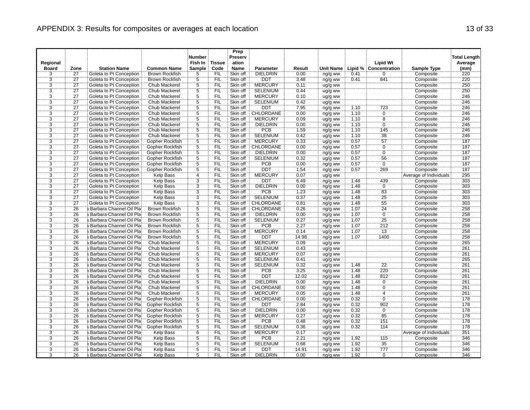|                |                 |                           |                       | <b>Number</b>  |               | Prep<br>Preserv |                  |        |           |      |                            |                        | <b>Total Length</b> |
|----------------|-----------------|---------------------------|-----------------------|----------------|---------------|-----------------|------------------|--------|-----------|------|----------------------------|------------------------|---------------------|
| Regional       |                 |                           |                       | Fish In        | <b>Tissue</b> | ation           |                  |        |           |      | <b>Lipid Wt</b>            |                        | Average             |
| <b>Board</b>   | Zone            | <b>Station Name</b>       | <b>Common Name</b>    | <b>Sample</b>  | Code          | <b>Name</b>     | <b>Parameter</b> | Result | Unit Name |      | Lipid % Concentration      | <b>Sample Type</b>     | (mm)                |
| 3              | $\overline{27}$ | Goleta to Pt Conception   | <b>Brown Rockfish</b> | 5              | FIL           | Skin off        | <b>DIELDRIN</b>  | 0.00   | ng/g ww   | 0.41 | $\mathbf 0$                | Composite              | 220                 |
|                | 27              | Goleta to Pt Conception   | <b>Brown Rockfish</b> | $\frac{5}{5}$  | FIL           | Skin off        | <b>DDT</b>       | 3.48   | ng/g ww   | 0.41 | 841                        | Composite              | 220                 |
| $\frac{3}{3}$  | 27              | Goleta to Pt Conception   | Chub Mackerel         |                | <b>FIL</b>    | Skin off        | <b>MERCURY</b>   | 0.11   | ug/g ww   |      |                            | Composite              | 250                 |
| $\overline{3}$ | $\overline{27}$ | Goleta to Pt Conception   | <b>Chub Mackerel</b>  | $\overline{5}$ | <b>FIL</b>    | Skin off        | <b>SELENIUM</b>  | 0.44   | ug/g ww   |      |                            | Composite              | 250                 |
| $\overline{3}$ | $\overline{27}$ | Goleta to Pt Conception   | Chub Mackerel         | $\overline{5}$ | FIL           | Skin off        | <b>MERCURY</b>   | 0.10   | ug/g ww   |      |                            | Composite              | 246                 |
| 3              | $\overline{27}$ | Goleta to Pt Conception   | Chub Mackerel         | $\overline{5}$ | <b>FIL</b>    | Skin off        | <b>SELENIUM</b>  | 0.42   | ug/g ww   |      |                            | Composite              | 246                 |
| $\overline{3}$ | 27              | Goleta to Pt Conception   | Chub Mackerel         | $\frac{5}{5}$  | FIL           | Skin off        | <b>DDT</b>       | 7.95   | ng/g ww   | 1.10 | 723                        | Composite              | 246                 |
| $\overline{3}$ | 27              | Goleta to Pt Conception   | Chub Mackerel         |                | ΪFIL          | Skin off        | CHLORDANE        | 0.00   | ng/g ww   | 1.10 | Ö                          | Composite              | 246                 |
| $\overline{3}$ | $\overline{27}$ | Goleta to Pt Conception   | <b>Chub Mackerel</b>  | 5              | <b>FIL</b>    | Skin off        | <b>MERCURY</b>   | 0.09   | ug/g ww   | 1.10 | $\overline{8}$             | Composite              | 246                 |
| $\overline{3}$ | $\overline{27}$ | Goleta to Pt Conception   | Chub Mackerel         | $\frac{5}{5}$  | <b>FIL</b>    | Skin off        | <b>DIELDRIN</b>  | 0.00   | ng/g ww   | 1.10 | $\overline{0}$             | Composite              | 246                 |
| 3              | $\overline{27}$ | Goleta to Pt Conception   | Chub Mackerel         |                | FIL           | Skin off        | <b>PCB</b>       | 1.59   | ng/g ww   | 1.10 | 145                        | Composite              | 246                 |
| $\overline{3}$ | 27              | Goleta to Pt Conception   | Chub Mackerel         | $\overline{5}$ | FIL           | Skin off        | <b>SELENIUM</b>  | 0.42   | ug/g ww   | 1.10 | 38                         | Composite              | 246                 |
| 3              | $\overline{27}$ | Goleta to Pt Conception   | Gopher Rockfish       | $\overline{5}$ | <b>FIL</b>    | Skin off        | <b>MERCURY</b>   | 0.33   | ug/g ww   | 0.57 | 57                         | Composite              | 187                 |
| $\overline{3}$ | $\overline{27}$ | Goleta to Pt Conception   | Gopher Rockfish       | $\overline{5}$ | FIL           | Skin off        | CHLORDANE        | 0.00   | ng/g ww   | 0.57 | $\overline{0}$             | Composite              | 187                 |
| $\overline{3}$ | 27              | Goleta to Pt Conception   | Gopher Rockfish       | $\overline{5}$ | FIL           | Skin off        | <b>DIELDRIN</b>  | 0.00   | ng/g ww   | 0.57 | $\overline{0}$             | Composite              | 187                 |
| $\overline{3}$ | 27              | Goleta to Pt Conception   | Gopher Rockfish       | 5              | FIL           | Skin off        | <b>SELENIUM</b>  | 0.32   | ug/g ww   | 0.57 | 56                         | Composite              | 187                 |
| $\overline{3}$ | 27              | Goleta to Pt Conception   | Gopher Rockfish       | $\overline{5}$ | FIL           | Skin off        | <b>PCB</b>       | 0.00   | ng/g ww   | 0.57 | $\overline{0}$             | Composite              | 187                 |
| $\overline{3}$ | $\dddot{27}$    | Goleta to Pt Conception   | Gopher Rockfish       | $\overline{5}$ | FIL           | Skin off        | DDT              | 1.54   | ng/g ww   | 0.57 | 269                        | Composite              | 787                 |
| $\overline{3}$ | $\overline{27}$ | Goleta to Pt Conception   | <b>Kelp Bass</b>      | 4              | FIL           | Skin off        | <b>MERCURY</b>   | 0.07   | ug/g ww   |      |                            | Average of Individuals | 295                 |
| $\overline{3}$ | $\overline{27}$ | Goleta to Pt Conception   | <b>Kelp Bass</b>      | $\overline{3}$ | <b>FIL</b>    | Skin off        | DDT              | 6.49   | ng/g ww   | 1.48 | 439                        | Composite              | 303                 |
| $\overline{3}$ | 27              | Goleta to Pt Conception   | <b>Kelp Bass</b>      | 3              | FIL           | Skin off        | <b>DIELDRIN</b>  | 0.00   | ng/g ww   | 1.48 | Ö                          | Composite              | 303                 |
| $\overline{3}$ | 27              | Goleta to Pt Conception   | <b>Kelp Bass</b>      | $\overline{3}$ | FIL           | Skin off        | <b>PCB</b>       | 1.23   | ng/g ww   | 1.48 | 83                         | Composite              | 303                 |
| $\overline{3}$ | 27              | Goleta to Pt Conception   | <b>Kelp Bass</b>      | $\dddot{3}$    | ΈÏĹ           | Skin off        | <b>SELENIUM</b>  | 0.37   | ug/g ww   | 1.48 | $\overline{25}$            | Composite              | 303                 |
| $\overline{3}$ | $\overline{27}$ | Goleta to Pt Conception   | <b>Kelp Bass</b>      | $\overline{3}$ | FIL           | Skin off        | CHLORDANE        | 0.81   | ng/g ww   | 1.48 | 55                         | Composite              | 303                 |
| $\overline{3}$ | 26              | a Barbara Channel Oil Pla | <b>Brown Rockfish</b> | $\overline{5}$ | FIL           | Skin off        | <b>CHLORDANE</b> | 0.26   | ng/g ww   | 1.07 | 24                         | Composite              | 258                 |
| 3              | 26              | Barbara Channel Oil Pla   | <b>Brown Rockfish</b> | $\overline{5}$ | FIL           | Skin off        | <b>DIELDRIN</b>  | 0.00   | ng/g ww   | 1.07 | Ö                          | Composite              | 258                 |
| $\overline{3}$ | 26              | Barbara Channel Oil Pla   | <b>Brown Rockfish</b> | $\overline{5}$ | FIL           | Skin off        | <b>SELENIUM</b>  | 0.27   | ug/g ww   | 1.07 | 25                         | Composite              | 258                 |
| $\overline{3}$ | 26              | Barbara Channel Oil Pla   | <b>Brown Rockfish</b> | 5              | FIL           | Skin off        | <b>PCB</b>       | 2.27   | ng/g ww   | 1.07 | 212                        | Composite              | 258                 |
| $\overline{3}$ | 26              | Barbara Channel Oil Pla   | <b>Brown Rockfish</b> | $\overline{5}$ | FIL           | Skin off        | <b>MERCURY</b>   | 0.14   | ug/g ww   | 1.07 | $\overline{13}$            | Composite              | 258                 |
| $\overline{3}$ | 26              | Barbara Channel Oil Pla   | <b>Brown Rockfish</b> | $\overline{5}$ | FIL           | Skin off        | <b>DDT</b>       | 14.98  | ng/g ww   | 1.07 | 1400                       | Composite              | 258                 |
| $\overline{3}$ | 26              | Barbara Channel Oil Pla   | Chub Mackerel         | $\overline{5}$ | <b>FIL</b>    | Skin off        | <b>MERCURY</b>   | 0.09   | ug/g ww   |      |                            | Composite              | 265                 |
| $\overline{3}$ | 26              | Barbara Channel Oil Pla   | Chub Mackerel         | 5              | <b>FIL</b>    | Skin off        | <b>SELENIUM</b>  | 0.43   | ug/g ww   |      |                            | Composite              | 261                 |
| $\overline{3}$ | $\overline{26}$ | Barbara Channel Oil Pla   | Chub Mackerel         | $\overline{5}$ | `FIL          | Skin off        | <b>MERCURY</b>   | 0.07   | ug/g ww   |      |                            | Composite              | 261                 |
| $\overline{3}$ | 26              | Barbara Channel Oil Pla   | <b>Chub Mackerel</b>  | $\overline{5}$ | <b>FIL</b>    | Skin off        | <b>SELENIUM</b>  | 0.41   | ug/g ww   |      |                            | Composite              | 265                 |
| $\overline{3}$ | 26              | Barbara Channel Oil Pla   | Chub Mackerel         | $\overline{5}$ | FIL           | Skin off        | <b>SELENIUM</b>  | 0.32   | ug/g ww   | 1.48 | $\overline{2}\overline{2}$ | Composite              | 261                 |
| $\overline{3}$ | 26              | a Barbara Channel Oil Pla | Chub Mackerel         | $\overline{5}$ | FIL           | Skin off        | <b>PCB</b>       | 3.25   | ng/g ww   | 1.48 | 220                        | Composite              | 261                 |
| $\overline{3}$ | 26              | Barbara Channel Oil Pla   | Chub Mackerel         | $\overline{5}$ | FIL           | Skin off        | <b>DDT</b>       | 12.02  | ng/g ww   | 1.48 | 812                        | Composite              | 261                 |
| $\overline{3}$ | 26              | Barbara Channel Oil Pla   | Chub Mackerel         | $\overline{5}$ | <b>FIL</b>    | Skin off        | <b>DIELDRIN</b>  | 0.00   | ng/g ww   | 1.48 | $\overline{0}$             | Composite              | 261                 |
| $\overline{3}$ | 26              | Barbara Channel Oil Pla   | <b>Chub Mackerel</b>  | $\overline{5}$ | <b>FIL</b>    | Skin off        | CHLORDANE        | 0.00   | ng/g ww   | 1.48 | $\overline{0}$             | Composite              | 261                 |
| $\overline{3}$ | 26              | Barbara Channel Oil Pla   | Chub Mackerel         | $\overline{5}$ | FIL           | Skin off        | <b>MERCURY</b>   | 0.05   | ug/g ww   | 1.48 | $\frac{4}{0}$              | Composite              | 261                 |
| 3              | 26              | Barbara Channel Oil Pla   | Gopher Rockfish       | $\overline{5}$ | <b>FIL</b>    | Skin off        | CHLORDANE        | 0.00   | ng/g ww   | 0.32 |                            | Composite              | 178                 |
| $\overline{3}$ | 26              | Barbara Channel Oil Pla   | Gopher Rockfish       | 5              | FIL           | Skin off        | <b>DDT</b>       | 2.84   | ng/g ww   | 0.32 | 902                        | Composite              | 178                 |
| $\overline{3}$ | $\overline{26}$ | Barbara Channel Oil Pla   | Gopher Rockfish       | $\overline{5}$ | ΪFIL          | Skin off        | DIELDRIN         | 0.00   | ng/g ww   | 0.32 | Ö                          | Composite              | 178                 |
| $\overline{3}$ | 26              | Barbara Channel Oil Pla   | Gopher Rockfish       | $\overline{5}$ | FIL           | Skin off        | <b>MERCURY</b>   | 0.27   | ug/g ww   | 0.32 | 85                         | Composite              | 178                 |
| $\overline{3}$ | 26              | a Barbara Channel Oil Pla | Gopher Rockfish       | 5              | <b>FIL</b>    | Skin off        | <b>PCB</b>       | 0.48   | ng/g ww   | 0.32 | 151                        | Composite              | 178                 |
| 3              | 26              | a Barbara Channel Oil Pla | Gopher Rockfish       | $\overline{5}$ | FIL           | Skin off        | <b>SELENIUM</b>  | 0.36   | ug/g ww   | 0.32 | 114                        | Composite              | 178                 |
| 3              | 26              | Barbara Channel Oil Pla   | Kelp Bass             | 6              | FIL           | Skin off        | <b>MERCURY</b>   | 0.17   | ug/g ww   |      |                            | Average of Individuals | 351                 |
| 3              | $\overline{26}$ | Barbara Channel Oil Pla   | <b>Kelp Bass</b>      | Ï5             | <b>FIL</b>    | Skin off        | PCB              | 2.21   | ng/g ww   | 1.92 | $\overline{115}$           | Composite              | 346                 |
| $\overline{3}$ | 26              | Barbara Channel Oil Pla   | <b>Kelp Bass</b>      | $\overline{5}$ | FIL           | Skin off        | <b>SELENIUM</b>  | 0.68   | ug/g ww   | 1.92 | 35                         | Composite              | 346                 |
| $\overline{3}$ | 26              | a Barbara Channel Oil Pla | <b>Kelp Bass</b>      | $\overline{5}$ | FIL           | Skin off        | <b>DDT</b>       | 14.91  | ng/g ww   | 1.92 | 777                        | Composite              | 346                 |
| $\overline{3}$ | 26              | a Barbara Channel Oil Pla | <b>Kelp Bass</b>      | 5              | <b>FIL</b>    | Skin off        | <b>DIELDRIN</b>  | 0.00   | ng/g ww   | 1.92 | $\mathbf 0$                | Composite              | 346                 |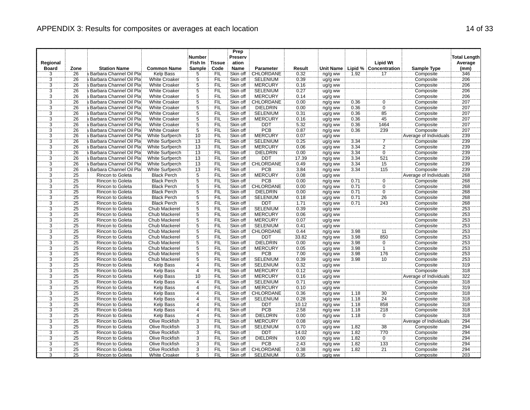|                                  |                 |                                             |                                  | <b>Number</b>       |                   | Prep<br>Preserv      |                                   |               |                    |              |                              |                        | <b>Total Length</b> |
|----------------------------------|-----------------|---------------------------------------------|----------------------------------|---------------------|-------------------|----------------------|-----------------------------------|---------------|--------------------|--------------|------------------------------|------------------------|---------------------|
| Regional                         |                 |                                             |                                  | Fish In             | <b>Tissue</b>     | ation                |                                   |               |                    |              | <b>Lipid Wt</b>              |                        | Average             |
| <b>Board</b>                     | Zone            | <b>Station Name</b>                         | <b>Common Name</b>               | Sample              | Code              | <b>Name</b>          | <b>Parameter</b>                  | Result        | Unit Name          |              | <b>Lipid % Concentration</b> | <b>Sample Type</b>     | (mm)                |
| 3                                | 26              | a Barbara Channel Oil Pla                   | Kelp Bass                        | 5                   | FIL               | Skin off             | CHLORDANE                         | 0.32          | ng/g ww            | 1.92         | 17                           | Composite              | 346                 |
| $\frac{3}{3}$                    | 26              | Barbara Channel Oil Pla                     | <b>White Croaker</b>             | $\frac{5}{5}$       | FIL               | Skin off             | <b>SELENIUM</b>                   | 0.39          | ug/g ww            |              |                              | Composite              | 206                 |
|                                  | $\overline{26}$ | Barbara Channel Oil Pla                     | <b>White Croaker</b>             |                     | <b>FIL</b>        | Skin off             | <b>MERCURY</b>                    | 0.16          | ug/g ww            |              |                              | Composite              | 206                 |
| $\overline{3}$                   | 26              | Barbara Channel Oil Pla                     | <b>White Croaker</b>             | $\overline{5}$      | <b>FIL</b>        | Skin off             | <b>SELENIUM</b>                   | 0.27          | ug/g ww            |              |                              | Composite              | 206                 |
| $\overline{3}$                   | 26              | a Barbara Channel Oil Pla                   | <b>White Croaker</b>             | $\overline{5}$      | FIL               | Skin off             | <b>MERCURY</b>                    | 0.14          | ug/g ww            |              |                              | Composite              | 206                 |
| 3                                | 26              | Barbara Channel Oil Pla                     | <b>White Croaker</b>             | 5                   | <b>FIL</b>        | Skin off             | CHLORDANE                         | 0.00          | ng/g ww            | 0.36         | 0                            | Composite              | 207                 |
| $\overline{3}$                   | 26              | Barbara Channel Oil Pla                     | <b>White Croaker</b>             | $rac{5}{5}$         | FIL               | Skin off             | <b>DIELDRIN</b>                   | 0.00          | ng/g ww            | 0.36         | $\overline{0}$               | Composite              | 207                 |
| $\overline{3}$                   | $\overline{26}$ | Barbara Channel Oil Pla                     | <b>White Croaker</b>             |                     | ΪFIL              | Skin off             | <b>SELENIUM</b>                   | 0.31          | ug/g ww            | 0.36         | $\overline{85}$              | Composite              | 207                 |
| $\overline{3}$                   | 26              | Barbara Channel Oil Pla                     | <b>White Croaker</b>             | $\overline{5}$      | <b>FIL</b>        | Skin off             | <b>MERCURY</b>                    | 0.16          | ug/g ww            | 0.36         | 45                           | Composite              | 207                 |
| $\overline{3}$                   | 26              | Barbara Channel Oil Pla                     | <b>White Croaker</b>             | $\frac{5}{5}$       | FIL               | Skin off             | <b>DDT</b>                        | 5.32          | ng/g ww            | 0.36         | 1464                         | Composite              | 207                 |
| 3                                | 26              | a Barbara Channel Oil Pla                   | <b>White Croaker</b>             |                     | FIL               | Skin off             | PCB                               | 0.87          | ng/g ww            | 0.36         | 239                          | Composite              | 207                 |
| $\overline{3}$                   | 26              | Barbara Channel Oil Pla                     | <b>White Surfperch</b>           | 10                  | FIL               | Skin off             | <b>MERCURY</b>                    | 0.07          | ug/g ww            |              |                              | Average of Individuals | 239                 |
| 3                                | 26              | Barbara Channel Oil Pla                     | White Surfperch                  | 13                  | <b>FIL</b>        | Skin off             | <b>SELENIUM</b>                   | 0.25          | ug/g ww            | 3.34         | 7                            | Composite              | 239                 |
| $\overline{3}$                   | 26              | Barbara Channel Oil Pla                     | <b>White Surfperch</b>           | 13                  | FIL               | Skin off             | <b>MERCURY</b>                    | 0.06          | ug/g ww            | 3.34         | $\overline{2}$               | Composite              | 239                 |
| $\overline{3}$                   | 26              | a Barbara Channel Oil Pla                   | White Surfperch                  | 13                  | FIL               | Skin off             | <b>DIELDRIN</b>                   | 0.00          | ng/g ww            | 3.34         | $\overline{0}$               | Composite              | 239                 |
| $\overline{3}$                   | 26              | Barbara Channel Oil Pla                     | White Surfperch                  | 13                  | FIL               | Skin off             | DDT                               | 17.39         | ng/g ww            | 3.34         | 521                          | Composite              | 239                 |
| $\overline{3}$                   | 26              | Barbara Channel Oil Pla                     | White Surfperch                  | 13                  | FIL               | Skin off             | <b>CHLORDANE</b>                  | 0.49          | ng/g ww            | 3.34         | 15                           | Composite              | 239                 |
| 3                                | 26              | Barbara Channel Oil Pla                     | White Surfperch                  | 13                  | FIL               | Skin off             | <b>PCB</b>                        | 3.84          | ng/g ww            | 3.34         | $\overline{115}$             | Composite              | 239                 |
| $\overline{3}$                   | 25              | <b>Rincon to Goleta</b>                     | <b>Black Perch</b>               | $\overline{5}$      | FIL               | Skin off             | <b>MERCURY</b>                    | 0.08          | ug/g ww            |              |                              | Average of Individuals | 268                 |
| $\overline{3}$                   | 25              | <b>Rincon to Goleta</b>                     | <b>Black Perch</b>               | $\overline{5}$      | <b>FIL</b>        | Skin off             | <b>PCB</b>                        | 0.00          | ng/g ww            | 0.71         | $\overline{0}$               | Composite              | 268                 |
| 3                                | 25              | Rincon to Goleta                            | <b>Black Perch</b>               | $\overline{5}$      | FIL               | Skin off             | CHLORDANE                         | 0.00          | ng/g ww            | 0.71         | $\overline{0}$               | Composite              | 268                 |
| $\overline{3}$                   | 25              | <b>Rincon to Goleta</b>                     | <b>Black Perch</b>               | $\overline{5}$      | FIL               | Skin off             | <b>DIELDRIN</b>                   | 0.00          | ng/g ww            | 0.71         | $\overline{0}$               | Composite              | 268                 |
| 3                                | 25              | <b>Rincon to Goleta</b>                     | <b>Black Perch</b>               | $\overline{5}$      | `FIL              | Skin off             | <b>SELENIUM</b>                   | 0.18          | ug/g ww            | 0.71         | 26                           | Composite              | 268                 |
| $\overline{3}$                   | 25              | <b>Rincon to Goleta</b>                     | <b>Black Perch</b>               | $\overline{5}$      | FIL               | Skin off             | <b>DDT</b>                        | 1.71          | ng/g ww            | 0.71         | 243                          | Composite              | 268                 |
| $\overline{3}$                   | 25              | Rincon to Goleta                            | Chub Mackerel                    | $\overline{5}$      | FIL               | Skin off             | <b>SELENIUM</b>                   | 0.39          | ug/g ww            |              |                              | Composite              | 253                 |
| 3                                | 25              | <b>Rincon to Goleta</b>                     | Chub Mackerel                    | $\overline{5}$      | FIL               | Skin off             | <b>MERCURY</b>                    | 0.06          | ug/g ww            |              |                              | Composite              | 253                 |
| $\overline{3}$                   | 25              | <b>Rincon to Goleta</b>                     | Chub Mackerel                    | $\overline{5}$      | FIL               | Skin off             | <b>MERCURY</b>                    | 0.07          | ug/g ww            |              |                              | Composite              | 253                 |
| $\overline{3}$                   | 25              | <b>Rincon to Goleta</b>                     | Chub Mackerel                    | $\overline{5}$      | FIL               | Skin off             | <b>SELENIUM</b>                   | 0.41          | ug/g ww            |              |                              | Composite              | 253                 |
| $\overline{3}$                   | 25              | <b>Rincon to Goleta</b>                     | <b>Chub Mackerel</b>             | $\overline{5}$      | FIL               | Skin off             | CHLORDANE                         | 0.44          | ng/g ww            | 3.98         | 11                           | Composite              | 253                 |
| $\overline{3}$                   | 25              | Rincon to Goleta                            | Chub Mackerel                    | $\overline{5}$      | FIL               | Skin off             | <b>DDT</b>                        | 33.82         | ng/g ww            | 3.98         | 850                          | Composite              | 253                 |
| $\overline{3}$                   | 25              | Rincon to Goleta                            | Chub Mackerel                    | $\overline{5}$      | <b>FIL</b>        | Skin off             | <b>DIELDRIN</b>                   | 0.00          | ng/g ww            | 3.98         | $\overline{0}$               | Composite              | 253                 |
| $\overline{3}$                   | 25              | <b>Rincon to Goleta</b>                     | Chub Mackerel                    | 5                   | FIL               | Skin off             | <b>MERCURY</b>                    | 0.05          | ug/g ww            | 3.98         | Ĩ.                           | Composite              | 253                 |
| $\overline{3}$                   | $\overline{25}$ | Rincon to Goleta                            | Chub Mackerel                    | $\overline{5}$      | ΪFIL              | Skin off             | PCB                               | 7.00          | ng/g ww            | 3.98         | 176                          | Composite              | 253                 |
| $\overline{3}$                   | 25              | <b>Rincon to Goleta</b>                     | Chub Mackerel                    | $\overline{5}$      | <b>FIL</b>        | Skin off             | <b>SELENIUM</b>                   | 0.39          | ug/g ww            | 3.98         | $\overline{10}$              | Composite              | 253                 |
| $\overline{3}$                   | 25              | Rincon to Goleta                            | <b>Kelp Bass</b>                 | 4<br>Ï4             | FIL               | Skin off             | <b>SELENIUM</b>                   | 0.32          | ug/g ww            |              |                              | Composite              | 319                 |
| $\overline{3}$                   | $\overline{25}$ | Rincon to Goleta                            | Kelp Bass                        |                     | FIL               | Skin off             | <b>MERCURY</b>                    | 0.12          | ug/g ww            |              |                              | Composite              | 318                 |
| $\overline{3}$                   | 25              | <b>Rincon to Goleta</b>                     | <b>Kelp Bass</b>                 | 10                  | <b>FIL</b>        | Skin off             | <b>MERCURY</b><br><b>SELENIUM</b> | 0.16          | ug/g ww            |              |                              | Average of Individuals | 322<br>318          |
| 3                                | 25              | <b>Rincon to Goleta</b>                     | Kelp Bass                        | 4<br>$\overline{4}$ | `FIL              | Skin off             |                                   | 0.71          | ug/g ww            |              |                              | Composite              |                     |
| $\overline{3}$<br>$\overline{3}$ | 25              | <b>Rincon to Goleta</b>                     | <b>Kelp Bass</b>                 |                     | <b>FIL</b><br>FIL | Skin off             | <b>MERCURY</b>                    | 0.10          | ug/g ww            |              |                              | Composite              | 319                 |
| 3                                | 25<br>25        | Rincon to Goleta                            | Kelp Bass<br>Kelp Bass           | $\overline{4}$<br>4 | <b>FIL</b>        | Skin off<br>Skin off | CHLORDANE<br><b>SELENIUM</b>      | 0.36          | ng/g ww            | 1.18<br>1.18 | 30<br>$\overline{24}$        | Composite              | 318<br>318          |
| $\overline{3}$                   | 25              | Rincon to Goleta<br><b>Rincon to Goleta</b> | <b>Kelp Bass</b>                 | $\overline{4}$      | FIL               | Skin off             | <b>DDT</b>                        | 0.28<br>10.12 | ug/g ww            | 1.18         | 858                          | Composite<br>Composite | 318                 |
| $\overline{3}$                   | 25              |                                             |                                  | 4                   | <b>FIL</b>        | Skin off             | PCB                               | 2.58          | ng/g ww            | 1.18         |                              |                        | 318                 |
| $\overline{3}$                   | 25              | Rincon to Goleta                            | Kelp Bass                        | $\overline{4}$      | FIL               | Skin off             | <b>DIELDRIN</b>                   |               | ng/g ww            | 1.18         | 218<br>$\overline{0}$        | Composite              | 318                 |
| $\overline{3}$                   | 25              | <b>Rincon to Goleta</b><br>Rincon to Goleta | <b>Kelp Bass</b>                 | 3                   | <b>FIL</b>        | Skin off             | <b>MERCURY</b>                    | 0.00<br>0.08  | ng/g ww            |              |                              | Composite              | 294                 |
| 3                                | $\overline{25}$ | Rincon to Goleta                            | Olive Rockfish<br>Olive Rockfish | 3                   | FIL               | Skin off             | <b>SELENIUM</b>                   | 0.70          | ug/g ww            |              | $\overline{38}$              | Average of Individuals | 294                 |
| $\overline{3}$                   | 25              | <b>Rincon to Goleta</b>                     | <b>Olive Rockfish</b>            | $\overline{3}$      | FIL               | Skin off             | <b>DDT</b>                        | 14.02         | ug/g ww            | 1.82<br>1.82 | 770                          | Composite<br>Composite | 294                 |
| 3                                | $\overline{25}$ | Rincon to Goleta                            | Olive Rockfish                   | 3                   | <b>FIL</b>        | Skin off             | <b>DIELDRIN</b>                   | 0.00          | ng/g ww            | 1.82         | $\overline{0}$               | Composite              | 294                 |
| $\overline{3}$                   | 25              | <b>Rincon to Goleta</b>                     | <b>Olive Rockfish</b>            | $\overline{3}$      | FIL               | Skin off             | PCB                               | 2.43          | ng/g ww            | 1.82         | 133                          | Composite              | 294                 |
| $\overline{3}$                   | $\overline{25}$ | Rincon to Goleta                            | Olive Rockfish                   | $\overline{3}$      | ÏΪ                | Skin off             | CHLORDANE                         | 0.38          | ng/g ww            | 1.82         | $\overline{21}$              | Composite              | 294                 |
| $\overline{3}$                   | $\overline{25}$ | <b>Rincon to Goleta</b>                     | <b>White Croaker</b>             | 5                   | FIL               | Skin off             | <b>SELENIUM</b>                   | 0.35          | ng/g ww<br>ug/g ww |              |                              | Composite              | 203                 |
|                                  |                 |                                             |                                  |                     |                   |                      |                                   |               |                    |              |                              |                        |                     |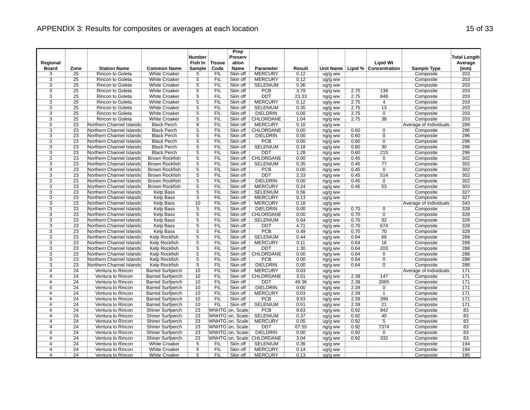|                |                 |                          |                         | <b>Number</b>   |               | Prep<br>Preserv  |                 |        |         |      |                                 |                               | <b>Total Length</b> |
|----------------|-----------------|--------------------------|-------------------------|-----------------|---------------|------------------|-----------------|--------|---------|------|---------------------------------|-------------------------------|---------------------|
| Regional       |                 |                          |                         | Fish In         | <b>Tissue</b> | ation            |                 |        |         |      | <b>Lipid Wt</b>                 |                               | Average             |
| <b>Board</b>   | Zone            | <b>Station Name</b>      | <b>Common Name</b>      | <b>Sample</b>   | Code          | <b>Name</b>      | Parameter       | Result |         |      | Unit Name Lipid % Concentration | <b>Sample Type</b>            | (mm)                |
| 3              | $\overline{25}$ | Rincon to Goleta         | <b>White Croaker</b>    | 5               | FIL           | Skin off         | <b>MERCURY</b>  | 0.12   | ug/g ww |      |                                 | Composite                     | 203                 |
| $\frac{3}{3}$  | 25              | <b>Rincon to Goleta</b>  | <b>White Croaker</b>    | $\frac{5}{5}$   | FIL           | Skin off         | <b>MERCURY</b>  | 0.12   | ug/g ww |      |                                 | Composite                     | 203                 |
|                | $\overline{25}$ | <b>Rincon to Goleta</b>  | <b>White Croaker</b>    |                 | <b>FIL</b>    | Skin off         | <b>SELENIUM</b> | 0.36   | ug/g ww |      |                                 | Composite                     | $\overline{203}$    |
| $\overline{3}$ | 25              | <b>Rincon to Goleta</b>  | <b>White Croaker</b>    | $\overline{5}$  | <b>FIL</b>    | Skin off         | PCB             | 3.79   | ng/g ww | 2.75 | 138                             | Composite                     | 203                 |
| $\overline{3}$ | 25              | Rincon to Goleta         | <b>White Croaker</b>    | $\overline{5}$  | FIL           | Skin off         | <b>DDT</b>      | 23.33  | ng/g ww | 2.75 | 848                             | Composite                     | 203                 |
| 3              | $\overline{25}$ | Rincon to Goleta         | <b>White Croaker</b>    | 5               | <b>FIL</b>    | Skin off         | <b>MERCURY</b>  | 0.12   | ug/g ww | 2.75 | $\overline{4}$                  | Composite                     | 203                 |
| $\overline{3}$ | 25              | <b>Rincon to Goleta</b>  | <b>White Croaker</b>    | $rac{5}{5}$     | FIL           | Skin off         | <b>SELENIUM</b> | 0.35   | ug/g ww | 2.75 | 13                              | Composite                     | 203                 |
| $\overline{3}$ | 25              | Rincon to Goleta         | <b>White Croaker</b>    |                 | ΪFIL          | Skin off         | <b>DIELDRIN</b> | 0.00   | ng/g ww | 2.75 | $\overline{0}$                  | Composite                     | 203                 |
| $\overline{3}$ | 25              | <b>Rincon to Goleta</b>  | <b>White Croaker</b>    | $\overline{5}$  | <b>FIL</b>    | Skin off         | CHLORDANE       | 1.04   | ng/g ww | 2.75 | 38                              | Composite                     | 203                 |
| $\overline{3}$ | 23              | Northern Channel Islands | <b>Black Perch</b>      | $\frac{8}{5}$   | <b>FIL</b>    | Skin off         | <b>MERCURY</b>  | 0.10   | ug/g ww |      |                                 | Average of Individuals        | 289                 |
| 3              | 23              | Northern Channel Islands | <b>Black Perch</b>      |                 | FIL           | Skin off         | CHLORDANE       | 0.00   | ng/g ww | 0.60 | $\ddot{\mathbf{0}}$             | Composite                     | 296                 |
| $\overline{3}$ | 23              | Northern Channel Islands | <b>Black Perch</b>      | 5               | FIL           | Skin off         | <b>DIELDRIN</b> | 0.00   | ng/g ww | 0.60 | $\overline{0}$                  | Composite                     | 296                 |
| 3              | $\overline{23}$ | Northern Channel Islands | <b>Black Perch</b>      | Ï5              | <b>FIL</b>    | Skin off         | <b>PCB</b>      | 0.00   | ng/g ww | 0.60 | ö                               | Composite                     | 296                 |
| $\overline{3}$ | 23              | Northern Channel Islands | <b>Black Perch</b>      | $\overline{5}$  | FIL           | Skin off         | <b>SELENIUM</b> | 0.18   | ug/g ww | 0.60 | 30                              | Composite                     | 296                 |
| $\overline{3}$ | 23              | Northern Channel Islands | <b>Black Perch</b>      | $\overline{5}$  | FIL           | Skin off         | <b>DDT</b>      | 1.28   | ng/g ww | 0.60 | 215                             | Composite                     | 296                 |
| $\overline{3}$ | 23              | Northern Channel Islands | <b>Brown Rockfish</b>   | 5               | FIL           | Skin off         | CHLORDANE       | 0.00   | ng/g ww | 0.45 | Ö                               | Composite                     | 302                 |
| $\overline{3}$ | 23              | Northern Channel Islands | <b>Brown Rockfish</b>   | $\overline{5}$  | FIL           | Skin off         | <b>SELENIUM</b> | 0.35   | ug/g ww | 0.45 | 77                              | Composite                     | 302                 |
| 3              | $\overline{23}$ | Northern Channel Islands | <b>Brown Rockfish</b>   | $\ddot{5}$      | FIL           | Skin off         | <b>PCB</b>      | 0.00   | ng/g ww | 0.45 | $\overline{0}$                  | Composite                     | 302                 |
| $\overline{3}$ | 23              | Northern Channel Islands | <b>Brown Rockfish</b>   | $\overline{5}$  | FIL           | Skin off         | <b>DDT</b>      | 2.33   | ng/g ww | 0.45 | 514                             | Composite                     | 302                 |
| $\overline{3}$ | 23              | Northern Channel Islands | <b>Brown Rockfish</b>   | $\overline{5}$  | <b>FIL</b>    | Skin off         | <b>DIELDRIN</b> | 0.00   | ng/g ww | 0.45 | $\mathbf 0$                     | Composite                     | 302                 |
| 3              | 23              | Northern Channel Islands | <b>Brown Rockfish</b>   | $\overline{5}$  | FIL           | Skin off         | <b>MERCURY</b>  | 0.24   | ug/g ww | 0.45 | $\overline{53}$                 | Composite                     | 302                 |
| $\overline{3}$ | 23              | Northern Channel Islands | Kelp Bass               | 5               | FIL           | Skin off         | <b>SELENIUM</b> | 0.56   | ug/g ww |      |                                 | Composite                     | 327                 |
| 3              | $\overline{23}$ | Northern Channel Islands | <b>Kelp Bass</b>        | 5               | `FIL          | Skin off         | <b>MERCURY</b>  | 0.13   | ug/g ww |      |                                 | Composite                     | 327                 |
| $\overline{3}$ | 23              | Northern Channel Islands | <b>Kelp Bass</b>        | 10              | FIL           | Skin off         | <b>MERCURY</b>  | 0.18   | ug/g ww |      |                                 | <b>Average of Individuals</b> | 343                 |
| $\overline{3}$ | 23              | Northern Channel Islands | Kelp Bass               | $\overline{5}$  | FIL           | Skin off         | <b>DIELDRIN</b> | 0.00   | ng/g ww | 0.70 | Ö                               | Composite                     | 328                 |
| 3              | 23              | Northern Channel Islands | <b>Kelp Bass</b>        | $\overline{5}$  | FIL           | Skin off         | CHLORDANE       | 0.00   | ng/g ww | 0.70 | Ö                               | Composite                     | 328                 |
| $\overline{3}$ | 23              | Northern Channel Islands | <b>Kelp Bass</b>        | $\overline{5}$  | FIL           | Skin off         | <b>SELENIUM</b> | 0.64   | ug/g ww | 0.70 | 92                              | Composite                     | 328                 |
| $\overline{3}$ | $\overline{23}$ | Northern Channel Islands | Kelp Bass               | $\overline{5}$  | FIL           | Skin off         | DDT             | 4.71   | ng/g ww | 0.70 | 674                             | Composite                     | 328                 |
| $\overline{3}$ | 23              | Northern Channel Islands | <b>Kelp Bass</b>        | $\overline{5}$  | FIL           | Skin off         | <b>PCB</b>      | 0.49   | ng/g ww | 0.70 | $\overline{70}$                 | Composite                     | 328                 |
| $\overline{3}$ | 23              | Northern Channel Islands | <b>Kelp Rockfish</b>    | $\frac{5}{5}$   | FIL           | Skin off         | <b>SELENIUM</b> | 0.44   | ug/g ww | 0.64 | 69                              | Composite                     | 288                 |
| $\overline{3}$ | 23              | Northern Channel Islands | Kelp Rockfish           |                 | <b>FIL</b>    | Skin off         | <b>MERCURY</b>  | 0.11   | ug/g ww | 0.64 | $\overline{16}$                 | Composite                     | 288                 |
| $\overline{3}$ | 23              | Northern Channel Islands | Kelp Rockfish           | 5               | <b>FIL</b>    | Skin off         | DDT             | 1.30   | ng/g ww | 0.64 | 203                             | Composite                     | 288                 |
| $\overline{3}$ | $\overline{23}$ | Northern Channel Islands | Kelp Rockfish           | $\frac{5}{5}$   | ΪFIL          | Skin off         | CHLORDANE       | 0.00   | ng/g ww | 0.64 | $\overline{0}$                  | Composite                     | 288                 |
| $\overline{3}$ | 23              | Northern Channel Islands | Kelp Rockfish           | $\overline{5}$  | <b>FIL</b>    | Skin off         | <b>PCB</b>      | 0.00   | ng/g ww | 0.64 | $\overline{0}$                  | Composite                     | 288                 |
| $\overline{3}$ | 23              | Northern Channel Islands | Kelp Rockfish           | $\overline{5}$  | FIL           | Skin off         | <b>DIELDRIN</b> | 0.00   | ng/g ww | 0.64 | $\overline{0}$                  | Composite                     | 288                 |
| 4              | $\overline{24}$ | Ventura to Rincon        | <b>Barred Surfperch</b> | 10              | FIL           | Skin off         | <b>MERCURY</b>  | 0.03   | ug/g ww |      |                                 | Average of Individuals        | 171                 |
| $\overline{4}$ | 24              | Ventura to Rincon        | <b>Barred Surfperch</b> | 10              | FIL           | Skin off         | CHLORDANE       | 3.51   | ng/g ww | 2.39 | 147                             | Composite                     | 171                 |
| 4              | $\overline{24}$ | Ventura to Rincon        | <b>Barred Surfperch</b> | 10              | <b>FIL</b>    | Skin off         | DDT             | 49.36  | ng/g ww | 2.39 | 2065                            | Composite                     | 171                 |
| $\overline{4}$ | 24              | Ventura to Rincon        | <b>Barred Surfperch</b> | 10              | <b>FIL</b>    | Skin off         | <b>DIELDRIN</b> | 0.00   | ng/g ww | 2.39 | $\overline{0}$                  | Composite                     | 171                 |
| 4              | $\overline{24}$ | Ventura to Rincon        | <b>Barred Surfperch</b> | 10              | FIL           | Skin off         | <b>MERCURY</b>  | 0.03   | ug/g ww | 2.39 | Ï                               | Composite                     | 171                 |
| 4              | $\overline{24}$ | Ventura to Rincon        | <b>Barred Surfperch</b> | 10              | <b>FIL</b>    | Skin off         | <b>PCB</b>      | 9.53   | ng/g ww | 2.39 | 399                             | Composite                     | 171                 |
| 4              | 24              | Ventura to Rincon        | <b>Barred Surfperch</b> | 10              | FIL           | Skin off         | <b>SELENIUM</b> | 0.51   | ug/g ww | 2.39 | 21                              | Composite                     | 171                 |
| Ä,             | $\overline{24}$ | Ventura to Rincon        | Shiner Surfperch        | 23              |               | WNHTG on, Scale  | PCB             | 8.63   | ng/g ww | 0.92 | 942                             | Composite                     | $\overline{83}$     |
| 4              | $\overline{24}$ | Ventura to Rincon        | <b>Shiner Surfperch</b> | 23              |               | WNHTG on, Scale  | <b>SELENIUM</b> | 0.37   | ug/g ww | 0.92 | 40                              | Composite                     | 83                  |
| $\overline{4}$ | $\overline{24}$ | Ventura to Rincon        | Shiner Surfperch        | 23              |               | WNHTG on, Scale  | <b>MERCURY</b>  | 0.05   | ug/g ww | 0.92 | $\overline{5}$                  | Composite                     | 83                  |
| 4              | $\overline{24}$ | Ventura to Rincon        | Shiner Surfperch        | $\overline{23}$ |               | WNHTG on, Scale  | <b>DDT</b>      | 67.55  | ng/g ww | 0.92 | 7374                            | Composite                     | 83                  |
| 4              | 24              | Ventura to Rincon        | Shiner Surfperch        | 23              |               | WNHTG on, Scale  | <b>DIELDRIN</b> | 0.00   | ng/g ww | 0.92 | $\overline{0}$                  | Composite                     | 83                  |
| $\overline{4}$ | $\overline{24}$ | Ventura to Rincon        | Shiner Surfperch        | 23              |               | WNHTG on, Scale: | CHLORDANE       | 3.04   | ng/g ww | 0.92 | 332                             | Composite                     | $\overline{83}$     |
| 4              | $\overline{24}$ | Ventura to Rincon        | <b>White Croaker</b>    | $\frac{5}{5}$   | FIL           | Skin off         | <b>SELENIUM</b> | 0.36   | ug/g ww |      |                                 | Composite                     | 194                 |
| $\overline{4}$ | $\overline{24}$ | Ventura to Rincon        | <b>White Croaker</b>    |                 | FIL           | Skin off         | <b>MERCURY</b>  | 0.14   | ug/g ww |      |                                 | Composite                     | 194                 |
| 4              | $\overline{24}$ | Ventura to Rincon        | <b>White Croaker</b>    | 5               | FIL           | Skin off         | <b>MERCURY</b>  | 0.13   | ug/g ww |      |                                 | Composite                     | 195                 |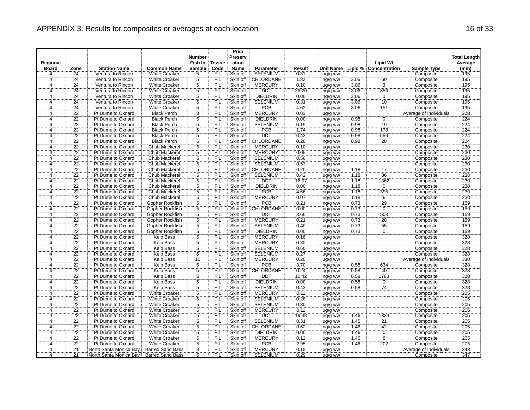|                |                 |                        |                         | <b>Number</b>  |               | Prep<br>Preserv |                  |        |           |      |                       |                        | <b>Total Length</b> |
|----------------|-----------------|------------------------|-------------------------|----------------|---------------|-----------------|------------------|--------|-----------|------|-----------------------|------------------------|---------------------|
| Regional       |                 |                        |                         | Fish In        | <b>Tissue</b> | ation           |                  |        |           |      | <b>Lipid Wt</b>       |                        | Average             |
| <b>Board</b>   | Zone            | <b>Station Name</b>    | <b>Common Name</b>      | <b>Sample</b>  | Code          | <b>Name</b>     | Parameter        | Result | Unit Name |      | Lipid % Concentration | <b>Sample Type</b>     | (mm)                |
| 4              | 24              | Ventura to Rincon      | <b>White Croaker</b>    | 5              | FIL           | Skin off        | <b>SELENIUM</b>  | 0.31   | ug/g ww   |      |                       | Composite              | 195                 |
| $\overline{4}$ | $\overline{24}$ | Ventura to Rincon      | <b>White Croaker</b>    | $\frac{5}{5}$  | FIL           | Skin off        | CHLORDANE        | 1.82   | ng/g ww   | 3.06 | $\frac{60}{3}$        | Composite              | 195                 |
| 4              | $\overline{24}$ | Ventura to Rincon      | <b>White Croaker</b>    |                | <b>FIL</b>    | Skin off        | <b>MERCURY</b>   | 0.10   | ug/g ww   | 3.06 |                       | Composite              | 195                 |
| Ä,             | $\overline{24}$ | Ventura to Rincon      | <b>White Croaker</b>    | $\overline{5}$ | FIL           | Skin off        | <b>DDT</b>       | 26.20  | ng/g ww   | 3.06 | 856                   | Composite              | 195                 |
| $\overline{4}$ | $\overline{24}$ | Ventura to Rincon      | <b>White Croaker</b>    | $\overline{5}$ | FIL           | Skin off        | <b>DIELDRIN</b>  | 0.00   | ng/g ww   | 3.06 | $\overline{0}$        | Composite              | 195                 |
| 4              | 24              | Ventura to Rincon      | <b>White Croaker</b>    | $\overline{5}$ | FIL           | Skin off        | <b>SELENIUM</b>  | 0.31   | ug/g ww   | 3.06 | 10                    | Composite              | 195                 |
| 4              | 24              | Ventura to Rincon      | <b>White Croaker</b>    |                | FIL           | Skin off        | <b>PCB</b>       | 4.62   | ng/g ww   | 3.06 | 151                   | Composite              | 195                 |
| ï,             | $\overline{22}$ | Pt Dume to Oxnard      | <b>Black Perch</b>      | $rac{5}{8}$    | ΪFIL          | Skin off        | <b>MERCURY</b>   | 0.03   | ug/g ww   |      |                       | Average of Individuals | 208                 |
| $\overline{4}$ | 22              | Pt Dume to Oxnard      | <b>Black Perch</b>      | $\overline{5}$ | FIL           | Skin off        | <b>DIELDRIN</b>  | 0.00   | ng/g ww   | 0.98 | $\overline{0}$        | Composite              | 224                 |
| 4              | 22              | Pt Dume to Oxnard      | <b>Black Perch</b>      |                | FIL           | Skin off        | <b>SELENIUM</b>  | 0.19   | ug/g ww   | 0.98 | 19                    | Composite              | 224                 |
| $\ddot{4}$     | $\overline{22}$ | Pt Dume to Oxnard      | <b>Black Perch</b>      | $\frac{5}{5}$  | FIL           | Skin off        | <b>PCB</b>       | 174    | ng/g ww   | 0.98 | 178                   | Composite              | 224                 |
| 4              | 22              | Pt Dume to Oxnard      | <b>Black Perch</b>      | $\overline{5}$ | FIL           | Skin off        | <b>DDT</b>       | 6.43   | ng/g ww   | 0.98 | 656                   | Composite              | 224                 |
| $\overline{4}$ | 22              | Pt Dume to Oxnard      | <b>Black Perch</b>      | Ï5             | <b>FIL</b>    | Skin off        | CHLORDANE        | 0.28   | ng/g ww   | 0.98 | $\overline{28}$       | Composite              | 224                 |
| 4              | 22              | Pt Dume to Oxnard      | <b>Chub Mackerel</b>    | $\overline{5}$ | FIL           | Skin off        | <b>MERCURY</b>   | 0.10   | ug/g ww   |      |                       | Composite              | 230                 |
| $\overline{4}$ | 22              | Pt Dume to Oxnard      | Chub Mackerel           | $\overline{5}$ | FIL           | Skin off        | <b>MERCURY</b>   | 0.05   | ug/g ww   |      |                       | Composite              | 230                 |
| 4              | 22              | Pt Dume to Oxnard      | Chub Mackerel           | 5              | FIL           | Skin off        | <b>SELENIUM</b>  | 0.56   | ug/g ww   |      |                       | Composite              | 230                 |
| $\overline{4}$ | 22              | Pt Dume to Oxnard      | Chub Mackerel           | 5              | FIL           | Skin off        | <b>SELENIUM</b>  | 0.53   | ug/g ww   |      |                       | Composite              | 230                 |
| <br>4          | $\overline{22}$ | Pt Dume to Oxnard      | Chub Mackerel           | $\overline{5}$ | ΪFIL          | Skin off        | CHLORDANE        | 0.20   | ng/g ww   | 1.18 | <br>17                | Composite              | 230                 |
| 4              | 22              | Pt Dume to Oxnard      | <b>Chub Mackerel</b>    | $\overline{5}$ | FIL           | Skin off        | <b>SELENIUM</b>  | 0.42   | ug/g ww   | 1.18 | 36                    | Composite              | 230                 |
| $\overline{4}$ | $\overline{22}$ | Pt Dume to Oxnard      | Chub Mackerel           | $\overline{5}$ | <b>FIL</b>    | Skin off        | <b>DDT</b>       | 16.07  | ng/g ww   | 1.18 | 1362                  | Composite              | 230                 |
| 4              | $\overline{22}$ | Pt Dume to Oxnard      | Chub Mackerel           | $\overline{5}$ | FIL           | Skin off        | DIELDRIN         | 0.00   | ng/g ww   | 1.18 | Ö                     | Composite              | 230                 |
| 4              | 22              | Pt Dume to Oxnard      | Chub Mackerel           | $\overline{5}$ | FIL           | Skin off        | <b>PCB</b>       | 4.66   | ng/g ww   | 1.18 | 395                   | Composite              | 230                 |
| $\overline{4}$ | $\overline{22}$ | Pt Dume to Oxnard      | Chub Mackerel           | $\ddot{5}$     | FIL           | Skin off        | <b>MERCURY</b>   | 0.07   | ug/g ww   | 1.18 | $\overline{6}$        | Composite              | 230                 |
| 4              | $\overline{22}$ | Pt Dume to Oxnard      | Gopher Rockfish         | $\overline{5}$ | FIL           | Skin off        | <b>PCB</b>       | 0.21   | ng/g ww   | 0.73 | 29                    | Composite              | 159                 |
| $\overline{4}$ | 22              | Pt Dume to Oxnard      | Gopher Rockfish         | $\overline{5}$ | FIL           | Skin off        | <b>CHLORDANE</b> | 0.00   | ng/g ww   | 0.73 | $\overline{0}$        | Composite              | 159                 |
| 4              | 22              | Pt Dume to Oxnard      | Gopher Rockfish         | $\overline{5}$ | FIL           | Skin off        | <b>DDT</b>       | 3.66   | ng/g ww   | 0.73 | 503                   | Composite              | 159                 |
| $\overline{4}$ | 22              | Pt Dume to Oxnard      | Gopher Rockfish         | $\overline{5}$ | FIL           | Skin off        | <b>MERCURY</b>   | 0.21   | ug/g ww   | 0.73 | 28                    | Composite              | 159                 |
| 4              | $\overline{22}$ | Pt Dume to Oxnard      | Gopher Rockfish         | $\overline{5}$ | Έiϊ           | Skin off        | <b>SELENIUM</b>  | 0.40   | ug/g ww   | 0.73 | $\overline{55}$       | Composite              | 759                 |
| $\overline{4}$ | 22              | Pt Dume to Oxnard      | Gopher Rockfish         | $\overline{5}$ | FIL           | Skin off        | <b>DIELDRIN</b>  | 0.00   | ng/g ww   | 0.73 | $\overline{0}$        | Composite              | 159                 |
| $\overline{4}$ | 22              | Pt Dume to Oxnard      | <b>Kelp Bass</b>        |                | FIL           | Skin off        | <b>MERCURY</b>   | 0.16   | ug/g ww   |      |                       | Composite              | 328                 |
| 4              | $\overline{22}$ | Pt Dume to Oxnard      | Kelp Bass               | $\frac{5}{5}$  | FIL           | Skin off        | <b>MERCURY</b>   | 0.30   | ug/g ww   |      |                       | Composite              | 328                 |
| 4              | 22              | Pt Dume to Oxnard      | Kelp Bass               |                | FIL           | Skin off        | <b>SELENIUM</b>  | 0.60   | ug/g ww   |      |                       | Composite              | 328                 |
| ï,             | $\overline{22}$ | Pt Dume to Oxnard      | Kelp Bass               | $\frac{5}{5}$  | ΪFIL          | Skin off        | <b>SELENIUM</b>  | 0.27   | ug/g ww   |      |                       | Composite              | 328                 |
| $\overline{4}$ | $\overline{22}$ | Pt Dume to Oxnard      | <b>Kelp Bass</b>        | 10             | <b>FIL</b>    | Skin off        | <b>MERCURY</b>   | 0.20   | ug/g ww   |      |                       | Average of Individuals | 330                 |
| 4              | 22              | Pt Dume to Oxnard      | <b>Kelp Bass</b>        |                | FIL           | Skin off        | PCB              | 3.70   | ng/g ww   | 0.58 | 634                   | Composite              | 328                 |
| 4              | $\overline{22}$ | Pt Dume to Oxnard      | Kelp Bass               | $\frac{5}{5}$  | FIL           | Skin off        | <b>CHLORDANE</b> | 0.24   | ng/g ww   | 0.58 | 40                    | Composite              | 328                 |
| $\overline{4}$ | 22              | Pt Dume to Oxnard      | <b>Kelp Bass</b>        |                | FIL           | Skin off        | <b>DDT</b>       | 10.42  | ng/g ww   | 0.58 | 1788                  | Composite              | 328                 |
| 4              | 22              | Pt Dume to Oxnard      | Kelp Bass               | $\frac{5}{5}$  | <b>FIL</b>    | Skin off        | <b>DIELDRIN</b>  | 0.00   | ng/g ww   | 0.58 | $\overline{0}$        | Composite              | 328                 |
| $\overline{4}$ | 22              | Pt Dume to Oxnard      | <b>Kelp Bass</b>        | $\overline{5}$ | <b>FIL</b>    | Skin off        | <b>SELENIUM</b>  | 0.43   | ug/g ww   | 0.58 | 74                    | Composite              | 328                 |
| 4              | $\overline{22}$ | Pt Dume to Oxnard      | <b>White Croaker</b>    | $\overline{5}$ | FIL           | Skin off        | <b>MERCURY</b>   | 0.11   | ug/g ww   |      |                       | Composite              | 205                 |
| 4              | $\overline{22}$ | Pt Dume to Oxnard      | <b>White Croaker</b>    | $\overline{5}$ | FIL           | Skin off        | <b>SELENIUM</b>  | 0.28   | ug/g ww   |      |                       | Composite              | 205                 |
| 4              | 22              | Pt Dume to Oxnard      | <b>White Croaker</b>    | $\overline{5}$ | FIL           | Skin off        | <b>SELENIUM</b>  | 0.30   | ug/g ww   |      |                       | Composite              | 205                 |
| Ä              | $\overline{22}$ | Pt Dume to Oxnard      | <b>White Croaker</b>    | $\dddot{5}$    | ΪFIL          | Skin off        | <b>MERCURY</b>   | 0.11   | ug/g ww   |      |                       | Composite              | 205                 |
| $\overline{4}$ | 22              | Pt Dume to Oxnard      | <b>White Croaker</b>    | $\overline{5}$ | FIL           | Skin off        | <b>DDT</b>       | 19.48  | ng/g ww   | 1.46 | 1334                  | Composite              | 205                 |
| $\overline{4}$ | $\overline{22}$ | Pt Dume to Oxnard      | <b>White Croaker</b>    | $\overline{5}$ | <b>FIL</b>    | Skin off        | <b>SELENIUM</b>  | 0.31   | ug/g ww   | 1.46 | $\overline{21}$       | Composite              | 205                 |
| 4              | 22              | Pt Dume to Oxnard      | White Croaker           | 5              | FIL           | Skin off        | CHLORDANE        | 0.62   | ng/g ww   | 1.46 | 42                    | Composite              | 205                 |
| 4              | 22              | Pt Dume to Oxnard      | <b>White Croaker</b>    | $\overline{5}$ | FIL           | Skin off        | <b>DIELDRIN</b>  | 0.00   | ng/g ww   | 1.46 | $\overline{0}$        | Composite              | 205                 |
| $\overline{4}$ | $\overline{22}$ | Pt Dume to Oxnard      | <b>White Croaker</b>    | Ġ              | `FIL          | Skin off        | <b>MERCURY</b>   | 0.12   | ug/g ww   | 1.46 | $\overline{\bf 8}$    | Composite              | 205                 |
| $\overline{4}$ | 22              | Pt Dume to Oxnard      | <b>White Croaker</b>    | $\overline{5}$ | FIL           | Skin off        | PCB              | 2.95   | ng/g ww   | 1.46 | 202                   | Composite              | 205                 |
| $\overline{4}$ | $\overline{21}$ | North Santa Monica Bay | <b>Barred Sand Bass</b> | $\overline{8}$ | FIL           | Skin off        | <b>MERCURY</b>   | 0.18   | ug/g ww   |      |                       | Average of Individuals | 343                 |
| 4              | $\overline{21}$ | North Santa Monica Bay | <b>Barred Sand Bass</b> | 5              | FIL           | Skin off        | <b>SELENIUM</b>  | 0.29   | ug/g ww   |      |                       | Composite              | 347                 |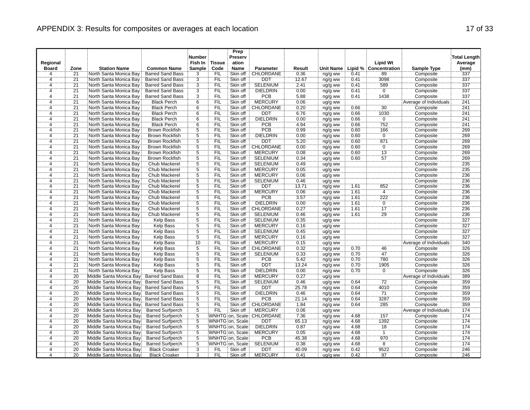|                     |                 |                                                    |                                                    | <b>Number</b>                    |                   | Prep<br>Preserv                     |                               |               |                    |              |                            |                                     | <b>Total Length</b> |
|---------------------|-----------------|----------------------------------------------------|----------------------------------------------------|----------------------------------|-------------------|-------------------------------------|-------------------------------|---------------|--------------------|--------------|----------------------------|-------------------------------------|---------------------|
| Regional            |                 |                                                    |                                                    | Fish In                          | <b>Tissue</b>     | ation                               |                               |               |                    |              | <b>Lipid Wt</b>            |                                     | Average             |
| <b>Board</b>        | Zone            | <b>Station Name</b>                                | <b>Common Name</b>                                 | Sample                           | Code              | Name                                | <b>Parameter</b>              | Result        | <b>Unit Name</b>   |              | Lipid % Concentration      | Sample Type                         | (mm)                |
| $\overline{4}$      | 21              | North Santa Monica Bay                             | <b>Barred Sand Bass</b>                            | 3                                | <b>FIL</b>        | Skin off                            | CHLORDANE                     | 0.36          | ng/g ww            | 0.41         | 89                         | Composite                           | 337                 |
| $\overline{4}$      | 21              | North Santa Monica Bay                             | <b>Barred Sand Bass</b>                            | $\overline{3}$                   | FIL               | Skin off                            | <b>DDT</b>                    | 12.67         | ng/g ww            | 0.41         | 3098                       | Composite                           | 337                 |
| 4                   | $\overline{21}$ | North Santa Monica Bay                             | <b>Barred Sand Bass</b>                            | $\overline{3}$                   | <b>FIL</b>        | Skin off                            | <b>SELENIUM</b>               | 2.41          | ug/g ww            | 0.41         | 589                        | Composite                           | 337                 |
| 4                   | $\overline{21}$ | North Santa Monica Bay                             | <b>Barred Sand Bass</b>                            | $\overline{3}$                   | FIL               | Skin off                            | <b>DIELDRIN</b>               | 0.00          | ng/g ww            | 0.41         | $\overline{0}$             | Composite                           | 337                 |
| $\overline{4}$      | $\overline{21}$ | North Santa Monica Bay                             | <b>Barred Sand Bass</b>                            | $\overline{3}$                   | FIL               | Skin off                            | <b>PCB</b>                    | 5.88          | ng/g ww            | 0.41         | 1438                       | Composite                           | 337                 |
| 4                   | $\overline{21}$ | North Santa Monica Bay                             | <b>Black Perch</b>                                 | $\overline{6}$                   | <b>FIL</b>        | Skin off                            | <b>MERCURY</b>                | 0.06          | ug/g ww            |              |                            | Average of Individuals              | 241                 |
| 4                   | 21              | North Santa Monica Bay                             | <b>Black Perch</b>                                 | $\frac{6}{6}$                    | <b>FIL</b>        | Skin off                            | CHLORDANE                     | 0.20          | ng/g ww            | 0.66         | 30                         | Composite                           | 241                 |
| 4                   | $\overline{21}$ | North Santa Monica Bay                             | <b>Black Perch</b>                                 |                                  | FIL               | Skin off                            | <b>DDT</b>                    | 6.76          | ng/g ww            | 0.66         | 1030                       | Composite                           | 241                 |
| 4                   | $\overline{21}$ | North Santa Monica Bay                             | <b>Black Perch</b>                                 | 6                                | FIL               | Skin off                            | <b>DIELDRIN</b>               | 0.00          | ng/g ww            | 0.66         | $\overline{0}$             | Composite                           | 241                 |
| 4                   | 21              | North Santa Monica Bay                             | <b>Black Perch</b>                                 | $\overline{6}$                   | <b>FIL</b>        | Skin off                            | PCB                           | 4.94          | ng/g ww            | 0.66         | 752                        | Composite                           | 241                 |
| 4                   | $\overline{21}$ | North Santa Monica Bay                             | <b>Brown Rockfish</b>                              | 5                                | <b>FIL</b>        | Skin off                            | PCB                           | 0.99          | ng/g ww            | 0.60         | 166                        | Composite                           | 269                 |
| 4                   | 21              | North Santa Monica Bay                             | <b>Brown Rockfish</b>                              | 5                                | <b>FIL</b>        | Skin off                            | <b>DIELDRIN</b>               | 0.00          | ng/g ww            | 0.60         | $\overline{0}$             | Composite                           | 269                 |
| 4                   | $\overline{21}$ | North Santa Monica Bay                             | <b>Brown Rockfish</b>                              | Ï5                               | <b>FIL</b>        | Skin off                            | <b>DDT</b>                    | 5.20          | ng/g ww            | 0.60         | 871                        | Composite                           | 269                 |
| 4                   | $\overline{21}$ | North Santa Monica Bay                             | <b>Brown Rockfish</b>                              | $\overline{5}$                   | FIL               | Skin off                            | <b>CHLORDANE</b>              | 0.00          | ng/g ww            | 0.60         | $\overline{0}$             | Composite                           | 269                 |
| $\overline{4}$      | 21              | North Santa Monica Bay                             | <b>Brown Rockfish</b>                              | $\overline{5}$                   | FIL               | Skin off                            | <b>MERCURY</b>                | 0.08          | ug/g ww            | 0.60         | $\overline{13}$            | Composite                           | 269                 |
| 4                   | $\overline{21}$ | North Santa Monica Bay                             | <b>Brown Rockfish</b>                              | 5                                | FIL               | Skin off                            | <b>SELENIUM</b>               | 0.34          | ug/g ww            | 0.60         | 57                         | Composite                           | 269                 |
| 4                   | 21              | North Santa Monica Bay                             | Chub Mackerel                                      | $\overline{5}$                   | FIL               | Skin off                            | <b>SELENIUM</b>               | 0.49          | ug/g ww            |              |                            | Composite                           | 235                 |
| 4                   | $\overline{21}$ | North Santa Monica Bay                             | Chub Mackerel                                      | $rac{5}{5}$                      | <b>FIL</b>        | Skin off                            | <b>MERCURY</b>                | 0.05          | ug/g ww            |              |                            | Composite                           | 235                 |
| $\overline{4}$      | $\overline{21}$ | North Santa Monica Bay                             | Chub Mackerel                                      |                                  | FIL               | Skin off                            | <b>MERCURY</b>                | 0.06          | ug/g ww            |              |                            | Composite                           | 236                 |
| 4                   | $\overline{21}$ | North Santa Monica Bay                             | Chub Mackerel                                      | 5                                | FIL               | Skin off                            | <b>SELENIUM</b>               | 0.46          | ug/g ww            |              |                            | Composite                           | 236                 |
| 4                   | $\overline{21}$ | North Santa Monica Bay                             | Chub Mackerel                                      | $\overline{5}$                   | FIL               | Skin off                            | <b>DDT</b>                    | 13.71         | ng/g ww            | 1.61         | 852                        | Composite                           | 236                 |
| $\overline{4}$      | 21              | North Santa Monica Bay                             | <b>Chub Mackerel</b>                               | $\overline{5}$                   | <b>FIL</b>        | Skin off                            | <b>MERCURY</b>                | 0.06          | ug/g ww            | 1.61         | $\overline{4}$             | Composite                           | 236                 |
| $\overline{4}$      | $\overline{21}$ | North Santa Monica Bay                             | Chub Mackerel                                      | $\overline{5}$                   | FIL               | Skin off                            | <b>PCB</b>                    | 3.57          | ng/g ww            | 1.61         | 222                        | Composite                           | 236                 |
| 4                   | $\overline{21}$ | North Santa Monica Bay                             | <b>Chub Mackerel</b>                               | $\overline{5}$                   | <b>FIL</b>        | Skin off                            | <b>DIELDRIN</b>               | 0.00          | ng/g ww            | 1.61         | $\overline{0}$             | Composite                           | 236                 |
| 4                   | $\overline{21}$ | North Santa Monica Bay                             | Chub Mackerel                                      | $\overline{5}$                   | FIL               | Skin off                            | <b>CHLORDANE</b>              | 0.27          | ng/g ww            | 1.61         | $\overline{17}$            | Composite                           | 236                 |
| 4                   | $\overline{21}$ | North Santa Monica Bay                             | Chub Mackerel                                      | $\overline{5}$                   | FIL               | Skin off                            | <b>SELENIUM</b>               | 0.46          | ug/g ww            | 1.61         | 29                         | Composite                           | 236                 |
| 4                   | 21              | North Santa Monica Bay                             | <b>Kelp Bass</b>                                   | $\overline{5}$<br>$\overline{5}$ | FIL               | Skin off                            | <b>SELENIUM</b>               | 0.35          | ug/g ww            |              |                            | Composite                           | 327                 |
| 4                   | $\overline{21}$ | North Santa Monica Bay                             | Kelp Bass                                          |                                  | <b>FIL</b>        | Skin off                            | <b>MERCURY</b>                | 0.16          | ug/g ww            |              |                            | Composite                           | 327                 |
| $\overline{4}$      | $\overline{21}$ | North Santa Monica Bay                             | <b>Kelp Bass</b>                                   | $\overline{5}$                   | FIL               | Skin off                            | <b>SELENIUM</b>               | 0.45          | ug/g ww            |              |                            | Composite                           | 327                 |
| $\overline{4}$      | 21              | North Santa Monica Bay                             | Kelp Bass                                          | $\overline{5}$                   | FIL               | Skin off                            | <b>MERCURY</b>                | 0.16          | ug/g ww            |              |                            | Composite                           | 327                 |
| 4                   | $\overline{21}$ | North Santa Monica Bay                             | Kelp Bass                                          | 10                               | <b>FIL</b>        | Skin off                            | <b>MERCURY</b>                | 0.15          | ug/g ww            |              |                            | Average of Individuals              | 340                 |
| $\overline{4}$      | 21              | North Santa Monica Bay                             | <b>Kelp Bass</b>                                   | $\frac{5}{5}$                    | FIL               | Skin off                            | CHLORDANE                     | 0.32          | ng/g ww            | 0.70         | 46                         | Composite                           | 326                 |
| 4                   | $\overline{21}$ | North Santa Monica Bay                             | Kelp Bass                                          |                                  | FIL               | Skin off                            | <b>SELENIUM</b>               | 0.33          | ug/g ww            | 0.70         | 47                         | Composite                           | 326                 |
| 4                   | 21              | North Santa Monica Bay                             | <b>Kelp Bass</b>                                   | $\overline{5}$                   | <b>FIL</b>        | Skin off                            | <b>PCB</b>                    | 5.42          | ng/g ww            | 0.70         | 780                        | Composite                           | 326                 |
| 4                   | 21              | North Santa Monica Bay                             | <b>Kelp Bass</b>                                   | $\overline{5}$<br>5              | FIL               | Skin off                            | <b>DDT</b>                    | 13.24         | ng/g ww            | 0.70         | 1905                       | Composite                           | 326                 |
| $\overline{4}$      | $\overline{21}$ | North Santa Monica Bay                             | <b>Kelp Bass</b>                                   |                                  | FIL               | Skin off                            | <b>DIELDRIN</b>               | 0.00          | ng/g ww            | 0.70         | $\mathbf{0}$               | Composite                           | 326                 |
| $\overline{4}$      | 20              | Middle Santa Monica Bay                            | <b>Barred Sand Bass</b>                            | $\overline{8}$                   | FIL               | Skin off                            | <b>MERCURY</b>                | 0.27          | ug/g ww            |              | $\overline{7}\overline{2}$ | Average of Individuals              | 389                 |
| 4                   | 20              | Middle Santa Monica Bay                            | <b>Barred Sand Bass</b>                            | $\overline{5}$                   | FIL               | Skin off                            | <b>SELENIUM</b>               | 0.46          | ug/g ww            | 0.64         |                            | Composite                           | 359                 |
| 4                   | 20              | Middle Santa Monica Bay                            | <b>Barred Sand Bass</b>                            | $\overline{5}$                   | FIL               | Skin off                            | <b>DDT</b>                    | 25.78         | ng/g ww            | 0.64         | 4010<br>$\overline{71}$    | Composite                           | 359                 |
| 4                   | 20              | Middle Santa Monica Bay                            | <b>Barred Sand Bass</b>                            | $\overline{5}$<br>$\overline{5}$ | FIL               | Skin off                            | <b>DIELDRIN</b><br>PCB        | 0.46          | ng/g ww            | 0.64         | 3287                       | Composite                           | 359<br>359          |
| 4                   | 20<br>20        | Middle Santa Monica Bay<br>Middle Santa Monica Bay | <b>Barred Sand Bass</b><br><b>Barred Sand Bass</b> |                                  | <b>FIL</b><br>FIL | Skin off<br>Skin off                | <b>CHLORDANE</b>              | 21.14         | ng/g ww            | 0.64         |                            | Composite                           | 359                 |
| 4<br>4              | 20              |                                                    |                                                    | $\overline{5}$<br>$\ddot{5}$     | FIL               | Skin off                            | <b>MERCURY</b>                | 1.84<br>0.06  | ng/g ww            | 0.64         | 285                        | Composite                           | 174                 |
| 4                   | 20              | Middle Santa Monica Bay<br>Middle Santa Monica Bay | <b>Barred Surfperch</b><br><b>Barred Surfperch</b> | $\overline{5}$                   |                   |                                     | WNHTG on, Scale: CHLORDANE    | 7.36          | ug/g ww            | 4.68         | 157                        | Average of Individuals<br>Composite | 174                 |
|                     |                 |                                                    |                                                    |                                  |                   |                                     |                               |               | ng/g ww            |              |                            |                                     |                     |
| 4<br>$\overline{4}$ | 20<br>20        | Middle Santa Monica Bay<br>Middle Santa Monica Bay | <b>Barred Surfperch</b>                            | $\overline{5}$<br>$\overline{5}$ |                   | WNHTG on, Scale                     | <b>DDT</b><br><b>DIELDRIN</b> | 65.13         | ng/g ww            | 4.68<br>4.68 | 1392<br>18                 | Composite                           | 174<br>174          |
|                     | 20              |                                                    | <b>Barred Surfperch</b>                            |                                  |                   | WNHTG on, Scale:                    | <b>MERCURY</b>                | 0.87          | ng/g ww            | 4.68         | $\overline{1}$             | Composite                           | 174                 |
| 4<br>4              | 20              | Middle Santa Monica Bay<br>Middle Santa Monica Bay | <b>Barred Surfperch</b><br><b>Barred Surfperch</b> | $\overline{5}$<br>$\overline{5}$ |                   | WNHTG on, Scale:<br>WNHTG on, Scale | <b>PCB</b>                    | 0.05<br>45.38 | ug/g ww            | 4.68         | 970                        | Composite<br>Composite              | 174                 |
| 4                   | 20              | Middle Santa Monica Bay                            | <b>Barred Surfperch</b>                            | $\overline{5}$                   |                   | WNHTG on, Scale                     | <b>SELENIUM</b>               | 0.38          | ng/g ww<br>ug/g ww | 4.68         | $\overline{8}$             | Composite                           | 174                 |
| 4                   | 20              | Middle Santa Monica Bay                            | <b>Black Croaker</b>                               | $\overline{3}$                   | <b>FIL</b>        | Skin off                            | <b>DDT</b>                    | 40.09         |                    | 0.42         | 9522                       | Composite                           | 246                 |
| 4                   | 20              | Middle Santa Monica Bay                            | <b>Black Croaker</b>                               | $\overline{3}$                   | <b>FIL</b>        | Skin off                            | <b>MERCURY</b>                | 0.41          | ng/g ww<br>ug/g ww | 0.42         | 97                         | Composite                           | 246                 |
|                     |                 |                                                    |                                                    |                                  |                   |                                     |                               |               |                    |              |                            |                                     |                     |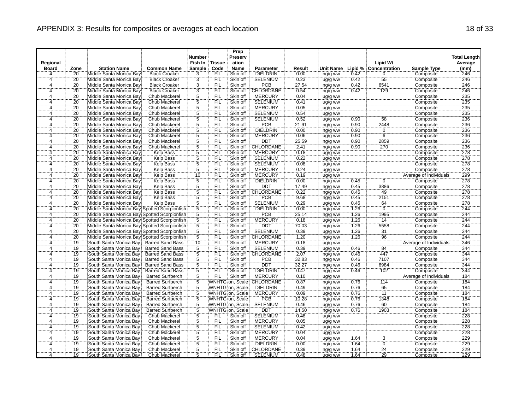|                         |                 |                                              |                         | <b>Number</b>   |            | Prep<br>Preserv  |                 |        |           |      |                       |                        | <b>Total Length</b> |
|-------------------------|-----------------|----------------------------------------------|-------------------------|-----------------|------------|------------------|-----------------|--------|-----------|------|-----------------------|------------------------|---------------------|
| Regional                |                 |                                              |                         | Fish In         | Tissue     | ation            |                 |        |           |      | <b>Lipid Wt</b>       |                        | Average             |
| <b>Board</b>            | Zone            | <b>Station Name</b>                          | <b>Common Name</b>      | <b>Sample</b>   | Code       | <b>Name</b>      | Parameter       | Result | Unit Name |      | Lipid % Concentration | Sample Type            | (mm)                |
| 4                       | $\overline{20}$ | Middle Santa Monica Bay                      | <b>Black Croaker</b>    | 3               | FIL        | Skin off         | <b>DIELDRIN</b> | 0.00   | ng/g ww   | 0.42 | $\mathbf 0$           | Composite              | 246                 |
| $\overline{4}$          | 20              | Middle Santa Monica Bay                      | <b>Black Croaker</b>    | $\frac{3}{3}$   | FIL        | Skin off         | <b>SELENIUM</b> | 0.23   | ug/g ww   | 0.42 | 55                    | Composite              | 246                 |
| 4                       | $\overline{20}$ | Middle Santa Monica Bay                      | <b>Black Croaker</b>    |                 | <b>FIL</b> | Skin off         | PCB             | 27.54  | ng/g ww   | 0.42 | 6541                  | Composite              | 246                 |
| Ä,                      | 20              | Middle Santa Monica Bay                      | <b>Black Croaker</b>    | $\overline{3}$  | <b>FIL</b> | Skin off         | CHLORDANE       | 0.54   | ng/g ww   | 0.42 | 129                   | Composite              | 246                 |
| 4                       | 20              | Middle Santa Monica Bay                      | Chub Mackerel           | $\overline{5}$  | FIL        | Skin off         | <b>MERCURY</b>  | 0.04   | ug/g ww   |      |                       | Composite              | 235                 |
| 4                       | $\overline{20}$ | Middle Santa Monica Bay                      | Chub Mackerel           | 5               | <b>FIL</b> | Skin off         | <b>SELENIUM</b> | 0.41   | ug/g ww   |      |                       | Composite              | 235                 |
| 4                       | 20              | Middle Santa Monica Bay                      | Chub Mackerel           | $rac{5}{5}$     | FIL        | Skin off         | <b>MERCURY</b>  | 0.05   | ug/g ww   |      |                       | Composite              | 235                 |
| ï,                      | 20              | Middle Santa Monica Bay                      | Chub Mackerel           |                 | ΪFIL       | Skin off         | <b>SELENIUM</b> | 0.54   | ug/g ww   |      |                       | Composite              | 235                 |
| $\overline{4}$          | 20              | Middle Santa Monica Bay                      | <b>Chub Mackerel</b>    | $\overline{5}$  | FIL        | Skin off         | <b>SELENIUM</b> | 0.52   | ug/g ww   | 0.90 | 58                    | Composite              | 236                 |
| 4                       | 20              | Middle Santa Monica Bay                      | Chub Mackerel           | $\frac{5}{5}$   | <b>FIL</b> | Skin off         | <b>PCB</b>      | 21.91  | ng/g ww   | 0.90 | 2448                  | Composite              | 236                 |
| 4                       | 20              | Middle Santa Monica Bay                      | Chub Mackerel           |                 | FIL        | Skin off         | <b>DIELDRIN</b> | 0.00   | ng/g ww   | 0.90 | ö                     | Composite              | 236                 |
| 4                       | 20              | Middle Santa Monica Bay                      | Chub Mackerel           | 5               | FIL        | Skin off         | <b>MERCURY</b>  | 0.06   | ug/g ww   | 0.90 | $\overline{6}$        | Composite              | 236                 |
| $\overline{4}$          | 20              | Middle Santa Monica Bay                      | Chub Mackerel           | Ï,              | <b>FIL</b> | Skin off         | DDT             | 25.59  | ng/g ww   | 0.90 | 2859                  | Composite              | 236                 |
| 4                       | 20              | Middle Santa Monica Bay                      | <b>Chub Mackerel</b>    | $\overline{5}$  | FIL        | Skin off         | CHLORDANE       | 2.41   | ng/g ww   | 0.90 | 270                   | Composite              | 236                 |
| $\overline{4}$          | 20              | Middle Santa Monica Bay                      | Kelp Bass               | $\overline{5}$  | FIL        | Skin off         | <b>MERCURY</b>  | 0.18   | ug/g ww   |      |                       | Composite              | 278                 |
| 4                       | 20              | Middle Santa Monica Bay                      | Kelp Bass               | 5               | <b>FIL</b> | Skin off         | SELENIUM        | 0.22   | ug/g ww   |      |                       | Composite              | 278                 |
| $\overline{4}$          | 20              | Middle Santa Monica Bay                      | Kelp Bass               | $\overline{5}$  | FIL        | Skin off         | <b>SELENIUM</b> | 0.08   | ug/g ww   |      |                       | Composite              | 278                 |
| <br>4                   | $\overline{20}$ | Middle Santa Monica Bay                      | Kelp Bass               | $\overline{5}$  | FIL        | Skin off         | <b>MERCURY</b>  | 0.24   | ug/g ww   |      |                       | Composite              | 278                 |
| 4                       | 20              | Middle Santa Monica Bay                      | <b>Kelp Bass</b>        | 10              | FIL        | Skin off         | <b>MERCURY</b>  | 0.19   | ug/g ww   |      |                       | Average of Individuals | 299                 |
| $\overline{4}$          | 20              | Middle Santa Monica Bay                      | Kelp Bass               | $\overline{5}$  | <b>FIL</b> | Skin off         | <b>DIELDRIN</b> | 0.00   | ng/g ww   | 0.45 | $\mathbf 0$           | Composite              | 278                 |
| 4                       | $\overline{20}$ | Middle Santa Monica Bay                      | Kelp Bass               | $\overline{5}$  | FIL        | Skin off         | DDT             | 17.49  | ng/g ww   | 0.45 | 3886                  | Composite              | 278                 |
| 4                       | 20              | Middle Santa Monica Bay                      | Kelp Bass               | $\overline{5}$  | FIL        | Skin off         | CHLORDANE       | 0.22   | ng/g ww   | 0.45 | 49                    | Composite              | 278                 |
| 4                       | $\overline{20}$ | Middle Santa Monica Bay                      | <b>Kelp Bass</b>        | $\overline{5}$  | `FIL       | Skin off         | <b>PCB</b>      | 9.68   | ng/g ww   | 0.45 | 2151                  | Composite              | 278                 |
| 4                       | 20              | Middle Santa Monica Bay                      | <b>Kelp Bass</b>        | $\overline{5}$  | FIL        | Skin off         | <b>SELENIUM</b> | 0.29   | ug/g ww   | 0.45 | 64                    | Composite              | 278                 |
| $\overline{4}$          | 20              | Middle Santa Monica Bay Spotted Scorpionfish |                         | $\overline{5}$  | FIL        | Skin off         | <b>DIELDRIN</b> | 0.00   | ng/g ww   | 1.26 | $\overline{0}$        | Composite              | 244                 |
| 4                       | $\overline{20}$ | Middle Santa Monica Bay Spotted Scorpionfish |                         | $\overline{5}$  | FIL        | Skin off         | <b>PCB</b>      | 25.14  | ng/g ww   | 1.26 | 1995                  | Composite              | 244                 |
| $\overline{4}$          | 20              | Middle Santa Monica Bay Spotted Scorpionfish |                         | $\overline{5}$  | FIL        | Skin off         | <b>MERCURY</b>  | 0.18   | ug/g ww   | 1.26 | 14                    | Composite              | 244                 |
| 4                       | $\overline{20}$ | Middle Santa Monica Bay Spotted Scorpionfish |                         | $\overline{5}$  | `FIL       | Skin off         | DDT             | 70.03  | ng/g ww   | 1.26 | 5558                  | Composite              | 244                 |
| $\overline{4}$          | 20              | Middle Santa Monica Bay Spotted Scorpionfish |                         | $\overline{5}$  | FIL        | Skin off         | <b>SELENIUM</b> | 0.39   | ug/g ww   | 1.26 | $\overline{31}$       | Composite              | 244                 |
| 4                       | 20              | Middle Santa Monica Bay Spotted Scorpionfish |                         | $\overline{5}$  | FIL        | Skin off         | CHLORDANE       | 1.20   | ng/g ww   | 1.26 | 96                    | Composite              | 244                 |
| 4                       | 19              | South Santa Monica Bay                       | <b>Barred Sand Bass</b> | $\overline{10}$ | <b>FIL</b> | Skin off         | <b>MERCURY</b>  | 0.18   | ug/g ww   |      |                       | Average of Individuals | 346                 |
| 4                       | 19              | South Santa Monica Bay                       | <b>Barred Sand Bass</b> | $\frac{5}{5}$   | <b>FIL</b> | Skin off         | <b>SELENIUM</b> | 0.39   | ug/g ww   | 0.46 | 84                    | Composite              | 344                 |
| $\ddot{4}$              | 19              | South Santa Monica Bay                       | <b>Barred Sand Bass</b> |                 | `FIL       | Skin off         | CHLORDANE       | 2.07   | ng/g ww   | 0.46 | 447                   | Composite              | 344                 |
| $\overline{4}$          | 19              | South Santa Monica Bay                       | <b>Barred Sand Bass</b> | $\overline{5}$  | <b>FIL</b> | Skin off         | PCB             | 32.83  | ng/g ww   | 0.46 | 7107                  | Composite              | 344                 |
| 4                       | 19              | South Santa Monica Bay                       | <b>Barred Sand Bass</b> | $\frac{5}{5}$   | FIL        | Skin off         | <b>DDT</b>      | 32.27  | ng/g ww   | 0.46 | 6984                  | Composite              | 344                 |
| 4                       | 19              | South Santa Monica Bay                       | <b>Barred Sand Bass</b> |                 | FIL        | Skin off         | <b>DIELDRIN</b> | 0.47   | ng/g ww   | 0.46 | 102                   | Composite              | 344                 |
| $\overline{4}$          | 19              | South Santa Monica Bay                       | <b>Barred Surfperch</b> | $rac{5}{5}$     | FIL        | Skin off         | <b>MERCURY</b>  | 0.10   | ug/g ww   |      |                       | Average of Individuals | 184                 |
| 4                       | 19              | South Santa Monica Bay                       | <b>Barred Surfperch</b> |                 |            | WNHTG on. Scale  | CHLORDANE       | 0.87   | ng/g ww   | 0.76 | 114                   | Composite              | 184                 |
| $\overline{\mathbf{4}}$ | 19              | South Santa Monica Bay                       | <b>Barred Surfperch</b> | $\overline{5}$  |            | WNHTG on, Scale  | <b>DIELDRIN</b> | 0.49   | ng/g ww   | 0.76 | 65                    | Composite              | 184                 |
| 4                       | 19              | South Santa Monica Bay                       | <b>Barred Surfperch</b> | $\frac{5}{5}$   |            | WNHTG on, Scale  | <b>MERCURY</b>  | 0.09   | ug/g ww   | 0.76 | $\overline{11}$       | Composite              | 184                 |
| 4                       | 19              | South Santa Monica Bay                       | <b>Barred Surfperch</b> |                 |            | WNHTG on, Scale  | <b>PCB</b>      | 10.28  | ng/g ww   | 0.76 | 1348                  | Composite              | 184                 |
| 4                       | 19              | South Santa Monica Bay                       | <b>Barred Surfperch</b> | $rac{5}{5}$     |            | WNHTG on. Scale: | <b>SELENIUM</b> | 0.46   | ug/g ww   | 0.76 | 60                    | Composite              | 184                 |
| ï,                      | 19              | South Santa Monica Bay                       | <b>Barred Surfperch</b> |                 |            | WNHTG on, Scale  | DDT             | 14.50  | ng/g ww   | 0.76 | 1903                  | Composite              | 184                 |
| $\overline{4}$          | 19              | South Santa Monica Bay                       | Chub Mackerel           | $\overline{5}$  | <b>FIL</b> | Skin off         | <b>SELENIUM</b> | 0.48   | ug/g ww   |      |                       | Composite              | 228                 |
| $\overline{4}$          | 19              | South Santa Monica Bay                       | Chub Mackerel           | $\overline{5}$  | <b>FIL</b> | Skin off         | <b>MERCURY</b>  | 0.05   | ug/g ww   |      |                       | Composite              | 228                 |
| 4                       | $\overline{19}$ | South Santa Monica Bay                       | Chub Mackerel           | 5               | FIL        | Skin off         | <b>SELENIUM</b> | 0.42   | ug/g ww   |      |                       | Composite              | 228                 |
| $\overline{4}$          | 19              | South Santa Monica Bay                       | Chub Mackerel           | $\overline{5}$  | FIL        | Skin off         | <b>MERCURY</b>  | 0.04   | ug/g ww   |      |                       | Composite              | 228                 |
| $\overline{4}$          | 19              | South Santa Monica Bay                       | Chub Mackerel           | 5               | <b>FIL</b> | Skin off         | <b>MERCURY</b>  | 0.04   | ug/g ww   | 1.64 | 3                     | Composite              | 229                 |
| $\overline{4}$          | 19              | South Santa Monica Bay                       | <b>Chub Mackerel</b>    | $\overline{5}$  | FIL        | Skin off         | <b>DIELDRIN</b> | 0.00   | ng/g ww   | 1.64 | ő                     | Composite              | 229                 |
| 4                       | 19              | South Santa Monica Bay                       | Chub Mackerel           | $\overline{5}$  | ÏΪ         | Skin off         | CHLORDANE       | 0.39   | ng/g ww   | 1.64 | $\overline{24}$       | Composite              | 229                 |
| 4                       | 19              | South Santa Monica Bay                       | Chub Mackerel           | 5               | <b>FIL</b> | Skin off         | <b>SELENIUM</b> | 0.48   | ug/g ww   | 1.64 | 29                    | Composite              | 229                 |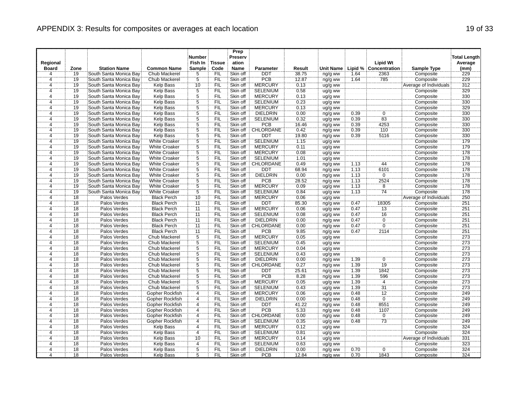| Regional<br>Fish In<br>ation<br><b>Lipid Wt</b><br>Average<br><b>Tissue</b><br><b>Station Name</b><br><b>Common Name</b><br><b>Sample</b><br>Code<br><b>Name</b><br><b>Unit Name</b><br>Lipid % Concentration<br><b>Sample Type</b><br>(mm)<br><b>Board</b><br>Zone<br><b>Parameter</b><br>Result<br>19<br>FIL<br>Skin off<br>DDT<br>38.75<br>229<br>4<br>South Santa Monica Bay<br>Chub Mackerel<br>5<br>1.64<br>2363<br>Composite<br>ng/g ww<br>$\overline{5}$<br><b>PCB</b><br>229<br>$\overline{4}$<br>19<br>South Santa Monica Bay<br>FIL<br>1.64<br>785<br>Composite<br>Chub Mackerel<br>Skin off<br>12.87<br>ng/g ww<br>19<br>10<br><b>MERCURY</b><br>0.13<br>Average of Individuals<br>312<br>South Santa Monica Bay<br><b>Kelp Bass</b><br><b>FIL</b><br>Skin off<br>4<br>ug/g ww<br>$\overline{5}$<br>Ä,<br>19<br>329<br>South Santa Monica Bay<br><b>Kelp Bass</b><br>FIL<br>Skin off<br><b>SELENIUM</b><br>0.58<br>Composite<br>ug/g ww<br>$\overline{5}$<br>19<br>330<br>FIL<br><b>MERCURY</b><br>0.13<br>Composite<br>4<br>South Santa Monica Bay<br><b>Kelp Bass</b><br>Skin off<br>ug/g ww<br>5<br><b>SELENIUM</b><br>Composite<br>330<br>19<br>South Santa Monica Bay<br><b>Kelp Bass</b><br><b>FIL</b><br>Skin off<br>0.23<br>ug/g ww<br>4<br><b>MERCURY</b><br>329<br>$\overline{4}$<br>19<br>South Santa Monica Bay<br><b>Kelp Bass</b><br>$\frac{5}{5}$<br>FIL<br>Skin off<br>0.13<br>ug/g ww<br>Composite<br>19<br>ΈİĹ<br>$\overline{4}$<br>Kelp Bass<br><b>DIELDRIN</b><br>0.00<br>0.39<br>330<br>South Santa Monica Bay<br>Skin off<br>$\mathbf 0$<br>Composite<br>ng/g ww<br>$\overline{5}$<br>0.32<br>83<br>330<br>$\overline{4}$<br>19<br>South Santa Monica Bay<br><b>Kelp Bass</b><br><b>FIL</b><br>Skin off<br><b>SELENIUM</b><br>0.39<br>Composite<br>ug/g ww<br>$\frac{5}{5}$<br>330<br>PCB<br>0.39<br>4253<br>Composite<br>19<br>South Santa Monica Bay<br><b>Kelp Bass</b><br>FIL<br>Skin off<br>16.46<br>$\overline{4}$<br>ng/g ww<br>19<br>CHLORDANE<br>FIL<br>Skin off<br>0.42<br>0.39<br>110<br>330<br>South Santa Monica Bay<br>Kelp Bass<br>Composite<br>4<br>ng/g ww<br>$\overline{5}$<br>19<br>FIL<br>19.80<br>0.39<br>5116<br>Composite<br>330<br>South Santa Monica Bay<br>Kelp Bass<br>Skin off<br><b>DDT</b><br>4<br>ng/g ww<br>$\ddot{5}$<br>SELENIUM<br>179<br>19<br>South Santa Monica Bay<br>White Croaker<br>FIL<br>Skin off<br>Composite<br>$\overline{4}$<br>1.15<br>ug/g ww<br>19<br>$\overline{5}$<br>FIL<br>Skin off<br><b>MERCURY</b><br>0.11<br>179<br>South Santa Monica Bay<br><b>White Croaker</b><br>Composite<br>ug/g ww<br>4<br>$\overline{5}$<br>178<br>$\overline{4}$<br>19<br>FIL<br><b>MERCURY</b><br>0.08<br>Composite<br>South Santa Monica Bay<br><b>White Croaker</b><br>Skin off<br>ug/g ww<br>5<br>19<br>South Santa Monica Bay<br>FIL<br>Skin off<br><b>SELENIUM</b><br>1.01<br>Composite<br>178<br><b>White Croaker</b><br>ug/g ww<br>4<br>19<br>$\overline{5}$<br>FIL<br>CHLORDANE<br>0.49<br>178<br>$\overline{4}$<br>South Santa Monica Bay<br><b>White Croaker</b><br>Skin off<br>1.13<br>44<br>Composite<br>ng/g ww<br>$\overline{5}$<br>6101<br>178<br>19<br>ΈİĹ<br>Skin off<br><b>DDT</b><br>68.94<br>1.13<br>South Santa Monica Bay<br><b>White Croaker</b><br>Composite<br>ng/g ww<br>4<br>$\overline{5}$<br><b>DIELDRIN</b><br>19<br>South Santa Monica Bay<br>FIL<br>Skin off<br>0.00<br>1.13<br>$\overline{0}$<br>178<br><b>White Croaker</b><br>Composite<br>4<br>ng/g ww<br>5<br>PCB<br>178<br>19<br>South Santa Monica Bay<br><b>White Croaker</b><br>FIL<br>Skin off<br>28.52<br>1.13<br>2524<br>Composite<br>$\overline{4}$<br>ng/g ww<br>$\overline{5}$<br><b>MERCURY</b><br>19<br>FIL<br>Skin off<br>1.13<br>$\overline{8}$<br>Composite<br>178<br>South Santa Monica Bay<br>White Croaker<br>0.09<br>4<br>ug/g ww<br>$\overline{5}$<br><b>FIL</b><br>74<br>178<br>19<br><b>SELENIUM</b><br>0.84<br>1.13<br>Composite<br>$\overline{4}$<br>South Santa Monica Bay<br><b>White Croaker</b><br>Skin off<br>ug/g ww<br>$\overline{4}$<br>250<br>$\overline{18}$<br><b>MERCURY</b><br>0.06<br>Palos Verdes<br><b>Black Perch</b><br>10<br>FIL<br>Skin off<br>Average of Individuals<br>ug/g ww<br>251<br>18<br>Palos Verdes<br><b>DDT</b><br>18305<br><b>Black Perch</b><br><b>FIL</b><br>Skin off<br>85.30<br>0.47<br>Composite<br>$\overline{4}$<br>11<br>ng/g ww<br>18<br>FIL<br><b>MERCURY</b><br>0.47<br>Palos Verdes<br><b>Black Perch</b><br>$\overline{11}$<br>Skin off<br>0.06<br>13<br>Composite<br>251<br>ug/g ww<br>4<br>$\overline{16}$<br>$\overline{18}$<br>FIL<br>251<br>Palos Verdes<br><b>Black Perch</b><br>$\overline{11}$<br>Skin off<br><b>SELENIUM</b><br>0.08<br>0.47<br>Composite<br>$\overline{4}$<br>ug/g ww<br>251<br>18<br>Palos Verdes<br><b>Black Perch</b><br>11<br>FIL<br><b>DIELDRIN</b><br>0.00<br>0.47<br>$\overline{0}$<br>Composite<br>4<br>Skin off<br>ng/g ww<br>$\overline{0}$<br>$\overline{18}$<br><b>Black Perch</b><br>ΈİĹ<br>Skin off<br>CHLORDANE<br>0.00<br>0.47<br>251<br>Palos Verdes<br>11<br>Composite<br>4<br>ng/g ww<br>$\overline{18}$<br>FIL<br>2114<br>251<br><b>PCB</b><br>9.85<br>0.47<br>$\overline{4}$<br>Palos Verdes<br><b>Black Perch</b><br>11<br>Skin off<br>Composite<br>ng/g ww<br>$\overline{5}$<br><b>MERCURY</b><br>273<br>18<br>FIL<br>Skin off<br>0.05<br>Composite<br>$\overline{4}$<br>Palos Verdes<br>Chub Mackerel<br>ug/g ww<br>5<br>18<br><b>SELENIUM</b><br>0.45<br>273<br>Palos Verdes<br>Chub Mackerel<br>FIL<br>Skin off<br>Composite<br>4<br>ug/g ww<br>273<br>18<br>$rac{5}{5}$<br>FIL<br>Skin off<br><b>MERCURY</b><br>0.04<br>Composite<br>$\frac{4}{4}$<br>Palos Verdes<br>Chub Mackerel<br>ug/g ww<br>$\overline{18}$<br>FIL<br><b>SELENIUM</b><br>0.43<br>Composite<br>273<br>Palos Verdes<br>Chub Mackerel<br>Skin off<br>ug/g ww<br>$\overline{5}$<br>4<br>18<br>Palos Verdes<br>Chub Mackerel<br>Skin off<br><b>DIELDRIN</b><br>0.00<br>1.39<br>$\overline{0}$<br>Composite<br>273<br>FIL<br>ng/g ww<br>$\overline{5}$<br>FIL<br>19<br>273<br>18<br>Palos Verdes<br>Chub Mackerel<br>Skin off<br>CHLORDANE<br>0.27<br>1.39<br>Composite<br>ng/g ww<br>4<br>5<br>$\overline{18}$<br>FIL<br>1.39<br>273<br>$\overline{4}$<br>Palos Verdes<br>Chub Mackerel<br>Skin off<br><b>DDT</b><br>25.61<br>1842<br>Composite<br>ng/g ww<br>PCB<br>18<br>$\overline{5}$<br>1.39<br>596<br>273<br>Palos Verdes<br><b>Chub Mackerel</b><br><b>FIL</b><br>Skin off<br>8.28<br>Composite<br>4<br>ng/g ww<br>$\overline{5}$<br><b>MERCURY</b><br>1.39<br>273<br>18<br>Palos Verdes<br>Chub Mackerel<br>FIL<br>0.05<br>$\overline{4}$<br>Composite<br>$\overline{4}$<br>Skin off<br>ug/g ww<br>$\overline{31}$<br>18<br>FIL<br><b>SELENIUM</b><br>0.43<br>1.39<br>273<br>Palos Verdes<br><b>Chub Mackerel</b><br>5<br>Skin off<br>Composite<br>ug/g ww<br>4<br>$\overline{12}$<br>18<br>249<br>4<br>4<br>FIL<br>0.06<br>0.48<br>Palos Verdes<br>Gopher Rockfish<br>Skin off<br><b>MERCURY</b><br>Composite<br>ug/g ww<br>$\overline{0}$<br>18<br>Palos Verdes<br>FIL<br><b>DIELDRIN</b><br>0.00<br>0.48<br>249<br>Gopher Rockfish<br>Skin off<br>Composite<br>$\overline{4}$<br>ng/g ww<br>4<br>18<br>FIL<br><b>DDT</b><br>41.22<br>0.48<br>8551<br>249<br>4<br>Palos Verdes<br>Gopher Rockfish<br>$\overline{4}$<br>Skin off<br>Composite<br>ng/g ww<br><br>4<br>$\overline{18}$<br><b>PCB</b><br>5.33<br>4<br>FIL<br>249<br>Palos Verdes<br>Gopher Rockfish<br>Skin off<br>0.48<br>1107<br>Composite<br>ng/g ww<br>18<br>FIL<br>CHLORDANE<br>0.00<br>0.48<br>$\overline{0}$<br>249<br>Palos Verdes<br>Gopher Rockfish<br>$\overline{4}$<br>Skin off<br>Composite<br>4<br>ng/g ww<br>18<br>73<br>249<br>Gopher Rockfish<br>FIL<br><b>SELENIUM</b><br>0.35<br>Composite<br>$\overline{4}$<br>Palos Verdes<br>$\overline{4}$<br>Skin off<br>0.48<br>ug/g ww<br>18<br>FIL<br>324<br>Palos Verdes<br><b>Kelp Bass</b><br>$\overline{4}$<br>Skin off<br><b>MERCURY</b><br>0.12<br>Composite<br>ug/g ww<br>4<br>18<br>$\overline{4}$<br>FIL<br>324<br>Palos Verdes<br><b>Kelp Bass</b><br>Skin off<br><b>SELENIUM</b><br>0.81<br>Composite<br>4<br>ug/g ww<br>331<br>18<br>Palos Verdes<br>Kelp Bass<br>ΈÏL<br><b>MERCURY</b><br>0.14<br>Average of Individuals<br>10<br>Skin off<br>ug/g ww<br>4<br>$\overline{18}$<br>FIL<br><b>SELENIUM</b><br>323<br>Palos Verdes<br>Kelp Bass<br>Skin off<br>0.63<br>Composite<br>4<br>ug/g ww<br>4<br>$\overline{5}$<br>18<br>FIL<br>324<br>$\overline{4}$<br>Palos Verdes<br><b>Kelp Bass</b><br>Skin off<br><b>DIELDRIN</b><br>0.00<br>0.70<br>0<br>Composite |  |  | <b>Number</b> | Prep<br>Preserv |  |  |  | <b>Total Length</b> |
|-----------------------------------------------------------------------------------------------------------------------------------------------------------------------------------------------------------------------------------------------------------------------------------------------------------------------------------------------------------------------------------------------------------------------------------------------------------------------------------------------------------------------------------------------------------------------------------------------------------------------------------------------------------------------------------------------------------------------------------------------------------------------------------------------------------------------------------------------------------------------------------------------------------------------------------------------------------------------------------------------------------------------------------------------------------------------------------------------------------------------------------------------------------------------------------------------------------------------------------------------------------------------------------------------------------------------------------------------------------------------------------------------------------------------------------------------------------------------------------------------------------------------------------------------------------------------------------------------------------------------------------------------------------------------------------------------------------------------------------------------------------------------------------------------------------------------------------------------------------------------------------------------------------------------------------------------------------------------------------------------------------------------------------------------------------------------------------------------------------------------------------------------------------------------------------------------------------------------------------------------------------------------------------------------------------------------------------------------------------------------------------------------------------------------------------------------------------------------------------------------------------------------------------------------------------------------------------------------------------------------------------------------------------------------------------------------------------------------------------------------------------------------------------------------------------------------------------------------------------------------------------------------------------------------------------------------------------------------------------------------------------------------------------------------------------------------------------------------------------------------------------------------------------------------------------------------------------------------------------------------------------------------------------------------------------------------------------------------------------------------------------------------------------------------------------------------------------------------------------------------------------------------------------------------------------------------------------------------------------------------------------------------------------------------------------------------------------------------------------------------------------------------------------------------------------------------------------------------------------------------------------------------------------------------------------------------------------------------------------------------------------------------------------------------------------------------------------------------------------------------------------------------------------------------------------------------------------------------------------------------------------------------------------------------------------------------------------------------------------------------------------------------------------------------------------------------------------------------------------------------------------------------------------------------------------------------------------------------------------------------------------------------------------------------------------------------------------------------------------------------------------------------------------------------------------------------------------------------------------------------------------------------------------------------------------------------------------------------------------------------------------------------------------------------------------------------------------------------------------------------------------------------------------------------------------------------------------------------------------------------------------------------------------------------------------------------------------------------------------------------------------------------------------------------------------------------------------------------------------------------------------------------------------------------------------------------------------------------------------------------------------------------------------------------------------------------------------------------------------------------------------------------------------------------------------------------------------------------------------------------------------------------------------------------------------------------------------------------------------------------------------------------------------------------------------------------------------------------------------------------------------------------------------------------------------------------------------------------------------------------------------------------------------------------------------------------------------------------------------------------------------------------------------------------------------------------------------------------------------------------------------------------------------------------------------------------------------------------------------------------------------------------------------------------------------------------------------------------------------------------------------------------------------------------------------------------------------------------------------------------------------------------------------------------------------------------------------------------------------------------------------------------------------------------------------------------------------------------------------------------------------------------------------------------------------------------------------------------------------------------------------------------------------------------------------------------------------------------------------------------------------------------------------------------------------------------------------------------------------------------------------------------------------------------------------------------------------------------------------------------------------------------------------------------------------------------------------------------------------------------------------------------------------------------------------------------------------------------------------------------------------------------------------------------------------------------------------------------------------------------------------------------------------------------------------------------------------------------------------------------------------------------------------------------------------------------------------------------------------------------------------------------------------------------------------------------------------------------------------------------------------------------------------------------------------------------------------------------------------------------------------------------------------------------------------------------|--|--|---------------|-----------------|--|--|--|---------------------|
|                                                                                                                                                                                                                                                                                                                                                                                                                                                                                                                                                                                                                                                                                                                                                                                                                                                                                                                                                                                                                                                                                                                                                                                                                                                                                                                                                                                                                                                                                                                                                                                                                                                                                                                                                                                                                                                                                                                                                                                                                                                                                                                                                                                                                                                                                                                                                                                                                                                                                                                                                                                                                                                                                                                                                                                                                                                                                                                                                                                                                                                                                                                                                                                                                                                                                                                                                                                                                                                                                                                                                                                                                                                                                                                                                                                                                                                                                                                                                                                                                                                                                                                                                                                                                                                                                                                                                                                                                                                                                                                                                                                                                                                                                                                                                                                                                                                                                                                                                                                                                                                                                                                                                                                                                                                                                                                                                                                                                                                                                                                                                                                                                                                                                                                                                                                                                                                                                                                                                                                                                                                                                                                                                                                                                                                                                                                                                                                                                                                                                                                                                                                                                                                                                                                                                                                                                                                                                                                                                                                                                                                                                                                                                                                                                                                                                                                                                                                                                                                                                                                                                                                                                                                                                                                                                                                                                                                                                                                                                                                                                                                                                                                                                                                                                                                                                                                                                                                                                                                                                                                                                                       |  |  |               |                 |  |  |  |                     |
|                                                                                                                                                                                                                                                                                                                                                                                                                                                                                                                                                                                                                                                                                                                                                                                                                                                                                                                                                                                                                                                                                                                                                                                                                                                                                                                                                                                                                                                                                                                                                                                                                                                                                                                                                                                                                                                                                                                                                                                                                                                                                                                                                                                                                                                                                                                                                                                                                                                                                                                                                                                                                                                                                                                                                                                                                                                                                                                                                                                                                                                                                                                                                                                                                                                                                                                                                                                                                                                                                                                                                                                                                                                                                                                                                                                                                                                                                                                                                                                                                                                                                                                                                                                                                                                                                                                                                                                                                                                                                                                                                                                                                                                                                                                                                                                                                                                                                                                                                                                                                                                                                                                                                                                                                                                                                                                                                                                                                                                                                                                                                                                                                                                                                                                                                                                                                                                                                                                                                                                                                                                                                                                                                                                                                                                                                                                                                                                                                                                                                                                                                                                                                                                                                                                                                                                                                                                                                                                                                                                                                                                                                                                                                                                                                                                                                                                                                                                                                                                                                                                                                                                                                                                                                                                                                                                                                                                                                                                                                                                                                                                                                                                                                                                                                                                                                                                                                                                                                                                                                                                                                                       |  |  |               |                 |  |  |  |                     |
|                                                                                                                                                                                                                                                                                                                                                                                                                                                                                                                                                                                                                                                                                                                                                                                                                                                                                                                                                                                                                                                                                                                                                                                                                                                                                                                                                                                                                                                                                                                                                                                                                                                                                                                                                                                                                                                                                                                                                                                                                                                                                                                                                                                                                                                                                                                                                                                                                                                                                                                                                                                                                                                                                                                                                                                                                                                                                                                                                                                                                                                                                                                                                                                                                                                                                                                                                                                                                                                                                                                                                                                                                                                                                                                                                                                                                                                                                                                                                                                                                                                                                                                                                                                                                                                                                                                                                                                                                                                                                                                                                                                                                                                                                                                                                                                                                                                                                                                                                                                                                                                                                                                                                                                                                                                                                                                                                                                                                                                                                                                                                                                                                                                                                                                                                                                                                                                                                                                                                                                                                                                                                                                                                                                                                                                                                                                                                                                                                                                                                                                                                                                                                                                                                                                                                                                                                                                                                                                                                                                                                                                                                                                                                                                                                                                                                                                                                                                                                                                                                                                                                                                                                                                                                                                                                                                                                                                                                                                                                                                                                                                                                                                                                                                                                                                                                                                                                                                                                                                                                                                                                                       |  |  |               |                 |  |  |  |                     |
|                                                                                                                                                                                                                                                                                                                                                                                                                                                                                                                                                                                                                                                                                                                                                                                                                                                                                                                                                                                                                                                                                                                                                                                                                                                                                                                                                                                                                                                                                                                                                                                                                                                                                                                                                                                                                                                                                                                                                                                                                                                                                                                                                                                                                                                                                                                                                                                                                                                                                                                                                                                                                                                                                                                                                                                                                                                                                                                                                                                                                                                                                                                                                                                                                                                                                                                                                                                                                                                                                                                                                                                                                                                                                                                                                                                                                                                                                                                                                                                                                                                                                                                                                                                                                                                                                                                                                                                                                                                                                                                                                                                                                                                                                                                                                                                                                                                                                                                                                                                                                                                                                                                                                                                                                                                                                                                                                                                                                                                                                                                                                                                                                                                                                                                                                                                                                                                                                                                                                                                                                                                                                                                                                                                                                                                                                                                                                                                                                                                                                                                                                                                                                                                                                                                                                                                                                                                                                                                                                                                                                                                                                                                                                                                                                                                                                                                                                                                                                                                                                                                                                                                                                                                                                                                                                                                                                                                                                                                                                                                                                                                                                                                                                                                                                                                                                                                                                                                                                                                                                                                                                                       |  |  |               |                 |  |  |  |                     |
|                                                                                                                                                                                                                                                                                                                                                                                                                                                                                                                                                                                                                                                                                                                                                                                                                                                                                                                                                                                                                                                                                                                                                                                                                                                                                                                                                                                                                                                                                                                                                                                                                                                                                                                                                                                                                                                                                                                                                                                                                                                                                                                                                                                                                                                                                                                                                                                                                                                                                                                                                                                                                                                                                                                                                                                                                                                                                                                                                                                                                                                                                                                                                                                                                                                                                                                                                                                                                                                                                                                                                                                                                                                                                                                                                                                                                                                                                                                                                                                                                                                                                                                                                                                                                                                                                                                                                                                                                                                                                                                                                                                                                                                                                                                                                                                                                                                                                                                                                                                                                                                                                                                                                                                                                                                                                                                                                                                                                                                                                                                                                                                                                                                                                                                                                                                                                                                                                                                                                                                                                                                                                                                                                                                                                                                                                                                                                                                                                                                                                                                                                                                                                                                                                                                                                                                                                                                                                                                                                                                                                                                                                                                                                                                                                                                                                                                                                                                                                                                                                                                                                                                                                                                                                                                                                                                                                                                                                                                                                                                                                                                                                                                                                                                                                                                                                                                                                                                                                                                                                                                                                                       |  |  |               |                 |  |  |  |                     |
|                                                                                                                                                                                                                                                                                                                                                                                                                                                                                                                                                                                                                                                                                                                                                                                                                                                                                                                                                                                                                                                                                                                                                                                                                                                                                                                                                                                                                                                                                                                                                                                                                                                                                                                                                                                                                                                                                                                                                                                                                                                                                                                                                                                                                                                                                                                                                                                                                                                                                                                                                                                                                                                                                                                                                                                                                                                                                                                                                                                                                                                                                                                                                                                                                                                                                                                                                                                                                                                                                                                                                                                                                                                                                                                                                                                                                                                                                                                                                                                                                                                                                                                                                                                                                                                                                                                                                                                                                                                                                                                                                                                                                                                                                                                                                                                                                                                                                                                                                                                                                                                                                                                                                                                                                                                                                                                                                                                                                                                                                                                                                                                                                                                                                                                                                                                                                                                                                                                                                                                                                                                                                                                                                                                                                                                                                                                                                                                                                                                                                                                                                                                                                                                                                                                                                                                                                                                                                                                                                                                                                                                                                                                                                                                                                                                                                                                                                                                                                                                                                                                                                                                                                                                                                                                                                                                                                                                                                                                                                                                                                                                                                                                                                                                                                                                                                                                                                                                                                                                                                                                                                                       |  |  |               |                 |  |  |  |                     |
|                                                                                                                                                                                                                                                                                                                                                                                                                                                                                                                                                                                                                                                                                                                                                                                                                                                                                                                                                                                                                                                                                                                                                                                                                                                                                                                                                                                                                                                                                                                                                                                                                                                                                                                                                                                                                                                                                                                                                                                                                                                                                                                                                                                                                                                                                                                                                                                                                                                                                                                                                                                                                                                                                                                                                                                                                                                                                                                                                                                                                                                                                                                                                                                                                                                                                                                                                                                                                                                                                                                                                                                                                                                                                                                                                                                                                                                                                                                                                                                                                                                                                                                                                                                                                                                                                                                                                                                                                                                                                                                                                                                                                                                                                                                                                                                                                                                                                                                                                                                                                                                                                                                                                                                                                                                                                                                                                                                                                                                                                                                                                                                                                                                                                                                                                                                                                                                                                                                                                                                                                                                                                                                                                                                                                                                                                                                                                                                                                                                                                                                                                                                                                                                                                                                                                                                                                                                                                                                                                                                                                                                                                                                                                                                                                                                                                                                                                                                                                                                                                                                                                                                                                                                                                                                                                                                                                                                                                                                                                                                                                                                                                                                                                                                                                                                                                                                                                                                                                                                                                                                                                                       |  |  |               |                 |  |  |  |                     |
|                                                                                                                                                                                                                                                                                                                                                                                                                                                                                                                                                                                                                                                                                                                                                                                                                                                                                                                                                                                                                                                                                                                                                                                                                                                                                                                                                                                                                                                                                                                                                                                                                                                                                                                                                                                                                                                                                                                                                                                                                                                                                                                                                                                                                                                                                                                                                                                                                                                                                                                                                                                                                                                                                                                                                                                                                                                                                                                                                                                                                                                                                                                                                                                                                                                                                                                                                                                                                                                                                                                                                                                                                                                                                                                                                                                                                                                                                                                                                                                                                                                                                                                                                                                                                                                                                                                                                                                                                                                                                                                                                                                                                                                                                                                                                                                                                                                                                                                                                                                                                                                                                                                                                                                                                                                                                                                                                                                                                                                                                                                                                                                                                                                                                                                                                                                                                                                                                                                                                                                                                                                                                                                                                                                                                                                                                                                                                                                                                                                                                                                                                                                                                                                                                                                                                                                                                                                                                                                                                                                                                                                                                                                                                                                                                                                                                                                                                                                                                                                                                                                                                                                                                                                                                                                                                                                                                                                                                                                                                                                                                                                                                                                                                                                                                                                                                                                                                                                                                                                                                                                                                                       |  |  |               |                 |  |  |  |                     |
|                                                                                                                                                                                                                                                                                                                                                                                                                                                                                                                                                                                                                                                                                                                                                                                                                                                                                                                                                                                                                                                                                                                                                                                                                                                                                                                                                                                                                                                                                                                                                                                                                                                                                                                                                                                                                                                                                                                                                                                                                                                                                                                                                                                                                                                                                                                                                                                                                                                                                                                                                                                                                                                                                                                                                                                                                                                                                                                                                                                                                                                                                                                                                                                                                                                                                                                                                                                                                                                                                                                                                                                                                                                                                                                                                                                                                                                                                                                                                                                                                                                                                                                                                                                                                                                                                                                                                                                                                                                                                                                                                                                                                                                                                                                                                                                                                                                                                                                                                                                                                                                                                                                                                                                                                                                                                                                                                                                                                                                                                                                                                                                                                                                                                                                                                                                                                                                                                                                                                                                                                                                                                                                                                                                                                                                                                                                                                                                                                                                                                                                                                                                                                                                                                                                                                                                                                                                                                                                                                                                                                                                                                                                                                                                                                                                                                                                                                                                                                                                                                                                                                                                                                                                                                                                                                                                                                                                                                                                                                                                                                                                                                                                                                                                                                                                                                                                                                                                                                                                                                                                                                                       |  |  |               |                 |  |  |  |                     |
|                                                                                                                                                                                                                                                                                                                                                                                                                                                                                                                                                                                                                                                                                                                                                                                                                                                                                                                                                                                                                                                                                                                                                                                                                                                                                                                                                                                                                                                                                                                                                                                                                                                                                                                                                                                                                                                                                                                                                                                                                                                                                                                                                                                                                                                                                                                                                                                                                                                                                                                                                                                                                                                                                                                                                                                                                                                                                                                                                                                                                                                                                                                                                                                                                                                                                                                                                                                                                                                                                                                                                                                                                                                                                                                                                                                                                                                                                                                                                                                                                                                                                                                                                                                                                                                                                                                                                                                                                                                                                                                                                                                                                                                                                                                                                                                                                                                                                                                                                                                                                                                                                                                                                                                                                                                                                                                                                                                                                                                                                                                                                                                                                                                                                                                                                                                                                                                                                                                                                                                                                                                                                                                                                                                                                                                                                                                                                                                                                                                                                                                                                                                                                                                                                                                                                                                                                                                                                                                                                                                                                                                                                                                                                                                                                                                                                                                                                                                                                                                                                                                                                                                                                                                                                                                                                                                                                                                                                                                                                                                                                                                                                                                                                                                                                                                                                                                                                                                                                                                                                                                                                                       |  |  |               |                 |  |  |  |                     |
|                                                                                                                                                                                                                                                                                                                                                                                                                                                                                                                                                                                                                                                                                                                                                                                                                                                                                                                                                                                                                                                                                                                                                                                                                                                                                                                                                                                                                                                                                                                                                                                                                                                                                                                                                                                                                                                                                                                                                                                                                                                                                                                                                                                                                                                                                                                                                                                                                                                                                                                                                                                                                                                                                                                                                                                                                                                                                                                                                                                                                                                                                                                                                                                                                                                                                                                                                                                                                                                                                                                                                                                                                                                                                                                                                                                                                                                                                                                                                                                                                                                                                                                                                                                                                                                                                                                                                                                                                                                                                                                                                                                                                                                                                                                                                                                                                                                                                                                                                                                                                                                                                                                                                                                                                                                                                                                                                                                                                                                                                                                                                                                                                                                                                                                                                                                                                                                                                                                                                                                                                                                                                                                                                                                                                                                                                                                                                                                                                                                                                                                                                                                                                                                                                                                                                                                                                                                                                                                                                                                                                                                                                                                                                                                                                                                                                                                                                                                                                                                                                                                                                                                                                                                                                                                                                                                                                                                                                                                                                                                                                                                                                                                                                                                                                                                                                                                                                                                                                                                                                                                                                                       |  |  |               |                 |  |  |  |                     |
|                                                                                                                                                                                                                                                                                                                                                                                                                                                                                                                                                                                                                                                                                                                                                                                                                                                                                                                                                                                                                                                                                                                                                                                                                                                                                                                                                                                                                                                                                                                                                                                                                                                                                                                                                                                                                                                                                                                                                                                                                                                                                                                                                                                                                                                                                                                                                                                                                                                                                                                                                                                                                                                                                                                                                                                                                                                                                                                                                                                                                                                                                                                                                                                                                                                                                                                                                                                                                                                                                                                                                                                                                                                                                                                                                                                                                                                                                                                                                                                                                                                                                                                                                                                                                                                                                                                                                                                                                                                                                                                                                                                                                                                                                                                                                                                                                                                                                                                                                                                                                                                                                                                                                                                                                                                                                                                                                                                                                                                                                                                                                                                                                                                                                                                                                                                                                                                                                                                                                                                                                                                                                                                                                                                                                                                                                                                                                                                                                                                                                                                                                                                                                                                                                                                                                                                                                                                                                                                                                                                                                                                                                                                                                                                                                                                                                                                                                                                                                                                                                                                                                                                                                                                                                                                                                                                                                                                                                                                                                                                                                                                                                                                                                                                                                                                                                                                                                                                                                                                                                                                                                                       |  |  |               |                 |  |  |  |                     |
|                                                                                                                                                                                                                                                                                                                                                                                                                                                                                                                                                                                                                                                                                                                                                                                                                                                                                                                                                                                                                                                                                                                                                                                                                                                                                                                                                                                                                                                                                                                                                                                                                                                                                                                                                                                                                                                                                                                                                                                                                                                                                                                                                                                                                                                                                                                                                                                                                                                                                                                                                                                                                                                                                                                                                                                                                                                                                                                                                                                                                                                                                                                                                                                                                                                                                                                                                                                                                                                                                                                                                                                                                                                                                                                                                                                                                                                                                                                                                                                                                                                                                                                                                                                                                                                                                                                                                                                                                                                                                                                                                                                                                                                                                                                                                                                                                                                                                                                                                                                                                                                                                                                                                                                                                                                                                                                                                                                                                                                                                                                                                                                                                                                                                                                                                                                                                                                                                                                                                                                                                                                                                                                                                                                                                                                                                                                                                                                                                                                                                                                                                                                                                                                                                                                                                                                                                                                                                                                                                                                                                                                                                                                                                                                                                                                                                                                                                                                                                                                                                                                                                                                                                                                                                                                                                                                                                                                                                                                                                                                                                                                                                                                                                                                                                                                                                                                                                                                                                                                                                                                                                                       |  |  |               |                 |  |  |  |                     |
|                                                                                                                                                                                                                                                                                                                                                                                                                                                                                                                                                                                                                                                                                                                                                                                                                                                                                                                                                                                                                                                                                                                                                                                                                                                                                                                                                                                                                                                                                                                                                                                                                                                                                                                                                                                                                                                                                                                                                                                                                                                                                                                                                                                                                                                                                                                                                                                                                                                                                                                                                                                                                                                                                                                                                                                                                                                                                                                                                                                                                                                                                                                                                                                                                                                                                                                                                                                                                                                                                                                                                                                                                                                                                                                                                                                                                                                                                                                                                                                                                                                                                                                                                                                                                                                                                                                                                                                                                                                                                                                                                                                                                                                                                                                                                                                                                                                                                                                                                                                                                                                                                                                                                                                                                                                                                                                                                                                                                                                                                                                                                                                                                                                                                                                                                                                                                                                                                                                                                                                                                                                                                                                                                                                                                                                                                                                                                                                                                                                                                                                                                                                                                                                                                                                                                                                                                                                                                                                                                                                                                                                                                                                                                                                                                                                                                                                                                                                                                                                                                                                                                                                                                                                                                                                                                                                                                                                                                                                                                                                                                                                                                                                                                                                                                                                                                                                                                                                                                                                                                                                                                                       |  |  |               |                 |  |  |  |                     |
|                                                                                                                                                                                                                                                                                                                                                                                                                                                                                                                                                                                                                                                                                                                                                                                                                                                                                                                                                                                                                                                                                                                                                                                                                                                                                                                                                                                                                                                                                                                                                                                                                                                                                                                                                                                                                                                                                                                                                                                                                                                                                                                                                                                                                                                                                                                                                                                                                                                                                                                                                                                                                                                                                                                                                                                                                                                                                                                                                                                                                                                                                                                                                                                                                                                                                                                                                                                                                                                                                                                                                                                                                                                                                                                                                                                                                                                                                                                                                                                                                                                                                                                                                                                                                                                                                                                                                                                                                                                                                                                                                                                                                                                                                                                                                                                                                                                                                                                                                                                                                                                                                                                                                                                                                                                                                                                                                                                                                                                                                                                                                                                                                                                                                                                                                                                                                                                                                                                                                                                                                                                                                                                                                                                                                                                                                                                                                                                                                                                                                                                                                                                                                                                                                                                                                                                                                                                                                                                                                                                                                                                                                                                                                                                                                                                                                                                                                                                                                                                                                                                                                                                                                                                                                                                                                                                                                                                                                                                                                                                                                                                                                                                                                                                                                                                                                                                                                                                                                                                                                                                                                                       |  |  |               |                 |  |  |  |                     |
|                                                                                                                                                                                                                                                                                                                                                                                                                                                                                                                                                                                                                                                                                                                                                                                                                                                                                                                                                                                                                                                                                                                                                                                                                                                                                                                                                                                                                                                                                                                                                                                                                                                                                                                                                                                                                                                                                                                                                                                                                                                                                                                                                                                                                                                                                                                                                                                                                                                                                                                                                                                                                                                                                                                                                                                                                                                                                                                                                                                                                                                                                                                                                                                                                                                                                                                                                                                                                                                                                                                                                                                                                                                                                                                                                                                                                                                                                                                                                                                                                                                                                                                                                                                                                                                                                                                                                                                                                                                                                                                                                                                                                                                                                                                                                                                                                                                                                                                                                                                                                                                                                                                                                                                                                                                                                                                                                                                                                                                                                                                                                                                                                                                                                                                                                                                                                                                                                                                                                                                                                                                                                                                                                                                                                                                                                                                                                                                                                                                                                                                                                                                                                                                                                                                                                                                                                                                                                                                                                                                                                                                                                                                                                                                                                                                                                                                                                                                                                                                                                                                                                                                                                                                                                                                                                                                                                                                                                                                                                                                                                                                                                                                                                                                                                                                                                                                                                                                                                                                                                                                                                                       |  |  |               |                 |  |  |  |                     |
|                                                                                                                                                                                                                                                                                                                                                                                                                                                                                                                                                                                                                                                                                                                                                                                                                                                                                                                                                                                                                                                                                                                                                                                                                                                                                                                                                                                                                                                                                                                                                                                                                                                                                                                                                                                                                                                                                                                                                                                                                                                                                                                                                                                                                                                                                                                                                                                                                                                                                                                                                                                                                                                                                                                                                                                                                                                                                                                                                                                                                                                                                                                                                                                                                                                                                                                                                                                                                                                                                                                                                                                                                                                                                                                                                                                                                                                                                                                                                                                                                                                                                                                                                                                                                                                                                                                                                                                                                                                                                                                                                                                                                                                                                                                                                                                                                                                                                                                                                                                                                                                                                                                                                                                                                                                                                                                                                                                                                                                                                                                                                                                                                                                                                                                                                                                                                                                                                                                                                                                                                                                                                                                                                                                                                                                                                                                                                                                                                                                                                                                                                                                                                                                                                                                                                                                                                                                                                                                                                                                                                                                                                                                                                                                                                                                                                                                                                                                                                                                                                                                                                                                                                                                                                                                                                                                                                                                                                                                                                                                                                                                                                                                                                                                                                                                                                                                                                                                                                                                                                                                                                                       |  |  |               |                 |  |  |  |                     |
|                                                                                                                                                                                                                                                                                                                                                                                                                                                                                                                                                                                                                                                                                                                                                                                                                                                                                                                                                                                                                                                                                                                                                                                                                                                                                                                                                                                                                                                                                                                                                                                                                                                                                                                                                                                                                                                                                                                                                                                                                                                                                                                                                                                                                                                                                                                                                                                                                                                                                                                                                                                                                                                                                                                                                                                                                                                                                                                                                                                                                                                                                                                                                                                                                                                                                                                                                                                                                                                                                                                                                                                                                                                                                                                                                                                                                                                                                                                                                                                                                                                                                                                                                                                                                                                                                                                                                                                                                                                                                                                                                                                                                                                                                                                                                                                                                                                                                                                                                                                                                                                                                                                                                                                                                                                                                                                                                                                                                                                                                                                                                                                                                                                                                                                                                                                                                                                                                                                                                                                                                                                                                                                                                                                                                                                                                                                                                                                                                                                                                                                                                                                                                                                                                                                                                                                                                                                                                                                                                                                                                                                                                                                                                                                                                                                                                                                                                                                                                                                                                                                                                                                                                                                                                                                                                                                                                                                                                                                                                                                                                                                                                                                                                                                                                                                                                                                                                                                                                                                                                                                                                                       |  |  |               |                 |  |  |  |                     |
|                                                                                                                                                                                                                                                                                                                                                                                                                                                                                                                                                                                                                                                                                                                                                                                                                                                                                                                                                                                                                                                                                                                                                                                                                                                                                                                                                                                                                                                                                                                                                                                                                                                                                                                                                                                                                                                                                                                                                                                                                                                                                                                                                                                                                                                                                                                                                                                                                                                                                                                                                                                                                                                                                                                                                                                                                                                                                                                                                                                                                                                                                                                                                                                                                                                                                                                                                                                                                                                                                                                                                                                                                                                                                                                                                                                                                                                                                                                                                                                                                                                                                                                                                                                                                                                                                                                                                                                                                                                                                                                                                                                                                                                                                                                                                                                                                                                                                                                                                                                                                                                                                                                                                                                                                                                                                                                                                                                                                                                                                                                                                                                                                                                                                                                                                                                                                                                                                                                                                                                                                                                                                                                                                                                                                                                                                                                                                                                                                                                                                                                                                                                                                                                                                                                                                                                                                                                                                                                                                                                                                                                                                                                                                                                                                                                                                                                                                                                                                                                                                                                                                                                                                                                                                                                                                                                                                                                                                                                                                                                                                                                                                                                                                                                                                                                                                                                                                                                                                                                                                                                                                                       |  |  |               |                 |  |  |  |                     |
|                                                                                                                                                                                                                                                                                                                                                                                                                                                                                                                                                                                                                                                                                                                                                                                                                                                                                                                                                                                                                                                                                                                                                                                                                                                                                                                                                                                                                                                                                                                                                                                                                                                                                                                                                                                                                                                                                                                                                                                                                                                                                                                                                                                                                                                                                                                                                                                                                                                                                                                                                                                                                                                                                                                                                                                                                                                                                                                                                                                                                                                                                                                                                                                                                                                                                                                                                                                                                                                                                                                                                                                                                                                                                                                                                                                                                                                                                                                                                                                                                                                                                                                                                                                                                                                                                                                                                                                                                                                                                                                                                                                                                                                                                                                                                                                                                                                                                                                                                                                                                                                                                                                                                                                                                                                                                                                                                                                                                                                                                                                                                                                                                                                                                                                                                                                                                                                                                                                                                                                                                                                                                                                                                                                                                                                                                                                                                                                                                                                                                                                                                                                                                                                                                                                                                                                                                                                                                                                                                                                                                                                                                                                                                                                                                                                                                                                                                                                                                                                                                                                                                                                                                                                                                                                                                                                                                                                                                                                                                                                                                                                                                                                                                                                                                                                                                                                                                                                                                                                                                                                                                                       |  |  |               |                 |  |  |  |                     |
|                                                                                                                                                                                                                                                                                                                                                                                                                                                                                                                                                                                                                                                                                                                                                                                                                                                                                                                                                                                                                                                                                                                                                                                                                                                                                                                                                                                                                                                                                                                                                                                                                                                                                                                                                                                                                                                                                                                                                                                                                                                                                                                                                                                                                                                                                                                                                                                                                                                                                                                                                                                                                                                                                                                                                                                                                                                                                                                                                                                                                                                                                                                                                                                                                                                                                                                                                                                                                                                                                                                                                                                                                                                                                                                                                                                                                                                                                                                                                                                                                                                                                                                                                                                                                                                                                                                                                                                                                                                                                                                                                                                                                                                                                                                                                                                                                                                                                                                                                                                                                                                                                                                                                                                                                                                                                                                                                                                                                                                                                                                                                                                                                                                                                                                                                                                                                                                                                                                                                                                                                                                                                                                                                                                                                                                                                                                                                                                                                                                                                                                                                                                                                                                                                                                                                                                                                                                                                                                                                                                                                                                                                                                                                                                                                                                                                                                                                                                                                                                                                                                                                                                                                                                                                                                                                                                                                                                                                                                                                                                                                                                                                                                                                                                                                                                                                                                                                                                                                                                                                                                                                                       |  |  |               |                 |  |  |  |                     |
|                                                                                                                                                                                                                                                                                                                                                                                                                                                                                                                                                                                                                                                                                                                                                                                                                                                                                                                                                                                                                                                                                                                                                                                                                                                                                                                                                                                                                                                                                                                                                                                                                                                                                                                                                                                                                                                                                                                                                                                                                                                                                                                                                                                                                                                                                                                                                                                                                                                                                                                                                                                                                                                                                                                                                                                                                                                                                                                                                                                                                                                                                                                                                                                                                                                                                                                                                                                                                                                                                                                                                                                                                                                                                                                                                                                                                                                                                                                                                                                                                                                                                                                                                                                                                                                                                                                                                                                                                                                                                                                                                                                                                                                                                                                                                                                                                                                                                                                                                                                                                                                                                                                                                                                                                                                                                                                                                                                                                                                                                                                                                                                                                                                                                                                                                                                                                                                                                                                                                                                                                                                                                                                                                                                                                                                                                                                                                                                                                                                                                                                                                                                                                                                                                                                                                                                                                                                                                                                                                                                                                                                                                                                                                                                                                                                                                                                                                                                                                                                                                                                                                                                                                                                                                                                                                                                                                                                                                                                                                                                                                                                                                                                                                                                                                                                                                                                                                                                                                                                                                                                                                                       |  |  |               |                 |  |  |  |                     |
|                                                                                                                                                                                                                                                                                                                                                                                                                                                                                                                                                                                                                                                                                                                                                                                                                                                                                                                                                                                                                                                                                                                                                                                                                                                                                                                                                                                                                                                                                                                                                                                                                                                                                                                                                                                                                                                                                                                                                                                                                                                                                                                                                                                                                                                                                                                                                                                                                                                                                                                                                                                                                                                                                                                                                                                                                                                                                                                                                                                                                                                                                                                                                                                                                                                                                                                                                                                                                                                                                                                                                                                                                                                                                                                                                                                                                                                                                                                                                                                                                                                                                                                                                                                                                                                                                                                                                                                                                                                                                                                                                                                                                                                                                                                                                                                                                                                                                                                                                                                                                                                                                                                                                                                                                                                                                                                                                                                                                                                                                                                                                                                                                                                                                                                                                                                                                                                                                                                                                                                                                                                                                                                                                                                                                                                                                                                                                                                                                                                                                                                                                                                                                                                                                                                                                                                                                                                                                                                                                                                                                                                                                                                                                                                                                                                                                                                                                                                                                                                                                                                                                                                                                                                                                                                                                                                                                                                                                                                                                                                                                                                                                                                                                                                                                                                                                                                                                                                                                                                                                                                                                                       |  |  |               |                 |  |  |  |                     |
|                                                                                                                                                                                                                                                                                                                                                                                                                                                                                                                                                                                                                                                                                                                                                                                                                                                                                                                                                                                                                                                                                                                                                                                                                                                                                                                                                                                                                                                                                                                                                                                                                                                                                                                                                                                                                                                                                                                                                                                                                                                                                                                                                                                                                                                                                                                                                                                                                                                                                                                                                                                                                                                                                                                                                                                                                                                                                                                                                                                                                                                                                                                                                                                                                                                                                                                                                                                                                                                                                                                                                                                                                                                                                                                                                                                                                                                                                                                                                                                                                                                                                                                                                                                                                                                                                                                                                                                                                                                                                                                                                                                                                                                                                                                                                                                                                                                                                                                                                                                                                                                                                                                                                                                                                                                                                                                                                                                                                                                                                                                                                                                                                                                                                                                                                                                                                                                                                                                                                                                                                                                                                                                                                                                                                                                                                                                                                                                                                                                                                                                                                                                                                                                                                                                                                                                                                                                                                                                                                                                                                                                                                                                                                                                                                                                                                                                                                                                                                                                                                                                                                                                                                                                                                                                                                                                                                                                                                                                                                                                                                                                                                                                                                                                                                                                                                                                                                                                                                                                                                                                                                                       |  |  |               |                 |  |  |  |                     |
|                                                                                                                                                                                                                                                                                                                                                                                                                                                                                                                                                                                                                                                                                                                                                                                                                                                                                                                                                                                                                                                                                                                                                                                                                                                                                                                                                                                                                                                                                                                                                                                                                                                                                                                                                                                                                                                                                                                                                                                                                                                                                                                                                                                                                                                                                                                                                                                                                                                                                                                                                                                                                                                                                                                                                                                                                                                                                                                                                                                                                                                                                                                                                                                                                                                                                                                                                                                                                                                                                                                                                                                                                                                                                                                                                                                                                                                                                                                                                                                                                                                                                                                                                                                                                                                                                                                                                                                                                                                                                                                                                                                                                                                                                                                                                                                                                                                                                                                                                                                                                                                                                                                                                                                                                                                                                                                                                                                                                                                                                                                                                                                                                                                                                                                                                                                                                                                                                                                                                                                                                                                                                                                                                                                                                                                                                                                                                                                                                                                                                                                                                                                                                                                                                                                                                                                                                                                                                                                                                                                                                                                                                                                                                                                                                                                                                                                                                                                                                                                                                                                                                                                                                                                                                                                                                                                                                                                                                                                                                                                                                                                                                                                                                                                                                                                                                                                                                                                                                                                                                                                                                                       |  |  |               |                 |  |  |  |                     |
|                                                                                                                                                                                                                                                                                                                                                                                                                                                                                                                                                                                                                                                                                                                                                                                                                                                                                                                                                                                                                                                                                                                                                                                                                                                                                                                                                                                                                                                                                                                                                                                                                                                                                                                                                                                                                                                                                                                                                                                                                                                                                                                                                                                                                                                                                                                                                                                                                                                                                                                                                                                                                                                                                                                                                                                                                                                                                                                                                                                                                                                                                                                                                                                                                                                                                                                                                                                                                                                                                                                                                                                                                                                                                                                                                                                                                                                                                                                                                                                                                                                                                                                                                                                                                                                                                                                                                                                                                                                                                                                                                                                                                                                                                                                                                                                                                                                                                                                                                                                                                                                                                                                                                                                                                                                                                                                                                                                                                                                                                                                                                                                                                                                                                                                                                                                                                                                                                                                                                                                                                                                                                                                                                                                                                                                                                                                                                                                                                                                                                                                                                                                                                                                                                                                                                                                                                                                                                                                                                                                                                                                                                                                                                                                                                                                                                                                                                                                                                                                                                                                                                                                                                                                                                                                                                                                                                                                                                                                                                                                                                                                                                                                                                                                                                                                                                                                                                                                                                                                                                                                                                                       |  |  |               |                 |  |  |  |                     |
|                                                                                                                                                                                                                                                                                                                                                                                                                                                                                                                                                                                                                                                                                                                                                                                                                                                                                                                                                                                                                                                                                                                                                                                                                                                                                                                                                                                                                                                                                                                                                                                                                                                                                                                                                                                                                                                                                                                                                                                                                                                                                                                                                                                                                                                                                                                                                                                                                                                                                                                                                                                                                                                                                                                                                                                                                                                                                                                                                                                                                                                                                                                                                                                                                                                                                                                                                                                                                                                                                                                                                                                                                                                                                                                                                                                                                                                                                                                                                                                                                                                                                                                                                                                                                                                                                                                                                                                                                                                                                                                                                                                                                                                                                                                                                                                                                                                                                                                                                                                                                                                                                                                                                                                                                                                                                                                                                                                                                                                                                                                                                                                                                                                                                                                                                                                                                                                                                                                                                                                                                                                                                                                                                                                                                                                                                                                                                                                                                                                                                                                                                                                                                                                                                                                                                                                                                                                                                                                                                                                                                                                                                                                                                                                                                                                                                                                                                                                                                                                                                                                                                                                                                                                                                                                                                                                                                                                                                                                                                                                                                                                                                                                                                                                                                                                                                                                                                                                                                                                                                                                                                                       |  |  |               |                 |  |  |  |                     |
|                                                                                                                                                                                                                                                                                                                                                                                                                                                                                                                                                                                                                                                                                                                                                                                                                                                                                                                                                                                                                                                                                                                                                                                                                                                                                                                                                                                                                                                                                                                                                                                                                                                                                                                                                                                                                                                                                                                                                                                                                                                                                                                                                                                                                                                                                                                                                                                                                                                                                                                                                                                                                                                                                                                                                                                                                                                                                                                                                                                                                                                                                                                                                                                                                                                                                                                                                                                                                                                                                                                                                                                                                                                                                                                                                                                                                                                                                                                                                                                                                                                                                                                                                                                                                                                                                                                                                                                                                                                                                                                                                                                                                                                                                                                                                                                                                                                                                                                                                                                                                                                                                                                                                                                                                                                                                                                                                                                                                                                                                                                                                                                                                                                                                                                                                                                                                                                                                                                                                                                                                                                                                                                                                                                                                                                                                                                                                                                                                                                                                                                                                                                                                                                                                                                                                                                                                                                                                                                                                                                                                                                                                                                                                                                                                                                                                                                                                                                                                                                                                                                                                                                                                                                                                                                                                                                                                                                                                                                                                                                                                                                                                                                                                                                                                                                                                                                                                                                                                                                                                                                                                                       |  |  |               |                 |  |  |  |                     |
|                                                                                                                                                                                                                                                                                                                                                                                                                                                                                                                                                                                                                                                                                                                                                                                                                                                                                                                                                                                                                                                                                                                                                                                                                                                                                                                                                                                                                                                                                                                                                                                                                                                                                                                                                                                                                                                                                                                                                                                                                                                                                                                                                                                                                                                                                                                                                                                                                                                                                                                                                                                                                                                                                                                                                                                                                                                                                                                                                                                                                                                                                                                                                                                                                                                                                                                                                                                                                                                                                                                                                                                                                                                                                                                                                                                                                                                                                                                                                                                                                                                                                                                                                                                                                                                                                                                                                                                                                                                                                                                                                                                                                                                                                                                                                                                                                                                                                                                                                                                                                                                                                                                                                                                                                                                                                                                                                                                                                                                                                                                                                                                                                                                                                                                                                                                                                                                                                                                                                                                                                                                                                                                                                                                                                                                                                                                                                                                                                                                                                                                                                                                                                                                                                                                                                                                                                                                                                                                                                                                                                                                                                                                                                                                                                                                                                                                                                                                                                                                                                                                                                                                                                                                                                                                                                                                                                                                                                                                                                                                                                                                                                                                                                                                                                                                                                                                                                                                                                                                                                                                                                                       |  |  |               |                 |  |  |  |                     |
|                                                                                                                                                                                                                                                                                                                                                                                                                                                                                                                                                                                                                                                                                                                                                                                                                                                                                                                                                                                                                                                                                                                                                                                                                                                                                                                                                                                                                                                                                                                                                                                                                                                                                                                                                                                                                                                                                                                                                                                                                                                                                                                                                                                                                                                                                                                                                                                                                                                                                                                                                                                                                                                                                                                                                                                                                                                                                                                                                                                                                                                                                                                                                                                                                                                                                                                                                                                                                                                                                                                                                                                                                                                                                                                                                                                                                                                                                                                                                                                                                                                                                                                                                                                                                                                                                                                                                                                                                                                                                                                                                                                                                                                                                                                                                                                                                                                                                                                                                                                                                                                                                                                                                                                                                                                                                                                                                                                                                                                                                                                                                                                                                                                                                                                                                                                                                                                                                                                                                                                                                                                                                                                                                                                                                                                                                                                                                                                                                                                                                                                                                                                                                                                                                                                                                                                                                                                                                                                                                                                                                                                                                                                                                                                                                                                                                                                                                                                                                                                                                                                                                                                                                                                                                                                                                                                                                                                                                                                                                                                                                                                                                                                                                                                                                                                                                                                                                                                                                                                                                                                                                                       |  |  |               |                 |  |  |  |                     |
|                                                                                                                                                                                                                                                                                                                                                                                                                                                                                                                                                                                                                                                                                                                                                                                                                                                                                                                                                                                                                                                                                                                                                                                                                                                                                                                                                                                                                                                                                                                                                                                                                                                                                                                                                                                                                                                                                                                                                                                                                                                                                                                                                                                                                                                                                                                                                                                                                                                                                                                                                                                                                                                                                                                                                                                                                                                                                                                                                                                                                                                                                                                                                                                                                                                                                                                                                                                                                                                                                                                                                                                                                                                                                                                                                                                                                                                                                                                                                                                                                                                                                                                                                                                                                                                                                                                                                                                                                                                                                                                                                                                                                                                                                                                                                                                                                                                                                                                                                                                                                                                                                                                                                                                                                                                                                                                                                                                                                                                                                                                                                                                                                                                                                                                                                                                                                                                                                                                                                                                                                                                                                                                                                                                                                                                                                                                                                                                                                                                                                                                                                                                                                                                                                                                                                                                                                                                                                                                                                                                                                                                                                                                                                                                                                                                                                                                                                                                                                                                                                                                                                                                                                                                                                                                                                                                                                                                                                                                                                                                                                                                                                                                                                                                                                                                                                                                                                                                                                                                                                                                                                                       |  |  |               |                 |  |  |  |                     |
|                                                                                                                                                                                                                                                                                                                                                                                                                                                                                                                                                                                                                                                                                                                                                                                                                                                                                                                                                                                                                                                                                                                                                                                                                                                                                                                                                                                                                                                                                                                                                                                                                                                                                                                                                                                                                                                                                                                                                                                                                                                                                                                                                                                                                                                                                                                                                                                                                                                                                                                                                                                                                                                                                                                                                                                                                                                                                                                                                                                                                                                                                                                                                                                                                                                                                                                                                                                                                                                                                                                                                                                                                                                                                                                                                                                                                                                                                                                                                                                                                                                                                                                                                                                                                                                                                                                                                                                                                                                                                                                                                                                                                                                                                                                                                                                                                                                                                                                                                                                                                                                                                                                                                                                                                                                                                                                                                                                                                                                                                                                                                                                                                                                                                                                                                                                                                                                                                                                                                                                                                                                                                                                                                                                                                                                                                                                                                                                                                                                                                                                                                                                                                                                                                                                                                                                                                                                                                                                                                                                                                                                                                                                                                                                                                                                                                                                                                                                                                                                                                                                                                                                                                                                                                                                                                                                                                                                                                                                                                                                                                                                                                                                                                                                                                                                                                                                                                                                                                                                                                                                                                                       |  |  |               |                 |  |  |  |                     |
|                                                                                                                                                                                                                                                                                                                                                                                                                                                                                                                                                                                                                                                                                                                                                                                                                                                                                                                                                                                                                                                                                                                                                                                                                                                                                                                                                                                                                                                                                                                                                                                                                                                                                                                                                                                                                                                                                                                                                                                                                                                                                                                                                                                                                                                                                                                                                                                                                                                                                                                                                                                                                                                                                                                                                                                                                                                                                                                                                                                                                                                                                                                                                                                                                                                                                                                                                                                                                                                                                                                                                                                                                                                                                                                                                                                                                                                                                                                                                                                                                                                                                                                                                                                                                                                                                                                                                                                                                                                                                                                                                                                                                                                                                                                                                                                                                                                                                                                                                                                                                                                                                                                                                                                                                                                                                                                                                                                                                                                                                                                                                                                                                                                                                                                                                                                                                                                                                                                                                                                                                                                                                                                                                                                                                                                                                                                                                                                                                                                                                                                                                                                                                                                                                                                                                                                                                                                                                                                                                                                                                                                                                                                                                                                                                                                                                                                                                                                                                                                                                                                                                                                                                                                                                                                                                                                                                                                                                                                                                                                                                                                                                                                                                                                                                                                                                                                                                                                                                                                                                                                                                                       |  |  |               |                 |  |  |  |                     |
|                                                                                                                                                                                                                                                                                                                                                                                                                                                                                                                                                                                                                                                                                                                                                                                                                                                                                                                                                                                                                                                                                                                                                                                                                                                                                                                                                                                                                                                                                                                                                                                                                                                                                                                                                                                                                                                                                                                                                                                                                                                                                                                                                                                                                                                                                                                                                                                                                                                                                                                                                                                                                                                                                                                                                                                                                                                                                                                                                                                                                                                                                                                                                                                                                                                                                                                                                                                                                                                                                                                                                                                                                                                                                                                                                                                                                                                                                                                                                                                                                                                                                                                                                                                                                                                                                                                                                                                                                                                                                                                                                                                                                                                                                                                                                                                                                                                                                                                                                                                                                                                                                                                                                                                                                                                                                                                                                                                                                                                                                                                                                                                                                                                                                                                                                                                                                                                                                                                                                                                                                                                                                                                                                                                                                                                                                                                                                                                                                                                                                                                                                                                                                                                                                                                                                                                                                                                                                                                                                                                                                                                                                                                                                                                                                                                                                                                                                                                                                                                                                                                                                                                                                                                                                                                                                                                                                                                                                                                                                                                                                                                                                                                                                                                                                                                                                                                                                                                                                                                                                                                                                                       |  |  |               |                 |  |  |  |                     |
|                                                                                                                                                                                                                                                                                                                                                                                                                                                                                                                                                                                                                                                                                                                                                                                                                                                                                                                                                                                                                                                                                                                                                                                                                                                                                                                                                                                                                                                                                                                                                                                                                                                                                                                                                                                                                                                                                                                                                                                                                                                                                                                                                                                                                                                                                                                                                                                                                                                                                                                                                                                                                                                                                                                                                                                                                                                                                                                                                                                                                                                                                                                                                                                                                                                                                                                                                                                                                                                                                                                                                                                                                                                                                                                                                                                                                                                                                                                                                                                                                                                                                                                                                                                                                                                                                                                                                                                                                                                                                                                                                                                                                                                                                                                                                                                                                                                                                                                                                                                                                                                                                                                                                                                                                                                                                                                                                                                                                                                                                                                                                                                                                                                                                                                                                                                                                                                                                                                                                                                                                                                                                                                                                                                                                                                                                                                                                                                                                                                                                                                                                                                                                                                                                                                                                                                                                                                                                                                                                                                                                                                                                                                                                                                                                                                                                                                                                                                                                                                                                                                                                                                                                                                                                                                                                                                                                                                                                                                                                                                                                                                                                                                                                                                                                                                                                                                                                                                                                                                                                                                                                                       |  |  |               |                 |  |  |  |                     |
|                                                                                                                                                                                                                                                                                                                                                                                                                                                                                                                                                                                                                                                                                                                                                                                                                                                                                                                                                                                                                                                                                                                                                                                                                                                                                                                                                                                                                                                                                                                                                                                                                                                                                                                                                                                                                                                                                                                                                                                                                                                                                                                                                                                                                                                                                                                                                                                                                                                                                                                                                                                                                                                                                                                                                                                                                                                                                                                                                                                                                                                                                                                                                                                                                                                                                                                                                                                                                                                                                                                                                                                                                                                                                                                                                                                                                                                                                                                                                                                                                                                                                                                                                                                                                                                                                                                                                                                                                                                                                                                                                                                                                                                                                                                                                                                                                                                                                                                                                                                                                                                                                                                                                                                                                                                                                                                                                                                                                                                                                                                                                                                                                                                                                                                                                                                                                                                                                                                                                                                                                                                                                                                                                                                                                                                                                                                                                                                                                                                                                                                                                                                                                                                                                                                                                                                                                                                                                                                                                                                                                                                                                                                                                                                                                                                                                                                                                                                                                                                                                                                                                                                                                                                                                                                                                                                                                                                                                                                                                                                                                                                                                                                                                                                                                                                                                                                                                                                                                                                                                                                                                                       |  |  |               |                 |  |  |  |                     |
|                                                                                                                                                                                                                                                                                                                                                                                                                                                                                                                                                                                                                                                                                                                                                                                                                                                                                                                                                                                                                                                                                                                                                                                                                                                                                                                                                                                                                                                                                                                                                                                                                                                                                                                                                                                                                                                                                                                                                                                                                                                                                                                                                                                                                                                                                                                                                                                                                                                                                                                                                                                                                                                                                                                                                                                                                                                                                                                                                                                                                                                                                                                                                                                                                                                                                                                                                                                                                                                                                                                                                                                                                                                                                                                                                                                                                                                                                                                                                                                                                                                                                                                                                                                                                                                                                                                                                                                                                                                                                                                                                                                                                                                                                                                                                                                                                                                                                                                                                                                                                                                                                                                                                                                                                                                                                                                                                                                                                                                                                                                                                                                                                                                                                                                                                                                                                                                                                                                                                                                                                                                                                                                                                                                                                                                                                                                                                                                                                                                                                                                                                                                                                                                                                                                                                                                                                                                                                                                                                                                                                                                                                                                                                                                                                                                                                                                                                                                                                                                                                                                                                                                                                                                                                                                                                                                                                                                                                                                                                                                                                                                                                                                                                                                                                                                                                                                                                                                                                                                                                                                                                                       |  |  |               |                 |  |  |  |                     |
|                                                                                                                                                                                                                                                                                                                                                                                                                                                                                                                                                                                                                                                                                                                                                                                                                                                                                                                                                                                                                                                                                                                                                                                                                                                                                                                                                                                                                                                                                                                                                                                                                                                                                                                                                                                                                                                                                                                                                                                                                                                                                                                                                                                                                                                                                                                                                                                                                                                                                                                                                                                                                                                                                                                                                                                                                                                                                                                                                                                                                                                                                                                                                                                                                                                                                                                                                                                                                                                                                                                                                                                                                                                                                                                                                                                                                                                                                                                                                                                                                                                                                                                                                                                                                                                                                                                                                                                                                                                                                                                                                                                                                                                                                                                                                                                                                                                                                                                                                                                                                                                                                                                                                                                                                                                                                                                                                                                                                                                                                                                                                                                                                                                                                                                                                                                                                                                                                                                                                                                                                                                                                                                                                                                                                                                                                                                                                                                                                                                                                                                                                                                                                                                                                                                                                                                                                                                                                                                                                                                                                                                                                                                                                                                                                                                                                                                                                                                                                                                                                                                                                                                                                                                                                                                                                                                                                                                                                                                                                                                                                                                                                                                                                                                                                                                                                                                                                                                                                                                                                                                                                                       |  |  |               |                 |  |  |  |                     |
|                                                                                                                                                                                                                                                                                                                                                                                                                                                                                                                                                                                                                                                                                                                                                                                                                                                                                                                                                                                                                                                                                                                                                                                                                                                                                                                                                                                                                                                                                                                                                                                                                                                                                                                                                                                                                                                                                                                                                                                                                                                                                                                                                                                                                                                                                                                                                                                                                                                                                                                                                                                                                                                                                                                                                                                                                                                                                                                                                                                                                                                                                                                                                                                                                                                                                                                                                                                                                                                                                                                                                                                                                                                                                                                                                                                                                                                                                                                                                                                                                                                                                                                                                                                                                                                                                                                                                                                                                                                                                                                                                                                                                                                                                                                                                                                                                                                                                                                                                                                                                                                                                                                                                                                                                                                                                                                                                                                                                                                                                                                                                                                                                                                                                                                                                                                                                                                                                                                                                                                                                                                                                                                                                                                                                                                                                                                                                                                                                                                                                                                                                                                                                                                                                                                                                                                                                                                                                                                                                                                                                                                                                                                                                                                                                                                                                                                                                                                                                                                                                                                                                                                                                                                                                                                                                                                                                                                                                                                                                                                                                                                                                                                                                                                                                                                                                                                                                                                                                                                                                                                                                                       |  |  |               |                 |  |  |  |                     |
|                                                                                                                                                                                                                                                                                                                                                                                                                                                                                                                                                                                                                                                                                                                                                                                                                                                                                                                                                                                                                                                                                                                                                                                                                                                                                                                                                                                                                                                                                                                                                                                                                                                                                                                                                                                                                                                                                                                                                                                                                                                                                                                                                                                                                                                                                                                                                                                                                                                                                                                                                                                                                                                                                                                                                                                                                                                                                                                                                                                                                                                                                                                                                                                                                                                                                                                                                                                                                                                                                                                                                                                                                                                                                                                                                                                                                                                                                                                                                                                                                                                                                                                                                                                                                                                                                                                                                                                                                                                                                                                                                                                                                                                                                                                                                                                                                                                                                                                                                                                                                                                                                                                                                                                                                                                                                                                                                                                                                                                                                                                                                                                                                                                                                                                                                                                                                                                                                                                                                                                                                                                                                                                                                                                                                                                                                                                                                                                                                                                                                                                                                                                                                                                                                                                                                                                                                                                                                                                                                                                                                                                                                                                                                                                                                                                                                                                                                                                                                                                                                                                                                                                                                                                                                                                                                                                                                                                                                                                                                                                                                                                                                                                                                                                                                                                                                                                                                                                                                                                                                                                                                                       |  |  |               |                 |  |  |  |                     |
|                                                                                                                                                                                                                                                                                                                                                                                                                                                                                                                                                                                                                                                                                                                                                                                                                                                                                                                                                                                                                                                                                                                                                                                                                                                                                                                                                                                                                                                                                                                                                                                                                                                                                                                                                                                                                                                                                                                                                                                                                                                                                                                                                                                                                                                                                                                                                                                                                                                                                                                                                                                                                                                                                                                                                                                                                                                                                                                                                                                                                                                                                                                                                                                                                                                                                                                                                                                                                                                                                                                                                                                                                                                                                                                                                                                                                                                                                                                                                                                                                                                                                                                                                                                                                                                                                                                                                                                                                                                                                                                                                                                                                                                                                                                                                                                                                                                                                                                                                                                                                                                                                                                                                                                                                                                                                                                                                                                                                                                                                                                                                                                                                                                                                                                                                                                                                                                                                                                                                                                                                                                                                                                                                                                                                                                                                                                                                                                                                                                                                                                                                                                                                                                                                                                                                                                                                                                                                                                                                                                                                                                                                                                                                                                                                                                                                                                                                                                                                                                                                                                                                                                                                                                                                                                                                                                                                                                                                                                                                                                                                                                                                                                                                                                                                                                                                                                                                                                                                                                                                                                                                                       |  |  |               |                 |  |  |  |                     |
|                                                                                                                                                                                                                                                                                                                                                                                                                                                                                                                                                                                                                                                                                                                                                                                                                                                                                                                                                                                                                                                                                                                                                                                                                                                                                                                                                                                                                                                                                                                                                                                                                                                                                                                                                                                                                                                                                                                                                                                                                                                                                                                                                                                                                                                                                                                                                                                                                                                                                                                                                                                                                                                                                                                                                                                                                                                                                                                                                                                                                                                                                                                                                                                                                                                                                                                                                                                                                                                                                                                                                                                                                                                                                                                                                                                                                                                                                                                                                                                                                                                                                                                                                                                                                                                                                                                                                                                                                                                                                                                                                                                                                                                                                                                                                                                                                                                                                                                                                                                                                                                                                                                                                                                                                                                                                                                                                                                                                                                                                                                                                                                                                                                                                                                                                                                                                                                                                                                                                                                                                                                                                                                                                                                                                                                                                                                                                                                                                                                                                                                                                                                                                                                                                                                                                                                                                                                                                                                                                                                                                                                                                                                                                                                                                                                                                                                                                                                                                                                                                                                                                                                                                                                                                                                                                                                                                                                                                                                                                                                                                                                                                                                                                                                                                                                                                                                                                                                                                                                                                                                                                                       |  |  |               |                 |  |  |  |                     |
|                                                                                                                                                                                                                                                                                                                                                                                                                                                                                                                                                                                                                                                                                                                                                                                                                                                                                                                                                                                                                                                                                                                                                                                                                                                                                                                                                                                                                                                                                                                                                                                                                                                                                                                                                                                                                                                                                                                                                                                                                                                                                                                                                                                                                                                                                                                                                                                                                                                                                                                                                                                                                                                                                                                                                                                                                                                                                                                                                                                                                                                                                                                                                                                                                                                                                                                                                                                                                                                                                                                                                                                                                                                                                                                                                                                                                                                                                                                                                                                                                                                                                                                                                                                                                                                                                                                                                                                                                                                                                                                                                                                                                                                                                                                                                                                                                                                                                                                                                                                                                                                                                                                                                                                                                                                                                                                                                                                                                                                                                                                                                                                                                                                                                                                                                                                                                                                                                                                                                                                                                                                                                                                                                                                                                                                                                                                                                                                                                                                                                                                                                                                                                                                                                                                                                                                                                                                                                                                                                                                                                                                                                                                                                                                                                                                                                                                                                                                                                                                                                                                                                                                                                                                                                                                                                                                                                                                                                                                                                                                                                                                                                                                                                                                                                                                                                                                                                                                                                                                                                                                                                                       |  |  |               |                 |  |  |  |                     |
|                                                                                                                                                                                                                                                                                                                                                                                                                                                                                                                                                                                                                                                                                                                                                                                                                                                                                                                                                                                                                                                                                                                                                                                                                                                                                                                                                                                                                                                                                                                                                                                                                                                                                                                                                                                                                                                                                                                                                                                                                                                                                                                                                                                                                                                                                                                                                                                                                                                                                                                                                                                                                                                                                                                                                                                                                                                                                                                                                                                                                                                                                                                                                                                                                                                                                                                                                                                                                                                                                                                                                                                                                                                                                                                                                                                                                                                                                                                                                                                                                                                                                                                                                                                                                                                                                                                                                                                                                                                                                                                                                                                                                                                                                                                                                                                                                                                                                                                                                                                                                                                                                                                                                                                                                                                                                                                                                                                                                                                                                                                                                                                                                                                                                                                                                                                                                                                                                                                                                                                                                                                                                                                                                                                                                                                                                                                                                                                                                                                                                                                                                                                                                                                                                                                                                                                                                                                                                                                                                                                                                                                                                                                                                                                                                                                                                                                                                                                                                                                                                                                                                                                                                                                                                                                                                                                                                                                                                                                                                                                                                                                                                                                                                                                                                                                                                                                                                                                                                                                                                                                                                                       |  |  |               |                 |  |  |  |                     |
|                                                                                                                                                                                                                                                                                                                                                                                                                                                                                                                                                                                                                                                                                                                                                                                                                                                                                                                                                                                                                                                                                                                                                                                                                                                                                                                                                                                                                                                                                                                                                                                                                                                                                                                                                                                                                                                                                                                                                                                                                                                                                                                                                                                                                                                                                                                                                                                                                                                                                                                                                                                                                                                                                                                                                                                                                                                                                                                                                                                                                                                                                                                                                                                                                                                                                                                                                                                                                                                                                                                                                                                                                                                                                                                                                                                                                                                                                                                                                                                                                                                                                                                                                                                                                                                                                                                                                                                                                                                                                                                                                                                                                                                                                                                                                                                                                                                                                                                                                                                                                                                                                                                                                                                                                                                                                                                                                                                                                                                                                                                                                                                                                                                                                                                                                                                                                                                                                                                                                                                                                                                                                                                                                                                                                                                                                                                                                                                                                                                                                                                                                                                                                                                                                                                                                                                                                                                                                                                                                                                                                                                                                                                                                                                                                                                                                                                                                                                                                                                                                                                                                                                                                                                                                                                                                                                                                                                                                                                                                                                                                                                                                                                                                                                                                                                                                                                                                                                                                                                                                                                                                                       |  |  |               |                 |  |  |  |                     |
|                                                                                                                                                                                                                                                                                                                                                                                                                                                                                                                                                                                                                                                                                                                                                                                                                                                                                                                                                                                                                                                                                                                                                                                                                                                                                                                                                                                                                                                                                                                                                                                                                                                                                                                                                                                                                                                                                                                                                                                                                                                                                                                                                                                                                                                                                                                                                                                                                                                                                                                                                                                                                                                                                                                                                                                                                                                                                                                                                                                                                                                                                                                                                                                                                                                                                                                                                                                                                                                                                                                                                                                                                                                                                                                                                                                                                                                                                                                                                                                                                                                                                                                                                                                                                                                                                                                                                                                                                                                                                                                                                                                                                                                                                                                                                                                                                                                                                                                                                                                                                                                                                                                                                                                                                                                                                                                                                                                                                                                                                                                                                                                                                                                                                                                                                                                                                                                                                                                                                                                                                                                                                                                                                                                                                                                                                                                                                                                                                                                                                                                                                                                                                                                                                                                                                                                                                                                                                                                                                                                                                                                                                                                                                                                                                                                                                                                                                                                                                                                                                                                                                                                                                                                                                                                                                                                                                                                                                                                                                                                                                                                                                                                                                                                                                                                                                                                                                                                                                                                                                                                                                                       |  |  |               |                 |  |  |  |                     |
|                                                                                                                                                                                                                                                                                                                                                                                                                                                                                                                                                                                                                                                                                                                                                                                                                                                                                                                                                                                                                                                                                                                                                                                                                                                                                                                                                                                                                                                                                                                                                                                                                                                                                                                                                                                                                                                                                                                                                                                                                                                                                                                                                                                                                                                                                                                                                                                                                                                                                                                                                                                                                                                                                                                                                                                                                                                                                                                                                                                                                                                                                                                                                                                                                                                                                                                                                                                                                                                                                                                                                                                                                                                                                                                                                                                                                                                                                                                                                                                                                                                                                                                                                                                                                                                                                                                                                                                                                                                                                                                                                                                                                                                                                                                                                                                                                                                                                                                                                                                                                                                                                                                                                                                                                                                                                                                                                                                                                                                                                                                                                                                                                                                                                                                                                                                                                                                                                                                                                                                                                                                                                                                                                                                                                                                                                                                                                                                                                                                                                                                                                                                                                                                                                                                                                                                                                                                                                                                                                                                                                                                                                                                                                                                                                                                                                                                                                                                                                                                                                                                                                                                                                                                                                                                                                                                                                                                                                                                                                                                                                                                                                                                                                                                                                                                                                                                                                                                                                                                                                                                                                                       |  |  |               |                 |  |  |  |                     |
|                                                                                                                                                                                                                                                                                                                                                                                                                                                                                                                                                                                                                                                                                                                                                                                                                                                                                                                                                                                                                                                                                                                                                                                                                                                                                                                                                                                                                                                                                                                                                                                                                                                                                                                                                                                                                                                                                                                                                                                                                                                                                                                                                                                                                                                                                                                                                                                                                                                                                                                                                                                                                                                                                                                                                                                                                                                                                                                                                                                                                                                                                                                                                                                                                                                                                                                                                                                                                                                                                                                                                                                                                                                                                                                                                                                                                                                                                                                                                                                                                                                                                                                                                                                                                                                                                                                                                                                                                                                                                                                                                                                                                                                                                                                                                                                                                                                                                                                                                                                                                                                                                                                                                                                                                                                                                                                                                                                                                                                                                                                                                                                                                                                                                                                                                                                                                                                                                                                                                                                                                                                                                                                                                                                                                                                                                                                                                                                                                                                                                                                                                                                                                                                                                                                                                                                                                                                                                                                                                                                                                                                                                                                                                                                                                                                                                                                                                                                                                                                                                                                                                                                                                                                                                                                                                                                                                                                                                                                                                                                                                                                                                                                                                                                                                                                                                                                                                                                                                                                                                                                                                                       |  |  |               |                 |  |  |  |                     |
|                                                                                                                                                                                                                                                                                                                                                                                                                                                                                                                                                                                                                                                                                                                                                                                                                                                                                                                                                                                                                                                                                                                                                                                                                                                                                                                                                                                                                                                                                                                                                                                                                                                                                                                                                                                                                                                                                                                                                                                                                                                                                                                                                                                                                                                                                                                                                                                                                                                                                                                                                                                                                                                                                                                                                                                                                                                                                                                                                                                                                                                                                                                                                                                                                                                                                                                                                                                                                                                                                                                                                                                                                                                                                                                                                                                                                                                                                                                                                                                                                                                                                                                                                                                                                                                                                                                                                                                                                                                                                                                                                                                                                                                                                                                                                                                                                                                                                                                                                                                                                                                                                                                                                                                                                                                                                                                                                                                                                                                                                                                                                                                                                                                                                                                                                                                                                                                                                                                                                                                                                                                                                                                                                                                                                                                                                                                                                                                                                                                                                                                                                                                                                                                                                                                                                                                                                                                                                                                                                                                                                                                                                                                                                                                                                                                                                                                                                                                                                                                                                                                                                                                                                                                                                                                                                                                                                                                                                                                                                                                                                                                                                                                                                                                                                                                                                                                                                                                                                                                                                                                                                                       |  |  |               |                 |  |  |  |                     |
|                                                                                                                                                                                                                                                                                                                                                                                                                                                                                                                                                                                                                                                                                                                                                                                                                                                                                                                                                                                                                                                                                                                                                                                                                                                                                                                                                                                                                                                                                                                                                                                                                                                                                                                                                                                                                                                                                                                                                                                                                                                                                                                                                                                                                                                                                                                                                                                                                                                                                                                                                                                                                                                                                                                                                                                                                                                                                                                                                                                                                                                                                                                                                                                                                                                                                                                                                                                                                                                                                                                                                                                                                                                                                                                                                                                                                                                                                                                                                                                                                                                                                                                                                                                                                                                                                                                                                                                                                                                                                                                                                                                                                                                                                                                                                                                                                                                                                                                                                                                                                                                                                                                                                                                                                                                                                                                                                                                                                                                                                                                                                                                                                                                                                                                                                                                                                                                                                                                                                                                                                                                                                                                                                                                                                                                                                                                                                                                                                                                                                                                                                                                                                                                                                                                                                                                                                                                                                                                                                                                                                                                                                                                                                                                                                                                                                                                                                                                                                                                                                                                                                                                                                                                                                                                                                                                                                                                                                                                                                                                                                                                                                                                                                                                                                                                                                                                                                                                                                                                                                                                                                                       |  |  |               |                 |  |  |  |                     |
|                                                                                                                                                                                                                                                                                                                                                                                                                                                                                                                                                                                                                                                                                                                                                                                                                                                                                                                                                                                                                                                                                                                                                                                                                                                                                                                                                                                                                                                                                                                                                                                                                                                                                                                                                                                                                                                                                                                                                                                                                                                                                                                                                                                                                                                                                                                                                                                                                                                                                                                                                                                                                                                                                                                                                                                                                                                                                                                                                                                                                                                                                                                                                                                                                                                                                                                                                                                                                                                                                                                                                                                                                                                                                                                                                                                                                                                                                                                                                                                                                                                                                                                                                                                                                                                                                                                                                                                                                                                                                                                                                                                                                                                                                                                                                                                                                                                                                                                                                                                                                                                                                                                                                                                                                                                                                                                                                                                                                                                                                                                                                                                                                                                                                                                                                                                                                                                                                                                                                                                                                                                                                                                                                                                                                                                                                                                                                                                                                                                                                                                                                                                                                                                                                                                                                                                                                                                                                                                                                                                                                                                                                                                                                                                                                                                                                                                                                                                                                                                                                                                                                                                                                                                                                                                                                                                                                                                                                                                                                                                                                                                                                                                                                                                                                                                                                                                                                                                                                                                                                                                                                                       |  |  |               |                 |  |  |  |                     |
|                                                                                                                                                                                                                                                                                                                                                                                                                                                                                                                                                                                                                                                                                                                                                                                                                                                                                                                                                                                                                                                                                                                                                                                                                                                                                                                                                                                                                                                                                                                                                                                                                                                                                                                                                                                                                                                                                                                                                                                                                                                                                                                                                                                                                                                                                                                                                                                                                                                                                                                                                                                                                                                                                                                                                                                                                                                                                                                                                                                                                                                                                                                                                                                                                                                                                                                                                                                                                                                                                                                                                                                                                                                                                                                                                                                                                                                                                                                                                                                                                                                                                                                                                                                                                                                                                                                                                                                                                                                                                                                                                                                                                                                                                                                                                                                                                                                                                                                                                                                                                                                                                                                                                                                                                                                                                                                                                                                                                                                                                                                                                                                                                                                                                                                                                                                                                                                                                                                                                                                                                                                                                                                                                                                                                                                                                                                                                                                                                                                                                                                                                                                                                                                                                                                                                                                                                                                                                                                                                                                                                                                                                                                                                                                                                                                                                                                                                                                                                                                                                                                                                                                                                                                                                                                                                                                                                                                                                                                                                                                                                                                                                                                                                                                                                                                                                                                                                                                                                                                                                                                                                                       |  |  |               |                 |  |  |  |                     |
| ng/g ww<br>18<br>5<br>FIL<br>324<br>Palos Verdes<br>Kelp Bass<br>Skin off<br><b>PCB</b><br>12.84<br>0.70<br>1843<br>Composite<br>Δ<br>ng/g ww                                                                                                                                                                                                                                                                                                                                                                                                                                                                                                                                                                                                                                                                                                                                                                                                                                                                                                                                                                                                                                                                                                                                                                                                                                                                                                                                                                                                                                                                                                                                                                                                                                                                                                                                                                                                                                                                                                                                                                                                                                                                                                                                                                                                                                                                                                                                                                                                                                                                                                                                                                                                                                                                                                                                                                                                                                                                                                                                                                                                                                                                                                                                                                                                                                                                                                                                                                                                                                                                                                                                                                                                                                                                                                                                                                                                                                                                                                                                                                                                                                                                                                                                                                                                                                                                                                                                                                                                                                                                                                                                                                                                                                                                                                                                                                                                                                                                                                                                                                                                                                                                                                                                                                                                                                                                                                                                                                                                                                                                                                                                                                                                                                                                                                                                                                                                                                                                                                                                                                                                                                                                                                                                                                                                                                                                                                                                                                                                                                                                                                                                                                                                                                                                                                                                                                                                                                                                                                                                                                                                                                                                                                                                                                                                                                                                                                                                                                                                                                                                                                                                                                                                                                                                                                                                                                                                                                                                                                                                                                                                                                                                                                                                                                                                                                                                                                                                                                                                                         |  |  |               |                 |  |  |  |                     |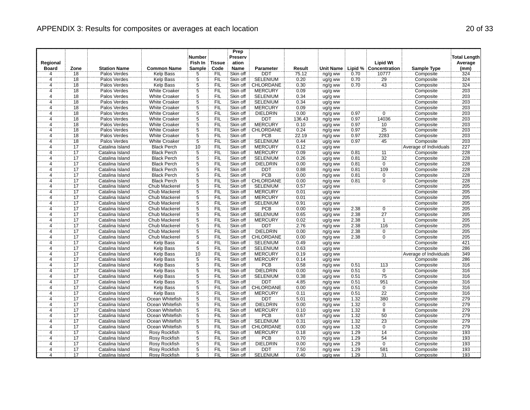| Regional<br><b>Board</b> | Zone            | <b>Station Name</b>                | <b>Common Name</b>   | <b>Number</b><br>Fish In<br>Sample | <b>Tissue</b><br>Code | Prep<br>Preserv<br>ation<br><b>Name</b> | <b>Parameter</b>              | Result       | <b>Unit Name</b>   |      | <b>Lipid Wt</b><br>Lipid % Concentration | <b>Sample Type</b>            | <b>Total Length</b><br>Average<br>(mm) |
|--------------------------|-----------------|------------------------------------|----------------------|------------------------------------|-----------------------|-----------------------------------------|-------------------------------|--------------|--------------------|------|------------------------------------------|-------------------------------|----------------------------------------|
| 4                        | 18              | Palos Verdes                       | Kelp Bass            | 5                                  | <b>FIL</b>            | Skin off                                | <b>DDT</b>                    | 75.12        | ng/g ww            | 0.70 | 10777                                    | Composite                     | 324                                    |
| $\overline{4}$           | 18              | Palos Verdes                       | <b>Kelp Bass</b>     | $\overline{5}$                     | FIL                   | Skin off                                | <b>SELENIUM</b>               | 0.20         | ug/g ww            | 0.70 | 29                                       | Composite                     | 324                                    |
| 4                        | 18              | Palos Verdes                       | Kelp Bass            | 5                                  | <b>FIL</b>            | Skin off                                | CHLORDANE                     | 0.30         | ng/g ww            | 0.70 | 43                                       | Composite                     | 324                                    |
| 4                        | 18              | Palos Verdes                       | <b>White Croaker</b> | $\overline{5}$                     | FIL                   | Skin off                                | <b>MERCURY</b>                | 0.09         | ug/g ww            |      |                                          | Composite                     | 203                                    |
| $\overline{4}$           | 18              | Palos Verdes                       | <b>White Croaker</b> | $\overline{5}$                     | <b>FIL</b>            | Skin off                                | <b>SELENIUM</b>               | 0.34         | ug/g ww            |      |                                          | Composite                     | 203                                    |
| 4                        | 18              | Palos Verdes                       | <b>White Croaker</b> | 5                                  | <b>FIL</b>            | Skin off                                | <b>SELENIUM</b>               | 0.34         | ug/g ww            |      |                                          | Composite                     | 203                                    |
| 4                        | 18              | Palos Verdes                       | <b>White Croaker</b> |                                    | FIL                   | Skin off                                | <b>MERCURY</b>                | 0.09         | ug/g ww            |      |                                          | Composite                     | 203                                    |
| ï,                       | 18              | Palos Verdes                       | White Croaker        | $rac{5}{5}$                        | FIL                   | Skin off                                | <b>DIELDRIN</b>               | 0.00         | ng/g ww            | 0.97 | $\Omega$                                 | Composite                     | 203                                    |
| 4                        | 18              | Palos Verdes                       | <b>White Croaker</b> | $\overline{5}$                     | FIL                   | Skin off                                | <b>DDT</b>                    | 136.43       | ng/g ww            | 0.97 | 14036                                    | Composite                     | 203                                    |
| $\overline{4}$           | 18              | Palos Verdes                       | <b>White Croaker</b> | $\overline{5}$                     | FIL                   | Skin off                                | <b>MERCURY</b>                | 0.10         | ug/g ww            | 0.97 | 10                                       | Composite                     | 203                                    |
| 4                        | 18              | Palos Verdes                       | White Croaker        | 5                                  | FIL                   | Skin off                                | CHLORDANE                     | 0.24         | ng/g ww            | 0.97 | $\overline{25}$                          | Composite                     | 203                                    |
| 4                        | 18              | Palos Verdes                       | <b>White Croaker</b> | $\overline{5}$                     | <b>FIL</b>            | Skin off                                | <b>PCB</b>                    | 22.19        | ng/g ww            | 0.97 | 2283                                     | Composite                     | 203                                    |
| 4                        | 18              | Palos Verdes                       | <b>White Croaker</b> | $\overline{5}$                     | <b>FIL</b>            | Skin off                                | <b>SELENIUM</b>               | 0.44         | ug/g ww            | 0.97 | 45                                       | Composite                     | 203                                    |
| 4                        | $\overline{17}$ | Catalina Island                    | <b>Black Perch</b>   | 10                                 | FIL                   | Skin off                                | <b>MERCURY</b>                | 0.12         | ug/g ww            |      |                                          | <b>Average of Individuals</b> | 227                                    |
| $\overline{4}$           | $\overline{17}$ | Catalina Island                    | <b>Black Perch</b>   | 5                                  | FIL                   | Skin off                                | <b>MERCURY</b>                | 0.09         | ug/g ww            | 0.81 | $\overline{11}$                          | Composite                     | 228                                    |
| 4                        | $\overline{17}$ | Catalina Island                    | <b>Black Perch</b>   | Ϊ5                                 | FIL                   | Skin off                                | <b>SELENIUM</b>               | 0.26         | ug/g ww            | 0.81 | $\overline{32}$                          | Composite                     | 228                                    |
| $\overline{4}$           | 17              | Catalina Island                    | <b>Black Perch</b>   | 5                                  | FIL                   | Skin off                                | <b>DIELDRIN</b>               | 0.00         | ng/g ww            | 0.81 | $\overline{0}$                           | Composite                     | 228                                    |
| 4                        | <br>17          | Catalina Island                    | <b>Black Perch</b>   | $\dddot{5}$                        | Έiί                   | Skin off                                | DDT                           | 0.88         | ng/g ww            | 0.81 | 109                                      | Composite                     | 228                                    |
| 4                        | 17              | Catalina Island                    | <b>Black Perch</b>   | $\overline{5}$                     | <b>FIL</b>            | Skin off                                | <b>PCB</b>                    | 0.00         | ng/g ww            | 0.81 | $\overline{0}$                           | Composite                     | 228                                    |
| 4                        | $\overline{17}$ | Catalina Island                    | <b>Black Perch</b>   | 5                                  | FIL                   | Skin off                                | <b>CHLORDANE</b>              | 0.00         | ng/g ww            | 0.81 | $\overline{0}$                           | Composite                     | 228                                    |
| 4                        | $\overline{17}$ | Catalina Island                    | Chub Mackerel        | $\overline{5}$                     | FIL                   | Skin off                                | <b>SELENIUM</b>               | 0.57         | ug/g ww            |      |                                          | Composite                     | 205                                    |
| 4                        | 17              | Catalina Island                    | Chub Mackerel        | $\overline{5}$                     | FIL                   | Skin off                                | <b>MERCURY</b>                | 0.01         | ug/g ww            |      |                                          | Composite                     | 205                                    |
| 4                        | 17              | Catalina Island                    | Chub Mackerel        | $\overline{5}$                     | <b>FIL</b>            | Skin off                                | <b>MERCURY</b>                | 0.01         |                    |      |                                          | Composite                     | 205                                    |
| 4                        | 17              | Catalina Island                    | <b>Chub Mackerel</b> | $\overline{5}$                     | FIL                   | Skin off                                | <b>SELENIUM</b>               | 0.91         | ug/g ww<br>ug/g ww |      |                                          | Composite                     | 205                                    |
| $\overline{4}$           | 17              | Catalina Island                    | Chub Mackerel        | $\overline{5}$                     | FIL                   | Skin off                                | <b>PCB</b>                    | 0.00         |                    | 2.38 | $\overline{0}$                           | Composite                     | 205                                    |
| 4                        | $\overline{17}$ | Catalina Island                    | Chub Mackerel        | 5                                  | FIL                   | Skin off                                | <b>SELENIUM</b>               | 0.65         | ng/g ww            | 2.38 | 27                                       | Composite                     | 205                                    |
| $\overline{4}$           | 17              | Catalina Island                    | Chub Mackerel        | $\overline{5}$                     | FIL                   | Skin off                                | <b>MERCURY</b>                | 0.02         | ug/g ww<br>ug/g ww | 2.38 | $\overline{1}$                           | Composite                     | 205                                    |
| 4                        | $\overline{17}$ | Catalina Island                    | Chub Mackerel        | 5                                  | FIL                   | Skin off                                | <b>DDT</b>                    | 2.76         |                    | 2.38 | 116                                      | Composite                     | 205                                    |
| $\overline{4}$           | $\overline{17}$ | Catalina Island                    | <b>Chub Mackerel</b> | $\overline{5}$                     | FIL                   | Skin off                                | <b>DIELDRIN</b>               | 0.00         | ng/g ww<br>ng/g ww | 2.38 | $\overline{0}$                           | Composite                     | 205                                    |
| 4                        | 17              | Catalina Island                    | Chub Mackerel        | $\overline{5}$                     | <b>FIL</b>            | Skin off                                | CHLORDANE                     | 0.00         |                    | 2.38 | Ö                                        | Composite                     | 205                                    |
| 4                        | $\overline{17}$ | Catalina Island                    | <b>Kelp Bass</b>     | $\overline{4}$                     | FIL                   | Skin off                                | <b>SELENIUM</b>               | 0.49         | ng/g ww            |      |                                          | Composite                     | 421                                    |
| $\overline{4}$           | 17              | Catalina Island                    | Kelp Bass            | 5                                  | FIL                   | Skin off                                | <b>SELENIUM</b>               | 0.63         | ug/g ww            |      |                                          | Composite                     | 286                                    |
| $\overline{4}$           | 17              | Catalina Island                    | <b>Kelp Bass</b>     | 10                                 | ΈÏL                   | Skin off                                | <b>MERCURY</b>                | 0.19         | ug/g ww<br>ug/g ww |      |                                          | Average of Individuals        | 349                                    |
| 4                        | 17              | Catalina Island                    | <b>Kelp Bass</b>     | $\overline{5}$                     | FIL                   | Skin off                                | <b>MERCURY</b>                | 0.14         |                    |      |                                          | Composite                     | 286                                    |
| 4                        | $\overline{17}$ | Catalina Island                    | <b>Kelp Bass</b>     |                                    | FIL                   | Skin off                                | PCB                           | 0.58         | ug/g ww            | 0.51 | 113                                      | Composite                     | 316                                    |
| $\Delta$                 | 17              | Catalina Island                    | Kelp Bass            | $\frac{5}{5}$                      | FIL                   | Skin off                                | <b>DIELDRIN</b>               | 0.00         | ng/g ww            | 0.51 | $\overline{0}$                           | Composite                     | 316                                    |
| 4                        | 17              | Catalina Island                    | <b>Kelp Bass</b>     | $\overline{5}$                     | <b>FIL</b>            | Skin off                                | <b>SELENIUM</b>               | 0.38         | ng/g ww            | 0.51 | 75                                       | Composite                     | 316                                    |
| 4                        | 17              | Catalina Island                    | Kelp Bass            | $\dddot{5}$                        | FIL                   | Skin off                                | DDT                           | 4.85         | ug/g ww            | 0.51 | 951                                      | Composite                     | 316                                    |
| $\overline{4}$           | 17              | Catalina Island                    | <b>Kelp Bass</b>     | $\tilde{5}$                        | FIL                   | Skin off                                | CHLORDANE                     | 0.00         | ng/g ww            | 0.51 | $\overline{0}$                           | Composite                     | 316                                    |
| $\overline{4}$           | 17              | Catalina Island                    | <b>Kelp Bass</b>     | $\overline{5}$                     | FIL                   | Skin off                                | <b>MERCURY</b>                | 0.11         | ng/g ww            | 0.51 | $\overline{22}$                          | Composite                     | 316                                    |
| 4                        | 17              | Catalina Island                    | Ocean Whitefish      | 5                                  | FIL                   | Skin off                                | DDT                           | 5.01         | ug/g ww<br>ng/g ww | 1.32 | 380                                      | Composite                     | 279                                    |
| 4                        | 17              | Catalina Island                    | Ocean Whitefish      | $\overline{5}$                     | FIL                   | Skin off                                | <b>DIELDRIN</b>               | 0.00         |                    | 1.32 | $\overline{0}$                           | Composite                     | 279                                    |
| 4                        | 17              |                                    | Ocean Whitefish      | $\overline{5}$                     | <b>FIL</b>            | Skin off                                | <b>MERCURY</b>                | 0.10         | ng/g ww            | 1.32 | $\overline{8}$                           |                               | 279                                    |
| 4                        | 17              | Catalina Island<br>Catalina Island | Ocean Whitefish      | $\overline{5}$                     | <b>FIL</b>            | Skin off                                | <b>PCB</b>                    | 0.67         | ug/g ww<br>ng/g ww | 1.32 | 50                                       | Composite<br>Composite        | 279                                    |
| 4                        | 17              |                                    | Ocean Whitefish      | 5                                  | FIL                   | Skin off                                | <b>SELENIUM</b>               | 0.31         |                    | 1.32 |                                          |                               | 279                                    |
| 4                        | $\overline{17}$ | Catalina Island                    |                      | 5                                  | FIL                   |                                         | CHLORDANE                     |              | ug/g ww            | 1.32 | 23<br>Ö                                  | Composite                     | 279                                    |
| $\overline{4}$           | 17              | Catalina Island<br>Catalina Island | Ocean Whitefish      | 5                                  | FIL                   | Skin off<br>Skin off                    | <b>MERCURY</b>                | 0.00<br>0.18 | ng/g ww            | 1.29 | 14                                       | Composite                     | 193                                    |
|                          | 17              |                                    | <b>Rosy Rockfish</b> | $\overline{5}$                     |                       |                                         |                               |              | ug/g ww            | 1.29 |                                          | Composite                     | 193                                    |
| 4<br>4                   | $\overline{17}$ | Catalina Island                    | Rosy Rockfish        | $\overline{5}$                     | <b>FIL</b><br>FIL     | Skin off                                | <b>PCB</b><br><b>DIELDRIN</b> | 0.70<br>0.00 | ng/g ww            | 1.29 | $\overline{54}$<br>$\overline{0}$        | Composite                     | 193                                    |
|                          |                 | Catalina Island                    | <b>Rosy Rockfish</b> |                                    |                       | Skin off                                |                               |              | ng/g ww            |      |                                          | Composite                     |                                        |
| 4                        | 17              | Catalina Island                    | Rosy Rockfish        | $\overline{5}$                     | FIL                   | Skin off                                | <b>DDT</b>                    | 7.50         | ng/g ww            | 1.29 | 581                                      | Composite                     | 193                                    |
| 4                        | 17              | Catalina Island                    | Rosy Rockfish        | 5                                  | <b>FIL</b>            | Skin off                                | <b>SELENIUM</b>               | 0.40         | ug/g ww            | 1.29 | 31                                       | Composite                     | 193                                    |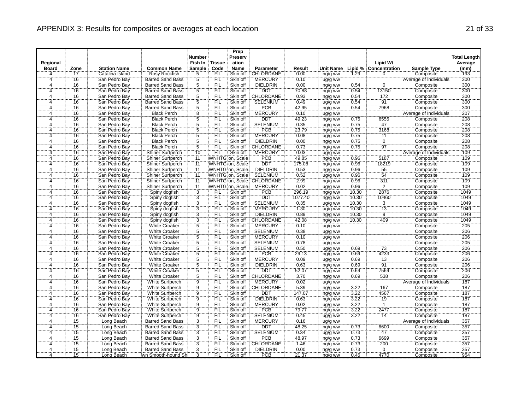|                         |                 |                     |                         | <b>Number</b>   |               | Prep<br>Preserv |                            |         |                  |       |                       |                        | <b>Total Length</b> |
|-------------------------|-----------------|---------------------|-------------------------|-----------------|---------------|-----------------|----------------------------|---------|------------------|-------|-----------------------|------------------------|---------------------|
| Regional                |                 |                     |                         | Fish In         | <b>Tissue</b> | ation           |                            |         |                  |       | <b>Lipid Wt</b>       |                        | Average             |
| <b>Board</b>            | Zone            | <b>Station Name</b> | <b>Common Name</b>      | Sample          | Code          | <b>Name</b>     | <b>Parameter</b>           | Result  | <b>Unit Name</b> |       | Lipid % Concentration | <b>Sample Type</b>     | (mm)                |
| 4                       | 17              | Catalina Island     | Rosy Rockfish           | 5               | <b>FIL</b>    | Skin off        | CHLORDANE                  | 0.00    | ng/g ww          | 1.29  | 0                     | Composite              | 193                 |
| $\overline{4}$          | 16              | San Pedro Bay       | <b>Barred Sand Bass</b> | 5               | FIL           | Skin off        | <b>MERCURY</b>             | 0.10    | ug/g ww          |       |                       | Average of Individuals | 300                 |
| $\overline{4}$          | 16              | San Pedro Bay       | <b>Barred Sand Bass</b> | $\overline{5}$  | <b>FIL</b>    | Skin off        | <b>DIELDRIN</b>            | 0.00    | ng/g ww          | 0.54  | Ö                     | Composite              | 300                 |
| $\overline{\mathbf{4}}$ | 16              | San Pedro Bay       | <b>Barred Sand Bass</b> | $\overline{5}$  | FIL           | Skin off        | <b>DDT</b>                 | 70.88   | ng/g ww          | 0.54  | 13150                 | Composite              | 300                 |
| 4                       | 16              | San Pedro Bay       | <b>Barred Sand Bass</b> | $\overline{5}$  | FIL           | Skin off        | CHLORDANE                  | 0.93    | ng/g ww          | 0.54  | 172                   | Composite              | 300                 |
| 4                       | 16              | San Pedro Bay       | <b>Barred Sand Bass</b> | $\overline{5}$  | FIL           | Skin off        | <b>SELENIUM</b>            | 0.49    | ug/g ww          | 0.54  | 91                    | Composite              | 300                 |
|                         | 16              | San Pedro Bay       | <b>Barred Sand Bass</b> |                 | <b>FIL</b>    | Skin off        | PCB                        | 42.95   | ng/g ww          | 0.54  | 7968                  | Composite              | 300                 |
| $\frac{4}{4}$           | 16              | San Pedro Bay       | <b>Black Perch</b>      | $\frac{5}{8}$   | ΪË            | Skin off        | <b>MERCURY</b>             | 0.10    | ug/g ww          |       |                       | Average of Individuals | 207                 |
| Ä                       | 16              | San Pedro Bay       | <b>Black Perch</b>      | $\overline{5}$  | FIL           | Skin off        | DDT                        | 49.23   | ng/g ww          | 0.75  | 6555                  | Composite              | 208                 |
| 4                       | 16              | San Pedro Bay       | <b>Black Perch</b>      |                 | FIL           | Skin off        | <b>SELENIUM</b>            | 0.35    | ug/g ww          | 0.75  | 47                    | Composite              | 208                 |
| 4                       | 16              | San Pedro Bay       | <b>Black Perch</b>      | $\frac{5}{5}$   | FIL           | Skin off        | <b>PCB</b>                 | 23.79   | ng/g ww          | 0.75  | 3168                  | Composite              | 208                 |
| 4                       | 16              | San Pedro Bay       | <b>Black Perch</b>      | $\overline{5}$  | FIL           | Skin off        | <b>MERCURY</b>             | 0.08    | ug/g ww          | 0.75  | 11                    | Composite              | 208                 |
| $\overline{4}$          | 16              | San Pedro Bay       | <b>Black Perch</b>      | Ï5              | <b>FIL</b>    | Skin off        | <b>DIELDRIN</b>            | 0.00    | ng/g ww          | 0.75  | ö                     | Composite              | 208                 |
| 4                       | 16              | San Pedro Bay       | <b>Black Perch</b>      | $\overline{5}$  | FIL           | Skin off        | CHLORDANE                  | 0.73    | ng/g ww          | 0.75  | 97                    | Composite              | 208                 |
| $\overline{4}$          | 16              | San Pedro Bay       | <b>Shiner Surfperch</b> | 10              | FIL           | Skin off        | <b>MERCURY</b>             | 0.03    | ug/g ww          |       |                       | Average of Individuals | 109                 |
| 4                       | 16              | San Pedro Bay       | Shiner Surfperch        | $\overline{11}$ |               | WNHTG on, Scale | <b>PCB</b>                 | 49.85   | ng/g ww          | 0.96  | 5187                  | Composite              | 109                 |
| 4                       | 16              | San Pedro Bay       | Shiner Surfperch        | 11              |               | WNHTG on, Scale | <b>DDT</b>                 | 175.08  | ng/g ww          | 0.96  | 18219                 | Composite              | 109                 |
| 4                       | 16              | San Pedro Bay       | Shiner Surfperch        | $\overline{11}$ |               | WNHTG on, Scale | <b>DIELDRIN</b>            | 0.53    | ng/g ww          | 0.96  | 55                    | Composite              | 109                 |
| $\overline{4}$          | 16              | San Pedro Bay       | <b>Shiner Surfperch</b> | $\overline{11}$ |               | WNHTG on, Scale | <b>SELENIUM</b>            | 0.52    | ug/g ww          | 0.96  | 54                    | Composite              | 109                 |
| $\overline{4}$          | 16              | San Pedro Bay       | Shiner Surfperch        | 11              |               |                 | WNHTG on, Scale: CHLORDANE | 2.99    | ng/g ww          | 0.96  | 311                   | Composite              | 109                 |
| 4                       | 16              | San Pedro Bay       | Shiner Surfperch        | $\overline{11}$ |               | WNHTG on, Scale | <b>MERCURY</b>             | 0.02    | ug/g ww          | 0.96  | $\overline{2}$        | Composite              | 109                 |
| 4                       | 16              | San Pedro Bay       | Spiny dogfish           | $\overline{3}$  | <b>FIL</b>    | Skin off        | <b>PCB</b>                 | 296.19  | ng/g ww          | 10.30 | 2876                  | Composite              | 1049                |
| $\overline{4}$          | 16              | San Pedro Bay       | Spiny dogfish           | $\overline{3}$  | FIL           | Skin off        | <b>DDT</b>                 | 1077.40 | ng/g ww          | 10.30 | 10460                 | Composite              | 1049                |
| 4                       | 16              | San Pedro Bay       | Spiny dogfish           | $\overline{3}$  | FIL           | Skin off        | <b>SELENIUM</b>            | 0.35    | ug/g ww          | 10.30 | $\overline{3}$        | Composite              | 1049                |
| 4                       | 16              | San Pedro Bay       | Spiny dogfish           | $\overline{3}$  | FIL           | Skin off        | <b>MERCURY</b>             | 1.30    | ug/g ww          | 10.30 | $\overline{13}$       | Composite              | 1049                |
| 4                       | $\overline{16}$ | San Pedro Bay       | Spiny dogfish           | $\overline{3}$  | FIL           | Skin off        | <b>DIELDRIN</b>            | 0.89    | ng/g ww          | 10.30 | Ï9                    | Composite              | 1049                |
| $\overline{4}$          | 16              | San Pedro Bay       | Spiny dogfish           |                 | FIL           | Skin off        | CHLORDANE                  | 42.08   | ng/g ww          | 10.30 | 409                   | Composite              | 1049                |
| 4                       | 16              | San Pedro Bay       | <b>White Croaker</b>    | $\frac{3}{5}$   | <b>FIL</b>    | Skin off        | <b>MERCURY</b>             | 0.10    | ug/g ww          |       |                       | Composite              | 205                 |
| Ä,                      | 16              | San Pedro Bay       | <b>White Croaker</b>    | $\overline{5}$  | FIL           | Skin off        | <b>SELENIUM</b>            | 0.38    | ug/g ww          |       |                       | Composite              | 206                 |
| 4                       | 16              | San Pedro Bay       | White Croaker           | $\overline{5}$  | FIL           | Skin off        | <b>MERCURY</b>             | 0.10    | ug/g ww          |       |                       | Composite              | 206                 |
| 4                       | 16              | San Pedro Bay       | White Croaker           | 5               | <b>FIL</b>    | Skin off        | <b>SELENIUM</b>            | 0.78    | ug/g ww          |       |                       | Composite              | 205                 |
| 4                       | 16              | San Pedro Bay       | <b>White Croaker</b>    |                 | FIL           | Skin off        | <b>SELENIUM</b>            | 0.50    | ug/g ww          | 0.69  | 73                    | Composite              | 206                 |
| $\overline{4}$          | 16              | San Pedro Bay       | White Croaker           | $rac{5}{5}$     | FIL           | Skin off        | <b>PCB</b>                 | 29.13   | ng/g ww          | 0.69  | 4233                  | Composite              | 206                 |
| $\overline{4}$          | 16              | San Pedro Bay       | <b>White Croaker</b>    | $\overline{5}$  | <b>FIL</b>    | Skin off        | <b>MERCURY</b>             | 0.09    | ug/g ww          | 0.69  | 13                    | Composite              | 206                 |
| 4                       | 16              | San Pedro Bay       | <b>White Croaker</b>    |                 | FIL           | Skin off        | <b>DIELDRIN</b>            | 0.63    | ng/g ww          | 0.69  | 91                    | Composite              | 206                 |
| $\overline{4}$          | 16              | San Pedro Bay       | <b>White Croaker</b>    | $\frac{5}{5}$   | FIL           | Skin off        | DDT                        | 52.07   | ng/g ww          | 0.69  | 7569                  | Composite              | 206                 |
| $\overline{4}$          | 16              | San Pedro Bay       | <b>White Croaker</b>    | 5               | FIL           | Skin off        | <b>CHLORDANE</b>           | 3.70    | ng/g ww          | 0.69  | 538                   | Composite              | 206                 |
| 4                       | 16              | San Pedro Bay       | White Surfperch         |                 | FIL           | Skin off        | <b>MERCURY</b>             | 0.02    | ug/g ww          |       |                       | Average of Individuals | 187                 |
| Ä,                      | 16              | San Pedro Bay       | <b>White Surfperch</b>  | $\frac{9}{9}$   | FIL           | Skin off        | CHLORDANE                  | 5.39    | ng/g ww          | 3.22  | 167                   | Composite              | 187                 |
| 4                       | 16              | San Pedro Bay       | White Surfperch         | $\overline{9}$  | FIL           | Skin off        | <b>DDT</b>                 | 147.07  | ng/g ww          | 3.22  | 4567                  | Composite              | 187                 |
| 4                       | 16              | San Pedro Bay       | White Surfperch         | Ï9              | FIL           | Skin off        | <b>DIELDRIN</b>            | 0.63    | ng/g ww          | 3.22  | 19                    | Composite              | 187                 |
| $\overline{4}$          | 16              | San Pedro Bay       | <b>White Surfperch</b>  | $\overline{9}$  | FIL           | Skin off        | <b>MERCURY</b>             | 0.02    | ug/g ww          | 3.22  | $\overline{1}$        | Composite              | 187                 |
| Ä,                      | 16              | San Pedro Bay       | White Surfperch         | Ïġ              | Έiϊ           | Skin off        | <b>PCB</b>                 | 79.77   | ng/g ww          | 3.22  | 2477                  | Composite              | 187                 |
| 4                       | 16              | San Pedro Bay       | <b>White Surfperch</b>  | $\overline{9}$  | FIL           | Skin off        | <b>SELENIUM</b>            | 0.45    | ug/g ww          | 3.22  | 14                    | Composite              | 187                 |
| 4                       | $\overline{15}$ | Long Beach          | <b>Barred Sand Bass</b> | $\overline{3}$  | FIL           | Skin off        | <b>MERCURY</b>             | 0.16    | ug/g ww          |       |                       | Average of Individuals | 357                 |
| 4                       | 15              | Long Beach          | <b>Barred Sand Bass</b> | $\overline{3}$  | FIL           | Skin off        | DDT                        | 48.25   | ng/g ww          | 0.73  | 6600                  | Composite              | 357                 |
| $\overline{4}$          | 15              | Long Beach          | <b>Barred Sand Bass</b> | $\overline{3}$  | FIL           | Skin off        | <b>SELENIUM</b>            | 0.34    | ug/g ww          | 0.73  | 47                    | Composite              | 357                 |
| 4                       | 15              | Long Beach          | <b>Barred Sand Bass</b> | $\ddot{3}$      | <b>FIL</b>    | Skin off        | PCB                        | 48.97   | ng/g ww          | 0.73  | 6699                  | Composite              | 357                 |
| 4                       | 15              | Long Beach          | <b>Barred Sand Bass</b> |                 | FIL           | Skin off        | CHLORDANE                  | 1.46    | ng/g ww          | 0.73  | 200                   | Composite              | 357                 |
| $\overline{4}$          | $\overline{15}$ | Long Beach          | <b>Barred Sand Bass</b> | $\frac{3}{3}$   | FIL           | Skin off        | <b>DIELDRIN</b>            | 0.00    | ng/g ww          | 0.73  | $\overline{0}$        | Composite              | 357                 |
| 4                       | 15              | Long Beach          | wn Smooth-hound Shi     | 3               | <b>FIL</b>    | Skin off        | <b>PCB</b>                 | 21.37   | ng/g ww          | 0.45  | 4770                  | Composite              | 954                 |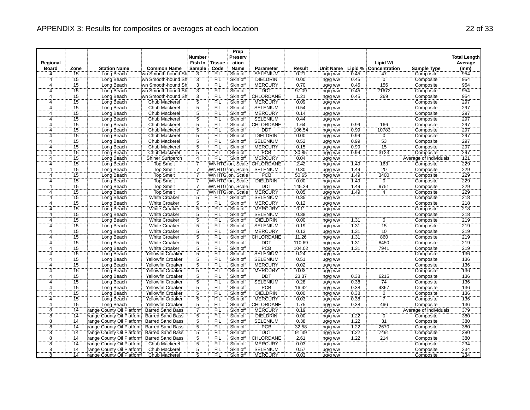| Regional                       |                 | <b>Station Name</b>       | <b>Common Name</b>       | Number<br>Fish In                | <b>Tissue</b><br>Code | Prep<br>Preserv<br>ation<br><b>Name</b> | Parameter                 |                | <b>Unit Name</b> |              | <b>Lipid Wt</b><br>Lipid % Concentration | <b>Sample Type</b>     | <b>Total Length</b><br>Average<br>(mm) |
|--------------------------------|-----------------|---------------------------|--------------------------|----------------------------------|-----------------------|-----------------------------------------|---------------------------|----------------|------------------|--------------|------------------------------------------|------------------------|----------------------------------------|
| <b>Board</b><br>$\overline{4}$ | Zone<br>15      |                           | wn Smooth-hound Shi      | Sample<br>$\overline{3}$         | <b>FIL</b>            | Skin off                                | <b>SELENIUM</b>           | Result<br>0.21 |                  | 0.45         | 47                                       |                        | 954                                    |
| $\overline{4}$                 | 15              | Long Beach                | wn Smooth-hound Shi      | $\overline{3}$                   | FIL                   | Skin off                                | <b>DIELDRIN</b>           |                | ug/g ww          | 0.45         | $\overline{0}$                           | Composite              | 954                                    |
| 4                              | 15              | Long Beach                | iwn Smooth-hound Shi     |                                  | `FIL                  | Skin off                                | <b>MERCURY</b>            | 0.00<br>0.70   | ng/g ww          | 0.45         | 156                                      | Composite<br>Composite | 954                                    |
|                                | 15              | Long Beach                | iwn Smooth-hound Shi     | $rac{3}{3}$                      | <b>FIL</b>            | Skin off                                | DDT                       |                | ug/g ww          | 0.45         |                                          |                        | 954                                    |
| 4<br>$\overline{4}$            | 15              | Long Beach                |                          | $\overline{3}$                   | FIL                   | Skin off                                | CHLORDANE                 | 97.09          | ng/g ww          | 0.45         | 21672                                    | Composite              | 954                                    |
|                                | 15              | Long Beach                | wn Smooth-hound Sh       | $\overline{5}$                   | FIL                   | Skin off                                | <b>MERCURY</b>            | 1.21           | ng/g ww          |              | 269                                      | Composite              | 297                                    |
| 4                              |                 | Long Beach                | Chub Mackerel            |                                  |                       |                                         |                           | 0.09           | ug/g ww          |              |                                          | Composite              |                                        |
| $\overline{4}$                 | 15              | Long Beach                | Chub Mackerel            | $\overline{5}$                   | <b>FIL</b><br>ΪFIL    | Skin off                                | <b>SELENIUM</b>           | 0.54           | ug/g ww          |              |                                          | Composite              | 297                                    |
| 4                              | $\overline{15}$ | Long Beach                | Chub Mackerel            | $\overline{5}$<br>$\overline{5}$ |                       | Skin off                                | <b>MERCURY</b>            | 0.14           | ug/g ww          |              |                                          | Composite              | 297                                    |
| $\overline{4}$                 | 15              | Long Beach                | Chub Mackerel            |                                  | FIL                   | Skin off                                | <b>SELENIUM</b>           | 0.44           | ug/g ww          |              |                                          | Composite              | 297                                    |
| $\overline{4}$                 | 15              | Long Beach                | Chub Mackerel            | $\frac{5}{5}$                    | <b>FIL</b>            | Skin off                                | CHLORDANE                 | 1.64           | ng/g ww          | 0.99         | 166                                      | Composite              | 297                                    |
| 4                              | 15              | Long Beach                | Chub Mackerel            |                                  | FIL                   | Skin off                                | <b>DDT</b>                | 106.54         | ng/g ww          | 0.99         | 10783                                    | Composite              | 297                                    |
| 4                              | 15              | Long Beach                | Chub Mackerel            | $\frac{5}{5}$                    | FIL                   | Skin off                                | <b>DIELDRIN</b>           | 0.00           | ng/g ww          | 0.99         | 0                                        | Composite              | 297                                    |
| 4                              | $\overline{15}$ | Long Beach                | Chub Mackerel            |                                  | FIL                   | Skin off                                | <b>SELENIUM</b>           | 0.52           | ug/g ww          | 0.99         | $\overline{53}$                          | Composite              | 297                                    |
| $\overline{4}$                 | 15              | Long Beach                | Chub Mackerel            | $\overline{5}$                   | <b>FIL</b>            | Skin off                                | <b>MERCURY</b>            | 0.15           | ug/g ww          | 0.99         | $\overline{15}$                          | Composite              | 297                                    |
| 4                              | 15              | Long Beach                | Chub Mackerel            | $\frac{5}{4}$                    | FIL                   | Skin off                                | PCB                       | 30.85          | ng/g ww          | 0.99         | 3123                                     | Composite              | 297                                    |
| 4                              | $\overline{15}$ | Long Beach                | Shiner Surfperch         |                                  | FIL                   | Skin off                                | <b>MERCURY</b>            | 0.04           | ug/g ww          |              |                                          | Average of Individuals | 121                                    |
| 4                              | 15              | Long Beach                | <b>Top Smelt</b>         | $\overline{7}$                   |                       |                                         | WNHTG on, Scale CHLORDANE | 2.42           | ng/g ww          | 1.49         | 163                                      | Composite              | 229                                    |
| 4                              | 15              | Long Beach                | <b>Top Smelt</b>         | 7                                |                       | WNHTG on, Scale                         | <b>SELENIUM</b>           | 0.30           | ug/g ww          | 1.49         | $\overline{20}$                          | Composite              | 229                                    |
| $\overline{4}$                 | 15              | Long Beach                | <b>Top Smelt</b>         | 7                                |                       | WNHTG on, Scale                         | <b>PCB</b>                | 50.65          | ng/g ww          | 1.49         | 3400                                     | Composite              | 229                                    |
| $\overline{4}$                 | 15              | Long Beach                | <b>Top Smelt</b>         | 7                                |                       | WNHTG on, Scale                         | <b>DIELDRIN</b>           | 0.00           | ng/g ww          | 1.49         | $\overline{0}$                           | Composite              | 229                                    |
| 4                              | 15              | Long Beach                | Top Smelt                | 7                                |                       | WNHTG on, Scale                         | DDT                       | 145.29         | ng/g ww          | 1.49         | 9751                                     | Composite              | 229                                    |
| 4                              | 15              | Long Beach                | <b>Top Smelt</b>         | $\frac{7}{5}$                    |                       | WNHTG on, Scale                         | <b>MERCURY</b>            | 0.05           | ug/g ww          | 1.49         | $\overline{4}$                           | Composite              | 229                                    |
| Ä                              | $\overline{15}$ | Long Beach                | <b>White Croaker</b>     |                                  | <b>FIL</b>            | Skin off                                | <b>SELENIUM</b>           | 0.35           | ug/g ww          |              |                                          | Composite              | 218                                    |
| $\overline{4}$                 | 15              | Long Beach                | <b>White Croaker</b>     | $\overline{5}$                   | FIL                   | Skin off                                | <b>MERCURY</b>            | 0.12           | ug/g ww          |              |                                          | Composite              | 218                                    |
| 4                              | $\overline{15}$ | Long Beach                | <b>White Croaker</b>     | $\overline{5}$                   | FIL                   | Skin off                                | <b>MERCURY</b>            | 0.11           | ug/g ww          |              |                                          | Composite              | 218                                    |
| 4                              | $\overline{15}$ | Long Beach                | <b>White Croaker</b>     | $\overline{5}$                   | FIL                   | Skin off                                | <b>SELENIUM</b>           | 0.38           | ug/g ww          |              |                                          | Composite              | 218                                    |
| 4                              | 15              | Long Beach                | <b>White Croaker</b>     | $\overline{5}$                   | FIL                   | Skin off                                | <b>DIELDRIN</b>           | 0.00           | ng/g ww          | 1.31         | $\overline{0}$                           | Composite              | 219                                    |
| 4                              | 15              | Long Beach                | <b>White Croaker</b>     | $\dddot{5}$                      | <b>FIL</b>            | Skin off                                | SELENIUM                  | 0.19           | ug/g ww          | 1.31         | $\overline{15}$                          | Composite              | 219                                    |
| 4                              | 15              | Long Beach                | <b>White Croaker</b>     | $\overline{5}$                   | FIL                   | Skin off                                | <b>MERCURY</b>            | 0.13           | ug/g ww          | 1.31         | 10                                       | Composite              | 219                                    |
| $\overline{4}$                 | $\overline{15}$ | Long Beach                | <b>White Croaker</b>     | $\overline{5}$                   | FIL                   | Skin off                                | CHLORDANE                 | 11.26          | ng/g ww          | 1.31         | 860                                      | Composite              | 219                                    |
| 4                              | 15              | Long Beach                | <b>White Croaker</b>     | 5                                | FIL                   | Skin off                                | DDT                       | 110.69         | ng/g ww          | 1.31         | 8450                                     | Composite              | 219                                    |
| 4                              | 15              | Long Beach                | <b>White Croaker</b>     |                                  | <b>FIL</b>            | Skin off                                | <b>PCB</b>                | 104.02         | ng/g ww          | 1.31         | 7941                                     | Composite              | 219                                    |
| $\overline{4}$                 | $\overline{15}$ | Long Beach                | <b>Yellowfin Croaker</b> | $\frac{5}{5}$                    | ΪFIL                  | Skin off                                | <b>SELENIUM</b>           | 0.24           | ug/g ww          |              |                                          | Composite              | 136                                    |
| 4                              | $\overline{15}$ | Long Beach                | <b>Yellowfin Croaker</b> | $\overline{5}$                   | FIL                   | Skin off                                | <b>SELENIUM</b>           | 0.51           | ug/g ww          |              |                                          | Composite              | 136                                    |
| 4                              | 15              | Long Beach                | <b>Yellowfin Croaker</b> |                                  | FIL                   | Skin off                                | <b>MERCURY</b>            | 0.02           | ug/g ww          |              |                                          | Composite              | 136                                    |
| 4                              | 15              | Long Beach                | <b>Yellowfin Croaker</b> | $\frac{5}{5}$                    | FIL                   | Skin off                                | <b>MERCURY</b>            | 0.03           | ug/g ww          |              |                                          | Composite              | 136                                    |
| 4                              | 15              | Long Beach                | <b>Yellowfin Croaker</b> | 5                                | <b>FIL</b>            | Skin off                                | <b>DDT</b>                | 23.37          | ng/g ww          | 0.38         | 6215                                     | Composite              | 136                                    |
| 4                              | 15              | Long Beach                | <b>Yellowfin Croaker</b> | $\overline{5}$                   | FIL                   | Skin off                                | <b>SELENIUM</b>           | 0.28           | ug/g ww          | 0.38         | $\overline{74}$                          | Composite              | 136                                    |
| 4                              | 15              | Long Beach                | <b>Yellowfin Croaker</b> | $\overline{5}$                   | FIL                   | Skin off                                | <b>PCB</b>                | 16.42          | ng/g ww          | 0.38         | 4367                                     | Composite              | 136                                    |
| $\overline{4}$                 | 15              | Long Beach                | Yellowfin Croaker        | $\overline{5}$                   | FIL                   | Skin off                                | <b>DIELDRIN</b>           | 0.00           | ng/g ww          | 0.38         | $\overline{0}$                           | Composite              | 136                                    |
| 4                              | 15              | Long Beach                | Yellowfin Croaker        | $\overline{5}$                   | FIL                   | Skin off                                | <b>MERCURY</b>            | 0.03           | ug/g ww          | 0.38         | 7                                        | Composite              | 136                                    |
| 4                              | 15              | Long Beach                | Yellowfin Croaker        | $\overline{5}$                   | FIL                   | Skin off                                | CHLORDANE                 | 1.75           | ng/g ww          | 0.38         | 466                                      | Composite              | 136                                    |
| $\overline{8}$                 | 14              | range County Oil Platforn | Barred Sand Bass         | 7                                | <b>FIL</b>            | Skin off                                | <b>MERCURY</b>            | 0.19           | ug/g ww          |              |                                          | Average of Individuals | 379                                    |
| $\overline{8}$                 | 14              | range County Oil Platforn | <b>Barred Sand Bass</b>  | $\overline{5}$                   | FIL                   | Skin off                                | <b>DIELDRIN</b>           | 0.00           | ng/g ww          | 1.22         | $\overline{0}$                           | Composite              | 380                                    |
| $\overline{8}$                 | 14              | range County Oil Platforn | <b>Barred Sand Bass</b>  |                                  | FIL                   | Skin off                                | <b>SELENIUM</b>           | 0.38           |                  | 1.22         | $\overline{31}$                          | Composite              | 380                                    |
| $\overline{8}$                 | 14              | range County Oil Platforn | Barred Sand Bass         | $\frac{5}{5}$                    | FIL                   | Skin off                                | PCB                       | 32.58          | ug/g ww          | 1.22         | 2670                                     | Composite              | 380                                    |
|                                |                 |                           |                          |                                  | FIL                   | Skin off                                | <b>DDT</b>                |                | ng/g ww          |              |                                          |                        |                                        |
| 8<br>ë.                        | 14              | range County Oil Platforn | <b>Barred Sand Bass</b>  | $\overline{5}$<br>5              | FIL                   | Skin off                                | CHLORDANE                 | 91.39<br>2.61  | ng/g ww          | 1.22<br>1.22 | 7491<br>214                              | Composite              | 380<br>380                             |
|                                | 14              | range County Oil Platforn | <b>Barred Sand Bass</b>  | $\overline{5}$                   |                       |                                         | <b>MERCURY</b>            |                | ng/g ww          |              |                                          | Composite              | 234                                    |
| 8                              | 14              | range County Oil Platforn | Chub Mackerel            |                                  | <b>FIL</b><br>FIL     | Skin off                                |                           | 0.03           | ug/g ww          |              |                                          | Composite              |                                        |
| $\overline{8}$                 | 14              | range County Oil Platforn | Chub Mackerel            | $\overline{5}$                   |                       | Skin off                                | <b>SELENIUM</b>           | 0.57           | ug/g ww          |              |                                          | Composite              | 234                                    |
| $\overline{8}$                 | 14              | range County Oil Platforn | Chub Mackerel            | $\overline{5}$                   | FIL                   | Skin off                                | <b>MERCURY</b>            | 0.03           | ug/g ww          |              |                                          | Composite              | 234                                    |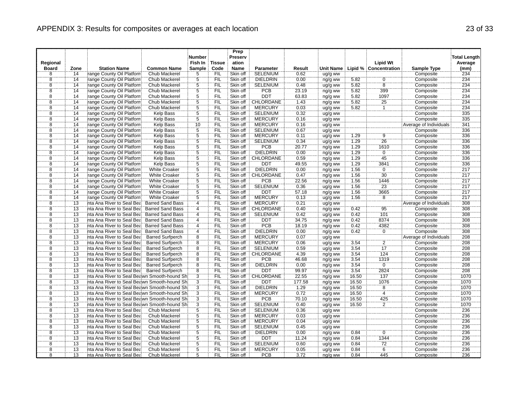| Fish In<br><b>Tissue</b><br><b>Lipid Wt</b><br>Average<br>Regional<br>ation<br><b>Station Name</b><br><b>Common Name</b><br><b>Sample</b><br>Code<br><b>Name</b><br><b>Lipid % Concentration</b><br>(mm)<br><b>Board</b><br>Zone<br><b>Parameter</b><br>Result<br><b>Unit Name</b><br>Sample Type<br>range County Oil Platforn<br>FIL<br>Skin off<br><b>SELENIUM</b><br>8<br>14<br>Chub Mackerel<br>5<br>0.62<br>Composite<br>234<br>ug/g ww<br>$\frac{5}{5}$<br>$\frac{8}{8}$<br>14<br>range County Oil Platforn<br>FIL<br>$\frac{0}{8}$<br>234<br>Chub Mackerel<br>Skin off<br><b>DIELDRIN</b><br>0.00<br>ng/g ww<br>5.82<br>Composite<br><br>14<br>range County Oil Platforn<br>Skin off<br><b>SELENIUM</b><br>0.48<br>5.82<br>Composite<br>234<br>Chub Mackerel<br><b>FIL</b><br>ug/g ww<br>$\overline{8}$<br>$\overline{5}$<br>399<br>$\overline{14}$<br><b>Chub Mackerel</b><br><b>FIL</b><br>Skin off<br>PCB<br>23.19<br>5.82<br>234<br>range County Oil Platforn<br>ng/g ww<br>Composite<br>$\overline{8}$<br>$\overline{5}$<br>14<br>range County Oil Platforn<br>FIL<br>Skin off<br><b>DDT</b><br>5.82<br>1097<br>234<br>Chub Mackerel<br>63.83<br>Composite<br>ng/g ww<br>5<br>CHLORDANE<br>25<br>234<br>8<br>14<br>range County Oil Platforn<br>Chub Mackerel<br><b>FIL</b><br>Skin off<br>1.43<br>5.82<br>Composite<br>ng/g ww<br>$\overline{\bf 8}$<br>$rac{5}{5}$<br>FIL<br><b>MERCURY</b><br>234<br>14<br>range County Oil Platforn<br>Skin off<br>0.03<br>ug/g ww<br>5.82<br>$\mathbf{1}$<br>Composite<br>Chub Mackerel<br>$\overline{8}$<br>14<br>ΪFIL<br>335<br>Skin off<br><b>SELENIUM</b><br>0.32<br>range County Oil Platforn<br>Kelp Bass<br>ug/g ww<br>Composite<br>$\overline{8}$<br>$\overline{14}$<br>$\overline{5}$<br><b>MERCURY</b><br>335<br>range County Oil Platforn<br><b>Kelp Bass</b><br><b>FIL</b><br>Skin off<br>0.16<br>Composite<br>ug/g ww<br>341<br>$\overline{8}$<br><b>MERCURY</b><br>14<br>range County Oil Platforn<br>Kelp Bass<br>10<br><b>FIL</b><br>Skin off<br>0.16<br>ug/g ww<br>Average of Individuals<br>$\overline{5}$<br>$\overline{8}$<br>$\overline{14}$<br>FIL<br>Skin off<br><b>SELENIUM</b><br>336<br>range County Oil Platforn<br>Kelp Bass<br>0.67<br>Composite<br>ug/g ww<br>$\overline{5}$<br>8<br>14<br>FIL<br>336<br>range County Oil Platforn<br>Kelp Bass<br>Skin off<br><b>MERCURY</b><br>0.11<br>1.29<br>9<br>Composite<br>ug/g ww<br>Ï,<br>$\overline{26}$<br>1.29<br>336<br>8<br>14<br>range County Oil Platforn<br>Kelp Bass<br><b>FIL</b><br>Skin off<br><b>SELENIUM</b><br>0.34<br>Composite<br>ug/g ww<br>$\overline{8}$<br>$\overline{14}$<br>$\overline{5}$<br>336<br>FIL<br>Skin off<br><b>PCB</b><br>20.77<br>1.29<br>1610<br>range County Oil Platforn<br><b>Kelp Bass</b><br>Composite<br>ng/g ww<br>$\overline{8}$<br>$\overline{5}$<br>336<br>14<br>FIL<br>Skin off<br><b>DIELDRIN</b><br>1.29<br>$\overline{0}$<br>range County Oil Platforn<br>Kelp Bass<br>0.00<br>Composite<br>ng/g ww<br>5<br>45<br>$\overline{8}$<br>1.29<br>336<br>14<br>range County Oil Platforn<br>Kelp Bass<br><b>FIL</b><br>Skin off<br>CHLORDANE<br>0.59<br>Composite<br>ng/g ww<br>$\overline{8}$<br>$\overline{5}$<br>336<br>14<br>range County Oil Platforn<br>Skin off<br><b>DDT</b><br>49.55<br>1.29<br>3841<br>Kelp Bass<br><b>FIL</b><br>Composite<br>ng/g ww<br>$\bar{5}$<br>$\overline{8}$<br>$\overline{0}$<br>$\overline{14}$<br>FIL<br>Skin off<br><b>DIELDRIN</b><br>0.00<br>1.56<br>217<br>range County Oil Platforn<br><b>White Croaker</b><br>Composite<br>ng/g ww<br>$\overline{5}$<br>$\overline{8}$<br>FIL<br>1.56<br>30<br>217<br>14<br>range County Oil Platforn<br><b>White Croaker</b><br>Skin off<br><b>CHLORDANE</b><br>0.47<br>Composite<br>ng/g ww<br>$\overline{5}$<br>$\overline{8}$<br>$\overline{14}$<br><b>PCB</b><br>22.56<br>217<br>range County Oil Platforn<br><b>White Croaker</b><br><b>FIL</b><br>Skin off<br>1.56<br>1446<br>Composite<br>ng/g ww<br>$\overline{5}$<br>$\overline{8}$<br>$\overline{14}$<br>FIL<br><b>SELENIUM</b><br>$\overline{23}$<br>217<br>Skin off<br>0.36<br>1.56<br>range County Oil Platforn<br><b>White Croaker</b><br>ug/g ww<br>Composite<br>$\overline{5}$<br>217<br>8<br>14<br>range County Oil Platforn<br><b>White Croaker</b><br><b>FIL</b><br>Skin off<br><b>DDT</b><br>57.18<br>1.56<br>3665<br>Composite<br>ng/g ww<br>$\overline{8}$<br>217<br>$\overline{5}$<br>`FIL<br><b>MERCURY</b><br>$\overline{8}$<br>14<br>range County Oil Platforn<br><b>White Croaker</b><br>Skin off<br>0.13<br>1.56<br>Composite<br>ug/g ww<br>308<br>$\overline{8}$<br>FIL<br>Skin off<br><b>MERCURY</b><br>0.21<br><b>Average of Individuals</b><br>13<br>nta Ana River to Seal Bea<br><b>Barred Sand Bass</b><br>4<br>ug/g ww<br>95<br>$\overline{8}$<br>13<br>$\overline{4}$<br>FIL<br>CHLORDANE<br>0.42<br>308<br>nta Ana River to Seal Bea<br><b>Barred Sand Bass</b><br>Skin off<br>0.40<br>Composite<br>ng/g ww<br>$\overline{8}$<br>$\overline{13}$<br>FIL<br><b>SELENIUM</b><br>101<br>308<br>nta Ana River to Seal Bea<br><b>Barred Sand Bass</b><br>$\overline{4}$<br>Skin off<br>0.42<br>0.42<br>Composite<br>ug/g ww<br>308<br>8<br>13<br>nta Ana River to Seal Bea<br><b>Barred Sand Bass</b><br>$\overline{4}$<br>FIL<br>Skin off<br><b>DDT</b><br>34.75<br>0.42<br>8374<br>Composite<br>ng/g ww<br>$\overline{\bf 8}$<br><b>PCB</b><br>13<br>FIL<br>Skin off<br>0.42<br>4382<br>Composite<br>308<br>nta Ana River to Seal Bea<br><b>Barred Sand Bass</b><br>18.19<br>ng/g ww<br>4<br>$\overline{8}$<br>308<br>FIL<br><b>DIELDRIN</b><br>0.42<br>$\overline{0}$<br>13<br>$\overline{4}$<br>Skin off<br>0.00<br>Composite<br>nta Ana River to Seal Bea<br><b>Barred Sand Bass</b><br>ng/g ww<br>$\overline{8}$<br>$\overline{8}$<br>208<br>13<br>FIL<br>Skin off<br><b>MERCURY</b><br>0.07<br>Average of Individuals<br>nta Ana River to Seal Bea<br><b>Barred Surfperch</b><br>ug/g ww<br>$\overline{2}$<br>$\overline{8}$<br>13<br>$\overline{8}$<br>Skin off<br><b>MERCURY</b><br>3.54<br>208<br>nta Ana River to Seal Bea<br><b>FIL</b><br>0.06<br>Composite<br><b>Barred Surfperch</b><br>ug/g ww<br>208<br>8<br>13<br>nta Ana River to Seal Bea<br><b>Barred Surfperch</b><br>8<br><b>FIL</b><br>Skin off<br><b>SELENIUM</b><br>0.59<br>3.54<br>17<br>Composite<br>ug/g ww<br>$\overline{8}$<br>$\overline{8}$<br>13<br>`FIL<br>Skin off<br>CHLORDANE<br>4.39<br>3.54<br>124<br>Composite<br>208<br>nta Ana River to Seal Bea<br><b>Barred Surfperch</b><br>ng/g ww<br>PCB<br>208<br>$\overline{8}$<br>$\overline{13}$<br>Skin off<br>1319<br>nta Ana River to Seal Bea<br><b>Barred Surfperch</b><br>8<br><b>FIL</b><br>46.68<br>3.54<br>Composite<br>ng/g ww<br>$\overline{8}$<br>$\overline{8}$<br>FIL<br>Skin off<br><b>DIELDRIN</b><br>$\overline{0}$<br>208<br>13<br>nta Ana River to Seal Bea<br><b>Barred Surfperch</b><br>0.00<br>3.54<br>Composite<br>ng/g ww<br>$\overline{8}$<br>$\overline{8}$<br>13<br>FIL<br>Skin off<br>3.54<br>2824<br>208<br>nta Ana River to Seal Bea<br><b>Barred Surfperch</b><br><b>DDT</b><br>99.97<br>Composite<br>ng/g ww<br><b>CHLORDANE</b><br>8<br>13<br>nta Ana River to Seal Beawn Smooth-hound Shi<br>$\overline{3}$<br>FIL<br>Skin off<br>22.55<br>16.50<br>137<br>Composite<br>1070<br>ng/g ww<br>$\frac{3}{3}$<br>$\overline{8}$<br>Skin off<br>DDT<br>1076<br>13<br>nta Ana River to Seal Beawn Smooth-hound Shi<br><b>FIL</b><br>177.58<br>16.50<br>Composite<br>1070<br>ng/g ww<br>$\overline{8}$<br><b>DIELDRIN</b><br>13<br><b>FIL</b><br>Skin off<br>1.29<br>16.50<br>8<br>1070<br>nta Ana River to Seal Beawn Smooth-hound Shi<br>Composite<br>ng/g ww<br>$\overline{3}$<br>$\overline{4}$<br>$\overline{8}$<br>13<br><b>MERCURY</b><br>1070<br>FIL<br>Skin off<br>0.72<br>16.50<br>Composite<br>nta Ana River to Seal Beawn Smooth-hound Shi<br>ug/g ww<br>$\overline{3}$<br>PCB<br>8<br>13<br>nta Ana River to Seal Beawn Smooth-hound Shi<br><b>FIL</b><br>Skin off<br>70.10<br>16.50<br>425<br>Composite<br>1070<br>ng/g ww<br>$\overline{\bf 8}$<br>$\overline{3}$<br>FIL<br><b>SELENIUM</b><br>$\overline{2}$<br>1070<br>13<br>nta Ana River to Seal Beawn Smooth-hound Shi<br>Skin off<br>0.40<br>16.50<br>Composite<br>ug/g ww<br>$\overline{8}$<br>$\dddot{5}$<br>236<br>$\overline{13}$<br>ΪFIL<br>SELENIUM<br>Skin off<br>0.36<br>nta Ana River to Seal Bea<br>Chub Mackerel<br>Composite<br>ug/g ww<br>$\overline{8}$<br>$\overline{5}$<br>FIL<br><b>MERCURY</b><br>236<br>13<br>nta Ana River to Seal Bea<br>Chub Mackerel<br>Skin off<br>0.03<br>Composite<br>ug/g ww<br>$\overline{5}$<br>$\overline{8}$<br>13<br>236<br>nta Ana River to Seal Bea<br>Chub Mackerel<br><b>FIL</b><br>Skin off<br><b>MERCURY</b><br>0.04<br>Composite<br>ug/g ww<br>$\overline{5}$<br>$\overline{8}$<br>13<br>nta Ana River to Seal Bea<br>Chub Mackerel<br>FIL<br>Skin off<br><b>SELENIUM</b><br>0.45<br>236<br>Composite<br>ug/g ww<br>$\overline{5}$<br>8<br>13<br>FIL<br>$\overline{0}$<br>236<br>nta Ana River to Seal Bea<br>Chub Mackerel<br>Skin off<br><b>DIELDRIN</b><br>0.00<br>0.84<br>Composite<br>ng/g ww<br>5<br>DDT<br>1344<br>236<br>8<br>13<br>nta Ana River to Seal Bea<br>Chub Mackerel<br><b>FIL</b><br>Skin off<br>11.24<br>0.84<br>Composite<br>ng/g ww<br>$\overline{8}$<br>$\overline{5}$<br><b>SELENIUM</b><br>72<br>236<br>$\overline{13}$<br>Chub Mackerel<br>FIL<br>Skin off<br>0.60<br>0.84<br>Composite<br>nta Ana River to Seal Bea<br>ug/g ww<br>$\overline{5}$<br>$\overline{6}$<br>$\overline{8}$<br>$\overline{13}$<br>ÏΪ<br>Skin off<br><b>MERCURY</b><br>0.05<br>0.84<br>236<br>nta Ana River to Seal Bea<br>Chub Mackerel<br>ug/g ww<br>Composite<br>$\overline{8}$<br>5<br>236<br>13<br>nta Ana River to Seal Bea<br>Chub Mackerel<br><b>FIL</b><br>Skin off<br><b>PCB</b><br>3.72<br>0.84<br>445<br>Composite<br>ng/g ww |  |  | <b>Number</b> | Prep<br>Preserv |  |  |  | <b>Total Length</b> |
|---------------------------------------------------------------------------------------------------------------------------------------------------------------------------------------------------------------------------------------------------------------------------------------------------------------------------------------------------------------------------------------------------------------------------------------------------------------------------------------------------------------------------------------------------------------------------------------------------------------------------------------------------------------------------------------------------------------------------------------------------------------------------------------------------------------------------------------------------------------------------------------------------------------------------------------------------------------------------------------------------------------------------------------------------------------------------------------------------------------------------------------------------------------------------------------------------------------------------------------------------------------------------------------------------------------------------------------------------------------------------------------------------------------------------------------------------------------------------------------------------------------------------------------------------------------------------------------------------------------------------------------------------------------------------------------------------------------------------------------------------------------------------------------------------------------------------------------------------------------------------------------------------------------------------------------------------------------------------------------------------------------------------------------------------------------------------------------------------------------------------------------------------------------------------------------------------------------------------------------------------------------------------------------------------------------------------------------------------------------------------------------------------------------------------------------------------------------------------------------------------------------------------------------------------------------------------------------------------------------------------------------------------------------------------------------------------------------------------------------------------------------------------------------------------------------------------------------------------------------------------------------------------------------------------------------------------------------------------------------------------------------------------------------------------------------------------------------------------------------------------------------------------------------------------------------------------------------------------------------------------------------------------------------------------------------------------------------------------------------------------------------------------------------------------------------------------------------------------------------------------------------------------------------------------------------------------------------------------------------------------------------------------------------------------------------------------------------------------------------------------------------------------------------------------------------------------------------------------------------------------------------------------------------------------------------------------------------------------------------------------------------------------------------------------------------------------------------------------------------------------------------------------------------------------------------------------------------------------------------------------------------------------------------------------------------------------------------------------------------------------------------------------------------------------------------------------------------------------------------------------------------------------------------------------------------------------------------------------------------------------------------------------------------------------------------------------------------------------------------------------------------------------------------------------------------------------------------------------------------------------------------------------------------------------------------------------------------------------------------------------------------------------------------------------------------------------------------------------------------------------------------------------------------------------------------------------------------------------------------------------------------------------------------------------------------------------------------------------------------------------------------------------------------------------------------------------------------------------------------------------------------------------------------------------------------------------------------------------------------------------------------------------------------------------------------------------------------------------------------------------------------------------------------------------------------------------------------------------------------------------------------------------------------------------------------------------------------------------------------------------------------------------------------------------------------------------------------------------------------------------------------------------------------------------------------------------------------------------------------------------------------------------------------------------------------------------------------------------------------------------------------------------------------------------------------------------------------------------------------------------------------------------------------------------------------------------------------------------------------------------------------------------------------------------------------------------------------------------------------------------------------------------------------------------------------------------------------------------------------------------------------------------------------------------------------------------------------------------------------------------------------------------------------------------------------------------------------------------------------------------------------------------------------------------------------------------------------------------------------------------------------------------------------------------------------------------------------------------------------------------------------------------------------------------------------------------------------------------------------------------------------------------------------------------------------------------------------------------------------------------------------------------------------------------------------------------------------------------------------------------------------------------------------------------------------------------------------------------------------------------------------------------------------------------------------------------------------------------------------------------------------------------------------------------------------------------------------------------------------------------------------------------------------------------------------------------------------------------------------------------------------------------------------------------------------------------------------------------------------------------------------------------------------------------------------------------------------------------------------------------------------------------------------------------------------------------------------------------------------------------------------------------------------------------------------------------------------------------------------------------------------------------------------------------------------------------------------------------------------------------------------------------------------------------------------------------------------------------------------------------------------------------------------------------------------------------------------------------------------------------------------------------------------------------------------------------------------------------------------------------------------------------------------------------------------------------------------------------------------------------------------------------------------------------------------------------------------------------------------------------------------------------------------------------------------------------------------------------------------------------------------------------------------------------------------------------------------------------------------------------------------------------------------------------------------------------------------------------------------------------|--|--|---------------|-----------------|--|--|--|---------------------|
|                                                                                                                                                                                                                                                                                                                                                                                                                                                                                                                                                                                                                                                                                                                                                                                                                                                                                                                                                                                                                                                                                                                                                                                                                                                                                                                                                                                                                                                                                                                                                                                                                                                                                                                                                                                                                                                                                                                                                                                                                                                                                                                                                                                                                                                                                                                                                                                                                                                                                                                                                                                                                                                                                                                                                                                                                                                                                                                                                                                                                                                                                                                                                                                                                                                                                                                                                                                                                                                                                                                                                                                                                                                                                                                                                                                                                                                                                                                                                                                                                                                                                                                                                                                                                                                                                                                                                                                                                                                                                                                                                                                                                                                                                                                                                                                                                                                                                                                                                                                                                                                                                                                                                                                                                                                                                                                                                                                                                                                                                                                                                                                                                                                                                                                                                                                                                                                                                                                                                                                                                                                                                                                                                                                                                                                                                                                                                                                                                                                                                                                                                                                                                                                                                                                                                                                                                                                                                                                                                                                                                                                                                                                                                                                                                                                                                                                                                                                                                                                                                                                                                                                                                                                                                                                                                                                                                                                                                                                                                                                                                                                                                                                                                                                                                                                                                                                                                                                                                                                                                                                                                                                                                                                                                                                                                                                                                                                                                                                                                                                                                                                                                                                                                                                                                                                                                                                                                                                                                                                                                                                                                                                                                                                                                                                                                                                                                                                                           |  |  |               |                 |  |  |  |                     |
|                                                                                                                                                                                                                                                                                                                                                                                                                                                                                                                                                                                                                                                                                                                                                                                                                                                                                                                                                                                                                                                                                                                                                                                                                                                                                                                                                                                                                                                                                                                                                                                                                                                                                                                                                                                                                                                                                                                                                                                                                                                                                                                                                                                                                                                                                                                                                                                                                                                                                                                                                                                                                                                                                                                                                                                                                                                                                                                                                                                                                                                                                                                                                                                                                                                                                                                                                                                                                                                                                                                                                                                                                                                                                                                                                                                                                                                                                                                                                                                                                                                                                                                                                                                                                                                                                                                                                                                                                                                                                                                                                                                                                                                                                                                                                                                                                                                                                                                                                                                                                                                                                                                                                                                                                                                                                                                                                                                                                                                                                                                                                                                                                                                                                                                                                                                                                                                                                                                                                                                                                                                                                                                                                                                                                                                                                                                                                                                                                                                                                                                                                                                                                                                                                                                                                                                                                                                                                                                                                                                                                                                                                                                                                                                                                                                                                                                                                                                                                                                                                                                                                                                                                                                                                                                                                                                                                                                                                                                                                                                                                                                                                                                                                                                                                                                                                                                                                                                                                                                                                                                                                                                                                                                                                                                                                                                                                                                                                                                                                                                                                                                                                                                                                                                                                                                                                                                                                                                                                                                                                                                                                                                                                                                                                                                                                                                                                                                                           |  |  |               |                 |  |  |  |                     |
|                                                                                                                                                                                                                                                                                                                                                                                                                                                                                                                                                                                                                                                                                                                                                                                                                                                                                                                                                                                                                                                                                                                                                                                                                                                                                                                                                                                                                                                                                                                                                                                                                                                                                                                                                                                                                                                                                                                                                                                                                                                                                                                                                                                                                                                                                                                                                                                                                                                                                                                                                                                                                                                                                                                                                                                                                                                                                                                                                                                                                                                                                                                                                                                                                                                                                                                                                                                                                                                                                                                                                                                                                                                                                                                                                                                                                                                                                                                                                                                                                                                                                                                                                                                                                                                                                                                                                                                                                                                                                                                                                                                                                                                                                                                                                                                                                                                                                                                                                                                                                                                                                                                                                                                                                                                                                                                                                                                                                                                                                                                                                                                                                                                                                                                                                                                                                                                                                                                                                                                                                                                                                                                                                                                                                                                                                                                                                                                                                                                                                                                                                                                                                                                                                                                                                                                                                                                                                                                                                                                                                                                                                                                                                                                                                                                                                                                                                                                                                                                                                                                                                                                                                                                                                                                                                                                                                                                                                                                                                                                                                                                                                                                                                                                                                                                                                                                                                                                                                                                                                                                                                                                                                                                                                                                                                                                                                                                                                                                                                                                                                                                                                                                                                                                                                                                                                                                                                                                                                                                                                                                                                                                                                                                                                                                                                                                                                                                                           |  |  |               |                 |  |  |  |                     |
|                                                                                                                                                                                                                                                                                                                                                                                                                                                                                                                                                                                                                                                                                                                                                                                                                                                                                                                                                                                                                                                                                                                                                                                                                                                                                                                                                                                                                                                                                                                                                                                                                                                                                                                                                                                                                                                                                                                                                                                                                                                                                                                                                                                                                                                                                                                                                                                                                                                                                                                                                                                                                                                                                                                                                                                                                                                                                                                                                                                                                                                                                                                                                                                                                                                                                                                                                                                                                                                                                                                                                                                                                                                                                                                                                                                                                                                                                                                                                                                                                                                                                                                                                                                                                                                                                                                                                                                                                                                                                                                                                                                                                                                                                                                                                                                                                                                                                                                                                                                                                                                                                                                                                                                                                                                                                                                                                                                                                                                                                                                                                                                                                                                                                                                                                                                                                                                                                                                                                                                                                                                                                                                                                                                                                                                                                                                                                                                                                                                                                                                                                                                                                                                                                                                                                                                                                                                                                                                                                                                                                                                                                                                                                                                                                                                                                                                                                                                                                                                                                                                                                                                                                                                                                                                                                                                                                                                                                                                                                                                                                                                                                                                                                                                                                                                                                                                                                                                                                                                                                                                                                                                                                                                                                                                                                                                                                                                                                                                                                                                                                                                                                                                                                                                                                                                                                                                                                                                                                                                                                                                                                                                                                                                                                                                                                                                                                                                                           |  |  |               |                 |  |  |  |                     |
|                                                                                                                                                                                                                                                                                                                                                                                                                                                                                                                                                                                                                                                                                                                                                                                                                                                                                                                                                                                                                                                                                                                                                                                                                                                                                                                                                                                                                                                                                                                                                                                                                                                                                                                                                                                                                                                                                                                                                                                                                                                                                                                                                                                                                                                                                                                                                                                                                                                                                                                                                                                                                                                                                                                                                                                                                                                                                                                                                                                                                                                                                                                                                                                                                                                                                                                                                                                                                                                                                                                                                                                                                                                                                                                                                                                                                                                                                                                                                                                                                                                                                                                                                                                                                                                                                                                                                                                                                                                                                                                                                                                                                                                                                                                                                                                                                                                                                                                                                                                                                                                                                                                                                                                                                                                                                                                                                                                                                                                                                                                                                                                                                                                                                                                                                                                                                                                                                                                                                                                                                                                                                                                                                                                                                                                                                                                                                                                                                                                                                                                                                                                                                                                                                                                                                                                                                                                                                                                                                                                                                                                                                                                                                                                                                                                                                                                                                                                                                                                                                                                                                                                                                                                                                                                                                                                                                                                                                                                                                                                                                                                                                                                                                                                                                                                                                                                                                                                                                                                                                                                                                                                                                                                                                                                                                                                                                                                                                                                                                                                                                                                                                                                                                                                                                                                                                                                                                                                                                                                                                                                                                                                                                                                                                                                                                                                                                                                                           |  |  |               |                 |  |  |  |                     |
|                                                                                                                                                                                                                                                                                                                                                                                                                                                                                                                                                                                                                                                                                                                                                                                                                                                                                                                                                                                                                                                                                                                                                                                                                                                                                                                                                                                                                                                                                                                                                                                                                                                                                                                                                                                                                                                                                                                                                                                                                                                                                                                                                                                                                                                                                                                                                                                                                                                                                                                                                                                                                                                                                                                                                                                                                                                                                                                                                                                                                                                                                                                                                                                                                                                                                                                                                                                                                                                                                                                                                                                                                                                                                                                                                                                                                                                                                                                                                                                                                                                                                                                                                                                                                                                                                                                                                                                                                                                                                                                                                                                                                                                                                                                                                                                                                                                                                                                                                                                                                                                                                                                                                                                                                                                                                                                                                                                                                                                                                                                                                                                                                                                                                                                                                                                                                                                                                                                                                                                                                                                                                                                                                                                                                                                                                                                                                                                                                                                                                                                                                                                                                                                                                                                                                                                                                                                                                                                                                                                                                                                                                                                                                                                                                                                                                                                                                                                                                                                                                                                                                                                                                                                                                                                                                                                                                                                                                                                                                                                                                                                                                                                                                                                                                                                                                                                                                                                                                                                                                                                                                                                                                                                                                                                                                                                                                                                                                                                                                                                                                                                                                                                                                                                                                                                                                                                                                                                                                                                                                                                                                                                                                                                                                                                                                                                                                                                                           |  |  |               |                 |  |  |  |                     |
|                                                                                                                                                                                                                                                                                                                                                                                                                                                                                                                                                                                                                                                                                                                                                                                                                                                                                                                                                                                                                                                                                                                                                                                                                                                                                                                                                                                                                                                                                                                                                                                                                                                                                                                                                                                                                                                                                                                                                                                                                                                                                                                                                                                                                                                                                                                                                                                                                                                                                                                                                                                                                                                                                                                                                                                                                                                                                                                                                                                                                                                                                                                                                                                                                                                                                                                                                                                                                                                                                                                                                                                                                                                                                                                                                                                                                                                                                                                                                                                                                                                                                                                                                                                                                                                                                                                                                                                                                                                                                                                                                                                                                                                                                                                                                                                                                                                                                                                                                                                                                                                                                                                                                                                                                                                                                                                                                                                                                                                                                                                                                                                                                                                                                                                                                                                                                                                                                                                                                                                                                                                                                                                                                                                                                                                                                                                                                                                                                                                                                                                                                                                                                                                                                                                                                                                                                                                                                                                                                                                                                                                                                                                                                                                                                                                                                                                                                                                                                                                                                                                                                                                                                                                                                                                                                                                                                                                                                                                                                                                                                                                                                                                                                                                                                                                                                                                                                                                                                                                                                                                                                                                                                                                                                                                                                                                                                                                                                                                                                                                                                                                                                                                                                                                                                                                                                                                                                                                                                                                                                                                                                                                                                                                                                                                                                                                                                                                                           |  |  |               |                 |  |  |  |                     |
|                                                                                                                                                                                                                                                                                                                                                                                                                                                                                                                                                                                                                                                                                                                                                                                                                                                                                                                                                                                                                                                                                                                                                                                                                                                                                                                                                                                                                                                                                                                                                                                                                                                                                                                                                                                                                                                                                                                                                                                                                                                                                                                                                                                                                                                                                                                                                                                                                                                                                                                                                                                                                                                                                                                                                                                                                                                                                                                                                                                                                                                                                                                                                                                                                                                                                                                                                                                                                                                                                                                                                                                                                                                                                                                                                                                                                                                                                                                                                                                                                                                                                                                                                                                                                                                                                                                                                                                                                                                                                                                                                                                                                                                                                                                                                                                                                                                                                                                                                                                                                                                                                                                                                                                                                                                                                                                                                                                                                                                                                                                                                                                                                                                                                                                                                                                                                                                                                                                                                                                                                                                                                                                                                                                                                                                                                                                                                                                                                                                                                                                                                                                                                                                                                                                                                                                                                                                                                                                                                                                                                                                                                                                                                                                                                                                                                                                                                                                                                                                                                                                                                                                                                                                                                                                                                                                                                                                                                                                                                                                                                                                                                                                                                                                                                                                                                                                                                                                                                                                                                                                                                                                                                                                                                                                                                                                                                                                                                                                                                                                                                                                                                                                                                                                                                                                                                                                                                                                                                                                                                                                                                                                                                                                                                                                                                                                                                                                                           |  |  |               |                 |  |  |  |                     |
|                                                                                                                                                                                                                                                                                                                                                                                                                                                                                                                                                                                                                                                                                                                                                                                                                                                                                                                                                                                                                                                                                                                                                                                                                                                                                                                                                                                                                                                                                                                                                                                                                                                                                                                                                                                                                                                                                                                                                                                                                                                                                                                                                                                                                                                                                                                                                                                                                                                                                                                                                                                                                                                                                                                                                                                                                                                                                                                                                                                                                                                                                                                                                                                                                                                                                                                                                                                                                                                                                                                                                                                                                                                                                                                                                                                                                                                                                                                                                                                                                                                                                                                                                                                                                                                                                                                                                                                                                                                                                                                                                                                                                                                                                                                                                                                                                                                                                                                                                                                                                                                                                                                                                                                                                                                                                                                                                                                                                                                                                                                                                                                                                                                                                                                                                                                                                                                                                                                                                                                                                                                                                                                                                                                                                                                                                                                                                                                                                                                                                                                                                                                                                                                                                                                                                                                                                                                                                                                                                                                                                                                                                                                                                                                                                                                                                                                                                                                                                                                                                                                                                                                                                                                                                                                                                                                                                                                                                                                                                                                                                                                                                                                                                                                                                                                                                                                                                                                                                                                                                                                                                                                                                                                                                                                                                                                                                                                                                                                                                                                                                                                                                                                                                                                                                                                                                                                                                                                                                                                                                                                                                                                                                                                                                                                                                                                                                                                                           |  |  |               |                 |  |  |  |                     |
|                                                                                                                                                                                                                                                                                                                                                                                                                                                                                                                                                                                                                                                                                                                                                                                                                                                                                                                                                                                                                                                                                                                                                                                                                                                                                                                                                                                                                                                                                                                                                                                                                                                                                                                                                                                                                                                                                                                                                                                                                                                                                                                                                                                                                                                                                                                                                                                                                                                                                                                                                                                                                                                                                                                                                                                                                                                                                                                                                                                                                                                                                                                                                                                                                                                                                                                                                                                                                                                                                                                                                                                                                                                                                                                                                                                                                                                                                                                                                                                                                                                                                                                                                                                                                                                                                                                                                                                                                                                                                                                                                                                                                                                                                                                                                                                                                                                                                                                                                                                                                                                                                                                                                                                                                                                                                                                                                                                                                                                                                                                                                                                                                                                                                                                                                                                                                                                                                                                                                                                                                                                                                                                                                                                                                                                                                                                                                                                                                                                                                                                                                                                                                                                                                                                                                                                                                                                                                                                                                                                                                                                                                                                                                                                                                                                                                                                                                                                                                                                                                                                                                                                                                                                                                                                                                                                                                                                                                                                                                                                                                                                                                                                                                                                                                                                                                                                                                                                                                                                                                                                                                                                                                                                                                                                                                                                                                                                                                                                                                                                                                                                                                                                                                                                                                                                                                                                                                                                                                                                                                                                                                                                                                                                                                                                                                                                                                                                                           |  |  |               |                 |  |  |  |                     |
|                                                                                                                                                                                                                                                                                                                                                                                                                                                                                                                                                                                                                                                                                                                                                                                                                                                                                                                                                                                                                                                                                                                                                                                                                                                                                                                                                                                                                                                                                                                                                                                                                                                                                                                                                                                                                                                                                                                                                                                                                                                                                                                                                                                                                                                                                                                                                                                                                                                                                                                                                                                                                                                                                                                                                                                                                                                                                                                                                                                                                                                                                                                                                                                                                                                                                                                                                                                                                                                                                                                                                                                                                                                                                                                                                                                                                                                                                                                                                                                                                                                                                                                                                                                                                                                                                                                                                                                                                                                                                                                                                                                                                                                                                                                                                                                                                                                                                                                                                                                                                                                                                                                                                                                                                                                                                                                                                                                                                                                                                                                                                                                                                                                                                                                                                                                                                                                                                                                                                                                                                                                                                                                                                                                                                                                                                                                                                                                                                                                                                                                                                                                                                                                                                                                                                                                                                                                                                                                                                                                                                                                                                                                                                                                                                                                                                                                                                                                                                                                                                                                                                                                                                                                                                                                                                                                                                                                                                                                                                                                                                                                                                                                                                                                                                                                                                                                                                                                                                                                                                                                                                                                                                                                                                                                                                                                                                                                                                                                                                                                                                                                                                                                                                                                                                                                                                                                                                                                                                                                                                                                                                                                                                                                                                                                                                                                                                                                                           |  |  |               |                 |  |  |  |                     |
|                                                                                                                                                                                                                                                                                                                                                                                                                                                                                                                                                                                                                                                                                                                                                                                                                                                                                                                                                                                                                                                                                                                                                                                                                                                                                                                                                                                                                                                                                                                                                                                                                                                                                                                                                                                                                                                                                                                                                                                                                                                                                                                                                                                                                                                                                                                                                                                                                                                                                                                                                                                                                                                                                                                                                                                                                                                                                                                                                                                                                                                                                                                                                                                                                                                                                                                                                                                                                                                                                                                                                                                                                                                                                                                                                                                                                                                                                                                                                                                                                                                                                                                                                                                                                                                                                                                                                                                                                                                                                                                                                                                                                                                                                                                                                                                                                                                                                                                                                                                                                                                                                                                                                                                                                                                                                                                                                                                                                                                                                                                                                                                                                                                                                                                                                                                                                                                                                                                                                                                                                                                                                                                                                                                                                                                                                                                                                                                                                                                                                                                                                                                                                                                                                                                                                                                                                                                                                                                                                                                                                                                                                                                                                                                                                                                                                                                                                                                                                                                                                                                                                                                                                                                                                                                                                                                                                                                                                                                                                                                                                                                                                                                                                                                                                                                                                                                                                                                                                                                                                                                                                                                                                                                                                                                                                                                                                                                                                                                                                                                                                                                                                                                                                                                                                                                                                                                                                                                                                                                                                                                                                                                                                                                                                                                                                                                                                                                                           |  |  |               |                 |  |  |  |                     |
|                                                                                                                                                                                                                                                                                                                                                                                                                                                                                                                                                                                                                                                                                                                                                                                                                                                                                                                                                                                                                                                                                                                                                                                                                                                                                                                                                                                                                                                                                                                                                                                                                                                                                                                                                                                                                                                                                                                                                                                                                                                                                                                                                                                                                                                                                                                                                                                                                                                                                                                                                                                                                                                                                                                                                                                                                                                                                                                                                                                                                                                                                                                                                                                                                                                                                                                                                                                                                                                                                                                                                                                                                                                                                                                                                                                                                                                                                                                                                                                                                                                                                                                                                                                                                                                                                                                                                                                                                                                                                                                                                                                                                                                                                                                                                                                                                                                                                                                                                                                                                                                                                                                                                                                                                                                                                                                                                                                                                                                                                                                                                                                                                                                                                                                                                                                                                                                                                                                                                                                                                                                                                                                                                                                                                                                                                                                                                                                                                                                                                                                                                                                                                                                                                                                                                                                                                                                                                                                                                                                                                                                                                                                                                                                                                                                                                                                                                                                                                                                                                                                                                                                                                                                                                                                                                                                                                                                                                                                                                                                                                                                                                                                                                                                                                                                                                                                                                                                                                                                                                                                                                                                                                                                                                                                                                                                                                                                                                                                                                                                                                                                                                                                                                                                                                                                                                                                                                                                                                                                                                                                                                                                                                                                                                                                                                                                                                                                                           |  |  |               |                 |  |  |  |                     |
|                                                                                                                                                                                                                                                                                                                                                                                                                                                                                                                                                                                                                                                                                                                                                                                                                                                                                                                                                                                                                                                                                                                                                                                                                                                                                                                                                                                                                                                                                                                                                                                                                                                                                                                                                                                                                                                                                                                                                                                                                                                                                                                                                                                                                                                                                                                                                                                                                                                                                                                                                                                                                                                                                                                                                                                                                                                                                                                                                                                                                                                                                                                                                                                                                                                                                                                                                                                                                                                                                                                                                                                                                                                                                                                                                                                                                                                                                                                                                                                                                                                                                                                                                                                                                                                                                                                                                                                                                                                                                                                                                                                                                                                                                                                                                                                                                                                                                                                                                                                                                                                                                                                                                                                                                                                                                                                                                                                                                                                                                                                                                                                                                                                                                                                                                                                                                                                                                                                                                                                                                                                                                                                                                                                                                                                                                                                                                                                                                                                                                                                                                                                                                                                                                                                                                                                                                                                                                                                                                                                                                                                                                                                                                                                                                                                                                                                                                                                                                                                                                                                                                                                                                                                                                                                                                                                                                                                                                                                                                                                                                                                                                                                                                                                                                                                                                                                                                                                                                                                                                                                                                                                                                                                                                                                                                                                                                                                                                                                                                                                                                                                                                                                                                                                                                                                                                                                                                                                                                                                                                                                                                                                                                                                                                                                                                                                                                                                                           |  |  |               |                 |  |  |  |                     |
|                                                                                                                                                                                                                                                                                                                                                                                                                                                                                                                                                                                                                                                                                                                                                                                                                                                                                                                                                                                                                                                                                                                                                                                                                                                                                                                                                                                                                                                                                                                                                                                                                                                                                                                                                                                                                                                                                                                                                                                                                                                                                                                                                                                                                                                                                                                                                                                                                                                                                                                                                                                                                                                                                                                                                                                                                                                                                                                                                                                                                                                                                                                                                                                                                                                                                                                                                                                                                                                                                                                                                                                                                                                                                                                                                                                                                                                                                                                                                                                                                                                                                                                                                                                                                                                                                                                                                                                                                                                                                                                                                                                                                                                                                                                                                                                                                                                                                                                                                                                                                                                                                                                                                                                                                                                                                                                                                                                                                                                                                                                                                                                                                                                                                                                                                                                                                                                                                                                                                                                                                                                                                                                                                                                                                                                                                                                                                                                                                                                                                                                                                                                                                                                                                                                                                                                                                                                                                                                                                                                                                                                                                                                                                                                                                                                                                                                                                                                                                                                                                                                                                                                                                                                                                                                                                                                                                                                                                                                                                                                                                                                                                                                                                                                                                                                                                                                                                                                                                                                                                                                                                                                                                                                                                                                                                                                                                                                                                                                                                                                                                                                                                                                                                                                                                                                                                                                                                                                                                                                                                                                                                                                                                                                                                                                                                                                                                                                                           |  |  |               |                 |  |  |  |                     |
|                                                                                                                                                                                                                                                                                                                                                                                                                                                                                                                                                                                                                                                                                                                                                                                                                                                                                                                                                                                                                                                                                                                                                                                                                                                                                                                                                                                                                                                                                                                                                                                                                                                                                                                                                                                                                                                                                                                                                                                                                                                                                                                                                                                                                                                                                                                                                                                                                                                                                                                                                                                                                                                                                                                                                                                                                                                                                                                                                                                                                                                                                                                                                                                                                                                                                                                                                                                                                                                                                                                                                                                                                                                                                                                                                                                                                                                                                                                                                                                                                                                                                                                                                                                                                                                                                                                                                                                                                                                                                                                                                                                                                                                                                                                                                                                                                                                                                                                                                                                                                                                                                                                                                                                                                                                                                                                                                                                                                                                                                                                                                                                                                                                                                                                                                                                                                                                                                                                                                                                                                                                                                                                                                                                                                                                                                                                                                                                                                                                                                                                                                                                                                                                                                                                                                                                                                                                                                                                                                                                                                                                                                                                                                                                                                                                                                                                                                                                                                                                                                                                                                                                                                                                                                                                                                                                                                                                                                                                                                                                                                                                                                                                                                                                                                                                                                                                                                                                                                                                                                                                                                                                                                                                                                                                                                                                                                                                                                                                                                                                                                                                                                                                                                                                                                                                                                                                                                                                                                                                                                                                                                                                                                                                                                                                                                                                                                                                                           |  |  |               |                 |  |  |  |                     |
|                                                                                                                                                                                                                                                                                                                                                                                                                                                                                                                                                                                                                                                                                                                                                                                                                                                                                                                                                                                                                                                                                                                                                                                                                                                                                                                                                                                                                                                                                                                                                                                                                                                                                                                                                                                                                                                                                                                                                                                                                                                                                                                                                                                                                                                                                                                                                                                                                                                                                                                                                                                                                                                                                                                                                                                                                                                                                                                                                                                                                                                                                                                                                                                                                                                                                                                                                                                                                                                                                                                                                                                                                                                                                                                                                                                                                                                                                                                                                                                                                                                                                                                                                                                                                                                                                                                                                                                                                                                                                                                                                                                                                                                                                                                                                                                                                                                                                                                                                                                                                                                                                                                                                                                                                                                                                                                                                                                                                                                                                                                                                                                                                                                                                                                                                                                                                                                                                                                                                                                                                                                                                                                                                                                                                                                                                                                                                                                                                                                                                                                                                                                                                                                                                                                                                                                                                                                                                                                                                                                                                                                                                                                                                                                                                                                                                                                                                                                                                                                                                                                                                                                                                                                                                                                                                                                                                                                                                                                                                                                                                                                                                                                                                                                                                                                                                                                                                                                                                                                                                                                                                                                                                                                                                                                                                                                                                                                                                                                                                                                                                                                                                                                                                                                                                                                                                                                                                                                                                                                                                                                                                                                                                                                                                                                                                                                                                                                                           |  |  |               |                 |  |  |  |                     |
|                                                                                                                                                                                                                                                                                                                                                                                                                                                                                                                                                                                                                                                                                                                                                                                                                                                                                                                                                                                                                                                                                                                                                                                                                                                                                                                                                                                                                                                                                                                                                                                                                                                                                                                                                                                                                                                                                                                                                                                                                                                                                                                                                                                                                                                                                                                                                                                                                                                                                                                                                                                                                                                                                                                                                                                                                                                                                                                                                                                                                                                                                                                                                                                                                                                                                                                                                                                                                                                                                                                                                                                                                                                                                                                                                                                                                                                                                                                                                                                                                                                                                                                                                                                                                                                                                                                                                                                                                                                                                                                                                                                                                                                                                                                                                                                                                                                                                                                                                                                                                                                                                                                                                                                                                                                                                                                                                                                                                                                                                                                                                                                                                                                                                                                                                                                                                                                                                                                                                                                                                                                                                                                                                                                                                                                                                                                                                                                                                                                                                                                                                                                                                                                                                                                                                                                                                                                                                                                                                                                                                                                                                                                                                                                                                                                                                                                                                                                                                                                                                                                                                                                                                                                                                                                                                                                                                                                                                                                                                                                                                                                                                                                                                                                                                                                                                                                                                                                                                                                                                                                                                                                                                                                                                                                                                                                                                                                                                                                                                                                                                                                                                                                                                                                                                                                                                                                                                                                                                                                                                                                                                                                                                                                                                                                                                                                                                                                                           |  |  |               |                 |  |  |  |                     |
|                                                                                                                                                                                                                                                                                                                                                                                                                                                                                                                                                                                                                                                                                                                                                                                                                                                                                                                                                                                                                                                                                                                                                                                                                                                                                                                                                                                                                                                                                                                                                                                                                                                                                                                                                                                                                                                                                                                                                                                                                                                                                                                                                                                                                                                                                                                                                                                                                                                                                                                                                                                                                                                                                                                                                                                                                                                                                                                                                                                                                                                                                                                                                                                                                                                                                                                                                                                                                                                                                                                                                                                                                                                                                                                                                                                                                                                                                                                                                                                                                                                                                                                                                                                                                                                                                                                                                                                                                                                                                                                                                                                                                                                                                                                                                                                                                                                                                                                                                                                                                                                                                                                                                                                                                                                                                                                                                                                                                                                                                                                                                                                                                                                                                                                                                                                                                                                                                                                                                                                                                                                                                                                                                                                                                                                                                                                                                                                                                                                                                                                                                                                                                                                                                                                                                                                                                                                                                                                                                                                                                                                                                                                                                                                                                                                                                                                                                                                                                                                                                                                                                                                                                                                                                                                                                                                                                                                                                                                                                                                                                                                                                                                                                                                                                                                                                                                                                                                                                                                                                                                                                                                                                                                                                                                                                                                                                                                                                                                                                                                                                                                                                                                                                                                                                                                                                                                                                                                                                                                                                                                                                                                                                                                                                                                                                                                                                                                                           |  |  |               |                 |  |  |  |                     |
|                                                                                                                                                                                                                                                                                                                                                                                                                                                                                                                                                                                                                                                                                                                                                                                                                                                                                                                                                                                                                                                                                                                                                                                                                                                                                                                                                                                                                                                                                                                                                                                                                                                                                                                                                                                                                                                                                                                                                                                                                                                                                                                                                                                                                                                                                                                                                                                                                                                                                                                                                                                                                                                                                                                                                                                                                                                                                                                                                                                                                                                                                                                                                                                                                                                                                                                                                                                                                                                                                                                                                                                                                                                                                                                                                                                                                                                                                                                                                                                                                                                                                                                                                                                                                                                                                                                                                                                                                                                                                                                                                                                                                                                                                                                                                                                                                                                                                                                                                                                                                                                                                                                                                                                                                                                                                                                                                                                                                                                                                                                                                                                                                                                                                                                                                                                                                                                                                                                                                                                                                                                                                                                                                                                                                                                                                                                                                                                                                                                                                                                                                                                                                                                                                                                                                                                                                                                                                                                                                                                                                                                                                                                                                                                                                                                                                                                                                                                                                                                                                                                                                                                                                                                                                                                                                                                                                                                                                                                                                                                                                                                                                                                                                                                                                                                                                                                                                                                                                                                                                                                                                                                                                                                                                                                                                                                                                                                                                                                                                                                                                                                                                                                                                                                                                                                                                                                                                                                                                                                                                                                                                                                                                                                                                                                                                                                                                                                                           |  |  |               |                 |  |  |  |                     |
|                                                                                                                                                                                                                                                                                                                                                                                                                                                                                                                                                                                                                                                                                                                                                                                                                                                                                                                                                                                                                                                                                                                                                                                                                                                                                                                                                                                                                                                                                                                                                                                                                                                                                                                                                                                                                                                                                                                                                                                                                                                                                                                                                                                                                                                                                                                                                                                                                                                                                                                                                                                                                                                                                                                                                                                                                                                                                                                                                                                                                                                                                                                                                                                                                                                                                                                                                                                                                                                                                                                                                                                                                                                                                                                                                                                                                                                                                                                                                                                                                                                                                                                                                                                                                                                                                                                                                                                                                                                                                                                                                                                                                                                                                                                                                                                                                                                                                                                                                                                                                                                                                                                                                                                                                                                                                                                                                                                                                                                                                                                                                                                                                                                                                                                                                                                                                                                                                                                                                                                                                                                                                                                                                                                                                                                                                                                                                                                                                                                                                                                                                                                                                                                                                                                                                                                                                                                                                                                                                                                                                                                                                                                                                                                                                                                                                                                                                                                                                                                                                                                                                                                                                                                                                                                                                                                                                                                                                                                                                                                                                                                                                                                                                                                                                                                                                                                                                                                                                                                                                                                                                                                                                                                                                                                                                                                                                                                                                                                                                                                                                                                                                                                                                                                                                                                                                                                                                                                                                                                                                                                                                                                                                                                                                                                                                                                                                                                                           |  |  |               |                 |  |  |  |                     |
|                                                                                                                                                                                                                                                                                                                                                                                                                                                                                                                                                                                                                                                                                                                                                                                                                                                                                                                                                                                                                                                                                                                                                                                                                                                                                                                                                                                                                                                                                                                                                                                                                                                                                                                                                                                                                                                                                                                                                                                                                                                                                                                                                                                                                                                                                                                                                                                                                                                                                                                                                                                                                                                                                                                                                                                                                                                                                                                                                                                                                                                                                                                                                                                                                                                                                                                                                                                                                                                                                                                                                                                                                                                                                                                                                                                                                                                                                                                                                                                                                                                                                                                                                                                                                                                                                                                                                                                                                                                                                                                                                                                                                                                                                                                                                                                                                                                                                                                                                                                                                                                                                                                                                                                                                                                                                                                                                                                                                                                                                                                                                                                                                                                                                                                                                                                                                                                                                                                                                                                                                                                                                                                                                                                                                                                                                                                                                                                                                                                                                                                                                                                                                                                                                                                                                                                                                                                                                                                                                                                                                                                                                                                                                                                                                                                                                                                                                                                                                                                                                                                                                                                                                                                                                                                                                                                                                                                                                                                                                                                                                                                                                                                                                                                                                                                                                                                                                                                                                                                                                                                                                                                                                                                                                                                                                                                                                                                                                                                                                                                                                                                                                                                                                                                                                                                                                                                                                                                                                                                                                                                                                                                                                                                                                                                                                                                                                                                                           |  |  |               |                 |  |  |  |                     |
|                                                                                                                                                                                                                                                                                                                                                                                                                                                                                                                                                                                                                                                                                                                                                                                                                                                                                                                                                                                                                                                                                                                                                                                                                                                                                                                                                                                                                                                                                                                                                                                                                                                                                                                                                                                                                                                                                                                                                                                                                                                                                                                                                                                                                                                                                                                                                                                                                                                                                                                                                                                                                                                                                                                                                                                                                                                                                                                                                                                                                                                                                                                                                                                                                                                                                                                                                                                                                                                                                                                                                                                                                                                                                                                                                                                                                                                                                                                                                                                                                                                                                                                                                                                                                                                                                                                                                                                                                                                                                                                                                                                                                                                                                                                                                                                                                                                                                                                                                                                                                                                                                                                                                                                                                                                                                                                                                                                                                                                                                                                                                                                                                                                                                                                                                                                                                                                                                                                                                                                                                                                                                                                                                                                                                                                                                                                                                                                                                                                                                                                                                                                                                                                                                                                                                                                                                                                                                                                                                                                                                                                                                                                                                                                                                                                                                                                                                                                                                                                                                                                                                                                                                                                                                                                                                                                                                                                                                                                                                                                                                                                                                                                                                                                                                                                                                                                                                                                                                                                                                                                                                                                                                                                                                                                                                                                                                                                                                                                                                                                                                                                                                                                                                                                                                                                                                                                                                                                                                                                                                                                                                                                                                                                                                                                                                                                                                                                                           |  |  |               |                 |  |  |  |                     |
|                                                                                                                                                                                                                                                                                                                                                                                                                                                                                                                                                                                                                                                                                                                                                                                                                                                                                                                                                                                                                                                                                                                                                                                                                                                                                                                                                                                                                                                                                                                                                                                                                                                                                                                                                                                                                                                                                                                                                                                                                                                                                                                                                                                                                                                                                                                                                                                                                                                                                                                                                                                                                                                                                                                                                                                                                                                                                                                                                                                                                                                                                                                                                                                                                                                                                                                                                                                                                                                                                                                                                                                                                                                                                                                                                                                                                                                                                                                                                                                                                                                                                                                                                                                                                                                                                                                                                                                                                                                                                                                                                                                                                                                                                                                                                                                                                                                                                                                                                                                                                                                                                                                                                                                                                                                                                                                                                                                                                                                                                                                                                                                                                                                                                                                                                                                                                                                                                                                                                                                                                                                                                                                                                                                                                                                                                                                                                                                                                                                                                                                                                                                                                                                                                                                                                                                                                                                                                                                                                                                                                                                                                                                                                                                                                                                                                                                                                                                                                                                                                                                                                                                                                                                                                                                                                                                                                                                                                                                                                                                                                                                                                                                                                                                                                                                                                                                                                                                                                                                                                                                                                                                                                                                                                                                                                                                                                                                                                                                                                                                                                                                                                                                                                                                                                                                                                                                                                                                                                                                                                                                                                                                                                                                                                                                                                                                                                                                                           |  |  |               |                 |  |  |  |                     |
|                                                                                                                                                                                                                                                                                                                                                                                                                                                                                                                                                                                                                                                                                                                                                                                                                                                                                                                                                                                                                                                                                                                                                                                                                                                                                                                                                                                                                                                                                                                                                                                                                                                                                                                                                                                                                                                                                                                                                                                                                                                                                                                                                                                                                                                                                                                                                                                                                                                                                                                                                                                                                                                                                                                                                                                                                                                                                                                                                                                                                                                                                                                                                                                                                                                                                                                                                                                                                                                                                                                                                                                                                                                                                                                                                                                                                                                                                                                                                                                                                                                                                                                                                                                                                                                                                                                                                                                                                                                                                                                                                                                                                                                                                                                                                                                                                                                                                                                                                                                                                                                                                                                                                                                                                                                                                                                                                                                                                                                                                                                                                                                                                                                                                                                                                                                                                                                                                                                                                                                                                                                                                                                                                                                                                                                                                                                                                                                                                                                                                                                                                                                                                                                                                                                                                                                                                                                                                                                                                                                                                                                                                                                                                                                                                                                                                                                                                                                                                                                                                                                                                                                                                                                                                                                                                                                                                                                                                                                                                                                                                                                                                                                                                                                                                                                                                                                                                                                                                                                                                                                                                                                                                                                                                                                                                                                                                                                                                                                                                                                                                                                                                                                                                                                                                                                                                                                                                                                                                                                                                                                                                                                                                                                                                                                                                                                                                                                                           |  |  |               |                 |  |  |  |                     |
|                                                                                                                                                                                                                                                                                                                                                                                                                                                                                                                                                                                                                                                                                                                                                                                                                                                                                                                                                                                                                                                                                                                                                                                                                                                                                                                                                                                                                                                                                                                                                                                                                                                                                                                                                                                                                                                                                                                                                                                                                                                                                                                                                                                                                                                                                                                                                                                                                                                                                                                                                                                                                                                                                                                                                                                                                                                                                                                                                                                                                                                                                                                                                                                                                                                                                                                                                                                                                                                                                                                                                                                                                                                                                                                                                                                                                                                                                                                                                                                                                                                                                                                                                                                                                                                                                                                                                                                                                                                                                                                                                                                                                                                                                                                                                                                                                                                                                                                                                                                                                                                                                                                                                                                                                                                                                                                                                                                                                                                                                                                                                                                                                                                                                                                                                                                                                                                                                                                                                                                                                                                                                                                                                                                                                                                                                                                                                                                                                                                                                                                                                                                                                                                                                                                                                                                                                                                                                                                                                                                                                                                                                                                                                                                                                                                                                                                                                                                                                                                                                                                                                                                                                                                                                                                                                                                                                                                                                                                                                                                                                                                                                                                                                                                                                                                                                                                                                                                                                                                                                                                                                                                                                                                                                                                                                                                                                                                                                                                                                                                                                                                                                                                                                                                                                                                                                                                                                                                                                                                                                                                                                                                                                                                                                                                                                                                                                                                                           |  |  |               |                 |  |  |  |                     |
|                                                                                                                                                                                                                                                                                                                                                                                                                                                                                                                                                                                                                                                                                                                                                                                                                                                                                                                                                                                                                                                                                                                                                                                                                                                                                                                                                                                                                                                                                                                                                                                                                                                                                                                                                                                                                                                                                                                                                                                                                                                                                                                                                                                                                                                                                                                                                                                                                                                                                                                                                                                                                                                                                                                                                                                                                                                                                                                                                                                                                                                                                                                                                                                                                                                                                                                                                                                                                                                                                                                                                                                                                                                                                                                                                                                                                                                                                                                                                                                                                                                                                                                                                                                                                                                                                                                                                                                                                                                                                                                                                                                                                                                                                                                                                                                                                                                                                                                                                                                                                                                                                                                                                                                                                                                                                                                                                                                                                                                                                                                                                                                                                                                                                                                                                                                                                                                                                                                                                                                                                                                                                                                                                                                                                                                                                                                                                                                                                                                                                                                                                                                                                                                                                                                                                                                                                                                                                                                                                                                                                                                                                                                                                                                                                                                                                                                                                                                                                                                                                                                                                                                                                                                                                                                                                                                                                                                                                                                                                                                                                                                                                                                                                                                                                                                                                                                                                                                                                                                                                                                                                                                                                                                                                                                                                                                                                                                                                                                                                                                                                                                                                                                                                                                                                                                                                                                                                                                                                                                                                                                                                                                                                                                                                                                                                                                                                                                                           |  |  |               |                 |  |  |  |                     |
|                                                                                                                                                                                                                                                                                                                                                                                                                                                                                                                                                                                                                                                                                                                                                                                                                                                                                                                                                                                                                                                                                                                                                                                                                                                                                                                                                                                                                                                                                                                                                                                                                                                                                                                                                                                                                                                                                                                                                                                                                                                                                                                                                                                                                                                                                                                                                                                                                                                                                                                                                                                                                                                                                                                                                                                                                                                                                                                                                                                                                                                                                                                                                                                                                                                                                                                                                                                                                                                                                                                                                                                                                                                                                                                                                                                                                                                                                                                                                                                                                                                                                                                                                                                                                                                                                                                                                                                                                                                                                                                                                                                                                                                                                                                                                                                                                                                                                                                                                                                                                                                                                                                                                                                                                                                                                                                                                                                                                                                                                                                                                                                                                                                                                                                                                                                                                                                                                                                                                                                                                                                                                                                                                                                                                                                                                                                                                                                                                                                                                                                                                                                                                                                                                                                                                                                                                                                                                                                                                                                                                                                                                                                                                                                                                                                                                                                                                                                                                                                                                                                                                                                                                                                                                                                                                                                                                                                                                                                                                                                                                                                                                                                                                                                                                                                                                                                                                                                                                                                                                                                                                                                                                                                                                                                                                                                                                                                                                                                                                                                                                                                                                                                                                                                                                                                                                                                                                                                                                                                                                                                                                                                                                                                                                                                                                                                                                                                                           |  |  |               |                 |  |  |  |                     |
|                                                                                                                                                                                                                                                                                                                                                                                                                                                                                                                                                                                                                                                                                                                                                                                                                                                                                                                                                                                                                                                                                                                                                                                                                                                                                                                                                                                                                                                                                                                                                                                                                                                                                                                                                                                                                                                                                                                                                                                                                                                                                                                                                                                                                                                                                                                                                                                                                                                                                                                                                                                                                                                                                                                                                                                                                                                                                                                                                                                                                                                                                                                                                                                                                                                                                                                                                                                                                                                                                                                                                                                                                                                                                                                                                                                                                                                                                                                                                                                                                                                                                                                                                                                                                                                                                                                                                                                                                                                                                                                                                                                                                                                                                                                                                                                                                                                                                                                                                                                                                                                                                                                                                                                                                                                                                                                                                                                                                                                                                                                                                                                                                                                                                                                                                                                                                                                                                                                                                                                                                                                                                                                                                                                                                                                                                                                                                                                                                                                                                                                                                                                                                                                                                                                                                                                                                                                                                                                                                                                                                                                                                                                                                                                                                                                                                                                                                                                                                                                                                                                                                                                                                                                                                                                                                                                                                                                                                                                                                                                                                                                                                                                                                                                                                                                                                                                                                                                                                                                                                                                                                                                                                                                                                                                                                                                                                                                                                                                                                                                                                                                                                                                                                                                                                                                                                                                                                                                                                                                                                                                                                                                                                                                                                                                                                                                                                                                                           |  |  |               |                 |  |  |  |                     |
|                                                                                                                                                                                                                                                                                                                                                                                                                                                                                                                                                                                                                                                                                                                                                                                                                                                                                                                                                                                                                                                                                                                                                                                                                                                                                                                                                                                                                                                                                                                                                                                                                                                                                                                                                                                                                                                                                                                                                                                                                                                                                                                                                                                                                                                                                                                                                                                                                                                                                                                                                                                                                                                                                                                                                                                                                                                                                                                                                                                                                                                                                                                                                                                                                                                                                                                                                                                                                                                                                                                                                                                                                                                                                                                                                                                                                                                                                                                                                                                                                                                                                                                                                                                                                                                                                                                                                                                                                                                                                                                                                                                                                                                                                                                                                                                                                                                                                                                                                                                                                                                                                                                                                                                                                                                                                                                                                                                                                                                                                                                                                                                                                                                                                                                                                                                                                                                                                                                                                                                                                                                                                                                                                                                                                                                                                                                                                                                                                                                                                                                                                                                                                                                                                                                                                                                                                                                                                                                                                                                                                                                                                                                                                                                                                                                                                                                                                                                                                                                                                                                                                                                                                                                                                                                                                                                                                                                                                                                                                                                                                                                                                                                                                                                                                                                                                                                                                                                                                                                                                                                                                                                                                                                                                                                                                                                                                                                                                                                                                                                                                                                                                                                                                                                                                                                                                                                                                                                                                                                                                                                                                                                                                                                                                                                                                                                                                                                                           |  |  |               |                 |  |  |  |                     |
|                                                                                                                                                                                                                                                                                                                                                                                                                                                                                                                                                                                                                                                                                                                                                                                                                                                                                                                                                                                                                                                                                                                                                                                                                                                                                                                                                                                                                                                                                                                                                                                                                                                                                                                                                                                                                                                                                                                                                                                                                                                                                                                                                                                                                                                                                                                                                                                                                                                                                                                                                                                                                                                                                                                                                                                                                                                                                                                                                                                                                                                                                                                                                                                                                                                                                                                                                                                                                                                                                                                                                                                                                                                                                                                                                                                                                                                                                                                                                                                                                                                                                                                                                                                                                                                                                                                                                                                                                                                                                                                                                                                                                                                                                                                                                                                                                                                                                                                                                                                                                                                                                                                                                                                                                                                                                                                                                                                                                                                                                                                                                                                                                                                                                                                                                                                                                                                                                                                                                                                                                                                                                                                                                                                                                                                                                                                                                                                                                                                                                                                                                                                                                                                                                                                                                                                                                                                                                                                                                                                                                                                                                                                                                                                                                                                                                                                                                                                                                                                                                                                                                                                                                                                                                                                                                                                                                                                                                                                                                                                                                                                                                                                                                                                                                                                                                                                                                                                                                                                                                                                                                                                                                                                                                                                                                                                                                                                                                                                                                                                                                                                                                                                                                                                                                                                                                                                                                                                                                                                                                                                                                                                                                                                                                                                                                                                                                                                                           |  |  |               |                 |  |  |  |                     |
|                                                                                                                                                                                                                                                                                                                                                                                                                                                                                                                                                                                                                                                                                                                                                                                                                                                                                                                                                                                                                                                                                                                                                                                                                                                                                                                                                                                                                                                                                                                                                                                                                                                                                                                                                                                                                                                                                                                                                                                                                                                                                                                                                                                                                                                                                                                                                                                                                                                                                                                                                                                                                                                                                                                                                                                                                                                                                                                                                                                                                                                                                                                                                                                                                                                                                                                                                                                                                                                                                                                                                                                                                                                                                                                                                                                                                                                                                                                                                                                                                                                                                                                                                                                                                                                                                                                                                                                                                                                                                                                                                                                                                                                                                                                                                                                                                                                                                                                                                                                                                                                                                                                                                                                                                                                                                                                                                                                                                                                                                                                                                                                                                                                                                                                                                                                                                                                                                                                                                                                                                                                                                                                                                                                                                                                                                                                                                                                                                                                                                                                                                                                                                                                                                                                                                                                                                                                                                                                                                                                                                                                                                                                                                                                                                                                                                                                                                                                                                                                                                                                                                                                                                                                                                                                                                                                                                                                                                                                                                                                                                                                                                                                                                                                                                                                                                                                                                                                                                                                                                                                                                                                                                                                                                                                                                                                                                                                                                                                                                                                                                                                                                                                                                                                                                                                                                                                                                                                                                                                                                                                                                                                                                                                                                                                                                                                                                                                                           |  |  |               |                 |  |  |  |                     |
|                                                                                                                                                                                                                                                                                                                                                                                                                                                                                                                                                                                                                                                                                                                                                                                                                                                                                                                                                                                                                                                                                                                                                                                                                                                                                                                                                                                                                                                                                                                                                                                                                                                                                                                                                                                                                                                                                                                                                                                                                                                                                                                                                                                                                                                                                                                                                                                                                                                                                                                                                                                                                                                                                                                                                                                                                                                                                                                                                                                                                                                                                                                                                                                                                                                                                                                                                                                                                                                                                                                                                                                                                                                                                                                                                                                                                                                                                                                                                                                                                                                                                                                                                                                                                                                                                                                                                                                                                                                                                                                                                                                                                                                                                                                                                                                                                                                                                                                                                                                                                                                                                                                                                                                                                                                                                                                                                                                                                                                                                                                                                                                                                                                                                                                                                                                                                                                                                                                                                                                                                                                                                                                                                                                                                                                                                                                                                                                                                                                                                                                                                                                                                                                                                                                                                                                                                                                                                                                                                                                                                                                                                                                                                                                                                                                                                                                                                                                                                                                                                                                                                                                                                                                                                                                                                                                                                                                                                                                                                                                                                                                                                                                                                                                                                                                                                                                                                                                                                                                                                                                                                                                                                                                                                                                                                                                                                                                                                                                                                                                                                                                                                                                                                                                                                                                                                                                                                                                                                                                                                                                                                                                                                                                                                                                                                                                                                                                                           |  |  |               |                 |  |  |  |                     |
|                                                                                                                                                                                                                                                                                                                                                                                                                                                                                                                                                                                                                                                                                                                                                                                                                                                                                                                                                                                                                                                                                                                                                                                                                                                                                                                                                                                                                                                                                                                                                                                                                                                                                                                                                                                                                                                                                                                                                                                                                                                                                                                                                                                                                                                                                                                                                                                                                                                                                                                                                                                                                                                                                                                                                                                                                                                                                                                                                                                                                                                                                                                                                                                                                                                                                                                                                                                                                                                                                                                                                                                                                                                                                                                                                                                                                                                                                                                                                                                                                                                                                                                                                                                                                                                                                                                                                                                                                                                                                                                                                                                                                                                                                                                                                                                                                                                                                                                                                                                                                                                                                                                                                                                                                                                                                                                                                                                                                                                                                                                                                                                                                                                                                                                                                                                                                                                                                                                                                                                                                                                                                                                                                                                                                                                                                                                                                                                                                                                                                                                                                                                                                                                                                                                                                                                                                                                                                                                                                                                                                                                                                                                                                                                                                                                                                                                                                                                                                                                                                                                                                                                                                                                                                                                                                                                                                                                                                                                                                                                                                                                                                                                                                                                                                                                                                                                                                                                                                                                                                                                                                                                                                                                                                                                                                                                                                                                                                                                                                                                                                                                                                                                                                                                                                                                                                                                                                                                                                                                                                                                                                                                                                                                                                                                                                                                                                                                                           |  |  |               |                 |  |  |  |                     |
|                                                                                                                                                                                                                                                                                                                                                                                                                                                                                                                                                                                                                                                                                                                                                                                                                                                                                                                                                                                                                                                                                                                                                                                                                                                                                                                                                                                                                                                                                                                                                                                                                                                                                                                                                                                                                                                                                                                                                                                                                                                                                                                                                                                                                                                                                                                                                                                                                                                                                                                                                                                                                                                                                                                                                                                                                                                                                                                                                                                                                                                                                                                                                                                                                                                                                                                                                                                                                                                                                                                                                                                                                                                                                                                                                                                                                                                                                                                                                                                                                                                                                                                                                                                                                                                                                                                                                                                                                                                                                                                                                                                                                                                                                                                                                                                                                                                                                                                                                                                                                                                                                                                                                                                                                                                                                                                                                                                                                                                                                                                                                                                                                                                                                                                                                                                                                                                                                                                                                                                                                                                                                                                                                                                                                                                                                                                                                                                                                                                                                                                                                                                                                                                                                                                                                                                                                                                                                                                                                                                                                                                                                                                                                                                                                                                                                                                                                                                                                                                                                                                                                                                                                                                                                                                                                                                                                                                                                                                                                                                                                                                                                                                                                                                                                                                                                                                                                                                                                                                                                                                                                                                                                                                                                                                                                                                                                                                                                                                                                                                                                                                                                                                                                                                                                                                                                                                                                                                                                                                                                                                                                                                                                                                                                                                                                                                                                                                                           |  |  |               |                 |  |  |  |                     |
|                                                                                                                                                                                                                                                                                                                                                                                                                                                                                                                                                                                                                                                                                                                                                                                                                                                                                                                                                                                                                                                                                                                                                                                                                                                                                                                                                                                                                                                                                                                                                                                                                                                                                                                                                                                                                                                                                                                                                                                                                                                                                                                                                                                                                                                                                                                                                                                                                                                                                                                                                                                                                                                                                                                                                                                                                                                                                                                                                                                                                                                                                                                                                                                                                                                                                                                                                                                                                                                                                                                                                                                                                                                                                                                                                                                                                                                                                                                                                                                                                                                                                                                                                                                                                                                                                                                                                                                                                                                                                                                                                                                                                                                                                                                                                                                                                                                                                                                                                                                                                                                                                                                                                                                                                                                                                                                                                                                                                                                                                                                                                                                                                                                                                                                                                                                                                                                                                                                                                                                                                                                                                                                                                                                                                                                                                                                                                                                                                                                                                                                                                                                                                                                                                                                                                                                                                                                                                                                                                                                                                                                                                                                                                                                                                                                                                                                                                                                                                                                                                                                                                                                                                                                                                                                                                                                                                                                                                                                                                                                                                                                                                                                                                                                                                                                                                                                                                                                                                                                                                                                                                                                                                                                                                                                                                                                                                                                                                                                                                                                                                                                                                                                                                                                                                                                                                                                                                                                                                                                                                                                                                                                                                                                                                                                                                                                                                                                                           |  |  |               |                 |  |  |  |                     |
|                                                                                                                                                                                                                                                                                                                                                                                                                                                                                                                                                                                                                                                                                                                                                                                                                                                                                                                                                                                                                                                                                                                                                                                                                                                                                                                                                                                                                                                                                                                                                                                                                                                                                                                                                                                                                                                                                                                                                                                                                                                                                                                                                                                                                                                                                                                                                                                                                                                                                                                                                                                                                                                                                                                                                                                                                                                                                                                                                                                                                                                                                                                                                                                                                                                                                                                                                                                                                                                                                                                                                                                                                                                                                                                                                                                                                                                                                                                                                                                                                                                                                                                                                                                                                                                                                                                                                                                                                                                                                                                                                                                                                                                                                                                                                                                                                                                                                                                                                                                                                                                                                                                                                                                                                                                                                                                                                                                                                                                                                                                                                                                                                                                                                                                                                                                                                                                                                                                                                                                                                                                                                                                                                                                                                                                                                                                                                                                                                                                                                                                                                                                                                                                                                                                                                                                                                                                                                                                                                                                                                                                                                                                                                                                                                                                                                                                                                                                                                                                                                                                                                                                                                                                                                                                                                                                                                                                                                                                                                                                                                                                                                                                                                                                                                                                                                                                                                                                                                                                                                                                                                                                                                                                                                                                                                                                                                                                                                                                                                                                                                                                                                                                                                                                                                                                                                                                                                                                                                                                                                                                                                                                                                                                                                                                                                                                                                                                                           |  |  |               |                 |  |  |  |                     |
|                                                                                                                                                                                                                                                                                                                                                                                                                                                                                                                                                                                                                                                                                                                                                                                                                                                                                                                                                                                                                                                                                                                                                                                                                                                                                                                                                                                                                                                                                                                                                                                                                                                                                                                                                                                                                                                                                                                                                                                                                                                                                                                                                                                                                                                                                                                                                                                                                                                                                                                                                                                                                                                                                                                                                                                                                                                                                                                                                                                                                                                                                                                                                                                                                                                                                                                                                                                                                                                                                                                                                                                                                                                                                                                                                                                                                                                                                                                                                                                                                                                                                                                                                                                                                                                                                                                                                                                                                                                                                                                                                                                                                                                                                                                                                                                                                                                                                                                                                                                                                                                                                                                                                                                                                                                                                                                                                                                                                                                                                                                                                                                                                                                                                                                                                                                                                                                                                                                                                                                                                                                                                                                                                                                                                                                                                                                                                                                                                                                                                                                                                                                                                                                                                                                                                                                                                                                                                                                                                                                                                                                                                                                                                                                                                                                                                                                                                                                                                                                                                                                                                                                                                                                                                                                                                                                                                                                                                                                                                                                                                                                                                                                                                                                                                                                                                                                                                                                                                                                                                                                                                                                                                                                                                                                                                                                                                                                                                                                                                                                                                                                                                                                                                                                                                                                                                                                                                                                                                                                                                                                                                                                                                                                                                                                                                                                                                                                                           |  |  |               |                 |  |  |  |                     |
|                                                                                                                                                                                                                                                                                                                                                                                                                                                                                                                                                                                                                                                                                                                                                                                                                                                                                                                                                                                                                                                                                                                                                                                                                                                                                                                                                                                                                                                                                                                                                                                                                                                                                                                                                                                                                                                                                                                                                                                                                                                                                                                                                                                                                                                                                                                                                                                                                                                                                                                                                                                                                                                                                                                                                                                                                                                                                                                                                                                                                                                                                                                                                                                                                                                                                                                                                                                                                                                                                                                                                                                                                                                                                                                                                                                                                                                                                                                                                                                                                                                                                                                                                                                                                                                                                                                                                                                                                                                                                                                                                                                                                                                                                                                                                                                                                                                                                                                                                                                                                                                                                                                                                                                                                                                                                                                                                                                                                                                                                                                                                                                                                                                                                                                                                                                                                                                                                                                                                                                                                                                                                                                                                                                                                                                                                                                                                                                                                                                                                                                                                                                                                                                                                                                                                                                                                                                                                                                                                                                                                                                                                                                                                                                                                                                                                                                                                                                                                                                                                                                                                                                                                                                                                                                                                                                                                                                                                                                                                                                                                                                                                                                                                                                                                                                                                                                                                                                                                                                                                                                                                                                                                                                                                                                                                                                                                                                                                                                                                                                                                                                                                                                                                                                                                                                                                                                                                                                                                                                                                                                                                                                                                                                                                                                                                                                                                                                                           |  |  |               |                 |  |  |  |                     |
|                                                                                                                                                                                                                                                                                                                                                                                                                                                                                                                                                                                                                                                                                                                                                                                                                                                                                                                                                                                                                                                                                                                                                                                                                                                                                                                                                                                                                                                                                                                                                                                                                                                                                                                                                                                                                                                                                                                                                                                                                                                                                                                                                                                                                                                                                                                                                                                                                                                                                                                                                                                                                                                                                                                                                                                                                                                                                                                                                                                                                                                                                                                                                                                                                                                                                                                                                                                                                                                                                                                                                                                                                                                                                                                                                                                                                                                                                                                                                                                                                                                                                                                                                                                                                                                                                                                                                                                                                                                                                                                                                                                                                                                                                                                                                                                                                                                                                                                                                                                                                                                                                                                                                                                                                                                                                                                                                                                                                                                                                                                                                                                                                                                                                                                                                                                                                                                                                                                                                                                                                                                                                                                                                                                                                                                                                                                                                                                                                                                                                                                                                                                                                                                                                                                                                                                                                                                                                                                                                                                                                                                                                                                                                                                                                                                                                                                                                                                                                                                                                                                                                                                                                                                                                                                                                                                                                                                                                                                                                                                                                                                                                                                                                                                                                                                                                                                                                                                                                                                                                                                                                                                                                                                                                                                                                                                                                                                                                                                                                                                                                                                                                                                                                                                                                                                                                                                                                                                                                                                                                                                                                                                                                                                                                                                                                                                                                                                                           |  |  |               |                 |  |  |  |                     |
|                                                                                                                                                                                                                                                                                                                                                                                                                                                                                                                                                                                                                                                                                                                                                                                                                                                                                                                                                                                                                                                                                                                                                                                                                                                                                                                                                                                                                                                                                                                                                                                                                                                                                                                                                                                                                                                                                                                                                                                                                                                                                                                                                                                                                                                                                                                                                                                                                                                                                                                                                                                                                                                                                                                                                                                                                                                                                                                                                                                                                                                                                                                                                                                                                                                                                                                                                                                                                                                                                                                                                                                                                                                                                                                                                                                                                                                                                                                                                                                                                                                                                                                                                                                                                                                                                                                                                                                                                                                                                                                                                                                                                                                                                                                                                                                                                                                                                                                                                                                                                                                                                                                                                                                                                                                                                                                                                                                                                                                                                                                                                                                                                                                                                                                                                                                                                                                                                                                                                                                                                                                                                                                                                                                                                                                                                                                                                                                                                                                                                                                                                                                                                                                                                                                                                                                                                                                                                                                                                                                                                                                                                                                                                                                                                                                                                                                                                                                                                                                                                                                                                                                                                                                                                                                                                                                                                                                                                                                                                                                                                                                                                                                                                                                                                                                                                                                                                                                                                                                                                                                                                                                                                                                                                                                                                                                                                                                                                                                                                                                                                                                                                                                                                                                                                                                                                                                                                                                                                                                                                                                                                                                                                                                                                                                                                                                                                                                                           |  |  |               |                 |  |  |  |                     |
|                                                                                                                                                                                                                                                                                                                                                                                                                                                                                                                                                                                                                                                                                                                                                                                                                                                                                                                                                                                                                                                                                                                                                                                                                                                                                                                                                                                                                                                                                                                                                                                                                                                                                                                                                                                                                                                                                                                                                                                                                                                                                                                                                                                                                                                                                                                                                                                                                                                                                                                                                                                                                                                                                                                                                                                                                                                                                                                                                                                                                                                                                                                                                                                                                                                                                                                                                                                                                                                                                                                                                                                                                                                                                                                                                                                                                                                                                                                                                                                                                                                                                                                                                                                                                                                                                                                                                                                                                                                                                                                                                                                                                                                                                                                                                                                                                                                                                                                                                                                                                                                                                                                                                                                                                                                                                                                                                                                                                                                                                                                                                                                                                                                                                                                                                                                                                                                                                                                                                                                                                                                                                                                                                                                                                                                                                                                                                                                                                                                                                                                                                                                                                                                                                                                                                                                                                                                                                                                                                                                                                                                                                                                                                                                                                                                                                                                                                                                                                                                                                                                                                                                                                                                                                                                                                                                                                                                                                                                                                                                                                                                                                                                                                                                                                                                                                                                                                                                                                                                                                                                                                                                                                                                                                                                                                                                                                                                                                                                                                                                                                                                                                                                                                                                                                                                                                                                                                                                                                                                                                                                                                                                                                                                                                                                                                                                                                                                                           |  |  |               |                 |  |  |  |                     |
|                                                                                                                                                                                                                                                                                                                                                                                                                                                                                                                                                                                                                                                                                                                                                                                                                                                                                                                                                                                                                                                                                                                                                                                                                                                                                                                                                                                                                                                                                                                                                                                                                                                                                                                                                                                                                                                                                                                                                                                                                                                                                                                                                                                                                                                                                                                                                                                                                                                                                                                                                                                                                                                                                                                                                                                                                                                                                                                                                                                                                                                                                                                                                                                                                                                                                                                                                                                                                                                                                                                                                                                                                                                                                                                                                                                                                                                                                                                                                                                                                                                                                                                                                                                                                                                                                                                                                                                                                                                                                                                                                                                                                                                                                                                                                                                                                                                                                                                                                                                                                                                                                                                                                                                                                                                                                                                                                                                                                                                                                                                                                                                                                                                                                                                                                                                                                                                                                                                                                                                                                                                                                                                                                                                                                                                                                                                                                                                                                                                                                                                                                                                                                                                                                                                                                                                                                                                                                                                                                                                                                                                                                                                                                                                                                                                                                                                                                                                                                                                                                                                                                                                                                                                                                                                                                                                                                                                                                                                                                                                                                                                                                                                                                                                                                                                                                                                                                                                                                                                                                                                                                                                                                                                                                                                                                                                                                                                                                                                                                                                                                                                                                                                                                                                                                                                                                                                                                                                                                                                                                                                                                                                                                                                                                                                                                                                                                                                                           |  |  |               |                 |  |  |  |                     |
|                                                                                                                                                                                                                                                                                                                                                                                                                                                                                                                                                                                                                                                                                                                                                                                                                                                                                                                                                                                                                                                                                                                                                                                                                                                                                                                                                                                                                                                                                                                                                                                                                                                                                                                                                                                                                                                                                                                                                                                                                                                                                                                                                                                                                                                                                                                                                                                                                                                                                                                                                                                                                                                                                                                                                                                                                                                                                                                                                                                                                                                                                                                                                                                                                                                                                                                                                                                                                                                                                                                                                                                                                                                                                                                                                                                                                                                                                                                                                                                                                                                                                                                                                                                                                                                                                                                                                                                                                                                                                                                                                                                                                                                                                                                                                                                                                                                                                                                                                                                                                                                                                                                                                                                                                                                                                                                                                                                                                                                                                                                                                                                                                                                                                                                                                                                                                                                                                                                                                                                                                                                                                                                                                                                                                                                                                                                                                                                                                                                                                                                                                                                                                                                                                                                                                                                                                                                                                                                                                                                                                                                                                                                                                                                                                                                                                                                                                                                                                                                                                                                                                                                                                                                                                                                                                                                                                                                                                                                                                                                                                                                                                                                                                                                                                                                                                                                                                                                                                                                                                                                                                                                                                                                                                                                                                                                                                                                                                                                                                                                                                                                                                                                                                                                                                                                                                                                                                                                                                                                                                                                                                                                                                                                                                                                                                                                                                                                                           |  |  |               |                 |  |  |  |                     |
|                                                                                                                                                                                                                                                                                                                                                                                                                                                                                                                                                                                                                                                                                                                                                                                                                                                                                                                                                                                                                                                                                                                                                                                                                                                                                                                                                                                                                                                                                                                                                                                                                                                                                                                                                                                                                                                                                                                                                                                                                                                                                                                                                                                                                                                                                                                                                                                                                                                                                                                                                                                                                                                                                                                                                                                                                                                                                                                                                                                                                                                                                                                                                                                                                                                                                                                                                                                                                                                                                                                                                                                                                                                                                                                                                                                                                                                                                                                                                                                                                                                                                                                                                                                                                                                                                                                                                                                                                                                                                                                                                                                                                                                                                                                                                                                                                                                                                                                                                                                                                                                                                                                                                                                                                                                                                                                                                                                                                                                                                                                                                                                                                                                                                                                                                                                                                                                                                                                                                                                                                                                                                                                                                                                                                                                                                                                                                                                                                                                                                                                                                                                                                                                                                                                                                                                                                                                                                                                                                                                                                                                                                                                                                                                                                                                                                                                                                                                                                                                                                                                                                                                                                                                                                                                                                                                                                                                                                                                                                                                                                                                                                                                                                                                                                                                                                                                                                                                                                                                                                                                                                                                                                                                                                                                                                                                                                                                                                                                                                                                                                                                                                                                                                                                                                                                                                                                                                                                                                                                                                                                                                                                                                                                                                                                                                                                                                                                                           |  |  |               |                 |  |  |  |                     |
|                                                                                                                                                                                                                                                                                                                                                                                                                                                                                                                                                                                                                                                                                                                                                                                                                                                                                                                                                                                                                                                                                                                                                                                                                                                                                                                                                                                                                                                                                                                                                                                                                                                                                                                                                                                                                                                                                                                                                                                                                                                                                                                                                                                                                                                                                                                                                                                                                                                                                                                                                                                                                                                                                                                                                                                                                                                                                                                                                                                                                                                                                                                                                                                                                                                                                                                                                                                                                                                                                                                                                                                                                                                                                                                                                                                                                                                                                                                                                                                                                                                                                                                                                                                                                                                                                                                                                                                                                                                                                                                                                                                                                                                                                                                                                                                                                                                                                                                                                                                                                                                                                                                                                                                                                                                                                                                                                                                                                                                                                                                                                                                                                                                                                                                                                                                                                                                                                                                                                                                                                                                                                                                                                                                                                                                                                                                                                                                                                                                                                                                                                                                                                                                                                                                                                                                                                                                                                                                                                                                                                                                                                                                                                                                                                                                                                                                                                                                                                                                                                                                                                                                                                                                                                                                                                                                                                                                                                                                                                                                                                                                                                                                                                                                                                                                                                                                                                                                                                                                                                                                                                                                                                                                                                                                                                                                                                                                                                                                                                                                                                                                                                                                                                                                                                                                                                                                                                                                                                                                                                                                                                                                                                                                                                                                                                                                                                                                                           |  |  |               |                 |  |  |  |                     |
|                                                                                                                                                                                                                                                                                                                                                                                                                                                                                                                                                                                                                                                                                                                                                                                                                                                                                                                                                                                                                                                                                                                                                                                                                                                                                                                                                                                                                                                                                                                                                                                                                                                                                                                                                                                                                                                                                                                                                                                                                                                                                                                                                                                                                                                                                                                                                                                                                                                                                                                                                                                                                                                                                                                                                                                                                                                                                                                                                                                                                                                                                                                                                                                                                                                                                                                                                                                                                                                                                                                                                                                                                                                                                                                                                                                                                                                                                                                                                                                                                                                                                                                                                                                                                                                                                                                                                                                                                                                                                                                                                                                                                                                                                                                                                                                                                                                                                                                                                                                                                                                                                                                                                                                                                                                                                                                                                                                                                                                                                                                                                                                                                                                                                                                                                                                                                                                                                                                                                                                                                                                                                                                                                                                                                                                                                                                                                                                                                                                                                                                                                                                                                                                                                                                                                                                                                                                                                                                                                                                                                                                                                                                                                                                                                                                                                                                                                                                                                                                                                                                                                                                                                                                                                                                                                                                                                                                                                                                                                                                                                                                                                                                                                                                                                                                                                                                                                                                                                                                                                                                                                                                                                                                                                                                                                                                                                                                                                                                                                                                                                                                                                                                                                                                                                                                                                                                                                                                                                                                                                                                                                                                                                                                                                                                                                                                                                                                                           |  |  |               |                 |  |  |  |                     |
|                                                                                                                                                                                                                                                                                                                                                                                                                                                                                                                                                                                                                                                                                                                                                                                                                                                                                                                                                                                                                                                                                                                                                                                                                                                                                                                                                                                                                                                                                                                                                                                                                                                                                                                                                                                                                                                                                                                                                                                                                                                                                                                                                                                                                                                                                                                                                                                                                                                                                                                                                                                                                                                                                                                                                                                                                                                                                                                                                                                                                                                                                                                                                                                                                                                                                                                                                                                                                                                                                                                                                                                                                                                                                                                                                                                                                                                                                                                                                                                                                                                                                                                                                                                                                                                                                                                                                                                                                                                                                                                                                                                                                                                                                                                                                                                                                                                                                                                                                                                                                                                                                                                                                                                                                                                                                                                                                                                                                                                                                                                                                                                                                                                                                                                                                                                                                                                                                                                                                                                                                                                                                                                                                                                                                                                                                                                                                                                                                                                                                                                                                                                                                                                                                                                                                                                                                                                                                                                                                                                                                                                                                                                                                                                                                                                                                                                                                                                                                                                                                                                                                                                                                                                                                                                                                                                                                                                                                                                                                                                                                                                                                                                                                                                                                                                                                                                                                                                                                                                                                                                                                                                                                                                                                                                                                                                                                                                                                                                                                                                                                                                                                                                                                                                                                                                                                                                                                                                                                                                                                                                                                                                                                                                                                                                                                                                                                                                                           |  |  |               |                 |  |  |  |                     |
|                                                                                                                                                                                                                                                                                                                                                                                                                                                                                                                                                                                                                                                                                                                                                                                                                                                                                                                                                                                                                                                                                                                                                                                                                                                                                                                                                                                                                                                                                                                                                                                                                                                                                                                                                                                                                                                                                                                                                                                                                                                                                                                                                                                                                                                                                                                                                                                                                                                                                                                                                                                                                                                                                                                                                                                                                                                                                                                                                                                                                                                                                                                                                                                                                                                                                                                                                                                                                                                                                                                                                                                                                                                                                                                                                                                                                                                                                                                                                                                                                                                                                                                                                                                                                                                                                                                                                                                                                                                                                                                                                                                                                                                                                                                                                                                                                                                                                                                                                                                                                                                                                                                                                                                                                                                                                                                                                                                                                                                                                                                                                                                                                                                                                                                                                                                                                                                                                                                                                                                                                                                                                                                                                                                                                                                                                                                                                                                                                                                                                                                                                                                                                                                                                                                                                                                                                                                                                                                                                                                                                                                                                                                                                                                                                                                                                                                                                                                                                                                                                                                                                                                                                                                                                                                                                                                                                                                                                                                                                                                                                                                                                                                                                                                                                                                                                                                                                                                                                                                                                                                                                                                                                                                                                                                                                                                                                                                                                                                                                                                                                                                                                                                                                                                                                                                                                                                                                                                                                                                                                                                                                                                                                                                                                                                                                                                                                                                                           |  |  |               |                 |  |  |  |                     |
|                                                                                                                                                                                                                                                                                                                                                                                                                                                                                                                                                                                                                                                                                                                                                                                                                                                                                                                                                                                                                                                                                                                                                                                                                                                                                                                                                                                                                                                                                                                                                                                                                                                                                                                                                                                                                                                                                                                                                                                                                                                                                                                                                                                                                                                                                                                                                                                                                                                                                                                                                                                                                                                                                                                                                                                                                                                                                                                                                                                                                                                                                                                                                                                                                                                                                                                                                                                                                                                                                                                                                                                                                                                                                                                                                                                                                                                                                                                                                                                                                                                                                                                                                                                                                                                                                                                                                                                                                                                                                                                                                                                                                                                                                                                                                                                                                                                                                                                                                                                                                                                                                                                                                                                                                                                                                                                                                                                                                                                                                                                                                                                                                                                                                                                                                                                                                                                                                                                                                                                                                                                                                                                                                                                                                                                                                                                                                                                                                                                                                                                                                                                                                                                                                                                                                                                                                                                                                                                                                                                                                                                                                                                                                                                                                                                                                                                                                                                                                                                                                                                                                                                                                                                                                                                                                                                                                                                                                                                                                                                                                                                                                                                                                                                                                                                                                                                                                                                                                                                                                                                                                                                                                                                                                                                                                                                                                                                                                                                                                                                                                                                                                                                                                                                                                                                                                                                                                                                                                                                                                                                                                                                                                                                                                                                                                                                                                                                                           |  |  |               |                 |  |  |  |                     |
|                                                                                                                                                                                                                                                                                                                                                                                                                                                                                                                                                                                                                                                                                                                                                                                                                                                                                                                                                                                                                                                                                                                                                                                                                                                                                                                                                                                                                                                                                                                                                                                                                                                                                                                                                                                                                                                                                                                                                                                                                                                                                                                                                                                                                                                                                                                                                                                                                                                                                                                                                                                                                                                                                                                                                                                                                                                                                                                                                                                                                                                                                                                                                                                                                                                                                                                                                                                                                                                                                                                                                                                                                                                                                                                                                                                                                                                                                                                                                                                                                                                                                                                                                                                                                                                                                                                                                                                                                                                                                                                                                                                                                                                                                                                                                                                                                                                                                                                                                                                                                                                                                                                                                                                                                                                                                                                                                                                                                                                                                                                                                                                                                                                                                                                                                                                                                                                                                                                                                                                                                                                                                                                                                                                                                                                                                                                                                                                                                                                                                                                                                                                                                                                                                                                                                                                                                                                                                                                                                                                                                                                                                                                                                                                                                                                                                                                                                                                                                                                                                                                                                                                                                                                                                                                                                                                                                                                                                                                                                                                                                                                                                                                                                                                                                                                                                                                                                                                                                                                                                                                                                                                                                                                                                                                                                                                                                                                                                                                                                                                                                                                                                                                                                                                                                                                                                                                                                                                                                                                                                                                                                                                                                                                                                                                                                                                                                                                                           |  |  |               |                 |  |  |  |                     |
|                                                                                                                                                                                                                                                                                                                                                                                                                                                                                                                                                                                                                                                                                                                                                                                                                                                                                                                                                                                                                                                                                                                                                                                                                                                                                                                                                                                                                                                                                                                                                                                                                                                                                                                                                                                                                                                                                                                                                                                                                                                                                                                                                                                                                                                                                                                                                                                                                                                                                                                                                                                                                                                                                                                                                                                                                                                                                                                                                                                                                                                                                                                                                                                                                                                                                                                                                                                                                                                                                                                                                                                                                                                                                                                                                                                                                                                                                                                                                                                                                                                                                                                                                                                                                                                                                                                                                                                                                                                                                                                                                                                                                                                                                                                                                                                                                                                                                                                                                                                                                                                                                                                                                                                                                                                                                                                                                                                                                                                                                                                                                                                                                                                                                                                                                                                                                                                                                                                                                                                                                                                                                                                                                                                                                                                                                                                                                                                                                                                                                                                                                                                                                                                                                                                                                                                                                                                                                                                                                                                                                                                                                                                                                                                                                                                                                                                                                                                                                                                                                                                                                                                                                                                                                                                                                                                                                                                                                                                                                                                                                                                                                                                                                                                                                                                                                                                                                                                                                                                                                                                                                                                                                                                                                                                                                                                                                                                                                                                                                                                                                                                                                                                                                                                                                                                                                                                                                                                                                                                                                                                                                                                                                                                                                                                                                                                                                                                                           |  |  |               |                 |  |  |  |                     |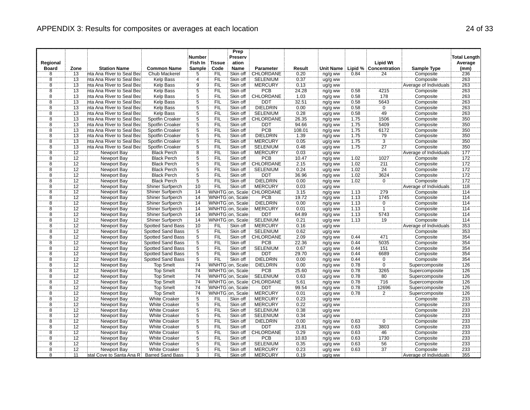|                    |                 |                           |                          | <b>Number</b>   |            | Prep<br>Preserv  |                  |        |           |      |                       |                        | <b>Total Length</b> |
|--------------------|-----------------|---------------------------|--------------------------|-----------------|------------|------------------|------------------|--------|-----------|------|-----------------------|------------------------|---------------------|
| Regional           |                 |                           |                          | Fish In         | Tissue     | ation            |                  |        |           |      | <b>Lipid Wt</b>       |                        | Average             |
| <b>Board</b>       | Zone            | <b>Station Name</b>       | <b>Common Name</b>       | <b>Sample</b>   | Code       | <b>Name</b>      | Parameter        | Result | Unit Name |      | Lipid % Concentration | <b>Sample Type</b>     | (mm)                |
| 8                  | $\overline{13}$ | nta Ana River to Seal Bea | Chub Mackerel            | 5               | <b>FIL</b> | Skin off         | CHLORDANE        | 0.20   | ng/g ww   | 0.84 | 24                    | Composite              | 236                 |
|                    | 13              | nta Ana River to Seal Bea | Kelp Bass                | $\frac{4}{9}$   | FIL        | Skin off         | <b>SELENIUM</b>  | 0.37   | ug/g ww   |      |                       | Composite              | 263                 |
| $\frac{8}{8}$      | $\overline{13}$ | nta Ana River to Seal Bea | Kelp Bass                |                 | <b>FIL</b> | Skin off         | <b>MERCURY</b>   | 0.13   | ug/g ww   |      |                       | Average of Individuals | 263                 |
|                    | $\overline{13}$ | nta Ana River to Seal Bea | <b>Kelp Bass</b>         | 5               | FIL        | Skin off         | <b>PCB</b>       | 24.28  | ng/g ww   | 0.58 | 4215                  | Composite              | 263                 |
| $\overline{8}$     | 13              | nta Ana River to Seal Bea | Kelp Bass                | $\overline{5}$  | FIL        | Skin off         | <b>CHLORDANE</b> | 1.03   | ng/g ww   | 0.58 | 178                   | Composite              | 263                 |
| 8                  | 13              | nta Ana River to Seal Bea | Kelp Bass                | $\overline{5}$  | <b>FIL</b> | Skin off         | <b>DDT</b>       | 32.51  | ng/g ww   | 0.58 | 5643                  | Composite              | 263                 |
| 8                  | 13              | nta Ana River to Seal Bea | <b>Kelp Bass</b>         | $\frac{5}{5}$   | FIL        | Skin off         | <b>DIELDRIN</b>  | 0.00   | ng/g ww   | 0.58 | $\overline{0}$        | Composite              | 263                 |
| $\overline{8}$     | 13              | nta Ana River to Seal Bea | Kelp Bass                |                 | `FIL       | Skin off         | <b>SELENIUM</b>  | 0.28   | ug/g ww   | 0.58 | 49                    | Composite              | 263                 |
| $\overline{8}$     | 13              | nta Ana River to Seal Bea | Spotfin Croaker          | $\overline{5}$  | <b>FIL</b> | Skin off         | CHLORDANE        | 26.35  | ng/g ww   | 1.75 | 1506                  | Composite              | 350                 |
| $\frac{8}{8}$      | 13              | nta Ana River to Seal Bea | Spotfin Croaker          | $\frac{5}{5}$   | FIL        | Skin off         | DDT              | 94.66  | ng/g ww   | 1.75 | 5409                  | Composite              | 350                 |
|                    | $\overline{13}$ | nta Ana River to Seal Bea | Spotfin Croaker          |                 | FIL        | Skin off         | <b>PCB</b>       | 108.01 | ng/g ww   | 1.75 | 6172                  | Composite              | 350                 |
| $\overline{8}$     | 13              | nta Ana River to Seal Bea | Spotfin Croaker          | 5               | FIL        | Skin off         | <b>DIELDRIN</b>  | 1.39   | ng/g ww   | 1.75 | $\frac{79}{3}$        | Composite              | 350                 |
| $\overline{8}$     | 13              | nta Ana River to Seal Bea | Spotfin Croaker          | $\overline{5}$  | FIL        | Skin off         | <b>MERCURY</b>   | 0.05   | ug/g ww   | 7.75 |                       | Composite              | 350                 |
| $\overline{8}$     | $\overline{13}$ | nta Ana River to Seal Bea | Spotfin Croaker          | $\overline{5}$  | <b>FIL</b> | Skin off         | <b>SELENIUM</b>  | 0.48   | ug/g ww   | 1.75 | $\overline{27}$       | Composite              | 350                 |
| $\overline{8}$     | 12              | Newport Bay               | <b>Black Perch</b>       | $\overline{8}$  | FIL        | Skin off         | <b>MERCURY</b>   | 0.03   | ug/g ww   |      |                       | Average of Individuals | 177                 |
| $\overline{8}$     | 12              | Newport Bay               | <b>Black Perch</b>       | $\overline{5}$  | FIL        | Skin off         | <b>PCB</b>       | 10.47  | ng/g ww   | 1.02 | 1027                  | Composite              | 172                 |
| 8                  | 12              | Newport Bay               | <b>Black Perch</b>       | $\overline{5}$  | <b>FIL</b> | Skin off         | CHLORDANE        | 2.15   | ng/g ww   | 1.02 | 211                   | Composite              | 172                 |
| $\overline{8}$     | 12              | Newport Bay               | <b>Black Perch</b>       | $\frac{5}{5}$   | ΪFIL       | Skin off         | SELENIUM         | 0.24   | ug/g ww   | 1.02 | $\overline{24}$       | Composite              | 172                 |
| $\overline{\bf 8}$ | 12              | Newport Bay               | <b>Black Perch</b>       |                 | <b>FIL</b> | Skin off         | DDT              | 36.96  | ng/g ww   | 1.02 | 3624                  | Composite              | 172                 |
| $\overline{8}$     | $\overline{12}$ | <b>Newport Bay</b>        | <b>Black Perch</b>       | $\overline{5}$  | FIL        | Skin off         | <b>DIELDRIN</b>  | 0.00   | ng/g ww   | 1.02 | $\overline{0}$        | Composite              | 172                 |
| $\overline{8}$     | 12              | Newport Bay               | Shiner Surfperch         | 10              | FIL        | Skin off         | <b>MERCURY</b>   | 0.03   | ug/g ww   |      |                       | Average of Individuals | 118                 |
| $\overline{8}$     | 12              | Newport Bay               | Shiner Surfperch         | 14              |            | WNHTG on. Scale: | CHLORDANE        | 3.15   | ng/g ww   | 1.13 | 279                   | Composite              | 114                 |
| $\overline{8}$     | 12              | Newport Bay               | Shiner Surfperch         | 14              |            | WNHTG on, Scale  | PCB              | 19.72  | ng/g ww   | 7.13 | 1745                  | Composite              | 714                 |
| $\overline{8}$     | 12              | <b>Newport Bay</b>        | <b>Shiner Surfperch</b>  | 14              |            | WNHTG on, Scale  | <b>DIELDRIN</b>  | 0.00   | ng/g ww   | 1.13 | $\overline{0}$        | Composite              | 114                 |
| $\overline{8}$     | $\overline{12}$ | Newport Bay               | Shiner Surfperch         | 14              |            | WNHTG on. Scale  | <b>MERCURY</b>   | 0.01   | ug/g ww   | 1.13 | -1                    | Composite              | 114                 |
| $\overline{8}$     | $\overline{12}$ | Newport Bay               | Shiner Surfperch         | 14              |            | WNHTG on, Scale  | <b>DDT</b>       | 64.89  | ng/g ww   | 1.13 | 5743                  | Composite              | 114                 |
| $\frac{8}{8}$      | $\overline{12}$ | <b>Newport Bay</b>        | <b>Shiner Surfperch</b>  | 14              |            | WNHTG on, Scale  | <b>SELENIUM</b>  | 0.21   | ug/g ww   | 1.13 | 19                    | Composite              | 114                 |
|                    | 12              | Newport Bay               | Spotted Sand Bass        | 10              | <b>FIL</b> | Skin off         | <b>MERCURY</b>   | 0.16   | ug/g ww   |      |                       | Average of Individuals | 353                 |
| $\overline{\bf 8}$ | 12              | <b>Newport Bay</b>        | <b>Spotted Sand Bass</b> | $\frac{5}{5}$   | FIL        | Skin off         | <b>SELENIUM</b>  | 0.62   | ug/g ww   |      |                       | Composite              | 353                 |
| $\overline{\bf 8}$ | $\overline{12}$ | Newport Bay               | Spotted Sand Bass        |                 | FIL        | Skin off         | CHLORDANE        | 2.09   | ng/g ww   | 0.44 | 471                   | Composite              | 354                 |
| 8                  | 12              | Newport Bay               | Spotted Sand Bass        | $\overline{5}$  | <b>FIL</b> | Skin off         | <b>PCB</b>       | 22.36  | ng/g ww   | 0.44 | 5035                  | Composite              | 354                 |
| 8                  | 12              | Newport Bay               | Spotted Sand Bass        | $\frac{5}{5}$   | <b>FIL</b> | Skin off         | <b>SELENIUM</b>  | 0.67   | ug/g ww   | 0.44 | 151                   | Composite              | 354                 |
| $\overline{8}$     | $\overline{12}$ | Newport Bay               | Spotted Sand Bass        |                 | ΈIL.       | Skin off         | <b>DDT</b>       | 29.70  | ng/g ww   | 0.44 | 6689                  | Composite              | 354                 |
| $\overline{8}$     | 12              | Newport Bay               | <b>Spotted Sand Bass</b> | $\overline{5}$  | FIL        | Skin off         | <b>DIELDRIN</b>  | 0.00   | ng/g ww   | 0.44 | $\mathbf 0$           | Composite              | 354                 |
| $\overline{8}$     | $\overline{12}$ | <b>Newport Bay</b>        | <b>Top Smelt</b>         | $\overline{74}$ |            | WNHTG on, Scale  | <b>DIELDRIN</b>  | 0.00   | ng/g ww   | 0.78 | $\overline{0}$        | Supercomposite         | 126                 |
| $\overline{8}$     | 12              | Newport Bay               | <b>Top Smelt</b>         | 74              |            | WNHTG on, Scale  | <b>PCB</b>       | 25.60  | ng/g ww   | 0.78 | 3265                  | Supercomposite         | 126                 |
| 8                  | 12              | <b>Newport Bay</b>        | <b>Top Smelt</b>         | 74              |            | WNHTG on, Scale  | <b>SELENIUM</b>  | 0.63   | ug/g ww   | 0.78 | 80                    | Supercomposite         | 126                 |
| $\overline{8}$     | 12              | Newport Bay               | <b>Top Smelt</b>         | 74              |            | WNHTG on, Scale  | CHLORDANE        | 5.61   | ng/g ww   | 0.78 | 716                   | Supercomposite         | 126                 |
| $\overline{8}$     | $\overline{12}$ | <b>Newport Bay</b>        | <b>Top Smelt</b>         | 74              |            | WNHTG on, Scale  | <b>DDT</b>       | 99.54  | ng/g ww   | 0.78 | 12696                 | Supercomposite         | 126                 |
| $\overline{8}$     | 12              | Newport Bay               | Top Smelt                | 74              |            | WNHTG on, Scale  | <b>MERCURY</b>   | 0.01   | ug/g ww   | 0.78 | $\overline{2}$        | Supercomposite         | 126                 |
| $\overline{8}$     | $\overline{12}$ | Newport Bay               | <b>White Croaker</b>     | $\overline{5}$  | <b>FIL</b> | Skin off         | <b>MERCURY</b>   | 0.23   | ug/g ww   |      |                       | Composite              | 233                 |
| $\overline{\bf 8}$ | $\overline{12}$ | Newport Bay               | <b>White Croaker</b>     |                 | <b>FIL</b> | Skin off         | <b>MERCURY</b>   | 0.22   | ug/g ww   |      |                       | Composite              | 233                 |
| $\overline{8}$     | 12              | Newport Bay               | <b>White Croaker</b>     | $\frac{5}{5}$   | `FIL       | Skin off         | <b>SELENIUM</b>  | 0.38   | ug/g ww   |      |                       | Composite              | 233                 |
| $\overline{\bf 8}$ | 12              | <b>Newport Bay</b>        | <b>White Croaker</b>     |                 | FIL        | Skin off         | <b>SELENIUM</b>  | 0.34   | ug/g ww   |      |                       | Composite              | 233                 |
| $\overline{8}$     | 12              | Newport Bay               | <b>White Croaker</b>     | $\frac{5}{5}$   | FIL        | Skin off         | <b>DIELDRIN</b>  | 0.00   | ng/g ww   | 0.63 | $\overline{0}$        | Composite              | 233                 |
| $\overline{8}$     | 12              | Newport Bay               | <b>White Croaker</b>     |                 | FIL        | Skin off         | DDT              | 23.81  | ng/g ww   | 0.63 | 3803                  | Composite              | 233                 |
| $\overline{\bf 8}$ | 12              | Newport Bay               | <b>White Croaker</b>     | $\overline{5}$  | FIL        | Skin off         | CHLORDANE        | 0.29   | ng/g ww   | 0.63 | 46                    | Composite              | 233                 |
| $\overline{8}$     | 12              | Newport Bay               | <b>White Croaker</b>     | 5               | `FIL       | Skin off         | PCB              | 10.83  | ng/g ww   | 0.63 | 1730                  | Composite              | 233                 |
| $\overline{8}$     | 12              | <b>Newport Bay</b>        | <b>White Croaker</b>     | $\overline{5}$  | <b>FIL</b> | Skin off         | <b>SELENIUM</b>  | 0.35   | ug/g ww   | 0.63 | 56                    | Composite              | 233                 |
| $\overline{8}$     | $\overline{12}$ | Newport Bay               | <b>White Croaker</b>     | $\overline{5}$  | ÏΪ         | Skin off         | <b>MERCURY</b>   | 0.23   | ug/g ww   | 0.63 | 37                    | Composite              | 233                 |
| $\overline{8}$     | $\overline{11}$ | stal Cove to Santa Ana R  | <b>Barred Sand Bass</b>  | 3               | FIL        | Skin off         | <b>MERCURY</b>   | 0.19   | ug/g ww   |      |                       | Average of Individuals | 355                 |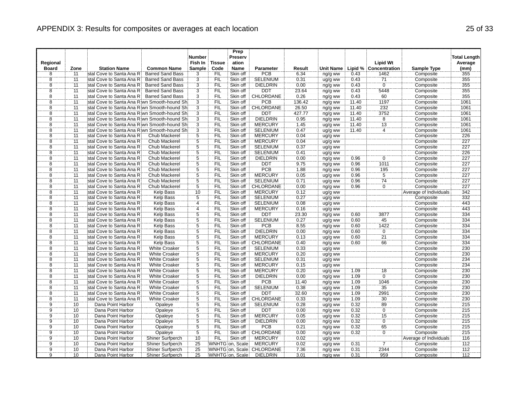|                                  |                                    |                                              |                                             | <b>Number</b>                    |                   | Prep<br>Preserv        |                               |              |                    |              |                      |                                     | <b>Total Length</b> |
|----------------------------------|------------------------------------|----------------------------------------------|---------------------------------------------|----------------------------------|-------------------|------------------------|-------------------------------|--------------|--------------------|--------------|----------------------|-------------------------------------|---------------------|
| Regional                         |                                    |                                              |                                             | Fish In                          | <b>Tissue</b>     | ation                  |                               |              |                    |              | <b>Lipid Wt</b>      |                                     | Average             |
| <b>Board</b>                     | Zone                               | <b>Station Name</b>                          | <b>Common Name</b>                          | Sample                           | Code              | <b>Name</b>            | Parameter                     | Result       | Unit Name          | Lipid %      | Concentration        | <b>Sample Type</b>                  | (mm)                |
| 8                                | 11                                 | stal Cove to Santa Ana R                     | <b>Barred Sand Bass</b>                     | 3                                | <b>FIL</b>        | Skin off               | PCB                           | 6.34         | ng/g ww            | 0.43         | 1462                 | Composite                           | 355                 |
| $\overline{8}$                   | 11                                 | stal Cove to Santa Ana R                     | <b>Barred Sand Bass</b>                     | $\overline{3}$                   | FIL               | Skin off               | <b>SELENIUM</b>               | 0.31         | ug/g ww            | 0.43         | 71                   | Composite                           | 355                 |
| 8                                | $-11$                              | stal Cove to Santa Ana R                     | <b>Barred Sand Bass</b>                     | $\overline{3}$                   | <b>FIL</b>        | Skin off               | <b>DIELDRIN</b>               | 0.00         | ng/g ww            | 0.43         | $\overline{0}$       | Composite                           | 355                 |
| $\overline{8}$                   | 11                                 | stal Cove to Santa Ana R                     | <b>Barred Sand Bass</b>                     | $\overline{3}$                   | FIL               | Skin off               | <b>DDT</b>                    | 23.64        | ng/g ww            | 0.43         | 5448                 | Composite                           | 355                 |
| $\overline{\bf 8}$               | $\overline{11}$                    | stal Cove to Santa Ana R                     | <b>Barred Sand Bass</b>                     | $\overline{3}$                   | FIL               | Skin off               | CHLORDANE                     | 0.26         | ng/g ww            | 0.43         | 60                   | Composite                           | 355                 |
| $\overline{8}$                   | 11                                 | stal Cove to Santa Ana Riwn Smooth-hound Sh  |                                             | $\overline{3}$                   | FIL               | Skin off               | <b>PCB</b>                    | 136.42       | ng/g ww            | 11.40        | 1197                 | Composite                           | 1061                |
| $\overline{8}$                   | 11                                 | stal Cove to Santa Ana Riwn Smooth-hound Shi |                                             | $\frac{3}{3}$                    | FIL               | Skin off               | <b>CHLORDANE</b>              | 26.50        | ng/g ww            | 11.40        | 232                  | Composite                           | 1061                |
| $\overline{8}$                   | $\overline{11}$                    | stal Cove to Santa Ana Riwn Smooth-hound Shi |                                             |                                  | ΈİĹ               | Skin off               | <b>DDT</b>                    | 427.77       | ng/g ww            | 11.40        | 3752                 | Composite                           | 1061                |
| $\overline{8}$                   | $\overline{11}$                    | stal Cove to Santa Ana Riwn Smooth-hound Shi |                                             | $\overline{3}$                   | FIL               | Skin off               | <b>DIELDRIN</b>               | 0.95         | ng/g ww            | 11.40        | $\overline{8}$       | Composite                           | 1061                |
| $\overline{8}$                   | 11                                 | stal Cove to Santa Ana Riwn Smooth-hound Shi |                                             | $\frac{3}{3}$                    | FIL               | Skin off               | <b>MERCURY</b>                | 1.45         | ug/g ww            | 11.40        | 13                   | Composite                           | 1061                |
| 8                                | $\overline{11}$                    | stal Cove to Santa Ana Riwn Smooth-hound Shi |                                             |                                  | FIL               | Skin off               | <b>SELENIUM</b>               | 0.47         | ug/g ww            | 11.40        | 4                    | Composite                           | 1061                |
| $\overline{8}$                   | 11                                 | stal Cove to Santa Ana R                     | Chub Mackerel                               | $\overline{5}$                   | FIL               | Skin off               | <b>MERCURY</b>                | 0.04         | ug/g ww            |              |                      | Composite                           | 226                 |
| $\overline{8}$                   | $\overline{11}$                    | stal Cove to Santa Ana R                     | Chub Mackerel                               | $\ddot{5}$                       | <b>FIL</b>        | Skin off               | <b>MERCURY</b>                | 0.04         | ug/g ww            |              |                      | Composite                           | 227                 |
| $\overline{8}$                   | $\overline{11}$                    | stal Cove to Santa Ana R                     | <b>Chub Mackerel</b>                        | $\overline{5}$                   | FIL               | Skin off               | <b>SELENIUM</b>               | 0.37         | ug/g ww            |              |                      | Composite                           | 227                 |
| $\overline{8}$                   | $\overline{11}$                    | stal Cove to Santa Ana R                     | Chub Mackerel                               | $\overline{5}$                   | FIL               | Skin off               | <b>SELENIUM</b>               | 0.41         | ug/g ww            |              |                      | Composite                           | 226                 |
| ë.                               | $\overline{11}$                    | stal Cove to Santa Ana R                     | Chub Mackerel                               | $\overline{5}$                   | FIL               | Skin off               | <b>DIELDRIN</b>               | 0.00         | ng/g ww            | 0.96         | 0                    | Composite                           | 227                 |
| 8                                | 11                                 | stal Cove to Santa Ana R                     | Chub Mackerel                               | 5                                | <b>FIL</b>        | Skin off               | <b>DDT</b>                    | 9.75         | ng/g ww            | 0.96         | 1011                 | Composite                           | 227                 |
| $\overline{8}$                   | $\overline{11}$                    | stal Cove to Santa Ana R                     | Chub Mackerel                               | $\overline{5}$                   | FIL               | Skin off               | PCB                           | 1.88         | ng/g ww            | 0.96         | 195                  | Composite                           | 227                 |
| $\overline{8}$                   | $\overline{11}$                    | stal Cove to Santa Ana R                     | <b>Chub Mackerel</b>                        | $\overline{5}$                   | FIL               | Skin off               | <b>MERCURY</b>                | 0.05         | ug/g ww            | 0.96         | $\overline{5}$       | Composite                           | 227                 |
| $\overline{8}$                   | $\overline{11}$                    | stal Cove to Santa Ana R                     | Chub Mackerel                               | $\overline{5}$                   | <b>FIL</b>        | Skin off               | <b>SELENIUM</b>               | 0.71         | ug/g ww            | 0.96         | 74                   | Composite                           | 227                 |
| $\overline{8}$                   | 11                                 | stal Cove to Santa Ana R                     | Chub Mackerel                               | 5                                | FIL               | Skin off               | CHLORDANE                     | 0.00         | ng/g ww            | 0.96         | ö                    | Composite                           | 227                 |
| $\overline{8}$                   | 11                                 | stal Cove to Santa Ana R                     | Kelp Bass                                   | 10                               | FIL               | Skin off               | <b>MERCURY</b>                | 0.12         | ug/g ww            |              |                      | Average of Individuals              | 342                 |
| ë,                               | آ1                                 | stal Cove to Santa Ana R                     | Kelp Bass                                   | $\overline{5}$                   | FIL               | Skin off               | <b>SELENIUM</b>               | 0.27         | ug/g ww            |              |                      | Composite                           | 332                 |
| 8                                | 11                                 | stal Cove to Santa Ana R                     | <b>Kelp Bass</b>                            | $\overline{4}$                   | <b>FIL</b>        | Skin off               | <b>SELENIUM</b>               | 0.08         | ug/g ww            |              |                      | Composite                           | 443                 |
| $\overline{8}$                   | $\overline{11}$                    | stal Cove to Santa Ana R                     | <b>Kelp Bass</b>                            | 4                                | FIL               | Skin off               | <b>MERCURY</b>                | 0.16         | ug/g ww            |              |                      | Composite                           | 443                 |
| $\overline{8}$                   | $\overline{11}$                    | stal Cove to Santa Ana R                     | Kelp Bass                                   | 5                                | FIL               | Skin off               | DDT                           | 23.30        | ng/g ww            | 0.60         | 3877                 | Composite                           | 334                 |
| 8                                | 11                                 | stal Cove to Santa Ana R                     | <b>Kelp Bass</b>                            | $\overline{5}$                   | <b>FIL</b>        | Skin off               | <b>SELENIUM</b>               | 0.27         | ug/g ww            | 0.60         | 45                   | Composite                           | 334                 |
| $\overline{8}$                   | $\overline{11}$                    | stal Cove to Santa Ana R                     | <b>Kelp Bass</b>                            | $\overline{5}$                   | FIL               | Skin off               | <b>PCB</b>                    | 8.55         | ng/g ww            | 0.60         | 1422                 | Composite                           | 334                 |
| $\overline{8}$                   | $\overline{11}$                    | stal Cove to Santa Ana R                     | <b>Kelp Bass</b>                            | $\overline{5}$                   | FIL               | Skin off               | <b>DIELDRIN</b>               | 0.00         | ng/g ww            | 0.60         | $\overline{0}$       | Composite                           | 334                 |
| $\overline{8}$                   | $\overline{11}$                    | stal Cove to Santa Ana R                     | Kelp Bass                                   | $\overline{5}$                   | FIL               | Skin off               | <b>MERCURY</b>                | 0.13         | ug/g ww            | 0.60         | $\overline{21}$      | Composite                           | 334                 |
| $\overline{8}$                   | <u>11</u>                          | stal Cove to Santa Ana R                     | <b>Kelp Bass</b>                            | $\overline{5}$                   | <b>FIL</b>        | Skin off               | CHLORDANE                     | 0.40         | ng/g ww            | 0.60         | 66                   | Composite                           | 334                 |
| $\overline{8}$                   | 11                                 | stal Cove to Santa Ana R                     | <b>White Croaker</b>                        | $\frac{5}{5}$                    | FIL               | Skin off               | <b>SELENIUM</b>               | 0.33         | ug/g ww            |              |                      | Composite                           | 230                 |
| $\overline{8}$                   | $\overline{11}$                    | stal Cove to Santa Ana R                     | <b>White Croaker</b>                        |                                  | FIL               | Skin off               | <b>MERCURY</b>                | 0.20         | ug/g ww            |              |                      | Composite                           | 230                 |
| $\overline{8}$                   | $\overline{11}$                    | stal Cove to Santa Ana R                     | <b>White Croaker</b>                        | 5                                | <b>FIL</b>        | Skin off               | <b>SELENIUM</b>               | 0.31         | ug/g ww            |              |                      | Composite                           | 234                 |
| $\overline{8}$                   | $\overline{11}$                    | stal Cove to Santa Ana R                     | <b>White Croaker</b>                        | $\overline{5}$                   | FIL               | Skin off               | <b>MERCURY</b>                | 0.15         | ug/g ww            |              |                      | Composite                           | 234                 |
| $\overline{8}$                   | $\overline{11}$                    | stal Cove to Santa Ana R                     | <b>White Croaker</b>                        | $\overline{5}$                   | FIL               | Skin off               | <b>MERCURY</b>                | 0.20         | ug/g ww            | 1.09         | 18                   | Composite                           | 230                 |
| $\overline{8}$                   | 11                                 | stal Cove to Santa Ana R                     | <b>White Croaker</b>                        | 5                                | FIL               | Skin off               | <b>DIELDRIN</b>               | 0.00         | ng/g ww            | 1.09         | $\overline{0}$       | Composite                           | 230                 |
| $\overline{8}$<br>$\overline{8}$ | 11                                 | stal Cove to Santa Ana R                     | <b>White Croaker</b>                        | $\overline{5}$<br>$\overline{5}$ | FIL               | Skin off               | PCB                           | 11.40        | ng/g ww            | 1.09         | 1046                 | Composite                           | 230                 |
|                                  | $\overline{11}$<br>$\overline{11}$ | stal Cove to Santa Ana R                     | <b>White Croaker</b>                        |                                  | FIL               | Skin off               | <b>SELENIUM</b>               | 0.38         | ug/g ww            | 1.09         | 35                   | Composite                           | 230                 |
| $\overline{\bf 8}$<br>8          | 11                                 | stal Cove to Santa Ana R                     | <b>White Croaker</b>                        | $\overline{5}$<br>Έ              | FIL<br><b>FIL</b> | Skin off<br>Skin off   | <b>DDT</b><br>CHLORDANE       | 32.60        | ng/g ww            | 1.09<br>1.09 | 2991<br>30           | Composite                           | 230                 |
|                                  |                                    | stal Cove to Santa Ana R                     | <b>White Croaker</b>                        |                                  |                   |                        |                               | 0.33         | ng/g ww            |              |                      | Composite                           | 230                 |
| $\overline{9}$<br>Ïğ             | 10<br>$\overline{10}$              | Dana Point Harbor                            | Opaleye                                     | $\overline{5}$<br>$\overline{5}$ | FIL<br>FIL        | Skin off<br>Skin off   | <b>SELENIUM</b><br><b>DDT</b> | 0.28         | ug/g ww            | 0.32<br>0.32 | 89<br>$\overline{0}$ | Composite                           | 215<br>215          |
| $\overline{9}$                   | 10                                 | Dana Point Harbor                            | Opaleye                                     | $\overline{5}$                   | <b>FIL</b>        | Skin off               | <b>MERCURY</b>                | 0.00         | ng/g ww            | 0.32         | 15                   | Composite                           | 215                 |
| $\overline{9}$                   | 10                                 | Dana Point Harbor                            | Opaleye                                     | $\overline{5}$                   |                   |                        |                               | 0.05         | ug/g ww            |              | $\overline{0}$       | Composite                           |                     |
| $\overline{9}$                   | 10                                 | Dana Point Harbor                            | Opaleye                                     | Ϊ5                               | <b>FIL</b><br>FIL | Skin off<br>Skin off   | <b>DIELDRIN</b><br><b>PCB</b> | 0.00         | ng/g ww            | 0.32<br>0.32 | 65                   | Composite                           | 215                 |
|                                  |                                    | Dana Point Harbor                            | Opaleye                                     |                                  |                   |                        |                               | 0.21         | ng/g ww            |              |                      | Composite                           | 215                 |
| $\overline{9}$<br>9              | 10<br>10                           | Dana Point Harbor                            | Opaleye                                     | $\overline{5}$<br>10             | FIL<br>FIL        | Skin off<br>Skin off   | CHLORDANE<br><b>MERCURY</b>   | 0.00         | ng/g ww            | 0.32         | $\overline{0}$       | Composite                           | 215<br>116          |
| $\overline{9}$                   | 10                                 | Dana Point Harbor<br>Dana Point Harbor       | Shiner Surfperch<br><b>Shiner Surfperch</b> | 25                               |                   | <b>WNHTG</b> on, Scale | <b>MERCURY</b>                | 0.02<br>0.02 | ug/g ww            | 0.31         | 7                    | Average of Individuals<br>Composite | 112                 |
| $\overline{9}$                   | 10                                 | Dana Point Harbor                            | Shiner Surfperch                            | 25                               |                   |                        | WNHTG on, Scale: CHLORDANE    | 7.36         | ug/g ww            | 0.31         | 2344                 | Composite                           | 112                 |
| ğ                                | 10                                 | Dana Point Harbor                            | Shiner Surfperch                            | 25                               |                   | WNHTG on, Scale        | <b>DIELDRIN</b>               | 3.01         | ng/g ww<br>ng/g ww | 0.31         | 959                  | Composite                           | 112                 |
|                                  |                                    |                                              |                                             |                                  |                   |                        |                               |              |                    |              |                      |                                     |                     |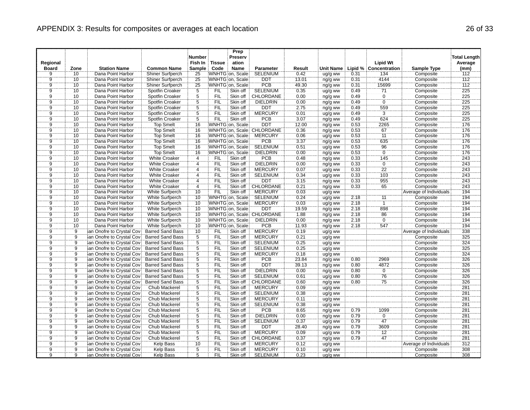|                |                      |                                  |                         | <b>Number</b>                    |               | Prep<br>Preserv |                            |        |           |      |                       |                        | <b>Total Length</b> |
|----------------|----------------------|----------------------------------|-------------------------|----------------------------------|---------------|-----------------|----------------------------|--------|-----------|------|-----------------------|------------------------|---------------------|
| Regional       |                      |                                  |                         | Fish In                          | <b>Tissue</b> | ation           |                            |        |           |      | <b>Lipid Wt</b>       |                        | Average             |
| <b>Board</b>   | Zone                 | <b>Station Name</b>              | <b>Common Name</b>      | Sample                           | Code          | <b>Name</b>     | Parameter                  | Result | Unit Name |      | Lipid % Concentration | <b>Sample Type</b>     | (mm)                |
| 9              | 10                   | Dana Point Harbor                | Shiner Surfperch        | 25                               |               | WNHTG on, Scale | <b>SELENIUM</b>            | 0.42   | ug/g ww   | 0.31 | 134                   | Composite              | 112                 |
|                | 10 <sup>10</sup>     | Dana Point Harbor                | Shiner Surfperch        | 25                               |               | WNHTG on. Scale | <b>DDT</b>                 | 13.01  | ng/g ww   | 0.31 | 4144                  | Composite              | 112                 |
| $\frac{9}{9}$  | 10                   | Dana Point Harbor                | Shiner Surfperch        | 25                               |               | WNHTG on, Scale | PCB                        | 49.30  | ng/g ww   | 0.31 | 15699                 | Composite              | 112                 |
| ġ              | 10                   | Dana Point Harbor                | Spotfin Croaker         | $\overline{5}$                   | <b>FIL</b>    | Skin off        | <b>SELENIUM</b>            | 0.35   | ug/g ww   | 0.49 | $\overline{71}$       | Composite              | 225                 |
| $\overline{9}$ | 10                   | Dana Point Harbor                | Spotfin Croaker         | $\overline{5}$                   | FIL           | Skin off        | CHLORDANE                  | 0.00   | ng/g ww   | 0.49 | $\overline{0}$        | Composite              | 225                 |
| 9              | 10                   | Dana Point Harbor                | Spotfin Croaker         | 5                                | <b>FIL</b>    | Skin off        | <b>DIELDRIN</b>            | 0.00   | ng/g ww   | 0.49 | ö                     | Composite              | 225                 |
| $\overline{9}$ | 10                   | Dana Point Harbor                | Spotfin Croaker         | $\frac{5}{5}$                    | FIL           | Skin off        | <b>DDT</b>                 | 2.75   | ng/g ww   | 0.49 | 559                   | Composite              | 225                 |
| Ïğ             | 10                   | Dana Point Harbor                | Spotfin Croaker         |                                  | FIL           | Skin off        | <b>MERCURY</b>             | 0.01   | ug/g ww   | 0.49 | $\overline{3}$        | Composite              | 225                 |
| $\overline{9}$ | 10                   | Dana Point Harbor                | Spotfin Croaker         | $\overline{5}$                   | <b>FIL</b>    | Skin off        | <b>PCB</b>                 | 3.07   | ng/g ww   | 0.49 | 624                   | Composite              | 225                 |
| $\overline{9}$ | 10                   | Dana Point Harbor                | <b>Top Smelt</b>        | 16                               |               | WNHTG on, Scale | <b>DDT</b>                 | 12.00  | ng/g ww   | 0.53 | 2265                  | Composite              | 176                 |
| Ï9             | 10                   | Dana Point Harbor                | <b>Top Smelt</b>        | 16                               |               |                 | WNHTG on, Scale: CHLORDANE | 0.36   | ng/g ww   | 0.53 | 67                    | Composite              | 176                 |
| $\overline{9}$ | 10                   | Dana Point Harbor                | <b>Top Smelt</b>        | 16                               |               | WNHTG on, Scale | <b>MERCURY</b>             | 0.06   | ug/g ww   | 0.53 | 11                    | Composite              | 176                 |
| ğ              | 10                   | Dana Point Harbor                | <b>Top Smelt</b>        | 16                               |               | WNHTG on, Scale | <b>PCB</b>                 | 3.37   | ng/g ww   | 0.53 | 635                   | Composite              | 176                 |
| $\overline{9}$ | 10                   | Dana Point Harbor                | <b>Top Smelt</b>        | 16                               |               | WNHTG on, Scale | <b>SELENIUM</b>            | 0.51   | ug/g ww   | 0.53 | 96                    | Composite              | 176                 |
| $\overline{9}$ | 10                   | Dana Point Harbor                | <b>Top Smelt</b>        | 16                               |               | WNHTG on, Scale | <b>DIELDRIN</b>            | 0.00   | ng/g ww   | 0.53 | $\overline{0}$        | Composite              | 176                 |
| g.             | 10                   | Dana Point Harbor                | <b>White Croaker</b>    | $\overline{4}$                   | <b>FIL</b>    | Skin off        | <b>PCB</b>                 | 0.48   | ng/g ww   | 0.33 | 145                   | Composite              | 243                 |
| $\overline{9}$ | 10                   | Dana Point Harbor                | <b>White Croaker</b>    | $\overline{4}$                   | <b>FIL</b>    | Skin off        | <b>DIELDRIN</b>            | 0.00   | ng/g ww   | 0.33 | $\overline{0}$        | Composite              | 243                 |
| Ïğ             | 10                   | Dana Point Harbor                | White Croaker           | $\overline{4}$                   | FIL           | Skin off        | <b>MERCURY</b>             | 0.07   | ug/g ww   | 0.33 | $\overline{22}$       | Composite              | 243                 |
| $\overline{9}$ | 10                   | Dana Point Harbor                | <b>White Croaker</b>    | $\overline{4}$                   | <b>FIL</b>    | Skin off        | <b>SELENIUM</b>            | 0.34   | ug/g ww   | 0.33 | 103                   | Composite              | 243                 |
| $\overline{9}$ | 10                   | Dana Point Harbor                | <b>White Croaker</b>    | $\overline{4}$                   | <b>FIL</b>    | Skin off        | <b>DDT</b>                 | 3.15   | ng/g ww   | 0.33 | 955                   | Composite              | 243                 |
| ğ              | 10                   | Dana Point Harbor                | <b>White Croaker</b>    | $\overline{4}$                   | FIL           | Skin off        | CHLORDANE                  | 0.21   | ng/g ww   | 0.33 | 65                    | Composite              | 243                 |
| $\overline{9}$ | 10                   | Dana Point Harbor                | White Surfperch         | 10                               | FIL           | Skin off        | <b>MERCURY</b>             | 0.03   | ug/g ww   |      |                       | Average of Individuals | 194                 |
| Ïğ             | 10                   | Dana Point Harbor                | White Surfperch         | 10                               |               | WNHTG on, Scale | <b>SELENIUM</b>            | 0.24   | ug/g ww   | 2.18 | $\overline{11}$       | Composite              | 194                 |
| $\overline{9}$ | 10                   | Dana Point Harbor                | <b>White Surfperch</b>  | 10                               |               | WNHTG on, Scale | <b>MERCURY</b>             | 0.03   | ug/g ww   | 2.18 | Ĩ                     | Composite              | 194                 |
| $\overline{9}$ | 10                   | Dana Point Harbor                | White Surfperch         | 10                               |               | WNHTG on. Scale | <b>DDT</b>                 | 19.59  | ng/g ww   | 2.18 | 898                   | Composite              | 194                 |
| ġ.             | $\overline{10}$      | Dana Point Harbor                | White Surfperch         | 10                               |               |                 | WNHTG on, Scale CHLORDANE  | 1.88   | ng/g ww   | 2.18 | 86                    | Composite              | 194                 |
|                | 10                   | Dana Point Harbor                | White Surfperch         | 10                               |               | WNHTG on, Scale | <b>DIELDRIN</b>            | 0.00   | ng/g ww   | 2.18 | $\overline{0}$        | Composite              | 194                 |
| $\frac{9}{9}$  | 10                   | Dana Point Harbor                | White Surfperch         | 10                               |               | WNHTG on, Scale | <b>PCB</b>                 | 11.93  | ng/g ww   | 2.18 | 547                   | Composite              | 194                 |
| ġ              | ĝ                    | an Onofre to Crystal Cov         | <b>Barred Sand Bass</b> | 10                               | <b>FIL</b>    | Skin off        | <b>MERCURY</b>             | 0.19   | ug/g ww   |      |                       | Average of Individuals | 338                 |
| $\overline{9}$ |                      | ian Onofre to Crystal Cov        | <b>Barred Sand Bass</b> | $\overline{5}$                   | FIL           | Skin off        | <b>MERCURY</b>             | 0.21   | ug/g ww   |      |                       | Composite              | 325                 |
| $\overline{9}$ | $\frac{9}{9}$        | ian Onofre to Crystal Cov        | <b>Barred Sand Bass</b> | 5                                | <b>FIL</b>    | Skin off        | <b>SELENIUM</b>            | 0.25   | ug/g ww   |      |                       | Composite              | 324                 |
| $\overline{9}$ |                      | lan Onofre to Crystal Cov        | <b>Barred Sand Bass</b> |                                  | <b>FIL</b>    | Skin off        | <b>SELENIUM</b>            | 0.25   | ug/g ww   |      |                       | Composite              | 325                 |
| $\overline{9}$ | $\frac{9}{9}$        | an Onofre to Crystal Cov         | <b>Barred Sand Bass</b> | $\frac{5}{5}$                    | FIL           | Skin off        | <b>MERCURY</b>             | 0.18   | ug/g ww   |      |                       | Composite              | 324                 |
| $\overline{9}$ | 9                    | an Onofre to Crystal Cov         | <b>Barred Sand Bass</b> | 5                                | <b>FIL</b>    | Skin off        | <b>PCB</b>                 | 23.84  | ng/g ww   | 0.80 | 2969                  | Composite              | 326                 |
| $\overline{9}$ |                      | ian Onofre to Crystal Cov        | <b>Barred Sand Bass</b> |                                  | FIL           | Skin off        | <b>DDT</b>                 | 39.13  | ng/g ww   | 0.80 | 4872                  | Composite              | 326                 |
| $\overline{9}$ | $\frac{9}{9}$        | ian Onofre to Crystal Cov        | <b>Barred Sand Bass</b> | $\frac{5}{5}$                    | FIL           | Skin off        | <b>DIELDRIN</b>            | 0.00   | ng/g ww   | 0.80 | ö                     | Composite              | 326                 |
| $\overline{9}$ | 9                    | lan Onofre to Crystal Cov        | <b>Barred Sand Bass</b> | $\overline{5}$                   | FIL           | Skin off        | <b>SELENIUM</b>            | 0.61   | ug/g ww   | 0.80 | 76                    | Composite              | 326                 |
| ğ              |                      | an Onofre to Crystal Cov         | <b>Barred Sand Bass</b> | $\ddot{5}$                       | FIL           | Skin off        | CHLORDANE                  | 0.60   | ng/g ww   | 0.80 | $\overline{75}$       | Composite              | 326                 |
| $\overline{9}$ | $\frac{9}{9}$        | an Onofre to Crystal Cov         | <b>Chub Mackerel</b>    | $\overline{5}$                   | FIL           | Skin off        | <b>MERCURY</b>             | 0.09   | ug/g ww   |      |                       | Composite              | 281                 |
| $\overline{9}$ | ؘۊ                   | ian Onofre to Crystal Cov        | Chub Mackerel           | $\overline{5}$                   | FIL           | Skin off        | <b>SELENIUM</b>            | 0.38   | ug/g ww   |      |                       | Composite              | 281                 |
| $\overline{9}$ | ٠ij                  | ian Onofre to Crystal Cov        | Chub Mackerel           | 5                                | FIL           | Skin off        | <b>MERCURY</b>             | 0.11   | ug/g ww   |      |                       | Composite              | 281                 |
| $\overline{9}$ |                      | <b>San Onofre to Crystal Cov</b> | Chub Mackerel           | 5                                | <b>FIL</b>    | Skin off        | <b>SELENIUM</b>            | 0.38   | ug/g ww   |      |                       | Composite              | 281                 |
| <br>9          | $\frac{9}{9}$        | an Onofre to Crystal Cov         | Chub Mackerel           | $\overline{5}$                   | FIL           | Skin off        | <b>PCB</b>                 | 8.65   | ng/g ww   | 0.79 | 1099                  | Composite              | 281                 |
| $\overline{9}$ | ؘۊ                   | an Onofre to Crystal Cov         | <b>Chub Mackerel</b>    | $\overline{5}$                   | FIL           | Skin off        | <b>DIELDRIN</b>            | 0.00   | ng/g ww   | 0.79 | $\overline{0}$        | Composite              | 281                 |
| $\overline{9}$ |                      | ian Onofre to Crystal Cov        | Chub Mackerel           | $\overline{5}$                   | FIL           | Skin off        | <b>SELENIUM</b>            | 0.37   |           | 0.79 | 47                    | Composite              | 281                 |
| ğ              | $\frac{9}{9}$        | ian Onofre to Crystal Cov        | Chub Mackerel           | $\overline{5}$                   | FIL           | Skin off        | DDT                        | 28.40  | ug/g ww   | 0.79 | 3609                  | Composite              | 281                 |
| $\overline{9}$ |                      | lan Onofre to Crystal Cov        |                         | 5                                | FIL           |                 | <b>MERCURY</b>             |        | ng/g ww   | 0.79 |                       |                        | 281                 |
| <br>9          | $\overline{9}$<br>Ïġ |                                  | Chub Mackerel           | 5                                | FIL           | Skin off        | CHLORDANE                  | 0.09   | ug/g ww   | 0.79 | $\frac{12}{47}$       | Composite              | $\overline{281}$    |
|                |                      | an Onofre to Crystal Cov         | Chub Mackerel           |                                  |               | Skin off        |                            | 0.37   | ng/g ww   |      |                       | Composite              |                     |
| 9              | $\overline{9}$<br>ؘۊ | an Onofre to Crystal Cov         | Kelp Bass               | 10                               | <b>FIL</b>    | Skin off        | <b>MERCURY</b>             | 0.12   | ug/g ww   |      |                       | Average of Individuals | 312                 |
| `9<br>ġ.       | <br>9                | ian Onofre to Crystal Cov        | Kelp Bass               | $\overline{5}$<br>$\overline{5}$ | FIL           | Skin off        | <b>MERCURY</b>             | 0.10   | ug/g ww   |      |                       | Composite              | 308                 |
|                |                      | ian Onofre to Crystal Cov        | Kelp Bass               |                                  | FIL           | Skin off        | <b>SELENIUM</b>            | 0.23   | ug/g ww   |      |                       | Composite              | 308                 |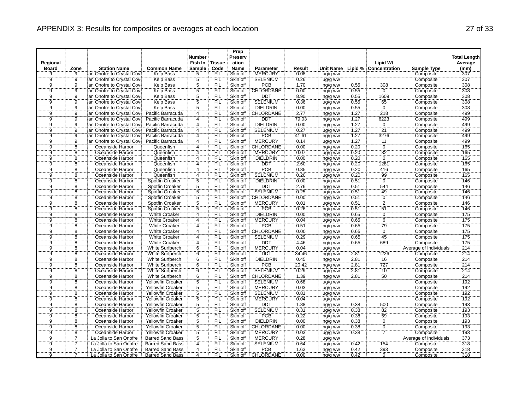|                |                |                                                        |                                      | <b>Number</b>  |               | Prep<br>Preserv      |                        |              |                    |      |                                     |                        | <b>Total Length</b> |
|----------------|----------------|--------------------------------------------------------|--------------------------------------|----------------|---------------|----------------------|------------------------|--------------|--------------------|------|-------------------------------------|------------------------|---------------------|
| Regional       |                |                                                        |                                      | Fish In        | <b>Tissue</b> | ation                |                        |              |                    |      | <b>Lipid Wt</b>                     |                        | Average             |
| <b>Board</b>   | Zone           | <b>Station Name</b>                                    | <b>Common Name</b>                   | Sample         | Code          | <b>Name</b>          | <b>Parameter</b>       | Result       |                    |      | Unit Name   Lipid %   Concentration | Sample Type            | (mm)                |
| 9              | g.             | ian Onofre to Crystal Cov                              | <b>Kelp Bass</b>                     | 5              | FIL<br>FIL    | Skin off             | <b>MERCURY</b>         | 0.08         | ug/g ww            |      |                                     | Composite              | 307<br>307          |
| $\frac{9}{9}$  | $\frac{9}{9}$  | lan Onofre to Crystal Cov<br>ian Onofre to Crystal Cov | Kelp Bass                            | $\frac{5}{5}$  | <b>FIL</b>    | Skin off<br>Skin off | <b>SELENIUM</b><br>PCB | 0.26<br>1.70 | ug/g ww            | 0.55 | 308                                 | Composite<br>Composite | 308                 |
| $\overline{9}$ | ğ              | an Onofre to Crystal Cov                               | <b>Kelp Bass</b><br><b>Kelp Bass</b> | $\overline{5}$ | <b>FIL</b>    | Skin off             | CHLORDANE              | 0.00         | ng/g ww            | 0.55 | Ö                                   | Composite              | 308                 |
| $\overline{9}$ | $\overline{9}$ | ian Onofre to Crystal Cov                              | Kelp Bass                            | $\overline{5}$ | FIL           | Skin off             | <b>DDT</b>             | 8.90         | ng/g ww            | 0.55 | 1609                                | Composite              | 308                 |
| ğ              | ِّقَ           | ian Onofre to Crystal Cov                              | Kelp Bass                            | 5              | <b>FIL</b>    | Skin off             | <b>SELENIUM</b>        | 0.36         | ng/g ww<br>ug/g ww | 0.55 | 65                                  | Composite              | 308                 |
| $\overline{9}$ | $\overline{9}$ | ian Onofre to Crystal Cov                              | <b>Kelp Bass</b>                     | $\overline{5}$ | FIL           | Skin off             | <b>DIELDRIN</b>        | 0.00         | ng/g ww            | 0.55 | $\overline{0}$                      | Composite              | 308                 |
| $\frac{1}{9}$  | $\overline{9}$ | lan Onofre to Crystal Cov                              | Pacific Barracuda                    | 4              | ΪFIL          | Skin off             | CHLORDANE              | 2.77         | ng/g ww            | 1.27 | 218                                 | Composite              | 499                 |
| $\overline{9}$ | $\overline{9}$ | an Onofre to Crystal Cov                               | Pacific Barracuda                    | $\overline{4}$ | FIL           | Skin off             | <b>DDT</b>             | 79.03        | ng/g ww            | 1.27 | 6223                                | Composite              | 499                 |
| $\overline{9}$ |                | ian Onofre to Crystal Cov                              | Pacific Barracuda                    | 4              | <b>FIL</b>    | Skin off             | <b>DIELDRIN</b>        | 0.00         | ng/g ww            | 1.27 | ö                                   | Composite              | 499                 |
| $\ddot{9}$     | $\frac{9}{9}$  | san Onofre to Crystal Cov                              | Pacific Barracuda                    | .<br>4         | FIL           | Skin off             | <b>SELENIUM</b>        | 0.27         | ug/g ww            | 1.27 | $\overline{21}$                     | Composite              | 499                 |
| $\overline{9}$ | $\overline{9}$ | an Onofre to Crystal Cov                               | Pacific Barracuda                    | $\overline{4}$ | FIL           | Skin off             | <b>PCB</b>             | 41.61        | ng/g ww            | 1.27 | 3276                                | Composite              | 499                 |
| 9              | $\overline{9}$ | an Onofre to Crystal Cov                               | Pacific Barracuda                    | $\overline{4}$ | <b>FIL</b>    | Skin off             | <b>MERCURY</b>         | 0.14         | ug/g ww            | 1.27 | 11                                  | Composite              | 499                 |
| $\overline{9}$ | $\overline{8}$ | Oceanside Harbor                                       | Queenfish                            | $\overline{4}$ | FIL           | Skin off             | CHLORDANE              | 0.00         | ng/g ww            | 0.20 | $\overline{0}$                      | Composite              | 165                 |
| $\overline{9}$ | $\overline{8}$ | Oceanside Harbor                                       | Queenfish                            | $\overline{4}$ | FIL           | Skin off             | <b>MERCURY</b>         | 0.07         | ug/g ww            | 0.20 | $\overline{32}$                     | Composite              | 165                 |
| ğ              | 8              | Oceanside Harbor                                       | Queenfish                            | $\overline{4}$ | FIL           | Skin off             | <b>DIELDRIN</b>        | 0.00         | ng/g ww            | 0.20 | ö                                   | Composite              | 165                 |
| $\overline{9}$ | $\overline{8}$ | Oceanside Harbor                                       | Queenfish                            | $\overline{4}$ | FIL           | Skin off             | <b>DDT</b>             | 2.60         | ng/g ww            | 0.20 | 1281                                | Composite              | 165                 |
| $\bar{9}$      | $\overline{8}$ | Oceanside Harbor                                       | Queenfish                            | $\overline{4}$ | FIL           | Skin off             | PCB                    | 0.85         | ng/g ww            | 0.20 | 416                                 | Composite              | 165                 |
| $\overline{9}$ | $\overline{8}$ | Oceanside Harbor                                       | Queenfish                            | $\overline{4}$ | FIL           | Skin off             | <b>SELENIUM</b>        | 0.20         | ug/g ww            | 0.20 | 99                                  | Composite              | 165                 |
| $\overline{9}$ | $\overline{8}$ | Oceanside Harbor                                       | Spotfin Croaker                      | $\overline{5}$ | <b>FIL</b>    | Skin off             | <b>DIELDRIN</b>        | 0.00         | ng/g ww            | 0.51 | $\overline{0}$                      | Composite              | 146                 |
| ğ.             | 8              | Oceanside Harbor                                       | Spotfin Croaker                      | $\overline{5}$ | FIL           | Skin off             | DDT                    | 2.76         | ng/g ww            | 0.51 | 544                                 | Composite              | 146                 |
| $\overline{9}$ | 8              | Oceanside Harbor                                       | Spotfin Croaker                      | $\overline{5}$ | FIL           | Skin off             | <b>SELENIUM</b>        | 0.25         | ug/g ww            | 0.51 | 49                                  | Composite              | 146                 |
| <br>9          | $\overline{8}$ | Oceanside Harbor                                       | Spotfin Croaker                      | 5              | `FIL          | Skin off             | CHLORDANE              | 0.00         | ng/g ww            | 0.51 | $\overline{0}$                      | Composite              | 146                 |
| $\overline{9}$ | $\overline{8}$ | Oceanside Harbor                                       | Spotfin Croaker                      | $\overline{5}$ | FIL           | Skin off             | <b>MERCURY</b>         | 0.01         | ug/g ww            | 0.51 | $\overline{2}$                      | Composite              | 146                 |
| $\overline{9}$ | $\overline{8}$ | Oceanside Harbor                                       | Spotfin Croaker                      | $\overline{5}$ | FIL           | Skin off             | <b>PCB</b>             | 0.26         | ng/g ww            | 0.51 | 51                                  | Composite              | 146                 |
| Ï9             | $\overline{8}$ | Oceanside Harbor                                       | <b>White Croaker</b>                 | $\overline{4}$ | FIL           | Skin off             | DIELDRIN               | 0.00         | ng/g ww            | 0.65 | ö                                   | Composite              | 175                 |
| $\overline{9}$ | $\overline{8}$ | Oceanside Harbor                                       | <b>White Croaker</b>                 | $\overline{4}$ | FIL           | Skin off             | <b>MERCURY</b>         | 0.04         | ug/g ww            | 0.65 | $\overline{6}$                      | Composite              | 175                 |
| $\overline{9}$ | $\overline{8}$ | Oceanside Harbor                                       | <b>White Croaker</b>                 | $\overline{4}$ | `FIL          | Skin off             | <b>PCB</b>             | 0.51         | ng/g ww            | 0.65 |                                     | Composite              | $\overline{175}$    |
| $\overline{9}$ | $\overline{8}$ | Oceanside Harbor                                       | <b>White Croaker</b>                 | $\overline{4}$ | FIL           | Skin off             | CHLORDANE              | 0.00         | ng/g ww            | 0.65 | $\frac{79}{0}$                      | Composite              | 175                 |
| $\overline{9}$ | $\overline{8}$ | Oceanside Harbor                                       | <b>White Croaker</b>                 | $\overline{4}$ | FIL           | Skin off             | <b>SELENIUM</b>        | 0.29         | ug/g ww            | 0.65 | 45                                  | Composite              | 175                 |
| ğ.             | $\overline{8}$ | Oceanside Harbor                                       | <b>White Croaker</b>                 | $\overline{4}$ | FIL           | Skin off             | DDT                    | 446          | ng/g ww            | 0.65 | 689                                 | Composite              | 175                 |
| $\overline{9}$ | 8              | Oceanside Harbor                                       | <b>White Surfperch</b>               | 6              | FIL           | Skin off             | <b>MERCURY</b>         | 0.04         | ug/g ww            |      |                                     | Average of Individuals | 214                 |
| $\rm \ddot{9}$ | 8              | Oceanside Harbor                                       | White Surfperch                      | $\dddot{6}$    | ΪFIL          | Skin off             | DDT                    | 34.46        | ng/g ww            | 2.81 | 1226                                | Composite              | 214                 |
| $\overline{9}$ | 8              | Oceanside Harbor                                       | <b>White Surfperch</b>               | 6              | <b>FIL</b>    | Skin off             | <b>DIELDRIN</b>        | 0.45         | ng/g ww            | 2.81 | $\overline{16}$                     | Composite              | 214                 |
| $\overline{9}$ | $\overline{8}$ | Oceanside Harbor                                       | White Surfperch                      | 6              | FIL           | Skin off             | PCB                    | 20.42        | ng/g ww            | 2.81 | 727                                 | Composite              | 214                 |
| Ï9             | $\overline{8}$ | Oceanside Harbor                                       | White Surfperch                      | $\overline{6}$ | FIL           | Skin off             | <b>SELENIUM</b>        | 0.29         | ug/g ww            | 2.81 | $\frac{1}{10}$                      | Composite              | 214                 |
| $\overline{9}$ | $\overline{8}$ | Oceanside Harbor                                       | <b>White Surfperch</b>               | 6              | <b>FIL</b>    | Skin off             | <b>CHLORDANE</b>       | 1.39         | ng/g ww            | 2.81 | 50                                  | Composite              | 214                 |
| <br>9          | $\overline{8}$ | Oceanside Harbor                                       | <b>Yellowfin Croaker</b>             | $\overline{5}$ | `FIL          | Skin off             | <b>SELENIUM</b>        | 0.68         | ug/g ww            |      |                                     | Composite              | 192                 |
| $\overline{9}$ | $\overline{8}$ | Oceanside Harbor                                       | <b>Yellowfin Croaker</b>             | $\overline{5}$ | <b>FIL</b>    | Skin off             | <b>MERCURY</b>         | 0.03         | ug/g ww            |      |                                     | Composite              | 192                 |
| $\ddot{9}$     | $\overline{8}$ | Oceanside Harbor                                       | Yellowfin Croaker                    | $\overline{5}$ | FIL           | Skin off             | <b>SELENIUM</b>        | 0.81         | ug/g ww            |      |                                     | Composite              | 192                 |
| 9              | 8              | Oceanside Harbor                                       | <b>Yellowfin Croaker</b>             | 5              | <b>FIL</b>    | Skin off             | <b>MERCURY</b>         | 0.04         | ug/g ww            |      |                                     | Composite              | 192                 |
| $\overline{9}$ | $\overline{8}$ | Oceanside Harbor                                       | Yellowfin Croaker                    | 5              | FIL           | Skin off             | <b>DDT</b>             | 1.88         | ng/g ww            | 0.38 | 500                                 | Composite              | 193                 |
| ġ.             | $\overline{8}$ | Oceanside Harbor                                       | Yellowfin Croaker                    | $\dddot{5}$    | <b>FIL</b>    | Skin off             | SELENIUM               | 0.31         | ug/g ww            | 0.38 | 82                                  | Composite              | 193                 |
| $\overline{9}$ | $\overline{8}$ | Oceanside Harbor                                       | <b>Yellowfin Croaker</b>             | $\overline{5}$ | FIL           | Skin off             | <b>PCB</b>             | 0.22         | ng/g ww            | 0.38 | 59                                  | Composite              | 193                 |
| $\overline{9}$ | $\overline{8}$ | Oceanside Harbor                                       | <b>Yellowfin Croaker</b>             | $\overline{5}$ | <b>FIL</b>    | Skin off             | <b>DIELDRIN</b>        | 0.00         | ng/g ww            | 0.38 | $\overline{0}$                      | Composite              | 193                 |
| ġ.             | $\overline{8}$ | Oceanside Harbor                                       | Yellowfin Croaker                    | 5              | FIL           | Skin off             | CHLORDANE              | 0.00         | ng/g ww            | 0.38 | $\ddot{\rm{o}}$                     | Composite              | 193                 |
| 9              | $\overline{8}$ | Oceanside Harbor                                       | Yellowfin Croaker                    | $\overline{5}$ | FIL           | Skin off             | <b>MERCURY</b>         | 0.03         | ug/g ww            | 0.38 | $\overline{7}$                      | Composite              | 193                 |
| 9              |                | La Jolla to San Onofre                                 | <b>Barred Sand Bass</b>              | 5              | <b>FIL</b>    | Skin off             | <b>MERCURY</b>         | 0.28         | ug/g ww            |      |                                     | Average of Individuals | $\overline{373}$    |
| $\overline{9}$ | 7              | La Jolla to San Onofre                                 | <b>Barred Sand Bass</b>              | $\overline{4}$ | FIL           | Skin off             | <b>SELENIUM</b>        | 0.64         | ug/g ww            | 0.42 | 154                                 | Composite              | 318                 |
| $\overline{9}$ |                | La Jolla to San Onofre                                 | <b>Barred Sand Bass</b>              | $\overline{4}$ | FIL           | Skin off             | <b>PCB</b>             | 1.63         | ng/g ww            | 0.42 | 393                                 | Composite              | 318                 |
| ġ.             |                | La Jolla to San Onofre                                 | <b>Barred Sand Bass</b>              | $\overline{4}$ | FIL           | Skin off             | CHLORDANE              | 0.00         | ng/g ww            | 0.42 | Ö                                   | Composite              | 318                 |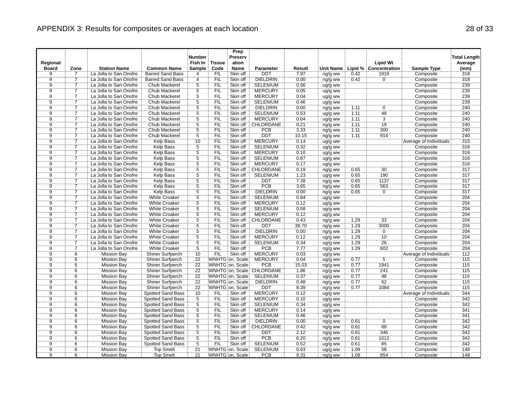|                |                |                        |                          | <b>Number</b>   |               | Prep<br>Preserv  |                           |        |           |      |                       |                        | <b>Total Length</b> |
|----------------|----------------|------------------------|--------------------------|-----------------|---------------|------------------|---------------------------|--------|-----------|------|-----------------------|------------------------|---------------------|
| Regional       |                |                        |                          | Fish In         | <b>Tissue</b> | ation            |                           |        |           |      | <b>Lipid Wt</b>       |                        | Average             |
| <b>Board</b>   | Zone           | <b>Station Name</b>    | <b>Common Name</b>       | Sample          | Code          | <b>Name</b>      | <b>Parameter</b>          | Result | Unit Name |      | Lipid % Concentration | <b>Sample Type</b>     | (mm)                |
| 9              | $\overline{7}$ | La Jolla to San Onofre | <b>Barred Sand Bass</b>  | 4               | FIL           | Skin off         | DDT                       | 7.97   | ng/g ww   | 0.42 | 1916                  | Composite              | 318                 |
|                | $\overline{7}$ | La Jolla to San Onofre | <b>Barred Sand Bass</b>  | $\overline{4}$  | FIL           | Skin off         | <b>DIELDRIN</b>           | 0.00   | ng/g ww   | 0.42 | $\overline{0}$        | Composite              | 318                 |
| $\frac{9}{9}$  |                | La Jolla to San Onofre | Chub Mackerel            | $\frac{5}{5}$   | <b>FIL</b>    | Skin off         | <b>SELENIUM</b>           | 0.56   | ug/g ww   |      |                       | Composite              | 239                 |
|                | 7              | La Jolla to San Onofre | Chub Mackerel            |                 | FIL           | Skin off         | <b>MERCURY</b>            | 0.05   | ug/g ww   |      |                       | Composite              | 239                 |
| $\overline{9}$ | 7              | La Jolla to San Onofre | Chub Mackerel            | $\overline{5}$  | FIL           | Skin off         | <b>MERCURY</b>            | 0.04   | ug/g ww   |      |                       | Composite              | 239                 |
| $\overline{9}$ | 7              | La Jolla to San Onofre | Chub Mackerel            | 5               | <b>FIL</b>    | Skin off         | <b>SELENIUM</b>           | 0.46   | ug/g ww   |      |                       | Composite              | 239                 |
| $\overline{9}$ | 7              | La Jolla to San Onofre | <b>Chub Mackerel</b>     |                 | FIL           | Skin off         | <b>DIELDRIN</b>           | 0.00   | ng/g ww   | 1.11 | 0                     | Composite              | 240                 |
| $\overline{9}$ | 7              | La Jolla to San Onofre | Chub Mackerel            | $rac{5}{5}$     | FIL           | Skin off         | <b>SELENIUM</b>           | 0.53   | ug/g ww   | 7.11 | 48                    | Composite              | 240                 |
| $\overline{9}$ | 7              | La Jolla to San Onofre | <b>Chub Mackerel</b>     | $\overline{5}$  | <b>FIL</b>    | Skin off         | <b>MERCURY</b>            | 0.04   | ug/g ww   | 1.11 | $\overline{3}$        | Composite              | 240                 |
| $\overline{9}$ | 7              | La Jolla to San Onofre | Chub Mackerel            | $\frac{5}{5}$   | FIL           | Skin off         | CHLORDANE                 | 0.21   | ng/g ww   | 1.11 | 19                    | Composite              | 240                 |
| $\ddot{9}$     |                | La Jolla to San Onofre | Chub Mackerel            |                 | FIL           | Skin off         | <b>PCB</b>                | 3.33   | ng/g ww   | 1.11 | 300                   | Composite              | 240                 |
| $\overline{9}$ | 7              | La Jolla to San Onofre | <b>Chub Mackerel</b>     | $\overline{5}$  | FIL           | Skin off         | <b>DDT</b>                | 10.15  | ng/g ww   | 1.11 | 914                   | Composite              | 240                 |
| ğ              |                | La Jolla to San Onofre | Kelp Bass                | 10              | <b>FIL</b>    | Skin off         | <b>MERCURY</b>            | 0.14   | ug/g ww   |      |                       | Average of Individuals | 315                 |
| $\overline{9}$ | 7              | La Jolla to San Onofre | <b>Kelp Bass</b>         | $\overline{5}$  | FIL           | Skin off         | <b>SELENIUM</b>           | 0.32   | ug/g ww   |      |                       | Composite              | 316                 |
| $\overline{9}$ | 7              | La Jolla to San Onofre | <b>Kelp Bass</b>         | $\overline{5}$  | FIL           | Skin off         | <b>MERCURY</b>            | 0.10   | ug/g ww   |      |                       | Composite              | 316                 |
| $\overline{9}$ | 7              | La Jolla to San Onofre | Kelp Bass                | $\overline{5}$  | FIL           | Skin off         | <b>SELENIUM</b>           | 0.87   | ug/g ww   |      |                       | Composite              | 316                 |
| $\overline{9}$ | 7              | La Jolla to San Onofre | <b>Kelp Bass</b>         | $\overline{5}$  | FIL           | Skin off         | <b>MERCURY</b>            | 0.17   | ug/g ww   |      |                       | Composite              | 316                 |
| Ï9             | 7              | La Jolla to San Onofre | Kelp Bass                | $\frac{5}{5}$   | ΪË            | Skin off         | CHLORDANE                 | 0.19   | ng/g ww   | 0.65 | $\overline{30}$       | Composite              | 317                 |
| ğ              | 7              | La Jolla to San Onofre | <b>Kelp Bass</b>         |                 | FIL           | Skin off         | <b>SELENIUM</b>           | 1.23   | ug/g ww   | 0.65 | 190                   | Composite              | 317                 |
| Ï9             | 7              | La Jolla to San Onofre | Kelp Bass                | $\overline{5}$  | FIL           | Skin off         | <b>DDT</b>                | 7.38   | ng/g ww   | 0.65 | 1137                  | Composite              | 317                 |
| ğ              | 7              | La Jolla to San Onofre | Kelp Bass                | $\overline{5}$  | FIL           | Skin off         | <b>PCB</b>                | 3.65   | ng/g ww   | 0.65 | 563                   | Composite              | 317                 |
| $\overline{9}$ | 7              | La Jolla to San Onofre | <b>Kelp Bass</b>         | $\overline{5}$  | FIL           | Skin off         | <b>DIELDRIN</b>           | 0.00   | ng/g ww   | 0.65 | $\overline{0}$        | Composite              | 317                 |
| Ï              | 7              | La Jolla to San Onofre | <b>White Croaker</b>     | $\dddot{5}$     | ΈÏΕ           | Skin off         | <b>SELENIUM</b>           | 0.84   | ug/g ww   |      |                       | Composite              | 204                 |
| $\overline{9}$ | 7              | La Jolla to San Onofre | <b>White Croaker</b>     | $\overline{5}$  | FIL           | Skin off         | <b>MERCURY</b>            | 0.12   | ug/g ww   |      |                       | Composite              | 204                 |
| $\overline{9}$ | 7              | La Jolla to San Onofre | <b>White Croaker</b>     | $\overline{5}$  | FIL           | Skin off         | <b>SELENIUM</b>           | 0.58   | ug/g ww   |      |                       | Composite              | 204                 |
| Ï9             | 7              | La Jolla to San Onofre | <b>White Croaker</b>     | $\overline{5}$  | <b>FIL</b>    | Skin off         | <b>MERCURY</b>            | 0.12   | ug/g ww   |      |                       | Composite              | 204                 |
| $\overline{9}$ | 7              | La Jolla to San Onofre | <b>White Croaker</b>     | $\overline{5}$  | FIL           | Skin off         | <b>CHLORDANE</b>          | 0.43   | ng/g ww   | 1.29 | 33                    | Composite              | 204                 |
| $\overline{9}$ | Ï              | La Jolla to San Onofre | <b>White Croaker</b>     | $\overline{5}$  | ΪFIL          | Skin off         | <b>DDT</b>                | 38.70  | ng/g ww   | 1.29 | 3000                  | Composite              | 204                 |
| $\overline{9}$ | 7              | La Jolla to San Onofre | <b>White Croaker</b>     | $\overline{5}$  | FIL           | Skin off         | <b>DIELDRIN</b>           | 0.00   | ng/g ww   | 1.29 | $\overline{0}$        | Composite              | 204                 |
| $\overline{9}$ |                | La Jolla to San Onofre | <b>White Croaker</b>     | $\overline{5}$  | FIL           | Skin off         | <b>MERCURY</b>            | 0.12   | ug/g ww   | 1.29 | 10                    | Composite              | 204                 |
| $\overline{9}$ | 7              | La Jolla to San Onofre | <b>White Croaker</b>     | $\overline{5}$  | <b>FIL</b>    | Skin off         | <b>SELENIUM</b>           | 0.34   | ug/g ww   | 1.29 | 26                    | Composite              | 204                 |
|                | $\overline{7}$ | La Jolla to San Onofre | <b>White Croaker</b>     | $\overline{5}$  | FIL           | Skin off         | <b>PCB</b>                | 7.77   | ng/g ww   | 1.29 | 602                   | Composite              | 204                 |
| $\frac{9}{9}$  | $\overline{6}$ | <b>Mission Bay</b>     | Shiner Surfperch         | $\overline{10}$ | FIL           | Skin off         | <b>MERCURY</b>            | 0.03   | ug/g ww   |      |                       | Average of Individuals | 112                 |
| $\overline{9}$ | 6              | <b>Mission Bay</b>     | <b>Shiner Surfperch</b>  | 22              |               | WNHTG on, Scale  | <b>MERCURY</b>            | 0.04   | ug/g ww   | 0.77 | $\overline{5}$        | Composite              | 115                 |
| $\overline{9}$ | $\frac{6}{6}$  | <b>Mission Bay</b>     | Shiner Surfperch         | $\overline{22}$ |               | WNHTG on, Scale  | PCB                       | 15.03  | ng/g ww   | 0.77 | 1941                  | Composite              | 115                 |
| $\overline{9}$ |                | <b>Mission Bay</b>     | Shiner Surfperch         | 22              |               |                  | WNHTG on, Scale CHLORDANE | 1.86   | ng/g ww   | 0.77 | 241                   | Composite              | 115                 |
| $\overline{9}$ | 6              | <b>Mission Bay</b>     | Shiner Surfperch         | 22              |               | WNHTG on, Scale: | <b>SELENIUM</b>           | 0.37   | ug/g ww   | 0.77 | 48                    | Composite              | 115                 |
| Ïğ             | $\dddot{6}$    | <b>Mission Bay</b>     | Shiner Surfperch         | $\overline{22}$ |               | WNHTG on, Scale  | <b>DIELDRIN</b>           | 0.48   | ng/g ww   | 0.77 | 62                    | Composite              | 115                 |
| $\overline{9}$ | 6              | <b>Mission Bay</b>     | Shiner Surfperch         | 22              |               | WNHTG on, Scale  | <b>DDT</b>                | 8.39   | ng/g ww   | 0.77 | 1084                  | Composite              | 115                 |
| $\overline{9}$ | $\overline{6}$ | <b>Mission Bay</b>     | <b>Spotted Sand Bass</b> | 10              | <b>FIL</b>    | Skin off         | <b>MERCURY</b>            | 0.12   | ug/g ww   |      |                       | Average of Individuals | 344                 |
| $\overline{9}$ | $\overline{6}$ | <b>Mission Bay</b>     | Spotted Sand Bass        | $\overline{5}$  | FIL           | Skin off         | <b>MERCURY</b>            | 0.10   | ug/g ww   |      |                       | Composite              | 342                 |
| $\overline{9}$ | 6              | <b>Mission Bay</b>     | Spotted Sand Bass        |                 | <b>FIL</b>    | Skin off         | <b>SELENIUM</b>           | 0.34   | ug/g ww   |      |                       | Composite              | 342                 |
| $\overline{9}$ | $\overline{6}$ | <b>Mission Bay</b>     | Spotted Sand Bass        | $rac{5}{5}$     | FIL           | Skin off         | <b>MERCURY</b>            | 0.14   | ug/g ww   |      |                       | Composite              | 341                 |
| $\overline{9}$ | $\overline{6}$ | <b>Mission Bay</b>     | <b>Spotted Sand Bass</b> | $\overline{5}$  | FIL           | Skin off         | <b>SELENIUM</b>           | 0.46   | ug/g ww   |      |                       | Composite              | 341                 |
| $\overline{9}$ | $\overline{6}$ | <b>Mission Bay</b>     | Spotted Sand Bass        |                 | FIL           | Skin off         | <b>DIELDRIN</b>           | 0.00   | ng/g ww   | 0.61 | $\overline{0}$        | Composite              | 342                 |
| ğ.             | $\overline{6}$ | <b>Mission Bay</b>     | Spotted Sand Bass        | $\frac{5}{5}$   | FIL           | Skin off         | CHLORDANE                 | 0.42   | ng/g ww   | 0.61 | 68                    | Composite              | 342                 |
| $\overline{9}$ | 6              | <b>Mission Bay</b>     | <b>Spotted Sand Bass</b> | $\overline{5}$  | FIL           | Skin off         | <b>DDT</b>                | 2.12   | ng/g ww   | 0.61 | 346                   | Composite              | 342                 |
| $\overline{9}$ | $\overline{6}$ | <b>Mission Bay</b>     | Spotted Sand Bass        | $\overline{5}$  | FIL           | Skin off         | PCB                       | 6.20   | ng/g ww   | 0.61 | 1012                  | Composite              | 342                 |
| $\overline{9}$ | 6              | Mission Bay            | <b>Spotted Sand Bass</b> | $\overline{5}$  | FIL           | Skin off         | <b>SELENIUM</b>           | 0.52   | ug/g ww   | 0.61 | 85                    | Composite              | 342                 |
| `9             | $\overline{6}$ | <b>Mission Bay</b>     | <b>Top Smelt</b>         | $\overline{21}$ |               | WNHTG on, Scale  | <b>SELENIUM</b>           | 0.63   | ug/g ww   | 1.09 | 58                    | Composite              | 148                 |
| ÿ.             | $\overline{6}$ | <b>Mission Bay</b>     | <b>Top Smelt</b>         | $\overline{21}$ |               | WNHTG on, Scale  | <b>PCB</b>                | 9.31   | ng/g ww   | 1.09 | 854                   | Composite              | 148                 |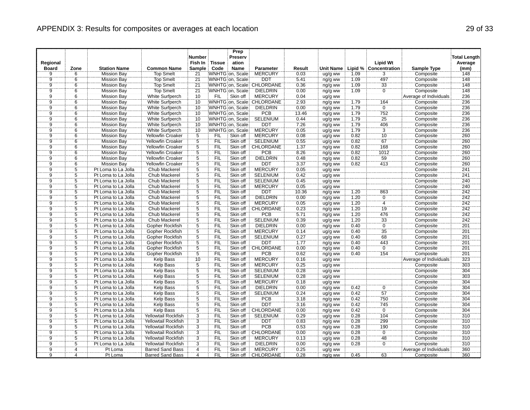|                             |                                  |                                            |                               | <b>Number</b>       |               | Prep<br>Preserv      |                            |              |                    |      |                       |                        | <b>Total Length</b> |
|-----------------------------|----------------------------------|--------------------------------------------|-------------------------------|---------------------|---------------|----------------------|----------------------------|--------------|--------------------|------|-----------------------|------------------------|---------------------|
| Regional                    |                                  |                                            |                               | Fish In             | <b>Tissue</b> | ation                |                            |              |                    |      | <b>Lipid Wt</b>       |                        | Average             |
| <b>Board</b>                | Zone                             | <b>Station Name</b>                        | <b>Common Name</b>            | Sample              | Code          | <b>Name</b>          | Parameter                  | Result       | <b>Unit Name</b>   |      | Lipid % Concentration | <b>Sample Type</b>     | (mm)                |
| 9                           | $\overline{6}$                   | <b>Mission Bay</b>                         | <b>Top Smelt</b>              | 21                  |               | WNHTG on, Scale      | <b>MERCURY</b>             | 0.03         | ug/g ww            | 1.09 | 3                     | Composite              | 148                 |
|                             |                                  | <b>Mission Bay</b>                         | <b>Top Smelt</b>              | 21                  |               | WNHTG on, Scale      | <b>DDT</b>                 | 5.41         | ng/g ww            | 1.09 | 497                   | Composite              | 148                 |
| $\frac{9}{9}$               | $\frac{6}{6}$                    | <b>Mission Bay</b>                         | Top Smelt                     | $\overline{21}$     |               |                      | WNHTG on, Scale CHLORDANE  | 0.36         | ng/g ww            | 1.09 |                       | Composite              | 148                 |
|                             | $\overline{6}$                   | <b>Mission Bay</b>                         | <b>Top Smelt</b>              | $\overline{21}$     |               | WNHTG on, Scale      | <b>DIELDRIN</b>            | 0.00         | ng/g ww            | 1.09 | $\frac{33}{0}$        | Composite              | 148                 |
| $\overline{9}$              | $\overline{6}$                   | <b>Mission Bay</b>                         | <b>White Surfperch</b>        | 10                  | FIL           | Skin off             | <b>MERCURY</b>             | 0.04         | ug/g ww            |      |                       | Average of Individuals | 236                 |
| g.                          | 6                                | <b>Mission Bay</b>                         | <b>White Surfperch</b>        | 10                  |               |                      | WNHTG on, Scale: CHLORDANE | 2.93         | ng/g ww            | 1.79 | 164                   | Composite              | 236                 |
|                             | 6                                | <b>Mission Bay</b>                         | White Surfperch               | 10                  |               | WNHTG on. Scale      | <b>DIELDRIN</b>            | 0.00         | ng/g ww            | 1.79 | $\overline{0}$        | Composite              | 236                 |
| $\frac{9}{9}$               | $\overline{6}$                   | <b>Mission Bay</b>                         | White Surfperch               | 10                  |               | WNHTG on, Scale      | <b>PCB</b>                 | 13.46        | ng/g ww            | 1.79 | 752                   | Composite              | 236                 |
| $\overline{9}$              | 6                                | <b>Mission Bay</b>                         | <b>White Surfperch</b>        | 10                  |               | WNHTG on, Scale      | <b>SELENIUM</b>            | 0.44         | ug/g ww            | 1.79 | 25                    | Composite              | 236                 |
|                             | $\overline{6}$                   | <b>Mission Bay</b>                         | <b>White Surfperch</b>        | 10                  |               | WNHTG on, Scale      | <b>DDT</b>                 | 7.26         | ng/g ww            | 1.79 | 406                   | Composite              | 236                 |
| $\frac{9}{9}$               | $\overline{6}$                   | <b>Mission Bay</b>                         | White Surfperch               | $\overline{10}$     |               | WNHTG on, Scale      | <b>MERCURY</b>             | 0.05         | ug/g ww            | 1.79 | $\overline{3}$        | Composite              | 236                 |
| $\overline{9}$              | 6                                | <b>Mission Bay</b>                         | <b>Yellowfin Croaker</b>      |                     | <b>FIL</b>    | Skin off             | <b>MERCURY</b>             | 0.08         | ug/g ww            | 0.82 | 10                    | Composite              | 260                 |
| $\overline{9}$              | $\overline{6}$                   | <b>Mission Bay</b>                         | <b>Yellowfin Croaker</b>      | $\frac{5}{5}$       | <b>FIL</b>    | Skin off             | <b>SELENIUM</b>            | 0.55         | ug/g ww            | 0.82 | $\overline{67}$       | Composite              | 260                 |
| $\overline{9}$              | $\overline{6}$                   | <b>Mission Bay</b>                         | <b>Yellowfin Croaker</b>      | $\overline{5}$      | FIL           | Skin off             | CHLORDANE                  | 1.37         | ng/g ww            | 0.82 | 168                   | Composite              | 260                 |
| $\overline{9}$              | $\overline{6}$                   | <b>Mission Bay</b>                         | Yellowfin Croaker             | $\overline{5}$      | FIL           | Skin off             | PCB                        | 8.26         | ng/g ww            | 0.82 | 1012                  | Composite              | 260                 |
| ğ.                          | $\overline{6}$                   | <b>Mission Bay</b>                         | <b>Yellowfin Croaker</b>      | $\overline{5}$      | <b>FIL</b>    | Skin off             | <b>DIELDRIN</b>            | 0.48         | ng/g ww            | 0.82 | 59                    | Composite              | 260                 |
| $\overline{9}$              | $\overline{6}$                   | <b>Mission Bay</b>                         | <b>Yellowfin Croaker</b>      |                     | FIL           | Skin off             | <b>DDT</b>                 | 3.37         | ng/g ww            | 0.82 | 413                   | Composite              | 260                 |
| $\frac{1}{9}$               | $\overline{5}$                   | Pt Loma to La Jolla                        | Chub Mackerel                 | $\frac{5}{5}$       | FIL           | Skin off             | <b>MERCURY</b>             | 0.05         | ug/g ww            |      |                       | Composite              | 241                 |
| $\overline{9}$              | $\overline{5}$                   | Pt Loma to La Jolla                        | Chub Mackerel                 | $\overline{5}$      | FIL           | Skin off             | <b>SELENIUM</b>            | 0.42         | ug/g ww            |      |                       | Composite              | 241                 |
| $\overline{9}$              | $\overline{5}$                   | Pt Loma to La Jolla                        | Chub Mackerel                 | $\overline{5}$      | <b>FIL</b>    | Skin off             | <b>SELENIUM</b>            | 0.45         | ug/g ww            |      |                       | Composite              | 240                 |
| ġ.                          | $\overline{5}$                   | Pt Loma to La Jolla                        | Chub Mackerel                 | $\overline{5}$      | FIL           | Skin off             | <b>MERCURY</b>             | 0.05         | ug/g ww            |      |                       | Composite              | 240                 |
| $\overline{9}$              | 5                                | Pt Loma to La Jolla                        | Chub Mackerel                 | $\overline{5}$      | FIL           | Skin off             | <b>DDT</b>                 | 10.36        | ng/g ww            | 1.20 | 863                   | Composite              | 242                 |
| <br>9                       | 5                                | Pt Loma to La Jolla                        | Chub Mackerel                 | 5                   | <b>FIL</b>    | Skin off             | <b>DIELDRIN</b>            | 0.00         |                    | 1.20 | $\overline{0}$        | Composite              | 242                 |
| $\overline{9}$              | $\overline{5}$                   | Pt Loma to La Jolla                        | Chub Mackerel                 | $\overline{5}$      | FIL           | Skin off             | <b>MERCURY</b>             | 0.05         | ng/g ww<br>ug/g ww | 1.20 | $\overline{4}$        | Composite              | 242                 |
| $\overline{9}$              | $\overline{5}$                   | Pt Loma to La Jolla                        | Chub Mackerel                 | 5                   | FIL           | Skin off             | CHLORDANE                  | 0.23         |                    | 1.20 | 19                    | Composite              | 242                 |
| Ï9                          | $\overline{5}$                   | Pt Loma to La Jolla                        | Chub Mackerel                 | 5                   | FIL           | Skin off             | PCB                        | 5.71         | ng/g ww            | 1.20 | 476                   | Composite              | 242                 |
| $\overline{9}$              | $\overline{5}$                   | Pt Loma to La Jolla                        | Chub Mackerel                 | $\overline{5}$      | FIL           | Skin off             | <b>SELENIUM</b>            | 0.39         | ng/g ww<br>ug/g ww | 1.20 | 33                    | Composite              | 242                 |
| $\overline{9}$              | $\overline{5}$                   | Pt Loma to La Jolla                        | Gopher Rockfish               | $\overline{5}$      | FIL           | Skin off             | <b>DIELDRIN</b>            | 0.00         |                    | 0.40 | $\overline{0}$        | Composite              | 201                 |
| $\overline{9}$              | $\overline{5}$                   | Pt Loma to La Jolla                        | Gopher Rockfish               | $\overline{5}$      | FIL           | Skin off             | <b>MERCURY</b>             | 0.14         | ng/g ww            | 0.40 | 35                    | Composite              | 201                 |
| $\overline{9}$              | $\overline{5}$                   | Pt Loma to La Jolla                        | Gopher Rockfish               | $\overline{5}$      | FIL           | Skin off             | <b>SELENIUM</b>            | 0.27         | ug/g ww            | 0.40 | 68                    | Composite              | 201                 |
| g.                          | $\overline{5}$                   |                                            | Gopher Rockfish               | Ϊ5                  | <b>FIL</b>    | Skin off             | DDT                        | 1.77         | ug/g ww            | 0.40 | 443                   |                        | 201                 |
| $\overline{9}$              | 5                                | Pt Loma to La Jolla<br>Pt Loma to La Jolla | Gopher Rockfish               | 5                   | FIL           | Skin off             | CHLORDANE                  | 0.00         | ng/g ww            | 0.40 | $\overline{0}$        | Composite<br>Composite | 201                 |
| $\overline{9}$              | $\overline{5}$                   |                                            | Gopher Rockfish               | $\frac{1}{5}$       | FIL           | Skin off             | <b>PCB</b>                 | 0.62         | ng/g ww            | 0.40 | 154                   | Composite              | 201                 |
| $\overline{9}$              | $\overline{5}$                   | Pt Loma to La Jolla                        |                               | 10                  | <b>FIL</b>    | Skin off             | <b>MERCURY</b>             |              | ng/g ww            |      |                       |                        | 323                 |
| $\overline{9}$              |                                  | Pt Loma to La Jolla                        | Kelp Bass                     |                     | FIL           | Skin off             | <b>MERCURY</b>             | 0.16<br>0.25 | ug/g ww            |      |                       | Average of Individuals | 303                 |
| Ï9                          | $\overline{5}$<br>$\overline{5}$ | Pt Loma to La Jolla                        | Kelp Bass                     | $\frac{5}{5}$       | FIL           | Skin off             | <b>SELENIUM</b>            |              | ug/g ww            |      |                       | Composite              | 304                 |
| $\overline{9}$              | $\overline{5}$                   | Pt Loma to La Jolla<br>Pt Loma to La Jolla | Kelp Bass<br><b>Kelp Bass</b> | $\overline{5}$      | FIL           | Skin off             | <b>SELENIUM</b>            | 0.28<br>0.28 | ug/g ww            |      |                       | Composite<br>Composite | 303                 |
| ġ.                          | $\overline{5}$                   |                                            | Kelp Bass                     | $\dddot{5}$         | FIL           |                      | <b>MERCURY</b>             |              | ug/g ww            |      |                       |                        | 304                 |
| $\overline{9}$              | $\overline{5}$                   | Pt Loma to La Jolla                        |                               | $\overline{5}$      | <b>FIL</b>    | Skin off<br>Skin off | <b>DIELDRIN</b>            | 0.18         | ug/g ww            | 0.42 |                       | Composite              | 304                 |
| $\bar{9}$                   | $\overline{5}$                   | Pt Loma to La Jolla                        | Kelp Bass                     |                     |               |                      |                            | 0.00         | ng/g ww            |      | 0                     | Composite              |                     |
|                             |                                  | Pt Loma to La Jolla                        | Kelp Bass                     | $\overline{5}$<br>5 | FIL           | Skin off             | <b>SELENIUM</b><br>PCB     | 0.24         | ug/g ww            | 0.42 | 57                    | Composite              | 304                 |
| 9                           | 5                                | Pt Loma to La Jolla                        | Kelp Bass                     |                     | <b>FIL</b>    | Skin off             |                            | 3.18         | ng/g ww            | 0.42 | 750                   | Composite              | 304                 |
| $\overline{9}$<br>$\bar{9}$ | $\overline{5}$                   | Pt Loma to La Jolla                        | Kelp Bass                     | $\overline{5}$      | FIL           | Skin off             | <b>DDT</b>                 | 3.16         | ng/g ww            | 0.42 | 745                   | Composite              | 304                 |
|                             | $\overline{5}$                   | Pt Loma to La Jolla                        | Kelp Bass                     | $\ddot{5}$          | Έiϊ           | Skin off             | CHLORDANE                  | 0.00         | ng/g ww            | 0.42 | $\overline{0}$        | Composite              | 304                 |
| $\overline{9}$              | 5                                | Pt Loma to La Jolla                        | Yellowtail Rockfish           | $\overline{3}$      | FIL           | Skin off             | <b>SELENIUM</b>            | 0.29         | ug/g ww            | 0.28 | 104                   | Composite              | 310                 |
| $\overline{9}$              | $\overline{5}$                   | Pt Loma to La Jolla                        | Yellowtail Rockfish           | 3                   | <b>FIL</b>    | Skin off             | <b>DDT</b>                 | 0.83         | ng/g ww            | 0.28 | 299                   | Composite              | 310                 |
| ġ.                          | $\overline{5}$                   | Pt Loma to La Jolla                        | Yellowtail Rockfish           | 3                   | FIL           | Skin off             | <b>PCB</b>                 | 0.53         | ng/g ww            | 0.28 | 190                   | Composite              | 310                 |
| $\overline{9}$              | $\overline{5}$                   | Pt Loma to La Jolla                        | Yellowtail Rockfish           | $\overline{3}$      | FIL           | Skin off             | CHLORDANE                  | 0.00         | ng/g ww            | 0.28 | $\overline{0}$        | Composite              | 310                 |
| 9                           | $\overline{5}$                   | Pt Loma to La Jolla                        | Yellowtail Rockfish           | 3                   | <b>FIL</b>    | Skin off             | <b>MERCURY</b>             | 0.13         | ug/g ww            | 0.28 | 48                    | Composite              | 310                 |
| $\overline{9}$              | $\overline{5}$                   | Pt Loma to La Jolla                        | <b>Yellowtail Rockfish</b>    | $\overline{3}$      | FIL           | Skin off             | <b>DIELDRIN</b>            | 0.00         | ng/g ww            | 0.28 | $\overline{0}$        | Composite              | 310                 |
| $\overline{9}$              | 4                                | Pt Loma                                    | <b>Barred Sand Bass</b>       | $\overline{4}$      | FIL           | Skin off             | <b>MERCURY</b>             | 0.25         | ug/g ww            |      |                       | Average of Individuals | 360                 |
| ġ.                          | 4                                | Pt Loma                                    | <b>Barred Sand Bass</b>       | $\overline{4}$      | <b>FIL</b>    | Skin off             | CHLORDANE                  | 0.28         | ng/g ww            | 0.45 | 63                    | Composite              | 360                 |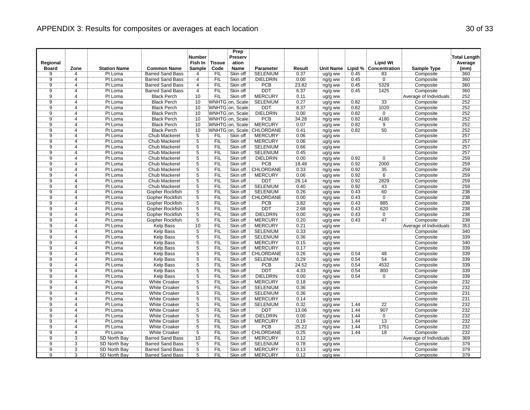| Regional          |                            | <b>Station Name</b> | <b>Common Name</b>      | <b>Number</b><br>Fish In<br><b>Sample</b> | <b>Tissue</b><br>Code | Prep<br>Preserv<br>ation<br>Name | <b>Parameter</b>              |                | <b>Unit Name</b>   |      | <b>Lipid Wt</b><br>Lipid % Concentration |                        | <b>Total Length</b><br>Average<br>(mm) |
|-------------------|----------------------------|---------------------|-------------------------|-------------------------------------------|-----------------------|----------------------------------|-------------------------------|----------------|--------------------|------|------------------------------------------|------------------------|----------------------------------------|
| <b>Board</b><br>ğ | Zone<br>$\overline{4}$     | Pt Loma             |                         | $\overline{4}$                            | FIL                   | Skin off                         | <b>SELENIUM</b>               | Result<br>0.37 |                    |      |                                          | <b>Sample Type</b>     | 360                                    |
|                   |                            |                     | <b>Barred Sand Bass</b> |                                           |                       |                                  |                               |                | ug/g ww            | 0.45 | 83<br>$\overline{0}$                     | Composite              |                                        |
| $\overline{9}$    | $\overline{4}$<br>$\Delta$ | Pt Loma             | <b>Barred Sand Bass</b> | $\overline{4}$                            | FIL                   | Skin off                         | <b>DIELDRIN</b><br><b>PCB</b> | 0.00           | ng/g ww            | 0.45 |                                          | Composite              | 360<br>360                             |
| 9                 |                            | Pt Loma             | <b>Barred Sand Bass</b> | $\overline{4}$                            | <b>FIL</b>            | Skin off                         |                               | 23.82          | ng/g ww            | 0.45 | 5329                                     | Composite              |                                        |
| $\overline{9}$    | $\overline{4}$             | Pt Loma             | <b>Barred Sand Bass</b> | $\overline{4}$                            | FIL                   | Skin off                         | <b>DDT</b>                    | 6.37           | ng/g ww            | 0.45 | 1425                                     | Composite              | 360                                    |
| $\overline{9}$    | $\overline{4}$             | Pt Loma             | <b>Black Perch</b>      | 10                                        | FIL                   | Skin off                         | <b>MERCURY</b>                | 0.11           | ug/g ww            |      |                                          | Average of Individuals | 252                                    |
| ğ                 | Δ                          | Pt Loma             | <b>Black Perch</b>      | 10                                        |                       | WNHTG on, Scale                  | <b>SELENIUM</b>               | 0.27           | ug/g ww            | 0.82 | $\overline{33}$                          | Composite              | 252                                    |
| $\frac{9}{9}$     | $\overline{4}$             | Pt Loma             | <b>Black Perch</b>      | 10                                        |                       | WNHTG on, Scale                  | <b>DDT</b>                    | 8.37           | ng/g ww            | 0.82 | 1020                                     | Composite              | 252                                    |
|                   | 4                          | Pt Loma             | <b>Black Perch</b>      | $\overline{10}$                           |                       | WNHTG on, Scale                  | <b>DIELDRIN</b>               | 0.00           | ng/g ww            | 0.82 | $\overline{0}$                           | Composite              | 252                                    |
| $\overline{9}$    | Δ                          | Pt Loma             | <b>Black Perch</b>      | 10                                        |                       | WNHTG on, Scale                  | <b>PCB</b>                    | 34.28          | ng/g ww            | 0.82 | 4180                                     | Composite              | 252                                    |
| 9                 | $\boldsymbol{\Delta}$      | Pt Loma             | <b>Black Perch</b>      | 10                                        |                       | WNHTG on, Scale                  | <b>MERCURY</b>                | 0.07           | ug/g ww            | 0.82 | $\overline{9}$                           | Composite              | 252                                    |
| ğ.                | $\overline{4}$             | Pt Loma             | <b>Black Perch</b>      | 10                                        |                       | WNHTG on, Scale                  | CHLORDANE                     | 0.41           | ng/g ww            | 0.82 | 50                                       | Composite              | 252                                    |
| $\overline{9}$    | $\overline{4}$             | Pt Loma             | Chub Mackerel           | $\overline{5}$                            | <b>FIL</b>            | Skin off                         | <b>MERCURY</b>                | 0.06           | ug/g ww            |      |                                          | Composite              | 257                                    |
| ğ                 | 4                          | Pt Loma             | Chub Mackerel           | $\overline{5}$                            | <b>FIL</b>            | Skin off                         | <b>MERCURY</b>                | 0.06           | ug/g ww            |      |                                          | Composite              | 257                                    |
| ĝ                 | $\overline{4}$             | Pt Loma             | <b>Chub Mackerel</b>    | $\overline{5}$                            | FIL                   | Skin off                         | <b>SELENIUM</b>               | 0.66           | ug/g ww            |      |                                          | Composite              | 257                                    |
| $\overline{9}$    | $\overline{4}$             | Pt Loma             | Chub Mackerel           | $\overline{5}$                            | FIL                   | Skin off                         | <b>SELENIUM</b>               | 0.45           | ug/g ww            |      |                                          | Composite              | 257                                    |
| `9                | 4                          | Pt Loma             | Chub Mackerel           | 5                                         | FIL                   | Skin off                         | <b>DIELDRIN</b>               | 0.00           | ng/g ww            | 0.92 | $\Omega$                                 | Composite              | 259                                    |
| $\overline{9}$    | $\overline{4}$             | Pt Loma             | Chub Mackerel           | $\overline{5}$                            | FIL                   | Skin off                         | <b>PCB</b>                    | 18.48          | ng/g ww            | 0.92 | 2000                                     | Composite              | 259                                    |
| <br>9             | 4                          | Pt Loma             | Chub Mackerel           | $rac{5}{5}$                               | FIL                   | Skin off                         | CHLORDANE                     | 0.33           | ng/g ww            | 0.92 | $\frac{35}{6}$                           | Composite              | 259                                    |
| $\overline{9}$    | 4                          | Pt Loma             | <b>Chub Mackerel</b>    |                                           | FIL                   | Skin off                         | <b>MERCURY</b>                | 0.06           | ug/g ww            | 0.92 |                                          | Composite              | 259                                    |
| $\overline{9}$    | 4                          | Pt Loma             | Chub Mackerel           | $\overline{5}$                            | <b>FIL</b>            | Skin off                         | <b>DDT</b>                    | 26.14          | ng/g ww            | 0.92 | 2829                                     | Composite              | 259                                    |
| ğ                 | 4                          | Pt Loma             | Chub Mackerel           | $\overline{5}$                            | FIL                   | Skin off                         | <b>SELENIUM</b>               | 0.40           | ug/g ww            | 0.92 | 43                                       | Composite              | 259                                    |
| $\overline{9}$    | 4                          | Pt Loma             | Gopher Rockfish         | 5                                         | <b>FIL</b>            | Skin off                         | <b>SELENIUM</b>               | 0.26           | ug/g ww            | 0.43 | 60                                       | Composite              | 238                                    |
| <br>9             | 4                          | Pt Loma             | Gopher Rockfish         | $\overline{5}$                            | ΪFIL                  | Skin off                         | CHLORDANE                     | 0.00           | ng/g ww            | 0.43 | $\overline{0}$                           | Composite              | 238                                    |
| $\overline{9}$    | 4                          | Pt Loma             | Gopher Rockfish         | $\overline{5}$                            | <b>FIL</b>            | Skin off                         | <b>PCB</b>                    | 3.82           | ng/g ww            | 0.43 | 885                                      | Composite              | 238                                    |
| $\overline{9}$    | $\overline{4}$             | Pt Loma             | Gopher Rockfish         | $\overline{5}$                            | FIL                   | Skin off                         | <b>DDT</b>                    | 2.68           | ng/g ww            | 0.43 | 620                                      | Composite              | 238                                    |
| Ï9                | 4                          | Pt Loma             | Gopher Rockfish         | 5                                         | <b>FIL</b>            | Skin off                         | DIELDRIN                      | 0.00           | ng/g ww            | 0.43 | ö                                        | Composite              | 238                                    |
| $\overline{9}$    | 4                          | Pt Loma             | <b>Gopher Rockfish</b>  | $\overline{5}$                            | FIL                   | Skin off                         | <b>MERCURY</b>                | 0.20           | ug/g ww            | 0.43 | 47                                       | Composite              | 238                                    |
| $\overline{9}$    | $\Delta$                   | Pt Loma             | <b>Kelp Bass</b>        | 10                                        | FIL                   | Skin off                         | <b>MERCURY</b>                | 0.21           | ug/g ww            |      |                                          | Average of Individuals | 353                                    |
| $\overline{9}$    | 4                          | Pt Loma             | Kelp Bass               | $\overline{5}$                            | FIL                   | Skin off                         | <b>SELENIUM</b>               | 0.33           | ug/g ww            |      |                                          | Composite              | 340                                    |
| $\overline{9}$    | 4                          | Pt Loma             | <b>Kelp Bass</b>        |                                           | FIL                   | Skin off                         | <b>SELENIUM</b>               | 0.36           | ug/g ww            |      |                                          | Composite              | 339                                    |
| ğ                 | 4                          | Pt Loma             | Kelp Bass               | $\frac{5}{5}$                             | FIL                   | Skin off                         | <b>MERCURY</b>                | 0.15           | ug/g ww            |      |                                          | Composite              | 340                                    |
| $\overline{9}$    | $\overline{4}$             | Pt Loma             | <b>Kelp Bass</b>        |                                           | FIL                   | Skin off                         | <b>MERCURY</b>                | 0.17           | ug/g ww            |      |                                          | Composite              | 339                                    |
| $\overline{9}$    | 4                          | Pt Loma             | Kelp Bass               | $rac{5}{5}$                               | ΪFIL                  | Skin off                         | CHLORDANE                     | 0.26           | ng/g ww            | 0.54 | 48                                       | Composite              | 339                                    |
| $\overline{9}$    | 4                          | Pt Loma             | Kelp Bass               | $\overline{5}$                            | <b>FIL</b>            | Skin off                         | <b>SELENIUM</b>               | 0.29           | ug/g ww            | 0.54 | 54                                       | Composite              | 339                                    |
| $\overline{9}$    | $\overline{4}$             | Pt Loma             | <b>Kelp Bass</b>        | $\overline{5}$                            | FIL                   | Skin off                         | <b>PCB</b>                    | 24.52          | ng/g ww            | 0.54 | 4532                                     | Composite              | 339                                    |
| ğ                 | 4                          | Pt Loma             | Kelp Bass               | $\overline{5}$                            | FIL                   | Skin off                         | DDT                           | 4.33           |                    | 0.54 | 800                                      | Composite              | 339                                    |
| $\overline{9}$    | $\overline{4}$             | Pt Loma             | <b>Kelp Bass</b>        | $\overline{5}$                            | FIL                   | Skin off                         | <b>DIELDRIN</b>               | 0.00           | ng/g ww<br>ng/g ww | 0.54 | $\overline{0}$                           | Composite              | 339                                    |
| ğ                 | 4                          | Pt Loma             | <b>White Croaker</b>    | $\overline{5}$                            | ΈÏĹ                   | Skin off                         | <b>MERCURY</b>                | 0.18           |                    |      |                                          | Composite              | 232                                    |
| $\overline{9}$    | 4                          | Pt Loma             | <b>White Croaker</b>    | 5                                         | <b>FIL</b>            | Skin off                         | <b>SELENIUM</b>               |                | ug/g ww            |      |                                          |                        | 232                                    |
| $\overline{9}$    | 4                          |                     |                         | $\overline{5}$                            |                       |                                  |                               | 0.36           | ug/g ww            |      |                                          | Composite              | 231                                    |
| ğ                 |                            | Pt Loma             | <b>White Croaker</b>    | 5                                         | ÏΪ                    | Skin off                         | <b>SELENIUM</b>               | 0.36           | ug/g ww            |      |                                          | Composite              |                                        |
|                   | Δ                          | Pt Loma             | <b>White Croaker</b>    |                                           | <b>FIL</b>            | Skin off                         | <b>MERCURY</b>                | 0.14           | ug/g ww            |      |                                          | Composite              | 231                                    |
| $\overline{9}$    | $\overline{4}$             | Pt Loma             | <b>White Croaker</b>    | $\frac{5}{5}$                             | <b>FIL</b>            | Skin off                         | <b>SELENIUM</b>               | 0.32           | ug/g ww            | 1.44 | 22                                       | Composite              | 232                                    |
| ġ.                | $\overline{4}$             | Pt Loma             | <b>White Croaker</b>    |                                           | FIL                   | Skin off                         | <b>DDT</b>                    | 13.06          | ng/g ww            | 1.44 | 907                                      | Composite              | 232                                    |
| $\overline{9}$    | $\overline{4}$             | Pt Loma             | <b>White Croaker</b>    | $\overline{5}$                            | FIL                   | Skin off                         | <b>DIELDRIN</b>               | 0.00           | ng/g ww            | 1.44 | $\overline{0}$                           | Composite              | 232                                    |
| $\overline{9}$    | $\boldsymbol{\Delta}$      | Pt Loma             | <b>White Croaker</b>    | $\overline{5}$                            | <b>FIL</b>            | Skin off                         | <b>MERCURY</b>                | 0.19           | ug/g ww            | 1.44 | 13                                       | Composite              | 232                                    |
| ğ.                | $\overline{4}$             | Pt Loma             | White Croaker           | $\overline{5}$                            | FIL                   | Skin off                         | <b>PCB</b>                    | 25.22          | ng/g ww            | 1.44 | 1751                                     | Composite              | 232                                    |
| 9                 | $\overline{4}$             | Pt Loma             | <b>White Croaker</b>    | $\overline{5}$                            | FIL                   | Skin off                         | CHLORDANE                     | 0.25           | ng/g ww            | 1.44 | 18                                       | Composite              | 232                                    |
| ğ                 | 3                          | SD North Bay        | <b>Barred Sand Bass</b> | 10                                        | <b>FIL</b>            | Skin off                         | <b>MERCURY</b>                | 0.12           | ug/g ww            |      |                                          | Average of Individuals | 369                                    |
| $\overline{9}$    | $\overline{3}$             | SD North Bay        | <b>Barred Sand Bass</b> | $\frac{5}{5}$                             | FIL                   | Skin off                         | <b>SELENIUM</b>               | 0.78           | ug/g ww            |      |                                          | Composite              | 379                                    |
| $\overline{9}$    | $\overline{3}$             | SD North Bay        | <b>Barred Sand Bass</b> |                                           | FIL                   | Skin off                         | <b>MERCURY</b>                | 0.13           | ug/g ww            |      |                                          | Composite              | 379                                    |
| ġ.                | 3                          | SD North Bay        | <b>Barred Sand Bass</b> | 5                                         | FIL                   | Skin off                         | <b>MERCURY</b>                | 0.12           | ug/g ww            |      |                                          | Composite              | 379                                    |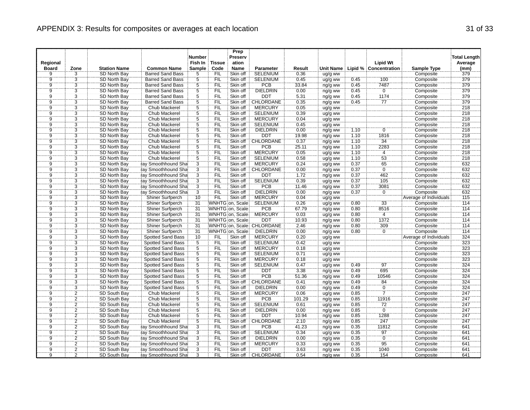| Regional       |                     |                     |                          | <b>Number</b><br>Fish In | <b>Tissue</b> | Prep<br>Preserv<br>ation |                           |        |                    |      | <b>Lipid Wt</b>       |                        | <b>Total Length</b><br>Average |
|----------------|---------------------|---------------------|--------------------------|--------------------------|---------------|--------------------------|---------------------------|--------|--------------------|------|-----------------------|------------------------|--------------------------------|
| <b>Board</b>   | Zone                | <b>Station Name</b> | <b>Common Name</b>       | Sample                   | Code          | Name                     | Parameter                 | Result | Unit Name          |      | Lipid % Concentration | <b>Sample Type</b>     | (mm)                           |
| $\overline{9}$ | $\overline{3}$      | SD North Bay        | Barred Sand Bass         | 5                        | FIL           | Skin off                 | <b>SELENIUM</b>           | 0.36   | ug/g ww            |      |                       | Composite              | 379                            |
| $\overline{9}$ |                     | SD North Bay        | <b>Barred Sand Bass</b>  | $\overline{5}$           | <b>FIL</b>    | Skin off                 | <b>SELENIUM</b>           | 0.45   | ug/g ww            | 0.45 | 100                   | Composite              | 379                            |
| 9              | $\frac{3}{3}$       | SD North Bay        | <b>Barred Sand Bass</b>  | 5                        | <b>FIL</b>    | Skin off                 | PCB                       | 33.84  | ng/g ww            | 0.45 | 7487                  | Composite              | 379                            |
| $\overline{9}$ | $\overline{3}$      | SD North Bay        | <b>Barred Sand Bass</b>  | $\overline{5}$           | FIL           | Skin off                 | <b>DIELDRIN</b>           | 0.00   | ng/g ww            | 0.45 | $\overline{0}$        | Composite              | 379                            |
| $\overline{9}$ | $\overline{3}$      | SD North Bay        | <b>Barred Sand Bass</b>  | $\overline{5}$           | FIL           | Skin off                 | <b>DDT</b>                | 5.31   | ng/g ww            | 0.45 | 1174                  | Composite              | 379                            |
| $\overline{9}$ | $\overline{3}$      | SD North Bay        | <b>Barred Sand Bass</b>  | $\overline{5}$           | <b>FIL</b>    | Skin off                 | CHLORDANE                 | 0.35   | ng/g ww            | 0.45 | 77                    | Composite              | 379                            |
|                |                     | SD North Bay        | Chub Mackerel            |                          | FIL           | Skin off                 | <b>MERCURY</b>            | 0.05   | ug/g ww            |      |                       | Composite              | 218                            |
| $\frac{9}{9}$  | $\frac{3}{3}$       | SD North Bay        | Chub Mackerel            | $rac{5}{5}$              | FIL           | Skin off                 | <b>SELENIUM</b>           | 0.39   | ug/g ww            |      |                       | Composite              | 218                            |
| ğ              | $\overline{3}$      | SD North Bay        | Chub Mackerel            | $\overline{5}$           | FIL           | Skin off                 | <b>MERCURY</b>            | 0.04   | ug/g ww            |      |                       | Composite              | 218                            |
| $\overline{9}$ | $\overline{3}$      | SD North Bay        | Chub Mackerel            | $\overline{5}$           | FIL           | Skin off                 | <b>SELENIUM</b>           | 0.45   | ug/g ww            |      |                       | Composite              | 218                            |
| $\overline{9}$ | $\overline{3}$      | SD North Bay        | Chub Mackerel            | $\overline{5}$           | FIL           | Skin off                 | <b>DIELDRIN</b>           | 0.00   | ng/g ww            | 1.10 | 0                     | Composite              | 218                            |
| 9              | $\overline{3}$      | SD North Bay        | Chub Mackerel            | $\overline{5}$           | <b>FIL</b>    | Skin off                 | <b>DDT</b>                | 19.98  | ng/g ww            | 1.10 | 1816                  | Composite              | 218                            |
| <br>9          | $\dddot{3}$         | SD North Bay        | Chub Mackerel            | $\overline{5}$           | FIL           | Skin off                 | CHLORDANE                 | 0.37   | ng/g ww            | 1.10 | 34                    | Composite              | 218                            |
| $\overline{9}$ | $\overline{3}$      | <b>SD North Bay</b> | Chub Mackerel            | $\overline{5}$           | FIL           | Skin off                 | <b>PCB</b>                | 25.11  | ng/g ww            | 1.10 | 2283                  | Composite              | 218                            |
| $\overline{9}$ | $\overline{3}$      | SD North Bay        | <b>Chub Mackerel</b>     |                          | FIL           | Skin off                 | <b>MERCURY</b>            | 0.05   | ug/g ww            | 1.10 | $\overline{4}$        | Composite              | 218                            |
|                | $\overline{3}$      | SD North Bay        | Chub Mackerel            | $\frac{5}{5}$            | FIL           | Skin off                 | <b>SELENIUM</b>           | 0.58   | ug/g ww            | 1.10 | 53                    | Composite              | 218                            |
| $\overline{9}$ | $\overline{3}$      | SD North Bay        | ray Smoothhound Sha      |                          | FIL           | Skin off                 | <b>MERCURY</b>            | 0.24   |                    | 0.37 |                       | Composite              | 632                            |
| Ïğ             | $\overline{3}$      | SD North Bay        | ray Smoothhound Sha      | $\frac{3}{3}$            | FIL           | Skin off                 | CHLORDANE                 | 0.00   | ug/g ww<br>ng/g ww | 0.37 | $\frac{65}{0}$        | Composite              | 632                            |
| Ï9             | $\overline{3}$      | SD North Bay        | ray Smoothhound Sha      |                          | FIL           | Skin off                 | <b>DDT</b>                | 1.72   |                    | 0.37 | 462                   | Composite              | 632                            |
| $\overline{9}$ | $\overline{3}$      |                     |                          |                          | FIL           | Skin off                 | <b>SELENIUM</b>           |        | ng/g ww            |      |                       |                        | 632                            |
| ğ              | 3                   | SD North Bay        | ray Smoothhound Sha      | $\overline{3}$           |               |                          |                           | 0.39   | ug/g ww            | 0.37 | 105                   | Composite              |                                |
|                |                     | SD North Bay        | ray Smoothhound Sha      | $\overline{3}$           | <b>FIL</b>    | Skin off                 | <b>PCB</b>                | 11.46  | ng/g ww            | 0.37 | 3081                  | Composite              | 632                            |
| $\overline{9}$ | $\frac{3}{3}$       | SD North Bay        | ray Smoothhound Sha      | $\overline{3}$           | FIL           | Skin off                 | <b>DIELDRIN</b>           | 0.00   | ng/g ww            | 0.37 | $\overline{0}$        | Composite              | 632                            |
| $\overline{9}$ |                     | SD North Bay        | Shiner Surfperch         | 10                       | FIL           | Skin off                 | <b>MERCURY</b>            | 0.04   | ug/g ww            |      |                       | Average of Individuals | 115                            |
| $\overline{9}$ | $\overline{3}$      | SD North Bay        | <b>Shiner Surfperch</b>  | 31                       |               | WNHTG on, Scale          | <b>SELENIUM</b>           | 0.26   | ug/g ww            | 0.80 | 33                    | Composite              | 114                            |
| $\overline{9}$ | $\overline{3}$      | SD North Bay        | <b>Shiner Surfperch</b>  | 31                       |               | WNHTG on, Scale          | PCB                       | 67.79  | ng/g ww            | 0.80 | 8516                  | Composite              | 114                            |
| $\overline{9}$ | $\overline{3}$      | SD North Bay        | Shiner Surfperch         | $\overline{31}$          |               | WNHTG on, Scale          | <b>MERCURY</b>            | 0.03   | ug/g ww            | 0.80 | $\overline{4}$        | Composite              | 114                            |
| $\overline{9}$ | $\frac{3}{3}$       | SD North Bay        | Shiner Surfperch         | 31                       |               | WNHTG on, Scale          | <b>DDT</b>                | 10.93  | ng/g ww            | 0.80 | 1372                  | Composite              | 114                            |
| Ïğ             |                     | SD North Bay        | Shiner Surfperch         | 31                       |               |                          | WNHTG on, Scale CHLORDANE | 2.46   | ng/g ww            | 0.80 | 309                   | Composite              | 114                            |
| $\overline{9}$ | $\ddot{3}$          | <b>SD North Bay</b> | Shiner Surfperch         | 31                       |               | WNHTG on, Scale          | <b>DIELDRIN</b>           | 0.00   | ng/g ww            | 0.80 | $\overline{0}$        | Composite              | 114                            |
| $\overline{9}$ | $\overline{3}$      | SD North Bay        | Spotted Sand Bass        | 10                       | <b>FIL</b>    | Skin off                 | <b>MERCURY</b>            | 0.20   | ug/g ww            |      |                       | Average of Individuals | 324                            |
| 9              | $\overline{3}$      | SD North Bay        | Spotted Sand Bass        | 5                        | <b>FIL</b>    | Skin off                 | <b>SELENIUM</b>           | 0.42   | ug/g ww            |      |                       | Composite              | 323                            |
| $\overline{9}$ | $\frac{3}{3}$       | SD North Bay        | <b>Spotted Sand Bass</b> | $\frac{5}{5}$            | <b>FIL</b>    | Skin off                 | <b>MERCURY</b>            | 0.18   | ug/g ww            |      |                       | Composite              | 323                            |
| $\overline{9}$ |                     | SD North Bay        | <b>Spotted Sand Bass</b> |                          | `FIL          | Skin off                 | <b>SELENIUM</b>           | 0.71   | ug/g ww            |      |                       | Composite              | 323                            |
| $\overline{9}$ | $\overline{3}$      | <b>SD North Bay</b> | <b>Spotted Sand Bass</b> | $\overline{5}$           | <b>FIL</b>    | Skin off                 | <b>MERCURY</b>            | 0.18   | ug/g ww            |      |                       | Composite              | 323                            |
| $\overline{9}$ | $\frac{3}{3}$       | SD North Bay        | Spotted Sand Bass        | $\frac{5}{5}$            | FIL           | Skin off                 | <b>SELENIUM</b>           | 0.47   | ug/g ww            | 0.49 | 97                    | Composite              | 324                            |
| Ï9             |                     | SD North Bay        | Spotted Sand Bass        |                          | FIL           | Skin off                 | <b>DDT</b>                | 3.38   | ng/g ww            | 0.49 | 695                   | Composite              | 324                            |
| $\overline{9}$ | $\overline{3}$      | SD North Bay        | Spotted Sand Bass        | $rac{5}{5}$              | <b>FIL</b>    | Skin off                 | <b>PCB</b>                | 51.36  | ng/g ww            | 0.49 | 10546                 | Composite              | 324                            |
| ğ              | $\ddot{3}$          | SD North Bay        | Spotted Sand Bass        |                          | <b>FIL</b>    | Skin off                 | CHLORDANE                 | 0.41   | ng/g ww            | 0.49 | 84                    | Composite              | 324                            |
| $\overline{9}$ | $\overline{3}$      | SD North Bay        | <b>Spotted Sand Bass</b> | $\overline{5}$           | FIL           | Skin off                 | <b>DIELDRIN</b>           | 0.00   | ng/g ww            | 0.49 | $\overline{0}$        | Composite              | 324                            |
| $\overline{9}$ | $\overline{2}$      | SD South Bay        | Chub Mackerel            | $\overline{5}$           | FIL           | Skin off                 | <b>MERCURY</b>            | 0.06   | ug/g ww            | 0.85 | 7                     | Composite              | 247                            |
| g.             | $\overline{2}$      | SD South Bay        | Chub Mackerel            | $\overline{5}$           | FIL           | Skin off                 | <b>PCB</b>                | 101.29 | ng/g ww            | 0.85 | 11916                 | Composite              | 247                            |
| $\overline{9}$ | $\frac{2}{2}$       | SD South Bay        | <b>Chub Mackerel</b>     | $\overline{5}$           | FIL           | Skin off                 | <b>SELENIUM</b>           | 0.61   | ug/g ww            | 0.85 | 72                    | Composite              | 247                            |
| Ïğ             |                     | SD South Bay        | Chub Mackerel            | $\frac{1}{5}$            | FIL           | Skin off                 | <b>DIELDRIN</b>           | 0.00   | ng/g ww            | 0.85 | $\overline{0}$        | Composite              | 247                            |
| $\overline{9}$ | $\overline{2}$      | SD South Bay        | Chub Mackerel            |                          | FIL           | Skin off                 | <b>DDT</b>                | 10.94  | ng/g ww            | 0.85 | 1288                  | Composite              | 247                            |
| $\overline{9}$ | $\overline{2}$      | SD South Bay        | <b>Chub Mackerel</b>     |                          | FIL           | Skin off                 | <b>CHLORDANE</b>          | 2.10   | ng/g ww            | 0.85 | 247                   | Composite              | 247                            |
| $\overline{9}$ | $\overline{2}$      | SD South Bay        | ray Smoothhound Sha      | $rac{5}{3}$              | <b>FIL</b>    | Skin off                 | PCB                       | 41.23  | ng/g ww            | 0.35 | 11812                 | Composite              | 641                            |
| $\overline{9}$ | $\overline{2}$      | SD South Bay        | ray Smoothhound Sha      | $\overline{3}$           | FIL           | Skin off                 | <b>SELENIUM</b>           | 0.34   | ug/g ww            | 0.35 | 97                    | Composite              | 641                            |
| <br>9          | $\ddot{\mathbf{2}}$ | SD South Bay        | ray Smoothhound Sha      | $\dddot{3}$              | FIL           | Skin off                 | <b>DIELDRIN</b>           | 0.00   | ng/g ww            | 0.35 | $\overline{0}$        | Composite              | 641                            |
| $\overline{9}$ | $\overline{2}$      | SD South Bay        | ray Smoothhound Sha      | $\overline{3}$           | <b>FIL</b>    | Skin off                 | <b>MERCURY</b>            | 0.33   | ug/g ww            | 0.35 | $\overline{95}$       | Composite              | 641                            |
| `9             | $\overline{2}$      | SD South Bay        | ay Smoothhound Sha       | $\overline{3}$           | FIL           | Skin off                 | DDT                       | 3.63   | ng/g ww            | 0.35 | 1040                  | Composite              | 641                            |
| $\overline{9}$ | 2                   | SD South Bay        | ray Smoothhound Sha      | 3                        | FIL           | Skin off                 | CHLORDANE                 | 0.54   | ng/g ww            | 0.35 | 154                   | Composite              | 641                            |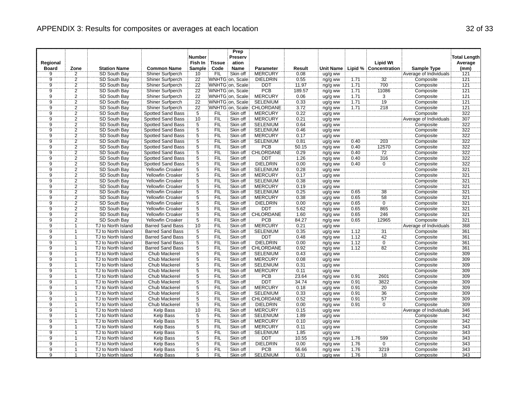|                |                |                     |                          | <b>Number</b>              |               | Prep<br>Preserv |                            |        |                  |      |                       |                        | <b>Total Length</b> |
|----------------|----------------|---------------------|--------------------------|----------------------------|---------------|-----------------|----------------------------|--------|------------------|------|-----------------------|------------------------|---------------------|
| Regional       |                |                     |                          | Fish In                    | <b>Tissue</b> | ation           |                            |        |                  |      | <b>Lipid Wt</b>       |                        | Average             |
| <b>Board</b>   | Zone           | <b>Station Name</b> | <b>Common Name</b>       | Sample                     | Code          | <b>Name</b>     | Parameter                  | Result | <b>Unit Name</b> |      | Lipid % Concentration | <b>Sample Type</b>     | (mm)                |
| 9              | $\overline{2}$ | SD South Bay        | Shiner Surfperch         | 10                         | <b>FIL</b>    | Skin off        | <b>MERCURY</b>             | 0.08   | ug/g ww          |      |                       | Average of Individuals | 121                 |
| $\overline{9}$ | $\overline{2}$ | SD South Bay        | <b>Shiner Surfperch</b>  | 22                         |               | WNHTG on, Scale | <b>DIELDRIN</b>            | 0.55   | ng/g ww          | 1.71 | 32                    | Composite              | 121                 |
| 9              | $\overline{2}$ | SD South Bay        | Shiner Surfperch         | 22                         |               | WNHTG on, Scale | DDT                        | 11.97  | ng/g ww          | 1.71 | 700                   | Composite              | $\overline{121}$    |
| $\overline{9}$ | $\overline{2}$ | SD South Bay        | Shiner Surfperch         | 22                         |               | WNHTG on, Scale | PCB                        | 189.57 | ng/g ww          | 1.71 | 11086                 | Composite              | 121                 |
| $\overline{9}$ | $\overline{2}$ | SD South Bay        | Shiner Surfperch         | 22                         |               | WNHTG on, Scale | <b>MERCURY</b>             | 0.06   | ug/g ww          | 1.71 | $\overline{3}$        | Composite              | 121                 |
| Ï9             | $\overline{2}$ | SD South Bay        | Shiner Surfperch         | $\overline{2}\overline{2}$ |               | WNHTG on, Scale | <b>SELENIUM</b>            | 0.33   | ug/g ww          | 1.71 | 19                    | Composite              | 121                 |
| $\overline{9}$ |                | SD South Bay        | <b>Shiner Surfperch</b>  | 22                         |               |                 | WNHTG on, Scale: CHLORDANE | 3.72   | ng/g ww          | 1.71 | 218                   | Composite              | 121                 |
| $\frac{1}{9}$  | $\frac{2}{2}$  | SD South Bay        | Spotted Sand Bass        | $\overline{5}$             | FIL           | Skin off        | <b>MERCURY</b>             | 0.22   | ug/g ww          |      |                       | Composite              | 322                 |
| $\overline{9}$ | $\overline{2}$ | <b>SD South Bay</b> | Spotted Sand Bass        | 10                         | FIL           | Skin off        | <b>MERCURY</b>             | 0.21   | ug/g ww          |      |                       | Average of Individuals | 307                 |
| $\overline{9}$ |                | SD South Bay        | <b>Spotted Sand Bass</b> |                            | FIL           | Skin off        | <b>SELENIUM</b>            | 0.64   | ug/g ww          |      |                       | Composite              | 322                 |
| $\overline{9}$ | $\frac{2}{2}$  | SD South Bay        | Spotted Sand Bass        | $\frac{5}{5}$              | FIL           | Skin off        | <b>SELENIUM</b>            | 0.46   | ug/g ww          |      |                       | Composite              | 322                 |
| $\overline{9}$ | $\overline{2}$ | SD South Bay        | Spotted Sand Bass        | $\overline{5}$             | FIL           | Skin off        | <b>MERCURY</b>             | 0.17   | ug/g ww          |      |                       | Composite              | 322                 |
| $\overline{9}$ | $\overline{2}$ | SD South Bay        | Spotted Sand Bass        | $\overline{5}$             | <b>FIL</b>    | Skin off        | <b>SELENIUM</b>            | 0.81   | ug/g ww          | 0.40 | 203                   | Composite              | 322                 |
| $\overline{9}$ | $\overline{2}$ | SD South Bay        | Spotted Sand Bass        | $\overline{5}$             | FIL           | Skin off        | <b>PCB</b>                 | 50.15  | ng/g ww          | 0.40 | 12570                 | Composite              | 322                 |
| $\overline{9}$ | $\overline{2}$ | SD South Bay        | Spotted Sand Bass        | $\frac{5}{5}$              | FIL           | Skin off        | CHLORDANE                  | 0.29   | ng/g ww          | 0.40 | 72                    | Composite              | 322                 |
| ğ              | $\overline{2}$ | SD South Bay        | Spotted Sand Bass        |                            | FIL           | Skin off        | <b>DDT</b>                 | 1.26   | ng/g ww          | 0.40 | 316                   | Composite              | 322                 |
| 9              | $\overline{2}$ | SD South Bay        | <b>Spotted Sand Bass</b> | $\overline{5}$             | <b>FIL</b>    | Skin off        | <b>DIELDRIN</b>            | 0.00   | ng/g ww          | 0.40 | $\mathbf 0$           | Composite              | 322                 |
| $\overline{9}$ | $\overline{2}$ | SD South Bay        | Yellowfin Croaker        |                            | ΈÏL           | Skin off        | <b>SELENIUM</b>            | 0.28   | $ug/g$ ww        |      |                       | Composite              | 321                 |
| Ï              | $\overline{2}$ | SD South Bay        | Yellowfin Croaker        | $\frac{5}{5}$              | ΈIΕ           | Skin off        | <b>MERCURY</b>             | 0.17   | ug/g ww          |      |                       | Composite              | 321                 |
| $\overline{9}$ | $\overline{2}$ | SD South Bay        | Yellowfin Croaker        | $\overline{5}$             | FIL           | Skin off        | <b>SELENIUM</b>            | 0.38   | ug/g ww          |      |                       | Composite              | 321                 |
| g.             | $\overline{2}$ | SD South Bay        | Yellowfin Croaker        | $\overline{5}$             | FIL           | Skin off        | <b>MERCURY</b>             | 0.19   | ug/g ww          |      |                       | Composite              | 321                 |
| $\overline{9}$ | $\overline{2}$ | SD South Bay        | <b>Yellowfin Croaker</b> | $\overline{5}$             | <b>FIL</b>    | Skin off        | <b>SELENIUM</b>            | 0.25   | ug/g ww          | 0.65 | 38                    | Composite              | 321                 |
| Ïğ             | $\overline{2}$ | SD South Bay        | Yellowfin Croaker        | $\overline{5}$             | FIL           | Skin off        | <b>MERCURY</b>             | 0.38   | ug/g ww          | 0.65 | $\overline{58}$       | Composite              | 321                 |
| 9              | $\overline{2}$ | SD South Bay        | <b>Yellowfin Croaker</b> | $\overline{5}$             | <b>FIL</b>    | Skin off        | <b>DIELDRIN</b>            | 0.00   | ng/g ww          | 0.65 | $\overline{0}$        | Composite              | 321                 |
| $\overline{9}$ | $\overline{2}$ | SD South Bay        | <b>Yellowfin Croaker</b> | $\overline{5}$             | FIL           | Skin off        | <b>DDT</b>                 | 5.62   | ng/g ww          | 0.65 | 865                   | Composite              | 321                 |
| ğ.             | $\overline{2}$ | SD South Bay        | Yellowfin Croaker        | $\overline{5}$             | FIL           | Skin off        | CHLORDANE                  | 1.60   | ng/g ww          | 0.65 | 246                   | Composite              | 321                 |
| $\overline{9}$ | $\overline{2}$ | SD South Bay        | <b>Yellowfin Croaker</b> | $\overline{5}$             | FIL           | Skin off        | <b>PCB</b>                 | 84.27  | ng/g ww          | 0.65 | 12965                 | Composite              | 321                 |
| .<br>9         | $\overline{1}$ | TJ to North Island  | Barred Sand Bass         | 10                         | ΪË            | Skin off        | <b>MERCURY</b>             | 0.21   | ug/g ww          |      |                       | Average of Individuals | 368                 |
| $\overline{9}$ |                | TJ to North Island  | <b>Barred Sand Bass</b>  | $\overline{5}$             | FIL           | Skin off        | <b>SELENIUM</b>            | 0.35   | ug/g ww          | 1.12 | $\overline{31}$       | Composite              | 361                 |
| $\overline{9}$ | $\overline{1}$ | TJ to North Island  | <b>Barred Sand Bass</b>  | $\overline{5}$             | FIL           | Skin off        | <b>DDT</b>                 | 0.48   | ng/g ww          | 1.12 | 42                    | Composite              | 361                 |
| Ï9             |                | TJ to North Island  | <b>Barred Sand Bass</b>  | 5                          | <b>FIL</b>    | Skin off        | DIELDRIN                   | 0.00   | ng/g ww          | 1.12 | $\overline{0}$        | Composite              | 361                 |
| $\overline{9}$ | -1             | TJ to North Island  | <b>Barred Sand Bass</b>  | 5                          | FIL           | Skin off        | CHLORDANE                  | 0.92   | ng/g ww          | 1.12 | 82                    | Composite              | 361                 |
| $\ddot{9}$     |                | TJ to North Island  | Chub Mackerel            | $\frac{1}{5}$              | ΪFIL          | Skin off        | <b>SELENIUM</b>            | 0.43   | ug/g ww          |      |                       | Composite              | 309                 |
| $\overline{9}$ |                | TJ to North Island  | Chub Mackerel            | $\overline{5}$             | <b>FIL</b>    | Skin off        | <b>MERCURY</b>             | 0.08   | ug/g ww          |      |                       | Composite              | 309                 |
| $\overline{9}$ | $\overline{1}$ | TJ to North Island  | Chub Mackerel            | $\overline{5}$             | FIL           | Skin off        | <b>SELENIUM</b>            | 0.31   | ug/g ww          |      |                       | Composite              | 309                 |
| Ï9             | $\overline{1}$ | TJ to North Island  | Chub Mackerel            | 5                          | FIL           | Skin off        | <b>MERCURY</b>             | 0.11   | ug/g ww          |      |                       | Composite              | 309                 |
| $\overline{9}$ | -1             | TJ to North Island  | <b>Chub Mackerel</b>     | 5                          | FIL           | Skin off        | <b>PCB</b>                 | 23.64  | ng/g ww          | 0.91 | 2601                  | Composite              | 309                 |
| Ï              |                | TJ to North Island  | Chub Mackerel            | $\overline{5}$             | FIL           | Skin off        | DDT                        | 34.74  | ng/g ww          | 0.91 | 3822                  | Composite              | 309                 |
| ğ              |                | TJ to North Island  | Chub Mackerel            | $\overline{5}$             | FIL           | Skin off        | <b>MERCURY</b>             | 0.18   | ug/g ww          | 0.91 | 20                    | Composite              | 309                 |
| $\overline{9}$ |                | TJ to North Island  | Chub Mackerel            | $\overline{5}$             | FIL           | Skin off        | <b>SELENIUM</b>            | 0.33   | ug/g ww          | 0.91 | 36                    | Composite              | 309                 |
| 9              |                | TJ to North Island  | Chub Mackerel            | Ϊ5                         | <b>FIL</b>    | Skin off        | CHLORDANE                  | 0.52   | ng/g ww          | 0.91 | 57                    | Composite              | 309                 |
| $\overline{9}$ | 1              | TJ to North Island  | <b>Chub Mackerel</b>     | $\overline{5}$             | FIL           | Skin off        | <b>DIELDRIN</b>            | 0.00   | ng/g ww          | 0.91 | $\overline{0}$        | Composite              | 309                 |
| Ïğ             |                | TJ to North Island  | Kelp Bass                | 10                         | FIL           | Skin off        | <b>MERCURY</b>             | 0.15   | ug/g ww          |      |                       | Average of Individuals | 346                 |
| $\overline{9}$ | $\overline{1}$ | TJ to North Island  | <b>Kelp Bass</b>         | $\overline{5}$             | <b>FIL</b>    | Skin off        | <b>SELENIUM</b>            | 1.89   | ug/g ww          |      |                       | Composite              | 342                 |
| $\overline{9}$ |                | TJ to North Island  | <b>Kelp Bass</b>         | $\overline{5}$             | <b>FIL</b>    | Skin off        | <b>MERCURY</b>             | 0.10   | ug/g ww          |      |                       | Composite              | 342                 |
| $\overline{9}$ |                | TJ to North Island  | <b>Kelp Bass</b>         | Ϊ5                         | FIL           | Skin off        | <b>MERCURY</b>             | 0.11   | ug/g ww          |      |                       | Composite              | 343                 |
| $\overline{9}$ | $\overline{1}$ | TJ to North Island  | <b>Kelp Bass</b>         | $\overline{\mathbf{5}}$    | FIL           | Skin off        | <b>SELENIUM</b>            | 1.85   | ug/g ww          |      |                       | Composite              | 343                 |
| 9              |                | TJ to North Island  | Kelp Bass                | 5                          | <b>FIL</b>    | Skin off        | DDT                        | 10.55  | ng/g ww          | 1.76 | 599                   | Composite              | 343                 |
| $\overline{9}$ | $\overline{1}$ | TJ to North Island  | <b>Kelp Bass</b>         |                            | FIL           | Skin off        | <b>DIELDRIN</b>            | 0.00   | ng/g ww          | 1.76 | $\overline{0}$        | Composite              | 343                 |
| $\overline{9}$ |                | TJ to North Island  | <b>Kelp Bass</b>         | $\frac{5}{5}$              | ÏΪ            | Skin off        | <b>PCB</b>                 | 56.66  | ng/g ww          | 1.76 | 3219                  | Composite              | 343                 |
| $\overline{9}$ |                | TJ to North Island  | Kelp Bass                | $\overline{5}$             | <b>FIL</b>    | Skin off        | <b>SELENIUM</b>            | 0.31   | ug/g ww          | 1.76 | 18                    | Composite              | 343                 |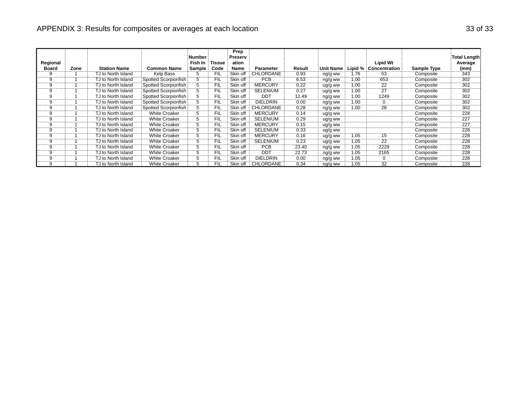#### APPENDIX 3: Results for composites or averages at each location 33 of 33 of 33 of 33 of 33 of 33

| Regional<br><b>Board</b> | Zone | <b>Station Name</b> | <b>Common Name</b>   | Number<br>Fish In<br>Sample | Tissue<br>Code | Prep<br><b>Preserv</b><br>ation<br>Name | Parameter        | Result              | Unit Name ∶ | Lipid % | <b>Lipid Wt</b><br><b>Concentration</b> | Sample Type | Total Length<br>Average<br>(mm) |
|--------------------------|------|---------------------|----------------------|-----------------------------|----------------|-----------------------------------------|------------------|---------------------|-------------|---------|-----------------------------------------|-------------|---------------------------------|
| 9                        |      | TJ to North Island  | Kelp Bass            |                             | FIL            | Skin off                                | CHLORDANE        | 0.93                | ng/g ww     | 1.76    | 53                                      | Composite   | 343                             |
| 9                        |      |                     |                      |                             |                |                                         |                  |                     |             |         |                                         |             |                                 |
|                          |      | TJ to North Island  | Spotted Scorpionfish |                             | <b>FIL</b>     | Skin off                                | <b>PCB</b>       | 6.53                | ng/g ww     | 1.00    | 653                                     | Composite   | 302                             |
|                          |      | TJ to North Island  | Spotted Scorpionfish |                             | FIL<br>.       | Skin off                                | <b>MERCURY</b>   | 0.22                | ug/g ww     | 1.00    | 22                                      | Composite   | 302<br>.                        |
|                          |      | TJ to North Island  | Spotted Scorpionfish |                             | FIL            | Skin off                                | SELENIUM         | 0.27                | ug/g ww     | 1.00    | 27                                      | Composite   | 302                             |
|                          |      | TJ to North Island  | Spotted Scorpionfish |                             | <b>FIL</b>     | Skin off                                | <b>DDT</b>       | 12.49               | ng/g ww     | 1.00    | 1249                                    | Composite   | 302                             |
|                          |      | TJ to North Island  | Spotted Scorpionfish |                             | FIL            | Skin off                                | <b>DIELDRIN</b>  | 0.00                | ng/g ww     | 1.00    | 0                                       | Composite   | 302                             |
| 9                        |      | TJ to North Island  | Spotted Scorpionfish |                             | <b>FIL</b>     | Skin off                                | <b>CHLORDANE</b> | 0.28                | ng/g ww     | 1.00    | 28                                      | Composite   | 302<br>.                        |
|                          |      | TJ to North Island  | <b>White Croaker</b> |                             | FIL            | Skin off                                | <b>MERCURY</b>   | 0.14                | ug/g ww     |         |                                         | Composite   | 228                             |
|                          |      | TJ to North Island  | <b>White Croaker</b> |                             | FIL            | Skin off                                | <b>SELENIUM</b>  | 0.29                | ug/g ww     |         |                                         | Composite   | $\frac{1}{227}$                 |
|                          |      | TJ to North Island  | <b>White Croaker</b> |                             | FIL            | Skin off                                | MERCURY          | 0.15                | ug/g ww     |         |                                         | Composite   | 227<br>.                        |
|                          |      | TJ to North Island  | <b>White Croaker</b> |                             | FIL            | Skin off                                | <b>SELENIUM</b>  | 0.33                | ug/g ww     |         |                                         | Composite   | 228                             |
|                          |      | TJ to North Island  | <b>White Croaker</b> |                             | <b>FIL</b>     | Skin off                                | <b>MERCURY</b>   | 0.16<br>----------- | ug/g ww     | 1.05    | 15                                      | Composite   | 228<br>                         |
|                          |      | TJ to North Island  | <b>White Croaker</b> |                             | FIL            | Skin off                                | SELENIUM         | 0.23                | ug/g ww     | 1.05    | 22                                      | Composite   | 228                             |
|                          |      | TJ to North Island  | <b>White Croaker</b> |                             | FIL            | Skin off                                | <b>PCB</b>       | 23.40               | ng/g ww     | 1.05    | 2229                                    | Composite   | 228                             |
|                          |      | TJ to North Island  | <b>White Croaker</b> |                             | FIL            | Skin off i                              | <b>DDT</b>       | 22.73               | ng/g ww     | 1.05    | 2165                                    | Composite   | 228                             |
|                          |      | TJ to North Island  | <b>White Croaker</b> |                             | FIL            | Skin off                                | <b>DIELDRIN</b>  | 0.00                | ng/g ww     | 1.05    |                                         | Composite   | 228                             |
| 9                        |      | TJ to North Island  | <b>White Croaker</b> |                             | FIL            | Skin off                                | <b>CHLORDANE</b> | 0.34                | ng/g ww     | 1.05    | 32                                      | Composite   | 228                             |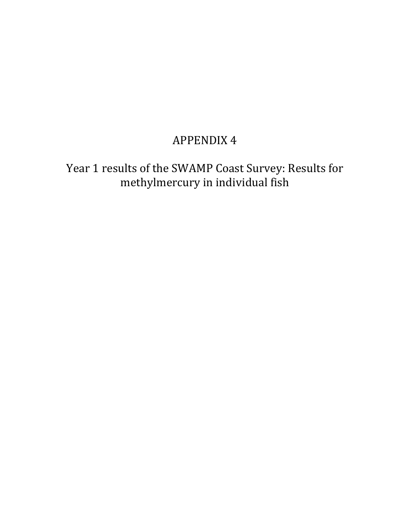# APPENDIX 4

Year 1 results of the SWAMP Coast Survey: Results for methylmercury in individual fish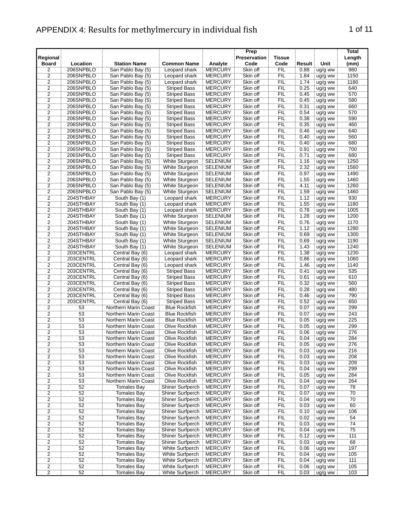#### APPENDIX 4: Results for methylmercury in individual fish 1 0f 11

| FIL<br>980<br>$\frac{2}{2}$<br>$\frac{2}{2}$<br>206SNPBLO<br><b>MERCURY</b><br>Skin off<br>0.88<br>San Pablo Bay (5)<br>Leopard shark<br>ug/g ww<br>FIL<br>1150<br>206SNPBLO<br><b>MERCURY</b><br>Skin off<br>1.84<br>San Pablo Bay (5)<br>Leopard shark<br>ug/g ww<br>FIL<br>206SNPBLO<br>San Pablo Bay (5)<br><b>MERCURY</b><br>Skin off<br>1180<br>Leopard shark<br>1.74<br>ug/g ww<br>FIL<br>640<br>San Pablo Bay (5)<br><b>Striped Bass</b><br><b>MERCURY</b><br>Skin off<br>0.25<br>206SNPBLO<br>ug/g ww<br>FIL<br>570<br><b>MERCURY</b><br>Skin off<br>206SNPBLO<br>San Pablo Bay (5)<br><b>Striped Bass</b><br>0.45<br>ug/g ww<br>$\overline{2}$<br>FIL<br>580<br><b>Striped Bass</b><br><b>MERCURY</b><br>Skin off<br>0.45<br>206SNPBLO<br>San Pablo Bay (5)<br>ug/g ww<br><b>FIL</b><br>$\overline{\mathbf{c}}$<br>Skin off<br>0.31<br>660<br>206SNPBLO<br>San Pablo Bay (5)<br><b>Striped Bass</b><br><b>MERCURY</b><br>ug/g ww<br>$\overline{2}$<br><b>FIL</b><br>570<br><b>MERCURY</b><br>Skin off<br>0.54<br>206SNPBLO<br>San Pablo Bay (5)<br><b>Striped Bass</b><br>ug/g ww<br>FIL<br>$\overline{\mathbf{c}}$<br>590<br>206SNPBLO<br>San Pablo Bay (5)<br><b>Striped Bass</b><br><b>MERCURY</b><br>Skin off<br>0.38<br>ug/g ww<br>$\overline{2}$<br>FIL<br>460<br>206SNPBLO<br><b>Striped Bass</b><br><b>MERCURY</b><br>Skin off<br>0.35<br>San Pablo Bay (5)<br>ug/g ww<br>$\frac{2}{2}$ $\frac{2}{2}$<br>FIL<br>206SNPBLO<br>San Pablo Bay (5)<br><b>MERCURY</b><br>Skin off<br>0.46<br>640<br><b>Striped Bass</b><br>ug/g ww<br>FIL<br>0.40<br>560<br>206SNPBLO<br>San Pablo Bay (5)<br>Striped Bass<br><b>MERCURY</b><br>Skin off<br>ug/g ww<br>ΪË<br>206SNPBLO<br><b>MERCURY</b><br>0.40<br>680<br>San Pablo Bay (5)<br><b>Striped Bass</b><br>Skin off<br>ug/g ww<br>FIL<br>700<br>206SNPBLO<br><b>MERCURY</b><br>Skin off<br>0.91<br>San Pablo Bay (5)<br><b>Striped Bass</b><br>ug/g ww<br>$\overline{c}$<br>FIL<br><b>MERCURY</b><br>0.71<br>680<br>206SNPBLO<br>San Pablo Bay (5)<br><b>Striped Bass</b><br>Skin off<br>ug/g ww<br>$\overline{2}$<br>FIL<br>1250<br>Skin off<br>206SNPBLO<br>San Pablo Bay (5)<br>White Sturgeon<br><b>SELENIUM</b><br>1.16<br>ug/g ww<br>$\overline{2}$<br>FIL<br>2.32<br>1560<br>Skin off<br>206SNPBLO<br>San Pablo Bay (5)<br>White Sturgeon<br><b>SELENIUM</b><br>ug/g ww<br>$\frac{2}{2}$<br>FIL<br>1490<br>206SNPBLO<br>White Sturgeon<br><b>SELENIUM</b><br>Skin off<br>0.97<br>San Pablo Bay (5)<br>ug/g ww<br>ΪË<br>1460<br>206SNPBLO<br>San Pablo Bay (5)<br>White Sturgeon<br><b>SELENIUM</b><br>Skin off<br>1.55<br>ug/g ww<br>ÏΪ<br>1260<br>206SNPBLO<br><b>SELENIUM</b><br>Skin off<br>4.11<br>San Pablo Bay (5)<br>White Sturgeon<br>ug/g ww<br>FIL<br>1460<br>Skin off<br>1.59<br>206SNPBLO<br>San Pablo Bay (5)<br>White Sturgeon<br><b>SELENIUM</b><br>ug/g ww<br>$\frac{1}{2}$<br>FIL<br>930<br>204STHBAY<br><b>MERCURY</b><br>Skin off<br>1.12<br>South Bay (1)<br>Leopard shark<br>ug/g ww<br>$\overline{2}$<br>FIL<br>204STHBAY<br><b>MERCURY</b><br>Skin off<br>1.55<br>1180<br>South Bay (1)<br>Leopard shark<br>ug/g ww<br>$\overline{2}$<br><b>FIL</b><br><b>MERCURY</b><br>Skin off<br>0.78<br>1005<br>204STHBAY<br>South Bay (1)<br>Leopard shark<br>ug/g ww<br>$\frac{2}{2}$ $\frac{2}{2}$ $\frac{2}{2}$<br><b>FIL</b><br>204STHBAY<br>South Bay (1)<br>White Sturgeon<br><b>SELENIUM</b><br>Skin off<br>1.28<br>1200<br>ug/g ww<br>FIL<br>1170<br>204STHBAY<br><b>SELENIUM</b><br>Skin off<br>0.76<br>South Bay (1)<br>White Sturgeon<br>ug/g ww<br>FIL<br>1280<br>204STHBAY<br><b>SELENIUM</b><br>1.12<br>South Bay (1)<br>White Sturgeon<br>Skin off<br>ug/g ww<br>FIL<br>1300<br>204STHBAY<br>South Bay (1)<br><b>White Sturgeon</b><br><b>SELENIUM</b><br>Skin off<br>0.69<br>ug/g ww<br>FIL<br>1190<br>204STHBAY<br><b>SELENIUM</b><br>Skin off<br>0.69<br>South Bay (1)<br>White Sturgeon<br>ug/g ww<br>FIL<br>1240<br>204STHBAY<br>Skin off<br>1.43<br>South Bay (1)<br>White Sturgeon<br><b>SELENIUM</b><br>ug/g ww<br>$\overline{2}$<br>FIL<br>1230<br>203CENTRL<br>Central Bay (6)<br><b>MERCURY</b><br>Skin off<br>1.38<br>Leopard shark<br>ug/g ww<br>$\overline{2}$<br><b>FIL</b><br>1060<br>Central Bay (6)<br>Skin off<br>0.86<br>203CENTRL<br>Leopard shark<br><b>MERCURY</b><br>ug/g ww<br>$\overline{c}$<br>1140<br>203CENTRL<br><b>MERCURY</b><br><b>FIL</b><br>1.46<br>Central Bay (6)<br>Leopard shark<br>Skin off<br>ug/g ww<br>FIL<br>$\overline{2}$<br>535<br>203CENTRL<br>Central Bay (6)<br><b>Striped Bass</b><br><b>MERCURY</b><br>Skin off<br>0.41<br>ug/g ww<br>$\frac{2}{2}$<br>FIL<br>610<br>203CENTRL<br>Central Bay (6)<br><b>Striped Bass</b><br><b>MERCURY</b><br>Skin off<br>0.61<br>ug/g ww<br>FIL<br>203CENTRL<br>Central Bay (6)<br><b>Striped Bass</b><br><b>MERCURY</b><br>Skin off<br>0.32<br>560<br>ug/g ww<br>Skin off<br>FIL<br>480<br>203CENTRL<br>Central Bay (6)<br>Striped Bass<br><b>MERCURY</b><br>0.28<br>ug/g ww<br>$\frac{2}{2}$<br>ΪË<br>790<br>203CENTRL<br><b>MERCURY</b><br>Skin off<br>0.46<br>Central Bay (6)<br><b>Striped Bass</b><br>ug/g ww<br>203CENTRL<br>ÏFIL<br>650<br><b>MERCURY</b><br>Skin off<br>0.52<br>Central Bay (6)<br><b>Striped Bass</b><br>ug/g ww<br>$\overline{2}$<br>FIL<br>299<br><b>MERCURY</b><br>0.07<br>53<br>Northern Marin Coast<br><b>Blue Rockfish</b><br>Skin off<br>ug/g ww<br>$\overline{2}$<br>FIL<br>243<br>53<br><b>MERCURY</b><br>Skin off<br>0.07<br>Northern Marin Coast<br><b>Blue Rockfish</b><br>ug/g ww<br>$\overline{2}$<br>53<br>FIL<br>225<br><b>MERCURY</b><br>Skin off<br>0.05<br>Northern Marin Coast<br><b>Blue Rockfish</b><br>ug/g ww<br>$\frac{2}{2}$<br>299<br>53<br>FIL<br>Olive Rockfish<br><b>MERCURY</b><br>Skin off<br>0.05<br>Northern Marin Coast<br>ug/g ww<br>ΪË<br>53<br>Olive Rockfish<br>276<br>Northern Marin Coast<br><b>MERCURY</b><br>Skin off<br>0.06<br>ug/g ww<br>284<br>53<br>FIL<br>0.04<br>Northern Marin Coast<br>Olive Rockfish<br><b>MERCURY</b><br>Skin off<br>ug/g ww<br>53<br>FIL<br>276<br><b>MERCURY</b><br>Skin off<br>0.05<br>Northern Marin Coast<br>Olive Rockfish<br>ug/g ww<br>$\overline{2}$<br>53<br>Olive Rockfish<br><b>MERCURY</b><br>Skin off<br><b>FIL</b><br>Northern Marin Coast<br>0.03<br>ug/g ww<br>216<br>$\overline{2}$<br>53<br><b>FIL</b><br>Northern Marin Coast<br>Olive Rockfish<br><b>MERCURY</b><br>Skin off<br>0.03<br>ug/g ww<br>208<br>$\overline{2}$<br>53<br>Olive Rockfish<br><b>MERCURY</b><br>Skin off<br><b>FIL</b><br>0.03<br>209<br>Northern Marin Coast<br>ug/g ww<br>$\frac{2}{2}$<br>$\frac{2}{2}$<br>$\frac{2}{2}$<br>53<br><b>MERCURY</b><br>Skin off<br>FIL<br>299<br>Northern Marin Coast<br>Olive Rockfish<br>0.04<br>ug/g ww<br>53<br><b>Olive Rockfish</b><br><b>MERCURY</b><br>Skin off<br>FIL<br>0.05<br>284<br>Northern Marin Coast<br>ug/g ww<br>53<br>FIL<br>Olive Rockfish<br><b>MERCURY</b><br>Skin off<br>0.04<br>264<br>Northern Marin Coast<br>ug/g ww<br>52<br><b>MERCURY</b><br>Skin off<br><b>FIL</b><br>78<br><b>Tomales Bay</b><br>Shiner Surfperch<br>0.07<br>ug/g ww<br>52<br>$\overline{70}$<br>Tomales Bay<br><b>MERCURY</b><br>Skin off<br>FIL<br>Shiner Surfperch<br>0.07<br>ug/g ww<br>$\overline{52}$<br>FIL<br>70<br><b>Tomales Bay</b><br>Shiner Surfperch<br><b>MERCURY</b><br>Skin off<br>0.04<br>ug/g ww<br>52<br>Skin off<br><b>FIL</b><br>60<br><b>Tomales Bay</b><br>Shiner Surfperch<br><b>MERCURY</b><br>0.03<br>ug/g ww<br>2<br>Skin off<br><b>FIL</b><br>52<br><b>Tomales Bay</b><br>Shiner Surfperch<br><b>MERCURY</b><br>0.10<br>ug/g ww<br>106<br>$\overline{2}$<br>52<br>Skin off<br><b>FIL</b><br>54<br><b>Tomales Bay</b><br>Shiner Surfperch<br><b>MERCURY</b><br>0.02<br>ug/g ww<br>$\overline{2}$<br>FIL<br>52<br><b>Tomales Bay</b><br>Shiner Surfperch<br><b>MERCURY</b><br>Skin off<br>0.03<br>74<br>ug/g ww<br>$\overline{2}$<br>52<br>Shiner Surfperch<br><b>MERCURY</b><br>Skin off<br>FIL<br>0.04<br>75<br><b>Tomales Bay</b><br>ug/g ww<br>$\frac{2}{2}$<br>52<br><b>MERCURY</b><br>FIL<br>0.12<br>111<br><b>Tomales Bay</b><br>Shiner Surfperch<br>Skin off<br>ug/g ww<br>52<br>68<br><b>Shiner Surfperch</b><br><b>MERCURY</b><br>Skin off<br><b>FIL</b><br>0.03<br>Tomales Bay<br>ug/g ww<br><b>MERCURY</b><br>FIL<br>197<br>52<br>White Surfperch<br>Skin off<br>0.06<br>Tomales Bay<br>ug/g ww<br>52<br>FIL<br>0.04<br>105<br>White Surfperch<br><b>MERCURY</b><br>Skin off<br>Tomales Bay<br>ug/g ww<br>$\overline{2}$<br>52<br><b>MERCURY</b><br><b>FIL</b><br>111<br><b>Tomales Bay</b><br>White Surfperch<br>Skin off<br>0.04<br>ug/g ww<br>$\overline{2}$<br>105<br>52<br>FIL<br>0.06<br><b>Tomales Bay</b><br>White Surfperch<br><b>MERCURY</b><br>Skin off<br>ug/g ww<br><b>Tomales Bay</b><br>White Surfperch<br><b>MERCURY</b><br>0.03<br>103<br>ug/g ww | Regional       |          |                     |                    |         | Prep<br>Preservation | <b>Tissue</b> |        |      | Total<br>Length |
|-----------------------------------------------------------------------------------------------------------------------------------------------------------------------------------------------------------------------------------------------------------------------------------------------------------------------------------------------------------------------------------------------------------------------------------------------------------------------------------------------------------------------------------------------------------------------------------------------------------------------------------------------------------------------------------------------------------------------------------------------------------------------------------------------------------------------------------------------------------------------------------------------------------------------------------------------------------------------------------------------------------------------------------------------------------------------------------------------------------------------------------------------------------------------------------------------------------------------------------------------------------------------------------------------------------------------------------------------------------------------------------------------------------------------------------------------------------------------------------------------------------------------------------------------------------------------------------------------------------------------------------------------------------------------------------------------------------------------------------------------------------------------------------------------------------------------------------------------------------------------------------------------------------------------------------------------------------------------------------------------------------------------------------------------------------------------------------------------------------------------------------------------------------------------------------------------------------------------------------------------------------------------------------------------------------------------------------------------------------------------------------------------------------------------------------------------------------------------------------------------------------------------------------------------------------------------------------------------------------------------------------------------------------------------------------------------------------------------------------------------------------------------------------------------------------------------------------------------------------------------------------------------------------------------------------------------------------------------------------------------------------------------------------------------------------------------------------------------------------------------------------------------------------------------------------------------------------------------------------------------------------------------------------------------------------------------------------------------------------------------------------------------------------------------------------------------------------------------------------------------------------------------------------------------------------------------------------------------------------------------------------------------------------------------------------------------------------------------------------------------------------------------------------------------------------------------------------------------------------------------------------------------------------------------------------------------------------------------------------------------------------------------------------------------------------------------------------------------------------------------------------------------------------------------------------------------------------------------------------------------------------------------------------------------------------------------------------------------------------------------------------------------------------------------------------------------------------------------------------------------------------------------------------------------------------------------------------------------------------------------------------------------------------------------------------------------------------------------------------------------------------------------------------------------------------------------------------------------------------------------------------------------------------------------------------------------------------------------------------------------------------------------------------------------------------------------------------------------------------------------------------------------------------------------------------------------------------------------------------------------------------------------------------------------------------------------------------------------------------------------------------------------------------------------------------------------------------------------------------------------------------------------------------------------------------------------------------------------------------------------------------------------------------------------------------------------------------------------------------------------------------------------------------------------------------------------------------------------------------------------------------------------------------------------------------------------------------------------------------------------------------------------------------------------------------------------------------------------------------------------------------------------------------------------------------------------------------------------------------------------------------------------------------------------------------------------------------------------------------------------------------------------------------------------------------------------------------------------------------------------------------------------------------------------------------------------------------------------------------------------------------------------------------------------------------------------------------------------------------------------------------------------------------------------------------------------------------------------------------------------------------------------------------------------------------------------------------------------------------------------------------------------------------------------------------------------------------------------------------------------------------------------------------------------------------------------------------------------------------------------------------------------------------------------------------------------------------------------------------------------------------------------------------------------------------------------------------------------------------------------------------------------------------------------------------------------------------------------------------------------------------------------------------------------------------------------------------------------------------------------------------------------------------------------------------------------------------------------------------------------------------------------------------------------------------------------------------------------------------------------------------------------------------------------------------------------------------------------------------------------------------------------------------------------------------------------------------------------------------------------------------------------------------------------------------------------------------------------------------------------------------------------------------------------------------------------------------------------------------------------------------------------------------------------------------------------------------------------------------------------------------------------------------------------------------------------------------------------------------------------------------------------------------------------------------------------|----------------|----------|---------------------|--------------------|---------|----------------------|---------------|--------|------|-----------------|
|                                                                                                                                                                                                                                                                                                                                                                                                                                                                                                                                                                                                                                                                                                                                                                                                                                                                                                                                                                                                                                                                                                                                                                                                                                                                                                                                                                                                                                                                                                                                                                                                                                                                                                                                                                                                                                                                                                                                                                                                                                                                                                                                                                                                                                                                                                                                                                                                                                                                                                                                                                                                                                                                                                                                                                                                                                                                                                                                                                                                                                                                                                                                                                                                                                                                                                                                                                                                                                                                                                                                                                                                                                                                                                                                                                                                                                                                                                                                                                                                                                                                                                                                                                                                                                                                                                                                                                                                                                                                                                                                                                                                                                                                                                                                                                                                                                                                                                                                                                                                                                                                                                                                                                                                                                                                                                                                                                                                                                                                                                                                                                                                                                                                                                                                                                                                                                                                                                                                                                                                                                                                                                                                                                                                                                                                                                                                                                                                                                                                                                                                                                                                                                                                                                                                                                                                                                                                                                                                                                                                                                                                                                                                                                                                                                                                                                                                                                                                                                                                                                                                                                                                                                                                                                                                                                                                                                                                                                                                                                                                                                                                                                                                                                                                                                                                                                                                                                                                                                                                                                                                                                                                                                                                                                                                                                                                                       | <b>Board</b>   | Location | <b>Station Name</b> | <b>Common Name</b> | Analyte | Code                 | Code          | Result | Unit | (mm)            |
|                                                                                                                                                                                                                                                                                                                                                                                                                                                                                                                                                                                                                                                                                                                                                                                                                                                                                                                                                                                                                                                                                                                                                                                                                                                                                                                                                                                                                                                                                                                                                                                                                                                                                                                                                                                                                                                                                                                                                                                                                                                                                                                                                                                                                                                                                                                                                                                                                                                                                                                                                                                                                                                                                                                                                                                                                                                                                                                                                                                                                                                                                                                                                                                                                                                                                                                                                                                                                                                                                                                                                                                                                                                                                                                                                                                                                                                                                                                                                                                                                                                                                                                                                                                                                                                                                                                                                                                                                                                                                                                                                                                                                                                                                                                                                                                                                                                                                                                                                                                                                                                                                                                                                                                                                                                                                                                                                                                                                                                                                                                                                                                                                                                                                                                                                                                                                                                                                                                                                                                                                                                                                                                                                                                                                                                                                                                                                                                                                                                                                                                                                                                                                                                                                                                                                                                                                                                                                                                                                                                                                                                                                                                                                                                                                                                                                                                                                                                                                                                                                                                                                                                                                                                                                                                                                                                                                                                                                                                                                                                                                                                                                                                                                                                                                                                                                                                                                                                                                                                                                                                                                                                                                                                                                                                                                                                                                       |                |          |                     |                    |         |                      |               |        |      |                 |
|                                                                                                                                                                                                                                                                                                                                                                                                                                                                                                                                                                                                                                                                                                                                                                                                                                                                                                                                                                                                                                                                                                                                                                                                                                                                                                                                                                                                                                                                                                                                                                                                                                                                                                                                                                                                                                                                                                                                                                                                                                                                                                                                                                                                                                                                                                                                                                                                                                                                                                                                                                                                                                                                                                                                                                                                                                                                                                                                                                                                                                                                                                                                                                                                                                                                                                                                                                                                                                                                                                                                                                                                                                                                                                                                                                                                                                                                                                                                                                                                                                                                                                                                                                                                                                                                                                                                                                                                                                                                                                                                                                                                                                                                                                                                                                                                                                                                                                                                                                                                                                                                                                                                                                                                                                                                                                                                                                                                                                                                                                                                                                                                                                                                                                                                                                                                                                                                                                                                                                                                                                                                                                                                                                                                                                                                                                                                                                                                                                                                                                                                                                                                                                                                                                                                                                                                                                                                                                                                                                                                                                                                                                                                                                                                                                                                                                                                                                                                                                                                                                                                                                                                                                                                                                                                                                                                                                                                                                                                                                                                                                                                                                                                                                                                                                                                                                                                                                                                                                                                                                                                                                                                                                                                                                                                                                                                                       |                |          |                     |                    |         |                      |               |        |      |                 |
|                                                                                                                                                                                                                                                                                                                                                                                                                                                                                                                                                                                                                                                                                                                                                                                                                                                                                                                                                                                                                                                                                                                                                                                                                                                                                                                                                                                                                                                                                                                                                                                                                                                                                                                                                                                                                                                                                                                                                                                                                                                                                                                                                                                                                                                                                                                                                                                                                                                                                                                                                                                                                                                                                                                                                                                                                                                                                                                                                                                                                                                                                                                                                                                                                                                                                                                                                                                                                                                                                                                                                                                                                                                                                                                                                                                                                                                                                                                                                                                                                                                                                                                                                                                                                                                                                                                                                                                                                                                                                                                                                                                                                                                                                                                                                                                                                                                                                                                                                                                                                                                                                                                                                                                                                                                                                                                                                                                                                                                                                                                                                                                                                                                                                                                                                                                                                                                                                                                                                                                                                                                                                                                                                                                                                                                                                                                                                                                                                                                                                                                                                                                                                                                                                                                                                                                                                                                                                                                                                                                                                                                                                                                                                                                                                                                                                                                                                                                                                                                                                                                                                                                                                                                                                                                                                                                                                                                                                                                                                                                                                                                                                                                                                                                                                                                                                                                                                                                                                                                                                                                                                                                                                                                                                                                                                                                                                       |                |          |                     |                    |         |                      |               |        |      |                 |
|                                                                                                                                                                                                                                                                                                                                                                                                                                                                                                                                                                                                                                                                                                                                                                                                                                                                                                                                                                                                                                                                                                                                                                                                                                                                                                                                                                                                                                                                                                                                                                                                                                                                                                                                                                                                                                                                                                                                                                                                                                                                                                                                                                                                                                                                                                                                                                                                                                                                                                                                                                                                                                                                                                                                                                                                                                                                                                                                                                                                                                                                                                                                                                                                                                                                                                                                                                                                                                                                                                                                                                                                                                                                                                                                                                                                                                                                                                                                                                                                                                                                                                                                                                                                                                                                                                                                                                                                                                                                                                                                                                                                                                                                                                                                                                                                                                                                                                                                                                                                                                                                                                                                                                                                                                                                                                                                                                                                                                                                                                                                                                                                                                                                                                                                                                                                                                                                                                                                                                                                                                                                                                                                                                                                                                                                                                                                                                                                                                                                                                                                                                                                                                                                                                                                                                                                                                                                                                                                                                                                                                                                                                                                                                                                                                                                                                                                                                                                                                                                                                                                                                                                                                                                                                                                                                                                                                                                                                                                                                                                                                                                                                                                                                                                                                                                                                                                                                                                                                                                                                                                                                                                                                                                                                                                                                                                                       |                |          |                     |                    |         |                      |               |        |      |                 |
|                                                                                                                                                                                                                                                                                                                                                                                                                                                                                                                                                                                                                                                                                                                                                                                                                                                                                                                                                                                                                                                                                                                                                                                                                                                                                                                                                                                                                                                                                                                                                                                                                                                                                                                                                                                                                                                                                                                                                                                                                                                                                                                                                                                                                                                                                                                                                                                                                                                                                                                                                                                                                                                                                                                                                                                                                                                                                                                                                                                                                                                                                                                                                                                                                                                                                                                                                                                                                                                                                                                                                                                                                                                                                                                                                                                                                                                                                                                                                                                                                                                                                                                                                                                                                                                                                                                                                                                                                                                                                                                                                                                                                                                                                                                                                                                                                                                                                                                                                                                                                                                                                                                                                                                                                                                                                                                                                                                                                                                                                                                                                                                                                                                                                                                                                                                                                                                                                                                                                                                                                                                                                                                                                                                                                                                                                                                                                                                                                                                                                                                                                                                                                                                                                                                                                                                                                                                                                                                                                                                                                                                                                                                                                                                                                                                                                                                                                                                                                                                                                                                                                                                                                                                                                                                                                                                                                                                                                                                                                                                                                                                                                                                                                                                                                                                                                                                                                                                                                                                                                                                                                                                                                                                                                                                                                                                                                       |                |          |                     |                    |         |                      |               |        |      |                 |
|                                                                                                                                                                                                                                                                                                                                                                                                                                                                                                                                                                                                                                                                                                                                                                                                                                                                                                                                                                                                                                                                                                                                                                                                                                                                                                                                                                                                                                                                                                                                                                                                                                                                                                                                                                                                                                                                                                                                                                                                                                                                                                                                                                                                                                                                                                                                                                                                                                                                                                                                                                                                                                                                                                                                                                                                                                                                                                                                                                                                                                                                                                                                                                                                                                                                                                                                                                                                                                                                                                                                                                                                                                                                                                                                                                                                                                                                                                                                                                                                                                                                                                                                                                                                                                                                                                                                                                                                                                                                                                                                                                                                                                                                                                                                                                                                                                                                                                                                                                                                                                                                                                                                                                                                                                                                                                                                                                                                                                                                                                                                                                                                                                                                                                                                                                                                                                                                                                                                                                                                                                                                                                                                                                                                                                                                                                                                                                                                                                                                                                                                                                                                                                                                                                                                                                                                                                                                                                                                                                                                                                                                                                                                                                                                                                                                                                                                                                                                                                                                                                                                                                                                                                                                                                                                                                                                                                                                                                                                                                                                                                                                                                                                                                                                                                                                                                                                                                                                                                                                                                                                                                                                                                                                                                                                                                                                                       |                |          |                     |                    |         |                      |               |        |      |                 |
|                                                                                                                                                                                                                                                                                                                                                                                                                                                                                                                                                                                                                                                                                                                                                                                                                                                                                                                                                                                                                                                                                                                                                                                                                                                                                                                                                                                                                                                                                                                                                                                                                                                                                                                                                                                                                                                                                                                                                                                                                                                                                                                                                                                                                                                                                                                                                                                                                                                                                                                                                                                                                                                                                                                                                                                                                                                                                                                                                                                                                                                                                                                                                                                                                                                                                                                                                                                                                                                                                                                                                                                                                                                                                                                                                                                                                                                                                                                                                                                                                                                                                                                                                                                                                                                                                                                                                                                                                                                                                                                                                                                                                                                                                                                                                                                                                                                                                                                                                                                                                                                                                                                                                                                                                                                                                                                                                                                                                                                                                                                                                                                                                                                                                                                                                                                                                                                                                                                                                                                                                                                                                                                                                                                                                                                                                                                                                                                                                                                                                                                                                                                                                                                                                                                                                                                                                                                                                                                                                                                                                                                                                                                                                                                                                                                                                                                                                                                                                                                                                                                                                                                                                                                                                                                                                                                                                                                                                                                                                                                                                                                                                                                                                                                                                                                                                                                                                                                                                                                                                                                                                                                                                                                                                                                                                                                                                       |                |          |                     |                    |         |                      |               |        |      |                 |
|                                                                                                                                                                                                                                                                                                                                                                                                                                                                                                                                                                                                                                                                                                                                                                                                                                                                                                                                                                                                                                                                                                                                                                                                                                                                                                                                                                                                                                                                                                                                                                                                                                                                                                                                                                                                                                                                                                                                                                                                                                                                                                                                                                                                                                                                                                                                                                                                                                                                                                                                                                                                                                                                                                                                                                                                                                                                                                                                                                                                                                                                                                                                                                                                                                                                                                                                                                                                                                                                                                                                                                                                                                                                                                                                                                                                                                                                                                                                                                                                                                                                                                                                                                                                                                                                                                                                                                                                                                                                                                                                                                                                                                                                                                                                                                                                                                                                                                                                                                                                                                                                                                                                                                                                                                                                                                                                                                                                                                                                                                                                                                                                                                                                                                                                                                                                                                                                                                                                                                                                                                                                                                                                                                                                                                                                                                                                                                                                                                                                                                                                                                                                                                                                                                                                                                                                                                                                                                                                                                                                                                                                                                                                                                                                                                                                                                                                                                                                                                                                                                                                                                                                                                                                                                                                                                                                                                                                                                                                                                                                                                                                                                                                                                                                                                                                                                                                                                                                                                                                                                                                                                                                                                                                                                                                                                                                                       |                |          |                     |                    |         |                      |               |        |      |                 |
|                                                                                                                                                                                                                                                                                                                                                                                                                                                                                                                                                                                                                                                                                                                                                                                                                                                                                                                                                                                                                                                                                                                                                                                                                                                                                                                                                                                                                                                                                                                                                                                                                                                                                                                                                                                                                                                                                                                                                                                                                                                                                                                                                                                                                                                                                                                                                                                                                                                                                                                                                                                                                                                                                                                                                                                                                                                                                                                                                                                                                                                                                                                                                                                                                                                                                                                                                                                                                                                                                                                                                                                                                                                                                                                                                                                                                                                                                                                                                                                                                                                                                                                                                                                                                                                                                                                                                                                                                                                                                                                                                                                                                                                                                                                                                                                                                                                                                                                                                                                                                                                                                                                                                                                                                                                                                                                                                                                                                                                                                                                                                                                                                                                                                                                                                                                                                                                                                                                                                                                                                                                                                                                                                                                                                                                                                                                                                                                                                                                                                                                                                                                                                                                                                                                                                                                                                                                                                                                                                                                                                                                                                                                                                                                                                                                                                                                                                                                                                                                                                                                                                                                                                                                                                                                                                                                                                                                                                                                                                                                                                                                                                                                                                                                                                                                                                                                                                                                                                                                                                                                                                                                                                                                                                                                                                                                                                       |                |          |                     |                    |         |                      |               |        |      |                 |
|                                                                                                                                                                                                                                                                                                                                                                                                                                                                                                                                                                                                                                                                                                                                                                                                                                                                                                                                                                                                                                                                                                                                                                                                                                                                                                                                                                                                                                                                                                                                                                                                                                                                                                                                                                                                                                                                                                                                                                                                                                                                                                                                                                                                                                                                                                                                                                                                                                                                                                                                                                                                                                                                                                                                                                                                                                                                                                                                                                                                                                                                                                                                                                                                                                                                                                                                                                                                                                                                                                                                                                                                                                                                                                                                                                                                                                                                                                                                                                                                                                                                                                                                                                                                                                                                                                                                                                                                                                                                                                                                                                                                                                                                                                                                                                                                                                                                                                                                                                                                                                                                                                                                                                                                                                                                                                                                                                                                                                                                                                                                                                                                                                                                                                                                                                                                                                                                                                                                                                                                                                                                                                                                                                                                                                                                                                                                                                                                                                                                                                                                                                                                                                                                                                                                                                                                                                                                                                                                                                                                                                                                                                                                                                                                                                                                                                                                                                                                                                                                                                                                                                                                                                                                                                                                                                                                                                                                                                                                                                                                                                                                                                                                                                                                                                                                                                                                                                                                                                                                                                                                                                                                                                                                                                                                                                                                                       |                |          |                     |                    |         |                      |               |        |      |                 |
|                                                                                                                                                                                                                                                                                                                                                                                                                                                                                                                                                                                                                                                                                                                                                                                                                                                                                                                                                                                                                                                                                                                                                                                                                                                                                                                                                                                                                                                                                                                                                                                                                                                                                                                                                                                                                                                                                                                                                                                                                                                                                                                                                                                                                                                                                                                                                                                                                                                                                                                                                                                                                                                                                                                                                                                                                                                                                                                                                                                                                                                                                                                                                                                                                                                                                                                                                                                                                                                                                                                                                                                                                                                                                                                                                                                                                                                                                                                                                                                                                                                                                                                                                                                                                                                                                                                                                                                                                                                                                                                                                                                                                                                                                                                                                                                                                                                                                                                                                                                                                                                                                                                                                                                                                                                                                                                                                                                                                                                                                                                                                                                                                                                                                                                                                                                                                                                                                                                                                                                                                                                                                                                                                                                                                                                                                                                                                                                                                                                                                                                                                                                                                                                                                                                                                                                                                                                                                                                                                                                                                                                                                                                                                                                                                                                                                                                                                                                                                                                                                                                                                                                                                                                                                                                                                                                                                                                                                                                                                                                                                                                                                                                                                                                                                                                                                                                                                                                                                                                                                                                                                                                                                                                                                                                                                                                                                       |                |          |                     |                    |         |                      |               |        |      |                 |
|                                                                                                                                                                                                                                                                                                                                                                                                                                                                                                                                                                                                                                                                                                                                                                                                                                                                                                                                                                                                                                                                                                                                                                                                                                                                                                                                                                                                                                                                                                                                                                                                                                                                                                                                                                                                                                                                                                                                                                                                                                                                                                                                                                                                                                                                                                                                                                                                                                                                                                                                                                                                                                                                                                                                                                                                                                                                                                                                                                                                                                                                                                                                                                                                                                                                                                                                                                                                                                                                                                                                                                                                                                                                                                                                                                                                                                                                                                                                                                                                                                                                                                                                                                                                                                                                                                                                                                                                                                                                                                                                                                                                                                                                                                                                                                                                                                                                                                                                                                                                                                                                                                                                                                                                                                                                                                                                                                                                                                                                                                                                                                                                                                                                                                                                                                                                                                                                                                                                                                                                                                                                                                                                                                                                                                                                                                                                                                                                                                                                                                                                                                                                                                                                                                                                                                                                                                                                                                                                                                                                                                                                                                                                                                                                                                                                                                                                                                                                                                                                                                                                                                                                                                                                                                                                                                                                                                                                                                                                                                                                                                                                                                                                                                                                                                                                                                                                                                                                                                                                                                                                                                                                                                                                                                                                                                                                                       |                |          |                     |                    |         |                      |               |        |      |                 |
|                                                                                                                                                                                                                                                                                                                                                                                                                                                                                                                                                                                                                                                                                                                                                                                                                                                                                                                                                                                                                                                                                                                                                                                                                                                                                                                                                                                                                                                                                                                                                                                                                                                                                                                                                                                                                                                                                                                                                                                                                                                                                                                                                                                                                                                                                                                                                                                                                                                                                                                                                                                                                                                                                                                                                                                                                                                                                                                                                                                                                                                                                                                                                                                                                                                                                                                                                                                                                                                                                                                                                                                                                                                                                                                                                                                                                                                                                                                                                                                                                                                                                                                                                                                                                                                                                                                                                                                                                                                                                                                                                                                                                                                                                                                                                                                                                                                                                                                                                                                                                                                                                                                                                                                                                                                                                                                                                                                                                                                                                                                                                                                                                                                                                                                                                                                                                                                                                                                                                                                                                                                                                                                                                                                                                                                                                                                                                                                                                                                                                                                                                                                                                                                                                                                                                                                                                                                                                                                                                                                                                                                                                                                                                                                                                                                                                                                                                                                                                                                                                                                                                                                                                                                                                                                                                                                                                                                                                                                                                                                                                                                                                                                                                                                                                                                                                                                                                                                                                                                                                                                                                                                                                                                                                                                                                                                                                       |                |          |                     |                    |         |                      |               |        |      |                 |
|                                                                                                                                                                                                                                                                                                                                                                                                                                                                                                                                                                                                                                                                                                                                                                                                                                                                                                                                                                                                                                                                                                                                                                                                                                                                                                                                                                                                                                                                                                                                                                                                                                                                                                                                                                                                                                                                                                                                                                                                                                                                                                                                                                                                                                                                                                                                                                                                                                                                                                                                                                                                                                                                                                                                                                                                                                                                                                                                                                                                                                                                                                                                                                                                                                                                                                                                                                                                                                                                                                                                                                                                                                                                                                                                                                                                                                                                                                                                                                                                                                                                                                                                                                                                                                                                                                                                                                                                                                                                                                                                                                                                                                                                                                                                                                                                                                                                                                                                                                                                                                                                                                                                                                                                                                                                                                                                                                                                                                                                                                                                                                                                                                                                                                                                                                                                                                                                                                                                                                                                                                                                                                                                                                                                                                                                                                                                                                                                                                                                                                                                                                                                                                                                                                                                                                                                                                                                                                                                                                                                                                                                                                                                                                                                                                                                                                                                                                                                                                                                                                                                                                                                                                                                                                                                                                                                                                                                                                                                                                                                                                                                                                                                                                                                                                                                                                                                                                                                                                                                                                                                                                                                                                                                                                                                                                                                                       |                |          |                     |                    |         |                      |               |        |      |                 |
|                                                                                                                                                                                                                                                                                                                                                                                                                                                                                                                                                                                                                                                                                                                                                                                                                                                                                                                                                                                                                                                                                                                                                                                                                                                                                                                                                                                                                                                                                                                                                                                                                                                                                                                                                                                                                                                                                                                                                                                                                                                                                                                                                                                                                                                                                                                                                                                                                                                                                                                                                                                                                                                                                                                                                                                                                                                                                                                                                                                                                                                                                                                                                                                                                                                                                                                                                                                                                                                                                                                                                                                                                                                                                                                                                                                                                                                                                                                                                                                                                                                                                                                                                                                                                                                                                                                                                                                                                                                                                                                                                                                                                                                                                                                                                                                                                                                                                                                                                                                                                                                                                                                                                                                                                                                                                                                                                                                                                                                                                                                                                                                                                                                                                                                                                                                                                                                                                                                                                                                                                                                                                                                                                                                                                                                                                                                                                                                                                                                                                                                                                                                                                                                                                                                                                                                                                                                                                                                                                                                                                                                                                                                                                                                                                                                                                                                                                                                                                                                                                                                                                                                                                                                                                                                                                                                                                                                                                                                                                                                                                                                                                                                                                                                                                                                                                                                                                                                                                                                                                                                                                                                                                                                                                                                                                                                                                       |                |          |                     |                    |         |                      |               |        |      |                 |
|                                                                                                                                                                                                                                                                                                                                                                                                                                                                                                                                                                                                                                                                                                                                                                                                                                                                                                                                                                                                                                                                                                                                                                                                                                                                                                                                                                                                                                                                                                                                                                                                                                                                                                                                                                                                                                                                                                                                                                                                                                                                                                                                                                                                                                                                                                                                                                                                                                                                                                                                                                                                                                                                                                                                                                                                                                                                                                                                                                                                                                                                                                                                                                                                                                                                                                                                                                                                                                                                                                                                                                                                                                                                                                                                                                                                                                                                                                                                                                                                                                                                                                                                                                                                                                                                                                                                                                                                                                                                                                                                                                                                                                                                                                                                                                                                                                                                                                                                                                                                                                                                                                                                                                                                                                                                                                                                                                                                                                                                                                                                                                                                                                                                                                                                                                                                                                                                                                                                                                                                                                                                                                                                                                                                                                                                                                                                                                                                                                                                                                                                                                                                                                                                                                                                                                                                                                                                                                                                                                                                                                                                                                                                                                                                                                                                                                                                                                                                                                                                                                                                                                                                                                                                                                                                                                                                                                                                                                                                                                                                                                                                                                                                                                                                                                                                                                                                                                                                                                                                                                                                                                                                                                                                                                                                                                                                                       |                |          |                     |                    |         |                      |               |        |      |                 |
|                                                                                                                                                                                                                                                                                                                                                                                                                                                                                                                                                                                                                                                                                                                                                                                                                                                                                                                                                                                                                                                                                                                                                                                                                                                                                                                                                                                                                                                                                                                                                                                                                                                                                                                                                                                                                                                                                                                                                                                                                                                                                                                                                                                                                                                                                                                                                                                                                                                                                                                                                                                                                                                                                                                                                                                                                                                                                                                                                                                                                                                                                                                                                                                                                                                                                                                                                                                                                                                                                                                                                                                                                                                                                                                                                                                                                                                                                                                                                                                                                                                                                                                                                                                                                                                                                                                                                                                                                                                                                                                                                                                                                                                                                                                                                                                                                                                                                                                                                                                                                                                                                                                                                                                                                                                                                                                                                                                                                                                                                                                                                                                                                                                                                                                                                                                                                                                                                                                                                                                                                                                                                                                                                                                                                                                                                                                                                                                                                                                                                                                                                                                                                                                                                                                                                                                                                                                                                                                                                                                                                                                                                                                                                                                                                                                                                                                                                                                                                                                                                                                                                                                                                                                                                                                                                                                                                                                                                                                                                                                                                                                                                                                                                                                                                                                                                                                                                                                                                                                                                                                                                                                                                                                                                                                                                                                                                       |                |          |                     |                    |         |                      |               |        |      |                 |
|                                                                                                                                                                                                                                                                                                                                                                                                                                                                                                                                                                                                                                                                                                                                                                                                                                                                                                                                                                                                                                                                                                                                                                                                                                                                                                                                                                                                                                                                                                                                                                                                                                                                                                                                                                                                                                                                                                                                                                                                                                                                                                                                                                                                                                                                                                                                                                                                                                                                                                                                                                                                                                                                                                                                                                                                                                                                                                                                                                                                                                                                                                                                                                                                                                                                                                                                                                                                                                                                                                                                                                                                                                                                                                                                                                                                                                                                                                                                                                                                                                                                                                                                                                                                                                                                                                                                                                                                                                                                                                                                                                                                                                                                                                                                                                                                                                                                                                                                                                                                                                                                                                                                                                                                                                                                                                                                                                                                                                                                                                                                                                                                                                                                                                                                                                                                                                                                                                                                                                                                                                                                                                                                                                                                                                                                                                                                                                                                                                                                                                                                                                                                                                                                                                                                                                                                                                                                                                                                                                                                                                                                                                                                                                                                                                                                                                                                                                                                                                                                                                                                                                                                                                                                                                                                                                                                                                                                                                                                                                                                                                                                                                                                                                                                                                                                                                                                                                                                                                                                                                                                                                                                                                                                                                                                                                                                                       |                |          |                     |                    |         |                      |               |        |      |                 |
|                                                                                                                                                                                                                                                                                                                                                                                                                                                                                                                                                                                                                                                                                                                                                                                                                                                                                                                                                                                                                                                                                                                                                                                                                                                                                                                                                                                                                                                                                                                                                                                                                                                                                                                                                                                                                                                                                                                                                                                                                                                                                                                                                                                                                                                                                                                                                                                                                                                                                                                                                                                                                                                                                                                                                                                                                                                                                                                                                                                                                                                                                                                                                                                                                                                                                                                                                                                                                                                                                                                                                                                                                                                                                                                                                                                                                                                                                                                                                                                                                                                                                                                                                                                                                                                                                                                                                                                                                                                                                                                                                                                                                                                                                                                                                                                                                                                                                                                                                                                                                                                                                                                                                                                                                                                                                                                                                                                                                                                                                                                                                                                                                                                                                                                                                                                                                                                                                                                                                                                                                                                                                                                                                                                                                                                                                                                                                                                                                                                                                                                                                                                                                                                                                                                                                                                                                                                                                                                                                                                                                                                                                                                                                                                                                                                                                                                                                                                                                                                                                                                                                                                                                                                                                                                                                                                                                                                                                                                                                                                                                                                                                                                                                                                                                                                                                                                                                                                                                                                                                                                                                                                                                                                                                                                                                                                                                       |                |          |                     |                    |         |                      |               |        |      |                 |
|                                                                                                                                                                                                                                                                                                                                                                                                                                                                                                                                                                                                                                                                                                                                                                                                                                                                                                                                                                                                                                                                                                                                                                                                                                                                                                                                                                                                                                                                                                                                                                                                                                                                                                                                                                                                                                                                                                                                                                                                                                                                                                                                                                                                                                                                                                                                                                                                                                                                                                                                                                                                                                                                                                                                                                                                                                                                                                                                                                                                                                                                                                                                                                                                                                                                                                                                                                                                                                                                                                                                                                                                                                                                                                                                                                                                                                                                                                                                                                                                                                                                                                                                                                                                                                                                                                                                                                                                                                                                                                                                                                                                                                                                                                                                                                                                                                                                                                                                                                                                                                                                                                                                                                                                                                                                                                                                                                                                                                                                                                                                                                                                                                                                                                                                                                                                                                                                                                                                                                                                                                                                                                                                                                                                                                                                                                                                                                                                                                                                                                                                                                                                                                                                                                                                                                                                                                                                                                                                                                                                                                                                                                                                                                                                                                                                                                                                                                                                                                                                                                                                                                                                                                                                                                                                                                                                                                                                                                                                                                                                                                                                                                                                                                                                                                                                                                                                                                                                                                                                                                                                                                                                                                                                                                                                                                                                                       |                |          |                     |                    |         |                      |               |        |      |                 |
|                                                                                                                                                                                                                                                                                                                                                                                                                                                                                                                                                                                                                                                                                                                                                                                                                                                                                                                                                                                                                                                                                                                                                                                                                                                                                                                                                                                                                                                                                                                                                                                                                                                                                                                                                                                                                                                                                                                                                                                                                                                                                                                                                                                                                                                                                                                                                                                                                                                                                                                                                                                                                                                                                                                                                                                                                                                                                                                                                                                                                                                                                                                                                                                                                                                                                                                                                                                                                                                                                                                                                                                                                                                                                                                                                                                                                                                                                                                                                                                                                                                                                                                                                                                                                                                                                                                                                                                                                                                                                                                                                                                                                                                                                                                                                                                                                                                                                                                                                                                                                                                                                                                                                                                                                                                                                                                                                                                                                                                                                                                                                                                                                                                                                                                                                                                                                                                                                                                                                                                                                                                                                                                                                                                                                                                                                                                                                                                                                                                                                                                                                                                                                                                                                                                                                                                                                                                                                                                                                                                                                                                                                                                                                                                                                                                                                                                                                                                                                                                                                                                                                                                                                                                                                                                                                                                                                                                                                                                                                                                                                                                                                                                                                                                                                                                                                                                                                                                                                                                                                                                                                                                                                                                                                                                                                                                                                       |                |          |                     |                    |         |                      |               |        |      |                 |
|                                                                                                                                                                                                                                                                                                                                                                                                                                                                                                                                                                                                                                                                                                                                                                                                                                                                                                                                                                                                                                                                                                                                                                                                                                                                                                                                                                                                                                                                                                                                                                                                                                                                                                                                                                                                                                                                                                                                                                                                                                                                                                                                                                                                                                                                                                                                                                                                                                                                                                                                                                                                                                                                                                                                                                                                                                                                                                                                                                                                                                                                                                                                                                                                                                                                                                                                                                                                                                                                                                                                                                                                                                                                                                                                                                                                                                                                                                                                                                                                                                                                                                                                                                                                                                                                                                                                                                                                                                                                                                                                                                                                                                                                                                                                                                                                                                                                                                                                                                                                                                                                                                                                                                                                                                                                                                                                                                                                                                                                                                                                                                                                                                                                                                                                                                                                                                                                                                                                                                                                                                                                                                                                                                                                                                                                                                                                                                                                                                                                                                                                                                                                                                                                                                                                                                                                                                                                                                                                                                                                                                                                                                                                                                                                                                                                                                                                                                                                                                                                                                                                                                                                                                                                                                                                                                                                                                                                                                                                                                                                                                                                                                                                                                                                                                                                                                                                                                                                                                                                                                                                                                                                                                                                                                                                                                                                                       |                |          |                     |                    |         |                      |               |        |      |                 |
|                                                                                                                                                                                                                                                                                                                                                                                                                                                                                                                                                                                                                                                                                                                                                                                                                                                                                                                                                                                                                                                                                                                                                                                                                                                                                                                                                                                                                                                                                                                                                                                                                                                                                                                                                                                                                                                                                                                                                                                                                                                                                                                                                                                                                                                                                                                                                                                                                                                                                                                                                                                                                                                                                                                                                                                                                                                                                                                                                                                                                                                                                                                                                                                                                                                                                                                                                                                                                                                                                                                                                                                                                                                                                                                                                                                                                                                                                                                                                                                                                                                                                                                                                                                                                                                                                                                                                                                                                                                                                                                                                                                                                                                                                                                                                                                                                                                                                                                                                                                                                                                                                                                                                                                                                                                                                                                                                                                                                                                                                                                                                                                                                                                                                                                                                                                                                                                                                                                                                                                                                                                                                                                                                                                                                                                                                                                                                                                                                                                                                                                                                                                                                                                                                                                                                                                                                                                                                                                                                                                                                                                                                                                                                                                                                                                                                                                                                                                                                                                                                                                                                                                                                                                                                                                                                                                                                                                                                                                                                                                                                                                                                                                                                                                                                                                                                                                                                                                                                                                                                                                                                                                                                                                                                                                                                                                                                       |                |          |                     |                    |         |                      |               |        |      |                 |
|                                                                                                                                                                                                                                                                                                                                                                                                                                                                                                                                                                                                                                                                                                                                                                                                                                                                                                                                                                                                                                                                                                                                                                                                                                                                                                                                                                                                                                                                                                                                                                                                                                                                                                                                                                                                                                                                                                                                                                                                                                                                                                                                                                                                                                                                                                                                                                                                                                                                                                                                                                                                                                                                                                                                                                                                                                                                                                                                                                                                                                                                                                                                                                                                                                                                                                                                                                                                                                                                                                                                                                                                                                                                                                                                                                                                                                                                                                                                                                                                                                                                                                                                                                                                                                                                                                                                                                                                                                                                                                                                                                                                                                                                                                                                                                                                                                                                                                                                                                                                                                                                                                                                                                                                                                                                                                                                                                                                                                                                                                                                                                                                                                                                                                                                                                                                                                                                                                                                                                                                                                                                                                                                                                                                                                                                                                                                                                                                                                                                                                                                                                                                                                                                                                                                                                                                                                                                                                                                                                                                                                                                                                                                                                                                                                                                                                                                                                                                                                                                                                                                                                                                                                                                                                                                                                                                                                                                                                                                                                                                                                                                                                                                                                                                                                                                                                                                                                                                                                                                                                                                                                                                                                                                                                                                                                                                                       |                |          |                     |                    |         |                      |               |        |      |                 |
|                                                                                                                                                                                                                                                                                                                                                                                                                                                                                                                                                                                                                                                                                                                                                                                                                                                                                                                                                                                                                                                                                                                                                                                                                                                                                                                                                                                                                                                                                                                                                                                                                                                                                                                                                                                                                                                                                                                                                                                                                                                                                                                                                                                                                                                                                                                                                                                                                                                                                                                                                                                                                                                                                                                                                                                                                                                                                                                                                                                                                                                                                                                                                                                                                                                                                                                                                                                                                                                                                                                                                                                                                                                                                                                                                                                                                                                                                                                                                                                                                                                                                                                                                                                                                                                                                                                                                                                                                                                                                                                                                                                                                                                                                                                                                                                                                                                                                                                                                                                                                                                                                                                                                                                                                                                                                                                                                                                                                                                                                                                                                                                                                                                                                                                                                                                                                                                                                                                                                                                                                                                                                                                                                                                                                                                                                                                                                                                                                                                                                                                                                                                                                                                                                                                                                                                                                                                                                                                                                                                                                                                                                                                                                                                                                                                                                                                                                                                                                                                                                                                                                                                                                                                                                                                                                                                                                                                                                                                                                                                                                                                                                                                                                                                                                                                                                                                                                                                                                                                                                                                                                                                                                                                                                                                                                                                                                       |                |          |                     |                    |         |                      |               |        |      |                 |
|                                                                                                                                                                                                                                                                                                                                                                                                                                                                                                                                                                                                                                                                                                                                                                                                                                                                                                                                                                                                                                                                                                                                                                                                                                                                                                                                                                                                                                                                                                                                                                                                                                                                                                                                                                                                                                                                                                                                                                                                                                                                                                                                                                                                                                                                                                                                                                                                                                                                                                                                                                                                                                                                                                                                                                                                                                                                                                                                                                                                                                                                                                                                                                                                                                                                                                                                                                                                                                                                                                                                                                                                                                                                                                                                                                                                                                                                                                                                                                                                                                                                                                                                                                                                                                                                                                                                                                                                                                                                                                                                                                                                                                                                                                                                                                                                                                                                                                                                                                                                                                                                                                                                                                                                                                                                                                                                                                                                                                                                                                                                                                                                                                                                                                                                                                                                                                                                                                                                                                                                                                                                                                                                                                                                                                                                                                                                                                                                                                                                                                                                                                                                                                                                                                                                                                                                                                                                                                                                                                                                                                                                                                                                                                                                                                                                                                                                                                                                                                                                                                                                                                                                                                                                                                                                                                                                                                                                                                                                                                                                                                                                                                                                                                                                                                                                                                                                                                                                                                                                                                                                                                                                                                                                                                                                                                                                                       |                |          |                     |                    |         |                      |               |        |      |                 |
|                                                                                                                                                                                                                                                                                                                                                                                                                                                                                                                                                                                                                                                                                                                                                                                                                                                                                                                                                                                                                                                                                                                                                                                                                                                                                                                                                                                                                                                                                                                                                                                                                                                                                                                                                                                                                                                                                                                                                                                                                                                                                                                                                                                                                                                                                                                                                                                                                                                                                                                                                                                                                                                                                                                                                                                                                                                                                                                                                                                                                                                                                                                                                                                                                                                                                                                                                                                                                                                                                                                                                                                                                                                                                                                                                                                                                                                                                                                                                                                                                                                                                                                                                                                                                                                                                                                                                                                                                                                                                                                                                                                                                                                                                                                                                                                                                                                                                                                                                                                                                                                                                                                                                                                                                                                                                                                                                                                                                                                                                                                                                                                                                                                                                                                                                                                                                                                                                                                                                                                                                                                                                                                                                                                                                                                                                                                                                                                                                                                                                                                                                                                                                                                                                                                                                                                                                                                                                                                                                                                                                                                                                                                                                                                                                                                                                                                                                                                                                                                                                                                                                                                                                                                                                                                                                                                                                                                                                                                                                                                                                                                                                                                                                                                                                                                                                                                                                                                                                                                                                                                                                                                                                                                                                                                                                                                                                       |                |          |                     |                    |         |                      |               |        |      |                 |
|                                                                                                                                                                                                                                                                                                                                                                                                                                                                                                                                                                                                                                                                                                                                                                                                                                                                                                                                                                                                                                                                                                                                                                                                                                                                                                                                                                                                                                                                                                                                                                                                                                                                                                                                                                                                                                                                                                                                                                                                                                                                                                                                                                                                                                                                                                                                                                                                                                                                                                                                                                                                                                                                                                                                                                                                                                                                                                                                                                                                                                                                                                                                                                                                                                                                                                                                                                                                                                                                                                                                                                                                                                                                                                                                                                                                                                                                                                                                                                                                                                                                                                                                                                                                                                                                                                                                                                                                                                                                                                                                                                                                                                                                                                                                                                                                                                                                                                                                                                                                                                                                                                                                                                                                                                                                                                                                                                                                                                                                                                                                                                                                                                                                                                                                                                                                                                                                                                                                                                                                                                                                                                                                                                                                                                                                                                                                                                                                                                                                                                                                                                                                                                                                                                                                                                                                                                                                                                                                                                                                                                                                                                                                                                                                                                                                                                                                                                                                                                                                                                                                                                                                                                                                                                                                                                                                                                                                                                                                                                                                                                                                                                                                                                                                                                                                                                                                                                                                                                                                                                                                                                                                                                                                                                                                                                                                                       |                |          |                     |                    |         |                      |               |        |      |                 |
|                                                                                                                                                                                                                                                                                                                                                                                                                                                                                                                                                                                                                                                                                                                                                                                                                                                                                                                                                                                                                                                                                                                                                                                                                                                                                                                                                                                                                                                                                                                                                                                                                                                                                                                                                                                                                                                                                                                                                                                                                                                                                                                                                                                                                                                                                                                                                                                                                                                                                                                                                                                                                                                                                                                                                                                                                                                                                                                                                                                                                                                                                                                                                                                                                                                                                                                                                                                                                                                                                                                                                                                                                                                                                                                                                                                                                                                                                                                                                                                                                                                                                                                                                                                                                                                                                                                                                                                                                                                                                                                                                                                                                                                                                                                                                                                                                                                                                                                                                                                                                                                                                                                                                                                                                                                                                                                                                                                                                                                                                                                                                                                                                                                                                                                                                                                                                                                                                                                                                                                                                                                                                                                                                                                                                                                                                                                                                                                                                                                                                                                                                                                                                                                                                                                                                                                                                                                                                                                                                                                                                                                                                                                                                                                                                                                                                                                                                                                                                                                                                                                                                                                                                                                                                                                                                                                                                                                                                                                                                                                                                                                                                                                                                                                                                                                                                                                                                                                                                                                                                                                                                                                                                                                                                                                                                                                                                       |                |          |                     |                    |         |                      |               |        |      |                 |
|                                                                                                                                                                                                                                                                                                                                                                                                                                                                                                                                                                                                                                                                                                                                                                                                                                                                                                                                                                                                                                                                                                                                                                                                                                                                                                                                                                                                                                                                                                                                                                                                                                                                                                                                                                                                                                                                                                                                                                                                                                                                                                                                                                                                                                                                                                                                                                                                                                                                                                                                                                                                                                                                                                                                                                                                                                                                                                                                                                                                                                                                                                                                                                                                                                                                                                                                                                                                                                                                                                                                                                                                                                                                                                                                                                                                                                                                                                                                                                                                                                                                                                                                                                                                                                                                                                                                                                                                                                                                                                                                                                                                                                                                                                                                                                                                                                                                                                                                                                                                                                                                                                                                                                                                                                                                                                                                                                                                                                                                                                                                                                                                                                                                                                                                                                                                                                                                                                                                                                                                                                                                                                                                                                                                                                                                                                                                                                                                                                                                                                                                                                                                                                                                                                                                                                                                                                                                                                                                                                                                                                                                                                                                                                                                                                                                                                                                                                                                                                                                                                                                                                                                                                                                                                                                                                                                                                                                                                                                                                                                                                                                                                                                                                                                                                                                                                                                                                                                                                                                                                                                                                                                                                                                                                                                                                                                                       |                |          |                     |                    |         |                      |               |        |      |                 |
|                                                                                                                                                                                                                                                                                                                                                                                                                                                                                                                                                                                                                                                                                                                                                                                                                                                                                                                                                                                                                                                                                                                                                                                                                                                                                                                                                                                                                                                                                                                                                                                                                                                                                                                                                                                                                                                                                                                                                                                                                                                                                                                                                                                                                                                                                                                                                                                                                                                                                                                                                                                                                                                                                                                                                                                                                                                                                                                                                                                                                                                                                                                                                                                                                                                                                                                                                                                                                                                                                                                                                                                                                                                                                                                                                                                                                                                                                                                                                                                                                                                                                                                                                                                                                                                                                                                                                                                                                                                                                                                                                                                                                                                                                                                                                                                                                                                                                                                                                                                                                                                                                                                                                                                                                                                                                                                                                                                                                                                                                                                                                                                                                                                                                                                                                                                                                                                                                                                                                                                                                                                                                                                                                                                                                                                                                                                                                                                                                                                                                                                                                                                                                                                                                                                                                                                                                                                                                                                                                                                                                                                                                                                                                                                                                                                                                                                                                                                                                                                                                                                                                                                                                                                                                                                                                                                                                                                                                                                                                                                                                                                                                                                                                                                                                                                                                                                                                                                                                                                                                                                                                                                                                                                                                                                                                                                                                       |                |          |                     |                    |         |                      |               |        |      |                 |
|                                                                                                                                                                                                                                                                                                                                                                                                                                                                                                                                                                                                                                                                                                                                                                                                                                                                                                                                                                                                                                                                                                                                                                                                                                                                                                                                                                                                                                                                                                                                                                                                                                                                                                                                                                                                                                                                                                                                                                                                                                                                                                                                                                                                                                                                                                                                                                                                                                                                                                                                                                                                                                                                                                                                                                                                                                                                                                                                                                                                                                                                                                                                                                                                                                                                                                                                                                                                                                                                                                                                                                                                                                                                                                                                                                                                                                                                                                                                                                                                                                                                                                                                                                                                                                                                                                                                                                                                                                                                                                                                                                                                                                                                                                                                                                                                                                                                                                                                                                                                                                                                                                                                                                                                                                                                                                                                                                                                                                                                                                                                                                                                                                                                                                                                                                                                                                                                                                                                                                                                                                                                                                                                                                                                                                                                                                                                                                                                                                                                                                                                                                                                                                                                                                                                                                                                                                                                                                                                                                                                                                                                                                                                                                                                                                                                                                                                                                                                                                                                                                                                                                                                                                                                                                                                                                                                                                                                                                                                                                                                                                                                                                                                                                                                                                                                                                                                                                                                                                                                                                                                                                                                                                                                                                                                                                                                                       |                |          |                     |                    |         |                      |               |        |      |                 |
|                                                                                                                                                                                                                                                                                                                                                                                                                                                                                                                                                                                                                                                                                                                                                                                                                                                                                                                                                                                                                                                                                                                                                                                                                                                                                                                                                                                                                                                                                                                                                                                                                                                                                                                                                                                                                                                                                                                                                                                                                                                                                                                                                                                                                                                                                                                                                                                                                                                                                                                                                                                                                                                                                                                                                                                                                                                                                                                                                                                                                                                                                                                                                                                                                                                                                                                                                                                                                                                                                                                                                                                                                                                                                                                                                                                                                                                                                                                                                                                                                                                                                                                                                                                                                                                                                                                                                                                                                                                                                                                                                                                                                                                                                                                                                                                                                                                                                                                                                                                                                                                                                                                                                                                                                                                                                                                                                                                                                                                                                                                                                                                                                                                                                                                                                                                                                                                                                                                                                                                                                                                                                                                                                                                                                                                                                                                                                                                                                                                                                                                                                                                                                                                                                                                                                                                                                                                                                                                                                                                                                                                                                                                                                                                                                                                                                                                                                                                                                                                                                                                                                                                                                                                                                                                                                                                                                                                                                                                                                                                                                                                                                                                                                                                                                                                                                                                                                                                                                                                                                                                                                                                                                                                                                                                                                                                                                       |                |          |                     |                    |         |                      |               |        |      |                 |
|                                                                                                                                                                                                                                                                                                                                                                                                                                                                                                                                                                                                                                                                                                                                                                                                                                                                                                                                                                                                                                                                                                                                                                                                                                                                                                                                                                                                                                                                                                                                                                                                                                                                                                                                                                                                                                                                                                                                                                                                                                                                                                                                                                                                                                                                                                                                                                                                                                                                                                                                                                                                                                                                                                                                                                                                                                                                                                                                                                                                                                                                                                                                                                                                                                                                                                                                                                                                                                                                                                                                                                                                                                                                                                                                                                                                                                                                                                                                                                                                                                                                                                                                                                                                                                                                                                                                                                                                                                                                                                                                                                                                                                                                                                                                                                                                                                                                                                                                                                                                                                                                                                                                                                                                                                                                                                                                                                                                                                                                                                                                                                                                                                                                                                                                                                                                                                                                                                                                                                                                                                                                                                                                                                                                                                                                                                                                                                                                                                                                                                                                                                                                                                                                                                                                                                                                                                                                                                                                                                                                                                                                                                                                                                                                                                                                                                                                                                                                                                                                                                                                                                                                                                                                                                                                                                                                                                                                                                                                                                                                                                                                                                                                                                                                                                                                                                                                                                                                                                                                                                                                                                                                                                                                                                                                                                                                                       |                |          |                     |                    |         |                      |               |        |      |                 |
|                                                                                                                                                                                                                                                                                                                                                                                                                                                                                                                                                                                                                                                                                                                                                                                                                                                                                                                                                                                                                                                                                                                                                                                                                                                                                                                                                                                                                                                                                                                                                                                                                                                                                                                                                                                                                                                                                                                                                                                                                                                                                                                                                                                                                                                                                                                                                                                                                                                                                                                                                                                                                                                                                                                                                                                                                                                                                                                                                                                                                                                                                                                                                                                                                                                                                                                                                                                                                                                                                                                                                                                                                                                                                                                                                                                                                                                                                                                                                                                                                                                                                                                                                                                                                                                                                                                                                                                                                                                                                                                                                                                                                                                                                                                                                                                                                                                                                                                                                                                                                                                                                                                                                                                                                                                                                                                                                                                                                                                                                                                                                                                                                                                                                                                                                                                                                                                                                                                                                                                                                                                                                                                                                                                                                                                                                                                                                                                                                                                                                                                                                                                                                                                                                                                                                                                                                                                                                                                                                                                                                                                                                                                                                                                                                                                                                                                                                                                                                                                                                                                                                                                                                                                                                                                                                                                                                                                                                                                                                                                                                                                                                                                                                                                                                                                                                                                                                                                                                                                                                                                                                                                                                                                                                                                                                                                                                       |                |          |                     |                    |         |                      |               |        |      |                 |
|                                                                                                                                                                                                                                                                                                                                                                                                                                                                                                                                                                                                                                                                                                                                                                                                                                                                                                                                                                                                                                                                                                                                                                                                                                                                                                                                                                                                                                                                                                                                                                                                                                                                                                                                                                                                                                                                                                                                                                                                                                                                                                                                                                                                                                                                                                                                                                                                                                                                                                                                                                                                                                                                                                                                                                                                                                                                                                                                                                                                                                                                                                                                                                                                                                                                                                                                                                                                                                                                                                                                                                                                                                                                                                                                                                                                                                                                                                                                                                                                                                                                                                                                                                                                                                                                                                                                                                                                                                                                                                                                                                                                                                                                                                                                                                                                                                                                                                                                                                                                                                                                                                                                                                                                                                                                                                                                                                                                                                                                                                                                                                                                                                                                                                                                                                                                                                                                                                                                                                                                                                                                                                                                                                                                                                                                                                                                                                                                                                                                                                                                                                                                                                                                                                                                                                                                                                                                                                                                                                                                                                                                                                                                                                                                                                                                                                                                                                                                                                                                                                                                                                                                                                                                                                                                                                                                                                                                                                                                                                                                                                                                                                                                                                                                                                                                                                                                                                                                                                                                                                                                                                                                                                                                                                                                                                                                                       |                |          |                     |                    |         |                      |               |        |      |                 |
|                                                                                                                                                                                                                                                                                                                                                                                                                                                                                                                                                                                                                                                                                                                                                                                                                                                                                                                                                                                                                                                                                                                                                                                                                                                                                                                                                                                                                                                                                                                                                                                                                                                                                                                                                                                                                                                                                                                                                                                                                                                                                                                                                                                                                                                                                                                                                                                                                                                                                                                                                                                                                                                                                                                                                                                                                                                                                                                                                                                                                                                                                                                                                                                                                                                                                                                                                                                                                                                                                                                                                                                                                                                                                                                                                                                                                                                                                                                                                                                                                                                                                                                                                                                                                                                                                                                                                                                                                                                                                                                                                                                                                                                                                                                                                                                                                                                                                                                                                                                                                                                                                                                                                                                                                                                                                                                                                                                                                                                                                                                                                                                                                                                                                                                                                                                                                                                                                                                                                                                                                                                                                                                                                                                                                                                                                                                                                                                                                                                                                                                                                                                                                                                                                                                                                                                                                                                                                                                                                                                                                                                                                                                                                                                                                                                                                                                                                                                                                                                                                                                                                                                                                                                                                                                                                                                                                                                                                                                                                                                                                                                                                                                                                                                                                                                                                                                                                                                                                                                                                                                                                                                                                                                                                                                                                                                                                       |                |          |                     |                    |         |                      |               |        |      |                 |
|                                                                                                                                                                                                                                                                                                                                                                                                                                                                                                                                                                                                                                                                                                                                                                                                                                                                                                                                                                                                                                                                                                                                                                                                                                                                                                                                                                                                                                                                                                                                                                                                                                                                                                                                                                                                                                                                                                                                                                                                                                                                                                                                                                                                                                                                                                                                                                                                                                                                                                                                                                                                                                                                                                                                                                                                                                                                                                                                                                                                                                                                                                                                                                                                                                                                                                                                                                                                                                                                                                                                                                                                                                                                                                                                                                                                                                                                                                                                                                                                                                                                                                                                                                                                                                                                                                                                                                                                                                                                                                                                                                                                                                                                                                                                                                                                                                                                                                                                                                                                                                                                                                                                                                                                                                                                                                                                                                                                                                                                                                                                                                                                                                                                                                                                                                                                                                                                                                                                                                                                                                                                                                                                                                                                                                                                                                                                                                                                                                                                                                                                                                                                                                                                                                                                                                                                                                                                                                                                                                                                                                                                                                                                                                                                                                                                                                                                                                                                                                                                                                                                                                                                                                                                                                                                                                                                                                                                                                                                                                                                                                                                                                                                                                                                                                                                                                                                                                                                                                                                                                                                                                                                                                                                                                                                                                                                                       |                |          |                     |                    |         |                      |               |        |      |                 |
|                                                                                                                                                                                                                                                                                                                                                                                                                                                                                                                                                                                                                                                                                                                                                                                                                                                                                                                                                                                                                                                                                                                                                                                                                                                                                                                                                                                                                                                                                                                                                                                                                                                                                                                                                                                                                                                                                                                                                                                                                                                                                                                                                                                                                                                                                                                                                                                                                                                                                                                                                                                                                                                                                                                                                                                                                                                                                                                                                                                                                                                                                                                                                                                                                                                                                                                                                                                                                                                                                                                                                                                                                                                                                                                                                                                                                                                                                                                                                                                                                                                                                                                                                                                                                                                                                                                                                                                                                                                                                                                                                                                                                                                                                                                                                                                                                                                                                                                                                                                                                                                                                                                                                                                                                                                                                                                                                                                                                                                                                                                                                                                                                                                                                                                                                                                                                                                                                                                                                                                                                                                                                                                                                                                                                                                                                                                                                                                                                                                                                                                                                                                                                                                                                                                                                                                                                                                                                                                                                                                                                                                                                                                                                                                                                                                                                                                                                                                                                                                                                                                                                                                                                                                                                                                                                                                                                                                                                                                                                                                                                                                                                                                                                                                                                                                                                                                                                                                                                                                                                                                                                                                                                                                                                                                                                                                                                       |                |          |                     |                    |         |                      |               |        |      |                 |
|                                                                                                                                                                                                                                                                                                                                                                                                                                                                                                                                                                                                                                                                                                                                                                                                                                                                                                                                                                                                                                                                                                                                                                                                                                                                                                                                                                                                                                                                                                                                                                                                                                                                                                                                                                                                                                                                                                                                                                                                                                                                                                                                                                                                                                                                                                                                                                                                                                                                                                                                                                                                                                                                                                                                                                                                                                                                                                                                                                                                                                                                                                                                                                                                                                                                                                                                                                                                                                                                                                                                                                                                                                                                                                                                                                                                                                                                                                                                                                                                                                                                                                                                                                                                                                                                                                                                                                                                                                                                                                                                                                                                                                                                                                                                                                                                                                                                                                                                                                                                                                                                                                                                                                                                                                                                                                                                                                                                                                                                                                                                                                                                                                                                                                                                                                                                                                                                                                                                                                                                                                                                                                                                                                                                                                                                                                                                                                                                                                                                                                                                                                                                                                                                                                                                                                                                                                                                                                                                                                                                                                                                                                                                                                                                                                                                                                                                                                                                                                                                                                                                                                                                                                                                                                                                                                                                                                                                                                                                                                                                                                                                                                                                                                                                                                                                                                                                                                                                                                                                                                                                                                                                                                                                                                                                                                                                                       |                |          |                     |                    |         |                      |               |        |      |                 |
|                                                                                                                                                                                                                                                                                                                                                                                                                                                                                                                                                                                                                                                                                                                                                                                                                                                                                                                                                                                                                                                                                                                                                                                                                                                                                                                                                                                                                                                                                                                                                                                                                                                                                                                                                                                                                                                                                                                                                                                                                                                                                                                                                                                                                                                                                                                                                                                                                                                                                                                                                                                                                                                                                                                                                                                                                                                                                                                                                                                                                                                                                                                                                                                                                                                                                                                                                                                                                                                                                                                                                                                                                                                                                                                                                                                                                                                                                                                                                                                                                                                                                                                                                                                                                                                                                                                                                                                                                                                                                                                                                                                                                                                                                                                                                                                                                                                                                                                                                                                                                                                                                                                                                                                                                                                                                                                                                                                                                                                                                                                                                                                                                                                                                                                                                                                                                                                                                                                                                                                                                                                                                                                                                                                                                                                                                                                                                                                                                                                                                                                                                                                                                                                                                                                                                                                                                                                                                                                                                                                                                                                                                                                                                                                                                                                                                                                                                                                                                                                                                                                                                                                                                                                                                                                                                                                                                                                                                                                                                                                                                                                                                                                                                                                                                                                                                                                                                                                                                                                                                                                                                                                                                                                                                                                                                                                                                       |                |          |                     |                    |         |                      |               |        |      |                 |
|                                                                                                                                                                                                                                                                                                                                                                                                                                                                                                                                                                                                                                                                                                                                                                                                                                                                                                                                                                                                                                                                                                                                                                                                                                                                                                                                                                                                                                                                                                                                                                                                                                                                                                                                                                                                                                                                                                                                                                                                                                                                                                                                                                                                                                                                                                                                                                                                                                                                                                                                                                                                                                                                                                                                                                                                                                                                                                                                                                                                                                                                                                                                                                                                                                                                                                                                                                                                                                                                                                                                                                                                                                                                                                                                                                                                                                                                                                                                                                                                                                                                                                                                                                                                                                                                                                                                                                                                                                                                                                                                                                                                                                                                                                                                                                                                                                                                                                                                                                                                                                                                                                                                                                                                                                                                                                                                                                                                                                                                                                                                                                                                                                                                                                                                                                                                                                                                                                                                                                                                                                                                                                                                                                                                                                                                                                                                                                                                                                                                                                                                                                                                                                                                                                                                                                                                                                                                                                                                                                                                                                                                                                                                                                                                                                                                                                                                                                                                                                                                                                                                                                                                                                                                                                                                                                                                                                                                                                                                                                                                                                                                                                                                                                                                                                                                                                                                                                                                                                                                                                                                                                                                                                                                                                                                                                                                                       |                |          |                     |                    |         |                      |               |        |      |                 |
|                                                                                                                                                                                                                                                                                                                                                                                                                                                                                                                                                                                                                                                                                                                                                                                                                                                                                                                                                                                                                                                                                                                                                                                                                                                                                                                                                                                                                                                                                                                                                                                                                                                                                                                                                                                                                                                                                                                                                                                                                                                                                                                                                                                                                                                                                                                                                                                                                                                                                                                                                                                                                                                                                                                                                                                                                                                                                                                                                                                                                                                                                                                                                                                                                                                                                                                                                                                                                                                                                                                                                                                                                                                                                                                                                                                                                                                                                                                                                                                                                                                                                                                                                                                                                                                                                                                                                                                                                                                                                                                                                                                                                                                                                                                                                                                                                                                                                                                                                                                                                                                                                                                                                                                                                                                                                                                                                                                                                                                                                                                                                                                                                                                                                                                                                                                                                                                                                                                                                                                                                                                                                                                                                                                                                                                                                                                                                                                                                                                                                                                                                                                                                                                                                                                                                                                                                                                                                                                                                                                                                                                                                                                                                                                                                                                                                                                                                                                                                                                                                                                                                                                                                                                                                                                                                                                                                                                                                                                                                                                                                                                                                                                                                                                                                                                                                                                                                                                                                                                                                                                                                                                                                                                                                                                                                                                                                       |                |          |                     |                    |         |                      |               |        |      |                 |
|                                                                                                                                                                                                                                                                                                                                                                                                                                                                                                                                                                                                                                                                                                                                                                                                                                                                                                                                                                                                                                                                                                                                                                                                                                                                                                                                                                                                                                                                                                                                                                                                                                                                                                                                                                                                                                                                                                                                                                                                                                                                                                                                                                                                                                                                                                                                                                                                                                                                                                                                                                                                                                                                                                                                                                                                                                                                                                                                                                                                                                                                                                                                                                                                                                                                                                                                                                                                                                                                                                                                                                                                                                                                                                                                                                                                                                                                                                                                                                                                                                                                                                                                                                                                                                                                                                                                                                                                                                                                                                                                                                                                                                                                                                                                                                                                                                                                                                                                                                                                                                                                                                                                                                                                                                                                                                                                                                                                                                                                                                                                                                                                                                                                                                                                                                                                                                                                                                                                                                                                                                                                                                                                                                                                                                                                                                                                                                                                                                                                                                                                                                                                                                                                                                                                                                                                                                                                                                                                                                                                                                                                                                                                                                                                                                                                                                                                                                                                                                                                                                                                                                                                                                                                                                                                                                                                                                                                                                                                                                                                                                                                                                                                                                                                                                                                                                                                                                                                                                                                                                                                                                                                                                                                                                                                                                                                                       |                |          |                     |                    |         |                      |               |        |      |                 |
|                                                                                                                                                                                                                                                                                                                                                                                                                                                                                                                                                                                                                                                                                                                                                                                                                                                                                                                                                                                                                                                                                                                                                                                                                                                                                                                                                                                                                                                                                                                                                                                                                                                                                                                                                                                                                                                                                                                                                                                                                                                                                                                                                                                                                                                                                                                                                                                                                                                                                                                                                                                                                                                                                                                                                                                                                                                                                                                                                                                                                                                                                                                                                                                                                                                                                                                                                                                                                                                                                                                                                                                                                                                                                                                                                                                                                                                                                                                                                                                                                                                                                                                                                                                                                                                                                                                                                                                                                                                                                                                                                                                                                                                                                                                                                                                                                                                                                                                                                                                                                                                                                                                                                                                                                                                                                                                                                                                                                                                                                                                                                                                                                                                                                                                                                                                                                                                                                                                                                                                                                                                                                                                                                                                                                                                                                                                                                                                                                                                                                                                                                                                                                                                                                                                                                                                                                                                                                                                                                                                                                                                                                                                                                                                                                                                                                                                                                                                                                                                                                                                                                                                                                                                                                                                                                                                                                                                                                                                                                                                                                                                                                                                                                                                                                                                                                                                                                                                                                                                                                                                                                                                                                                                                                                                                                                                                                       |                |          |                     |                    |         |                      |               |        |      |                 |
|                                                                                                                                                                                                                                                                                                                                                                                                                                                                                                                                                                                                                                                                                                                                                                                                                                                                                                                                                                                                                                                                                                                                                                                                                                                                                                                                                                                                                                                                                                                                                                                                                                                                                                                                                                                                                                                                                                                                                                                                                                                                                                                                                                                                                                                                                                                                                                                                                                                                                                                                                                                                                                                                                                                                                                                                                                                                                                                                                                                                                                                                                                                                                                                                                                                                                                                                                                                                                                                                                                                                                                                                                                                                                                                                                                                                                                                                                                                                                                                                                                                                                                                                                                                                                                                                                                                                                                                                                                                                                                                                                                                                                                                                                                                                                                                                                                                                                                                                                                                                                                                                                                                                                                                                                                                                                                                                                                                                                                                                                                                                                                                                                                                                                                                                                                                                                                                                                                                                                                                                                                                                                                                                                                                                                                                                                                                                                                                                                                                                                                                                                                                                                                                                                                                                                                                                                                                                                                                                                                                                                                                                                                                                                                                                                                                                                                                                                                                                                                                                                                                                                                                                                                                                                                                                                                                                                                                                                                                                                                                                                                                                                                                                                                                                                                                                                                                                                                                                                                                                                                                                                                                                                                                                                                                                                                                                                       |                |          |                     |                    |         |                      |               |        |      |                 |
|                                                                                                                                                                                                                                                                                                                                                                                                                                                                                                                                                                                                                                                                                                                                                                                                                                                                                                                                                                                                                                                                                                                                                                                                                                                                                                                                                                                                                                                                                                                                                                                                                                                                                                                                                                                                                                                                                                                                                                                                                                                                                                                                                                                                                                                                                                                                                                                                                                                                                                                                                                                                                                                                                                                                                                                                                                                                                                                                                                                                                                                                                                                                                                                                                                                                                                                                                                                                                                                                                                                                                                                                                                                                                                                                                                                                                                                                                                                                                                                                                                                                                                                                                                                                                                                                                                                                                                                                                                                                                                                                                                                                                                                                                                                                                                                                                                                                                                                                                                                                                                                                                                                                                                                                                                                                                                                                                                                                                                                                                                                                                                                                                                                                                                                                                                                                                                                                                                                                                                                                                                                                                                                                                                                                                                                                                                                                                                                                                                                                                                                                                                                                                                                                                                                                                                                                                                                                                                                                                                                                                                                                                                                                                                                                                                                                                                                                                                                                                                                                                                                                                                                                                                                                                                                                                                                                                                                                                                                                                                                                                                                                                                                                                                                                                                                                                                                                                                                                                                                                                                                                                                                                                                                                                                                                                                                                                       |                |          |                     |                    |         |                      |               |        |      |                 |
|                                                                                                                                                                                                                                                                                                                                                                                                                                                                                                                                                                                                                                                                                                                                                                                                                                                                                                                                                                                                                                                                                                                                                                                                                                                                                                                                                                                                                                                                                                                                                                                                                                                                                                                                                                                                                                                                                                                                                                                                                                                                                                                                                                                                                                                                                                                                                                                                                                                                                                                                                                                                                                                                                                                                                                                                                                                                                                                                                                                                                                                                                                                                                                                                                                                                                                                                                                                                                                                                                                                                                                                                                                                                                                                                                                                                                                                                                                                                                                                                                                                                                                                                                                                                                                                                                                                                                                                                                                                                                                                                                                                                                                                                                                                                                                                                                                                                                                                                                                                                                                                                                                                                                                                                                                                                                                                                                                                                                                                                                                                                                                                                                                                                                                                                                                                                                                                                                                                                                                                                                                                                                                                                                                                                                                                                                                                                                                                                                                                                                                                                                                                                                                                                                                                                                                                                                                                                                                                                                                                                                                                                                                                                                                                                                                                                                                                                                                                                                                                                                                                                                                                                                                                                                                                                                                                                                                                                                                                                                                                                                                                                                                                                                                                                                                                                                                                                                                                                                                                                                                                                                                                                                                                                                                                                                                                                                       |                |          |                     |                    |         |                      |               |        |      |                 |
|                                                                                                                                                                                                                                                                                                                                                                                                                                                                                                                                                                                                                                                                                                                                                                                                                                                                                                                                                                                                                                                                                                                                                                                                                                                                                                                                                                                                                                                                                                                                                                                                                                                                                                                                                                                                                                                                                                                                                                                                                                                                                                                                                                                                                                                                                                                                                                                                                                                                                                                                                                                                                                                                                                                                                                                                                                                                                                                                                                                                                                                                                                                                                                                                                                                                                                                                                                                                                                                                                                                                                                                                                                                                                                                                                                                                                                                                                                                                                                                                                                                                                                                                                                                                                                                                                                                                                                                                                                                                                                                                                                                                                                                                                                                                                                                                                                                                                                                                                                                                                                                                                                                                                                                                                                                                                                                                                                                                                                                                                                                                                                                                                                                                                                                                                                                                                                                                                                                                                                                                                                                                                                                                                                                                                                                                                                                                                                                                                                                                                                                                                                                                                                                                                                                                                                                                                                                                                                                                                                                                                                                                                                                                                                                                                                                                                                                                                                                                                                                                                                                                                                                                                                                                                                                                                                                                                                                                                                                                                                                                                                                                                                                                                                                                                                                                                                                                                                                                                                                                                                                                                                                                                                                                                                                                                                                                                       |                |          |                     |                    |         |                      |               |        |      |                 |
|                                                                                                                                                                                                                                                                                                                                                                                                                                                                                                                                                                                                                                                                                                                                                                                                                                                                                                                                                                                                                                                                                                                                                                                                                                                                                                                                                                                                                                                                                                                                                                                                                                                                                                                                                                                                                                                                                                                                                                                                                                                                                                                                                                                                                                                                                                                                                                                                                                                                                                                                                                                                                                                                                                                                                                                                                                                                                                                                                                                                                                                                                                                                                                                                                                                                                                                                                                                                                                                                                                                                                                                                                                                                                                                                                                                                                                                                                                                                                                                                                                                                                                                                                                                                                                                                                                                                                                                                                                                                                                                                                                                                                                                                                                                                                                                                                                                                                                                                                                                                                                                                                                                                                                                                                                                                                                                                                                                                                                                                                                                                                                                                                                                                                                                                                                                                                                                                                                                                                                                                                                                                                                                                                                                                                                                                                                                                                                                                                                                                                                                                                                                                                                                                                                                                                                                                                                                                                                                                                                                                                                                                                                                                                                                                                                                                                                                                                                                                                                                                                                                                                                                                                                                                                                                                                                                                                                                                                                                                                                                                                                                                                                                                                                                                                                                                                                                                                                                                                                                                                                                                                                                                                                                                                                                                                                                                                       |                |          |                     |                    |         |                      |               |        |      |                 |
|                                                                                                                                                                                                                                                                                                                                                                                                                                                                                                                                                                                                                                                                                                                                                                                                                                                                                                                                                                                                                                                                                                                                                                                                                                                                                                                                                                                                                                                                                                                                                                                                                                                                                                                                                                                                                                                                                                                                                                                                                                                                                                                                                                                                                                                                                                                                                                                                                                                                                                                                                                                                                                                                                                                                                                                                                                                                                                                                                                                                                                                                                                                                                                                                                                                                                                                                                                                                                                                                                                                                                                                                                                                                                                                                                                                                                                                                                                                                                                                                                                                                                                                                                                                                                                                                                                                                                                                                                                                                                                                                                                                                                                                                                                                                                                                                                                                                                                                                                                                                                                                                                                                                                                                                                                                                                                                                                                                                                                                                                                                                                                                                                                                                                                                                                                                                                                                                                                                                                                                                                                                                                                                                                                                                                                                                                                                                                                                                                                                                                                                                                                                                                                                                                                                                                                                                                                                                                                                                                                                                                                                                                                                                                                                                                                                                                                                                                                                                                                                                                                                                                                                                                                                                                                                                                                                                                                                                                                                                                                                                                                                                                                                                                                                                                                                                                                                                                                                                                                                                                                                                                                                                                                                                                                                                                                                                                       |                |          |                     |                    |         |                      |               |        |      |                 |
|                                                                                                                                                                                                                                                                                                                                                                                                                                                                                                                                                                                                                                                                                                                                                                                                                                                                                                                                                                                                                                                                                                                                                                                                                                                                                                                                                                                                                                                                                                                                                                                                                                                                                                                                                                                                                                                                                                                                                                                                                                                                                                                                                                                                                                                                                                                                                                                                                                                                                                                                                                                                                                                                                                                                                                                                                                                                                                                                                                                                                                                                                                                                                                                                                                                                                                                                                                                                                                                                                                                                                                                                                                                                                                                                                                                                                                                                                                                                                                                                                                                                                                                                                                                                                                                                                                                                                                                                                                                                                                                                                                                                                                                                                                                                                                                                                                                                                                                                                                                                                                                                                                                                                                                                                                                                                                                                                                                                                                                                                                                                                                                                                                                                                                                                                                                                                                                                                                                                                                                                                                                                                                                                                                                                                                                                                                                                                                                                                                                                                                                                                                                                                                                                                                                                                                                                                                                                                                                                                                                                                                                                                                                                                                                                                                                                                                                                                                                                                                                                                                                                                                                                                                                                                                                                                                                                                                                                                                                                                                                                                                                                                                                                                                                                                                                                                                                                                                                                                                                                                                                                                                                                                                                                                                                                                                                                                       |                |          |                     |                    |         |                      |               |        |      |                 |
|                                                                                                                                                                                                                                                                                                                                                                                                                                                                                                                                                                                                                                                                                                                                                                                                                                                                                                                                                                                                                                                                                                                                                                                                                                                                                                                                                                                                                                                                                                                                                                                                                                                                                                                                                                                                                                                                                                                                                                                                                                                                                                                                                                                                                                                                                                                                                                                                                                                                                                                                                                                                                                                                                                                                                                                                                                                                                                                                                                                                                                                                                                                                                                                                                                                                                                                                                                                                                                                                                                                                                                                                                                                                                                                                                                                                                                                                                                                                                                                                                                                                                                                                                                                                                                                                                                                                                                                                                                                                                                                                                                                                                                                                                                                                                                                                                                                                                                                                                                                                                                                                                                                                                                                                                                                                                                                                                                                                                                                                                                                                                                                                                                                                                                                                                                                                                                                                                                                                                                                                                                                                                                                                                                                                                                                                                                                                                                                                                                                                                                                                                                                                                                                                                                                                                                                                                                                                                                                                                                                                                                                                                                                                                                                                                                                                                                                                                                                                                                                                                                                                                                                                                                                                                                                                                                                                                                                                                                                                                                                                                                                                                                                                                                                                                                                                                                                                                                                                                                                                                                                                                                                                                                                                                                                                                                                                                       |                |          |                     |                    |         |                      |               |        |      |                 |
|                                                                                                                                                                                                                                                                                                                                                                                                                                                                                                                                                                                                                                                                                                                                                                                                                                                                                                                                                                                                                                                                                                                                                                                                                                                                                                                                                                                                                                                                                                                                                                                                                                                                                                                                                                                                                                                                                                                                                                                                                                                                                                                                                                                                                                                                                                                                                                                                                                                                                                                                                                                                                                                                                                                                                                                                                                                                                                                                                                                                                                                                                                                                                                                                                                                                                                                                                                                                                                                                                                                                                                                                                                                                                                                                                                                                                                                                                                                                                                                                                                                                                                                                                                                                                                                                                                                                                                                                                                                                                                                                                                                                                                                                                                                                                                                                                                                                                                                                                                                                                                                                                                                                                                                                                                                                                                                                                                                                                                                                                                                                                                                                                                                                                                                                                                                                                                                                                                                                                                                                                                                                                                                                                                                                                                                                                                                                                                                                                                                                                                                                                                                                                                                                                                                                                                                                                                                                                                                                                                                                                                                                                                                                                                                                                                                                                                                                                                                                                                                                                                                                                                                                                                                                                                                                                                                                                                                                                                                                                                                                                                                                                                                                                                                                                                                                                                                                                                                                                                                                                                                                                                                                                                                                                                                                                                                                                       |                |          |                     |                    |         |                      |               |        |      |                 |
|                                                                                                                                                                                                                                                                                                                                                                                                                                                                                                                                                                                                                                                                                                                                                                                                                                                                                                                                                                                                                                                                                                                                                                                                                                                                                                                                                                                                                                                                                                                                                                                                                                                                                                                                                                                                                                                                                                                                                                                                                                                                                                                                                                                                                                                                                                                                                                                                                                                                                                                                                                                                                                                                                                                                                                                                                                                                                                                                                                                                                                                                                                                                                                                                                                                                                                                                                                                                                                                                                                                                                                                                                                                                                                                                                                                                                                                                                                                                                                                                                                                                                                                                                                                                                                                                                                                                                                                                                                                                                                                                                                                                                                                                                                                                                                                                                                                                                                                                                                                                                                                                                                                                                                                                                                                                                                                                                                                                                                                                                                                                                                                                                                                                                                                                                                                                                                                                                                                                                                                                                                                                                                                                                                                                                                                                                                                                                                                                                                                                                                                                                                                                                                                                                                                                                                                                                                                                                                                                                                                                                                                                                                                                                                                                                                                                                                                                                                                                                                                                                                                                                                                                                                                                                                                                                                                                                                                                                                                                                                                                                                                                                                                                                                                                                                                                                                                                                                                                                                                                                                                                                                                                                                                                                                                                                                                                                       |                |          |                     |                    |         |                      |               |        |      |                 |
|                                                                                                                                                                                                                                                                                                                                                                                                                                                                                                                                                                                                                                                                                                                                                                                                                                                                                                                                                                                                                                                                                                                                                                                                                                                                                                                                                                                                                                                                                                                                                                                                                                                                                                                                                                                                                                                                                                                                                                                                                                                                                                                                                                                                                                                                                                                                                                                                                                                                                                                                                                                                                                                                                                                                                                                                                                                                                                                                                                                                                                                                                                                                                                                                                                                                                                                                                                                                                                                                                                                                                                                                                                                                                                                                                                                                                                                                                                                                                                                                                                                                                                                                                                                                                                                                                                                                                                                                                                                                                                                                                                                                                                                                                                                                                                                                                                                                                                                                                                                                                                                                                                                                                                                                                                                                                                                                                                                                                                                                                                                                                                                                                                                                                                                                                                                                                                                                                                                                                                                                                                                                                                                                                                                                                                                                                                                                                                                                                                                                                                                                                                                                                                                                                                                                                                                                                                                                                                                                                                                                                                                                                                                                                                                                                                                                                                                                                                                                                                                                                                                                                                                                                                                                                                                                                                                                                                                                                                                                                                                                                                                                                                                                                                                                                                                                                                                                                                                                                                                                                                                                                                                                                                                                                                                                                                                                                       |                |          |                     |                    |         |                      |               |        |      |                 |
|                                                                                                                                                                                                                                                                                                                                                                                                                                                                                                                                                                                                                                                                                                                                                                                                                                                                                                                                                                                                                                                                                                                                                                                                                                                                                                                                                                                                                                                                                                                                                                                                                                                                                                                                                                                                                                                                                                                                                                                                                                                                                                                                                                                                                                                                                                                                                                                                                                                                                                                                                                                                                                                                                                                                                                                                                                                                                                                                                                                                                                                                                                                                                                                                                                                                                                                                                                                                                                                                                                                                                                                                                                                                                                                                                                                                                                                                                                                                                                                                                                                                                                                                                                                                                                                                                                                                                                                                                                                                                                                                                                                                                                                                                                                                                                                                                                                                                                                                                                                                                                                                                                                                                                                                                                                                                                                                                                                                                                                                                                                                                                                                                                                                                                                                                                                                                                                                                                                                                                                                                                                                                                                                                                                                                                                                                                                                                                                                                                                                                                                                                                                                                                                                                                                                                                                                                                                                                                                                                                                                                                                                                                                                                                                                                                                                                                                                                                                                                                                                                                                                                                                                                                                                                                                                                                                                                                                                                                                                                                                                                                                                                                                                                                                                                                                                                                                                                                                                                                                                                                                                                                                                                                                                                                                                                                                                                       |                |          |                     |                    |         |                      |               |        |      |                 |
|                                                                                                                                                                                                                                                                                                                                                                                                                                                                                                                                                                                                                                                                                                                                                                                                                                                                                                                                                                                                                                                                                                                                                                                                                                                                                                                                                                                                                                                                                                                                                                                                                                                                                                                                                                                                                                                                                                                                                                                                                                                                                                                                                                                                                                                                                                                                                                                                                                                                                                                                                                                                                                                                                                                                                                                                                                                                                                                                                                                                                                                                                                                                                                                                                                                                                                                                                                                                                                                                                                                                                                                                                                                                                                                                                                                                                                                                                                                                                                                                                                                                                                                                                                                                                                                                                                                                                                                                                                                                                                                                                                                                                                                                                                                                                                                                                                                                                                                                                                                                                                                                                                                                                                                                                                                                                                                                                                                                                                                                                                                                                                                                                                                                                                                                                                                                                                                                                                                                                                                                                                                                                                                                                                                                                                                                                                                                                                                                                                                                                                                                                                                                                                                                                                                                                                                                                                                                                                                                                                                                                                                                                                                                                                                                                                                                                                                                                                                                                                                                                                                                                                                                                                                                                                                                                                                                                                                                                                                                                                                                                                                                                                                                                                                                                                                                                                                                                                                                                                                                                                                                                                                                                                                                                                                                                                                                                       |                |          |                     |                    |         |                      |               |        |      |                 |
|                                                                                                                                                                                                                                                                                                                                                                                                                                                                                                                                                                                                                                                                                                                                                                                                                                                                                                                                                                                                                                                                                                                                                                                                                                                                                                                                                                                                                                                                                                                                                                                                                                                                                                                                                                                                                                                                                                                                                                                                                                                                                                                                                                                                                                                                                                                                                                                                                                                                                                                                                                                                                                                                                                                                                                                                                                                                                                                                                                                                                                                                                                                                                                                                                                                                                                                                                                                                                                                                                                                                                                                                                                                                                                                                                                                                                                                                                                                                                                                                                                                                                                                                                                                                                                                                                                                                                                                                                                                                                                                                                                                                                                                                                                                                                                                                                                                                                                                                                                                                                                                                                                                                                                                                                                                                                                                                                                                                                                                                                                                                                                                                                                                                                                                                                                                                                                                                                                                                                                                                                                                                                                                                                                                                                                                                                                                                                                                                                                                                                                                                                                                                                                                                                                                                                                                                                                                                                                                                                                                                                                                                                                                                                                                                                                                                                                                                                                                                                                                                                                                                                                                                                                                                                                                                                                                                                                                                                                                                                                                                                                                                                                                                                                                                                                                                                                                                                                                                                                                                                                                                                                                                                                                                                                                                                                                                                       |                |          |                     |                    |         |                      |               |        |      |                 |
|                                                                                                                                                                                                                                                                                                                                                                                                                                                                                                                                                                                                                                                                                                                                                                                                                                                                                                                                                                                                                                                                                                                                                                                                                                                                                                                                                                                                                                                                                                                                                                                                                                                                                                                                                                                                                                                                                                                                                                                                                                                                                                                                                                                                                                                                                                                                                                                                                                                                                                                                                                                                                                                                                                                                                                                                                                                                                                                                                                                                                                                                                                                                                                                                                                                                                                                                                                                                                                                                                                                                                                                                                                                                                                                                                                                                                                                                                                                                                                                                                                                                                                                                                                                                                                                                                                                                                                                                                                                                                                                                                                                                                                                                                                                                                                                                                                                                                                                                                                                                                                                                                                                                                                                                                                                                                                                                                                                                                                                                                                                                                                                                                                                                                                                                                                                                                                                                                                                                                                                                                                                                                                                                                                                                                                                                                                                                                                                                                                                                                                                                                                                                                                                                                                                                                                                                                                                                                                                                                                                                                                                                                                                                                                                                                                                                                                                                                                                                                                                                                                                                                                                                                                                                                                                                                                                                                                                                                                                                                                                                                                                                                                                                                                                                                                                                                                                                                                                                                                                                                                                                                                                                                                                                                                                                                                                                                       |                |          |                     |                    |         |                      |               |        |      |                 |
|                                                                                                                                                                                                                                                                                                                                                                                                                                                                                                                                                                                                                                                                                                                                                                                                                                                                                                                                                                                                                                                                                                                                                                                                                                                                                                                                                                                                                                                                                                                                                                                                                                                                                                                                                                                                                                                                                                                                                                                                                                                                                                                                                                                                                                                                                                                                                                                                                                                                                                                                                                                                                                                                                                                                                                                                                                                                                                                                                                                                                                                                                                                                                                                                                                                                                                                                                                                                                                                                                                                                                                                                                                                                                                                                                                                                                                                                                                                                                                                                                                                                                                                                                                                                                                                                                                                                                                                                                                                                                                                                                                                                                                                                                                                                                                                                                                                                                                                                                                                                                                                                                                                                                                                                                                                                                                                                                                                                                                                                                                                                                                                                                                                                                                                                                                                                                                                                                                                                                                                                                                                                                                                                                                                                                                                                                                                                                                                                                                                                                                                                                                                                                                                                                                                                                                                                                                                                                                                                                                                                                                                                                                                                                                                                                                                                                                                                                                                                                                                                                                                                                                                                                                                                                                                                                                                                                                                                                                                                                                                                                                                                                                                                                                                                                                                                                                                                                                                                                                                                                                                                                                                                                                                                                                                                                                                                                       |                |          |                     |                    |         |                      |               |        |      |                 |
|                                                                                                                                                                                                                                                                                                                                                                                                                                                                                                                                                                                                                                                                                                                                                                                                                                                                                                                                                                                                                                                                                                                                                                                                                                                                                                                                                                                                                                                                                                                                                                                                                                                                                                                                                                                                                                                                                                                                                                                                                                                                                                                                                                                                                                                                                                                                                                                                                                                                                                                                                                                                                                                                                                                                                                                                                                                                                                                                                                                                                                                                                                                                                                                                                                                                                                                                                                                                                                                                                                                                                                                                                                                                                                                                                                                                                                                                                                                                                                                                                                                                                                                                                                                                                                                                                                                                                                                                                                                                                                                                                                                                                                                                                                                                                                                                                                                                                                                                                                                                                                                                                                                                                                                                                                                                                                                                                                                                                                                                                                                                                                                                                                                                                                                                                                                                                                                                                                                                                                                                                                                                                                                                                                                                                                                                                                                                                                                                                                                                                                                                                                                                                                                                                                                                                                                                                                                                                                                                                                                                                                                                                                                                                                                                                                                                                                                                                                                                                                                                                                                                                                                                                                                                                                                                                                                                                                                                                                                                                                                                                                                                                                                                                                                                                                                                                                                                                                                                                                                                                                                                                                                                                                                                                                                                                                                                                       |                |          |                     |                    |         |                      |               |        |      |                 |
|                                                                                                                                                                                                                                                                                                                                                                                                                                                                                                                                                                                                                                                                                                                                                                                                                                                                                                                                                                                                                                                                                                                                                                                                                                                                                                                                                                                                                                                                                                                                                                                                                                                                                                                                                                                                                                                                                                                                                                                                                                                                                                                                                                                                                                                                                                                                                                                                                                                                                                                                                                                                                                                                                                                                                                                                                                                                                                                                                                                                                                                                                                                                                                                                                                                                                                                                                                                                                                                                                                                                                                                                                                                                                                                                                                                                                                                                                                                                                                                                                                                                                                                                                                                                                                                                                                                                                                                                                                                                                                                                                                                                                                                                                                                                                                                                                                                                                                                                                                                                                                                                                                                                                                                                                                                                                                                                                                                                                                                                                                                                                                                                                                                                                                                                                                                                                                                                                                                                                                                                                                                                                                                                                                                                                                                                                                                                                                                                                                                                                                                                                                                                                                                                                                                                                                                                                                                                                                                                                                                                                                                                                                                                                                                                                                                                                                                                                                                                                                                                                                                                                                                                                                                                                                                                                                                                                                                                                                                                                                                                                                                                                                                                                                                                                                                                                                                                                                                                                                                                                                                                                                                                                                                                                                                                                                                                                       |                |          |                     |                    |         |                      |               |        |      |                 |
|                                                                                                                                                                                                                                                                                                                                                                                                                                                                                                                                                                                                                                                                                                                                                                                                                                                                                                                                                                                                                                                                                                                                                                                                                                                                                                                                                                                                                                                                                                                                                                                                                                                                                                                                                                                                                                                                                                                                                                                                                                                                                                                                                                                                                                                                                                                                                                                                                                                                                                                                                                                                                                                                                                                                                                                                                                                                                                                                                                                                                                                                                                                                                                                                                                                                                                                                                                                                                                                                                                                                                                                                                                                                                                                                                                                                                                                                                                                                                                                                                                                                                                                                                                                                                                                                                                                                                                                                                                                                                                                                                                                                                                                                                                                                                                                                                                                                                                                                                                                                                                                                                                                                                                                                                                                                                                                                                                                                                                                                                                                                                                                                                                                                                                                                                                                                                                                                                                                                                                                                                                                                                                                                                                                                                                                                                                                                                                                                                                                                                                                                                                                                                                                                                                                                                                                                                                                                                                                                                                                                                                                                                                                                                                                                                                                                                                                                                                                                                                                                                                                                                                                                                                                                                                                                                                                                                                                                                                                                                                                                                                                                                                                                                                                                                                                                                                                                                                                                                                                                                                                                                                                                                                                                                                                                                                                                                       | $\overline{2}$ | 52       |                     |                    |         | Skin off             | FIL           |        |      |                 |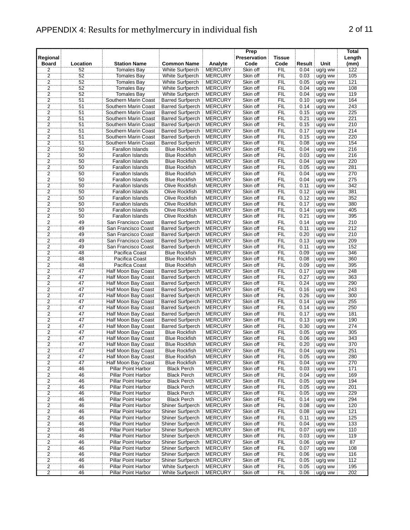#### APPENDIX 4: Results for methylmercury in individual fish 2 of 11

| Regional                                  |                 | <b>Station Name</b>        | <b>Common Name</b>       |                           | Prep<br><b>Preservation</b> | <b>Tissue</b> | Result |                 | Total<br>Length |
|-------------------------------------------|-----------------|----------------------------|--------------------------|---------------------------|-----------------------------|---------------|--------|-----------------|-----------------|
| <b>Board</b><br>2                         | Location<br>52  | <b>Tomales Bay</b>         | White Surfperch          | Analyte<br><b>MERCURY</b> | Code<br>Skin off            | Code<br>FIL   | 0.04   | Unit<br>ug/g ww | (mm)<br>122     |
|                                           | 52              | <b>Tomales Bay</b>         | White Surfperch          | <b>MERCURY</b>            | Skin off                    | <b>FIL</b>    | 0.03   | ug/g ww         | 105             |
| $\overline{a}$<br>$\overline{2}$          | 52              | <b>Tomales Bay</b>         | White Surfperch          | <b>MERCURY</b>            | Skin off                    | ΪË            | 0.05   | ug/g ww         | 121             |
| $\overline{2}$                            | 52              | <b>Tomales Bay</b>         | White Surfperch          | <b>MERCURY</b>            | Skin off                    | FIL           | 0.04   | ug/g ww         | 108             |
| $\overline{2}$                            | 52              | <b>Tomales Bay</b>         | White Surfperch          | <b>MERCURY</b>            | Skin off                    | <b>FIL</b>    | 0.04   | ug/g ww         | 119             |
| $\overline{\mathbf{c}}$                   | 51              | Southern Marin Coast       | <b>Barred Surfperch</b>  | <b>MERCURY</b>            | Skin off                    | <b>FIL</b>    | 0.10   | ug/g ww         | 164             |
| $\overline{2}$                            | 51              | Southern Marin Coast       | <b>Barred Surfperch</b>  | <b>MERCURY</b>            | Skin off                    | <b>FIL</b>    | 0.14   | ug/g ww         | 243             |
| 2                                         | 51              | Southern Marin Coast       | <b>Barred Surfperch</b>  | <b>MERCURY</b>            | Skin off                    | <b>FIL</b>    | 0.15   | ug/g ww         | 225             |
| $\overline{c}$                            | 51              | Southern Marin Coast       | <b>Barred Surfperch</b>  | <b>MERCURY</b>            | Skin off                    | FIL           | 0.21   | ug/g ww         | 221             |
| $\overline{2}$                            | 51              | Southern Marin Coast       | <b>Barred Surfperch</b>  | <b>MERCURY</b>            | Skin off                    | FIL           | 0.15   | ug/g ww         | 210             |
| $\overline{2}$                            | 51              | Southern Marin Coast       | <b>Barred Surfperch</b>  | <b>MERCURY</b>            | Skin off                    | FIL           | 0.17   | ug/g ww         | 214             |
|                                           | 51              | Southern Marin Coast       | <b>Barred Surfperch</b>  | <b>MERCURY</b>            | Skin off                    | FIL           | 0.15   | ug/g ww         | 220             |
| $\frac{2}{2}$                             | 51              | Southern Marin Coast       | <b>Barred Surfperch</b>  | <b>MERCURY</b>            | Skin off                    | <b>FIL</b>    | 0.08   | ug/g ww         | 154             |
| $\overline{2}$                            | $\overline{50}$ | <b>Farallon Islands</b>    | <b>Blue Rockfish</b>     | <b>MERCURY</b>            | Skin off                    | FIL           | 0.04   | ug/g ww         | 216             |
| $\overline{2}$                            | 50              | Farallon Islands           | <b>Blue Rockfish</b>     | <b>MERCURY</b>            | Skin off                    | FIL           | 0.03   | ug/g ww         | 216             |
|                                           | 50              | <b>Farallon Islands</b>    | <b>Blue Rockfish</b>     | <b>MERCURY</b>            | Skin off                    | <b>FIL</b>    | 0.04   | ug/g ww         | 220             |
| $\frac{2}{2}$ $\frac{2}{2}$ $\frac{2}{2}$ | 50              | Farallon Islands           | <b>Blue Rockfish</b>     | <b>MERCURY</b>            | Skin off                    | FIL           | 0.05   | ug/g ww         | 281             |
|                                           | 50              | Farallon Islands           | <b>Blue Rockfish</b>     | <b>MERCURY</b>            | Skin off                    | FIL           | 0.04   | ug/g ww         | 270             |
|                                           | 50              | Farallon Islands           | <b>Blue Rockfish</b>     | <b>MERCURY</b>            | Skin off                    | ΪË            | 0.04   | ug/g ww         | 275             |
|                                           | 50              | <b>Farallon Islands</b>    | Olive Rockfish           | <b>MERCURY</b>            | Skin off                    | FIL           | 0.11   | ug/g ww         | 342             |
| $\overline{2}$                            | 50              | Farallon Islands           | Olive Rockfish           | <b>MERCURY</b>            | Skin off                    | FIL           | 0.12   | ug/g ww         | 381             |
| $\overline{2}$                            | 50              | Farallon Islands           | Olive Rockfish           | <b>MERCURY</b>            | Skin off                    | <b>FIL</b>    | 0.12   | ug/g ww         | 352             |
| $\overline{2}$                            | 50              | Farallon Islands           | Olive Rockfish           | <b>MERCURY</b>            | Skin off                    | <b>FIL</b>    | 0.17   | ug/g ww         | 380             |
| $\overline{2}$                            | 50              | Farallon Islands           | <b>Olive Rockfish</b>    | <b>MERCURY</b>            | Skin off                    | <b>FIL</b>    | 0.14   | ug/g ww         | 405             |
| 2                                         | 50              | Farallon Islands           | <b>Olive Rockfish</b>    | <b>MERCURY</b>            | Skin off                    | <b>FIL</b>    | 0.21   | ug/g ww         | 395             |
| $\overline{2}$                            | 49              | San Francisco Coast        | <b>Barred Surfperch</b>  | <b>MERCURY</b>            | Skin off                    | FIL           | 0.14   | ug/g ww         | 210             |
| $\overline{2}$                            | 49              | San Francisco Coast        | <b>Barred Surfperch</b>  | <b>MERCURY</b>            | Skin off                    | FIL           | 0.11   | ug/g ww         | 212             |
| $\overline{\mathbf{2}}$                   | 49              | San Francisco Coast        | <b>Barred Surfperch</b>  | <b>MERCURY</b>            | Skin off                    | ΪË            | 0.20   | ug/g ww         | 210             |
| 2                                         | 49              | San Francisco Coast        | <b>Barred Surfperch</b>  | <b>MERCURY</b>            | Skin off                    | FIL           | 0.13   | ug/g ww         | 209             |
| $\overline{2}$                            | 49              | San Francisco Coast        | <b>Barred Surfperch</b>  | <b>MERCURY</b>            | Skin off                    | <b>FIL</b>    | 0.11   | ug/g ww         | 152             |
| 2                                         | 48              | Pacifica Coast             | <b>Blue Rockfish</b>     | <b>MERCURY</b>            | Skin off                    | <b>FIL</b>    | 0.09   | ug/g ww         | 346             |
| 2                                         | 48              | Pacifica Coast             | <b>Blue Rockfish</b>     | <b>MERCURY</b>            | Skin off                    | <b>FIL</b>    | 0.08   | ug/g ww         | 360             |
| 2                                         | 48              | Pacifica Coast             | <b>Blue Rockfish</b>     | <b>MERCURY</b>            | Skin off                    | <b>FIL</b>    | 0.09   | ug/g ww         | 395             |
| $\overline{2}$                            | 47              | Half Moon Bay Coast        | <b>Barred Surfperch</b>  | <b>MERCURY</b>            | Skin off                    | FIL           | 0.17   | ug/g ww         | 248             |
| $\overline{2}$                            | 47              | Half Moon Bay Coast        | <b>Barred Surfperch</b>  | <b>MERCURY</b>            | Skin off                    | FIL           | 0.27   | ug/g ww         | 363             |
| $\overline{2}$                            | 47              | Half Moon Bay Coast        | <b>Barred Surfperch</b>  | <b>MERCURY</b>            | Skin off                    | <b>FIL</b>    | 0.24   | ug/g ww         | 290             |
| $\overline{2}$                            | 47              | Half Moon Bay Coast        | <b>Barred Surfperch</b>  | <b>MERCURY</b>            | Skin off                    | FIL           | 0.16   | ug/g ww         | 243             |
| $\overline{2}$                            | 47              | Half Moon Bay Coast        | <b>Barred Surfperch</b>  | <b>MERCURY</b>            | Skin off                    | ΪË            | 0.26   | ug/g ww         | 300             |
| $\overline{2}$                            | 47              | Half Moon Bay Coast        | <b>Barred Surfperch</b>  | <b>MERCURY</b>            | Skin off                    | FIL           | 0.14   | ug/g ww         | 255             |
| $\overline{2}$                            | 47              | Half Moon Bay Coast        | <b>Barred Surfperch</b>  | <b>MERCURY</b>            | Skin off                    | FIL           | 0.14   | ug/g ww         | 250             |
|                                           | 47              | <b>Half Moon Bay Coast</b> | <b>Barred Surfperch</b>  | <b>MERCURY</b>            | Skin off                    | FIL           | 0.17   | ug/g ww         | 181             |
| $\frac{2}{2}$ $\frac{2}{2}$               | 47              | Half Moon Bay Coast        | <b>Barred Surfperch</b>  | <b>MERCURY</b>            | Skin off                    | FIL           | 0.13   | ug/g ww         | 190             |
|                                           | 47              | Half Moon Bay Coast        | <b>Barred Surfperch</b>  | <b>MERCURY</b>            | Skin off                    | FIL           | 0.30   | ug/g ww         | 274             |
|                                           | 47              | Half Moon Bay Coast        | <b>Blue Rockfish</b>     | <b>MERCURY</b>            | Skin off                    | FIL           | 0.05   | ug/g ww         | 305             |
|                                           | 47              | Half Moon Bay Coast        | <b>Blue Rockfish</b>     | <b>MERCURY</b>            | Skin off                    | FIL           | 0.06   | ug/g ww         | 343             |
| $\frac{2}{2}$                             | $\overline{47}$ | Half Moon Bay Coast        | <b>Blue Rockfish</b>     | <b>MERCURY</b>            | Skin off                    | <b>FIL</b>    | 0.20   | ug/g ww         | 370             |
|                                           | 47              | Half Moon Bay Coast        | <b>Blue Rockfish</b>     | <b>MERCURY</b>            | Skin off                    | <b>FIL</b>    | 0.04   | ug/g ww         | 251             |
| $\overline{2}$                            | 47              | Half Moon Bay Coast        | <b>Blue Rockfish</b>     | <b>MERCURY</b>            | Skin off                    | <b>FIL</b>    | 0.05   | ug/g ww         | 280             |
| $\overline{c}$                            | 47              | Half Moon Bay Coast        | <b>Blue Rockfish</b>     | <b>MERCURY</b>            | Skin off                    | <b>FIL</b>    | 0.04   | ug/g ww         | 270             |
| 2                                         | 46              | Pillar Point Harbor        | <b>Black Perch</b>       | <b>MERCURY</b>            | Skin off                    | <b>FIL</b>    | 0.03   | ug/g ww         | 171             |
| $\overline{2}$                            | 46              | Pillar Point Harbor        | <b>Black Perch</b>       | <b>MERCURY</b>            | Skin off                    | FIL           | 0.04   | ug/g ww         | 169             |
|                                           | 46              | <b>Pillar Point Harbor</b> | <b>Black Perch</b>       | <b>MERCURY</b>            | Skin off                    | FIL           | 0.05   | ug/g ww         | 194             |
| $\frac{2}{2}$                             | 46              | Pillar Point Harbor        | <b>Black Perch</b>       | <b>MERCURY</b>            | Skin off                    | FIL           | 0.05   | ug/g ww         | 201             |
|                                           | 46              | Pillar Point Harbor        | <b>Black Perch</b>       | <b>MERCURY</b>            | Skin off                    | FIL           | 0.05   | ug/g ww         | 229             |
| $\frac{2}{2}$                             | 46              | Pillar Point Harbor        | <b>Black Perch</b>       | <b>MERCURY</b>            | Skin off                    | FIL           | 0.14   | ug/g ww         | 294             |
| $\overline{\mathbf{c}}$                   | 46              | Pillar Point Harbor        | Shiner Surfperch         | <b>MERCURY</b>            | Skin off                    | <b>FIL</b>    | 0.08   | ug/g ww         | 120             |
| $\overline{2}$                            | 46              | Pillar Point Harbor        | Shiner Surfperch         | <b>MERCURY</b>            | Skin off                    | <b>FIL</b>    | 0.08   | ug/g ww         | 121             |
| 2                                         | 46              | Pillar Point Harbor        | Shiner Surfperch         | <b>MERCURY</b>            | Skin off                    | FIL           | 0.11   | ug/g ww         | 125             |
| $\overline{2}$                            | 46              | Pillar Point Harbor        | Shiner Surfperch         | <b>MERCURY</b>            | Skin off                    | FIL           | 0.04   | ug/g ww         | 133             |
| $\overline{2}$                            | 46              | Pillar Point Harbor        | Shiner Surfperch MERCURY |                           | Skin off                    | FIL           | 0.07   | ug/g ww         | 110             |

2 5 Shiner Surfperch MERCURY Skin off FIL 0.11 ug/g ww Shiner Surfperch MERCURY Skin off FIL 0.04 ug/g ww 125 Pillar Surfperch MERCURY Skin off FIL 0.07 ug/g ww

26 Pillar Point Harbor Shiner Surfperch MERCURY Skin off FIL 0.04 ug/g ww 133<br>26 Pillar Point Harbor Shiner Surfperch MERCURY Skin off FIL 0.07 ug/g ww 110

26 Pillar Point Harbor Shiner Surfperch MERCURY Skin off FIL 0.03 ug/g ww 119<br>26 Pillar Point Harbor Shiner Surfperch MERCURY Skin off FIL 0.06 ug/g ww 87

2 16 Pillar Point Harbor Shiner Surfperch MERCURY Skin off FIL 0.05 ug/g ww 112<br>26 Pillar Point Harbor White Surfperch MERCURY Skin off FIL 0.05 ug/g ww 195<br>202 Pillar Point Harbor White Surfperch MERCURY Skin off FIL 0.06 2 46 Pillar Point Harbor White Surfperch MERCURY Skin off FIL 0.05 ug/g ww 195<br>202 Pillar Point Harbor White Surfperch MERCURY Skin off FIL 0.06 ug/g ww 202

2 46 Pillar Point Harbor Shiner Surfperch MERCURY Skin off FIL 0.06 ug/g ww 87 2 46 Pillar Point Harbor Shiner Surfperch |MERCURY Skin off FIL 0.07 ug/g ww 108

2 46 Pillar Point Harbor Shiner Surfperch MERCURY Skin off FIL 0.06 ug/g ww 116<br>2 46 Pillar Point Harbor Shiner Surfperch MERCURY Skin off FIL 0.05 ug/g ww 112<br>2 46 Pillar Point Harbor White Surfperch MERCURY Skin off FIL

2 46 Pillar Point Harbor Shiner Surfperch MERCURY Skin off FIL<br>2 46 Pillar Point Harbor Shiner Surfperch MERCURY Skin off FIL<br>2 46 Pillar Point Harbor Shiner Surfperch MERCURY Skin off FIL

Pillar Point Harbor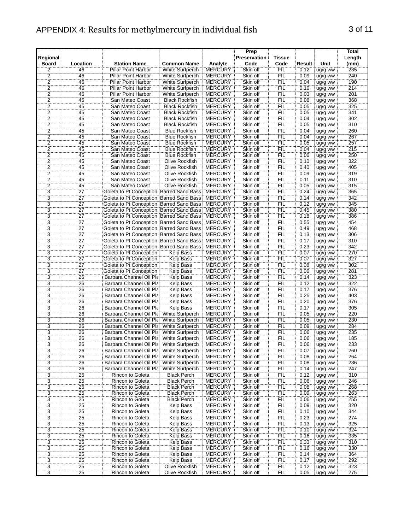| Regional<br><b>Board</b> | Location        | <b>Station Name</b>                      | <b>Common Name</b>     | Analyte         | Prep<br><b>Preservation</b><br>Code | <b>Tissue</b><br>Code | Result      | Unit          | <b>Total</b><br>Length<br>(mm) |
|--------------------------|-----------------|------------------------------------------|------------------------|-----------------|-------------------------------------|-----------------------|-------------|---------------|--------------------------------|
| 2                        | 46              | Pillar Point Harbor                      | White Surfperch        | <b>MERCURY</b>  | Skin off                            | <b>FIL</b>            | 0.12        | ug/g ww       | 235                            |
| $\overline{2}$           | 46              | <b>Pillar Point Harbor</b>               | White Surfperch        | <b>MERCURY</b>  | Skin off                            | <b>FIL</b>            | 0.09        | ug/g ww       | 240                            |
| $\overline{2}$           | 46              | <b>Pillar Point Harbor</b>               | White Surfperch        | <b>MERCURY</b>  | Skin off                            | <b>FIL</b>            | 0.04        | ug/g ww       | 190                            |
| $\ddot{2}$               | 46              | <b>Pillar Point Harbor</b>               | White Surfperch        | <b>MERCURY</b>  | Skin off                            | FIL                   | 0.10        | ug/g ww       | 214                            |
| $\overline{2}$           | 46              | Pillar Point Harbor                      | <b>White Surfperch</b> | <b>MERCURY</b>  | Skin off                            | FIL                   | 0.03        | ug/g ww       | 201                            |
| $\overline{2}$           | 45              | San Mateo Coast                          | <b>Black Rockfish</b>  | <b>MERCURY</b>  | Skin off                            | <b>FIL</b>            | 0.08        | ug/g ww       | 368                            |
| 2                        | 45              | San Mateo Coast                          | <b>Black Rockfish</b>  | <b>MERCURY</b>  | Skin off                            | <b>FIL</b>            | 0.05        | ug/g ww       | 325                            |
| $\overline{2}$           | 45              | San Mateo Coast                          | <b>Black Rockfish</b>  | <b>MERCURY</b>  | Skin off                            | <b>FIL</b>            | 0.05        | ug/g ww       | 341                            |
| 2                        | 45              | San Mateo Coast                          | <b>Black Rockfish</b>  | <b>MERCURY</b>  | Skin off                            | <b>FIL</b>            | 0.04        | ug/g ww       | 302                            |
| $\overline{2}$           | 45              | San Mateo Coast                          | <b>Black Rockfish</b>  | <b>MERCURY</b>  | Skin off                            | FIL                   | 0.05        | ug/g ww       | 310                            |
| $\overline{2}$           | 45              | San Mateo Coast                          | <b>Blue Rockfish</b>   | <b>MERCURY</b>  | Skin off                            | FIL                   | 0.04        | ug/g ww       | 260                            |
|                          | 45              | San Mateo Coast                          | <b>Blue Rockfish</b>   | <b>MERCURY</b>  | Skin off                            | <b>FIL</b>            | 0.04        | ug/g ww       | 267                            |
| $\frac{2}{2}$            | 45              | San Mateo Coast                          | <b>Blue Rockfish</b>   | <b>MERCURY</b>  | Skin off                            | FIL                   | 0.05        | ug/g ww       | 257                            |
| $\overline{2}$           | 45              | San Mateo Coast                          | <b>Blue Rockfish</b>   | <b>MERCURY</b>  | Skin off                            | FIL                   | 0.04        | ug/g ww       | 215                            |
| 2                        | 45              | San Mateo Coast                          | <b>Blue Rockfish</b>   | <b>MERCURY</b>  | Skin off                            | <b>FIL</b>            | 0.06        | ug/g ww       | 250                            |
| $\overline{2}$           | 45              | San Mateo Coast                          | <b>Olive Rockfish</b>  | <b>MERCURY</b>  | Skin off                            | <b>FIL</b>            | 0.10        | ug/g ww       | 322                            |
| $\overline{2}$           | 45              | San Mateo Coast                          | Olive Rockfish         | <b>MERCURY</b>  | Skin off                            | FIL                   | 0.40        | ug/g ww       | 405                            |
| $\overline{2}$           | 45              | San Mateo Coast                          | Olive Rockfish         | <b>MERCURY</b>  | Skin off                            | <b>FIL</b>            | 0.09        | ug/g ww       | 319                            |
| 2                        | 45              | San Mateo Coast                          | Olive Rockfish         | <b>MERCURY</b>  | Skin off                            | FIL                   | 0.11        | ug/g ww       | 310                            |
| 2                        | 45              | San Mateo Coast                          | <b>Olive Rockfish</b>  | <b>MERCURY</b>  | Skin off                            | <b>FIL</b>            | 0.05        | ug/g ww       | 315                            |
| $\overline{3}$           | $\overline{27}$ | Goleta to Pt Conception Barred Sand Bass |                        | <b>MERCURY</b>  | Skin off                            | FIL                   | 0.24        | ug/g ww       | 365                            |
| 3                        | 27              | Goleta to Pt Conception Barred Sand Bass |                        | <b>MERCURY</b>  | Skin off                            | <b>FIL</b>            | 0.14        | ug/g ww       | 342                            |
| 3                        | 27              | Goleta to Pt Conception Barred Sand Bass |                        | <b>MERCURY</b>  | Skin off                            | <b>FIL</b>            | 0.12        | ug/g ww       | 345                            |
| 3                        | 27              | Goleta to Pt Conception Barred Sand Bass |                        | <b>MERCURY</b>  | Skin off                            | <b>FIL</b>            | 0.45        | ug/g ww       | 380                            |
| 3                        | 27              | Goleta to Pt Conception Barred Sand Bass |                        | <b>MERCURY</b>  | Skin off                            | FIL                   | 0.18        | ug/g ww       | 386                            |
| $\overline{3}$           | $\overline{27}$ | Goleta to Pt Conception Barred Sand Bass |                        | <b>MERCURY</b>  | Skin off                            | FIL                   | 0.55        | ug/g ww       | 454                            |
| $\overline{3}$           | $\overline{27}$ | Goleta to Pt Conception Barred Sand Bass |                        | <b>MERCURY</b>  | Skin off                            | FIL                   | 0.49        | ug/g ww       | 468                            |
| $\overline{3}$           | 27              | Goleta to Pt Conception Barred Sand Bass |                        | <b>MERCURY</b>  | Skin off                            | ΪË                    | 0.13        | ug/g ww       | 306                            |
| $\overline{3}$           | 27              | Goleta to Pt Conception Barred Sand Bass |                        | <b>MERCURY</b>  | Skin off                            | <b>FIL</b>            | 0.17        | ug/g ww       | 310                            |
| $\overline{3}$           | $\overline{27}$ | Goleta to Pt Conception Barred Sand Bass |                        | <b>MERCURY</b>  | Skin off                            | FIL                   | 0.23        | ug/g ww       | 342                            |
| ঽ৾                       | 27              | Goleta to Pt Concention                  | Keln Rass              | <b>MERCLIRY</b> | Skin ∩ff                            | FII                   | <u>በ በ7</u> | $\ln 0/n$ www | 270                            |

| 2                                | 45                    | San Mateo Coast                                    | Olive Rockfish                     | <b>MERCURY</b>                   | Skin off             | <b>FIL</b>        | 0.09         | ug/g ww            | 319        |
|----------------------------------|-----------------------|----------------------------------------------------|------------------------------------|----------------------------------|----------------------|-------------------|--------------|--------------------|------------|
| $\overline{2}$                   | 45                    | San Mateo Coast                                    | Olive Rockfish                     | <b>MERCURY</b>                   | Skin off             | FIL               | 0.11         | ug/g ww            | 310        |
| $\overline{2}$                   | 45                    | San Mateo Coast                                    | Olive Rockfish                     | <b>MERCURY</b>                   | Skin off             | FIL               | 0.05         | ug/g ww            | 315        |
| $\overline{3}$                   | $\overline{27}$       | Goleta to Pt Conception Barred Sand Bass           |                                    | <b>MERCURY</b>                   | Skin off             | Έiμ               | 0.24         | ug/g ww            | 365        |
| $\overline{3}$                   | $\overline{27}$       | Goleta to Pt Conception Barred Sand Bass MERCURY   |                                    |                                  | Skin off             | FIL               | 0.14         | ug/g ww            | 342        |
| $\overline{3}$                   | 27                    | Goleta to Pt Conception Barred Sand Bass           |                                    | <b>MERCURY</b>                   | Skin off             | FIL               | 0.12         | ug/g ww            | 345        |
| $\overline{3}$                   | 27                    | Goleta to Pt Conception Barred Sand Bass MERCURY   |                                    |                                  | Skin off             | <b>FIL</b>        | 0.45         | ug/g ww            | 380        |
| $\overline{3}$                   | 27                    | Goleta to Pt Conception Barred Sand Bass   MERCURY |                                    |                                  | Skin off             | <b>FIL</b>        | 0.18         | ug/g ww            | 386        |
| $\overline{3}$                   | $\overline{27}$       | Goleta to Pt Conception Barred Sand Bass   MERCURY |                                    |                                  | Skin off             | FIL               | 0.55         | ug/g ww            | 454        |
| $\overline{3}$                   | $\overline{27}$       | Goleta to Pt Conception Barred Sand Bass MERCURY   |                                    |                                  | Skin off             | FIL               | 0.49         | ug/g ww            | 468        |
| $\overline{3}$                   | $\overline{27}$       | Goleta to Pt Conception Barred Sand Bass   MERCURY |                                    |                                  | Skin off             | FIL               | 0.13         | ug/g ww            | 306        |
| $\overline{3}$                   | $\overline{27}$       | Goleta to Pt Conception Barred Sand Bass           |                                    | <b>MERCURY</b>                   | Skin off             | ΪË                | 0.17         | ug/g ww            | 310        |
| $\overline{3}$                   | $\overline{27}$       | Goleta to Pt Conception Barred Sand Bass MERCURY   |                                    |                                  | Skin off             | FIL               | 0.23         | ug/g ww            | 342        |
| 3                                | 27                    | Goleta to Pt Conception                            | <b>Kelp Bass</b>                   | <b>MERCURY</b>                   | Skin off             | FIL               | 0.07         | ug/g ww            | 270        |
| $\overline{3}$                   | $\overline{27}$       | Goleta to Pt Conception                            | <b>Kelp Bass</b>                   | <b>MERCURY</b>                   | Skin off             | <b>FIL</b>        | 0.07         | ug/g ww            | 327        |
| $\overline{3}$                   | 27                    | Goleta to Pt Conception                            | <b>Kelp Bass</b>                   | <b>MERCURY</b>                   | Skin off             | <b>FIL</b>        | 0.08         | ug/g ww            | 302        |
| $\overline{3}$                   | 27                    | Goleta to Pt Conception                            | <b>Kelp Bass</b>                   | <b>MERCURY</b>                   | Skin off             | <b>FIL</b>        | 0.06         | ug/g ww            | 281        |
| $\overline{3}$                   | 26                    | Barbara Channel Oil Pla                            | <b>Kelp Bass</b>                   | <b>MERCURY</b>                   | Skin off             | FIL               | 0.14         | ug/g ww            | 323        |
| $\overline{3}$                   | 26                    | Barbara Channel Oil Pla                            | Kelp Bass                          | <b>MERCURY</b>                   | Skin off             | FIL               | 0.12         | ug/g ww            | 322        |
| $\overline{3}$                   | 26                    | Barbara Channel Oil Pla                            | Kelp Bass                          | <b>MERCURY</b>                   | Skin off             | FIL               | 0.17         | ug/g ww            | 376        |
| $\overline{3}$                   | 26                    | Barbara Channel Oil Pla                            | <b>Kelp Bass</b>                   | <b>MERCURY</b>                   | Skin off             | ΪË                | 0.25         | ug/g ww            | 403        |
| $\overline{3}$                   | $\overline{26}$       | Barbara Channel Oil Pla                            | Kelp Bass                          | <b>MERCURY</b>                   | Skin off             | FIL               | 0.20         | ug/g ww            | 376        |
| $\overline{3}$                   | 26                    | Barbara Channel Oil Pla                            | <b>Kelp Bass</b>                   | <b>MERCURY</b>                   | Skin off             | FIL               | 0.17         | ug/g ww            | 305        |
| $\overline{3}$                   | 26                    | Barbara Channel Oil Pla                            | White Surfperch                    | <b>MERCURY</b>                   | Skin off             | FIL               | 0.05         | ug/g ww            | 220        |
| $\overline{3}$                   | 26                    | Barbara Channel Oil Pla                            | White Surfperch                    | <b>MERCURY</b>                   | Skin off             | FIL               | 0.05         | ug/g ww            | 230        |
| $\frac{1}{3}$                    | $\overline{26}$       | Barbara Channel Oil Pla                            | <b>White Surfperch</b>             | <b>MERCURY</b>                   | Skin off             | FIL               | 0.09         | ug/g ww            | 284        |
| $\overline{3}$                   | 26                    | Barbara Channel Oil Pla                            | White Surfperch                    | <b>MERCURY</b>                   | Skin off             | ΪË                | 0.06         | ug/g ww            | 235        |
| $\overline{3}$<br>$\overline{3}$ | 26<br>$\overline{26}$ | Barbara Channel Oil Pla                            | White Surfperch                    | <b>MERCURY</b>                   | Skin off             | FIL               | 0.06         | ug/g ww            | 185        |
| $\overline{3}$                   |                       | Barbara Channel Oil Pla                            | White Surfperch                    | <b>MERCURY</b>                   | Skin off             | FIL               | 0.06         | ug/g ww            | 233        |
| $\overline{3}$                   | 26<br>26              | Barbara Channel Oil Pla<br>Barbara Channel Oil Pla | White Surfperch<br>White Surfperch | <b>MERCURY</b><br><b>MERCURY</b> | Skin off<br>Skin off | <b>FIL</b><br>FIL | 0.07<br>0.08 | ug/g ww            | 260<br>264 |
| $\overline{3}$                   | 26                    | Barbara Channel Oil Pla                            | White Surfperch                    | <b>MERCURY</b>                   | Skin off             | <b>FIL</b>        | 0.08         | ug/g ww            | 236        |
| $\overline{3}$                   | 26                    | Barbara Channel Oil Pla                            | White Surfperch                    | <b>MERCURY</b>                   | Skin off             | FIL               | 0.14         | ug/g ww<br>ug/g ww | 247        |
| $\overline{3}$                   | 25                    | <b>Rincon to Goleta</b>                            | <b>Black Perch</b>                 | <b>MERCURY</b>                   | Skin off             | FIL               | 0.12         | ug/g ww            | 310        |
| $\overline{3}$                   | $\overline{25}$       | Rincon to Goleta                                   | <b>Black Perch</b>                 | <b>MERCURY</b>                   | Skin off             | FIL               | 0.06         | ug/g ww            | 246        |
| $\overline{3}$                   | 25                    | <b>Rincon to Goleta</b>                            | <b>Black Perch</b>                 | <b>MERCURY</b>                   | Skin off             | FIL               | 0.08         | ug/g ww            | 268        |
| $\overline{3}$                   | 25                    | Rincon to Goleta                                   | Black Perch                        | <b>MERCURY</b>                   | Skin off             | FIL               | 0.09         | ug/g ww            | 263        |
| $\overline{3}$                   | 25                    | Rincon to Goleta                                   | <b>Black Perch</b>                 | <b>MERCURY</b>                   | Skin off             | FIL               | 0.06         | ug/g ww            | 255        |
| 3                                | 25                    | Rincon to Goleta                                   | <b>Kelp Bass</b>                   | <b>MERCURY</b>                   | Skin off             | FIL               | 0.09         | ug/g ww            | 320        |
| $\overline{3}$                   | 25                    | Rincon to Goleta                                   | <b>Kelp Bass</b>                   | <b>MERCURY</b>                   | Skin off             | <b>FIL</b>        | 0.10         | ug/g ww            | 344        |
| $\overline{3}$                   | 25                    | Rincon to Goleta                                   | <b>Kelp Bass</b>                   | <b>MERCURY</b>                   | Skin off             | <b>FIL</b>        | 0.23         | ug/g ww            | 274        |
| $\overline{3}$                   | 25                    | Rincon to Goleta                                   | <b>Kelp Bass</b>                   | <b>MERCURY</b>                   | Skin off             | <b>FIL</b>        | 0.13         | ug/g ww            | 325        |
| $\overline{3}$                   | 25                    | Rincon to Goleta                                   | <b>Kelp Bass</b>                   | <b>MERCURY</b>                   | Skin off             | FIL               | 0.10         | ug/g ww            | 324        |
| $\overline{3}$                   | 25                    | Rincon to Goleta                                   | <b>Kelp Bass</b>                   | <b>MERCURY</b>                   | Skin off             | FIL               | 0.16         | ug/g ww            | 335        |
| $\overline{3}$                   | $\overline{25}$       | Rincon to Goleta                                   | <b>Kelp Bass</b>                   | <b>MERCURY</b>                   | Skin off             | FIL               | 0.33         | ug/g ww            | 310        |
| $\overline{3}$                   | 25                    | Rincon to Goleta                                   | <b>Kelp Bass</b>                   | <b>MERCURY</b>                   | Skin off             | FIL               | 0.16         | ug/g ww            | 330        |
| $\overline{3}$                   | $\overline{25}$       | Rincon to Goleta                                   | Kelp Bass                          | <b>MERCURY</b>                   | Skin off             | FIL               | 0.14         | ug/g ww            | 364        |
| 3                                | 25                    | Rincon to Goleta                                   | <b>Kelp Bass</b>                   | <b>MERCURY</b>                   | Skin off             | FIL               | 0.17         | ug/g ww            | 292        |
| $\overline{3}$                   | 25                    | Rincon to Goleta                                   | Olive Rockfish                     | <b>MERCURY</b>                   | Skin off             | $\widetilde{FIL}$ | 0.12         | ug/g ww            | 323        |
| $\overline{3}$                   | 25                    | Rincon to Goleta                                   | Olive Rockfish                     | <b>MERCURY</b>                   | Skin off             | FIL               | 0.05         | ug/g ww            | 275        |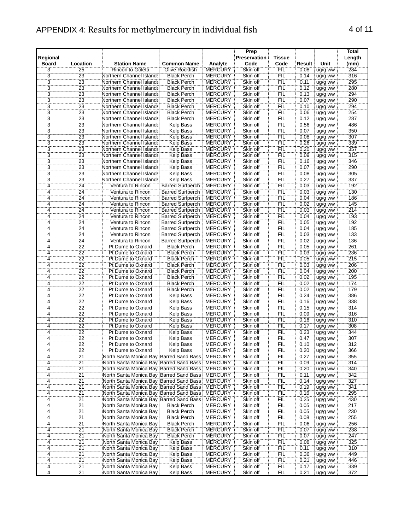## APPENDIX 4: Results for methylmercury in individual fish 4 of 11

|                                           |                            |                                                   |                         |                | Prep                |            |        |                    | Total  |
|-------------------------------------------|----------------------------|---------------------------------------------------|-------------------------|----------------|---------------------|------------|--------|--------------------|--------|
| Regional                                  |                            |                                                   |                         |                | <b>Preservation</b> | Tissue     |        |                    | Length |
| <b>Board</b>                              | Location                   | <b>Station Name</b>                               | <b>Common Name</b>      | Analyte        | Code                | Code       | Result | Unit               | (mm)   |
|                                           | 25                         | <b>Rincon to Goleta</b>                           | Olive Rockfish          | <b>MERCURY</b> | Skin off            | FIL        | 0.08   | ug/g ww            | 284    |
|                                           | 23                         | Northern Channel Islands                          | <b>Black Perch</b>      | <b>MERCURY</b> | Skin off            | <b>FIL</b> | 0.14   | ug/g ww            | 316    |
|                                           | 23                         | Northern Channel Islands                          | <b>Black Perch</b>      | <b>MERCURY</b> | Skin off            | <b>FIL</b> | 0.11   | ug/g ww            | 295    |
| $\frac{3}{3}$ $\frac{3}{3}$ $\frac{3}{3}$ | 23                         | Northern Channel Islands                          | <b>Black Perch</b>      | <b>MERCURY</b> | Skin off            | FIL        | 0.12   | ug/g ww            | 280    |
|                                           | $\overline{23}$            | Northern Channel Islands                          | <b>Black Perch</b>      | <b>MERCURY</b> | Skin off            | FIL        | 0.13   | ug/g ww            | 294    |
|                                           |                            |                                                   |                         |                |                     |            |        |                    |        |
|                                           | 23                         | Northern Channel Islands                          | <b>Black Perch</b>      | <b>MERCURY</b> | Skin off            | FIL        | 0.07   | ug/g ww            | 290    |
| $\overline{3}$                            | 23                         | Northern Channel Islands                          | <b>Black Perch</b>      | <b>MERCURY</b> | Skin off            | FIL        | 0.10   | ug/g ww            | 294    |
| $\overline{3}$                            | 23                         | Northern Channel Islands                          | <b>Black Perch</b>      | <b>MERCURY</b> | Skin off            | <b>FIL</b> | 0.06   | ug/g ww            | 254    |
| $\overline{3}$                            | 23                         | Northern Channel Islands                          | <b>Black Perch</b>      | <b>MERCURY</b> | Skin off            | FIL        | 0.12   | ug/g ww            | 287    |
| $3\over 3\over 3\over 3$                  | 23                         | Northern Channel Islands                          | <b>Kelp Bass</b>        | <b>MERCURY</b> | Skin off            | FIL        | 0.56   | ug/g ww            | 486    |
|                                           | 23                         | Northern Channel Islands                          | Kelp Bass               | <b>MERCURY</b> | Skin off            | FIL        | 0.07   | ug/g ww            | 350    |
|                                           | $\overline{23}$            | Northern Channel Islands                          | <b>Kelp Bass</b>        | <b>MERCURY</b> | Skin off            | FIL        | 0.08   | ug/g ww            | 307    |
|                                           | 23                         | Northern Channel Islands                          | <b>Kelp Bass</b>        | <b>MERCURY</b> | Skin off            | FIL        | 0.26   | ug/g ww            | 339    |
|                                           | $\overline{23}$            | Northern Channel Islands                          | Kelp Bass               | <b>MERCURY</b> | Skin off            | FIL        | 0.20   | ug/g ww            | 357    |
| $\overline{3}$                            | 23                         | Northern Channel Islands                          | <b>Kelp Bass</b>        | <b>MERCURY</b> | Skin off            | FIL        | 0.09   | ug/g ww            | 315    |
| $\overline{3}$                            | 23                         | Northern Channel Islands                          | <b>Kelp Bass</b>        | <b>MERCURY</b> | Skin off            | FIL        | 0.16   | ug/g ww            | 346    |
|                                           | 23                         | Northern Channel Islands                          | <b>Kelp Bass</b>        | <b>MERCURY</b> | Skin off            | FIL        | 0.07   | ug/g ww            | 290    |
|                                           | 23                         | Northern Channel Islands                          | Kelp Bass               | <b>MERCURY</b> | Skin off            | FIL        | 0.08   |                    | 305    |
| $\frac{3}{3}$                             | 23                         |                                                   | Kelp Bass               | <b>MERCURY</b> | Skin off            | FIL        | 0.27   | ug/g ww            | 337    |
|                                           |                            | Northern Channel Islands                          |                         |                |                     |            |        | ug/g ww            |        |
| $\overline{4}$                            | $\overline{24}$            | Ventura to Rincon                                 | <b>Barred Surfperch</b> | <b>MERCURY</b> | Skin off            | FIL        | 0.03   | ug/g ww            | 192    |
| $\overline{4}$                            | 24                         | Ventura to Rincon                                 | <b>Barred Surfperch</b> | <b>MERCURY</b> | Skin off            | FIL        | 0.03   | ug/g ww            | 130    |
| 4                                         | 24                         | Ventura to Rincon                                 | <b>Barred Surfperch</b> | <b>MERCURY</b> | Skin off            | FIL        | 0.04   | ug/g ww            | 186    |
| $\overline{4}$                            | 24                         | Ventura to Rincon                                 | <b>Barred Surfperch</b> | <b>MERCURY</b> | Skin off            | FIL        | 0.02   | ug/g ww            | 145    |
| 4                                         | 24                         | Ventura to Rincon                                 | <b>Barred Surfperch</b> | <b>MERCURY</b> | Skin off            | <b>FIL</b> | 0.03   | ug/g ww            | 214    |
| $\overline{4}$                            | 24                         | Ventura to Rincon                                 | <b>Barred Surfperch</b> | <b>MERCURY</b> | Skin off            | FIL        | 0.04   | ug/g ww            | 193    |
| 4                                         | 24                         | Ventura to Rincon                                 | <b>Barred Surfperch</b> | <b>MERCURY</b> | Skin off            | FIL        | 0.05   | ug/g ww            | 192    |
| $\ddot{4}$                                | $\overline{24}$            | Ventura to Rincon                                 | <b>Barred Surfperch</b> | <b>MERCURY</b> | Skin off            | FIL        | 0.04   | ug/g ww            | 185    |
| $\frac{4}{4}$                             | $\overline{24}$            | Ventura to Rincon                                 | <b>Barred Surfperch</b> | <b>MERCURY</b> | Skin off            | ΪË         | 0.03   | ug/g ww            | 133    |
|                                           | 24                         | Ventura to Rincon                                 | <b>Barred Surfperch</b> | <b>MERCURY</b> | Skin off            | FIL        | 0.02   | ug/g ww            | 136    |
| ä,                                        | $\overline{2}\overline{2}$ | Pt Dume to Oxnard                                 | <b>Black Perch</b>      | <b>MERCURY</b> | Skin off            | FIL        | 0.05   | ug/g ww            | 261    |
| 4                                         | 22                         | Pt Dume to Oxnard                                 | <b>Black Perch</b>      | <b>MERCURY</b> | Skin off            | FIL        | 0.03   | ug/g ww            | 236    |
| 4                                         | 22                         | Pt Dume to Oxnard                                 | <b>Black Perch</b>      | <b>MERCURY</b> | Skin off            | <b>FIL</b> | 0.05   | ug/g ww            | 215    |
| 4                                         | 22                         | Pt Dume to Oxnard                                 |                         |                | Skin off            | FIL        | 0.03   |                    | 206    |
|                                           |                            |                                                   | <b>Black Perch</b>      | <b>MERCURY</b> |                     |            |        | ug/g ww            |        |
| $\overline{4}$                            | 22                         | Pt Dume to Oxnard                                 | <b>Black Perch</b>      | <b>MERCURY</b> | Skin off            | FIL        | 0.04   | ug/g ww            | 200    |
| $\frac{4}{4}$                             | $\overline{22}$            | Pt Dume to Oxnard                                 | <b>Black Perch</b>      | <b>MERCURY</b> | Skin off            | FIL        | 0.02   | ug/g ww            | 195    |
|                                           | $\overline{22}$            | Pt Dume to Oxnard                                 | <b>Black Perch</b>      | <b>MERCURY</b> | Skin off            | FIL        | 0.02   | ug/g ww            | 174    |
| $\frac{4}{4}$<br>$\frac{4}{4}$            | $\overline{22}$            | Pt Dume to Oxnard                                 | <b>Black Perch</b>      | <b>MERCURY</b> | Skin off            | FIL        | 0.02   | ug/g ww            | 179    |
|                                           | $\overline{22}$            | Pt Dume to Oxnard                                 | <b>Kelp Bass</b>        | <b>MERCURY</b> | Skin off            | FIL        | 0.24   | ug/g ww            | 386    |
|                                           | $\overline{2}\overline{2}$ | Pt Dume to Oxnard                                 | Kelp Bass               | <b>MERCURY</b> | Skin off            | FIL        | 0.16   | ug/g ww            | 338    |
|                                           | 22                         | Pt Dume to Oxnard                                 | <b>Kelp Bass</b>        | <b>MERCURY</b> | Skin off            | FIL        | 0.15   | ug/g ww            | 314    |
| 4                                         | 22                         | Pt Dume to Oxnard                                 | Kelp Bass               | <b>MERCURY</b> | Skin off            | FIL        | 0.09   | ug/g ww            | 316    |
| $\overline{4}$                            | $\overline{2}\overline{2}$ | Pt Dume to Oxnard                                 | <b>Kelp Bass</b>        | <b>MERCURY</b> | Skin off            | FIL        | 0.16   | ug/g ww            | 310    |
| $\ddot{4}$                                | $\overline{22}$            | Pt Dume to Oxnard                                 | <b>Kelp Bass</b>        | <b>MERCURY</b> | Skin off            | FIL        | 0.17   | ug/g ww            | 308    |
| ï,                                        | $\overline{2}\overline{2}$ | Pt Dume to Oxnard                                 | Kelp Bass               | <b>MERCURY</b> | Skin off            | ΪË         | 0.23   | ug/g ww            | 344    |
| 4                                         | $\overline{22}$            | Pt Dume to Oxnard                                 | Kelp Bass               | <b>MERCURY</b> | Skin off            | FIL        | 0.47   | ug/g ww            | 307    |
| $\overline{4}$                            | $\overline{2}\overline{2}$ | Pt Dume to Oxnard                                 | Kelp Bass               | <b>MERCURY</b> | Skin off            | FIL        | 0.10   | ug/g ww            | 312    |
| 4                                         | 22                         | Pt Dume to Oxnard                                 | Kelp Bass               | <b>MERCURY</b> | Skin off            | FIL        | 0.20   | ug/g ww            | 366    |
| 4                                         | 21                         | North Santa Monica Bay Barred Sand Bass MERCURY   |                         |                | Skin off            | <b>FIL</b> | 0.27   |                    | 355    |
| 4                                         | 21                         | North Santa Monica Bay Barred Sand Bass           |                         | <b>MERCURY</b> | Skin off            | <b>FIL</b> | 0.09   | ug/g ww<br>ug/g ww | 314    |
| $\overline{4}$                            |                            |                                                   |                         |                |                     |            |        |                    |        |
|                                           | 21                         | North Santa Monica Bay Barred Sand Bass   MERCURY |                         |                | Skin off            | <b>FIL</b> | 0.20   | ug/g ww            | 340    |
| $\overline{4}$                            | $\overline{21}$            | North Santa Monica Bay Barred Sand Bass   MERCURY |                         |                | Skin off            | FIL        | 0.11   | ug/g ww            | 342    |
|                                           | $\overline{21}$            | North Santa Monica Bay Barred Sand Bass   MERCURY |                         |                | Skin off            | <b>FIL</b> | 0.14   | ug/g ww            | 327    |
| $\frac{4}{4}$                             | $\overline{21}$            | North Santa Monica Bay Barred Sand Bass   MERCURY |                         |                | Skin off            | FIL        | 0.19   | ug/g ww            | 341    |
|                                           | $\overline{21}$            | North Santa Monica Bay Barred Sand Bass   MERCURY |                         |                | Skin off            | FIL        | 0.16   | ug/g ww            | 295    |
|                                           | $\overline{21}$            | North Santa Monica Bay Barred Sand Bass           |                         | <b>MERCURY</b> | Skin off            | FIL        | 0.25   | ug/g ww            | 430    |
| 4                                         | 21                         | North Santa Monica Bay                            | <b>Black Perch</b>      | <b>MERCURY</b> | Skin off            | <b>FIL</b> | 0.05   | ug/g ww            | 217    |
| 4                                         | 21                         | North Santa Monica Bay                            | <b>Black Perch</b>      | <b>MERCURY</b> | Skin off            | <b>FIL</b> | 0.05   | ug/g ww            | 230    |
| 4                                         | 21                         | North Santa Monica Bay                            | <b>Black Perch</b>      | <b>MERCURY</b> | Skin off            | <b>FIL</b> | 0.08   | ug/g ww            | 255    |
| $\overline{4}$                            | 21                         | North Santa Monica Bay                            | <b>Black Perch</b>      | <b>MERCURY</b> | Skin off            | <b>FIL</b> | 0.06   | ug/g ww            | 256    |
|                                           | $\overline{21}$            | North Santa Monica Bay                            | <b>Black Perch</b>      | <b>MERCURY</b> | Skin off            | <b>FIL</b> | 0.07   | ug/g ww            | 238    |
|                                           | $\overline{21}$            | North Santa Monica Bay                            | <b>Black Perch</b>      | <b>MERCURY</b> | Skin off            | FIL        | 0.07   | ug/g ww            | 247    |
|                                           | $\overline{21}$            | North Santa Monica Bay                            | Kelp Bass               | <b>MERCURY</b> | Skin off            | <b>FIL</b> | 0.08   | ug/g ww            | 325    |
| $\frac{4}{4}$<br>$\frac{4}{4}$            | 21                         | North Santa Monica Bay                            | Kelp Bass               | <b>MERCURY</b> | Skin off            | FIL        | 0.11   |                    | 310    |
|                                           |                            |                                                   |                         |                |                     |            |        | ug/g ww            | 449    |
| $\overline{4}$                            | $\overline{21}$            | North Santa Monica Bay                            | Kelp Bass               | <b>MERCURY</b> | Skin off            | FIL        | 0.36   | ug/g ww            |        |
|                                           | 21                         | North Santa Monica Bay                            | Kelp Bass               | <b>MERCURY</b> | Skin off            | <b>FIL</b> | 0.21   | ug/g ww            | 446    |
| 4                                         | $\overline{21}$            | North Santa Monica Bay                            | Kelp Bass               | <b>MERCURY</b> | Skin off            | FIL        | 0.17   | ug/g ww            | 339    |
| $\overline{4}$                            | $\overline{21}$            | North Santa Monica Bay                            | Kelp Bass               | <b>MERCURY</b> | Skin off            | FIL        | 0.21   | ug/g ww            | 372    |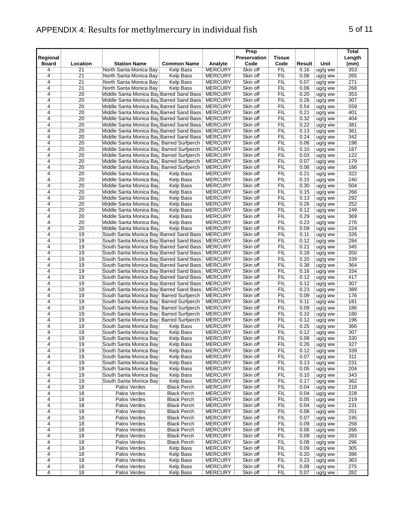#### APPENDIX 4: Results for methylmercury in individual fish 5 of 11

| Regional                       |                       |                                                                                      |                    |                                  | Prep<br>Preservation | Tissue            |              |                    | Total<br>Length |
|--------------------------------|-----------------------|--------------------------------------------------------------------------------------|--------------------|----------------------------------|----------------------|-------------------|--------------|--------------------|-----------------|
| Board                          | Location              | <b>Station Name</b>                                                                  | <b>Common Name</b> | Analyte                          | Code                 | Code              | Result       | Unit               | (mm)            |
| 4                              | 21                    | North Santa Monica Bay                                                               | Kelp Bass          | <b>MERCURY</b>                   | Skin off             | FIL               | 0.16         | ug/g ww            | 353             |
| $\frac{4}{4}$                  | 21                    | North Santa Monica Bay                                                               | Kelp Bass          | <b>MERCURY</b>                   | Skin off             | <b>FIL</b>        | 0.06         | ug/g ww            | 265             |
|                                | 21                    | North Santa Monica Bay                                                               | Kelp Bass          | <b>MERCURY</b>                   | Skin off             | <b>FIL</b>        | 0.07         | ug/g ww            | 271             |
| 4<br>$\overline{4}$            | $\overline{21}$<br>20 | North Santa Monica Bay                                                               | Kelp Bass          | <b>MERCURY</b><br><b>MERCURY</b> | Skin off             | <b>FIL</b>        | 0.06         | ug/g ww            | 268<br>353      |
|                                |                       | Middle Santa Monica Bay Barred Sand Bass:                                            |                    |                                  | Skin off             | FIL               | 0.20         | ug/g ww            |                 |
| 4<br>4                         | 20<br>20              | Middle Santa Monica Bay Barred Sand Bass<br>Middle Santa Monica Bay Barred Sand Bass |                    | <b>MERCURY</b>                   | Skin off             | FIL<br><b>FIL</b> | 0.26         | ug/g ww            | 307<br>559      |
| 4                              | 20                    | Middle Santa Monica Bay Barred Sand Bass                                             |                    | <b>MERCURY</b><br><b>MERCURY</b> | Skin off<br>Skin off | <b>FIL</b>        | 0.54<br>0.21 | ug/g ww            | 401             |
| $\overline{4}$                 | 20                    |                                                                                      |                    | <b>MERCURY</b>                   | Skin off             | <b>FIL</b>        | 0.32         | ug/g ww            | 404             |
|                                | 20                    | Middle Santa Monica Bay Barred Sand Bass<br>Middle Santa Monica Bay Barred Sand Bass |                    | <b>MERCURY</b>                   | Skin off             | FIL               | 0.22         | ug/g ww            | 381             |
| $\frac{4}{4}$                  | 20                    | Middle Santa Monica Bay Barred Sand Bass                                             |                    | <b>MERCURY</b>                   | Skin off             | FIL               | 0.13         | ug/g ww<br>ug/g ww | 361             |
|                                | 20                    | Middle Santa Monica Bay Barred Sand Bass                                             |                    | <b>MERCURY</b>                   | Skin off             | <b>FIL</b>        | 0.24         |                    | 342             |
| $\frac{4}{\cdots}$<br>4        | 20                    | Middle Santa Monica Bay Barred Surfperch                                             |                    | <b>MERCURY</b>                   | Skin off             | FIL               | 0.06         | ug/g ww            | 198             |
| 4                              | $\overline{20}$       | Middle Santa Monica Bay, Barred Surfperch                                            |                    | MERCURY                          | Skin off             | FIL               | 0.10         | ug/g ww            | 187             |
| 4                              | 20                    | Middle Santa Monica Bay, Barred Surfperch                                            |                    | <b>MERCURY</b>                   | Skin off             | <b>FIL</b>        | 0.03         | ug/g ww            | 122             |
| 4                              | 20                    | Middle Santa Monica Bay, Barred Surfperch                                            |                    | <b>MERCURY</b>                   | Skin off             | FIL               | 0.07         | ug/g ww<br>ug/g ww | 179             |
| 4                              | 20                    | Middle Santa Monica Bay Barred Surfperch                                             |                    | <b>MERCURY</b>                   | Skin off             | <b>FIL</b>        | 0.06         | ug/g ww            | 186             |
|                                | 20                    | Middle Santa Monica Bay                                                              | Kelp Bass          | <b>MERCURY</b>                   | Skin off             | <b>FIL</b>        | 0.21         | ug/g ww            | 322             |
| $\overline{4}$<br>4            | 20                    | Middle Santa Monica Bay                                                              | Kelp Bass          | <b>MERCURY</b>                   | Skin off             | FIL               | 0.15         | ug/g ww            | 240             |
| $\overline{4}$                 | $\overline{20}$       | Middle Santa Monica Bay                                                              | Kelp Bass          | MERCURY                          | Skin off             | FIL               | 0.30         | ug/g ww            | 504             |
| 4                              | $\overline{20}$       | Middle Santa Monica Bay                                                              | Kelp Bass          | <b>MERCURY</b>                   | Skin off             | <b>FIL</b>        | 0.15         | ug/g ww            | 266             |
| $\overline{4}$                 | 20                    | Middle Santa Monica Bay                                                              | Kelp Bass          | MERCURY                          | Skin off             | <b>FIL</b>        | 0.13         | ug/g ww            | 292             |
| 4                              | 20                    | Middle Santa Monica Bay                                                              | Kelp Bass          | MERCURY                          | Skin off             | <b>FIL</b>        | 0.26         | ug/g ww            | 252             |
| 4                              | 20                    | Middle Santa Monica Bay                                                              | Kelp Bass          | <b>MERCURY</b>                   | Skin off             | <b>FIL</b>        | 0.12         | ug/g ww            | 249             |
| 4                              | 20                    | Middle Santa Monica Bay                                                              | Kelp Bass          | MERCURY                          | Skin off             | FIL               | 0.29         | ug/g ww            | 369             |
| $\overline{4}$                 | 20                    | Middle Santa Monica Bay                                                              | Kelp Bass          | MERCURY                          | Skin off             | FIL               | 0.23         | ug/g ww            | 276             |
|                                | 20                    | Middle Santa Monica Bay                                                              | Kelp Bass          | <b>MERCURY</b>                   | Skin off             | <b>FIL</b>        | 0.09         | ug/g ww            | 224             |
| $\frac{4}{2}$<br>4             | 19                    | South Santa Monica Bay Barred Sand Bass                                              |                    | <b>MERCURY</b>                   | Skin off             | <b>FIL</b>        | 0.11         | ug/g ww            | 326             |
| 4                              | 19                    | South Santa Monica Bay Barred Sand Bass                                              |                    | <b>MERCURY</b>                   | Skin off             | FIL               | 0.12         | ug/g ww            | 284             |
| $\overline{4}$                 | 19                    | South Santa Monica Bay Barred Sand Bass                                              |                    | <b>MERCURY</b>                   | Skin off             | FIL               | 0.21         | ug/g ww            | 345             |
| 4                              | 19                    | South Santa Monica Bay Barred Sand Bass                                              |                    | <b>MERCURY</b>                   | Skin off             | FIL               | 0.18         | ug/g ww            | 350             |
| 4                              | 19                    | South Santa Monica Bay Barred Sand Bass                                              |                    | <b>MERCURY</b>                   | Skin off             | <b>FIL</b>        | 0.20         | ug/g ww            | 339             |
| 4                              | 19                    | South Santa Monica Bay Barred Sand Bass                                              |                    | <b>MERCURY</b>                   | Skin off             | FIL               | 0.38         | ug/g ww            | 364             |
| $\overline{4}$                 | 19                    | South Santa Monica Bay Barred Sand Bass                                              |                    | <b>MERCURY</b>                   | Skin off             | <b>FIL</b>        | 0.16         | ug/g ww            | 334             |
|                                | 19                    | South Santa Monica Bay Barred Sand Bass                                              |                    | <b>MERCURY</b>                   | Skin off             | FIL               | 0.12         | ug/g ww            | 417             |
| $\frac{4}{4}$                  | 19                    | South Santa Monica Bay Barred Sand Bass                                              |                    | <b>MERCURY</b>                   | Skin off             | FIL               | 0.12         | ug/g ww            | 307             |
| $\frac{4}{1}$                  | 19                    | South Santa Monica Bay Barred Sand Bass                                              |                    | <b>MERCURY</b>                   | Skin off             | <b>FIL</b>        | 0.23         | ug/g ww            | 389             |
| 4                              | 19                    | South Santa Monica Bay: Barred Surfperch                                             |                    | <b>MERCURY</b>                   | Skin off             | FIL               | 0.09         | ug/g ww            | 176             |
| $\overline{4}$                 | 19                    | South Santa Monica Bay: Barred Surfperch                                             |                    | <b>MERCURY</b>                   | Skin off             | FIL               | 0.11         | ug/g ww            | 181             |
| 4                              | 19                    | South Santa Monica Bay: Barred Surfperch                                             |                    | <b>MERCURY</b>                   | Skin off             | <b>FIL</b>        | 0.09         | ug/g ww            | 186             |
| 4                              | 19                    | South Santa Monica Bay: Barred Surfperch                                             |                    | <b>MERCURY</b>                   | Skin off             | FIL               | 0.10         | ug/g ww            | 180             |
| 4                              | 19                    | South Santa Monica Bay Barred Surfperch                                              |                    | <b>MERCURY</b>                   | Skin off             | FIL               | 0.12         | ug/g ww            | 196             |
|                                | 19                    | South Santa Monica Bay:                                                              | <b>Kelp Bass</b>   | MERCURY                          | Skin off             | <b>FIL</b>        | 0.25         | ug/g ww            | 366             |
| $\frac{4}{4}$                  | 19                    | South Santa Monica Bay                                                               | Kelp Bass          | <b>MERCURY</b>                   | Skin off             | <b>FIL</b>        | 0.12         | ug/g ww            | 307             |
| 4                              | 19                    | South Santa Monica Bay                                                               | Kelp Bass          | <b>MERCURY</b>                   | Skin off             | FIL               | 0.08         | ug/g ww            | 330             |
|                                | 19                    | South Santa Monica Bay                                                               | <b>Kelp Bass</b>   | <b>MERCURY</b>                   | Skin off             | FIL               | 0.26         | ug/g ww            | 327             |
| $\frac{4}{4}$                  | $\overline{19}$       | South Santa Monica Bay                                                               | Kelp Bass          | <b>MERCURY</b>                   | Skin off             | <b>FIL</b>        | 0.12         | ug/g ww            | 339             |
| $\overline{4}$                 | 19                    | South Santa Monica Bay                                                               | Kelp Bass          | <b>MERCURY</b>                   | Skin off             | <b>FIL</b>        | 0.07         | ug/g ww            | 311             |
| 4                              | 19                    | South Santa Monica Bay                                                               | <b>Kelp Bass</b>   | <b>MERCURY</b>                   | Skin off             | <b>FIL</b>        | 0.13         | ug/g ww            | 231             |
| 4                              | 19                    | South Santa Monica Bay                                                               | <b>Kelp Bass</b>   | <b>MERCURY</b>                   | Skin off             | FIL               | 0.05         | ug/g ww            | 204             |
| $\overline{4}$                 | 19                    | South Santa Monica Bay                                                               | Kelp Bass          | <b>MERCURY</b>                   | Skin off             | FIL               | 0.10         | ug/g ww            | 343             |
|                                | 19                    | South Santa Monica Bay                                                               | Kelp Bass          | <b>MERCURY</b>                   | Skin off             | <b>FIL</b>        | 0.17         | ug/g ww            | 362             |
| $\frac{4}{4}$<br>$\frac{4}{4}$ | 18                    | Palos Verdes                                                                         | <b>Black Perch</b> | <b>MERCURY</b>                   | Skin off             | <b>FIL</b>        | 0.04         | ug/g ww            | 218             |
|                                | 18                    | Palos Verdes                                                                         | <b>Black Perch</b> | <b>MERCURY</b>                   | Skin off             | FIL               | 0.04         | ug/g ww            | 228             |
|                                | $\overline{18}$       | Palos Verdes                                                                         | <b>Black Perch</b> | <b>MERCURY</b>                   | Skin off             | FIL               | 0.05         | ug/g ww            | 219             |
| 4                              | 18                    | Palos Verdes                                                                         | <b>Black Perch</b> | <b>MERCURY</b>                   | Skin off             | <b>FIL</b>        | 0.04         | ug/g ww            | 231             |
| 4                              | 18                    | Palos Verdes                                                                         | <b>Black Perch</b> | <b>MERCURY</b>                   | Skin off             | <b>FIL</b>        | 0.06         | ug/g ww            | 251             |
| 4                              | 18                    | Palos Verdes                                                                         | <b>Black Perch</b> | <b>MERCURY</b>                   | Skin off             | FIL               | 0.07         | ug/g ww            | 245             |
| $\overline{4}$                 | 18                    | Palos Verdes                                                                         | <b>Black Perch</b> | <b>MERCURY</b>                   | Skin off             | FIL               | 0.09         | ug/g ww            | 258             |
| $\overline{4}$                 | 18                    | Palos Verdes                                                                         | <b>Black Perch</b> | <b>MERCURY</b>                   | Skin off             | FIL               | 0.06         | ug/g ww            | 266             |
|                                |                       |                                                                                      |                    |                                  |                      |                   |              |                    |                 |

4 18 Palos Verdes Black Perch MERCURY Skin off FIL 0.09 ug/g ww 258<br>4 18 Palos Verdes Black Perch MERCURY Skin off FIL 0.06 ug/g ww 266<br>4 18 Palos Verdes Black Perch MERCURY Skin off FIL 0.09 ug/g ww 283 4 19 Palos Verdes Black Perch MERCURY Skin off FIL<br>
2 Palos Verdes Black Perch MERCURY Skin off FIL 4 18 Palos Verdes Black Perch MERCURY Skin off FIL 0.09 ug/g ww 283<br>4 18 Palos Verdes Black Perch MERCURY Skin off FIL 0.08 ug/g ww 296 18 Palos Verdes Black Perch MERCURY Skin off FIL 0.08 ug/g ww 296 4 18 Palos Verdes Kelp Bass MERCURY Skin off FIL 0.09 ug/g ww 305<br>4 18 Palos Verdes Kelp Bass MERCURY Skin off FIL 0.20 ug/g ww 396 4 18 Palos Verdes Kelp Bass MERCURY Skin off FIL 0.20 ug/g ww 396 4 18 Palos Verdes Kelp Bass MERCURY Skin off FIL 0.20 ug/g ww 396<br>4 18 Palos Verdes Kelp Bass MERCURY Skin off FIL 0.23 ug/g ww 363<br>4 18 Palos Verdes Kelp Bass MERCURY Skin off FIL 0.09 ug/g ww 275<br>4 18 Palos Verdes Kelp B

**Palos Verdes** 

18 Palos Verdes Kelp Bass MERCURY Skin off FIL 0.09 ug/g ww 275<br>18 Palos Verdes Kelp Bass MERCURY Skin off FIL 0.07 ug/g ww 282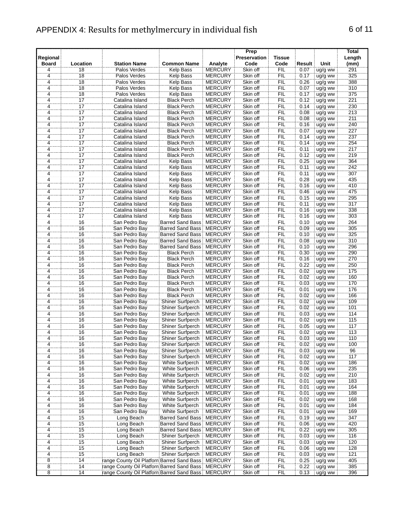## APPENDIX 4: Results for methylmercury in individual fish 6 of 11

| Regional                         |                       |                                                      |                                                    |                                  | Prep<br>Preservation | <b>Tissue</b>     |              |                    | Total<br>Length |
|----------------------------------|-----------------------|------------------------------------------------------|----------------------------------------------------|----------------------------------|----------------------|-------------------|--------------|--------------------|-----------------|
| <b>Board</b>                     | Location              | <b>Station Name</b>                                  | <b>Common Name</b>                                 | Analyte                          | Code                 | Code              | Result       | Unit               | (mm)            |
| $\overline{4}$                   | 18                    | Palos Verdes                                         | <b>Kelp Bass</b>                                   | <b>MERCURY</b>                   | Skin off             | FIL               | 0.07         | ug/g ww            | 291             |
| $\frac{4}{\cdot}$                | 18                    | Palos Verdes                                         | Kelp Bass                                          | <b>MERCURY</b>                   | Skin off             | <b>FIL</b>        | 0.17         | ug/g ww            | 325             |
| 4<br>$\frac{1}{4}$               | 18                    | Palos Verdes                                         | <b>Kelp Bass</b>                                   | <b>MERCURY</b>                   | Skin off             | FIL               | 0.26         | ug/g ww            | 388             |
| $\overline{4}$                   | $\overline{18}$<br>18 | Palos Verdes<br>Palos Verdes                         | <b>Kelp Bass</b><br><b>Kelp Bass</b>               | <b>MERCURY</b><br><b>MERCURY</b> | Skin off<br>Skin off | FIL<br>FIL        | 0.07<br>0.17 | ug/g ww            | 310<br>375      |
| 4                                | 17                    | Catalina Island                                      | <b>Black Perch</b>                                 | <b>MERCURY</b>                   | Skin off             | FIL               | 0.12         | ug/g ww<br>ug/g ww | 221             |
| 4                                | 17                    | Catalina Island                                      | <b>Black Perch</b>                                 | <b>MERCURY</b>                   | Skin off             | FIL               | 0.14         | ug/g ww            | 230             |
| $\overline{4}$                   | 17                    | Catalina Island                                      | <b>Black Perch</b>                                 | <b>MERCURY</b>                   | Skin off             | <b>FIL</b>        | 0.08         | ug/g ww            | 213             |
| 4                                | 17                    | Catalina Island                                      | <b>Black Perch</b>                                 | <b>MERCURY</b>                   | Skin off             | FIL               | 0.08         | ug/g ww            | 211             |
| $\overline{4}$                   | $\overline{17}$       | Catalina Island                                      | <b>Black Perch</b>                                 | <b>MERCURY</b>                   | Skin off             | FIL               | 0.16         | ug/g ww            | 240             |
| $\frac{4}{4}$                    | 17                    | Catalina Island                                      | <b>Black Perch</b>                                 | <b>MERCURY</b>                   | Skin off             | FIL               | 0.07         | ug/g ww            | 227             |
|                                  | 17                    | Catalina Island                                      | <b>Black Perch</b>                                 | <b>MERCURY</b>                   | Skin off             | FIL               | 0.14         | ug/g ww            | 237             |
| $\frac{4}{4}$                    | $\overline{17}$<br>17 | Catalina Island                                      | <b>Black Perch</b><br><b>Black Perch</b>           | <b>MERCURY</b><br><b>MERCURY</b> | Skin off<br>Skin off | FIL<br>FIL        | 0.14<br>0.11 | ug/g ww            | 254<br>217      |
| 4                                | 17                    | Catalina Island<br>Catalina Island                   | <b>Black Perch</b>                                 | <b>MERCURY</b>                   | Skin off             | FIL               | 0.12         | ug/g ww<br>ug/g ww | 219             |
| $\overline{4}$                   | 17                    | Catalina Island                                      | Kelp Bass                                          | <b>MERCURY</b>                   | Skin off             | <b>FIL</b>        | 0.25         | ug/g ww            | 364             |
| $\overline{4}$                   | $\overline{17}$       | Catalina Island                                      | Kelp Bass                                          | <b>MERCURY</b>                   | Skin off             | FIL               | 0.11         | ug/g ww            | 242             |
| 4                                | $\overline{17}$       | Catalina Island                                      | Kelp Bass                                          | <b>MERCURY</b>                   | Skin off             | FIL               | 0.11         | ug/g ww            | 307             |
| 4                                | 17                    | Catalina Island                                      | <b>Kelp Bass</b>                                   | <b>MERCURY</b>                   | Skin off             | FIL               | 0.28         | ug/g ww            | 435             |
| $\ddot{4}$                       | $\overline{17}$       | Catalina Island                                      | <b>Kelp Bass</b>                                   | <b>MERCURY</b>                   | Skin off             | FIL               | 0.16         | ug/g ww            | 410             |
| $\overline{4}$                   | $\overline{17}$       | Catalina Island                                      | Kelp Bass                                          | <b>MERCURY</b>                   | Skin off             | FIL               | 0.46         | ug/g ww            | 475             |
| $\overline{4}$                   | 17                    | Catalina Island                                      | Kelp Bass                                          | <b>MERCURY</b><br><b>MERCURY</b> | Skin off             | FIL               | 0.15         | ug/g ww            | 295             |
| $\overline{4}$<br>4              | 17<br>17              | Catalina Island<br>Catalina Island                   | Kelp Bass<br>Kelp Bass                             | <b>MERCURY</b>                   | Skin off<br>Skin off | FIL<br>FIL        | 0.11<br>0.16 | ug/g ww<br>ug/g ww | 317<br>338      |
| 4                                | 17                    | Catalina Island                                      | <b>Kelp Bass</b>                                   | <b>MERCURY</b>                   | Skin off             | FIL               | 0.16         | ug/g ww            | 303             |
| $\overline{4}$                   | 16                    | San Pedro Bay                                        | <b>Barred Sand Bass</b>                            | <b>MERCURY</b>                   | Skin off             | FIL               | 0.10         | ug/g ww            | 264             |
| 4                                | 16                    | San Pedro Bay                                        | <b>Barred Sand Bass</b>                            | <b>MERCURY</b>                   | Skin off             | FIL               | 0.09         | ug/g ww            | 305             |
|                                  | 16                    | San Pedro Bay                                        | <b>Barred Sand Bass</b>                            | <b>MERCURY</b>                   | Skin off             | ΪË                | 0.10         | ug/g ww            | 325             |
| $\frac{4}{4}$                    | $\overline{16}$       | San Pedro Bay                                        | <b>Barred Sand Bass</b>                            | <b>MERCURY</b>                   | Skin off             | FIL               | 0.08         | ug/g ww            | 310             |
| $\dddot{4}$                      | 16                    | San Pedro Bay                                        | Barred Sand Bass: MERCURY                          |                                  | Skin off             | FIL               | 0.10         | ug/g ww            | 296             |
| 4                                | 16                    | San Pedro Bay                                        | <b>Black Perch</b>                                 | <b>MERCURY</b>                   | Skin off             | FIL               | 0.30         | ug/g ww            | 290             |
| 4<br>$\overline{4}$              | 16<br>16              | San Pedro Bay<br>San Pedro Bay                       | <b>Black Perch</b><br><b>Black Perch</b>           | <b>MERCURY</b><br><b>MERCURY</b> | Skin off<br>Skin off | <b>FIL</b><br>FIL | 0.16<br>0.22 | ug/g ww<br>ug/g ww | 270<br>250      |
| 4                                | 16                    | San Pedro Bay                                        | <b>Black Perch</b>                                 | <b>MERCURY</b>                   | Skin off             | FIL               | 0.02         | ug/g ww            | 175             |
| $\overline{4}$                   | 16                    | San Pedro Bay                                        | <b>Black Perch</b>                                 | <b>MERCURY</b>                   | Skin off             | FIL               | 0.02         | ug/g ww            | 160             |
|                                  | 16                    | San Pedro Bay                                        | <b>Black Perch</b>                                 | <b>MERCURY</b>                   | Skin off             | FIL               | 0.03         | ug/g ww            | 170             |
| $\frac{4}{4}$                    | 16                    | San Pedro Bay                                        | <b>Black Perch</b>                                 | <b>MERCURY</b>                   | Skin off             | FIL               | 0.01         | ug/g ww            | 176             |
| $\frac{4}{4}$                    | 16                    | San Pedro Bay                                        | <b>Black Perch</b>                                 | <b>MERCURY</b>                   | Skin off             | FIL               | 0.02         | ug/g ww            | 166             |
|                                  | $\overline{16}$       | San Pedro Bay                                        | Shiner Surfperch                                   | <b>MERCURY</b>                   | Skin off             | ΪË                | 0.02         | ug/g ww            | 109             |
| $\overline{4}$<br>$\overline{4}$ | 16<br>16              | San Pedro Bay<br>San Pedro Bay                       | Shiner Surfperch<br><b>Shiner Surfperch</b>        | <b>MERCURY</b><br><b>MERCURY</b> | Skin off<br>Skin off | FIL<br><b>FIL</b> | 0.02<br>0.03 | ug/g ww            | 101<br>114      |
| 4                                | 16                    | San Pedro Bay                                        | Shiner Surfperch                                   | <b>MERCURY</b>                   | Skin off             | FIL               | 0.02         | ug/g ww<br>ug/g ww | 115             |
| 4                                | $\overline{16}$       | San Pedro Bay                                        | Shiner Surfperch                                   | <b>MERCURY</b>                   | Skin off             | FIL               | 0.05         | ug/g ww            | 117             |
| $\overline{4}$                   | 16                    | San Pedro Bay                                        | Shiner Surfperch                                   | <b>MERCURY</b>                   | Skin off             | FIL               | 0.02         | ug/g ww            | 113             |
| $\overline{4}$                   | $\overline{16}$       | San Pedro Bay                                        | Shiner Surfperch                                   | <b>MERCURY</b>                   | Skin off             | FIL               | 0.03         | ug/g ww            | 110             |
| $\overline{4}$                   | 16                    | San Pedro Bay                                        | Shiner Surfperch                                   | <b>MERCURY</b>                   | Skin off             | FIL               | 0.02         | ug/g ww            | 100             |
| 4                                | 16                    | San Pedro Bay                                        | Shiner Surfperch                                   | <b>MERCURY</b>                   | Skin off             | <b>FIL</b>        | 0.03         | ug/g ww            | 96              |
| $\overline{4}$                   | 16                    | San Pedro Bay                                        | Shiner Surfperch                                   | <b>MERCURY</b>                   | Skin off             | <b>FIL</b>        | 0.02         | ug/g ww            | 117             |
| 4                                | 16<br>16              | San Pedro Bay                                        | White Surfperch                                    | <b>MERCURY</b><br><b>MERCURY</b> | Skin off             | <b>FIL</b>        | 0.02         | ug/g ww            | 186<br>235      |
| 4                                | 16                    | San Pedro Bay<br>San Pedro Bay                       | White Surfperch<br>White Surfperch                 | <b>MERCURY</b>                   | Skin off<br>Skin off | FIL<br>FIL        | 0.06<br>0.02 | ug/g ww<br>ug/g ww | 210             |
| $\frac{4}{4}$                    | 16                    | San Pedro Bay                                        | White Surfperch                                    | <b>MERCURY</b>                   | Skin off             | FIL               | 0.01         | ug/g ww            | 183             |
|                                  | 16                    | San Pedro Bay                                        | White Surfperch                                    | <b>MERCURY</b>                   | Skin off             | <b>FIL</b>        | 0.01         | ug/g ww            | 164             |
| $\frac{4}{4}$                    | 16                    | San Pedro Bay                                        | White Surfperch                                    | <b>MERCURY</b>                   | Skin off             | FIL               | 0.01         | ug/g ww            | 188             |
|                                  | 16                    | San Pedro Bay                                        | White Surfperch                                    | <b>MERCURY</b>                   | Skin off             | FIL               | 0.02         | ug/g ww            | 168             |
| 4                                | 16                    | San Pedro Bay                                        | White Surfperch                                    | <b>MERCURY</b>                   | Skin off             | <b>FIL</b>        | 0.01         | ug/g ww            | 184             |
| 4                                | 16                    | San Pedro Bay                                        | White Surfperch                                    | <b>MERCURY</b>                   | Skin off             | FIL               | 0.01         | ug/g ww            | 169             |
| 4                                | 15                    | Long Beach                                           | <b>Barred Sand Bass</b><br><b>Barred Sand Bass</b> | <b>MERCURY</b><br><b>MERCURY</b> | Skin off<br>Skin off | <b>FIL</b><br>FIL | 0.19         | ug/g ww            | 347<br>420      |
| 4<br>$\overline{4}$              | 15<br>15              | Long Beach<br>Long Beach                             | <b>Barred Sand Bass: MERCURY</b>                   |                                  | Skin off             | FIL               | 0.06<br>0.22 | ug/g ww<br>ug/g ww | 305             |
|                                  | 15                    | Long Beach                                           | Shiner Surfperch                                   | <b>MERCURY</b>                   | Skin off             | FIL               | 0.03         | ug/g ww            | 116             |
|                                  | 15                    | Long Beach                                           | Shiner Surfperch                                   | <b>MERCURY</b>                   | Skin off             | <b>FIL</b>        | 0.03         | ug/g ww            | 120             |
| $\frac{4}{4}$<br>$\frac{4}{4}$   | 15                    | Long Beach                                           | Shiner Surfperch                                   | <b>MERCURY</b>                   | Skin off             | FIL               | 0.06         | ug/g ww            | 128             |
|                                  | $\overline{15}$       | Long Beach                                           | Shiner Surfperch                                   | <b>MERCURY</b>                   | Skin off             | FIL               | 0.03         | ug/g ww            | 121             |
| 8                                | 14                    | range County Oil Platforn Barred Sand Bass   MERCURY |                                                    |                                  | Skin off             | <b>FIL</b>        | 0.25         | ug/g ww            | 405             |
| $\overline{8}$                   | 14                    | range County Oil Platforn Barred Sand Bass MERCURY   |                                                    |                                  | Skin off             | FIL               | 0.22         | ug/g ww            | 385             |
| 8                                | 14                    | range County Oil Platforn Barred Sand Bass MERCURY   |                                                    |                                  | Skin off             | <b>FIL</b>        | 0.13         | ug/g ww            | 396             |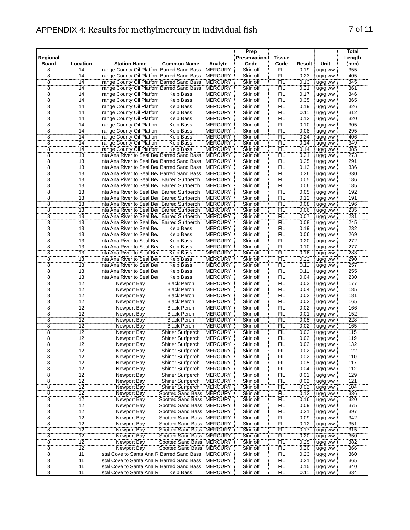#### APPENDIX 4: Results for methylmercury in individual fish 7 of 11

**Regional**

|              |          | PENDIX 4: Results for methylmercury in individual fish |                    |                |                              |                |        |            | 7 OT                    |
|--------------|----------|--------------------------------------------------------|--------------------|----------------|------------------------------|----------------|--------|------------|-------------------------|
| ional<br>ard | Location | <b>Station Name</b>                                    | <b>Common Name</b> | Analyte        | Prep<br>Preservation<br>Code | Tissue<br>Code | Result | Unit       | Total<br>Length<br>(mm) |
|              | 14       | range County Oil Platforn Barred Sand Bass   MERCURY   |                    |                | Skin off                     | FIL            | 0.19   | ug/g ww    | 355                     |
|              | 14       | range County Oil Platforn Barred Sand Bass MERCURY     |                    |                | Skin off                     | FIL            | 0.23   | ug/g ww    | 405                     |
|              | 14       | range County Oil Platforn Barred Sand Bass MERCURY     |                    |                | Skin off                     | FIL            | 0.13   | uq/g ww    | 345                     |
|              | 14       | range County Oil Platforn Barred Sand Bass MERCURY     |                    |                | Skin off                     | FIL            | 0.21   | ug/g ww    | 361                     |
| 8            | 14       | range County Oil Platforn                              | Kelp Bass          | MERCURY        | Skin off                     | FIL            | 0.17   | ug/g ww    | 346                     |
| 8            | 14       | range County Oil Platforn                              | Kelp Bass          | <b>MERCURY</b> | Skin off                     | FIL            | 0.35   | ug/g ww    | 365                     |
|              | 14       | range County Oil Platforn                              | Kelp Bass          | MERCURY        | Skin off                     | FIL            | 0.19   | ug/g ww    | 326                     |
|              | 14       | range County Oil Platforn                              | Kelp Bass          | <b>MERCURY</b> | Skin off                     | FIL            | 0.11   | uq/g ww    | 312                     |
|              | 14       | range County Oil Platforn:                             | Kelp Bass          | MERCURY        | Skin off                     | FIL            | 0.12   | ug/g ww    | 320                     |
|              | 14       | range County Oil Platforn                              | Kelp Bass          | <b>MERCURY</b> | Skin off                     | FIL            | 0.10   | ug/g ww    | 305                     |
|              | 11       | range County Oil Platforni                             | Kaln Racc          | <b>MERCURY</b> | Skin off                     | FШ             | n ng   | $\ln 0.00$ | 205                     |

| 8                                   | 14              | range County Oil Platforn Barred Sand Bass MERCURY   |                            |                | Skin off | FIL        | 0.21 | ug/g ww | 361 |
|-------------------------------------|-----------------|------------------------------------------------------|----------------------------|----------------|----------|------------|------|---------|-----|
| $\overline{8}$                      | 14              | range County Oil Platforn                            | Kelp Bass                  | <b>MERCURY</b> | Skin off | FIL        | 0.17 | ug/g ww | 346 |
| $\overline{8}$                      | 14              | range County Oil Platforn                            | Kelp Bass                  | <b>MERCURY</b> | Skin off | FIL        | 0.35 | ug/g ww | 365 |
| $\overline{8}$                      | 14              | range County Oil Platforn                            |                            | <b>MERCURY</b> | Skin off | FIL        |      |         | 326 |
|                                     |                 |                                                      | Kelp Bass                  |                |          |            | 0.19 | ug/g ww |     |
| 8                                   | 14              | range County Oil Platforn                            | Kelp Bass                  | <b>MERCURY</b> | Skin off | <b>FIL</b> | 0.11 | ug/g ww | 312 |
| $\bf 8$                             | 14              | range County Oil Platforn:                           | Kelp Bass                  | <b>MERCURY</b> | Skin off | FIL        | 0.12 | ug/g ww | 320 |
| စ် (စ) (စ)                          | 14              | range County Oil Platforn                            | Kelp Bass                  | <b>MERCURY</b> | Skin off | FIL        | 0.10 | ug/g ww | 305 |
|                                     | $\overline{14}$ | range County Oil Platforn                            | Kelp Bass                  | <b>MERCURY</b> | Skin off | FIL        | 0.08 | ug/g ww | 295 |
|                                     | $\overline{14}$ | range County Oil Platforn                            | <b>Kelp Bass</b>           | <b>MERCURY</b> | Skin off | FIL        | 0.24 | ug/g ww | 406 |
|                                     |                 |                                                      |                            |                |          |            |      |         |     |
|                                     | 14              | range County Oil Platforn                            | <b>Kelp Bass</b>           | <b>MERCURY</b> | Skin off | FIL        | 0.14 | ug/g ww | 349 |
|                                     | $\overline{14}$ | range County Oil Platforn                            | Kelp Bass                  | <b>MERCURY</b> | Skin off | FIL        | 0.14 | ug/g ww | 385 |
| $\overline{8}$                      | 13              | nta Ana River to Seal Bea Barred Sand Bass           |                            | <b>MERCURY</b> | Skin off | FIL        | 0.21 | ug/g ww | 273 |
| 8                                   | 13              | nta Ana River to Seal Bea Barred Sand Bass           |                            | <b>MERCURY</b> | Skin off | FIL        | 0.25 | ug/g ww | 291 |
|                                     | 13              | nta Ana River to Seal Bea Barred Sand Bass   MERCURY |                            |                | Skin off | FIL        | 0.13 | ug/g ww | 336 |
|                                     | $\overline{13}$ |                                                      |                            |                | Skin off | <b>FIL</b> | 0.26 |         | 330 |
| အူးတူးတွဲ                           |                 | nta Ana River to Seal Bea Barred Sand Bass MERCURY   |                            |                |          |            |      | ug/g ww |     |
|                                     | 13              | nta Ana River to Seal Bea Barred Surfperch           |                            | <b>MERCURY</b> | Skin off | FIL        | 0.05 | ug/g ww | 186 |
|                                     | $\overline{13}$ | nta Ana River to Seal Bea Barred Surfperch           |                            | <b>MERCURY</b> | Skin off | FIL        | 0.06 | ug/g ww | 185 |
|                                     | 13              | nta Ana River to Seal Bea Barred Surfperch           |                            | <b>MERCURY</b> | Skin off | <b>FIL</b> | 0.05 | ug/g ww | 192 |
| 8                                   | 13              | nta Ana River to Seal Bea Barred Surfperch           |                            | <b>MERCURY</b> | Skin off | <b>FIL</b> | 0.12 | ug/g ww | 191 |
| $\bf 8$                             | 13              | nta Ana River to Seal Bea Barred Surfperch           |                            | <b>MERCURY</b> | Skin off | <b>FIL</b> | 0.08 | ug/g ww | 196 |
| 8                                   | 13              |                                                      |                            | <b>MERCURY</b> |          | <b>FIL</b> | 0.06 |         | 235 |
|                                     |                 | hta Ana River to Seal Bea Barred Surfperch           |                            |                | Skin off |            |      | ug/g ww |     |
| 8                                   | 13              | nta Ana River to Seal Bea Barred Surfperch           |                            | <b>MERCURY</b> | Skin off | FIL        | 0.07 | ug/g ww | 231 |
| $\overline{8}$                      | 13              | hta Ana River to Seal Bea Barred Surfperch           |                            | <b>MERCURY</b> | Skin off | FIL        | 0.08 | ug/g ww | 245 |
| $\frac{8}{8}$                       | $\overline{13}$ | nta Ana River to Seal Bea                            | Kelp Bass                  | <b>MERCURY</b> | Skin off | FIL        | 0.19 | ug/g ww | 232 |
|                                     | 13              | nta Ana River to Seal Bea                            | Kelp Bass                  | <b>MERCURY</b> | Skin off | ΪFIL       | 0.06 | ug/g ww | 269 |
| $\overline{8}$                      | $\overline{13}$ | nta Ana River to Seal Bea                            | Kelp Bass                  | <b>MERCURY</b> | Skin off | FIL        | 0.20 | ug/g ww | 272 |
| $\overline{8}$                      | 13              | nta Ana River to Seal Bea                            | Kelp Bass                  | <b>MERCURY</b> | Skin off | FIL        | 0.10 |         | 277 |
|                                     |                 |                                                      |                            |                |          |            |      | ug/g ww |     |
| $\overline{8}$                      | $\overline{13}$ | nta Ana River to Seal Bea                            | Kelp Bass                  | <b>MERCURY</b> | Skin off | FIL        | 0.16 | ug/g ww | 283 |
| 8                                   | 13              | nta Ana River to Seal Bea                            | Kelp Bass                  | <b>MERCURY</b> | Skin off | FIL        | 0.22 | ug/g ww | 290 |
| 8                                   | 13              | nta Ana River to Seal Bea                            | Kelp Bass                  | <b>MERCURY</b> | Skin off | <b>FIL</b> | 0.11 | ug/g ww | 257 |
| $\bf 8$                             | 13              | nta Ana River to Seal Bea                            | Kelp Bass                  | <b>MERCURY</b> | Skin off | FIL        | 0.11 | ug/g ww | 255 |
|                                     | $\overline{13}$ | nta Ana River to Seal Bea                            | Kelp Bass                  | <b>MERCURY</b> | Skin off | FIL        | 0.04 | ug/g ww | 230 |
|                                     | $\overline{12}$ | Newport Bay                                          | <b>Black Perch</b>         | <b>MERCURY</b> | Skin off | FIL        | 0.03 | ug/g ww | 177 |
|                                     |                 |                                                      |                            |                |          |            |      |         |     |
| $\infty$ $\infty$ $\infty$ $\infty$ | $\overline{12}$ | Newport Bay                                          | <b>Black Perch</b>         | <b>MERCURY</b> | Skin off | FIL        | 0.04 | ug/g ww | 185 |
|                                     | $\overline{12}$ | Newport Bay                                          | <b>Black Perch</b>         | <b>MERCURY</b> | Skin off | FIL        | 0.02 | ug/g ww | 181 |
|                                     | $\overline{12}$ | Newport Bay                                          | <b>Black Perch</b>         | <b>MERCURY</b> | Skin off | FIL        | 0.02 | ug/g ww | 165 |
|                                     | $\overline{12}$ | Newport Bay                                          | <b>Black Perch</b>         | <b>MERCURY</b> | Skin off | FIL        | 0.02 | ug/g ww | 166 |
| 8                                   | 12              | Newport Bay                                          | <b>Black Perch</b>         | <b>MERCURY</b> | Skin off | FIL        | 0.01 | ug/g ww | 152 |
|                                     | 12              | Newport Bay                                          | <b>Black Perch</b>         | <b>MERCURY</b> | Skin off | FIL        | 0.05 | ug/g ww | 228 |
| တ <b>ုံတ</b> ုတ်                    |                 |                                                      |                            |                |          |            |      |         |     |
|                                     | $\overline{12}$ | Newport Bay                                          | <b>Black Perch</b>         | <b>MERCURY</b> | Skin off | FIL        | 0.02 | ug/g ww | 165 |
|                                     | 12              | Newport Bay                                          | Shiner Surfperch           | <b>MERCURY</b> | Skin off | FIL        | 0.02 | ug/g ww | 115 |
|                                     | $\overline{12}$ | Newport Bay                                          | Shiner Surfperch           | <b>MERCURY</b> | Skin off | FIL        | 0.02 | ug/g ww | 119 |
| $\overline{8}$                      | 12              | Newport Bay                                          | Shiner Surfperch           | <b>MERCURY</b> | Skin off | FIL        | 0.02 | ug/g ww | 132 |
| $\overline{8}$                      | $\overline{12}$ | Newport Bay                                          | Shiner Surfperch           | <b>MERCURY</b> | Skin off | <b>FIL</b> | 0.02 | ug/g ww | 122 |
| 8                                   | 12              | Newport Bay                                          | Shiner Surfperch           | <b>MERCURY</b> | Skin off | <b>FIL</b> | 0.02 | ug/g ww | 110 |
|                                     | 12              |                                                      |                            |                |          | <b>FIL</b> |      |         | 117 |
| 8                                   |                 | Newport Bay                                          | Shiner Surfperch           | <b>MERCURY</b> | Skin off |            | 0.05 | ug/g ww |     |
| 8                                   | 12              | Newport Bay                                          | Shiner Surfperch           | <b>MERCURY</b> | Skin off | FIL        | 0.04 | ug/g ww | 112 |
| $\overline{\bf 8}$                  | $\overline{12}$ | Newport Bay                                          | Shiner Surfperch           | <b>MERCURY</b> | Skin off | FIL        | 0.01 | ug/g ww | 129 |
| $\overline{8}$                      | 12              | Newport Bay                                          | Shiner Surfperch           | <b>MERCURY</b> | Skin off | FIL        | 0.02 | ug/g ww | 121 |
| $\overline{8}$                      | $\overline{12}$ | Newport Bay                                          | Shiner Surfperch   MERCURY |                | Skin off | FIL        | 0.02 | ug/g ww | 104 |
| $\overline{8}$                      | $\overline{12}$ | Newport Bay                                          | Spotted Sand Bass: MERCURY |                | Skin off | FIL        | 0.12 | ug/g ww | 336 |
| $\overline{8}$                      | $\overline{12}$ | Newport Bay                                          | Spotted Sand Bass MERCURY  |                | Skin off | FIL        | 0.16 | ug/g ww | 320 |
| $\overline{8}$                      | $\overline{12}$ |                                                      |                            |                |          |            |      |         |     |
|                                     |                 | Newport Bay                                          | Spotted Sand Bass: MERCURY |                | Skin off | <b>FIL</b> | 0.09 | ug/g ww | 375 |
| 8                                   | 12              | Newport Bay                                          | Spotted Sand Bass MERCURY  |                | Skin off | FIL        | 0.21 | ug/g ww | 397 |
| 8                                   | 12              | Newport Bay                                          | Spotted Sand Bass: MERCURY |                | Skin off | <b>FIL</b> | 0.09 | ug/g ww | 342 |
| $\overline{8}$                      | 12              | Newport Bay                                          | Spotted Sand Bass MERCURY  |                | Skin off | FIL        | 0.12 | ug/g ww | 351 |
|                                     | 12              | Newport Bay                                          | Spotted Sand Bass: MERCURY |                | Skin off | FIL        | 0.17 | ug/g ww | 315 |
|                                     | $\overline{12}$ | Newport Bay                                          | Spotted Sand Bass MERCURY  |                | Skin off | FIL        | 0.20 | ug/g ww | 350 |
|                                     | $\overline{12}$ | Newport Bay                                          |                            |                |          |            |      |         |     |
|                                     |                 |                                                      | Spotted Sand Bass: MERCURY |                | Skin off | FIL        | 0.25 | ug/g ww | 382 |
|                                     | $\frac{12}{11}$ | Newport Bay                                          | Spotted Sand Bass: MERCURY |                | Skin off | FIL        | 0.20 | ug/g ww | 366 |
| $\infty$ $\infty$ $\infty$          |                 | stal Cove to Santa Ana R Barred Sand Bass   MERCURY  |                            |                | Skin off | FIL        | 0.23 | ug/g ww | 360 |
| 8                                   | 11              | stal Cove to Santa Ana R Barred Sand Bass   MERCURY  |                            |                | Skin off | <b>FIL</b> | 0.21 | ug/g ww | 365 |
| 8                                   | $\overline{11}$ | stal Cove to Santa Ana R Barred Sand Bass MERCURY    |                            |                | Skin off | FIL        | 0.15 | ug/g ww | 340 |
| 8                                   | $\overline{11}$ | stal Cove to Santa Ana R                             | Kelp Bass                  | <b>MERCURY</b> | Skin off | FIL        | 0.11 | ug/g ww | 334 |
|                                     |                 |                                                      |                            |                |          |            |      |         |     |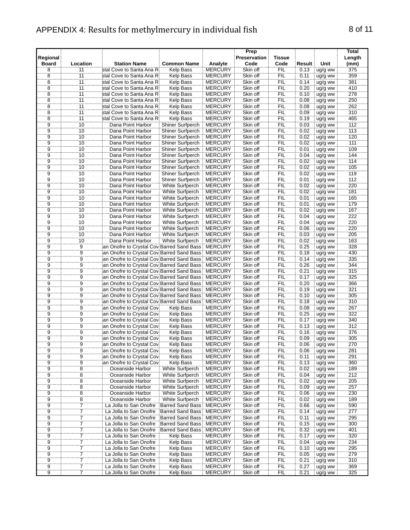#### APPENDIX 4: Results for methylmercury in individual fish 8 of 11

| Regional<br>Board | Location        | <b>Station Name</b>                             | <b>Common Name</b>      | Analyte        | Prep<br>Preservation<br>Code | <b>Tissue</b><br>Code | Result | Unit    | Total<br>Length<br>(mm) |
|-------------------|-----------------|-------------------------------------------------|-------------------------|----------------|------------------------------|-----------------------|--------|---------|-------------------------|
| 8                 | 11              | stal Cove to Santa Ana Ri                       | Kelp Bass               | <b>MERCURY</b> | Skin off                     | FIL                   | 0.13   | ug/g ww | 375                     |
| 8                 | 11              | stal Cove to Santa Ana Ri                       | Kelp Bass               | <b>MERCURY</b> | Skin off                     | FIL                   | 0.11   | ug/g ww | 359                     |
| $\overline{8}$    | 11              | stal Cove to Santa Ana Ri                       | Kelp Bass               | <b>MERCURY</b> | Skin off                     | FIL                   | 0.14   | ug/g ww | 381                     |
| $\overline{8}$    | $\overline{11}$ | stal Cove to Santa Ana Ri                       | Kelp Bass               | <b>MERCURY</b> | Skin off                     | FIL                   | 0.20   | ug/g ww | 410                     |
| $\overline{8}$    | 11              | stal Cove to Santa Ana Ri                       | Kelp Bass               | <b>MERCURY</b> | Skin off                     | FIL                   | 0.10   | ug/g ww | 278                     |
| $\overline{8}$    | 11              | stal Cove to Santa Ana Ri                       | Kelp Bass               | <b>MERCURY</b> | Skin off                     | <b>FIL</b>            | 0.08   | ug/g ww | 250                     |
| 8                 | 11              | stal Cove to Santa Ana Ri                       | Kelp Bass               | <b>MERCURY</b> | Skin off                     | <b>FIL</b>            | 0.08   | ug/g ww | 262                     |
| $\overline{8}$    | 11              | stal Cove to Santa Ana Ri                       | Kelp Bass               | <b>MERCURY</b> | Skin off                     | FIL                   | 0.09   | ug/g ww | 310                     |
| $\overline{8}$    | 11              | stal Cove to Santa Ana Ri                       | Kelp Bass               | <b>MERCURY</b> | Skin off                     | FIL                   | 0.19   | ug/g ww | 465                     |
|                   | 10              | Dana Point Harbor                               | Shiner Surfperch        | <b>MERCURY</b> | Skin off                     | FIL                   | 0.03   | ug/g ww | 112                     |
| 0   0   0   0   0 | 10              | Dana Point Harbor                               | Shiner Surfperch        | <b>MERCURY</b> | Skin off                     | FIL                   | 0.02   | ug/g ww | 113                     |
|                   | $\overline{10}$ | Dana Point Harbor                               | <b>Shiner Surfperch</b> | <b>MERCURY</b> | Skin off                     | <b>FIL</b>            | 0.02   | ug/g ww | 120                     |
|                   | $\overline{10}$ | Dana Point Harbor                               | Shiner Surfperch        | <b>MERCURY</b> | Skin off                     | FIL                   | 0.02   | ug/g ww | 111                     |
|                   | $\overline{10}$ | Dana Point Harbor                               | Shiner Surfperch        | <b>MERCURY</b> | Skin off                     | FIL                   | 0.01   | ug/g ww | 109                     |
|                   | 10              | Dana Point Harbor                               | Shiner Surfperch        | <b>MERCURY</b> | Skin off                     | <b>FIL</b>            | 0.04   | ug/g ww | 144                     |
| $\overline{9}$    | 10              | Dana Point Harbor                               | Shiner Surfperch        | <b>MERCURY</b> | Skin off                     | FIL                   | 0.02   | ug/g ww | 114                     |
|                   | 10              | Dana Point Harbor                               | Shiner Surfperch        | <b>MERCURY</b> | Skin off                     | FIL                   | 0.02   | ug/g ww | 105                     |
|                   | 10              | Dana Point Harbor                               | Shiner Surfperch        | <b>MERCURY</b> | Skin off                     | <b>FIL</b>            | 0.02   | ug/g ww | 119                     |
|                   | 10              | Dana Point Harbor                               | Shiner Surfperch        | <b>MERCURY</b> | Skin off                     | FIL                   | 0.01   | ug/g ww | 112                     |
| $\frac{9}{9}$     | $\overline{10}$ | Dana Point Harbor                               | White Surfperch         | <b>MERCURY</b> | Skin off                     | <b>FIL</b>            | 0.02   | ug/g ww | 220                     |
| 9                 | 10              | Dana Point Harbor                               | White Surfperch         | <b>MERCURY</b> | Skin off                     | <b>FIL</b>            | 0.02   | ug/g ww | 181                     |
| 9                 | 10              | Dana Point Harbor                               | White Surfperch         | <b>MERCURY</b> | Skin off                     | <b>FIL</b>            | 0.01   | ug/g ww | 165                     |
| 9                 | 10              | Dana Point Harbor                               | White Surfperch         | <b>MERCURY</b> | Skin off                     | <b>FIL</b>            | 0.01   | ug/g ww | 179                     |
| 9                 | 10              | Dana Point Harbor                               | White Surfperch         | <b>MERCURY</b> | Skin off                     | <b>FIL</b>            | 0.02   | ug/g ww | 167                     |
| 9                 | 10              | Dana Point Harbor                               | White Surfperch         | <b>MERCURY</b> | Skin off                     | <b>FIL</b>            | 0.04   | ug/g ww | 222                     |
| $\overline{9}$    | 10              | Dana Point Harbor                               | White Surfperch         | <b>MERCURY</b> | Skin off                     | <b>FIL</b>            | 0.04   | ug/g ww | 220                     |
| ġ                 | $\overline{10}$ | Dana Point Harbor                               | White Surfperch         | <b>MERCURY</b> | Skin off                     | FIL                   | 0.06   | ug/g ww | 220                     |
| Ï                 | 10              | Dana Point Harbor                               | <b>White Surfperch</b>  | <b>MERCURY</b> | Skin off                     | ΪË                    | 0.03   | ug/g ww | 205                     |
| $\overline{9}$    | 10              | Dana Point Harbor                               | White Surfperch         | <b>MERCURY</b> | Skin off                     | FIL                   | 0.02   | ug/g ww | 163                     |
| Ï.                | Ï9              | ian Onofre to Crystal Cov Barred Sand Bass      |                         | <b>MERCURY</b> | Skin off                     | FIL                   | 0.25   | ug/g ww | 328                     |
| $\overline{9}$    | $\overline{9}$  | ian Onofre to Crystal Cov Barred Sand Bass      |                         | <b>MERCURY</b> | Skin off                     | <b>FIL</b>            | 0.18   | ug/g ww | 430                     |
| $\overline{9}$    | $\overline{9}$  | ian Onofre to Crystal Cov Barred Sand Bass      |                         | <b>MERCURY</b> | Skin off                     | FIL                   | 0.14   | ug/g ww | 335                     |
| 9                 | $\overline{9}$  | ian Onofre to Crystal Cov Barred Sand Bass      |                         | <b>MERCURY</b> | Skin off                     | FIL                   | 0.26   | ug/g ww | 344                     |
| $\overline{9}$    | $\overline{9}$  | an Onofre to Crystal Cov Barred Sand Bass       |                         | <b>MERCURY</b> | Skin off                     | FIL                   | 0.21   | ug/g ww | 315                     |
|                   |                 | ian Onofre to Crystal Cov Barred Sand Bass i    |                         | <b>MERCURY</b> | Skin off                     | FIL                   | 0.17   | ug/g ww | 325                     |
|                   |                 | an Onofre to Crystal Cov Barred Sand Bass       |                         | <b>MERCURY</b> | Skin off                     | FIL                   | 0.20   | ug/g ww | 366                     |
|                   |                 | an Onofre to Crystal Cov Barred Sand Bass       |                         | <b>MERCURY</b> | Skin off                     | <b>FIL</b>            | 0.19   | ug/g ww | 321                     |
|                   |                 | ian Onofre to Crystal Cov Barred Sand Bass      |                         | <b>MERCURY</b> | Skin off                     | FIL                   | 0.10   | ug/g ww | 305                     |
|                   |                 | an Onofre to Crystal Cov Barred Sand Bass       |                         | <b>MERCURY</b> | Skin off                     | FIL                   | 0.18   | ug/g ww | 310                     |
| 0   0   0   0   0 | 0 0 0 0 0       | ian Onofre to Crystal Cov.                      | Kelp Bass               | <b>MERCURY</b> | Skin off                     | <b>FIL</b>            | 0.08   | ug/g ww | 267                     |
| $\overline{9}$    | $\overline{9}$  | an Onofre to Crystal Covi                       | Kelp Bass               | <b>MERCURY</b> | Skin off                     | FIL                   | 0.25   | ug/g ww | 322                     |
|                   |                 | ian Onofre to Crystal Cov.                      | Kelp Bass               | <b>MERCURY</b> | Skin off                     | FIL                   | 0.17   | ug/g ww | 340                     |
| $\frac{9}{9}$     | $\frac{9}{9}$   | an Onofre to Crystal Covi                       | Kelp Bass               | <b>MERCURY</b> | Skin off                     | <b>FIL</b>            | 0.13   | ug/g ww | 312                     |
| $\dddot{9}$       |                 | an Onofre to Crystal Covi                       | Kelp Bass               | <b>MERCURY</b> | Skin off                     | FIL                   | 0.16   | ug/g ww | 376                     |
| ğ                 | 9               | ian Onofre to Crvstal Covi                      | Kelp Bass               | <b>MERCURY</b> | Skin off                     | FIL                   | 0.09   | ug/g ww | 305                     |
| $\frac{1}{9}$     | $\frac{5}{9}$   | an Onofre to Crystal Cov.                       | Kelp Bass               | <b>MERCURY</b> | Skin off                     | FIL                   | 0.06   | ug/g ww | 270                     |
|                   |                 | an Onofre to Crystal Cov.                       | Kelp Bass               | <b>MERCURY</b> | Skin off                     | <b>FIL</b>            | 0.06   | ug/g ww | 281                     |
| 9                 | 9               | an Onofre to Crystal Cov.                       | <b>Kelp Bass</b>        | <b>MERCURY</b> | Skin off                     | <b>FIL</b>            | 0.11   | ug/g ww | 291                     |
| 9                 | $\overline{9}$  | ian Onofre to Crystal Covi                      | Kelp Bass               | <b>MERCURY</b> | Skin off                     | <b>FIL</b>            | 0.13   | ug/g ww | 360                     |
| 9                 | $\overline{8}$  | Oceanside Harbor                                | White Surfperch         | <b>MERCURY</b> | Skin off                     | <b>FIL</b>            | 0.02   | ug/g ww | 189                     |
|                   |                 | Oceanside Harbor                                | <b>White Surfperch</b>  | <b>MERCURY</b> | Skin off                     | FIL                   | 0.04   | ug/g ww | 212                     |
| $\frac{9}{9}$     | $\frac{8}{8}$   | Oceanside Harbor                                | White Surfperch         | <b>MERCURY</b> | Skin off                     | FIL                   | 0.02   | ug/g ww | 205                     |
|                   |                 | Oceanside Harbor                                | White Surfperch         | <b>MERCURY</b> | Skin off                     | <b>FIL</b>            | 0.09   | ug/g ww | 257                     |
|                   |                 | Oceanside Harbor                                | White Surfperch         | <b>MERCURY</b> | Skin off                     | FIL                   | 0.06   | ug/g ww | 230                     |
| $\frac{9}{9}$     | $\frac{8}{8}$   | Oceanside Harbor                                | White Surfperch         | <b>MERCURY</b> | Skin off                     | FIL                   | 0.02   | ug/g ww | 189                     |
| $\overline{9}$    | 7               | La Jolla to San Onofre                          | Barred Sand Bass        | <b>MERCURY</b> | Skin off                     | <b>FIL</b>            | 0.66   | ug/g ww | 590                     |
| $\overline{9}$    | $\overline{7}$  | La Jolla to San Onofre Barred Sand Bass MERCURY |                         |                | Skin off                     | <b>FIL</b>            | 0.14   | ug/g ww | 277                     |

 7 La Jolla to San Onofre Barred Sand Bass MERCURY Skin off FIL 0.11 ug/g ww 295 7 La Jolla to San Onofre Barred Sand Bass MERCURY Skin off FIL 0.15 ug/g ww 300 7 La Jolla to San Onofre Barred Sand Bass MERCURY Skin off FIL 0.32 ug/g ww 401 9 7 La Jolla to San Onofre Barred Sand Bass MERCURY Skin off FIL 0.32 ug/g ww 401<br>9 7 La Jolla to San Onofre Kelp Bass MERCURY Skin off FIL 0.17 ug/g ww 320<br>9 7 La Jolla to San Onofre Kelp Bass MERCURY Skin off FIL 0.04 ug 7 La Jolla to San Onofre Kelp Bass MERCURY Skin off FIL 0.04 ug/g ww 234 9 7 La Jolla to San Onofre Kelp Bass MERCURY Skin off FIL 0.10 ug/g ww 295 9 7 La Jolla to San Onofre Kelp Bass MERCURY Skin off FIL 0.05 ug/g ww 279<br>9 7 La Jolla to San Onofre Kelp Bass MERCURY Skin off FIL 0.21 ug/g ww 310 9 7 La Jolla to San Onofre Kelp Bass MERCURY Skin off FIL 0.21 lug/g ww 310<br>9 7 La Jolla to San Onofre Kelp Bass MERCURY Skin off FIL 0.27 lug/g ww 369<br>9 7 La Jolla to San Onofre Kelp Bass MERCURY Skin off FIL 0.21 lug/g w 9 7 La Jolla to San Onofre Kelp Bass MERCURY Skin off FIL 0.27 | ug/g ww | 369<br>9 7 La Jolla to San Onofre Kelp Bass MERCURY Skin off FIL 0.21 | ug/g ww | 325

La Jolla to San Onofre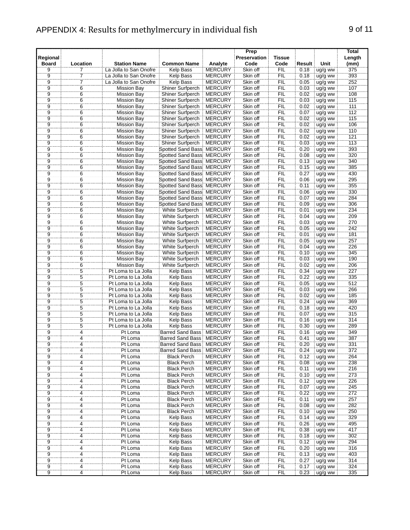## APPENDIX 4: Results for methylmercury in individual fish 9 of 11

|                          |                 |                        |                                  |                | Prep                 |                       |        |           | Total          |
|--------------------------|-----------------|------------------------|----------------------------------|----------------|----------------------|-----------------------|--------|-----------|----------------|
| Regional<br><b>Board</b> | Location        | <b>Station Name</b>    | <b>Common Name</b>               | Analyte        | Preservation<br>Code | <b>Tissue</b><br>Code | Result | Unit      | Length<br>(mm) |
| 9                        | 7               | La Jolla to San Onofre | <b>Kelp Bass</b>                 | <b>MERCURY</b> | Skin off             | FIL                   | 0.18   | ug/g ww   | 375            |
|                          | 7               | La Jolla to San Onofre | <b>Kelp Bass</b>                 | <b>MERCURY</b> | Skin off             | <b>FIL</b>            | 0.18   | ug/g ww   | 393            |
|                          | 7               | La Jolla to San Onofre | <b>Kelp Bass</b>                 | <b>MERCURY</b> | Skin off             | FIL                   | 0.05   | ug/g ww   | 252            |
| 9<br>9<br>9              | $\overline{6}$  | Mission Bay            | Shiner Surfperch                 | <b>MERCURY</b> | Skin off             | ÏΪ                    | 0.03   | $uq/q$ ww | 107            |
|                          | 6               | <b>Mission Bay</b>     | Shiner Surfperch                 | <b>MERCURY</b> | Skin off             | <b>FIL</b>            | 0.02   | ug/g ww   | 108            |
| 9                        | 6               | <b>Mission Bay</b>     | Shiner Surfperch                 | <b>MERCURY</b> | Skin off             | <b>FIL</b>            | 0.03   | ug/g ww   | 115            |
| 9                        | 6               | <b>Mission Bay</b>     | Shiner Surfperch                 | <b>MERCURY</b> | Skin off             | FIL                   | 0.02   | ug/g ww   | 111            |
| 9                        | 6               | <b>Mission Bay</b>     | Shiner Surfperch                 | <b>MERCURY</b> | Skin off             | <b>FIL</b>            | 0.07   | ug/g ww   | 112            |
| 9                        | 6               | <b>Mission Bay</b>     | Shiner Surfperch                 | <b>MERCURY</b> | Skin off             | FIL                   | 0.02   | ug/g ww   | 115            |
| $\overline{9}$           | $\overline{6}$  | <b>Mission Bay</b>     | Shiner Surfperch                 | <b>MERCURY</b> | Skin off             | FIL                   | 0.02   | ug/g ww   | 106            |
|                          | 6               | <b>Mission Bay</b>     | Shiner Surfperch                 | <b>MERCURY</b> | Skin off             | FIL                   | 0.02   | ug/g ww   | 110            |
|                          | $\overline{6}$  | <b>Mission Bay</b>     | Shiner Surfperch                 | <b>MERCURY</b> | Skin off             | FIL                   | 0.02   | ug/g ww   | 121            |
| 9<br>9<br>9              | $\overline{6}$  | <b>Mission Bay</b>     | Shiner Surfperch                 | <b>MERCURY</b> | Skin off             | ΪË                    | 0.03   | ug/g ww   | 113            |
|                          | $\overline{6}$  | <b>Mission Bay</b>     | Spotted Sand Bass MERCURY        |                | Skin off             | FIL                   | 0.20   | ug/g ww   | 393            |
| $\overline{9}$           | 6               | <b>Mission Bay</b>     | Spotted Sand Bass: MERCURY       |                | Skin off             | <b>FIL</b>            | 0.08   | ug/g ww   | 320            |
| $\overline{9}$           | 6               | <b>Mission Bay</b>     | Spotted Sand Bass: MERCURY       |                | Skin off             | FIL                   | 0.13   | ug/g ww   | 340            |
| $\overline{9}$           | $\overline{6}$  | <b>Mission Bay</b>     | Spotted Sand Bass MERCURY        |                | Skin off             | FIL                   | 0.15   | ug/g ww   | 385            |
| $\overline{9}$           | $\overline{6}$  | <b>Mission Bay</b>     | Spotted Sand Bass MERCURY        |                | Skin off             | FIL                   | 0.27   | ug/g ww   | 430            |
| $\overline{9}$           | $\overline{6}$  | <b>Mission Bay</b>     | Spotted Sand Bass: MERCURY       |                | Skin off             | FIL                   | 0.06   | ug/g ww   | 295            |
| $\bar{9}$                | $\overline{6}$  | <b>Mission Bay</b>     | Spotted Sand Bass MERCURY        |                | Skin off             | ÏΪ                    | 0.11   | ug/g ww   | 355            |
| $\ddot{\rm g}$           | $\overline{6}$  | <b>Mission Bay</b>     | Spotted Sand Bass MERCURY        |                | Skin off             | FIL                   | 0.06   | ug/g ww   | 330            |
| $\overline{9}$           | $\overline{6}$  | <b>Mission Bay</b>     | Spotted Sand Bass: MERCURY       |                | Skin off             | FIL                   | 0.07   | ug/g ww   | 284            |
| $\overline{9}$           | $6\phantom{1}6$ | <b>Mission Bay</b>     | Spotted Sand Bass MERCURY        |                | Skin off             | FIL                   | 0.09   | ug/g ww   | 306            |
| 9                        | 6               | <b>Mission Bay</b>     | White Surfperch                  | <b>MERCURY</b> | Skin off             | <b>FIL</b>            | 0.01   | ug/g ww   | 234            |
| 9                        | 6               | <b>Mission Bay</b>     | White Surfperch                  | <b>MERCURY</b> | Skin off             | FIL                   | 0.04   | ug/g ww   | 209            |
| $\overline{9}$           | $\overline{6}$  | <b>Mission Bay</b>     | White Surfperch                  | <b>MERCURY</b> | Skin off             | FIL                   | 0.03   | ug/g ww   | 270            |
|                          | $\overline{6}$  | <b>Mission Bay</b>     | <b>White Surfperch</b>           | <b>MERCURY</b> | Skin off             | FIL                   | 0.05   | ug/g ww   | 242            |
| $\frac{9}{9}$            | $6\phantom{.}$  | <b>Mission Bay</b>     | <b>White Surfperch</b>           | <b>MERCURY</b> | Skin off             | ΪFIL                  | 0.01   | ug/g ww   | 181            |
|                          | $\overline{6}$  | <b>Mission Bay</b>     | White Surfperch                  | <b>MERCURY</b> | Skin off             | ÏΪ                    | 0.05   | $uq/q$ ww | 257            |
| $\overline{9}$           | 6               | <b>Mission Bay</b>     | White Surfperch                  | <b>MERCURY</b> | Skin off             | FIL                   | 0.04   | ug/g ww   | 226            |
| 9                        | 6               | <b>Mission Bay</b>     | White Surfperch                  | <b>MERCURY</b> | Skin off             | FIL                   | 0.10   | ug/g ww   | 345            |
| 9                        | 6               | <b>Mission Bay</b>     | White Surfperch                  | <b>MERCURY</b> | Skin off             | FIL                   | 0.03   | ug/g ww   | 190            |
| 9                        | $6\phantom{1}$  | <b>Mission Bay</b>     | White Surfperch                  | <b>MERCURY</b> | Skin off             | FIL                   | 0.02   | ug/g ww   | 206            |
| 9                        | 5               | Pt Loma to La Jolla    | <b>Kelp Bass</b>                 | <b>MERCURY</b> | Skin off             | FIL                   | 0.34   | ug/g ww   | 227            |
| $\overline{9}$           | $\overline{5}$  | Pt Loma to La Jolla    | <b>Kelp Bass</b>                 | <b>MERCURY</b> | Skin off             | FIL                   | 0.22   | ug/g ww   | 335            |
|                          | $\overline{5}$  | Pt Loma to La Jolla    | Kelp Bass                        | <b>MERCURY</b> | Skin off             | FIL                   | 0.05   | ug/g ww   | 512            |
| $\frac{9}{9}$            | $\overline{5}$  | Pt Loma to La Jolla    | <b>Kelp Bass</b>                 | <b>MERCURY</b> | Skin off             | FIL                   | 0.03   | ug/g ww   | 266            |
| $\ddot{9}$               | $\overline{5}$  | Pt Loma to La Jolla    | Kelp Bass                        | <b>MERCURY</b> | Skin off             | FIL                   | 0.02   | ug/g ww   | 185            |
| Ï                        | $\overline{5}$  | Pt Loma to La Jolla    | Kelp Bass                        | <b>MERCURY</b> | Skin off             | FIL                   | 0.24   | ug/g ww   | 369            |
| $\boldsymbol{9}$         | 5               | Pt Loma to La Jolla    | Kelp Bass                        | <b>MERCURY</b> | Skin off             | FIL                   | 0.18   | ug/g ww   | 420            |
| $\overline{9}$           | $\overline{5}$  | Pt Loma to La Jolla    | <b>Kelp Bass</b>                 | <b>MERCURY</b> | Skin off             | FIL                   | 0.07   | ug/g ww   | 315            |
| $\overline{9}$           | $\overline{5}$  | Pt Loma to La Jolla    | <b>Kelp Bass</b>                 | <b>MERCURY</b> | Skin off             | FIL                   | 0.16   | ug/g ww   | 314            |
| $\ddot{9}$               | $\dddot{5}$     | Pt Loma to La Jolla    | <b>Kelp Bass</b>                 | <b>MERCURY</b> | Skin off             | FIL                   | 0.30   | ug/g ww   | 289            |
|                          | $\dddot{4}$     | Pt Loma                | <b>Barred Sand Bass</b>          | <b>MERCURY</b> | Skin off             | FIL                   | 0.16   | ug/g ww   | 349            |
| $\frac{9}{9}$            | $\overline{4}$  | Pt Loma                | <b>Barred Sand Bass</b>          | <b>MERCURY</b> | Skin off             | FIL                   | 0.41   | ug/g ww   | 387            |
| ğ                        | $\overline{4}$  | Pt Loma                | Barred Sand Bass: MERCURY        |                | Skin off             | FIL                   | 0.20   | ug/g ww   | 331            |
| 9                        | 4               | Pt Loma                | <b>Barred Sand Bass: MERCURY</b> |                | Skin off             | FIL                   | 0.24   | ug/g ww   | 372            |
| $\overline{9}$           | $\overline{4}$  | Pt Loma                | <b>Black Perch</b>               | <b>MERCURY</b> | Skin off             | <b>FIL</b>            | 0.12   | ug/g ww   | 264            |
| $\overline{9}$           | 4               | Pt Loma                | <b>Black Perch</b>               | <b>MERCURY</b> | Skin off             | <b>FIL</b>            | 0.08   | ug/g ww   | 238            |
| 9                        | 4               | Pt Loma                | <b>Black Perch</b>               | <b>MERCURY</b> | Skin off             | FIL                   | 0.11   | ug/g ww   | 216            |
|                          | $\overline{4}$  | Pt Loma                | <b>Black Perch</b>               | <b>MERCURY</b> | Skin off             | FIL                   | 0.10   | ug/g ww   | 273            |
|                          | ï,              | Pt Loma                | <b>Black Perch</b>               | <b>MERCURY</b> | Skin off             | FIL                   | 0.12   | ug/g ww   | 226            |
|                          | 4               | Pt Loma                | <b>Black Perch</b>               | <b>MERCURY</b> | Skin off             | <b>FIL</b>            | 0.07   | ug/g ww   | 245            |
| 9<br>9<br>9              | 4               | Pt Loma                | <b>Black Perch</b>               | <b>MERCURY</b> | Skin off             | FIL                   | 0.22   | ug/g ww   | 272            |
| $\overline{9}$           | $\ddot{4}$      | Pt Loma                | <b>Black Perch</b>               | <b>MERCURY</b> | Skin off             | FIL                   | 0.11   | ug/g ww   | 257            |
| $\overline{9}$           | 4               | Pt Loma                | <b>Black Perch</b>               | <b>MERCURY</b> | Skin off             | <b>FIL</b>            | 0.08   | ug/g ww   | 282            |
| 9                        | 4               | Pt Loma                | <b>Black Perch</b>               | <b>MERCURY</b> | Skin off             | <b>FIL</b>            | 0.10   | ug/g ww   | 250            |
| 9                        | $\overline{4}$  | Pt Loma                | Kelp Bass                        | <b>MERCURY</b> | Skin off             | <b>FIL</b>            | 0.14   | ug/g ww   | 329            |
| $\overline{9}$           | 4               | Pt Loma                | <b>Kelp Bass</b>                 | <b>MERCURY</b> | Skin off             | <b>FIL</b>            | 0.26   | ug/g ww   | 495            |
| $\overline{9}$           | $\overline{4}$  | Pt Loma                | <b>Kelp Bass</b>                 | <b>MERCURY</b> | Skin off             | FIL                   | 0.38   | ug/g ww   | 417            |
|                          | 4               | Pt Loma                | Kelp Bass                        | <b>MERCURY</b> | Skin off             | FIL                   | 0.18   | ug/g ww   | 302            |
|                          | 4               | Pt Loma                | Kelp Bass                        | <b>MERCURY</b> | Skin off             | FIL                   | 0.12   | ug/g ww   | 294            |
| $\frac{9}{9}$            | $\dddot{4}$     | Pt Loma                | Kelp Bass                        | <b>MERCURY</b> | Skin off             | FIL                   | 0.20   | ug/g ww   | 316            |
|                          | $\overline{4}$  | Pt Loma                | Kelp Bass                        | <b>MERCURY</b> | Skin off             | FIL                   | 0.13   | ug/g ww   | 403            |
| $\overline{9}$           | 4               | Pt Loma                | Kelp Bass                        | <b>MERCURY</b> | Skin off             | <b>FIL</b>            | 0.27   | ug/g ww   | 314            |
| $\widetilde{9}$          | $\overline{4}$  | Pt Loma                | Kelp Bass                        | <b>MERCURY</b> | Skin off             | FIL                   | 0.17   | ug/g ww   | 324            |
| $\overline{9}$           | $\overline{4}$  | Pt Loma                | Kelp Bass                        | <b>MERCURY</b> | Skin off             | FIL                   | 0.23   | ug/g ww   | 335            |
|                          |                 |                        |                                  |                |                      |                       |        |           |                |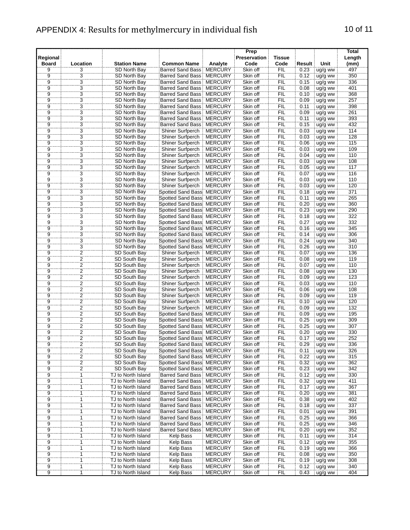## APPENDIX 4: Results for methylmercury in individual fish 10 of 11

|                          |                                   |                     |                                   |                | Prep                 |                       |        |         | <b>Total</b>     |
|--------------------------|-----------------------------------|---------------------|-----------------------------------|----------------|----------------------|-----------------------|--------|---------|------------------|
| Regional<br><b>Board</b> | Location                          | <b>Station Name</b> | <b>Common Name</b>                | Analyte        | Preservation<br>Code | <b>Tissue</b><br>Code | Result | Unit    | Length<br>(mm)   |
| 9                        | 3                                 | SD North Bay        | <b>Barred Sand Bass</b>           | <b>MERCURY</b> | Skin off             | FIL                   | 0.23   | ug/g ww | 497              |
|                          |                                   | SD North Bay        | <b>Barred Sand Bass</b>           | <b>MERCURY</b> | Skin off             | <b>FIL</b>            | 0.12   | ug/g ww | 350              |
| $\frac{9}{9}$            | $\frac{3}{3}$                     | SD North Bay        | Barred Sand Bass                  | <b>MERCURY</b> | Skin off             | ΪË                    | 0.15   | ug/g ww | 336              |
|                          |                                   | SD North Bay        | <b>Barred Sand Bass: MERCURY</b>  |                | Skin off             | FIL                   | 0.08   | ug/g ww | 401              |
| ğ                        | $\overline{3}$                    | SD North Bay        | <b>Barred Sand Bass</b>           | <b>MERCURY</b> | Skin off             | FIL                   | 0.10   | ug/g ww | 368              |
| $\overline{9}$           | $\overline{3}$                    | SD North Bay        | Barred Sand Bass                  | <b>MERCURY</b> | Skin off             | FIL                   | 0.09   | ug/g ww | 257              |
| 9                        | 3                                 | SD North Bay        | <b>Barred Sand Bass</b>           | <b>MERCURY</b> | Skin off             | FIL                   | 0.11   | ug/g ww | 398              |
| 9                        | $\overline{3}$                    | SD North Bay        | <b>Barred Sand Bass</b>           | <b>MERCURY</b> | Skin off             | <b>FIL</b>            | 0.09   | ug/g ww | 261              |
| 9                        | $\overline{3}$                    | SD North Bay        | <b>Barred Sand Bass</b>           | <b>MERCURY</b> | Skin off             | FIL                   | 0.11   | ug/g ww | 393              |
|                          |                                   | SD North Bay        | <b>Barred Sand Bass</b>           | <b>MERCURY</b> | Skin off             | FIL                   | 0.15   | ug/g ww | 432              |
|                          | $\frac{3}{3}$                     | SD North Bay        | Shiner Surfperch                  | <b>MERCURY</b> | Skin off             | FIL                   | 0.03   | ug/g ww | 114              |
| 0 0 0 0 0                |                                   | SD North Bay        | Shiner Surfperch                  | <b>MERCURY</b> | Skin off             | FIL                   | 0.03   | ug/g ww | 128              |
|                          | $\overline{3}$                    | SD North Bay        | Shiner Surfperch                  | <b>MERCURY</b> | Skin off             | FIL                   | 0.06   | ug/g ww | 115              |
|                          | $\overline{3}$                    | SD North Bay        | Shiner Surfperch                  | <b>MERCURY</b> | Skin off             | ÏFIL                  | 0.03   | ug/g ww | 109              |
|                          | $\overline{3}$                    | SD North Bay        | Shiner Surfperch                  | <b>MERCURY</b> | Skin off             | FIL                   | 0.04   | ug/g ww | 110              |
| $\overline{9}$           | $\overline{3}$                    | SD North Bay        | Shiner Surfperch                  | <b>MERCURY</b> | Skin off             | FIL                   | 0.03   | ug/g ww | 108              |
| $\overline{9}$           | $\overline{3}$                    | SD North Bay        | Shiner Surfperch                  | <b>MERCURY</b> | Skin off             | FIL                   | 0.05   | ug/g ww | $\overline{117}$ |
| $\frac{9}{9}$            | $\overline{3}$                    | SD North Bay        | Shiner Surfperch                  | <b>MERCURY</b> | Skin off             | FIL                   | 0.07   | ug/g ww | 116              |
|                          | $\overline{3}$                    | SD North Bay        | Shiner Surfperch                  | <b>MERCURY</b> | Skin off             | FIL                   | 0.03   | ug/g ww | 110              |
| ÿ                        | 3                                 | SD North Bay        | Shiner Surfperch                  | <b>MERCURY</b> | Skin off             | FIL                   | 0.03   | ug/g ww | 120              |
| ğ                        | $\overline{3}$                    | SD North Bay        | Spotted Sand Bass                 | <b>MERCURY</b> | Skin off             | FIL                   | 0.18   | ug/g ww | 371              |
| $\overline{9}$           | $\overline{3}$                    | SD North Bay        | Spotted Sand Bass: MERCURY        |                | Skin off             | FIL                   | 0.11   | ug/g ww | 265              |
| $\overline{9}$           | $\overline{3}$                    | SD North Bay        | Spotted Sand Bass: MERCURY        |                | Skin off             | <b>FIL</b>            | 0.20   | ug/g ww | 360              |
| 9                        | $\overline{3}$                    | SD North Bay        | Spotted Sand Bass: MERCURY        |                | Skin off             | <b>FIL</b>            | 0.23   | ug/g ww | 290              |
| 9                        | $\overline{3}$                    | SD North Bay        | Spotted Sand Bass: MERCURY        |                | Skin off             | FIL                   | 0.18   | ug/g ww | 322              |
| $\overline{9}$           | $\overline{3}$                    | SD North Bay        | <b>Spotted Sand Bass: MERCURY</b> |                | Skin off             | FIL                   | 0.27   | ug/g ww | 332              |
|                          |                                   | SD North Bay        | Spotted Sand Bass MERCURY         |                | Skin off             | <b>FIL</b>            | 0.16   | ug/g ww | 345              |
| 0 0 0 0                  | $3\overline{3}$<br>$\overline{3}$ | SD North Bay        | Spotted Sand Bass: MERCURY        |                | Skin off             | ΪË                    | 0.14   | ug/g ww | 306              |
|                          |                                   | SD North Bay        | Spotted Sand Bass: MERCURY        |                | Skin off             | FIL                   | 0.24   | ug/g ww | 340              |
|                          |                                   | SD North Bay        | Spotted Sand Bass: MERCURY        |                | Skin off             | FIL                   | 0.26   | ug/g ww | 310              |
| $\overline{9}$           | $\overline{2}$                    | SD South Bay        | Shiner Surfperch                  | <b>MERCURY</b> | Skin off             | FIL                   | 0.07   | ug/g ww | 136              |
| 9                        | $\overline{2}$                    | SD South Bay        | Shiner Surfperch                  | <b>MERCURY</b> | Skin off             | FIL                   | 0.08   | ug/g ww | 119              |
| 9                        | $\overline{2}$                    | SD South Bay        | Shiner Surfperch                  | <b>MERCURY</b> | Skin off             | FIL                   | 0.07   | ug/g ww | 110              |
| 9                        | $\overline{2}$                    | SD South Bay        | Shiner Surfperch                  | <b>MERCURY</b> | Skin off             | FIL                   | 0.08   | ug/g ww | 130              |
|                          | $\frac{2}{2}$ $\frac{2}{2}$       | <b>SD South Bay</b> | Shiner Surfperch                  | <b>MERCURY</b> | Skin off             | FIL                   | 0.09   | ug/g ww | 123              |
| 0 0 0 0 0                |                                   | SD South Bay        | Shiner Surfperch                  | <b>MERCURY</b> | Skin off             | FIL                   | 0.03   | ug/g ww | 110              |
|                          |                                   | SD South Bay        | Shiner Surfperch                  | <b>MERCURY</b> | Skin off             | FIL                   | 0.06   | ug/g ww | 108              |
|                          |                                   | SD South Bay        | Shiner Surfperch                  | <b>MERCURY</b> | Skin off             | FIL                   | 0.09   | ug/g ww | 119              |
|                          | $\overline{2}$                    | SD South Bay        | Shiner Surfperch                  | <b>MERCURY</b> | Skin off             | ÏFIL                  | 0.10   | ug/g ww | 120              |
|                          | $\overline{2}$                    | SD South Bay        | Shiner Surfperch                  | <b>MERCURY</b> | Skin off             | FIL                   | 0.09   | ug/g ww | 132              |
| $\overline{9}$           | $\overline{2}$                    | SD South Bay        | Spotted Sand Bass MERCURY         |                | Skin off             | FIL                   | 0.09   | ug/g ww | 195              |
| ğ                        | $\overline{2}$                    | SD South Bay        | Spotted Sand Bass: MERCURY        |                | Skin off             | FIL                   | 0.25   | ug/g ww | 309              |
| ÿ                        | $\frac{2}{2}$                     | SD South Bay        | Spotted Sand Bass MERCURY         |                | Skin off             | FIL                   | 0.25   | ug/g ww | 307              |
| $\ddot{\rm g}$           |                                   | <b>SD South Bay</b> | Spotted Sand Bass: MERCURY        |                | Skin off             | Έiμ                   | 0.20   | ug/g ww | 330              |
| ÿ                        |                                   | SD South Bay        | Spotted Sand Bass: MERCURY        |                | Skin off             | FIL                   | 0.17   | ug/g ww | 252              |
| ğ                        | $\overline{2}$                    | SD South Bay        | Spotted Sand Bass MERCURY         |                | Skin off             | FIL                   | 0.29   | ug/g ww | 336              |
| 9                        | $\overline{\mathbf{c}}$           | SD South Bay        | Spotted Sand Bass: MERCURY        |                | Skin off             | <b>FIL</b>            | 0.11   | ug/g ww | 326              |
| $\overline{9}$           | $\overline{2}$                    | SD South Bay        | Spotted Sand Bass MERCURY         |                | Skin off             | FIL                   | 0.22   | ug/g ww | 315              |
| 9                        | $\overline{2}$                    | SD South Bay        | Spotted Sand Bass: MERCURY        |                | Skin off             | <b>FIL</b>            | 0.32   | ug/g ww | 362              |
| 9                        |                                   | SD South Bay        | Spotted Sand Bass: MERCURY        |                | Skin off             | FIL                   | 0.23   | ug/g ww | 342              |
| 0 0 0 0 0                | $\frac{2}{1}$                     | TJ to North Island  | <b>Barred Sand Bass: MERCURY</b>  |                | Skin off             | FIL                   | 0.12   | ug/g ww | 330              |
|                          |                                   | TJ to North Island  | Barred Sand Bass   MERCURY        |                | Skin off             | <b>FIL</b>            | 0.32   | ug/g ww | 411              |
|                          | 1                                 | TJ to North Island  | Barred Sand Bass   MERCURY        |                | Skin off             | <b>FIL</b>            | 0.17   | ug/g ww | 367              |
|                          | j.                                | TJ to North Island  | Barred Sand Bass   MERCURY        |                | Skin off             | FIL                   | 0.20   | ug/g ww | 381              |
|                          | ï                                 | TJ to North Island  | <b>Barred Sand Bass MERCURY</b>   |                | Skin off             | FIL                   | 0.38   | ug/g ww | 402              |
|                          | 1                                 | TJ to North Island  | Barred Sand Bass MERCURY          |                | Skin off             | <b>FIL</b>            | 0.18   | ug/g ww | 337              |
| 9                        | 1                                 | TJ to North Island  | Barred Sand Bass MERCURY          |                | Skin off             | <b>FIL</b>            | 0.01   | ug/g ww | 391              |
| 9                        | $\overline{1}$                    | TJ to North Island  | Barred Sand Bass: MERCURY         |                | Skin off             | <b>FIL</b>            | 0.25   | ug/g ww | 366              |
| 9                        | 1                                 | TJ to North Island  | <b>Barred Sand Bass</b>           | <b>MERCURY</b> | Skin off             | <b>FIL</b>            | 0.25   | ug/g ww | 346              |
|                          | Ï                                 | TJ to North Island  | <b>Barred Sand Bass</b>           | <b>MERCURY</b> | Skin off             | FIL                   | 0.20   | ug/g ww | 352              |
| $\frac{9}{9}$            | Ï                                 | TJ to North Island  | Kelp Bass                         | <b>MERCURY</b> | Skin off             | FIL                   | 0.11   | ug/g ww | 314              |
|                          | ï                                 | TJ to North Island  | <b>Kelp Bass</b>                  | <b>MERCURY</b> | Skin off             | <b>FIL</b>            | 0.12   | ug/g ww | 355              |
|                          | ï                                 | TJ to North Island  | Kelp Bass                         | <b>MERCURY</b> | Skin off             | FIL                   | 0.19   | ug/g ww | 366              |
| ğ                        | Ï                                 | TJ to North Island  | Kelp Bass                         | <b>MERCURY</b> | Skin off             | FIL                   | 0.08   | ug/g ww | 350              |
| 9                        | $\overline{\mathbf{1}}$           | TJ to North Island  | Kelp Bass                         | <b>MERCURY</b> | Skin off             | <b>FIL</b>            | 0.19   | ug/g ww | 308              |
| $\overline{9}$           | Ï,                                | TJ to North Island  | Kelp Bass                         | <b>MERCURY</b> | Skin off             | FIL                   | 0.12   | ug/g ww | 340              |
| 9                        | ï                                 | TJ to North Island  | Kelp Bass                         | <b>MERCURY</b> | Skin off             | <b>FIL</b>            | 0.43   | ug/g ww | 404              |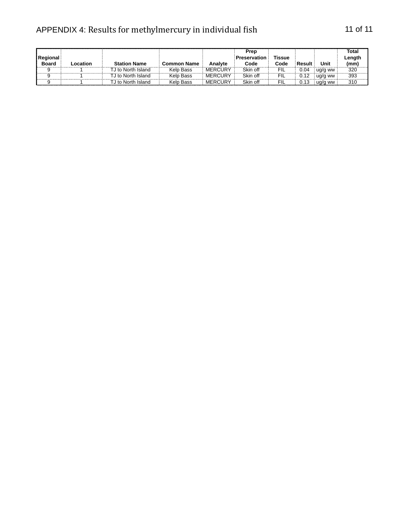## APPENDIX 4: Results for methylmercury in individual fish 11 of 11

| Regional<br><b>Board</b> | Location | <b>Station Name</b> | <b>Common Name</b> | Analyte        | Prep<br><b>Preservation</b><br>Code | Tissue<br>Code | Result | Unit    | Total<br>Length<br>(mm) |
|--------------------------|----------|---------------------|--------------------|----------------|-------------------------------------|----------------|--------|---------|-------------------------|
|                          |          | TJ to North Island  | <b>Kelp Bass</b>   | <b>MERCURY</b> | Skin off                            | FIL            | 0.04   | ug/g ww | 320                     |
|                          |          | TJ to North Island  | Kelp Bass          | <b>MERCURY</b> | Skin off                            | FIL            |        | ua/a ww | 393                     |
|                          |          | J to North Island   | Kelp Bass          | <b>MERCURY</b> | Skin off                            | FIL            |        | ua/a ww | 310                     |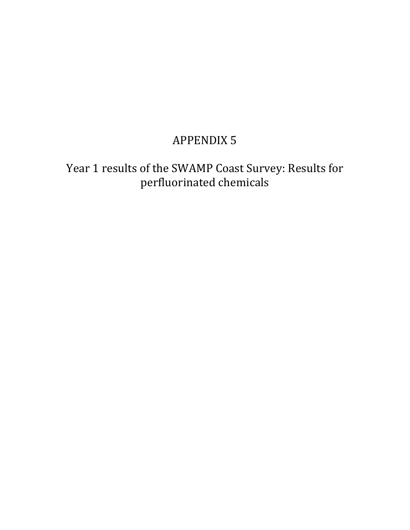# **APPENDIX 5**

Year 1 results of the SWAMP Coast Survey: Results for perfluorinated chemicals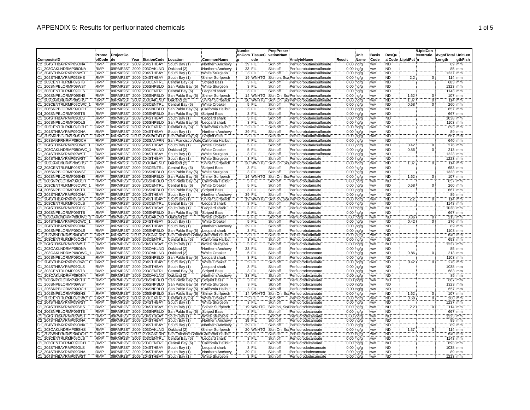|                                              |                          |           |                                                    |                                       |                                     | <b>Numbe</b> |                   | <b>PrepPreser</b>    |                                                      |        |                              |                  |                        |                 | LipidCon       |                    |                    |
|----------------------------------------------|--------------------------|-----------|----------------------------------------------------|---------------------------------------|-------------------------------------|--------------|-------------------|----------------------|------------------------------------------------------|--------|------------------------------|------------------|------------------------|-----------------|----------------|--------------------|--------------------|
|                                              | Protoc                   | ProjectCo |                                                    |                                       |                                     |              | rinCom TissueC    | vationNam            |                                                      |        | Unit                         | Basis            | ResQu                  |                 | centratio      | AvgofTotal UnitLen |                    |
| CompositeID                                  | olCode                   | de        | Year StationCode                                   | Location                              | CommonName                          |              | ode               |                      | AnalyteName                                          | Result | :Name                        | Code             |                        | alCode LipidPct |                | :Length            | gthFish            |
| C2 204STHBAYRMP09ONA                         | <b>RMP</b>               |           | 09RMP2ST 2009 204STHBAY                            | South Bay (1)                         | Northern Anchovy                    |              | 39 FIL            | Skin off             | Perfluorobutanesulfonate                             |        | $0.00$ ing/g                 | ww               | ND)                    |                 |                |                    | 89 mm              |
| C1 203OAKLNDRMP09ONA                         | <b>RMP</b>               |           | 09RMP2ST 2009 203OAKLND                            | Oakland (2)                           | Northern Anchovy                    |              | 33 FIL            | Skin off             | Perfluorobutanesulfonate                             |        | 0.00 ing/g                   | <b>WW</b>        | <b>ND</b>              |                 |                |                    | 85 mm              |
| C2 204STHBAYRMP09WST                         | <b>RMP</b>               |           | 09RMP2ST 2009 204STHBAY                            | South Bay (1)                         | White Sturgeon                      |              | 3 FIL             | Skin off             | Perfluorobutanesulfonate                             |        | $0.00$ ing/g                 | <b>WW</b>        | <b>ND</b>              |                 |                |                    | 1237 mm            |
| C1 204STHBAYRMP09SHS<br>C2 203CENTRLRMP09STB | <b>RMP</b><br><b>RMP</b> |           | 09RMP2ST 2009 204STHBAY                            | South Bay (1)                         | Shiner Surfperch                    |              | 19 WNHTG<br>3 FIL | Skin on,<br>Skin off | Sca Perfluorobutanesulfonate                         |        | $0.00$ ing/g                 | ww               | <b>ND</b><br><b>ND</b> | 2.2             | $\overline{0}$ |                    | 114 mm<br>683 mm   |
|                                              | <b>RMP</b>               |           | 09RMP2ST 2009 203CENTRL<br>09RMP2ST 2009 206SNPBLO | Central Bay (6)                       | <b>Striped Bass</b>                 |              | 3 FIL             |                      | Perfluorobutanesulfonate<br>Perfluorobutanesulfonate |        | $0.00$ :ng/g                 | ww               | ND                     |                 |                |                    | 1323 mm            |
| C1_206SNPBLORMP09WST<br>C1_203CENTRLRMP09OLS | <b>RMP</b>               |           | 09RMP2ST 2009 203CENTRL                            | San Pablo Bay (5)<br>Central Bay (6)  | White Sturgeon<br>Leopard shark     |              | 3 FIL             | Skin off<br>Skin off | Perfluorobutanesulfonate                             |        | $0.00$ ing/g<br>$0.00$ ng/g  | <b>WW</b><br>ww  | <b>ND</b>              |                 |                |                    | 1143 mm            |
| C1 206SNPBLORMP09SHS                         | <b>RMP</b>               |           | 09RMP2ST 2009 206SNPBLO                            | San Pablo Bay (5)                     | Shiner Surfperch                    |              | 14 WNHTG          |                      | Skin On. Sc: Perfluorobutanesulfonate                |        | $0.00$ :ng/g                 | ww               | <b>ND</b>              | 1.62            | $\mathbf 0$    |                    | 107 mm             |
| 21 203OAKLNDRMP09SHS                         | <b>RMP</b>               |           | 09RMP2ST 2009 203OAKLND                            | Oakland (2)                           | Shiner Surfperch                    |              | 20 WNHTG          |                      | Skin On, Sc: Perfluorobutanesulfonate                |        | $0.00$ ing/g                 | <b>WW</b>        | <b>ND</b>              | 1.37            | Ō              |                    | 114 mm             |
| C1_203CENTRLRMP09OWC                         | <b>RMP</b>               |           | 09RMP2ST 2009 203CENTRL                            | Central Bay (6)                       | White Croaker                       |              | 5 FIL             | Skin off             | Perfluorobutanesulfonate                             |        | $0.00$ ng/g                  | ww               | <b>ND</b>              | 0.68            | ö              |                    | 260 mm             |
| C1_206SNPBLORMP09OCH                         | <b>RMP</b>               |           | 09RMP2ST 2009 206SNPBLO                            | San Pablo Bay (5)                     | California Halibut                  |              | 3 FIL             | Skin off             | Perfluorobutanesulfonate                             |        | $0.00$ :ng/g                 | ww               | <b>ND</b>              |                 |                |                    | 657 mm             |
| C4 206SNPBLORMP09STB                         | <b>RMP</b>               |           | 09RMP2ST 2009 206SNPBLO                            | San Pablo Bay (5)                     | <b>Striped Bass</b>                 |              | 3 FIL             | Skin off             | Perfluorobutanesulfonate                             |        | $0.00$ ing/g                 | .ww              | <b>ND</b>              |                 |                |                    | 667 mm             |
| 21 204STHBAYRMP09OLS                         | <b>RMP</b>               |           | 09RMP2ST 2009 204STHBAY                            | South Bay (1)                         | Leopard shark                       |              | 3 FIL             | Skin off             | Perfluorobutanesulfonate                             |        | $0.00$ ; ng/g                | ww               | <b>ND</b>              |                 |                |                    | 038 mm             |
| C1 206SNPBLORMP09OLS                         | <b>RMP</b>               |           | 09RMP2ST 2009 206SNPBLO                            | San Pablo Bay (5)                     | Leopard shark                       |              | 3 FIL             | Skin off             | Perfluorobutanesulfonate                             |        | $0.00$ ing/g                 | ww               | <b>ND</b>              |                 |                |                    | 1103 mm            |
| C1 203CENTRLRMP09OCH                         | <b>RMP</b>               |           | 09RMP2ST 2009 203CENTRL                            | Central Bay (6)                       | California Halibut                  |              | 3 FIL             | Skin off             | Perfluorobutanesulfonate                             |        | $0.00$ ing/g                 | ww               | <b>ND</b>              |                 |                |                    | 693 mm             |
| C1_204STHBAYRMP09ONA                         | <b>RMP</b>               |           | 09RMP2ST 2009 204STHBAY                            | South Bay (1)                         | Northern Anchovy                    |              | 39 FIL            | Skin off             | Perfluorobutanesulfonate                             |        | $0.00$ ing/g                 | ww               | <b>ND</b>              |                 |                |                    | 89 mm              |
| C3 206SNPBLORMP09STB                         | <b>RMP</b>               |           | 09RMP2ST 2009 206SNPBLO                            | San Pablo Bay (5)                     | <b>Striped Bass</b>                 |              | 3 FIL             | Skin off             | Perfluorobutanesulfonate                             |        | $0.00$ ing/g                 | ww               | <b>ND</b>              |                 |                |                    | 667 mm             |
| C1_203SANFRNRMP09OCH                         | <b>RMP</b>               |           | 09RMP2ST 2009 203SANFRN                            | San Francisco Wate California Halibut |                                     |              | 3 FIL             | Skin off             | Perfluorobutanesulfonate                             |        | $0.00$ ing/g                 | ww               | <b>ND</b>              |                 |                |                    | 640 mm             |
| C1_204STHBAYRMP09OWC                         | <b>RMP</b>               |           | 09RMP2ST 2009 204STHBAY                            | South Bay (1)                         | <b>White Croaker</b>                |              | 5 FIL             | Skin off             | Perfluorobutanesulfonate                             |        | $0.00$ ing/g                 | :ww              | ND                     | 0.42            | 0              |                    | 276 mm             |
| 21 203OAKLNDRMP09OWC                         | <b>RMP</b>               |           | 09RMP2ST 2009 203OAKLND                            | Oakland (2)                           | <b>White Croaker</b>                |              | 5 FIL             | Skin off             | Perfluorobutanesulfonate                             |        | $0.00$ ing/g                 | ww               | ND <sup>-</sup>        | 0.86            | ö              |                    | 213 mm             |
| C1_204STHBAYRMP09WST                         | <b>RMP</b>               |           | 09RMP2ST 2009 204STHBAY                            | South Bay (1)                         | White Sturgeon                      |              | 3 FIL             | Skin off             | Perfluorobutanesulfonate                             |        | $0.00$ ; ng/g                | ww               | <b>ND</b>              |                 |                |                    | 1223 mm            |
| C1 204STHBAYRMP09WST                         | <b>RMP</b>               |           | 09RMP2ST 2009 204STHBAY                            | South Bay (1)                         | White Sturgeon                      |              | $3$ FIL           | Skin off             | Perfluorobutanoate                                   |        | $0.00$ :ng/g                 | ww               | <b>ND</b>              |                 |                |                    | 1223 mm            |
| C1 203OAKLNDRMP09SHS                         | <b>RMP</b><br>RMP        |           | 09RMP2ST 2009 203OAKLND                            | Oakland (2)                           | Shiner Surfperch                    |              | 20 WNHTG<br>3 FIL | <b>Skin On</b>       | Sc: Perfluorobutanoate                               |        | $0.00$ ing/g                 | ww               | ND<br><b>ND</b>        | 1.37            | 0              |                    | 114 mm             |
| C2 203CENTRLRMP09STB<br>C1 206SNPBLORMP09WST | <b>RMP</b>               |           | 09RMP2ST 2009 203CENTRL<br>09RMP2ST 2009 206SNPBLO | Central Bay (6)<br>San Pablo Bay (5)  | <b>Striped Bass</b>                 |              | $3$ FIL           | Skin off<br>Skin off | Perfluorobutanoate<br>Perfluorobutanoate             |        | $0.00$ ; ng/g                | ww               | ND                     |                 |                |                    | 683 mm             |
| C1_206SNPBLORMP09SHS                         | <b>RMP</b>               |           | 09RMP2ST: 2009 206SNPBLO                           | San Pablo Bay (5)                     | White Sturgeon<br>Shiner Surfperch  |              | 14 WNHTG          | Skin On.             | Sc: Perfluorobutanoate                               |        | $0.00$ ing/g                 | .ww<br>ww        | <b>ND</b>              |                 |                |                    | 1323 mm<br>107:mm  |
| C1 206SNPBLORMP09OCH                         | <b>RMP</b>               |           | 09RMP2ST 2009 206SNPBLO                            | San Pablo Bay (5)                     | California Halibut                  |              | 3 FIL             | Skin off             | Perfluorobutanoate                                   |        | $0.00$ ing/g<br>$0.00$ ing/g | ww               | <b>ND</b>              | 1.62            | $\overline{0}$ |                    | 657 mm             |
| C1 203CENTRLRMP09OWC                         | RMP                      |           | 09RMP2ST 2009 203CENTRL                            | Central Bay (6)                       | <b>White Croaker</b>                |              | 5 FIL             | Skin off             | Perfluorobutanoate                                   |        | $0.00$ ing/g                 | ww               | ND                     | 0.68            | $\overline{0}$ |                    | 260 mm             |
| C4 206SNPBLORMP09STB                         | <b>RMP</b>               |           | 09RMP2ST 2009 206SNPBLO                            | San Pablo Bay (5)                     | <b>Striped Bass</b>                 |              | 3 FIL             | Skin off             | Perfluorobutanoate                                   |        | $0.00$ ng/g                  | ww               | <b>ND</b>              |                 |                |                    | 667 mm             |
| C2 204STHBAYRMP09ONA                         | <b>RMP</b>               |           | 09RMP2ST 2009 204STHBAY                            | South Bay (1)                         | Northern Anchovy                    |              | 39 FIL            | Skin off             | Perfluorobutanoate                                   |        | $0.00$ : ng/g                | .ww              | ND                     |                 |                |                    | 89 mm              |
| 204STHBAYRMP09SHS                            | <b>RMP</b>               |           | 09RMP2ST 2009 204STHBAY                            | South Bay (1)                         | Shiner Surfperch                    |              | 19 WNH            | Skin on,             | Perfluorobutanoate                                   |        | $0.00$ ing/g                 | .ww              | ND                     | 2.2             | 0              |                    | 114 mm             |
| C1 203CENTRLRMP09OLS                         | <b>RMP</b>               |           | 09RMP2ST 2009 203CENTRL                            | Central Bay (6)                       | Leopard shark                       |              | 3 FIL             | Skin off             | Perfluorobutanoate                                   |        | $0.00$ ng/g                  | ww               | <b>ND</b>              |                 |                |                    | 143 mm             |
| C1 204STHBAYRMP09OLS                         | <b>RMP</b>               |           | 09RMP2ST 2009 204STHBAY                            | South Bay (1)                         | Leopard shark                       |              | 3 FIL             | Skin off             | Perfluorobutanoate                                   |        | $0.00$ :ng/g                 | :ww              | <b>ND</b>              |                 |                |                    | 1038 mm            |
| C3 206SNPBLORMP09STB                         | <b>RMP</b>               |           | 09RMP2ST 2009 206SNPBLO                            | San Pablo Bay (5)                     | <b>Striped Bass</b>                 |              | 3 FIL             | Skin off             | Perfluorobutanoate                                   |        | $0.00$ ing/g                 | :ww              | ND.                    |                 |                |                    | 667 mm             |
| C1 203OAKLNDRMP09OWC                         | <b>RMP</b>               |           | 09RMP2ST 2009 203OAKLND                            | Oakland (2)                           | <b>White Croaker</b>                |              | 5 FIL             | Skin off             | Perfluorobutanoate                                   |        | $0.00$ ing/g                 | ww               | <b>ND</b>              | 0.86            |                |                    | 213:mm             |
| C1 204STHBAYRMP09OWC                         | <b>RMP</b>               |           | 09RMP2ST 2009 204STHBAY                            | South Bay (1)                         | <b>White Croaker</b>                |              | 5 FIL             | Skin off             | Perfluorobutanoate                                   |        | $0.00$ ing/g                 | ww               | <b>ND</b>              | 0.42            | ö              |                    | 276 mm             |
| C1 204STHBAYRMP09ONA                         | <b>RMP</b>               |           | 09RMP2ST 2009 204STHBAY                            | South Bay (1)                         | Northern Anchovy                    |              | 39 FIL            | Skin off             | Perfluorobutanoate                                   |        | $0.00$ ing/g                 | ww               | <b>ND</b>              |                 |                |                    | 89 mm              |
| 21 206SNPBLORMP09OLS                         | <b>RMP</b>               |           | 09RMP2ST 2009 206SNPBLO                            | San Pablo Bay (5)                     | Leopard shark                       |              | 3 FIL             | Skin off             | Perfluorobutanoate                                   |        | $0.00$ ; ng/g                | ww               | ÑĎ                     |                 |                |                    | 1103 :mm           |
| C1_203SANFRNRMP09OCH                         | <b>RMP</b>               |           | 09RMP2ST 2009 203SANFRN                            | San Francisco Wate California Halibut |                                     |              | 3 FIL             | Skin off             | Perfluorobutanoate                                   |        | $0.00$ ing/g                 | ww               | <b>ND</b>              |                 |                |                    | 640 mm             |
| C1 203CENTRLRMP09OCH                         | <b>RMF</b>               |           | 09RMP2ST 2009 203CENTRL                            | Central Bay (6)                       | California Halibut                  |              | 3 FIL             | Skin off             | Perfluorobutanoate                                   |        | $0.00$ ing/g                 | <b>WW</b>        | <b>ND</b>              |                 |                |                    | 693 mm             |
| C2 204STHBAYRMP09WS                          | <b>RMP</b>               |           | 09RMP2ST 2009 204STHBAY                            | South Bay (1)                         | White Sturgeon                      |              | $3$ FIL           | Skin off             | Perfluorobutanoate                                   |        | $0.00$ ing/g                 | ww               | <b>ND</b>              |                 |                |                    | 1237 mm            |
| C1 203OAKLNDRMP09ONA                         | <b>RMP</b><br><b>RMP</b> |           | 09RMP2ST 2009 203OAKLND                            | Oakland (2)                           | Northern Anchovy                    |              | 33 FIL            | Skin off             | Perfluorobutanoate                                   |        | $0.00$ ing/g                 | <b>WW</b>        | <b>ND</b>              |                 |                |                    | 85 mm              |
| 203OAKLNDRMP09OWC<br>C1_206SNPBLORMP09OLS    | <b>RMP</b>               |           | 09RMP2ST 2009 203OAKLND<br>09RMP2ST 2009 206SNPBLO | Oakland (2)<br>San Pablo Bay (5)      | White Croaker<br>Leopard shark      |              | 5 FIL<br>3 FIL    | Skin off<br>Skin off | Perfluorodecanoate<br>Perfluorodecanoate             |        | $0.00$ ng/g<br>$0.00$ ing/g  | <b>WW</b><br>ww  | ND<br><b>ND</b>        | 0.86            | $\Omega$       |                    | 213 mm<br>1103 mm  |
| C1_204STHBAYRMP09OWC_                        | <b>RMP</b>               |           | 09RMP2ST 2009 204STHBAY                            | South Bay (1)                         | White Croaker                       |              | 5 FIL             | Skin off             | Perfluorodecanoate                                   |        | $0.00$ ing/g                 | ww               | ND <sup>®</sup>        | 0.42            |                |                    | 276 mm             |
| C1 204STHBAYRMP09OLS                         | <b>RMP</b>               |           | 09RMP2ST 2009 204STHBAY                            | South Bay (1)                         | Leopard shark                       |              | 3 FIL             | Skin off             | Perfluorodecanoate                                   |        | $0.00$ ng/g                  | ww               | <b>ND</b>              |                 |                |                    | 038 mm             |
| C2_203CENTRLRMP09STB                         | <b>RMP</b>               |           | 09RMP2ST 2009 203CENTRL                            | Central Bay (6)                       | <b>Striped Bass</b>                 |              | 3 FIL             | Skin off             | Perfluorodecanoate                                   |        | $0.00$ ; $ng/g$              | ww               | <b>ND</b>              |                 |                |                    | 683 mm             |
| C1 203OAKLNDRMP09ONA                         | <b>RMP</b>               |           | 09RMP2ST 2009 203OAKLND                            | Oakland (2)                           | Northern Anchovy                    |              | 33 FIL            | Skin off             | Perfluorodecanoate                                   |        | $0.00$ ing/g                 | ww               | <b>ND</b>              |                 |                |                    | 85 mm              |
| C3 206SNPBLORMP09STB                         | RMP                      |           | 09RMP2ST 2009 206SNPBLO                            | San Pablo Bay (5)                     | <b>Striped Bass</b>                 |              | 3 FIL             | Skin off             | Perfluorodecanoate                                   |        | $0.00$ ; ng/g                | ww               | <b>ND</b>              |                 |                |                    | 667 mm             |
| C1_206SNPBLORMP09WST                         | <b>RMP</b>               |           | 09RMP2ST 2009 206SNPBLO                            | San Pablo Bay (5)                     | White Sturgeon                      |              | 3 FIL             | Skin off             | Perfluorodecanoate                                   |        | $0.00$ ing/g                 | ww               | <b>ND</b>              |                 |                |                    | 1323 mm            |
| C1_206SNPBLORMP09OCH                         | <b>RMP</b>               |           | 09RMP2ST 2009 206SNPBLO                            | San Pablo Bay (5)                     | California Halibut                  |              | 3 FIL             | Skin off             | Perfluorodecanoate                                   |        | $0.00$ ng/g                  | ww               | <b>ND</b>              |                 |                |                    | 657 mm             |
| C1_206SNPBLORMP09SHS                         | <b>RMP</b>               |           | 09RMP2ST 2009 206SNPBLO                            | San Pablo Bay (5)                     | Shiner Surfperch                    |              | 14 WNHTG          | Skin On              | Sc: Perfluorodecanoate                               |        | $0.00$ ing/g                 | : ww             | <b>ND</b>              | 1.62            | $\Omega$       |                    | 107 mm             |
| C1_203CENTRLRMP09OWC                         | <b>RMP</b>               |           | 09RMP2ST 2009 203CENTRL                            | Central Bay (6)                       | <b>White Croaker</b>                |              | 5 FIL             | Skin off             | Perfluorodecanoate                                   |        | 0.00 ing/g                   | ww               | <b>ND</b>              | 0.68            | ö              |                    | 260 mm             |
| C2 204STHBAYRMP09WST                         | <b>RMF</b>               |           | 09RMP2ST 2009 204STHBAY                            | South Bay (1)                         | White Sturgeon                      |              | 3 FIL             | Skin off             | Perfluorodecanoate                                   |        | $0.00$ ing/g                 | <b>WW</b>        | <b>ND</b>              |                 |                |                    | 1237 mm            |
| C1_204STHBAYRMP09SHS                         | <b>RMP</b>               |           | 09RMP2ST 2009 204STHBAY                            | South Bay (1)                         | Shiner Surfperch                    |              | 19 WNHTG          | Skin on,             | a Perfluorodecanoate                                 |        | $0.00$ ing/g                 | .ww              | ND                     | 2.2             | $\mathbf 0$    |                    | 114 mm             |
| C4 206SNPBLORMP09STB                         | <b>RMP</b>               |           | 09RMP2ST 2009 206SNPBLO                            | San Pablo Bay (5                      | <b>Striped Bass</b>                 |              | 3 FIL             | Skin off             | Perfluorodecanoate                                   |        | $0.00$ ing/g                 | ww               | ND                     |                 |                |                    | 667 mm             |
| C1_204STHBAYRMP09WST                         | <b>RMP</b>               |           | 09RMP2ST 2009 204STHBAY                            | South Bay (1)                         | White Sturgeon                      |              | 3 FIL             | Skin off             | Perfluorodecanoate                                   |        | $0.00$ ng/g                  | ww               | <b>ND</b>              |                 |                |                    | 1223 mm            |
| C2_204STHBAYRMP09ONA                         | <b>RMP</b>               |           | 09RMP2ST 2009 204STHBAY                            | South Bay (1)                         | Northern Anchovy                    |              | 39 FIL            | Skin off             | Perfluorodecanoate                                   |        | $0.00$ :ng/g                 | ww               | <b>ND</b>              |                 |                |                    | 89 mm              |
| C1 204STHBAYRMP09ONA                         | <b>RMP</b>               |           | 09RMP2ST 2009 204STHBAY                            | South Bay (1)                         | Northern Anchovy                    |              | 39 FIL            | Skin off             | Perfluorodecanoate                                   |        | $0.00$ ing/g                 | <b>WW</b>        | <b>ND</b>              |                 |                |                    | $89 \, \text{mm}$  |
| C1 203OAKLNDRMP09SHS                         | <b>RMP</b><br><b>RMP</b> |           | 09RMP2ST 2009 203OAKLND                            | Oakland (2)                           | Shiner Surfperch                    |              | 20 WNHTG<br>3 FIL | Skin On.<br>Skin off | Sc: Perfluorodecanoate                               |        | $0.00$ ng/g                  | ww               | <b>ND</b><br><b>ND</b> | 1.37            |                |                    | $114 \, \text{mm}$ |
| C1 203SANFRNRMP09OCH<br>C1 203CENTRLRMP09OLS | <b>RMP</b>               |           | 09RMP2ST 2009 203SANFRN<br>09RMP2ST 2009 203CENTRL | San Francisco Wate<br>Central Bay (6) | California Halibut<br>Leopard shark |              | 3 FIL             | Skin off             | Perfluorodecanoate<br>Perfluorodecanoate             |        | $0.00$ :ng/g<br>$0.00$ ing/g | :ww<br><b>WW</b> | <b>ND</b>              |                 |                |                    | 640 mm<br>1143 mm  |
| 21 203CENTRLRMP09OCH                         | <b>RMP</b>               |           | 09RMP2ST 2009 203CENTRL                            | Central Bay (6)                       | California Halibut                  |              | 3 FIL             | Skin off             | Perfluorodecanoate                                   |        | $0.00$ ; ng/g                | ww               | <b>ND</b>              |                 |                |                    | 693 mm             |
| C1 204STHBAYRMP09OLS                         | <b>RMP</b>               |           | 09RMP2ST 2009 204STHBAY                            | South Bay (1)                         | Leopard shark                       |              | 3 FIL             | Skin off             | Perfluorododecanoate                                 |        | $0.00$ :ng/g                 | :ww              | <b>ND</b>              |                 |                |                    | 1038 mm            |
| C2 204STHBAYRMP09ONA                         | <b>RMP</b>               |           | 09RMP2ST 2009 204STHBAY                            | South Bay (1)                         | Northern Anchovy                    |              | 39 FIL            | Skin off             | Perfluorododecanoate                                 |        | 0.00 ng/g                    | ww               | <b>ND</b>              |                 |                |                    | 89 mm              |
| C1 204STHBAYRMP09WST                         | <b>RMP</b>               |           | 09RMP2ST 2009 204STHBAY                            | South Bay (1)                         | White Sturgeon                      |              | 3 FIL             | Skin off             | Perfluorododecanoate                                 |        | $0.00$ : na/a                | ww               | 'ND                    |                 |                |                    | 1223 mm            |
|                                              |                          |           |                                                    |                                       |                                     |              |                   |                      |                                                      |        |                              |                  |                        |                 |                |                    |                    |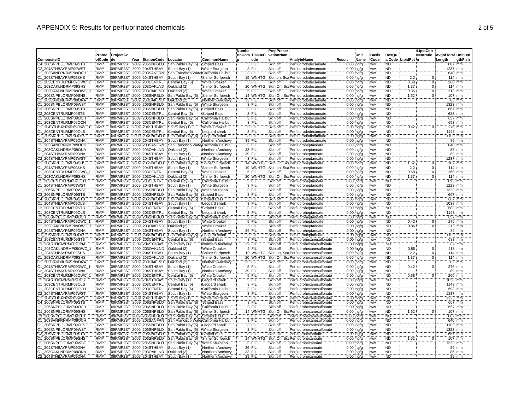|                                              |                          |           |                                                     |                                        |                                         | <b>Numbe</b>   |                   | PrepPreser           |                                                      |                               |      |                              |                        |                   | <b>LipidCon</b> |                    |                   |
|----------------------------------------------|--------------------------|-----------|-----------------------------------------------------|----------------------------------------|-----------------------------------------|----------------|-------------------|----------------------|------------------------------------------------------|-------------------------------|------|------------------------------|------------------------|-------------------|-----------------|--------------------|-------------------|
|                                              | Protoc                   | ProjectCo |                                                     |                                        |                                         | rinCom TissueC |                   | vationNam            |                                                      |                               | Unit | <b>Basis</b>                 | ResQu                  |                   | centratio       | AvgofTotal UnitLen |                   |
| CompositeID                                  | olCode                   | de        | Year StationCode                                    | Location                               | CommonName                              |                | ode               |                      | AnalyteName                                          | Result                        | Name | Code                         |                        | alCode LipidPct n |                 | Length             | gthFish           |
| C4 206SNPBLORMP09STB                         | <b>RMP</b>               |           | 09RMP2ST 2009 206SNPBLO                             | San Pablo Bay (5)                      | <b>Striped Bass</b>                     |                | 3 FIL             | Skin off             | Perfluorododecanoate                                 | $0.00$ ng/g                   |      | <b>WW</b>                    | ND.                    |                   |                 |                    | 667 mm            |
| C2 204STHBAYRMP09WST                         | <b>RMP</b>               |           | 09RMP2ST 2009 204STHBAY                             | South Bay (1)                          | White Sturgeon                          |                | 3 FIL             | Skin off             | Perfluorododecanoate                                 | $0.00$ ing/g                  |      | ww                           | <b>ND</b>              |                   |                 |                    | 237 mm            |
| C1 203SANFRNRMP09OCH                         | <b>RMP</b>               |           | 09RMP2ST 2009 203SANFRN                             | San Francisco Wate California Halibut  |                                         |                | 3 FIL             | Skin off             | Perfluorododecanoate                                 | $0.00$ ing/g                  |      | ww                           | <b>ND</b>              |                   |                 |                    | 640 mm            |
| C1 204STHBAYRMP09SHS                         | <b>RMP</b>               |           | 09RMP2ST 2009 204STHBAY                             | South Bay (1)                          | Shiner Surfperch                        |                | 19 WNHTG          | Skin on,             | Sca Perfluorododecanoate                             | $0.00$ ing/g                  |      | ww                           | <b>ND</b>              | 2.2               | $\overline{0}$  |                    | 114 mm            |
| C1 203CENTRLRMP09OWC                         | <b>RMP</b>               |           | 09RMP2ST 2009 203CENTRL                             | Central Bay (6)                        | <b>White Croaker</b>                    |                | 5 FIL             | Skin off             | Perfluorododecanoate                                 | $0.00$ :ng/g                  |      | :ww                          | <b>ND</b>              | 0.68              | $\Omega$        |                    | 260 mm            |
| C1 203OAKLNDRMP09SHS                         | <b>RMP</b>               |           | 09RMP2ST 2009 203OAKLND                             | Oakland (2)                            | Shiner Surfperch                        |                | 20 WNHTG          | Skin On,             | Sc: Perfluorododecanoate                             | $0.00$ ing/g                  |      | .ww                          | <b>ND</b>              | 1.37              | 0               |                    | $114$ mm          |
| C1_203OAKLNDRMP09OWC_                        | <b>RMP</b>               |           | 09RMP2ST 2009 203OAKLND                             | Oakland (2)                            | <b>White Croaker</b>                    |                | 5 FIL             | Skin off             | Perfluorododecanoate                                 | $0.00$ ng/g                   |      | <b>WW</b>                    | <b>ND</b>              | 0.86              | ö               |                    | 213 mm            |
| C1 206SNPBLORMP09SHS                         | <b>RMP</b>               |           | 09RMP2ST 2009 206SNPBLO                             | San Pablo Bay (5)                      | Shiner Surfperch                        |                | 14 WNHTG          |                      | Skin On, Sc: Perfluorododecanoate                    | $0.00$ :ng/g                  |      | .ww                          | <b>ND</b>              | 1.62              | $\Omega$        |                    | 107 mm            |
| 21 203OAKLNDRMP09ONA                         | RMP                      |           | 09RMP2ST 2009 203OAKLND                             | Oakland (2)                            | Northern Anchovy                        | 33 FIL         |                   | Skin off             | Perfluorododecanoate                                 | $0.00$ ing/g                  |      | ww                           | <b>ND</b>              |                   |                 |                    | $85 \, \text{mm}$ |
| C1_206SNPBLORMP09WST                         | RMP                      |           | 09RMP2ST 2009 206SNPBLO                             | San Pablo Bay (5)                      | White Sturgeon                          |                | 3 FIL             | Skin off             | Perfluorododecanoate                                 | $0.00$ ng/g                   |      | ww                           | ÑĎ                     |                   |                 | 1323 mm            |                   |
| C3 206SNPBLORMP09STB                         | <b>RMP</b>               |           | 09RMP2ST 2009 206SNPBLO                             | San Pablo Bay (5)                      | <b>Striped Bass</b>                     |                | 3 FIL             | Skin off             | Perfluorododecanoate                                 | $0.00$ ing/g                  |      | .ww                          | <b>ND</b>              |                   |                 |                    | 667 mm            |
| 22_203CENTRLRMP09STB                         | <b>RMP</b>               |           | 09RMP2ST 2009 203CENTRL                             | Central Bay (6)                        | <b>Striped Bass</b>                     |                | 3 FIL             | Skin off             | Perfluorododecanoate                                 | $0.00$ ing/g                  |      | ww                           | <b>ND</b>              |                   |                 |                    | 683 mm            |
| 21 206SNPBLORMP09OCH                         | <b>RMP</b>               |           | 09RMP2ST 2009 206SNPBLO                             | San Pablo Bay (5)                      | California Halibut                      |                | 3 FIL             | Skin off             | Perfluorododecanoate                                 | $0.00$ ; ng/g                 |      | ww                           | ÑĎ                     |                   |                 |                    | 657 mm            |
| C1_203CENTRLRMP09OCH                         | <b>RMP</b>               |           | 09RMP2ST 2009 203CENTRL                             | Central Bay (6)                        | California Halibut                      |                | 3 FIL             | Skin off             | Perfluorododecanoate                                 | $0.00$ ing/g                  |      | .ww                          | <b>ND</b>              |                   |                 |                    | 693 mm            |
| C1 204STHBAYRMP09OWC                         | <b>RMP</b>               |           | 09RMP2ST 2009 204STHBAY                             | South Bay (1)                          | <b>White Croaker</b>                    | 5 FIL          |                   | Skin off             | Perfluorododecanoate                                 | $0.00$ ing/g                  |      | ww                           | <b>ND</b>              | 0.42              | 0               |                    | 276 :mm           |
| C1_203CENTRLRMP09OLS                         | <b>RMP</b>               |           | 09RMP2ST 2009 203CENTRL                             | Central Bay (6)                        | Leopard shark                           | 3 FIL          |                   | Skin off             | Perfluorododecanoate                                 | $0.00$ ; ng/g                 |      | ww                           | <b>ND</b>              |                   |                 | 1143 mm            |                   |
| C1 206SNPBLORMP09OLS                         | <b>RMP</b>               |           | 09RMP2ST 2009 206SNPBLO                             | San Pablo Bay (5)                      | Leopard shark                           |                | 3 FIL             | Skin off             | Perfluorododecanoate                                 | $0.00$ ing/g                  |      | :ww                          | <b>ND</b>              |                   |                 |                    | 1103 mm           |
| C1_204STHBAYRMP09ONA                         | <b>RMP</b>               |           | 09RMP2ST 2009 204STHBAY                             | South Bay (1)                          | Northern Anchovy                        | 39 FIL         |                   | Skin off             | Perfluorododecanoate                                 | $0.00$ ing/g                  |      | ww                           | <b>ND</b>              |                   |                 |                    | 89 mm             |
| C1 203SANFRNRMP09OCH                         | <b>RMP</b>               |           | 09RMP2ST 2009 203SANFRN                             | San Francisco Wate California Halibut  |                                         |                | 3 FIL             | Skin off             | Perfluoroheptanoate                                  | $0.00$ ing/g                  |      | :ww                          | <b>ND</b>              |                   |                 |                    | 640 mm            |
| C1_203OAKLNDRMP09ONA                         | <b>RMP</b>               |           | 09RMP2ST 2009 203OAKLND                             | Oakland (2)                            | Northern Anchovy                        | 33 FIL         |                   | Skin off             | Perfluoroheptanoate                                  | $0.00$ ing/g                  |      | :ww                          | <b>ND</b>              |                   |                 |                    | $85 \cdot mm$     |
| C1_204STHBAYRMP09ONA                         | <b>RMP</b>               |           | 09RMP2ST 2009 204STHBAY                             | South Bay (1                           | Northern Anchovy                        | 39 FIL         |                   | Skin off             | Perfluoroheptanoate                                  | $0.00$ ; ng/g                 |      | .ww                          | ÑĎ                     |                   |                 |                    | 89 mm             |
| C2 204STHBAYRMP09WST                         | <b>RMP</b>               |           | 09RMP2ST 2009 204STHBAY                             | South Bay (1)                          | White Sturgeon                          | 3 FIL          |                   | Skin off             | Perfluoroheptanoate                                  | $0.00$ :ng/g                  |      | .ww                          | <b>ND</b>              |                   |                 |                    | 237 mm            |
| C1 206SNPBLORMP09SHS                         | <b>RMP</b>               |           | 09RMP2ST 2009 206SNPBLO                             | San Pablo Bay (5                       | Shiner Surfperch                        |                | 14 WNHTG          | :Skin On.            | Sc: Perfluoroheptanoate                              | $0.00$ ing/g                  |      | <b>WW</b>                    | <b>ND</b>              | 1.62              | $\Omega$        |                    | 107 mm            |
| C1 204STHBAYRMP09SHS                         | RMP                      |           | 09RMP2ST 2009 204STHBAY                             | South Bay (1)                          | Shiner Surfperch                        |                | 19 WNHTG          |                      | Skin on, Sca Perfluoroheptanoate                     | $0.00$ ;ng/g                  |      | ww                           | ÑĎ                     | 2.2               | $\overline{0}$  |                    | 114 mm            |
| C1_203CENTRLRMP09OWC                         | <b>RMP</b>               |           | 09RMP2ST 2009 203CENTRL                             | Central Bay (6)                        | <b>White Croaker</b>                    |                | 5 FIL             | Skin off             | Perfluoroheptanoate                                  | $0.00$ ing/g                  |      | ww                           | <b>ND</b>              | 0.68              | ö               |                    | 260 mm            |
| C1_203OAKLNDRMP09SHS                         | <b>RMP</b>               |           | 09RMP2ST 2009 203OAKLND                             | Oakland (2)                            | Shiner Surfperch                        |                | 20 WNHTG          | Skin On.             | Sc: Perfluoroheptanoate                              | $0.00$ ing/g                  |      | ww                           | <b>ND</b>              | 1.37              | $\mathbf{0}$    |                    | 114:mm            |
| C1 203CENTRLRMP09OCH                         | <b>RMP</b>               |           | 09RMP2ST 2009 203CENTRL                             | Central Bay (6)                        | California Halibut                      |                | 3 FIL             | Skin off             | Perfluoroheptanoate                                  | $0.00$ ing/g                  |      | .ww                          | <b>ND</b>              |                   |                 |                    | 693 mm            |
| C1_204STHBAYRMP09WST                         | <b>RMP</b>               |           | 09RMP2ST 2009 204STHBAY                             | South Bay (1)                          | <b>White Sturgeon</b>                   |                | 3 FIL             | Skin off             | Perfluoroheptanoate                                  | $0.00$ ing/g                  |      | ww                           | <b>ND</b>              |                   |                 | 1223 mm            |                   |
| C1 206SNPBLORMP09WST                         | <b>RMP</b>               |           | 09RMP2ST 2009 206SNPBLO                             | San Pablo Bay (5)                      | White Sturgeon                          |                | 3 FIL             | Skin off             | Perfluoroheptanoate                                  | $0.00$ : ng/g                 |      | .ww                          | <b>ND</b>              |                   |                 | 1323 mm            |                   |
| C3_206SNPBLORMP09STB                         | <b>RMP</b>               |           | 09RMP2ST 2009 206SNPBLO                             | San Pablo Bay (5)                      | <b>Striped Bass</b>                     | 3 FIL          |                   | Skin off             | Perfluoroheptanoate                                  | $0.00$ :ng/g                  |      | ww                           | <b>ND</b>              |                   |                 |                    | 667 mm            |
| C4 206SNPBLORMP09STB                         | <b>RMP</b><br>RMP        |           | 09RMP2ST 2009 206SNPBLO                             | San Pablo Bay (5                       | <b>Striped Bass</b>                     |                | 3 FIL<br>3 FIL    | Skin off<br>Skin off | Perfluoroheptanoate                                  | $0.00$ ing/g                  |      | ww                           | <b>ND</b><br><b>ND</b> |                   |                 |                    | 667 mm            |
| C1 204STHBAYRMP09OLS                         | <b>RMP</b>               |           | 09RMP2ST 2009 204STHBAY                             | South Bay (1)                          | Leopard shark                           |                | 3 FIL             | Skin off             | Perfluoroheptanoate                                  | $0.00$ ng/g                   |      | ww                           | <b>ND</b>              |                   |                 | 1038 mm            | 683 mm            |
| C2 203CENTRLRMP09STB                         | RMP                      |           | 09RMP2ST 2009 203CENTRL<br>09RMP2ST 2009 203CENTRL  | Central Bay (6)                        | <b>Striped Bass</b>                     | 3 FIL          |                   | Skin off             | Perfluoroheptanoate                                  | $0.00$ :ng/g                  |      | ww                           | <b>ND</b>              |                   |                 | 1143 mm            |                   |
| C1_203CENTRLRMP09OLS<br>C1 206SNPBLORMP09OCH | RMP                      |           | 09RMP2ST 2009 206SNPBLO                             | Central Bay (6)<br>San Pablo Bay (5)   | Leopard shark<br>California Halibut     |                | 3 FIL             | Skin off             | Perfluoroheptanoate<br>Perfluoroheptanoate           | $0.00$ $ng/g$<br>$0.00$ ng/g  |      | ww<br>ww                     | ÑĎ                     |                   |                 |                    | 657 mm            |
| C1_204STHBAYRMP09OWC                         | <b>RMP</b>               |           | 09RMP2ST 2009 204STHBAY                             | South Bay (1)                          | <b>White Croaker</b>                    |                | 5 FIL             | Skin off             | Perfluoroheptanoate                                  | $0.00$ :ng/g                  |      | : ww                         | <b>ND</b>              | 0.42              | ö               |                    | 276 mm            |
| C1 203OAKLNDRMP09OWC                         | <b>RMP</b>               |           | 09RMP2ST 2009 203OAKLND                             | Oakland (2)                            | <b>White Croaker</b>                    |                | 5 FIL             | Skin off             | Perfluoroheptanoate                                  | $0.00$ ng/g                   |      | ww                           | <b>ND</b>              | 0.86              | $\overline{0}$  |                    | 213 mm            |
| C2 204STHBAYRMP09ONA                         | <b>RMP</b>               |           | 09RMP2ST 2009 204STHBAY                             | South Bay (1)                          | Northern Anchovy                        | 39 FIL         |                   | Skin off             | Perfluoroheptanoate                                  | $0.00$ ; ng/g                 |      | ww                           | ÑĎ                     |                   |                 |                    | 89 mm             |
| C1 206SNPBLORMP09OLS                         | RMP                      |           | 09RMP2ST 2009 206SNPBLO                             | San Pablo Bay (5)                      | Leopard shark                           |                | 3 FIL             | Skin off             | Perfluoroheptanoate                                  | $0.00$ ing/g                  |      | .ww                          | <b>ND</b>              |                   |                 | 1103 mm            |                   |
| C2 203CENTRLRMP09STB                         | <b>RMP</b>               |           | 09RMP2ST 2009 203CENTRL                             | Central Bay (6)                        | <b>Striped Bass</b>                     |                | 3 FIL             | Skin off             | Perfluorohexanesulfonate                             | $0.00$ ing/g                  |      | ww                           | <b>ND</b>              |                   |                 |                    | 683 mm            |
| C1 204STHBAYRMP09ONA                         | <b>RMP</b>               |           | 09RMP2ST 2009 204STHBAY                             | South Bay (1)                          | Northern Anchovy                        | 39 FIL         |                   | Skin off             | Perfluorohexanesulfonate                             | $0.00$ ing/g                  |      | ww                           | <b>ND</b>              |                   |                 |                    | 89 mm             |
| C1_203OAKLNDRMP09OWC                         | <b>RMP</b>               |           | 09RMP2ST 2009 203OAKLND                             | Oakland (2)                            | White Croaker                           |                | 5 FIL             | Skin off             | Perfluorohexanesulfonate                             | $0.00$ ing/g                  |      | : ww                         | <b>ND</b>              | 0.86              | ö               |                    | $213$ ; mm        |
| C1 204STHBAYRMP09SHS                         | <b>RMP</b>               |           | 09RMP2ST 2009 204STHBAY                             | South Bay (1)                          | Shiner Surfperch                        |                | 19 WNHTG          |                      | Skin on, Sca Perfluorohexanesulfonate                | $0.00$ ng/g                   |      | ww                           | <b>ND</b>              | 2.2               | ö               |                    | 114 mm            |
| C1 203OAKLNDRMP09SHS                         | <b>RMP</b>               |           | 09RMP2ST 2009 203OAKLND                             | Oakland (2)                            | Shiner Surfperch                        |                | 20 WNHTG          |                      | Skin On, Sc: Perfluorohexanesulfonate                | $0.00$ ing/g                  |      | :ww                          | <b>ND</b>              | 1.37              | $\overline{0}$  |                    | 114 mm            |
| C1_203OAKLNDRMP09ONA                         | <b>RMP</b>               |           | 09RMP2ST 2009 203OAKLND                             | Oakland (2)                            | Northern Anchovy                        | 33 FIL         |                   | Skin off             | Perfluorohexanesulfonate                             | $0.00$ ing/g                  |      | :ww                          | <b>ND</b>              |                   |                 |                    | 85 mm             |
| C1 204STHBAYRMP09OWC                         | <b>RMP</b>               |           | 09RMP2ST 2009 204STHBAY                             | South Bay (1)                          | White Croaker                           |                | 5 FIL             | Skin off             | Perfluorohexanesulfonate                             | $0.00$ ; ng/g                 |      | ww                           | ÑĎ                     | 0.42              | 0               |                    | 276 mm            |
| C2 204STHBAYRMP09ONA                         | <b>RMP</b>               |           | 09RMP2ST 2009 204STHBAY                             | South Bay (1)                          | Northern Anchovy                        | 39 FIL         |                   | Skin off             | Perfluorohexanesulfonate                             | $0.00$ ;ng/g                  |      | .ww                          | <b>ND</b>              |                   |                 |                    | 89 mm             |
| C1_203CENTRLRMP09OWC                         | RMP                      |           | 09RMP2ST 2009 203CENTRL                             | Central Bay (6)                        | <b>White Croaker</b>                    | 5 FIL          |                   | Skin off             | Perfluorohexanesulfonate                             | $0.00$ :ng/g                  |      | ww                           | <b>ND</b>              | 0.68              | $\overline{0}$  |                    | 260 mm            |
| C1 204STHBAYRMP09OLS                         | <b>RMP</b>               |           | 09RMP2ST 2009 204STHBAY                             | South Bay (1)                          | Leopard shark                           |                | 3 FIL             | Skin off             | Perfluorohexanesulfonate                             | $0.00$ ; ng/g                 |      | ww                           | ÑĎ                     |                   |                 | 1038 mm            |                   |
| C1 203CENTRLRMP09OLS                         | <b>RMP</b>               |           | 09RMP2ST 2009 203CENTRL                             | Central Bay (6)                        | Leopard shark                           |                | 3 FIL             | Skin off             | Perfluorohexanesulfonate                             | $0.00$ ing/g                  |      | <b>WW</b>                    | <b>ND</b>              |                   |                 | 1143 mm            |                   |
| C1_203CENTRLRMP09OCH                         | <b>RMP</b>               |           | 09RMP2ST 2009 203CENTRL                             | Central Bay (6)                        | California Halibut                      | 3 FIL          |                   | Skin off             | Perfluorohexanesulfonate                             | $0.00$ ing/g                  |      | ww                           | <b>ND</b>              |                   |                 |                    | 693 mm            |
| C2 204STHBAYRMP09WST                         | <b>RMP</b>               |           | 09RMP2ST 2009 204STHBAY                             | South Bay (1)                          | White Sturgeon                          | 3 FIL          |                   | Skin off             | Perfluorohexanesulfonate                             | $0.00$ :ng/g                  |      | ww                           | <b>ND</b>              |                   |                 | 1237 mm            |                   |
| C1 204STHBAYRMP09WS                          | <b>RMP</b>               |           | 09RMP2ST 2009 204STHBAY                             | South Bay (1)                          | <b>White Sturgeon</b>                   |                | 3 FIL             | Skin off             | Perfluorohexanesulfonate                             | $0.00$ ing/g                  |      | ww                           | <b>ND</b>              |                   |                 | 1223 mm            |                   |
| C4 206SNPBLORMP09STB                         | <b>RMP</b>               |           | 09RMP2ST 2009 206SNPBLO                             | San Pablo Bay (5)                      | <b>Striped Bass</b>                     | 3 FIL          |                   | Skin off             | Perfluorohexanesulfonate                             | $0.00$ ing/g                  |      | ww                           | <b>ND</b>              |                   |                 |                    | 667 mm            |
| C1 206SNPBLORMP09OCH                         | <b>RMP</b>               |           | 09RMP2ST 2009 206SNPBLO                             | San Pablo Bay (5)                      | California Halibut                      | $3$ Fil        |                   | Skin off             | Perfluorohexanesulfonate                             | $0.00$ : ng/g                 |      | : ww                         | <b>ND</b>              |                   |                 |                    | 657 mm            |
| C1 206SNPBLORMP09SHS                         | <b>RMP</b><br><b>RMP</b> |           | 09RMP2ST: 2009 206SNPBLO<br>09RMP2ST 2009 206SNPBLO | San Pablo Bay (5)<br>San Pablo Bay (5) | Shiner Surfperch<br><b>Striped Bass</b> |                | 14 WNHTG<br>3 FIL | Skin On.<br>Skin off | Perfluorohexanesulfonate<br>Perfluorohexanesulfonate | $0.00$ ing/g                  |      | : <sub>WW</sub><br><b>WW</b> | <b>ND</b><br>ÑĎ        | 1.62              | $\Omega$        |                    | 107 mm<br>667 mm  |
| C3_206SNPBLORMP09STB<br>C1 203SANFRNRMP09OCH | <b>RMP</b>               |           | 09RMP2ST 2009 203SANFRN                             | San Francisco Wate California Halibut  |                                         |                | 3 FIL             | Skin off             | Perfluorohexanesulfonate                             | $0.00$ $ng/g$<br>$0.00$ :ng/g |      | : WW                         | <b>ND</b>              |                   |                 | 640 mm             |                   |
| C1_206SNPBLORMP09OLS                         | <b>RMP</b>               |           | 09RMP2ST 2009 206SNPBLO                             | San Pablo Bay (5)                      | Leopard shark                           |                | 3 FIL             | Skin off             | Perfluorohexanesulfonate                             | $0.00$ :ng/g                  |      | :ww                          | <b>ND</b>              |                   |                 | 1103 mm            |                   |
| C1 206SNPBLORMP09WST                         | RMP                      |           | 09RMP2ST 2009 206SNPBLO                             | San Pablo Bay (5)                      | White Sturgeon                          |                | 3 FIL             | Skin off             | Perfluorohexanesulfonate                             | $0.00$ ng/g                   |      | .<br>WW                      | ÑĎ                     |                   |                 | 1323 mm            |                   |
| C3 206SNPBLORMP09STB                         | <b>RMP</b>               |           | 09RMP2ST 2009 206SNPBLO                             | San Pablo Bay (5)                      | <b>Striped Bass</b>                     |                | 3 FIL             | Skin off             | Perfluorohexanoate                                   | $0.00$ :ng/g                  |      | :ww                          | <b>ND</b>              |                   |                 |                    | 667 mm            |
| C1 206SNPBLORMP09SHS                         | <b>RMP</b>               |           | 09RMP2ST 2009 206SNPBLO                             | San Pablo Bay (5)                      | Shiner Surfperch                        |                | 14 WNHTG          | Skin On,             | <b>Perfluorohexanoate</b>                            | $0.00$ ing/g                  |      | ww                           | <b>ND</b>              | 1.62              | $\overline{0}$  |                    | 107 mm            |
| 21 206SNPBLORMP09WST                         | <b>RMP</b>               |           | 09RMP2ST 2009 206SNPBLO                             | San Pablo Bay (5)                      | White Sturgeon                          |                | 3 FIL             | Skin off             | Perfluorohexanoate                                   | $0.00$ ; ng/g                 |      | .ww                          | ÑĎ                     |                   |                 |                    | 323 mm            |
| C1 204STHBAYRMP09ONA                         | <b>RMP</b>               |           | 09RMP2ST 2009 204STHBAY                             | South Bay (1)                          | Northern Anchovy                        | 39 FIL         |                   | Skin off             | Perfluorohexanoate                                   | $0.00$ ing/g                  |      | ww                           | <b>ND</b>              |                   |                 |                    | 89 mm             |
| C1 203OAKLNDRMP09ONA                         | <b>RMP</b>               |           | 09RMP2ST: 2009 203OAKLND                            | Oakland (2)                            | Northern Anchovy                        | 33 FIL         |                   | Skin off             | Perfluorohexanoate                                   | $0.00$ ing/g                  |      | ww                           | <b>ND</b>              |                   |                 |                    | 85 mm             |
| C2 204STHBAYRMP09ONA                         | RMP                      |           | 09RMP2ST 2009 204STHBAY                             | South Bay (1)                          | Northern Anchovy                        | 39 FIL         |                   | Skin off             | Perfluorohexanoate                                   | $0.00$ ; ng/g                 |      | ww                           | <b>ND</b>              |                   |                 |                    | 89 mm             |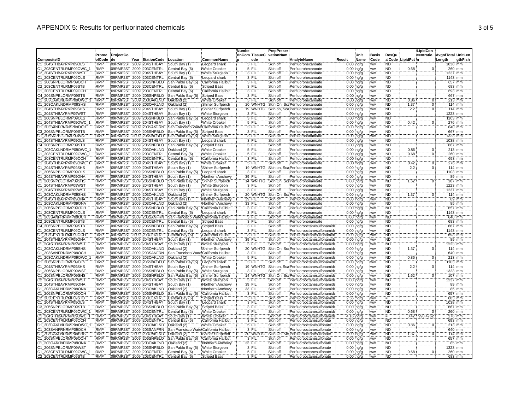|                                              |                          |           |                                                    |                                                      |                                        | <b>Numbe</b> |                   | <b>PrepPreser</b>    |                                                          |        |                               |                  |                        |                 | <b>LipidCon</b> |                    |                  |
|----------------------------------------------|--------------------------|-----------|----------------------------------------------------|------------------------------------------------------|----------------------------------------|--------------|-------------------|----------------------|----------------------------------------------------------|--------|-------------------------------|------------------|------------------------|-----------------|-----------------|--------------------|------------------|
|                                              | Protoc                   | ProjectCo |                                                    |                                                      |                                        |              | rinCom TissueC    | vationNam            |                                                          |        | Unit                          | <b>Basis</b>     | ResQu                  |                 | centratio       | AvgofTotal UnitLen |                  |
| CompositeID                                  | olCode                   | de        | Year StationCode                                   | Location                                             | CommonName                             |              | ode               |                      | AnalyteName                                              | Result | Name                          | <b>Code</b>      |                        | alCode LipidPct |                 | :Length            | gthFish          |
| 1 204STHBAYRMP09OLS                          | <b>RMP</b>               |           | 09RMP2ST 2009 204STHBAY                            | South Bay (1)                                        | Leopard shark                          |              | 3 FIL             | Skin off             | Perfluorohexanoate                                       |        | $0.00$ ing/g                  | ww               | ND)                    |                 |                 | 1038 :mm           |                  |
| C1 203CENTRLRMP09OWC                         | <b>RMP</b>               |           | 09RMP2ST 2009 203CENTRL                            | Central Bay (6)                                      | <b>White Croaker</b>                   |              | 5 FIL             | Skin off             | Perfluorohexanoate                                       |        | $0.00$ ing/g                  | ww               | <b>ND</b>              | 0.68            |                 |                    | 260 mm           |
| C2 204STHBAYRMP09WST                         | <b>RMP</b>               |           | 09RMP2ST 2009 204STHBAY                            | South Bay (1)                                        | White Sturgeon                         |              | 3 FIL             | Skin off             | Perfluorohexanoate                                       |        | $0.00$ ing/g                  | <b>WW</b>        | <b>ND</b>              |                 |                 | 1237 mm            |                  |
| C1 203CENTRLRMP09OLS                         | <b>RMP</b>               |           | 09RMP2ST 2009 203CENTRL                            | Central Bay (6)                                      | Leopard shark                          |              | 3 FIL             | Skin off             | Perfluorohexanoate                                       |        | $0.00$ ing/g                  | ww               | <b>ND</b>              |                 |                 | 1143 mm            |                  |
| C1_206SNPBLORMP09OCH                         | <b>RMP</b>               |           | 09RMP2ST 2009 206SNPBLO                            | San Pablo Bay (5                                     | California Halibut                     |              | 3 FIL             | Skin off             | Perfluorohexanoate                                       |        | $0.00$ :ng/g                  | ww               | <b>ND</b>              |                 |                 |                    | 657 mm           |
| 22_203CENTRLRMP09STB                         | <b>RMP</b><br><b>RMP</b> |           | 09RMP2ST 2009 203CENTRL                            | Central Bay (6)                                      | <b>Striped Bass</b>                    |              | 3 FIL<br>3 FIL    | Skin off<br>Skin off | Perfluorohexanoate                                       |        | $0.00$ ing/g                  | : ww             | ND<br><b>ND</b>        |                 |                 |                    | 683 mm           |
| C1_203CENTRLRMP09OCH<br>C4 206SNPBLORMP09STB | <b>RMP</b>               |           | 09RMP2ST 2009 203CENTRL<br>09RMP2ST 2009 206SNPBLO | Central Bay (6)                                      | California Halibut                     |              | 3 FIL             | Skin off             | Perfluorohexanoate                                       |        | $0.00$ $ng/g$                 | ww               | 'ND                    |                 |                 |                    | 693 mm<br>667 mm |
| 21 203OAKLNDRMP09OWC                         | <b>RMP</b>               |           | 09RMP2ST: 2009 203OAKLND                           | San Pablo Bay (5)<br>Oakland (2)                     | <b>Striped Bass</b><br>White Croaker   |              | 5 FIL             | Skin off             | Perfluorohexanoate<br>Perfluorohexanoate                 |        | $0.00$ :ng/g<br>$0.00$ ing/g  | :ww<br>: ww      | <b>ND</b>              | 0.86            | Ö               |                    | 213 mm           |
| C1 203OAKLNDRMP09SHS                         | <b>RMP</b>               |           | 09RMP2ST 2009 2030AKLND                            | Oakland (2)                                          | Shiner Surfperch                       |              | 20 WNHTG          |                      | Skin On, Sci Perfluorohexanoate                          |        | $0.00$ ng/g                   | ww               | <b>ND</b>              | 1.37            | ö               |                    | 114 mm           |
| C1_204STHBAYRMP09SHS                         | <b>RMP</b>               |           | 09RMP2ST 2009 204STHBAY                            | South Bay (1)                                        | Shiner Surfperch                       |              | 19 WNHTG          |                      | Skin on, Sca Perfluorohexanoate                          |        | $0.00$ ing/g                  | :ww              | <b>ND</b>              | 2.2             | Ö               |                    | 114 mm           |
| C1 204STHBAYRMP09WST                         | <b>RMP</b>               |           | 09RMP2ST 2009 204STHBAY                            | South Bay (1)                                        | White Sturgeon                         |              | 3 FIL             | Skin off             | Perfluorohexanoate                                       |        | $0.00$ ing/g                  | <b>WW</b>        | <b>ND</b>              |                 |                 | 1223 mm            |                  |
| 206SNPBLORMP09OLS                            | <b>RMP</b>               |           | 09RMP2ST 2009 206SNPBLO                            | San Pablo Bay (5                                     | Leopard shark                          |              | 3 FIL             | Skin off             | Perfluorohexanoate                                       |        | $0.00$ ; ng/g                 | ww               | ÑĎ                     |                 |                 | 1103 mm            |                  |
| 1 204STHBAYRMP09OWC                          | <b>RMP</b>               |           | 09RMP2ST 2009 204STHBAY                            | South Bay (1)                                        | <b>White Croaker</b>                   |              | 5 FIL             | Skin off             | Perfluorohexanoate                                       |        | $0.00$ ing/g                  | ww               | <b>ND</b>              | 0.42            | Ö               |                    | 276 mm           |
| C1 203SANFRNRMP09OCH                         | <b>RMP</b>               |           | 09RMP2ST 2009 203SANFRN                            | San Francisco Wate California Halibut                |                                        |              | 3 FIL             | Skin off             | Perfluorohexanoate                                       |        | $0.00$ ing/g                  | ww               | ND                     |                 |                 |                    | 640 mm           |
| C3 206SNPBLORMP09STB                         | <b>RMP</b>               |           | 09RMP2ST 2009 206SNPBLO                            | San Pablo Bay (5)                                    | <b>Striped Bass</b>                    |              | 3 FIL             | Skin off             | Perfluorononanoate                                       |        | $0.00$ :ng/g                  | ww               | 'ND                    |                 |                 |                    | 667 mm           |
| C1 206SNPBLORMP09WST                         | <b>RMP</b>               |           | 09RMP2ST 2009 206SNPBLO                            | San Pablo Bay (5)                                    | White Sturgeon                         |              | 3 FIL             | Skin off             | Perfluorononanoate                                       |        | $0.00$ ng/g                   | <b>ww</b>        | <b>ND</b>              |                 |                 | 1323 mm            |                  |
| C1_204STHBAYRMP09OLS                         | <b>RMP</b>               |           | 09RMP2ST 2009 204STHBAY                            | South Bay (1)                                        | Leopard shark                          |              | 3 FIL             | Skin off             | Perfluorononanoate                                       |        | $0.00$ $ng/g$                 | ww               | <b>ND</b>              |                 |                 | 1038 mm            |                  |
| 24 206SNPBLORMP09STB                         | <b>RMP</b>               |           | 09RMP2ST 2009 206SNPBLO                            | San Pablo Bay (5)                                    | <b>Striped Bass</b>                    |              | 3 FIL             | Skin off             | Perfluorononanoate                                       |        | $0.00$ ing/g                  | ww               | <b>ND</b>              |                 |                 |                    | 667 mm           |
| 1 203OAKLNDRMP09OWC                          | <b>RMP</b>               |           | 09RMP2ST 2009 203OAKLND                            | Oakland (2)                                          | <b>White Croaker</b>                   |              | 5 FIL             | Skin off             | Perfluorononanoate                                       |        | $0.00$ $ng/g$                 | ww               | ND <sup>1</sup>        | 0.86            | Ō               |                    | 213 mm           |
| C1_203CENTRLRMP09OWC                         | <b>RMP</b>               |           | 09RMP2ST: 2009 203CENTRL                           | Central Bay (6)                                      | <b>White Croaker</b>                   |              | 5 FIL             | Skin off             | Perfluorononanoate                                       |        | $0.00$ ng/g                   | ww               | <b>ND</b>              | 0.68            | $\overline{0}$  |                    | 260 mm           |
| C1 203CENTRLRMP09OCH                         | <b>RMP</b>               |           | 09RMP2ST 2009 203CENTRL                            | Central Bay (6)                                      | California Halibut                     |              | 3 FIL             | Skin off             | Perfluorononanoate                                       |        | $0.00$ ; $\frac{1}{10}$ /g    | <b>WW</b>        | <b>ND</b>              |                 |                 |                    | 693 mm           |
| C1 204STHBAYRMP09OWC                         | <b>RMP</b>               |           | 09RMP2ST 2009 204STHBAY                            | South Bay (1)                                        | <b>White Croaker</b>                   |              | 5 FIL             | Skin off             | Perfluorononanoate                                       |        | $0.00$ ing/g                  | ww               | ND                     | 0.42            | 0               |                    | 276 mm           |
| C1_204STHBAYRMP09SHS                         | <b>RMP</b>               |           | 09RMP2ST 2009 204STHBAY                            | South Bay (1)                                        | Shiner Surfperch                       |              | 19 WNHTG          | Skin on,             | Sca Perfluorononanoate                                   |        | $0.00$ $ng/g$                 | ww               | <b>ND</b>              | 2.2             | $\overline{0}$  |                    | 114 mm           |
| C1 206SNPBLORMP09OLS                         | <b>RMP</b>               |           | 09RMP2ST 2009 206SNPBLO                            | San Pablo Bay (5                                     | Leopard shark                          |              | 3 FIL             | Skin off             | Perfluorononanoate                                       |        | $0.00$ ing/g                  | ww.              | ND                     |                 |                 | 1103 mm            |                  |
| 1 204STHBAYRMP09ONA                          | <b>RMP</b>               |           | 09RMP2ST: 2009 204STHBAY                           | South Bay (1)                                        | Northern Anchovy                       |              | 39 FIL            | Skin off             | Perfluorononanoate                                       |        | $0.00$ ing/g                  | 'ww              | <b>ND</b>              |                 |                 |                    | 89 mm            |
| C1 206SNPBLORMP09SHS                         | <b>RMP</b>               |           | 09RMP2ST 2009 206SNPBLO                            | San Pablo Bay (5                                     | Shiner Surfperch                       |              | 14 WNHTG          | Skin On.             | Sc: Perfluorononanoate                                   |        | $0.00$ ing/g                  | ww               | <b>ND</b>              | 1.62            | $\Omega$        |                    | 107 mm           |
| 21 204STHBAYRMP09WST                         | <b>RMP</b>               |           | 09RMP2ST 2009 204STHBAY                            | South Bay (1)                                        | White Sturgeon                         |              | 3 FIL             | Skin off             | Perfluorononanoate                                       |        | $0.00$ ing/g                  | ww               | ND                     |                 |                 | 1223 mm            |                  |
| C2 204STHBAYRMP09WST                         | <b>RMP</b>               |           | 09RMP2ST 2009 204STHBAY                            | South Bay (1)                                        | <b>White Sturgeon</b>                  |              | 3 FIL             | Skin off             | Perfluorononanoate                                       |        | $0.00$ ing/g                  | ww               | <b>ND</b>              |                 |                 | 1237 mm            |                  |
| C1 203OAKLNDRMP09SHS                         | <b>RMP</b>               |           | 09RMP2ST 2009 203OAKLND                            | Oakland (2)                                          | Shiner Surfperch                       |              | 20 WNHTG          | Skin On.             | Sc: Perfluorononanoate                                   |        | $0.00$ :ng/g                  | ww               | ND                     | 1.37            |                 |                    | $114$ mm         |
| C2 204STHBAYRMP09ONA                         | <b>RMP</b>               |           | 09RMP2ST 2009 204STHBAY                            | South Bay (1)                                        | Northern Anchovy                       |              | 39 FIL            | Skin off             | Perfluorononanoate                                       |        | $0.00$ ing/g                  | .ww              | ND                     |                 |                 |                    | 89 mm            |
| C1 203OAKLNDRMP09ONA                         | <b>RMP</b>               |           | 09RMP2ST 2009 203OAKLND                            | Oakland (2)                                          | Northern Anchovy                       |              | 33 FIL            | Skin off             | Perfluorononanoate                                       |        | $0.00$ ng/g                   | ww               | <b>ND</b>              |                 |                 |                    | 85 mm            |
| C1 206SNPBLORMP09OCH                         | <b>RMP</b>               |           | 09RMP2ST 2009 206SNPBLO                            | San Pablo Bay (5)                                    | California Halibut                     |              | 3 FIL             | Skin off             | Perfluorononanoate                                       |        | $0.00$ ing/g                  | <b>WW</b>        | <b>ND</b>              |                 |                 |                    | 657 mm           |
| 1 203CENTRLRMP09OLS                          | <b>RMP</b>               |           | 09RMP2ST 2009 203CENTRL                            | Central Bay (6)                                      | Leopard shark                          |              | 3 FIL             | Skin off             | Perfluorononanoate                                       |        | $0.00$ ing/g                  | :ww              | ND.                    |                 |                 | 1143 mm            |                  |
| C1_203SANFRNRMP09OCF<br>C2 203CENTRLRMP09STB | <b>RMP</b><br><b>RMP</b> |           | 09RMP2ST 2009 203SANFRN<br>09RMP2ST 2009 203CENTRL | San Francisco Wate California Halibut                |                                        |              | 3 FIL<br>3 FIL    | Skin off<br>Skin off | Perfluorononanoate                                       |        | $0.00$ ing/g                  | ww               | <b>ND</b><br><b>ND</b> |                 |                 |                    | 640 mm           |
| C4 206SNPBLORMP09STB                         | <b>RMP</b>               |           | 09RMP2ST 2009 206SNPBLO                            | Central Bay (6)<br>San Pablo Bay (5)                 | <b>Striped Bass</b>                    |              | 3 FIL             | Skin off             | Perfluorononanoate<br>Perfluorooctanesulfonamide         |        | $0.00$ :ng/g                  | .<br>WW          | <b>ND</b>              |                 |                 |                    | 683 mm<br>667 mm |
| 1 203CENTRLRMP09OLS                          | <b>RMP</b>               |           | 09RMP2ST 2009 203CENTRL                            | Central Bay (6)                                      | <b>Striped Bass</b><br>Leopard shark   |              | 3 FIL             | Skin off             | Perfluorooctanesulfonamide                               |        | $0.00$ ing/g<br>$0.00$ ing/g  | ww<br>ww         | ÑĎ                     |                 |                 | 1143 mm            |                  |
| C1_203CENTRLRMP09OCH                         | <b>RMP</b>               |           | 09RMP2ST 2009 203CENTRL                            | Central Bay (6)                                      | California Halibut                     |              | 3 FIL             | Skin off             | Perfluorooctanesulfonamide                               |        | $0.00$ ing/g                  | ww               | <b>ND</b>              |                 |                 |                    | 693 mm           |
| C1 204STHBAYRMP09ONA                         | <b>RMP</b>               |           | 09RMP2ST 2009 204STHBAY                            | South Bay (1)                                        | Northern Anchovy                       |              | 39 FIL            | Skin off             | Perfluorooctanesulfonamide                               |        | $0.00$ ing/g                  | <b>WW</b>        | <b>ND</b>              |                 |                 |                    | 89 :mm           |
| 1 204STHBAYRMP09WST                          | <b>RMP</b>               |           | 09RMP2ST 2009 204STHBAY                            | South Bay (1)                                        | White Sturgeon                         |              | 3 FIL             | Skin off             | Perfluorooctanesulfonamide                               |        | $0.00$ ing/g                  | ww               | <b>ND</b>              |                 |                 | 1223 mm            |                  |
| C1 203OAKLNDRMP09SHS                         | <b>RMP</b>               |           | 09RMP2ST 2009 203OAKLND                            | Oakland (2)                                          | Shiner Surfperch                       |              | 20 WNHTG          | Skin On.             | Sc: Perfluorooctanesulfonamide                           |        | $0.00$ ing/g                  | ww               | ND <sup></sup>         | 1.37            | $\Omega$        |                    | 114 mm           |
| C1 203SANFRNRMP09OCH                         | <b>RMP</b>               |           | 09RMP2ST 2009 203SANFRN                            | San Francisco Wate California Halibut                |                                        |              | 3 FIL             | Skin off             | Perfluorooctanesulfonamide                               |        | $0.00$ ing/g                  | ww               | ND                     |                 |                 |                    | 640 mm           |
| 21 203OAKLNDRMP09OWC                         | <b>RMP</b>               |           | 09RMP2ST 2009 203OAKLND                            | Oakland (2)                                          | <b>White Croaker</b>                   |              | 5 FIL             | Skin off             | Perfluorooctanesulfonamide                               |        | $0.00$ ing/g                  | .<br>ww          | ND                     | 0.86            | 0               |                    | 213 mm           |
| 1 206SNPBLORMP09OLS                          | <b>RMP</b>               |           | 09RMP2ST: 2009 206SNPBLO                           | San Pablo Bay (5)                                    | Leopard shark                          |              | $3$ $FIL$         | Skin off             | Perfluorooctanesulfonamide                               |        | $0.00$ ing/g                  | ww.              | <b>ND</b>              |                 |                 |                    | 103 mm           |
| C1 204STHBAYRMP09SHS                         | <b>RMP</b>               |           | 09RMP2ST 2009 204STHBAY                            | South Bay (1)                                        | Shiner Surfperch                       |              | 19 WNHTG          | Skin on,             | Sca Perfluorooctanesulfonamide                           |        | $0.00$ ing/g                  | ww               | <b>ND</b>              | 2.2             | ö               |                    | 114 mm           |
| C1_206SNPBLORMP09WS                          | <b>RMP</b>               |           | 09RMP2ST 2009 206SNPBLO                            | San Pablo Bay (5)                                    | White Sturgeon                         |              | 3 FIL             | Skin off             | Perfluorooctanesulfonamide                               |        | $0.00$ :ng/g                  | .<br>ww          | <b>ND</b>              |                 |                 | 1323 mm            |                  |
| C1 206SNPBLORMP09SHS                         | <b>RMP</b>               |           | 09RMP2ST 2009 206SNPBLO                            | San Pablo Bay (5)                                    | Shiner Surfperch                       |              | 14 WNHTG          | Skin On.             | Sc: Perfluorooctanesulfonamide                           |        | $0.00$ ing/g                  | <b>WW</b>        | <b>ND</b>              | 1.62            |                 |                    | 107 mm           |
| C2_204STHBAYRMP09WST                         | RMP                      |           | 09RMP2ST 2009 204STHBAY                            | South Bay (1)                                        | White Sturgeon                         |              | 3 FIL             | Skin off             | Perfluorooctanesulfonamide                               |        | $0.00$ ; ng/g                 | ww               | ÑĎ                     |                 |                 | $1237$ mm          |                  |
| 22_204STHBAYRMP09ONA                         | <b>RMP</b>               |           | 09RMP2ST 2009 204STHBAY                            | South Bay (1)                                        | Northern Anchovy                       |              | 39 FIL            | Skin off             | Perfluorooctanesulfonamide                               |        | $0.00$ ing/g                  | ww               | <b>ND</b>              |                 |                 |                    | 89 mm            |
| C1_203OAKLNDRMP09ONA                         | <b>RMP</b>               |           | 09RMP2ST: 2009 203OAKLND                           | Oakland (2)                                          | Northern Anchovy                       |              | 33 FIL            | Skin off             | Perfluorooctanesulfonamide                               |        | $0.00$ ing/g                  | ww               | <b>ND</b>              |                 |                 |                    | 85:mm            |
| C1_206SNPBLORMP09OCH                         | <b>RMP</b>               |           | 09RMP2ST 2009 206SNPBLO                            | San Pablo Bay (5)                                    | California Halibut                     |              | 3 FIL             | Skin off             | Perfluorooctanesulfonamide                               |        | $0.00$ ing/g                  | ww               | ND                     |                 |                 |                    | 657 mm           |
| C2 203CENTRLRMP09STB                         | <b>RMP</b>               |           | 09RMP2ST 2009 203CENTRL                            | Central Bay (6)                                      | <b>Striped Bass</b>                    |              | 3 FIL             | Skin off             | Perfluorooctanesulfonamide                               |        | $2.56$ ing/g                  | ww               | Έ                      |                 |                 |                    | 683 mm           |
| C1 204STHBAYRMP09OLS                         | <b>RMP</b>               |           | 09RMP2ST 2009 204STHBAY                            | South Bay (1)                                        | Leopard shark                          |              | 3 FIL             | Skin off             | Perfluorooctanesulfonamide                               |        | $0.00$ ing/g                  | <b>WW</b>        | <b>ND</b>              |                 |                 | 1038 mm            |                  |
| 3_206SNPBLORMP09STB                          | <b>RMP</b>               |           | 09RMP2ST 2009 206SNPBLO                            | San Pablo Bay (5                                     | <b>Striped Bass</b>                    |              | 3 FIL             | Skin off             | Perfluorooctanesulfonamide                               |        | $0.00$ ing/g                  | ww               | ND                     |                 |                 |                    | 667 mm           |
| 203CENTRLRMP09OWC                            | <b>RMP</b>               |           | 09RMP2ST 2009 203CENTRL                            | Central Bay (6)                                      | <b>White Croaker</b>                   |              | 5 FIL             | Skin off             | Perfluorooctanesulfonamide                               |        | $0.00$ ing/g                  | ww               | ND                     | 0.68            |                 |                    | 260 mm           |
| 1 204STHBAYRMP09OWC                          | <b>RMP</b>               |           | 09RMP2ST 2009 204STHBAY                            | South Bay (1)                                        | <b>White Croaker</b>                   |              | 5 FIL             | Skin off             | Perfluorooctanesulfonamide                               |        | 4.16 ng/g                     | ww               | ł=                     | 0.42            | 990.4762        |                    | 276 mm           |
| C1 203CENTRLRMP09OCH                         | <b>RMP</b>               |           | 09RMP2ST 2009 203CENTRL                            | Central Bay (6)                                      | California Halibut                     |              | $3$ FIL<br>5 FIL  | Skin off             | Perfluorooctanesulfonate                                 |        | $0.00$ ing/g                  | ww               | <b>ND</b>              |                 |                 |                    | 693 mm           |
| 21 203OAKLNDRMP09OWC                         | RMP                      |           | 09RMP2ST 2009 203OAKLND                            | Oakland (2)                                          | White Croaker                          |              |                   | Skin off             | Perfluorooctanesulfonate                                 |        | $0.00$ ing/g                  | ww               | ND <sup>1</sup>        | 0.86            | $\mathbf 0$     |                    | $213$ mm         |
| 21 203SANFRNRMP09OCH<br>C1 203OAKLNDRMP09SHS | <b>RMP</b><br><b>RMP</b> |           | 09RMP2ST 2009 203SANFRN<br>09RMP2ST 2009 203OAKLND | San Francisco Wate California Halibut<br>Oakland (2) |                                        |              | 3 FIL<br>20 WNHTG | Skin off<br>Skin On. | Perfluorooctanesulfonate<br>Sc: Perfluorooctanesulfonate |        | $0.00$ $ng/g$                 | <b>WW</b>        | <b>ND</b><br><b>ND</b> | 1.37            | Ö               |                    | 640 mm<br>114 mm |
| C1 206SNPBLORMP09OCH                         | <b>RMP</b>               |           | 09RMP2ST 2009 206SNPBLO                            | San Pablo Bay (5)                                    | Shiner Surfperch                       |              | 3 FIL             | Skin off             | Perfluorooctanesulfonate                                 |        | $0.00$ :ng/g                  | .ww<br><b>WW</b> | <b>ND</b>              |                 |                 |                    | 657 mm           |
| 1 203OAKLNDRMP09ONA                          | <b>RMP</b>               |           | 09RMP2ST 2009 203OAKLND                            | Oakland (2)                                          | California Halibut<br>Northern Anchovy |              | 33 FIL            | Skin off             | Perfluorooctanesulfonate                                 |        | $0.00$ ing/g<br>$0.00$ ; ng/g | .<br>ww          | <b>ND</b>              |                 |                 |                    | 85 mm            |
| 21 206SNPBLORMP09WS1                         | <b>RMP</b>               |           | 09RMP2ST 2009 206SNPBLO                            | San Pablo Bay (5)                                    | White Sturgeon                         |              | 3 FIL             | Skin off             | Perfluorooctanesulfonate                                 |        | $0.00$ : ng/g                 | <b>WW</b>        | <b>ND</b>              |                 |                 | 323 mm             |                  |
| C1 203CENTRLRMP09OWC                         | <b>RMP</b>               |           | 09RMP2ST 2009 203CENTRL                            | Central Bay (6)                                      | <b>White Croaker</b>                   |              | 5 FIL             | Skin off             | Perfluorooctanesulfonate                                 |        | $0.00$ ing/g                  | ww               | <b>ND</b>              | 0.68            | 0:              |                    | 260 mm           |
| C2 203CENTRLRMP09STB                         | <b>RMP</b>               |           | 09RMP2ST 2009 203CENTRL                            | Central Bay (6)                                      | <b>Striped Bass</b>                    |              | 3 FIL             | Skin off             | Perfluorooctanesulfonate                                 |        | $0.00$ : na/a                 | ww               | 'ND                    |                 |                 |                    | 683 mm           |
|                                              |                          |           |                                                    |                                                      |                                        |              |                   |                      |                                                          |        |                               |                  |                        |                 |                 |                    |                  |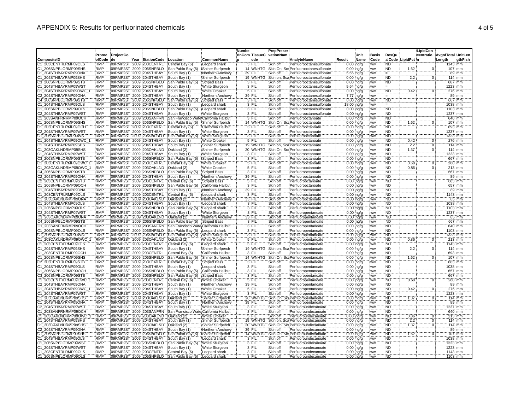| Protoc<br>ProjectCo<br>rinCom TissueC<br>vationNam<br><b>Basis</b><br>AvgofTotal UnitLen<br>de<br>ode<br>:Name<br>Code<br>alCode LipidPct n<br>olCode<br>Year StationCode<br>Location<br>CommonName<br>AnalyteName<br>Result<br>Length<br>gthFish<br>C1 203CENTRLRMP09OLS<br>09RMP2ST 2009 203CENTRL<br>3 FIL<br>Skin off<br><b>RMP</b><br>Central Bay (6)<br>Leopard shark<br>Perfluorooctanesulfonate<br>$0.00$ ing/g<br>ND<br>1143 imm<br><b>WW</b><br>206SNPBLORMP09SHS<br><b>RMP</b><br>09RMP2ST 2009 206SNPBLO<br>14 WNHTG<br>Skin On.<br><b>ND</b><br>1.62<br>$107 \cdot mm$<br>San Pablo Bay (5)<br>Shiner Surfperch<br>Sc: Perfluorooctanesulfonate<br>$0.00$ ing/g<br>ww<br>$\overline{0}$<br><b>RMP</b><br>39 FIL<br>C1 204STHBAYRMP09ONA<br>09RMP2ST 2009 204STHBAY<br>Skin off<br>Perfluorooctanesulfonate<br>89 mm<br>South Bay (1)<br>Northern Anchovy<br>5.56 ing/g<br><b>WW</b><br>i=<br>19 WNHTG<br><b>ND</b><br>2.2<br>C1 204STHBAYRMP09SHS<br><b>RMP</b><br>09RMP2ST 2009 204STHBAY<br>South Bay (1)<br>Shiner Surfperch<br>Skin on.<br>Sca Perfluorooctanesulfonate<br>$0.00$ ing/g<br>$\overline{0}$<br>114 mm<br>ww<br><b>RMP</b><br><b>ND</b><br>667 mm<br>C3_206SNPBLORMP09STB<br>09RMP2ST 2009 206SNPBLO<br>San Pablo Bay (5)<br><b>Striped Bass</b><br>3 FIL<br>Skin off<br>Perfluorooctanesulfonate<br>$0.00$ :ng/g<br>ww<br><b>RMP</b><br>09RMP2ST 2009 204STHBAY<br>South Bay (1)<br>3 FIL<br>Skin off<br>9.64 ng/g<br>1223 mm<br>204STHBAYRMP09WST<br>White Sturgeon<br>Perfluorooctanesulfonate<br>.ww<br>5 FIL<br><b>ND</b><br>0.42<br>Skin off<br>Ö.<br><b>RMP</b><br>09RMP2ST 2009 204STHBAY<br>276 mm<br>C1_204STHBAYRMP09OWC_<br>South Bay (1)<br>Perfluorooctanesulfonate<br>$0.00$ $ng/g$<br><b>White Croaker</b><br><b>WW</b><br>C2 204STHBAYRMP09ONA<br><b>RMP</b><br>09RMP2ST 2009 204STHBAY<br>South Bay (1)<br>39 FIL<br>Skin off<br>Perfluorooctanesulfonate<br>7.77 ing/g<br>89 mm<br>Northern Anchovy<br>ww<br>≔<br>RMP<br>3 FIL<br>ÑĎ<br>667 mm<br>C4 206SNPBLORMP09STB<br>09RMP2ST 2009 206SNPBLO<br>San Pablo Bay (5)<br><b>Striped Bass</b><br>Skin off<br>Perfluorooctanesulfonate<br>$0.00$ ing/g<br>ww<br><b>RMP</b><br>3 FIL<br>Skin off<br>1038 mm<br>C1 204STHBAYRMP09OLS<br>09RMP2ST 2009 204STHBAY<br>South Bay (1)<br>Leopard shark<br>18.00 ng/g<br>Ε<br>Perfluorooctanesulfonate<br>ww<br><b>ND</b><br>C1 206SNPBLORMP09OLS<br><b>RMP</b><br>09RMP2ST 2009 206SNPBLO<br>San Pablo Bay (5)<br>3 FIL<br>Skin off<br>Perfluorooctanesulfonate<br>$0.00$ :ng/g<br>1103 mm<br>Leopard shark<br>ww<br>C2 204STHBAYRMP09WST<br><b>RMP</b><br>09RMP2ST 2009 204STHBAY<br>3 FIL<br>Skin off<br>Perfluorooctanesulfonate<br>$0.00$ ing/g<br><b>ND</b><br>1237 mm<br>South Bay (1)<br>White Sturgeon<br>ww<br><b>RMP</b><br>3 FIL<br>09RMP2ST 2009 203SANFRN<br>Skin off<br>$0.00$ ; ng/g<br>ÑĎ<br>203SANFRNRMP09OCH<br>Perfluorooctanoate<br>640 mm<br>San Francisco Wate California Halibut<br>ww<br><b>RMP</b><br><b>ND</b><br>C1 206SNPBLORMP09SHS<br>09RMP2ST 2009 206SNPBLO<br>San Pablo Bay (5)<br>Shiner Surfperch<br>14 WNHTG<br>Skin On.<br>Sc:Perfluorooctanoate<br>$0.00$ ing/g<br>1.62<br>107 mm<br>ww<br>$\Omega$<br><b>RMP</b><br><b>ND</b><br>C1 203CENTRLRMP09OCH<br>09RMP2ST 2009 203CENTRL<br>Central Bay (6)<br>California Halibut<br>3 FIL<br>Skin off<br>Perfluorooctanoate<br>$0.00$ ing/g<br>693 mm<br>.ww<br><b>RMP</b><br><b>ND</b><br>09RMP2ST 2009 204STHBAY<br>3 FIL<br>Skin off<br>$0.00$ ing/g<br>1237 mm<br>C2 204STHBAYRMP09WS <sup>-</sup><br>South Bay (1)<br>White Sturgeon<br>Perfluorooctanoate<br>ww<br><b>ND</b><br>C1 206SNPBLORMP09WST<br><b>RMP</b><br>09RMP2ST 2009 206SNPBLO<br>White Sturgeon<br>3 FIL<br>Skin off<br>$0.00$ ing/g<br>1323 mm<br>San Pablo Bay (5)<br>Perfluorooctanoate<br>:ww<br>0.42<br>ö<br><b>RMP</b><br>5 FIL<br>Skin off<br>$0.00$ ng/g<br><b>ND</b><br>276 mm<br>_204STHBAYRMP09OWC<br>09RMP2ST 2009 204STHBAY<br>South Bay (1)<br>White Croaker<br>Perfluorooctanoate<br>ww<br>19 WNHTG<br><b>RMP</b><br>09RMP2ST 2009 204STHBAY<br>2.2<br>204STHBAYRMP09SHS<br>South Bay (1)<br>Shiner Surfperch<br>Skin on, Sca.Perfluorooctanoate<br><b>ND</b><br>$0.00$ ing/g<br>:ww<br>0<br>114 mm<br>1.37<br>RMP<br>20 WNHTG<br>09RMP2ST 2009 203OAKLND<br>Shiner Surfperch<br><b>ND</b><br>114 mm<br>C1 203OAKLNDRMP09SHS<br>Oakland (2)<br>Skin On,<br>Sc: Perfluorooctanoate<br>$0.00$ ing/g<br>:ww<br>Ö<br><b>RMP</b><br>3 FIL<br>ÑĎ<br>223 mm<br>C1_204STHBAYRMP09WST<br>09RMP2ST 2009 204STHBAY<br>South Bay (1)<br>White Sturgeon<br>Skin off<br>Perfluorooctanoate<br>$0.00$ ng/g<br>ww<br><b>RMP</b><br><b>ND</b><br>09RMP2ST 2009 206SNPBLO<br>3 FIL<br>Skin off<br>$0.00$ :ng/g<br>667 mm<br>C3 206SNPBLORMP09STB<br>San Pablo Bay (5)<br><b>Striped Bass</b><br>Perfluorooctanoate<br>.ww<br><b>RMP</b><br>0.68<br>C1 203CENTRLRMP09OWC<br>09RMP2ST 2009 203CENTRL<br>Central Bay (6)<br><b>White Croaker</b><br>5 FIL<br>Skin off<br>Perfluorooctanoate<br>$0.00$ :ng/g<br><b>ND</b><br>$\overline{0}$<br>260 mm<br>ww<br><b>RMP</b><br>5 FIL<br>ÑĎ<br>C1 203OAKLNDRMP09OWC<br>09RMP2ST 2009 203OAKLND<br>Oakland (2)<br><b>White Croaker</b><br>Skin off<br>Perfluorooctanoate<br>$0.00$ ; ng/g<br>0.86<br>$\overline{0}$<br>213 mm<br>ww<br><b>RMP</b><br>3 FIL<br><b>ND</b><br>C4 206SNPBLORMP09STB<br>09RMP2ST 2009 206SNPBLO<br>Skin off<br>$0.00$ ing/g<br>667 mm<br>San Pablo Bay (5)<br><b>Striped Bass</b><br>Perfluorooctanoate<br>.ww<br><b>RMP</b><br><b>ND</b><br>C2 204STHBAYRMP09ONA<br>09RMP2ST: 2009 204STHBAY<br>South Bay (1)<br>Northern Anchovy<br>39 FIL<br>Skin off<br>Perfluorooctanoate<br>$0.00$ ing/g<br>89 mm<br>ww<br><b>RMP</b><br>C2 203CENTRLRMP09STB<br>09RMP2ST 2009 203CENTRL<br>Central Bay (6)<br>3 FIL<br>Skin off<br>Perfluorooctanoate<br>$0.00$ ing/g<br><b>ND</b><br><b>Striped Bass</b><br>.ww<br>683 mm<br><b>RMP</b><br>3 FIL<br><b>ND</b><br>657 mm<br>Skin off<br>C1 206SNPBLORMP09OCH<br>09RMP2ST 2009 206SNPBLO<br>Perfluorooctanoate<br>$0.00$ ing/g<br>San Pablo Bay (5)<br>California Halibut<br>ww<br><b>ND</b><br>C1 204STHBAYRMP09ONA<br><b>RMP</b><br>09RMP2ST 2009 204STHBAY<br>39 FIL<br>Skin off<br>Perfluorooctanoate<br>$0.00$ ing/g<br>89 mm<br>South Bay (1)<br>Northern Anchovy<br>ww<br>C1_203CENTRLRMP09OLS<br><b>RMP</b><br>09RMP2ST 2009 203CENTRL<br>Central Bay (6)<br>3 FIL<br>Skin off<br>$0.00$ ing/g<br><b>ND</b><br>1143 mm<br>Leopard shark<br>Perfluorooctanoate<br>.ww<br><b>RMP</b><br>09RMP2ST 2009 203OAKLND<br>33 FIL<br>Skin off<br><b>ND</b><br>203OAKLNDRMP09ONA<br>$0.00$ ing/g<br>85 mm<br>Oakland (2)<br>Northern Anchovy<br>Perfluorooctanoate<br>.ww<br>3 FIL<br><b>RMP</b><br>Skin off<br>09RMP2ST 2009 204STHBAY<br>$0.00$ ; ng/g<br><b>ND</b><br>1038 mm<br>C1 204STHBAYRMP09OLS<br>South Bay (1)<br>Leopard shark<br>Perfluorooctanoate<br>ww<br>C1 206SNPBLORMP09OLS<br><b>RMP</b><br>09RMP2ST 2009 206SNPBLO<br>3 FIL<br>Skin off<br><b>ND</b><br>San Pablo Bay (5)<br>Leopard shark<br>Perfluorooctanoate<br>$0.00$ : ng/g<br>ww<br>1103 mm<br><b>RMP</b><br>09RMP2ST: 2009 204STHBAY<br>White Sturgeon<br>3 FIL<br>Skin off<br>$0.00$ $ng/g$<br><b>ND</b><br>1237 mm<br>C2 204STHBAYRMP09WST<br>South Bay (1)<br>Perfluoropentanoate<br>ww<br><b>RMP</b><br>33 FIL<br>ÑĎ<br>09RMP2ST 2009 203OAKLND<br>Skin off<br>$0.00$ $ng/g$<br>85:mm<br>C1 203OAKLNDRMP09ONA<br>Oakland (2)<br>Northern Anchovy<br>Perfluoropentanoate<br>ww<br><b>RMP</b><br>09RMP2ST 2009 206SNPBLO<br>3 FIL<br>Skin off<br><b>ND</b><br>667 mm<br>C4 206SNPBLORMP09STB<br>San Pablo Bay (5)<br><b>Striped Bass</b><br>Perfluoropentanoate<br>$0.00$ :ng/g<br>: ww<br><b>RMP</b><br>09RMP2ST: 2009 203SANFRN<br>3 FIL<br><b>ND</b><br>C1 203SANFRNRMP09OCH<br>San Francisco Wate California Halibut<br>Skin off<br>$0.00$ ing/g<br>640 mm<br>Perfluoropentanoate<br>ww<br>3 FIL<br><b>RMP</b><br>ÑĎ<br>206SNPBLORMP09OLS<br>09RMP2ST 2009 206SNPBLO<br>Skin off<br>$0.00$ ; ng/g<br>1103 mm<br>San Pablo Bay (5)<br>Leopard shark<br>Perfluoropentanoate<br>ww<br><b>RMP</b><br>09RMP2ST 2009 206SNPBLO<br>3 FIL<br>Skin off<br><b>ND</b><br>C1 206SNPBLORMP09WST<br>San Pablo Bay (5)<br>White Sturgeon<br>Perfluoropentanoate<br>$0.00$ ing/g<br>1323 mm<br>.ww<br><b>ND</b><br><b>RMP</b><br>09RMP2ST 2009 203OAKLND<br>5 FIL<br>Skin off<br>$0.00$ ing/g<br>0.86<br>213 :mm<br>C1 203OAKLNDRMP09OWC<br>Oakland (2)<br><b>White Croaker</b><br>Perfluoropentanoate<br>0<br>ww<br><b>RMP</b><br><b>ND</b><br>C1 203CENTRLRMP09OLS<br>09RMP2ST 2009 203CENTRL<br>Central Bay (6)<br>Leopard shark<br>3 FIL<br>Skin off<br>Perfluoropentanoate<br>$0.00$ ; ng/g<br>1143 mm<br>ww<br>$\overline{2.2}$<br><b>RMP</b><br>19 WNHTG<br>Skin on<br><b>ND</b><br>C1 204STHBAYRMP09SHS<br>09RMP2ST 2009 204STHBAY<br>South Bay (1)<br><b>Shiner Surfperch</b><br>Perfluoropentanoate<br>$0.00$ ing/g<br>$\overline{0}$<br>$114$ ; mm<br>:ww<br><b>RMP</b><br><b>ND</b><br>09RMP2ST 2009 203CENTRL<br>3 FIL<br>Skin off<br>$0.00$ ng/g<br>203CENTRLRMP09OCH<br>Central Bay (6)<br>California Halibut<br>Perfluoropentanoate<br>ww<br>693 mm<br>206SNPBLORMP09SHS<br><b>RMP</b><br>09RMP2ST 2009 206SNPBLO<br>San Pablo Bay (5)<br>Shiner Surfperch<br>14 WNHTG<br>Skin On.<br>Sc: Perfluoropentanoate<br>$0.00$ ing/g<br>ND<br>1.62<br>107 mm<br>:ww<br>0<br><b>RMP</b><br>3 FIL<br><b>ND</b><br>C2 203CENTRLRMP09STB<br>09RMP2ST 2009 203CENTRL<br>Central Bay (6)<br><b>Striped Bass</b><br>Skin off<br>Perfluoropentanoate<br>$0.00$ ing/g<br>683 mm<br>:ww<br><b>RMP</b><br>09RMP2ST 2009 204STHBAY<br>3 FIL<br>Skin off<br>Perfluoropentanoate<br>$0.00$ ng/g<br>ÑĎ<br>1038 mm<br>C1 204STHBAYRMP09OLS<br>South Bay (1)<br>Leopard shark<br>ww<br><b>RMP</b><br>3 FIL<br><b>ND</b><br>09RMP2ST 2009 206SNPBLO<br>Skin off<br>$0.00$ :ng/g<br>657 mm<br>C1 206SNPBLORMP09OCH<br>San Pablo Bay (5)<br>California Halibut<br>Perfluoropentanoate<br>.ww<br>C3 206SNPBLORMP09STB<br><b>RMP</b><br>09RMP2ST 2009 206SNPBLO<br>San Pablo Bay (5)<br>$3$ FIL<br>Skin off<br>Perfluoropentanoate<br>$0.00$ ing/g<br><b>ND</b><br>667 mm<br><b>Striped Bass</b><br>ww<br>ö<br>RMP<br>5 FIL<br>0.68<br>C1 203CENTRLRMP09OWC<br>09RMP2ST 2009 203CENTRL<br>White Croaker<br>Skin off<br>Perfluoropentanoate<br>$0.00$ ng/g<br>ÑĎ<br>Central Bay (6)<br>260 mm<br>ww<br><b>RMP</b><br>Skin off<br><b>ND</b><br>C2 204STHBAYRMP09ONA<br>09RMP2ST 2009 204STHBAY<br>39 FIL<br>Perfluoropentanoate<br>$0.00$ : ng/g<br>89 mm<br>South Bay (1)<br>Northern Anchovy<br>ww<br>C1 204STHBAYRMP09OWC<br><b>RMP</b><br>09RMP2ST 2009 204STHBAY<br>5 FIL<br>Skin off<br>Perfluoropentanoate<br>$0.00$ ing/g<br><b>ND</b><br>0.42<br>$\overline{0}$<br>276 mm<br>South Bay (1)<br><b>White Croaker</b><br>ww<br><b>RMP</b><br>3 FIL<br>Skin off<br><b>ND</b><br>204STHBAYRMP09WST<br>09RMP2ST 2009 204STHBAY<br>South Bay (1)<br>White Sturgeon<br>Perfluoropentanoate<br>$0.00$ :ng/g<br>ww<br>223 mm<br><b>RMP</b><br>Skin On<br><b>ND</b><br>1.37<br>C1 203OAKLNDRMP09SHS<br>09RMP2ST 2009 203OAKLND<br>20 WNHTG<br>: Perfluoropentanoate<br>$\overline{0}$<br>114 mm<br>Oakland (2)<br>Shiner Surfperch<br>$0.00$ ing/g<br>ww<br><b>RMP</b><br>09RMP2ST 2009 204STHBAY<br>39 FIL<br><b>ND</b><br>C1 204STHBAYRMP09ONA<br>South Bay (1)<br>Northern Anchovy<br>Skin off<br>Perfluoropentanoate<br>$0.00$ ng/g<br>ww<br>89 mm<br><b>RMP</b><br>09RMP2ST 2009 204STHBAY<br>3 FIL<br>Skin off<br>$0.00$ :ng/g<br><b>ND</b><br>1237 mm<br>C2_204STHBAYRMP09WST<br>South Bay (1)<br>White Sturgeon<br>Perfluoroundecanoate<br>ww<br>09RMP2ST 2009 203SANFRN<br>3 FIL<br>Skin off<br><b>ND</b><br>203SANFRNRMP09OCH<br><b>RMP</b><br>$0.00$ ing/g<br>San Francisco Wate California Halibut<br>Perfluoroundecanoate<br>ww<br>640 mm<br>0.86<br>5 FIL<br>Skin off<br><b>RMP</b><br><b>ND</b><br>C1 203OAKLNDRMP09OWC<br>09RMP2ST 2009 203OAKLND<br>Oakland (2)<br><b>White Croaker</b><br>Perfluoroundecanoate<br>$0.00$ ng/g<br>ö<br>213 mm<br>ww<br><b>ND</b><br>2.2<br>C1_204STHBAYRMP09SHS<br><b>RMP</b><br>09RMP2ST 2009 204STHBAY<br>South Bay (1)<br>Shiner Surfperch<br>19 WNHTG<br>Skin on, Sca Perfluoroundecanoate<br>$0.00$ :ng/g<br>$\overline{0}$<br>ww<br>114 mm<br>1.37<br>ة ö<br>RMP<br>20 WNHTG<br>ND <sup>®</sup><br>$114$ mm<br>C1 203OAKLNDRMP09SHS<br>09RMP2ST 2009 203OAKLND<br>Shiner Surfperch<br>Skin On, Sc: Perfluoroundecanoate<br>$0.00$ $ng/g$<br>Oakland (2)<br><b>WW</b><br>RMP<br>39 FIL<br>ÑĎ<br>89 mm<br>C2 204STHBAYRMP09ONA<br>09RMP2ST 2009 204STHBAY<br>South Bay (1)<br>Northern Anchovy<br>Skin off<br>Perfluoroundecanoate<br>$0.00$ ng/g<br>ww<br><b>ND</b><br>1.62<br>C1 206SNPBLORMP09SHS<br><b>RMP</b><br>09RMP2ST 2009 206SNPBLO<br>San Pablo Bay (5)<br>Shiner Surfperch<br>14 WNHTG<br>Skin On, Sc: Perfluoroundecanoate<br>$0.00$ :ng/g<br>Ō<br>107 mm<br>:ww<br><b>ND</b><br><b>RMP</b><br>09RMP2ST 2009 204STHBAY<br>3 FIL<br>Skin off<br>C1 204STHBAYRMP09OLS<br>Leopard shark<br>$0.00$ ing/g<br>1038 mm<br>South Bay (1)<br>Perfluoroundecanoate<br><b>WW</b><br><b>RMP</b><br>3 FIL<br>Skin off<br>ÑĎ<br>1323 mm<br>206SNPBLORMP09WST<br>09RMP2ST 2009 206SNPBLO<br>San Pablo Bay (5)<br>White Sturgeon<br>Perfluoroundecanoate<br>$0.00$ ; ng/g<br><b>WW</b><br><b>RMP</b><br><b>ND</b><br>C1 204STHBAYRMP09WST<br>09RMP2ST 2009 204STHBAY<br>3 FIL<br>Skin off<br>1223 mm<br>South Bay (1)<br>White Sturgeon<br>Perfluoroundecanoate<br>$0.00$ ing/g<br>.ww<br><b>RMP</b><br><b>ND</b><br>C1 203CENTRLRMP09OLS<br>09RMP2ST 2009 203CENTRL<br>3 FIL<br>Skin off<br>1143 :mm<br>Central Bay (6)<br>Leopard shark<br>Perfluoroundecanoate<br>$0.00$ ing/g<br>ww<br>09RMP2ST 2009 206SNPBLO<br>$0.00$ ; ng/g<br><b>ND</b><br>1103 mm |                      |            |  |                   |               | Numbe | <b>PrepPreser</b> |                      |      |    |       | <b>LipidCon</b> |  |
|-------------------------------------------------------------------------------------------------------------------------------------------------------------------------------------------------------------------------------------------------------------------------------------------------------------------------------------------------------------------------------------------------------------------------------------------------------------------------------------------------------------------------------------------------------------------------------------------------------------------------------------------------------------------------------------------------------------------------------------------------------------------------------------------------------------------------------------------------------------------------------------------------------------------------------------------------------------------------------------------------------------------------------------------------------------------------------------------------------------------------------------------------------------------------------------------------------------------------------------------------------------------------------------------------------------------------------------------------------------------------------------------------------------------------------------------------------------------------------------------------------------------------------------------------------------------------------------------------------------------------------------------------------------------------------------------------------------------------------------------------------------------------------------------------------------------------------------------------------------------------------------------------------------------------------------------------------------------------------------------------------------------------------------------------------------------------------------------------------------------------------------------------------------------------------------------------------------------------------------------------------------------------------------------------------------------------------------------------------------------------------------------------------------------------------------------------------------------------------------------------------------------------------------------------------------------------------------------------------------------------------------------------------------------------------------------------------------------------------------------------------------------------------------------------------------------------------------------------------------------------------------------------------------------------------------------------------------------------------------------------------------------------------------------------------------------------------------------------------------------------------------------------------------------------------------------------------------------------------------------------------------------------------------------------------------------------------------------------------------------------------------------------------------------------------------------------------------------------------------------------------------------------------------------------------------------------------------------------------------------------------------------------------------------------------------------------------------------------------------------------------------------------------------------------------------------------------------------------------------------------------------------------------------------------------------------------------------------------------------------------------------------------------------------------------------------------------------------------------------------------------------------------------------------------------------------------------------------------------------------------------------------------------------------------------------------------------------------------------------------------------------------------------------------------------------------------------------------------------------------------------------------------------------------------------------------------------------------------------------------------------------------------------------------------------------------------------------------------------------------------------------------------------------------------------------------------------------------------------------------------------------------------------------------------------------------------------------------------------------------------------------------------------------------------------------------------------------------------------------------------------------------------------------------------------------------------------------------------------------------------------------------------------------------------------------------------------------------------------------------------------------------------------------------------------------------------------------------------------------------------------------------------------------------------------------------------------------------------------------------------------------------------------------------------------------------------------------------------------------------------------------------------------------------------------------------------------------------------------------------------------------------------------------------------------------------------------------------------------------------------------------------------------------------------------------------------------------------------------------------------------------------------------------------------------------------------------------------------------------------------------------------------------------------------------------------------------------------------------------------------------------------------------------------------------------------------------------------------------------------------------------------------------------------------------------------------------------------------------------------------------------------------------------------------------------------------------------------------------------------------------------------------------------------------------------------------------------------------------------------------------------------------------------------------------------------------------------------------------------------------------------------------------------------------------------------------------------------------------------------------------------------------------------------------------------------------------------------------------------------------------------------------------------------------------------------------------------------------------------------------------------------------------------------------------------------------------------------------------------------------------------------------------------------------------------------------------------------------------------------------------------------------------------------------------------------------------------------------------------------------------------------------------------------------------------------------------------------------------------------------------------------------------------------------------------------------------------------------------------------------------------------------------------------------------------------------------------------------------------------------------------------------------------------------------------------------------------------------------------------------------------------------------------------------------------------------------------------------------------------------------------------------------------------------------------------------------------------------------------------------------------------------------------------------------------------------------------------------------------------------------------------------------------------------------------------------------------------------------------------------------------------------------------------------------------------------------------------------------------------------------------------------------------------------------------------------------------------------------------------------------------------------------------------------------------------------------------------------------------------------------------------------------------------------------------------------------------------------------------------------------------------------------------------------------------------------------------------------------------------------------------------------------------------------------------------------------------------------------------------------------------------------------------------------------------------------------------------------------------------------------------------------------------------------------------------------------------------------------------------------------------------------------------------------------------------------------------------------------------------------------------------------------------------------------------------------------------------------------------------------------------------------------------------------------------------------------------------------------------------------------------------------------------------------------------------------------------------------------------------------------------------------------------------------------------------------------------------------------------------------------------------------------------------------------------------------------------------------------------------------------------------------------------------------------------------------------------------------------------------------------------------------------------------------------------------------------------------------------------------------------------------------------------------------------------------------------------------------------------------------------------------------------------------------------------------------------------------------------------------------------------------------------------------------------------------------------------------------------------------------------------------------------------------------------------------------------------------------------------------------------------------------------------------------------------------------------------------------------------------------------------------------------------------------------------------------------------------------------------------------------------------------------------------------------------------------------------------------------------------------------------------------------------------------------------------------------------------------------------------------------------------------------------------------------------------------------------------------------------------------------------------------------------------------------------------------------------------------------------------------------------------------------------------------------------------------------------------------------------------------------------------------------------------------------------------------------------------------------------------------------------------------------------------------------------------------------------------------------------------------------------------------------------------------------------------------------------------------------------------------------------------------------------------------------------------------------------------------------------------------------------------------------------------------------------------------------------------------------------------------------------------------------------------------------------------------------------------------------------------------------------------------------------------------------------------------------------------------------------------------------------------------------------------------------------------------------------------------------------------------------------------------------------------------------------------------------------------------------------------------------------------------------------------------------------------------------------------------------------------------------------------------------------------------------------------------------------------------------------------------------------------------------------------------------------------------------------------------------------------------------------------------------------------------------------------------------------------------------------------------------------------|----------------------|------------|--|-------------------|---------------|-------|-------------------|----------------------|------|----|-------|-----------------|--|
|                                                                                                                                                                                                                                                                                                                                                                                                                                                                                                                                                                                                                                                                                                                                                                                                                                                                                                                                                                                                                                                                                                                                                                                                                                                                                                                                                                                                                                                                                                                                                                                                                                                                                                                                                                                                                                                                                                                                                                                                                                                                                                                                                                                                                                                                                                                                                                                                                                                                                                                                                                                                                                                                                                                                                                                                                                                                                                                                                                                                                                                                                                                                                                                                                                                                                                                                                                                                                                                                                                                                                                                                                                                                                                                                                                                                                                                                                                                                                                                                                                                                                                                                                                                                                                                                                                                                                                                                                                                                                                                                                                                                                                                                                                                                                                                                                                                                                                                                                                                                                                                                                                                                                                                                                                                                                                                                                                                                                                                                                                                                                                                                                                                                                                                                                                                                                                                                                                                                                                                                                                                                                                                                                                                                                                                                                                                                                                                                                                                                                                                                                                                                                                                                                                                                                                                                                                                                                                                                                                                                                                                                                                                                                                                                                                                                                                                                                                                                                                                                                                                                                                                                                                                                                                                                                                                                                                                                                                                                                                                                                                                                                                                                                                                                                                                                                                                                                                                                                                                                                                                                                                                                                                                                                                                                                                                                                                                                                                                                                                                                                                                                                                                                                                                                                                                                                                                                                                                                                                                                                                                                                                                                                                                                                                                                                                                                                                                                                                                                                                                                                                                                                                                                                                                                                                                                                                                                                                                                                                                                                                                                                                                                                                                                                                                                                                                                                                                                                                                                                                                                                                                                                                                                                                                                                                                                                                                                                                                                                                                                                                                                                                                                                                                                                                                                                                                                                                                                                                                                                                                                                                                                                                                                                                                                                                                                                                                                                                                                                                                                                                                                                                                                                                                                                                                                                                                                                                                                                                                                                                                                                                                                                                                                                                                                                                                                                                                                                                                                                                                                                                                                                                                                                                                                                                                                                                   |                      |            |  |                   |               |       |                   |                      | Unit |    | ResQu | centratio       |  |
|                                                                                                                                                                                                                                                                                                                                                                                                                                                                                                                                                                                                                                                                                                                                                                                                                                                                                                                                                                                                                                                                                                                                                                                                                                                                                                                                                                                                                                                                                                                                                                                                                                                                                                                                                                                                                                                                                                                                                                                                                                                                                                                                                                                                                                                                                                                                                                                                                                                                                                                                                                                                                                                                                                                                                                                                                                                                                                                                                                                                                                                                                                                                                                                                                                                                                                                                                                                                                                                                                                                                                                                                                                                                                                                                                                                                                                                                                                                                                                                                                                                                                                                                                                                                                                                                                                                                                                                                                                                                                                                                                                                                                                                                                                                                                                                                                                                                                                                                                                                                                                                                                                                                                                                                                                                                                                                                                                                                                                                                                                                                                                                                                                                                                                                                                                                                                                                                                                                                                                                                                                                                                                                                                                                                                                                                                                                                                                                                                                                                                                                                                                                                                                                                                                                                                                                                                                                                                                                                                                                                                                                                                                                                                                                                                                                                                                                                                                                                                                                                                                                                                                                                                                                                                                                                                                                                                                                                                                                                                                                                                                                                                                                                                                                                                                                                                                                                                                                                                                                                                                                                                                                                                                                                                                                                                                                                                                                                                                                                                                                                                                                                                                                                                                                                                                                                                                                                                                                                                                                                                                                                                                                                                                                                                                                                                                                                                                                                                                                                                                                                                                                                                                                                                                                                                                                                                                                                                                                                                                                                                                                                                                                                                                                                                                                                                                                                                                                                                                                                                                                                                                                                                                                                                                                                                                                                                                                                                                                                                                                                                                                                                                                                                                                                                                                                                                                                                                                                                                                                                                                                                                                                                                                                                                                                                                                                                                                                                                                                                                                                                                                                                                                                                                                                                                                                                                                                                                                                                                                                                                                                                                                                                                                                                                                                                                                                                                                                                                                                                                                                                                                                                                                                                                                                                                                                                                   | CompositeID          |            |  |                   |               |       |                   |                      |      |    |       |                 |  |
|                                                                                                                                                                                                                                                                                                                                                                                                                                                                                                                                                                                                                                                                                                                                                                                                                                                                                                                                                                                                                                                                                                                                                                                                                                                                                                                                                                                                                                                                                                                                                                                                                                                                                                                                                                                                                                                                                                                                                                                                                                                                                                                                                                                                                                                                                                                                                                                                                                                                                                                                                                                                                                                                                                                                                                                                                                                                                                                                                                                                                                                                                                                                                                                                                                                                                                                                                                                                                                                                                                                                                                                                                                                                                                                                                                                                                                                                                                                                                                                                                                                                                                                                                                                                                                                                                                                                                                                                                                                                                                                                                                                                                                                                                                                                                                                                                                                                                                                                                                                                                                                                                                                                                                                                                                                                                                                                                                                                                                                                                                                                                                                                                                                                                                                                                                                                                                                                                                                                                                                                                                                                                                                                                                                                                                                                                                                                                                                                                                                                                                                                                                                                                                                                                                                                                                                                                                                                                                                                                                                                                                                                                                                                                                                                                                                                                                                                                                                                                                                                                                                                                                                                                                                                                                                                                                                                                                                                                                                                                                                                                                                                                                                                                                                                                                                                                                                                                                                                                                                                                                                                                                                                                                                                                                                                                                                                                                                                                                                                                                                                                                                                                                                                                                                                                                                                                                                                                                                                                                                                                                                                                                                                                                                                                                                                                                                                                                                                                                                                                                                                                                                                                                                                                                                                                                                                                                                                                                                                                                                                                                                                                                                                                                                                                                                                                                                                                                                                                                                                                                                                                                                                                                                                                                                                                                                                                                                                                                                                                                                                                                                                                                                                                                                                                                                                                                                                                                                                                                                                                                                                                                                                                                                                                                                                                                                                                                                                                                                                                                                                                                                                                                                                                                                                                                                                                                                                                                                                                                                                                                                                                                                                                                                                                                                                                                                                                                                                                                                                                                                                                                                                                                                                                                                                                                                                                                   |                      |            |  |                   |               |       |                   |                      |      |    |       |                 |  |
|                                                                                                                                                                                                                                                                                                                                                                                                                                                                                                                                                                                                                                                                                                                                                                                                                                                                                                                                                                                                                                                                                                                                                                                                                                                                                                                                                                                                                                                                                                                                                                                                                                                                                                                                                                                                                                                                                                                                                                                                                                                                                                                                                                                                                                                                                                                                                                                                                                                                                                                                                                                                                                                                                                                                                                                                                                                                                                                                                                                                                                                                                                                                                                                                                                                                                                                                                                                                                                                                                                                                                                                                                                                                                                                                                                                                                                                                                                                                                                                                                                                                                                                                                                                                                                                                                                                                                                                                                                                                                                                                                                                                                                                                                                                                                                                                                                                                                                                                                                                                                                                                                                                                                                                                                                                                                                                                                                                                                                                                                                                                                                                                                                                                                                                                                                                                                                                                                                                                                                                                                                                                                                                                                                                                                                                                                                                                                                                                                                                                                                                                                                                                                                                                                                                                                                                                                                                                                                                                                                                                                                                                                                                                                                                                                                                                                                                                                                                                                                                                                                                                                                                                                                                                                                                                                                                                                                                                                                                                                                                                                                                                                                                                                                                                                                                                                                                                                                                                                                                                                                                                                                                                                                                                                                                                                                                                                                                                                                                                                                                                                                                                                                                                                                                                                                                                                                                                                                                                                                                                                                                                                                                                                                                                                                                                                                                                                                                                                                                                                                                                                                                                                                                                                                                                                                                                                                                                                                                                                                                                                                                                                                                                                                                                                                                                                                                                                                                                                                                                                                                                                                                                                                                                                                                                                                                                                                                                                                                                                                                                                                                                                                                                                                                                                                                                                                                                                                                                                                                                                                                                                                                                                                                                                                                                                                                                                                                                                                                                                                                                                                                                                                                                                                                                                                                                                                                                                                                                                                                                                                                                                                                                                                                                                                                                                                                                                                                                                                                                                                                                                                                                                                                                                                                                                                                                                                   |                      |            |  |                   |               |       |                   |                      |      |    |       |                 |  |
|                                                                                                                                                                                                                                                                                                                                                                                                                                                                                                                                                                                                                                                                                                                                                                                                                                                                                                                                                                                                                                                                                                                                                                                                                                                                                                                                                                                                                                                                                                                                                                                                                                                                                                                                                                                                                                                                                                                                                                                                                                                                                                                                                                                                                                                                                                                                                                                                                                                                                                                                                                                                                                                                                                                                                                                                                                                                                                                                                                                                                                                                                                                                                                                                                                                                                                                                                                                                                                                                                                                                                                                                                                                                                                                                                                                                                                                                                                                                                                                                                                                                                                                                                                                                                                                                                                                                                                                                                                                                                                                                                                                                                                                                                                                                                                                                                                                                                                                                                                                                                                                                                                                                                                                                                                                                                                                                                                                                                                                                                                                                                                                                                                                                                                                                                                                                                                                                                                                                                                                                                                                                                                                                                                                                                                                                                                                                                                                                                                                                                                                                                                                                                                                                                                                                                                                                                                                                                                                                                                                                                                                                                                                                                                                                                                                                                                                                                                                                                                                                                                                                                                                                                                                                                                                                                                                                                                                                                                                                                                                                                                                                                                                                                                                                                                                                                                                                                                                                                                                                                                                                                                                                                                                                                                                                                                                                                                                                                                                                                                                                                                                                                                                                                                                                                                                                                                                                                                                                                                                                                                                                                                                                                                                                                                                                                                                                                                                                                                                                                                                                                                                                                                                                                                                                                                                                                                                                                                                                                                                                                                                                                                                                                                                                                                                                                                                                                                                                                                                                                                                                                                                                                                                                                                                                                                                                                                                                                                                                                                                                                                                                                                                                                                                                                                                                                                                                                                                                                                                                                                                                                                                                                                                                                                                                                                                                                                                                                                                                                                                                                                                                                                                                                                                                                                                                                                                                                                                                                                                                                                                                                                                                                                                                                                                                                                                                                                                                                                                                                                                                                                                                                                                                                                                                                                                                                                   |                      |            |  |                   |               |       |                   |                      |      |    |       |                 |  |
|                                                                                                                                                                                                                                                                                                                                                                                                                                                                                                                                                                                                                                                                                                                                                                                                                                                                                                                                                                                                                                                                                                                                                                                                                                                                                                                                                                                                                                                                                                                                                                                                                                                                                                                                                                                                                                                                                                                                                                                                                                                                                                                                                                                                                                                                                                                                                                                                                                                                                                                                                                                                                                                                                                                                                                                                                                                                                                                                                                                                                                                                                                                                                                                                                                                                                                                                                                                                                                                                                                                                                                                                                                                                                                                                                                                                                                                                                                                                                                                                                                                                                                                                                                                                                                                                                                                                                                                                                                                                                                                                                                                                                                                                                                                                                                                                                                                                                                                                                                                                                                                                                                                                                                                                                                                                                                                                                                                                                                                                                                                                                                                                                                                                                                                                                                                                                                                                                                                                                                                                                                                                                                                                                                                                                                                                                                                                                                                                                                                                                                                                                                                                                                                                                                                                                                                                                                                                                                                                                                                                                                                                                                                                                                                                                                                                                                                                                                                                                                                                                                                                                                                                                                                                                                                                                                                                                                                                                                                                                                                                                                                                                                                                                                                                                                                                                                                                                                                                                                                                                                                                                                                                                                                                                                                                                                                                                                                                                                                                                                                                                                                                                                                                                                                                                                                                                                                                                                                                                                                                                                                                                                                                                                                                                                                                                                                                                                                                                                                                                                                                                                                                                                                                                                                                                                                                                                                                                                                                                                                                                                                                                                                                                                                                                                                                                                                                                                                                                                                                                                                                                                                                                                                                                                                                                                                                                                                                                                                                                                                                                                                                                                                                                                                                                                                                                                                                                                                                                                                                                                                                                                                                                                                                                                                                                                                                                                                                                                                                                                                                                                                                                                                                                                                                                                                                                                                                                                                                                                                                                                                                                                                                                                                                                                                                                                                                                                                                                                                                                                                                                                                                                                                                                                                                                                                                                                   |                      |            |  |                   |               |       |                   |                      |      |    |       |                 |  |
|                                                                                                                                                                                                                                                                                                                                                                                                                                                                                                                                                                                                                                                                                                                                                                                                                                                                                                                                                                                                                                                                                                                                                                                                                                                                                                                                                                                                                                                                                                                                                                                                                                                                                                                                                                                                                                                                                                                                                                                                                                                                                                                                                                                                                                                                                                                                                                                                                                                                                                                                                                                                                                                                                                                                                                                                                                                                                                                                                                                                                                                                                                                                                                                                                                                                                                                                                                                                                                                                                                                                                                                                                                                                                                                                                                                                                                                                                                                                                                                                                                                                                                                                                                                                                                                                                                                                                                                                                                                                                                                                                                                                                                                                                                                                                                                                                                                                                                                                                                                                                                                                                                                                                                                                                                                                                                                                                                                                                                                                                                                                                                                                                                                                                                                                                                                                                                                                                                                                                                                                                                                                                                                                                                                                                                                                                                                                                                                                                                                                                                                                                                                                                                                                                                                                                                                                                                                                                                                                                                                                                                                                                                                                                                                                                                                                                                                                                                                                                                                                                                                                                                                                                                                                                                                                                                                                                                                                                                                                                                                                                                                                                                                                                                                                                                                                                                                                                                                                                                                                                                                                                                                                                                                                                                                                                                                                                                                                                                                                                                                                                                                                                                                                                                                                                                                                                                                                                                                                                                                                                                                                                                                                                                                                                                                                                                                                                                                                                                                                                                                                                                                                                                                                                                                                                                                                                                                                                                                                                                                                                                                                                                                                                                                                                                                                                                                                                                                                                                                                                                                                                                                                                                                                                                                                                                                                                                                                                                                                                                                                                                                                                                                                                                                                                                                                                                                                                                                                                                                                                                                                                                                                                                                                                                                                                                                                                                                                                                                                                                                                                                                                                                                                                                                                                                                                                                                                                                                                                                                                                                                                                                                                                                                                                                                                                                                                                                                                                                                                                                                                                                                                                                                                                                                                                                                                                                   |                      |            |  |                   |               |       |                   |                      |      |    |       |                 |  |
|                                                                                                                                                                                                                                                                                                                                                                                                                                                                                                                                                                                                                                                                                                                                                                                                                                                                                                                                                                                                                                                                                                                                                                                                                                                                                                                                                                                                                                                                                                                                                                                                                                                                                                                                                                                                                                                                                                                                                                                                                                                                                                                                                                                                                                                                                                                                                                                                                                                                                                                                                                                                                                                                                                                                                                                                                                                                                                                                                                                                                                                                                                                                                                                                                                                                                                                                                                                                                                                                                                                                                                                                                                                                                                                                                                                                                                                                                                                                                                                                                                                                                                                                                                                                                                                                                                                                                                                                                                                                                                                                                                                                                                                                                                                                                                                                                                                                                                                                                                                                                                                                                                                                                                                                                                                                                                                                                                                                                                                                                                                                                                                                                                                                                                                                                                                                                                                                                                                                                                                                                                                                                                                                                                                                                                                                                                                                                                                                                                                                                                                                                                                                                                                                                                                                                                                                                                                                                                                                                                                                                                                                                                                                                                                                                                                                                                                                                                                                                                                                                                                                                                                                                                                                                                                                                                                                                                                                                                                                                                                                                                                                                                                                                                                                                                                                                                                                                                                                                                                                                                                                                                                                                                                                                                                                                                                                                                                                                                                                                                                                                                                                                                                                                                                                                                                                                                                                                                                                                                                                                                                                                                                                                                                                                                                                                                                                                                                                                                                                                                                                                                                                                                                                                                                                                                                                                                                                                                                                                                                                                                                                                                                                                                                                                                                                                                                                                                                                                                                                                                                                                                                                                                                                                                                                                                                                                                                                                                                                                                                                                                                                                                                                                                                                                                                                                                                                                                                                                                                                                                                                                                                                                                                                                                                                                                                                                                                                                                                                                                                                                                                                                                                                                                                                                                                                                                                                                                                                                                                                                                                                                                                                                                                                                                                                                                                                                                                                                                                                                                                                                                                                                                                                                                                                                                                                                                   |                      |            |  |                   |               |       |                   |                      |      |    |       |                 |  |
|                                                                                                                                                                                                                                                                                                                                                                                                                                                                                                                                                                                                                                                                                                                                                                                                                                                                                                                                                                                                                                                                                                                                                                                                                                                                                                                                                                                                                                                                                                                                                                                                                                                                                                                                                                                                                                                                                                                                                                                                                                                                                                                                                                                                                                                                                                                                                                                                                                                                                                                                                                                                                                                                                                                                                                                                                                                                                                                                                                                                                                                                                                                                                                                                                                                                                                                                                                                                                                                                                                                                                                                                                                                                                                                                                                                                                                                                                                                                                                                                                                                                                                                                                                                                                                                                                                                                                                                                                                                                                                                                                                                                                                                                                                                                                                                                                                                                                                                                                                                                                                                                                                                                                                                                                                                                                                                                                                                                                                                                                                                                                                                                                                                                                                                                                                                                                                                                                                                                                                                                                                                                                                                                                                                                                                                                                                                                                                                                                                                                                                                                                                                                                                                                                                                                                                                                                                                                                                                                                                                                                                                                                                                                                                                                                                                                                                                                                                                                                                                                                                                                                                                                                                                                                                                                                                                                                                                                                                                                                                                                                                                                                                                                                                                                                                                                                                                                                                                                                                                                                                                                                                                                                                                                                                                                                                                                                                                                                                                                                                                                                                                                                                                                                                                                                                                                                                                                                                                                                                                                                                                                                                                                                                                                                                                                                                                                                                                                                                                                                                                                                                                                                                                                                                                                                                                                                                                                                                                                                                                                                                                                                                                                                                                                                                                                                                                                                                                                                                                                                                                                                                                                                                                                                                                                                                                                                                                                                                                                                                                                                                                                                                                                                                                                                                                                                                                                                                                                                                                                                                                                                                                                                                                                                                                                                                                                                                                                                                                                                                                                                                                                                                                                                                                                                                                                                                                                                                                                                                                                                                                                                                                                                                                                                                                                                                                                                                                                                                                                                                                                                                                                                                                                                                                                                                                                                                   |                      |            |  |                   |               |       |                   |                      |      |    |       |                 |  |
|                                                                                                                                                                                                                                                                                                                                                                                                                                                                                                                                                                                                                                                                                                                                                                                                                                                                                                                                                                                                                                                                                                                                                                                                                                                                                                                                                                                                                                                                                                                                                                                                                                                                                                                                                                                                                                                                                                                                                                                                                                                                                                                                                                                                                                                                                                                                                                                                                                                                                                                                                                                                                                                                                                                                                                                                                                                                                                                                                                                                                                                                                                                                                                                                                                                                                                                                                                                                                                                                                                                                                                                                                                                                                                                                                                                                                                                                                                                                                                                                                                                                                                                                                                                                                                                                                                                                                                                                                                                                                                                                                                                                                                                                                                                                                                                                                                                                                                                                                                                                                                                                                                                                                                                                                                                                                                                                                                                                                                                                                                                                                                                                                                                                                                                                                                                                                                                                                                                                                                                                                                                                                                                                                                                                                                                                                                                                                                                                                                                                                                                                                                                                                                                                                                                                                                                                                                                                                                                                                                                                                                                                                                                                                                                                                                                                                                                                                                                                                                                                                                                                                                                                                                                                                                                                                                                                                                                                                                                                                                                                                                                                                                                                                                                                                                                                                                                                                                                                                                                                                                                                                                                                                                                                                                                                                                                                                                                                                                                                                                                                                                                                                                                                                                                                                                                                                                                                                                                                                                                                                                                                                                                                                                                                                                                                                                                                                                                                                                                                                                                                                                                                                                                                                                                                                                                                                                                                                                                                                                                                                                                                                                                                                                                                                                                                                                                                                                                                                                                                                                                                                                                                                                                                                                                                                                                                                                                                                                                                                                                                                                                                                                                                                                                                                                                                                                                                                                                                                                                                                                                                                                                                                                                                                                                                                                                                                                                                                                                                                                                                                                                                                                                                                                                                                                                                                                                                                                                                                                                                                                                                                                                                                                                                                                                                                                                                                                                                                                                                                                                                                                                                                                                                                                                                                                                                                                   |                      |            |  |                   |               |       |                   |                      |      |    |       |                 |  |
|                                                                                                                                                                                                                                                                                                                                                                                                                                                                                                                                                                                                                                                                                                                                                                                                                                                                                                                                                                                                                                                                                                                                                                                                                                                                                                                                                                                                                                                                                                                                                                                                                                                                                                                                                                                                                                                                                                                                                                                                                                                                                                                                                                                                                                                                                                                                                                                                                                                                                                                                                                                                                                                                                                                                                                                                                                                                                                                                                                                                                                                                                                                                                                                                                                                                                                                                                                                                                                                                                                                                                                                                                                                                                                                                                                                                                                                                                                                                                                                                                                                                                                                                                                                                                                                                                                                                                                                                                                                                                                                                                                                                                                                                                                                                                                                                                                                                                                                                                                                                                                                                                                                                                                                                                                                                                                                                                                                                                                                                                                                                                                                                                                                                                                                                                                                                                                                                                                                                                                                                                                                                                                                                                                                                                                                                                                                                                                                                                                                                                                                                                                                                                                                                                                                                                                                                                                                                                                                                                                                                                                                                                                                                                                                                                                                                                                                                                                                                                                                                                                                                                                                                                                                                                                                                                                                                                                                                                                                                                                                                                                                                                                                                                                                                                                                                                                                                                                                                                                                                                                                                                                                                                                                                                                                                                                                                                                                                                                                                                                                                                                                                                                                                                                                                                                                                                                                                                                                                                                                                                                                                                                                                                                                                                                                                                                                                                                                                                                                                                                                                                                                                                                                                                                                                                                                                                                                                                                                                                                                                                                                                                                                                                                                                                                                                                                                                                                                                                                                                                                                                                                                                                                                                                                                                                                                                                                                                                                                                                                                                                                                                                                                                                                                                                                                                                                                                                                                                                                                                                                                                                                                                                                                                                                                                                                                                                                                                                                                                                                                                                                                                                                                                                                                                                                                                                                                                                                                                                                                                                                                                                                                                                                                                                                                                                                                                                                                                                                                                                                                                                                                                                                                                                                                                                                                                                                   |                      |            |  |                   |               |       |                   |                      |      |    |       |                 |  |
|                                                                                                                                                                                                                                                                                                                                                                                                                                                                                                                                                                                                                                                                                                                                                                                                                                                                                                                                                                                                                                                                                                                                                                                                                                                                                                                                                                                                                                                                                                                                                                                                                                                                                                                                                                                                                                                                                                                                                                                                                                                                                                                                                                                                                                                                                                                                                                                                                                                                                                                                                                                                                                                                                                                                                                                                                                                                                                                                                                                                                                                                                                                                                                                                                                                                                                                                                                                                                                                                                                                                                                                                                                                                                                                                                                                                                                                                                                                                                                                                                                                                                                                                                                                                                                                                                                                                                                                                                                                                                                                                                                                                                                                                                                                                                                                                                                                                                                                                                                                                                                                                                                                                                                                                                                                                                                                                                                                                                                                                                                                                                                                                                                                                                                                                                                                                                                                                                                                                                                                                                                                                                                                                                                                                                                                                                                                                                                                                                                                                                                                                                                                                                                                                                                                                                                                                                                                                                                                                                                                                                                                                                                                                                                                                                                                                                                                                                                                                                                                                                                                                                                                                                                                                                                                                                                                                                                                                                                                                                                                                                                                                                                                                                                                                                                                                                                                                                                                                                                                                                                                                                                                                                                                                                                                                                                                                                                                                                                                                                                                                                                                                                                                                                                                                                                                                                                                                                                                                                                                                                                                                                                                                                                                                                                                                                                                                                                                                                                                                                                                                                                                                                                                                                                                                                                                                                                                                                                                                                                                                                                                                                                                                                                                                                                                                                                                                                                                                                                                                                                                                                                                                                                                                                                                                                                                                                                                                                                                                                                                                                                                                                                                                                                                                                                                                                                                                                                                                                                                                                                                                                                                                                                                                                                                                                                                                                                                                                                                                                                                                                                                                                                                                                                                                                                                                                                                                                                                                                                                                                                                                                                                                                                                                                                                                                                                                                                                                                                                                                                                                                                                                                                                                                                                                                                                                                                   |                      |            |  |                   |               |       |                   |                      |      |    |       |                 |  |
|                                                                                                                                                                                                                                                                                                                                                                                                                                                                                                                                                                                                                                                                                                                                                                                                                                                                                                                                                                                                                                                                                                                                                                                                                                                                                                                                                                                                                                                                                                                                                                                                                                                                                                                                                                                                                                                                                                                                                                                                                                                                                                                                                                                                                                                                                                                                                                                                                                                                                                                                                                                                                                                                                                                                                                                                                                                                                                                                                                                                                                                                                                                                                                                                                                                                                                                                                                                                                                                                                                                                                                                                                                                                                                                                                                                                                                                                                                                                                                                                                                                                                                                                                                                                                                                                                                                                                                                                                                                                                                                                                                                                                                                                                                                                                                                                                                                                                                                                                                                                                                                                                                                                                                                                                                                                                                                                                                                                                                                                                                                                                                                                                                                                                                                                                                                                                                                                                                                                                                                                                                                                                                                                                                                                                                                                                                                                                                                                                                                                                                                                                                                                                                                                                                                                                                                                                                                                                                                                                                                                                                                                                                                                                                                                                                                                                                                                                                                                                                                                                                                                                                                                                                                                                                                                                                                                                                                                                                                                                                                                                                                                                                                                                                                                                                                                                                                                                                                                                                                                                                                                                                                                                                                                                                                                                                                                                                                                                                                                                                                                                                                                                                                                                                                                                                                                                                                                                                                                                                                                                                                                                                                                                                                                                                                                                                                                                                                                                                                                                                                                                                                                                                                                                                                                                                                                                                                                                                                                                                                                                                                                                                                                                                                                                                                                                                                                                                                                                                                                                                                                                                                                                                                                                                                                                                                                                                                                                                                                                                                                                                                                                                                                                                                                                                                                                                                                                                                                                                                                                                                                                                                                                                                                                                                                                                                                                                                                                                                                                                                                                                                                                                                                                                                                                                                                                                                                                                                                                                                                                                                                                                                                                                                                                                                                                                                                                                                                                                                                                                                                                                                                                                                                                                                                                                                                                                   |                      |            |  |                   |               |       |                   |                      |      |    |       |                 |  |
|                                                                                                                                                                                                                                                                                                                                                                                                                                                                                                                                                                                                                                                                                                                                                                                                                                                                                                                                                                                                                                                                                                                                                                                                                                                                                                                                                                                                                                                                                                                                                                                                                                                                                                                                                                                                                                                                                                                                                                                                                                                                                                                                                                                                                                                                                                                                                                                                                                                                                                                                                                                                                                                                                                                                                                                                                                                                                                                                                                                                                                                                                                                                                                                                                                                                                                                                                                                                                                                                                                                                                                                                                                                                                                                                                                                                                                                                                                                                                                                                                                                                                                                                                                                                                                                                                                                                                                                                                                                                                                                                                                                                                                                                                                                                                                                                                                                                                                                                                                                                                                                                                                                                                                                                                                                                                                                                                                                                                                                                                                                                                                                                                                                                                                                                                                                                                                                                                                                                                                                                                                                                                                                                                                                                                                                                                                                                                                                                                                                                                                                                                                                                                                                                                                                                                                                                                                                                                                                                                                                                                                                                                                                                                                                                                                                                                                                                                                                                                                                                                                                                                                                                                                                                                                                                                                                                                                                                                                                                                                                                                                                                                                                                                                                                                                                                                                                                                                                                                                                                                                                                                                                                                                                                                                                                                                                                                                                                                                                                                                                                                                                                                                                                                                                                                                                                                                                                                                                                                                                                                                                                                                                                                                                                                                                                                                                                                                                                                                                                                                                                                                                                                                                                                                                                                                                                                                                                                                                                                                                                                                                                                                                                                                                                                                                                                                                                                                                                                                                                                                                                                                                                                                                                                                                                                                                                                                                                                                                                                                                                                                                                                                                                                                                                                                                                                                                                                                                                                                                                                                                                                                                                                                                                                                                                                                                                                                                                                                                                                                                                                                                                                                                                                                                                                                                                                                                                                                                                                                                                                                                                                                                                                                                                                                                                                                                                                                                                                                                                                                                                                                                                                                                                                                                                                                                                                                   |                      |            |  |                   |               |       |                   |                      |      |    |       |                 |  |
|                                                                                                                                                                                                                                                                                                                                                                                                                                                                                                                                                                                                                                                                                                                                                                                                                                                                                                                                                                                                                                                                                                                                                                                                                                                                                                                                                                                                                                                                                                                                                                                                                                                                                                                                                                                                                                                                                                                                                                                                                                                                                                                                                                                                                                                                                                                                                                                                                                                                                                                                                                                                                                                                                                                                                                                                                                                                                                                                                                                                                                                                                                                                                                                                                                                                                                                                                                                                                                                                                                                                                                                                                                                                                                                                                                                                                                                                                                                                                                                                                                                                                                                                                                                                                                                                                                                                                                                                                                                                                                                                                                                                                                                                                                                                                                                                                                                                                                                                                                                                                                                                                                                                                                                                                                                                                                                                                                                                                                                                                                                                                                                                                                                                                                                                                                                                                                                                                                                                                                                                                                                                                                                                                                                                                                                                                                                                                                                                                                                                                                                                                                                                                                                                                                                                                                                                                                                                                                                                                                                                                                                                                                                                                                                                                                                                                                                                                                                                                                                                                                                                                                                                                                                                                                                                                                                                                                                                                                                                                                                                                                                                                                                                                                                                                                                                                                                                                                                                                                                                                                                                                                                                                                                                                                                                                                                                                                                                                                                                                                                                                                                                                                                                                                                                                                                                                                                                                                                                                                                                                                                                                                                                                                                                                                                                                                                                                                                                                                                                                                                                                                                                                                                                                                                                                                                                                                                                                                                                                                                                                                                                                                                                                                                                                                                                                                                                                                                                                                                                                                                                                                                                                                                                                                                                                                                                                                                                                                                                                                                                                                                                                                                                                                                                                                                                                                                                                                                                                                                                                                                                                                                                                                                                                                                                                                                                                                                                                                                                                                                                                                                                                                                                                                                                                                                                                                                                                                                                                                                                                                                                                                                                                                                                                                                                                                                                                                                                                                                                                                                                                                                                                                                                                                                                                                                                                                   |                      |            |  |                   |               |       |                   |                      |      |    |       |                 |  |
|                                                                                                                                                                                                                                                                                                                                                                                                                                                                                                                                                                                                                                                                                                                                                                                                                                                                                                                                                                                                                                                                                                                                                                                                                                                                                                                                                                                                                                                                                                                                                                                                                                                                                                                                                                                                                                                                                                                                                                                                                                                                                                                                                                                                                                                                                                                                                                                                                                                                                                                                                                                                                                                                                                                                                                                                                                                                                                                                                                                                                                                                                                                                                                                                                                                                                                                                                                                                                                                                                                                                                                                                                                                                                                                                                                                                                                                                                                                                                                                                                                                                                                                                                                                                                                                                                                                                                                                                                                                                                                                                                                                                                                                                                                                                                                                                                                                                                                                                                                                                                                                                                                                                                                                                                                                                                                                                                                                                                                                                                                                                                                                                                                                                                                                                                                                                                                                                                                                                                                                                                                                                                                                                                                                                                                                                                                                                                                                                                                                                                                                                                                                                                                                                                                                                                                                                                                                                                                                                                                                                                                                                                                                                                                                                                                                                                                                                                                                                                                                                                                                                                                                                                                                                                                                                                                                                                                                                                                                                                                                                                                                                                                                                                                                                                                                                                                                                                                                                                                                                                                                                                                                                                                                                                                                                                                                                                                                                                                                                                                                                                                                                                                                                                                                                                                                                                                                                                                                                                                                                                                                                                                                                                                                                                                                                                                                                                                                                                                                                                                                                                                                                                                                                                                                                                                                                                                                                                                                                                                                                                                                                                                                                                                                                                                                                                                                                                                                                                                                                                                                                                                                                                                                                                                                                                                                                                                                                                                                                                                                                                                                                                                                                                                                                                                                                                                                                                                                                                                                                                                                                                                                                                                                                                                                                                                                                                                                                                                                                                                                                                                                                                                                                                                                                                                                                                                                                                                                                                                                                                                                                                                                                                                                                                                                                                                                                                                                                                                                                                                                                                                                                                                                                                                                                                                                                                                   |                      |            |  |                   |               |       |                   |                      |      |    |       |                 |  |
|                                                                                                                                                                                                                                                                                                                                                                                                                                                                                                                                                                                                                                                                                                                                                                                                                                                                                                                                                                                                                                                                                                                                                                                                                                                                                                                                                                                                                                                                                                                                                                                                                                                                                                                                                                                                                                                                                                                                                                                                                                                                                                                                                                                                                                                                                                                                                                                                                                                                                                                                                                                                                                                                                                                                                                                                                                                                                                                                                                                                                                                                                                                                                                                                                                                                                                                                                                                                                                                                                                                                                                                                                                                                                                                                                                                                                                                                                                                                                                                                                                                                                                                                                                                                                                                                                                                                                                                                                                                                                                                                                                                                                                                                                                                                                                                                                                                                                                                                                                                                                                                                                                                                                                                                                                                                                                                                                                                                                                                                                                                                                                                                                                                                                                                                                                                                                                                                                                                                                                                                                                                                                                                                                                                                                                                                                                                                                                                                                                                                                                                                                                                                                                                                                                                                                                                                                                                                                                                                                                                                                                                                                                                                                                                                                                                                                                                                                                                                                                                                                                                                                                                                                                                                                                                                                                                                                                                                                                                                                                                                                                                                                                                                                                                                                                                                                                                                                                                                                                                                                                                                                                                                                                                                                                                                                                                                                                                                                                                                                                                                                                                                                                                                                                                                                                                                                                                                                                                                                                                                                                                                                                                                                                                                                                                                                                                                                                                                                                                                                                                                                                                                                                                                                                                                                                                                                                                                                                                                                                                                                                                                                                                                                                                                                                                                                                                                                                                                                                                                                                                                                                                                                                                                                                                                                                                                                                                                                                                                                                                                                                                                                                                                                                                                                                                                                                                                                                                                                                                                                                                                                                                                                                                                                                                                                                                                                                                                                                                                                                                                                                                                                                                                                                                                                                                                                                                                                                                                                                                                                                                                                                                                                                                                                                                                                                                                                                                                                                                                                                                                                                                                                                                                                                                                                                                                                                   |                      |            |  |                   |               |       |                   |                      |      |    |       |                 |  |
|                                                                                                                                                                                                                                                                                                                                                                                                                                                                                                                                                                                                                                                                                                                                                                                                                                                                                                                                                                                                                                                                                                                                                                                                                                                                                                                                                                                                                                                                                                                                                                                                                                                                                                                                                                                                                                                                                                                                                                                                                                                                                                                                                                                                                                                                                                                                                                                                                                                                                                                                                                                                                                                                                                                                                                                                                                                                                                                                                                                                                                                                                                                                                                                                                                                                                                                                                                                                                                                                                                                                                                                                                                                                                                                                                                                                                                                                                                                                                                                                                                                                                                                                                                                                                                                                                                                                                                                                                                                                                                                                                                                                                                                                                                                                                                                                                                                                                                                                                                                                                                                                                                                                                                                                                                                                                                                                                                                                                                                                                                                                                                                                                                                                                                                                                                                                                                                                                                                                                                                                                                                                                                                                                                                                                                                                                                                                                                                                                                                                                                                                                                                                                                                                                                                                                                                                                                                                                                                                                                                                                                                                                                                                                                                                                                                                                                                                                                                                                                                                                                                                                                                                                                                                                                                                                                                                                                                                                                                                                                                                                                                                                                                                                                                                                                                                                                                                                                                                                                                                                                                                                                                                                                                                                                                                                                                                                                                                                                                                                                                                                                                                                                                                                                                                                                                                                                                                                                                                                                                                                                                                                                                                                                                                                                                                                                                                                                                                                                                                                                                                                                                                                                                                                                                                                                                                                                                                                                                                                                                                                                                                                                                                                                                                                                                                                                                                                                                                                                                                                                                                                                                                                                                                                                                                                                                                                                                                                                                                                                                                                                                                                                                                                                                                                                                                                                                                                                                                                                                                                                                                                                                                                                                                                                                                                                                                                                                                                                                                                                                                                                                                                                                                                                                                                                                                                                                                                                                                                                                                                                                                                                                                                                                                                                                                                                                                                                                                                                                                                                                                                                                                                                                                                                                                                                                                                                   |                      |            |  |                   |               |       |                   |                      |      |    |       |                 |  |
|                                                                                                                                                                                                                                                                                                                                                                                                                                                                                                                                                                                                                                                                                                                                                                                                                                                                                                                                                                                                                                                                                                                                                                                                                                                                                                                                                                                                                                                                                                                                                                                                                                                                                                                                                                                                                                                                                                                                                                                                                                                                                                                                                                                                                                                                                                                                                                                                                                                                                                                                                                                                                                                                                                                                                                                                                                                                                                                                                                                                                                                                                                                                                                                                                                                                                                                                                                                                                                                                                                                                                                                                                                                                                                                                                                                                                                                                                                                                                                                                                                                                                                                                                                                                                                                                                                                                                                                                                                                                                                                                                                                                                                                                                                                                                                                                                                                                                                                                                                                                                                                                                                                                                                                                                                                                                                                                                                                                                                                                                                                                                                                                                                                                                                                                                                                                                                                                                                                                                                                                                                                                                                                                                                                                                                                                                                                                                                                                                                                                                                                                                                                                                                                                                                                                                                                                                                                                                                                                                                                                                                                                                                                                                                                                                                                                                                                                                                                                                                                                                                                                                                                                                                                                                                                                                                                                                                                                                                                                                                                                                                                                                                                                                                                                                                                                                                                                                                                                                                                                                                                                                                                                                                                                                                                                                                                                                                                                                                                                                                                                                                                                                                                                                                                                                                                                                                                                                                                                                                                                                                                                                                                                                                                                                                                                                                                                                                                                                                                                                                                                                                                                                                                                                                                                                                                                                                                                                                                                                                                                                                                                                                                                                                                                                                                                                                                                                                                                                                                                                                                                                                                                                                                                                                                                                                                                                                                                                                                                                                                                                                                                                                                                                                                                                                                                                                                                                                                                                                                                                                                                                                                                                                                                                                                                                                                                                                                                                                                                                                                                                                                                                                                                                                                                                                                                                                                                                                                                                                                                                                                                                                                                                                                                                                                                                                                                                                                                                                                                                                                                                                                                                                                                                                                                                                                                                                   |                      |            |  |                   |               |       |                   |                      |      |    |       |                 |  |
|                                                                                                                                                                                                                                                                                                                                                                                                                                                                                                                                                                                                                                                                                                                                                                                                                                                                                                                                                                                                                                                                                                                                                                                                                                                                                                                                                                                                                                                                                                                                                                                                                                                                                                                                                                                                                                                                                                                                                                                                                                                                                                                                                                                                                                                                                                                                                                                                                                                                                                                                                                                                                                                                                                                                                                                                                                                                                                                                                                                                                                                                                                                                                                                                                                                                                                                                                                                                                                                                                                                                                                                                                                                                                                                                                                                                                                                                                                                                                                                                                                                                                                                                                                                                                                                                                                                                                                                                                                                                                                                                                                                                                                                                                                                                                                                                                                                                                                                                                                                                                                                                                                                                                                                                                                                                                                                                                                                                                                                                                                                                                                                                                                                                                                                                                                                                                                                                                                                                                                                                                                                                                                                                                                                                                                                                                                                                                                                                                                                                                                                                                                                                                                                                                                                                                                                                                                                                                                                                                                                                                                                                                                                                                                                                                                                                                                                                                                                                                                                                                                                                                                                                                                                                                                                                                                                                                                                                                                                                                                                                                                                                                                                                                                                                                                                                                                                                                                                                                                                                                                                                                                                                                                                                                                                                                                                                                                                                                                                                                                                                                                                                                                                                                                                                                                                                                                                                                                                                                                                                                                                                                                                                                                                                                                                                                                                                                                                                                                                                                                                                                                                                                                                                                                                                                                                                                                                                                                                                                                                                                                                                                                                                                                                                                                                                                                                                                                                                                                                                                                                                                                                                                                                                                                                                                                                                                                                                                                                                                                                                                                                                                                                                                                                                                                                                                                                                                                                                                                                                                                                                                                                                                                                                                                                                                                                                                                                                                                                                                                                                                                                                                                                                                                                                                                                                                                                                                                                                                                                                                                                                                                                                                                                                                                                                                                                                                                                                                                                                                                                                                                                                                                                                                                                                                                                                                                   |                      |            |  |                   |               |       |                   |                      |      |    |       |                 |  |
|                                                                                                                                                                                                                                                                                                                                                                                                                                                                                                                                                                                                                                                                                                                                                                                                                                                                                                                                                                                                                                                                                                                                                                                                                                                                                                                                                                                                                                                                                                                                                                                                                                                                                                                                                                                                                                                                                                                                                                                                                                                                                                                                                                                                                                                                                                                                                                                                                                                                                                                                                                                                                                                                                                                                                                                                                                                                                                                                                                                                                                                                                                                                                                                                                                                                                                                                                                                                                                                                                                                                                                                                                                                                                                                                                                                                                                                                                                                                                                                                                                                                                                                                                                                                                                                                                                                                                                                                                                                                                                                                                                                                                                                                                                                                                                                                                                                                                                                                                                                                                                                                                                                                                                                                                                                                                                                                                                                                                                                                                                                                                                                                                                                                                                                                                                                                                                                                                                                                                                                                                                                                                                                                                                                                                                                                                                                                                                                                                                                                                                                                                                                                                                                                                                                                                                                                                                                                                                                                                                                                                                                                                                                                                                                                                                                                                                                                                                                                                                                                                                                                                                                                                                                                                                                                                                                                                                                                                                                                                                                                                                                                                                                                                                                                                                                                                                                                                                                                                                                                                                                                                                                                                                                                                                                                                                                                                                                                                                                                                                                                                                                                                                                                                                                                                                                                                                                                                                                                                                                                                                                                                                                                                                                                                                                                                                                                                                                                                                                                                                                                                                                                                                                                                                                                                                                                                                                                                                                                                                                                                                                                                                                                                                                                                                                                                                                                                                                                                                                                                                                                                                                                                                                                                                                                                                                                                                                                                                                                                                                                                                                                                                                                                                                                                                                                                                                                                                                                                                                                                                                                                                                                                                                                                                                                                                                                                                                                                                                                                                                                                                                                                                                                                                                                                                                                                                                                                                                                                                                                                                                                                                                                                                                                                                                                                                                                                                                                                                                                                                                                                                                                                                                                                                                                                                                                                                   |                      |            |  |                   |               |       |                   |                      |      |    |       |                 |  |
|                                                                                                                                                                                                                                                                                                                                                                                                                                                                                                                                                                                                                                                                                                                                                                                                                                                                                                                                                                                                                                                                                                                                                                                                                                                                                                                                                                                                                                                                                                                                                                                                                                                                                                                                                                                                                                                                                                                                                                                                                                                                                                                                                                                                                                                                                                                                                                                                                                                                                                                                                                                                                                                                                                                                                                                                                                                                                                                                                                                                                                                                                                                                                                                                                                                                                                                                                                                                                                                                                                                                                                                                                                                                                                                                                                                                                                                                                                                                                                                                                                                                                                                                                                                                                                                                                                                                                                                                                                                                                                                                                                                                                                                                                                                                                                                                                                                                                                                                                                                                                                                                                                                                                                                                                                                                                                                                                                                                                                                                                                                                                                                                                                                                                                                                                                                                                                                                                                                                                                                                                                                                                                                                                                                                                                                                                                                                                                                                                                                                                                                                                                                                                                                                                                                                                                                                                                                                                                                                                                                                                                                                                                                                                                                                                                                                                                                                                                                                                                                                                                                                                                                                                                                                                                                                                                                                                                                                                                                                                                                                                                                                                                                                                                                                                                                                                                                                                                                                                                                                                                                                                                                                                                                                                                                                                                                                                                                                                                                                                                                                                                                                                                                                                                                                                                                                                                                                                                                                                                                                                                                                                                                                                                                                                                                                                                                                                                                                                                                                                                                                                                                                                                                                                                                                                                                                                                                                                                                                                                                                                                                                                                                                                                                                                                                                                                                                                                                                                                                                                                                                                                                                                                                                                                                                                                                                                                                                                                                                                                                                                                                                                                                                                                                                                                                                                                                                                                                                                                                                                                                                                                                                                                                                                                                                                                                                                                                                                                                                                                                                                                                                                                                                                                                                                                                                                                                                                                                                                                                                                                                                                                                                                                                                                                                                                                                                                                                                                                                                                                                                                                                                                                                                                                                                                                                                                                   |                      |            |  |                   |               |       |                   |                      |      |    |       |                 |  |
|                                                                                                                                                                                                                                                                                                                                                                                                                                                                                                                                                                                                                                                                                                                                                                                                                                                                                                                                                                                                                                                                                                                                                                                                                                                                                                                                                                                                                                                                                                                                                                                                                                                                                                                                                                                                                                                                                                                                                                                                                                                                                                                                                                                                                                                                                                                                                                                                                                                                                                                                                                                                                                                                                                                                                                                                                                                                                                                                                                                                                                                                                                                                                                                                                                                                                                                                                                                                                                                                                                                                                                                                                                                                                                                                                                                                                                                                                                                                                                                                                                                                                                                                                                                                                                                                                                                                                                                                                                                                                                                                                                                                                                                                                                                                                                                                                                                                                                                                                                                                                                                                                                                                                                                                                                                                                                                                                                                                                                                                                                                                                                                                                                                                                                                                                                                                                                                                                                                                                                                                                                                                                                                                                                                                                                                                                                                                                                                                                                                                                                                                                                                                                                                                                                                                                                                                                                                                                                                                                                                                                                                                                                                                                                                                                                                                                                                                                                                                                                                                                                                                                                                                                                                                                                                                                                                                                                                                                                                                                                                                                                                                                                                                                                                                                                                                                                                                                                                                                                                                                                                                                                                                                                                                                                                                                                                                                                                                                                                                                                                                                                                                                                                                                                                                                                                                                                                                                                                                                                                                                                                                                                                                                                                                                                                                                                                                                                                                                                                                                                                                                                                                                                                                                                                                                                                                                                                                                                                                                                                                                                                                                                                                                                                                                                                                                                                                                                                                                                                                                                                                                                                                                                                                                                                                                                                                                                                                                                                                                                                                                                                                                                                                                                                                                                                                                                                                                                                                                                                                                                                                                                                                                                                                                                                                                                                                                                                                                                                                                                                                                                                                                                                                                                                                                                                                                                                                                                                                                                                                                                                                                                                                                                                                                                                                                                                                                                                                                                                                                                                                                                                                                                                                                                                                                                                                                                   |                      |            |  |                   |               |       |                   |                      |      |    |       |                 |  |
|                                                                                                                                                                                                                                                                                                                                                                                                                                                                                                                                                                                                                                                                                                                                                                                                                                                                                                                                                                                                                                                                                                                                                                                                                                                                                                                                                                                                                                                                                                                                                                                                                                                                                                                                                                                                                                                                                                                                                                                                                                                                                                                                                                                                                                                                                                                                                                                                                                                                                                                                                                                                                                                                                                                                                                                                                                                                                                                                                                                                                                                                                                                                                                                                                                                                                                                                                                                                                                                                                                                                                                                                                                                                                                                                                                                                                                                                                                                                                                                                                                                                                                                                                                                                                                                                                                                                                                                                                                                                                                                                                                                                                                                                                                                                                                                                                                                                                                                                                                                                                                                                                                                                                                                                                                                                                                                                                                                                                                                                                                                                                                                                                                                                                                                                                                                                                                                                                                                                                                                                                                                                                                                                                                                                                                                                                                                                                                                                                                                                                                                                                                                                                                                                                                                                                                                                                                                                                                                                                                                                                                                                                                                                                                                                                                                                                                                                                                                                                                                                                                                                                                                                                                                                                                                                                                                                                                                                                                                                                                                                                                                                                                                                                                                                                                                                                                                                                                                                                                                                                                                                                                                                                                                                                                                                                                                                                                                                                                                                                                                                                                                                                                                                                                                                                                                                                                                                                                                                                                                                                                                                                                                                                                                                                                                                                                                                                                                                                                                                                                                                                                                                                                                                                                                                                                                                                                                                                                                                                                                                                                                                                                                                                                                                                                                                                                                                                                                                                                                                                                                                                                                                                                                                                                                                                                                                                                                                                                                                                                                                                                                                                                                                                                                                                                                                                                                                                                                                                                                                                                                                                                                                                                                                                                                                                                                                                                                                                                                                                                                                                                                                                                                                                                                                                                                                                                                                                                                                                                                                                                                                                                                                                                                                                                                                                                                                                                                                                                                                                                                                                                                                                                                                                                                                                                                                                                   |                      |            |  |                   |               |       |                   |                      |      |    |       |                 |  |
|                                                                                                                                                                                                                                                                                                                                                                                                                                                                                                                                                                                                                                                                                                                                                                                                                                                                                                                                                                                                                                                                                                                                                                                                                                                                                                                                                                                                                                                                                                                                                                                                                                                                                                                                                                                                                                                                                                                                                                                                                                                                                                                                                                                                                                                                                                                                                                                                                                                                                                                                                                                                                                                                                                                                                                                                                                                                                                                                                                                                                                                                                                                                                                                                                                                                                                                                                                                                                                                                                                                                                                                                                                                                                                                                                                                                                                                                                                                                                                                                                                                                                                                                                                                                                                                                                                                                                                                                                                                                                                                                                                                                                                                                                                                                                                                                                                                                                                                                                                                                                                                                                                                                                                                                                                                                                                                                                                                                                                                                                                                                                                                                                                                                                                                                                                                                                                                                                                                                                                                                                                                                                                                                                                                                                                                                                                                                                                                                                                                                                                                                                                                                                                                                                                                                                                                                                                                                                                                                                                                                                                                                                                                                                                                                                                                                                                                                                                                                                                                                                                                                                                                                                                                                                                                                                                                                                                                                                                                                                                                                                                                                                                                                                                                                                                                                                                                                                                                                                                                                                                                                                                                                                                                                                                                                                                                                                                                                                                                                                                                                                                                                                                                                                                                                                                                                                                                                                                                                                                                                                                                                                                                                                                                                                                                                                                                                                                                                                                                                                                                                                                                                                                                                                                                                                                                                                                                                                                                                                                                                                                                                                                                                                                                                                                                                                                                                                                                                                                                                                                                                                                                                                                                                                                                                                                                                                                                                                                                                                                                                                                                                                                                                                                                                                                                                                                                                                                                                                                                                                                                                                                                                                                                                                                                                                                                                                                                                                                                                                                                                                                                                                                                                                                                                                                                                                                                                                                                                                                                                                                                                                                                                                                                                                                                                                                                                                                                                                                                                                                                                                                                                                                                                                                                                                                                                                                   |                      |            |  |                   |               |       |                   |                      |      |    |       |                 |  |
|                                                                                                                                                                                                                                                                                                                                                                                                                                                                                                                                                                                                                                                                                                                                                                                                                                                                                                                                                                                                                                                                                                                                                                                                                                                                                                                                                                                                                                                                                                                                                                                                                                                                                                                                                                                                                                                                                                                                                                                                                                                                                                                                                                                                                                                                                                                                                                                                                                                                                                                                                                                                                                                                                                                                                                                                                                                                                                                                                                                                                                                                                                                                                                                                                                                                                                                                                                                                                                                                                                                                                                                                                                                                                                                                                                                                                                                                                                                                                                                                                                                                                                                                                                                                                                                                                                                                                                                                                                                                                                                                                                                                                                                                                                                                                                                                                                                                                                                                                                                                                                                                                                                                                                                                                                                                                                                                                                                                                                                                                                                                                                                                                                                                                                                                                                                                                                                                                                                                                                                                                                                                                                                                                                                                                                                                                                                                                                                                                                                                                                                                                                                                                                                                                                                                                                                                                                                                                                                                                                                                                                                                                                                                                                                                                                                                                                                                                                                                                                                                                                                                                                                                                                                                                                                                                                                                                                                                                                                                                                                                                                                                                                                                                                                                                                                                                                                                                                                                                                                                                                                                                                                                                                                                                                                                                                                                                                                                                                                                                                                                                                                                                                                                                                                                                                                                                                                                                                                                                                                                                                                                                                                                                                                                                                                                                                                                                                                                                                                                                                                                                                                                                                                                                                                                                                                                                                                                                                                                                                                                                                                                                                                                                                                                                                                                                                                                                                                                                                                                                                                                                                                                                                                                                                                                                                                                                                                                                                                                                                                                                                                                                                                                                                                                                                                                                                                                                                                                                                                                                                                                                                                                                                                                                                                                                                                                                                                                                                                                                                                                                                                                                                                                                                                                                                                                                                                                                                                                                                                                                                                                                                                                                                                                                                                                                                                                                                                                                                                                                                                                                                                                                                                                                                                                                                                                                                   |                      |            |  |                   |               |       |                   |                      |      |    |       |                 |  |
|                                                                                                                                                                                                                                                                                                                                                                                                                                                                                                                                                                                                                                                                                                                                                                                                                                                                                                                                                                                                                                                                                                                                                                                                                                                                                                                                                                                                                                                                                                                                                                                                                                                                                                                                                                                                                                                                                                                                                                                                                                                                                                                                                                                                                                                                                                                                                                                                                                                                                                                                                                                                                                                                                                                                                                                                                                                                                                                                                                                                                                                                                                                                                                                                                                                                                                                                                                                                                                                                                                                                                                                                                                                                                                                                                                                                                                                                                                                                                                                                                                                                                                                                                                                                                                                                                                                                                                                                                                                                                                                                                                                                                                                                                                                                                                                                                                                                                                                                                                                                                                                                                                                                                                                                                                                                                                                                                                                                                                                                                                                                                                                                                                                                                                                                                                                                                                                                                                                                                                                                                                                                                                                                                                                                                                                                                                                                                                                                                                                                                                                                                                                                                                                                                                                                                                                                                                                                                                                                                                                                                                                                                                                                                                                                                                                                                                                                                                                                                                                                                                                                                                                                                                                                                                                                                                                                                                                                                                                                                                                                                                                                                                                                                                                                                                                                                                                                                                                                                                                                                                                                                                                                                                                                                                                                                                                                                                                                                                                                                                                                                                                                                                                                                                                                                                                                                                                                                                                                                                                                                                                                                                                                                                                                                                                                                                                                                                                                                                                                                                                                                                                                                                                                                                                                                                                                                                                                                                                                                                                                                                                                                                                                                                                                                                                                                                                                                                                                                                                                                                                                                                                                                                                                                                                                                                                                                                                                                                                                                                                                                                                                                                                                                                                                                                                                                                                                                                                                                                                                                                                                                                                                                                                                                                                                                                                                                                                                                                                                                                                                                                                                                                                                                                                                                                                                                                                                                                                                                                                                                                                                                                                                                                                                                                                                                                                                                                                                                                                                                                                                                                                                                                                                                                                                                                                                                                   |                      |            |  |                   |               |       |                   |                      |      |    |       |                 |  |
|                                                                                                                                                                                                                                                                                                                                                                                                                                                                                                                                                                                                                                                                                                                                                                                                                                                                                                                                                                                                                                                                                                                                                                                                                                                                                                                                                                                                                                                                                                                                                                                                                                                                                                                                                                                                                                                                                                                                                                                                                                                                                                                                                                                                                                                                                                                                                                                                                                                                                                                                                                                                                                                                                                                                                                                                                                                                                                                                                                                                                                                                                                                                                                                                                                                                                                                                                                                                                                                                                                                                                                                                                                                                                                                                                                                                                                                                                                                                                                                                                                                                                                                                                                                                                                                                                                                                                                                                                                                                                                                                                                                                                                                                                                                                                                                                                                                                                                                                                                                                                                                                                                                                                                                                                                                                                                                                                                                                                                                                                                                                                                                                                                                                                                                                                                                                                                                                                                                                                                                                                                                                                                                                                                                                                                                                                                                                                                                                                                                                                                                                                                                                                                                                                                                                                                                                                                                                                                                                                                                                                                                                                                                                                                                                                                                                                                                                                                                                                                                                                                                                                                                                                                                                                                                                                                                                                                                                                                                                                                                                                                                                                                                                                                                                                                                                                                                                                                                                                                                                                                                                                                                                                                                                                                                                                                                                                                                                                                                                                                                                                                                                                                                                                                                                                                                                                                                                                                                                                                                                                                                                                                                                                                                                                                                                                                                                                                                                                                                                                                                                                                                                                                                                                                                                                                                                                                                                                                                                                                                                                                                                                                                                                                                                                                                                                                                                                                                                                                                                                                                                                                                                                                                                                                                                                                                                                                                                                                                                                                                                                                                                                                                                                                                                                                                                                                                                                                                                                                                                                                                                                                                                                                                                                                                                                                                                                                                                                                                                                                                                                                                                                                                                                                                                                                                                                                                                                                                                                                                                                                                                                                                                                                                                                                                                                                                                                                                                                                                                                                                                                                                                                                                                                                                                                                                                                                   |                      |            |  |                   |               |       |                   |                      |      |    |       |                 |  |
|                                                                                                                                                                                                                                                                                                                                                                                                                                                                                                                                                                                                                                                                                                                                                                                                                                                                                                                                                                                                                                                                                                                                                                                                                                                                                                                                                                                                                                                                                                                                                                                                                                                                                                                                                                                                                                                                                                                                                                                                                                                                                                                                                                                                                                                                                                                                                                                                                                                                                                                                                                                                                                                                                                                                                                                                                                                                                                                                                                                                                                                                                                                                                                                                                                                                                                                                                                                                                                                                                                                                                                                                                                                                                                                                                                                                                                                                                                                                                                                                                                                                                                                                                                                                                                                                                                                                                                                                                                                                                                                                                                                                                                                                                                                                                                                                                                                                                                                                                                                                                                                                                                                                                                                                                                                                                                                                                                                                                                                                                                                                                                                                                                                                                                                                                                                                                                                                                                                                                                                                                                                                                                                                                                                                                                                                                                                                                                                                                                                                                                                                                                                                                                                                                                                                                                                                                                                                                                                                                                                                                                                                                                                                                                                                                                                                                                                                                                                                                                                                                                                                                                                                                                                                                                                                                                                                                                                                                                                                                                                                                                                                                                                                                                                                                                                                                                                                                                                                                                                                                                                                                                                                                                                                                                                                                                                                                                                                                                                                                                                                                                                                                                                                                                                                                                                                                                                                                                                                                                                                                                                                                                                                                                                                                                                                                                                                                                                                                                                                                                                                                                                                                                                                                                                                                                                                                                                                                                                                                                                                                                                                                                                                                                                                                                                                                                                                                                                                                                                                                                                                                                                                                                                                                                                                                                                                                                                                                                                                                                                                                                                                                                                                                                                                                                                                                                                                                                                                                                                                                                                                                                                                                                                                                                                                                                                                                                                                                                                                                                                                                                                                                                                                                                                                                                                                                                                                                                                                                                                                                                                                                                                                                                                                                                                                                                                                                                                                                                                                                                                                                                                                                                                                                                                                                                                                                                   |                      |            |  |                   |               |       |                   |                      |      |    |       |                 |  |
|                                                                                                                                                                                                                                                                                                                                                                                                                                                                                                                                                                                                                                                                                                                                                                                                                                                                                                                                                                                                                                                                                                                                                                                                                                                                                                                                                                                                                                                                                                                                                                                                                                                                                                                                                                                                                                                                                                                                                                                                                                                                                                                                                                                                                                                                                                                                                                                                                                                                                                                                                                                                                                                                                                                                                                                                                                                                                                                                                                                                                                                                                                                                                                                                                                                                                                                                                                                                                                                                                                                                                                                                                                                                                                                                                                                                                                                                                                                                                                                                                                                                                                                                                                                                                                                                                                                                                                                                                                                                                                                                                                                                                                                                                                                                                                                                                                                                                                                                                                                                                                                                                                                                                                                                                                                                                                                                                                                                                                                                                                                                                                                                                                                                                                                                                                                                                                                                                                                                                                                                                                                                                                                                                                                                                                                                                                                                                                                                                                                                                                                                                                                                                                                                                                                                                                                                                                                                                                                                                                                                                                                                                                                                                                                                                                                                                                                                                                                                                                                                                                                                                                                                                                                                                                                                                                                                                                                                                                                                                                                                                                                                                                                                                                                                                                                                                                                                                                                                                                                                                                                                                                                                                                                                                                                                                                                                                                                                                                                                                                                                                                                                                                                                                                                                                                                                                                                                                                                                                                                                                                                                                                                                                                                                                                                                                                                                                                                                                                                                                                                                                                                                                                                                                                                                                                                                                                                                                                                                                                                                                                                                                                                                                                                                                                                                                                                                                                                                                                                                                                                                                                                                                                                                                                                                                                                                                                                                                                                                                                                                                                                                                                                                                                                                                                                                                                                                                                                                                                                                                                                                                                                                                                                                                                                                                                                                                                                                                                                                                                                                                                                                                                                                                                                                                                                                                                                                                                                                                                                                                                                                                                                                                                                                                                                                                                                                                                                                                                                                                                                                                                                                                                                                                                                                                                                                                                   |                      |            |  |                   |               |       |                   |                      |      |    |       |                 |  |
|                                                                                                                                                                                                                                                                                                                                                                                                                                                                                                                                                                                                                                                                                                                                                                                                                                                                                                                                                                                                                                                                                                                                                                                                                                                                                                                                                                                                                                                                                                                                                                                                                                                                                                                                                                                                                                                                                                                                                                                                                                                                                                                                                                                                                                                                                                                                                                                                                                                                                                                                                                                                                                                                                                                                                                                                                                                                                                                                                                                                                                                                                                                                                                                                                                                                                                                                                                                                                                                                                                                                                                                                                                                                                                                                                                                                                                                                                                                                                                                                                                                                                                                                                                                                                                                                                                                                                                                                                                                                                                                                                                                                                                                                                                                                                                                                                                                                                                                                                                                                                                                                                                                                                                                                                                                                                                                                                                                                                                                                                                                                                                                                                                                                                                                                                                                                                                                                                                                                                                                                                                                                                                                                                                                                                                                                                                                                                                                                                                                                                                                                                                                                                                                                                                                                                                                                                                                                                                                                                                                                                                                                                                                                                                                                                                                                                                                                                                                                                                                                                                                                                                                                                                                                                                                                                                                                                                                                                                                                                                                                                                                                                                                                                                                                                                                                                                                                                                                                                                                                                                                                                                                                                                                                                                                                                                                                                                                                                                                                                                                                                                                                                                                                                                                                                                                                                                                                                                                                                                                                                                                                                                                                                                                                                                                                                                                                                                                                                                                                                                                                                                                                                                                                                                                                                                                                                                                                                                                                                                                                                                                                                                                                                                                                                                                                                                                                                                                                                                                                                                                                                                                                                                                                                                                                                                                                                                                                                                                                                                                                                                                                                                                                                                                                                                                                                                                                                                                                                                                                                                                                                                                                                                                                                                                                                                                                                                                                                                                                                                                                                                                                                                                                                                                                                                                                                                                                                                                                                                                                                                                                                                                                                                                                                                                                                                                                                                                                                                                                                                                                                                                                                                                                                                                                                                                                                                   |                      |            |  |                   |               |       |                   |                      |      |    |       |                 |  |
|                                                                                                                                                                                                                                                                                                                                                                                                                                                                                                                                                                                                                                                                                                                                                                                                                                                                                                                                                                                                                                                                                                                                                                                                                                                                                                                                                                                                                                                                                                                                                                                                                                                                                                                                                                                                                                                                                                                                                                                                                                                                                                                                                                                                                                                                                                                                                                                                                                                                                                                                                                                                                                                                                                                                                                                                                                                                                                                                                                                                                                                                                                                                                                                                                                                                                                                                                                                                                                                                                                                                                                                                                                                                                                                                                                                                                                                                                                                                                                                                                                                                                                                                                                                                                                                                                                                                                                                                                                                                                                                                                                                                                                                                                                                                                                                                                                                                                                                                                                                                                                                                                                                                                                                                                                                                                                                                                                                                                                                                                                                                                                                                                                                                                                                                                                                                                                                                                                                                                                                                                                                                                                                                                                                                                                                                                                                                                                                                                                                                                                                                                                                                                                                                                                                                                                                                                                                                                                                                                                                                                                                                                                                                                                                                                                                                                                                                                                                                                                                                                                                                                                                                                                                                                                                                                                                                                                                                                                                                                                                                                                                                                                                                                                                                                                                                                                                                                                                                                                                                                                                                                                                                                                                                                                                                                                                                                                                                                                                                                                                                                                                                                                                                                                                                                                                                                                                                                                                                                                                                                                                                                                                                                                                                                                                                                                                                                                                                                                                                                                                                                                                                                                                                                                                                                                                                                                                                                                                                                                                                                                                                                                                                                                                                                                                                                                                                                                                                                                                                                                                                                                                                                                                                                                                                                                                                                                                                                                                                                                                                                                                                                                                                                                                                                                                                                                                                                                                                                                                                                                                                                                                                                                                                                                                                                                                                                                                                                                                                                                                                                                                                                                                                                                                                                                                                                                                                                                                                                                                                                                                                                                                                                                                                                                                                                                                                                                                                                                                                                                                                                                                                                                                                                                                                                                                                                                   |                      |            |  |                   |               |       |                   |                      |      |    |       |                 |  |
|                                                                                                                                                                                                                                                                                                                                                                                                                                                                                                                                                                                                                                                                                                                                                                                                                                                                                                                                                                                                                                                                                                                                                                                                                                                                                                                                                                                                                                                                                                                                                                                                                                                                                                                                                                                                                                                                                                                                                                                                                                                                                                                                                                                                                                                                                                                                                                                                                                                                                                                                                                                                                                                                                                                                                                                                                                                                                                                                                                                                                                                                                                                                                                                                                                                                                                                                                                                                                                                                                                                                                                                                                                                                                                                                                                                                                                                                                                                                                                                                                                                                                                                                                                                                                                                                                                                                                                                                                                                                                                                                                                                                                                                                                                                                                                                                                                                                                                                                                                                                                                                                                                                                                                                                                                                                                                                                                                                                                                                                                                                                                                                                                                                                                                                                                                                                                                                                                                                                                                                                                                                                                                                                                                                                                                                                                                                                                                                                                                                                                                                                                                                                                                                                                                                                                                                                                                                                                                                                                                                                                                                                                                                                                                                                                                                                                                                                                                                                                                                                                                                                                                                                                                                                                                                                                                                                                                                                                                                                                                                                                                                                                                                                                                                                                                                                                                                                                                                                                                                                                                                                                                                                                                                                                                                                                                                                                                                                                                                                                                                                                                                                                                                                                                                                                                                                                                                                                                                                                                                                                                                                                                                                                                                                                                                                                                                                                                                                                                                                                                                                                                                                                                                                                                                                                                                                                                                                                                                                                                                                                                                                                                                                                                                                                                                                                                                                                                                                                                                                                                                                                                                                                                                                                                                                                                                                                                                                                                                                                                                                                                                                                                                                                                                                                                                                                                                                                                                                                                                                                                                                                                                                                                                                                                                                                                                                                                                                                                                                                                                                                                                                                                                                                                                                                                                                                                                                                                                                                                                                                                                                                                                                                                                                                                                                                                                                                                                                                                                                                                                                                                                                                                                                                                                                                                                                                                   |                      |            |  |                   |               |       |                   |                      |      |    |       |                 |  |
|                                                                                                                                                                                                                                                                                                                                                                                                                                                                                                                                                                                                                                                                                                                                                                                                                                                                                                                                                                                                                                                                                                                                                                                                                                                                                                                                                                                                                                                                                                                                                                                                                                                                                                                                                                                                                                                                                                                                                                                                                                                                                                                                                                                                                                                                                                                                                                                                                                                                                                                                                                                                                                                                                                                                                                                                                                                                                                                                                                                                                                                                                                                                                                                                                                                                                                                                                                                                                                                                                                                                                                                                                                                                                                                                                                                                                                                                                                                                                                                                                                                                                                                                                                                                                                                                                                                                                                                                                                                                                                                                                                                                                                                                                                                                                                                                                                                                                                                                                                                                                                                                                                                                                                                                                                                                                                                                                                                                                                                                                                                                                                                                                                                                                                                                                                                                                                                                                                                                                                                                                                                                                                                                                                                                                                                                                                                                                                                                                                                                                                                                                                                                                                                                                                                                                                                                                                                                                                                                                                                                                                                                                                                                                                                                                                                                                                                                                                                                                                                                                                                                                                                                                                                                                                                                                                                                                                                                                                                                                                                                                                                                                                                                                                                                                                                                                                                                                                                                                                                                                                                                                                                                                                                                                                                                                                                                                                                                                                                                                                                                                                                                                                                                                                                                                                                                                                                                                                                                                                                                                                                                                                                                                                                                                                                                                                                                                                                                                                                                                                                                                                                                                                                                                                                                                                                                                                                                                                                                                                                                                                                                                                                                                                                                                                                                                                                                                                                                                                                                                                                                                                                                                                                                                                                                                                                                                                                                                                                                                                                                                                                                                                                                                                                                                                                                                                                                                                                                                                                                                                                                                                                                                                                                                                                                                                                                                                                                                                                                                                                                                                                                                                                                                                                                                                                                                                                                                                                                                                                                                                                                                                                                                                                                                                                                                                                                                                                                                                                                                                                                                                                                                                                                                                                                                                                                                                   |                      |            |  |                   |               |       |                   |                      |      |    |       |                 |  |
|                                                                                                                                                                                                                                                                                                                                                                                                                                                                                                                                                                                                                                                                                                                                                                                                                                                                                                                                                                                                                                                                                                                                                                                                                                                                                                                                                                                                                                                                                                                                                                                                                                                                                                                                                                                                                                                                                                                                                                                                                                                                                                                                                                                                                                                                                                                                                                                                                                                                                                                                                                                                                                                                                                                                                                                                                                                                                                                                                                                                                                                                                                                                                                                                                                                                                                                                                                                                                                                                                                                                                                                                                                                                                                                                                                                                                                                                                                                                                                                                                                                                                                                                                                                                                                                                                                                                                                                                                                                                                                                                                                                                                                                                                                                                                                                                                                                                                                                                                                                                                                                                                                                                                                                                                                                                                                                                                                                                                                                                                                                                                                                                                                                                                                                                                                                                                                                                                                                                                                                                                                                                                                                                                                                                                                                                                                                                                                                                                                                                                                                                                                                                                                                                                                                                                                                                                                                                                                                                                                                                                                                                                                                                                                                                                                                                                                                                                                                                                                                                                                                                                                                                                                                                                                                                                                                                                                                                                                                                                                                                                                                                                                                                                                                                                                                                                                                                                                                                                                                                                                                                                                                                                                                                                                                                                                                                                                                                                                                                                                                                                                                                                                                                                                                                                                                                                                                                                                                                                                                                                                                                                                                                                                                                                                                                                                                                                                                                                                                                                                                                                                                                                                                                                                                                                                                                                                                                                                                                                                                                                                                                                                                                                                                                                                                                                                                                                                                                                                                                                                                                                                                                                                                                                                                                                                                                                                                                                                                                                                                                                                                                                                                                                                                                                                                                                                                                                                                                                                                                                                                                                                                                                                                                                                                                                                                                                                                                                                                                                                                                                                                                                                                                                                                                                                                                                                                                                                                                                                                                                                                                                                                                                                                                                                                                                                                                                                                                                                                                                                                                                                                                                                                                                                                                                                                                                                   |                      |            |  |                   |               |       |                   |                      |      |    |       |                 |  |
|                                                                                                                                                                                                                                                                                                                                                                                                                                                                                                                                                                                                                                                                                                                                                                                                                                                                                                                                                                                                                                                                                                                                                                                                                                                                                                                                                                                                                                                                                                                                                                                                                                                                                                                                                                                                                                                                                                                                                                                                                                                                                                                                                                                                                                                                                                                                                                                                                                                                                                                                                                                                                                                                                                                                                                                                                                                                                                                                                                                                                                                                                                                                                                                                                                                                                                                                                                                                                                                                                                                                                                                                                                                                                                                                                                                                                                                                                                                                                                                                                                                                                                                                                                                                                                                                                                                                                                                                                                                                                                                                                                                                                                                                                                                                                                                                                                                                                                                                                                                                                                                                                                                                                                                                                                                                                                                                                                                                                                                                                                                                                                                                                                                                                                                                                                                                                                                                                                                                                                                                                                                                                                                                                                                                                                                                                                                                                                                                                                                                                                                                                                                                                                                                                                                                                                                                                                                                                                                                                                                                                                                                                                                                                                                                                                                                                                                                                                                                                                                                                                                                                                                                                                                                                                                                                                                                                                                                                                                                                                                                                                                                                                                                                                                                                                                                                                                                                                                                                                                                                                                                                                                                                                                                                                                                                                                                                                                                                                                                                                                                                                                                                                                                                                                                                                                                                                                                                                                                                                                                                                                                                                                                                                                                                                                                                                                                                                                                                                                                                                                                                                                                                                                                                                                                                                                                                                                                                                                                                                                                                                                                                                                                                                                                                                                                                                                                                                                                                                                                                                                                                                                                                                                                                                                                                                                                                                                                                                                                                                                                                                                                                                                                                                                                                                                                                                                                                                                                                                                                                                                                                                                                                                                                                                                                                                                                                                                                                                                                                                                                                                                                                                                                                                                                                                                                                                                                                                                                                                                                                                                                                                                                                                                                                                                                                                                                                                                                                                                                                                                                                                                                                                                                                                                                                                                                                                   |                      |            |  |                   |               |       |                   |                      |      |    |       |                 |  |
|                                                                                                                                                                                                                                                                                                                                                                                                                                                                                                                                                                                                                                                                                                                                                                                                                                                                                                                                                                                                                                                                                                                                                                                                                                                                                                                                                                                                                                                                                                                                                                                                                                                                                                                                                                                                                                                                                                                                                                                                                                                                                                                                                                                                                                                                                                                                                                                                                                                                                                                                                                                                                                                                                                                                                                                                                                                                                                                                                                                                                                                                                                                                                                                                                                                                                                                                                                                                                                                                                                                                                                                                                                                                                                                                                                                                                                                                                                                                                                                                                                                                                                                                                                                                                                                                                                                                                                                                                                                                                                                                                                                                                                                                                                                                                                                                                                                                                                                                                                                                                                                                                                                                                                                                                                                                                                                                                                                                                                                                                                                                                                                                                                                                                                                                                                                                                                                                                                                                                                                                                                                                                                                                                                                                                                                                                                                                                                                                                                                                                                                                                                                                                                                                                                                                                                                                                                                                                                                                                                                                                                                                                                                                                                                                                                                                                                                                                                                                                                                                                                                                                                                                                                                                                                                                                                                                                                                                                                                                                                                                                                                                                                                                                                                                                                                                                                                                                                                                                                                                                                                                                                                                                                                                                                                                                                                                                                                                                                                                                                                                                                                                                                                                                                                                                                                                                                                                                                                                                                                                                                                                                                                                                                                                                                                                                                                                                                                                                                                                                                                                                                                                                                                                                                                                                                                                                                                                                                                                                                                                                                                                                                                                                                                                                                                                                                                                                                                                                                                                                                                                                                                                                                                                                                                                                                                                                                                                                                                                                                                                                                                                                                                                                                                                                                                                                                                                                                                                                                                                                                                                                                                                                                                                                                                                                                                                                                                                                                                                                                                                                                                                                                                                                                                                                                                                                                                                                                                                                                                                                                                                                                                                                                                                                                                                                                                                                                                                                                                                                                                                                                                                                                                                                                                                                                                                                                   |                      |            |  |                   |               |       |                   |                      |      |    |       |                 |  |
|                                                                                                                                                                                                                                                                                                                                                                                                                                                                                                                                                                                                                                                                                                                                                                                                                                                                                                                                                                                                                                                                                                                                                                                                                                                                                                                                                                                                                                                                                                                                                                                                                                                                                                                                                                                                                                                                                                                                                                                                                                                                                                                                                                                                                                                                                                                                                                                                                                                                                                                                                                                                                                                                                                                                                                                                                                                                                                                                                                                                                                                                                                                                                                                                                                                                                                                                                                                                                                                                                                                                                                                                                                                                                                                                                                                                                                                                                                                                                                                                                                                                                                                                                                                                                                                                                                                                                                                                                                                                                                                                                                                                                                                                                                                                                                                                                                                                                                                                                                                                                                                                                                                                                                                                                                                                                                                                                                                                                                                                                                                                                                                                                                                                                                                                                                                                                                                                                                                                                                                                                                                                                                                                                                                                                                                                                                                                                                                                                                                                                                                                                                                                                                                                                                                                                                                                                                                                                                                                                                                                                                                                                                                                                                                                                                                                                                                                                                                                                                                                                                                                                                                                                                                                                                                                                                                                                                                                                                                                                                                                                                                                                                                                                                                                                                                                                                                                                                                                                                                                                                                                                                                                                                                                                                                                                                                                                                                                                                                                                                                                                                                                                                                                                                                                                                                                                                                                                                                                                                                                                                                                                                                                                                                                                                                                                                                                                                                                                                                                                                                                                                                                                                                                                                                                                                                                                                                                                                                                                                                                                                                                                                                                                                                                                                                                                                                                                                                                                                                                                                                                                                                                                                                                                                                                                                                                                                                                                                                                                                                                                                                                                                                                                                                                                                                                                                                                                                                                                                                                                                                                                                                                                                                                                                                                                                                                                                                                                                                                                                                                                                                                                                                                                                                                                                                                                                                                                                                                                                                                                                                                                                                                                                                                                                                                                                                                                                                                                                                                                                                                                                                                                                                                                                                                                                                                                                   |                      |            |  |                   |               |       |                   |                      |      |    |       |                 |  |
|                                                                                                                                                                                                                                                                                                                                                                                                                                                                                                                                                                                                                                                                                                                                                                                                                                                                                                                                                                                                                                                                                                                                                                                                                                                                                                                                                                                                                                                                                                                                                                                                                                                                                                                                                                                                                                                                                                                                                                                                                                                                                                                                                                                                                                                                                                                                                                                                                                                                                                                                                                                                                                                                                                                                                                                                                                                                                                                                                                                                                                                                                                                                                                                                                                                                                                                                                                                                                                                                                                                                                                                                                                                                                                                                                                                                                                                                                                                                                                                                                                                                                                                                                                                                                                                                                                                                                                                                                                                                                                                                                                                                                                                                                                                                                                                                                                                                                                                                                                                                                                                                                                                                                                                                                                                                                                                                                                                                                                                                                                                                                                                                                                                                                                                                                                                                                                                                                                                                                                                                                                                                                                                                                                                                                                                                                                                                                                                                                                                                                                                                                                                                                                                                                                                                                                                                                                                                                                                                                                                                                                                                                                                                                                                                                                                                                                                                                                                                                                                                                                                                                                                                                                                                                                                                                                                                                                                                                                                                                                                                                                                                                                                                                                                                                                                                                                                                                                                                                                                                                                                                                                                                                                                                                                                                                                                                                                                                                                                                                                                                                                                                                                                                                                                                                                                                                                                                                                                                                                                                                                                                                                                                                                                                                                                                                                                                                                                                                                                                                                                                                                                                                                                                                                                                                                                                                                                                                                                                                                                                                                                                                                                                                                                                                                                                                                                                                                                                                                                                                                                                                                                                                                                                                                                                                                                                                                                                                                                                                                                                                                                                                                                                                                                                                                                                                                                                                                                                                                                                                                                                                                                                                                                                                                                                                                                                                                                                                                                                                                                                                                                                                                                                                                                                                                                                                                                                                                                                                                                                                                                                                                                                                                                                                                                                                                                                                                                                                                                                                                                                                                                                                                                                                                                                                                                                                                   |                      |            |  |                   |               |       |                   |                      |      |    |       |                 |  |
|                                                                                                                                                                                                                                                                                                                                                                                                                                                                                                                                                                                                                                                                                                                                                                                                                                                                                                                                                                                                                                                                                                                                                                                                                                                                                                                                                                                                                                                                                                                                                                                                                                                                                                                                                                                                                                                                                                                                                                                                                                                                                                                                                                                                                                                                                                                                                                                                                                                                                                                                                                                                                                                                                                                                                                                                                                                                                                                                                                                                                                                                                                                                                                                                                                                                                                                                                                                                                                                                                                                                                                                                                                                                                                                                                                                                                                                                                                                                                                                                                                                                                                                                                                                                                                                                                                                                                                                                                                                                                                                                                                                                                                                                                                                                                                                                                                                                                                                                                                                                                                                                                                                                                                                                                                                                                                                                                                                                                                                                                                                                                                                                                                                                                                                                                                                                                                                                                                                                                                                                                                                                                                                                                                                                                                                                                                                                                                                                                                                                                                                                                                                                                                                                                                                                                                                                                                                                                                                                                                                                                                                                                                                                                                                                                                                                                                                                                                                                                                                                                                                                                                                                                                                                                                                                                                                                                                                                                                                                                                                                                                                                                                                                                                                                                                                                                                                                                                                                                                                                                                                                                                                                                                                                                                                                                                                                                                                                                                                                                                                                                                                                                                                                                                                                                                                                                                                                                                                                                                                                                                                                                                                                                                                                                                                                                                                                                                                                                                                                                                                                                                                                                                                                                                                                                                                                                                                                                                                                                                                                                                                                                                                                                                                                                                                                                                                                                                                                                                                                                                                                                                                                                                                                                                                                                                                                                                                                                                                                                                                                                                                                                                                                                                                                                                                                                                                                                                                                                                                                                                                                                                                                                                                                                                                                                                                                                                                                                                                                                                                                                                                                                                                                                                                                                                                                                                                                                                                                                                                                                                                                                                                                                                                                                                                                                                                                                                                                                                                                                                                                                                                                                                                                                                                                                                                                                                   |                      |            |  |                   |               |       |                   |                      |      |    |       |                 |  |
|                                                                                                                                                                                                                                                                                                                                                                                                                                                                                                                                                                                                                                                                                                                                                                                                                                                                                                                                                                                                                                                                                                                                                                                                                                                                                                                                                                                                                                                                                                                                                                                                                                                                                                                                                                                                                                                                                                                                                                                                                                                                                                                                                                                                                                                                                                                                                                                                                                                                                                                                                                                                                                                                                                                                                                                                                                                                                                                                                                                                                                                                                                                                                                                                                                                                                                                                                                                                                                                                                                                                                                                                                                                                                                                                                                                                                                                                                                                                                                                                                                                                                                                                                                                                                                                                                                                                                                                                                                                                                                                                                                                                                                                                                                                                                                                                                                                                                                                                                                                                                                                                                                                                                                                                                                                                                                                                                                                                                                                                                                                                                                                                                                                                                                                                                                                                                                                                                                                                                                                                                                                                                                                                                                                                                                                                                                                                                                                                                                                                                                                                                                                                                                                                                                                                                                                                                                                                                                                                                                                                                                                                                                                                                                                                                                                                                                                                                                                                                                                                                                                                                                                                                                                                                                                                                                                                                                                                                                                                                                                                                                                                                                                                                                                                                                                                                                                                                                                                                                                                                                                                                                                                                                                                                                                                                                                                                                                                                                                                                                                                                                                                                                                                                                                                                                                                                                                                                                                                                                                                                                                                                                                                                                                                                                                                                                                                                                                                                                                                                                                                                                                                                                                                                                                                                                                                                                                                                                                                                                                                                                                                                                                                                                                                                                                                                                                                                                                                                                                                                                                                                                                                                                                                                                                                                                                                                                                                                                                                                                                                                                                                                                                                                                                                                                                                                                                                                                                                                                                                                                                                                                                                                                                                                                                                                                                                                                                                                                                                                                                                                                                                                                                                                                                                                                                                                                                                                                                                                                                                                                                                                                                                                                                                                                                                                                                                                                                                                                                                                                                                                                                                                                                                                                                                                                                                                                   |                      |            |  |                   |               |       |                   |                      |      |    |       |                 |  |
|                                                                                                                                                                                                                                                                                                                                                                                                                                                                                                                                                                                                                                                                                                                                                                                                                                                                                                                                                                                                                                                                                                                                                                                                                                                                                                                                                                                                                                                                                                                                                                                                                                                                                                                                                                                                                                                                                                                                                                                                                                                                                                                                                                                                                                                                                                                                                                                                                                                                                                                                                                                                                                                                                                                                                                                                                                                                                                                                                                                                                                                                                                                                                                                                                                                                                                                                                                                                                                                                                                                                                                                                                                                                                                                                                                                                                                                                                                                                                                                                                                                                                                                                                                                                                                                                                                                                                                                                                                                                                                                                                                                                                                                                                                                                                                                                                                                                                                                                                                                                                                                                                                                                                                                                                                                                                                                                                                                                                                                                                                                                                                                                                                                                                                                                                                                                                                                                                                                                                                                                                                                                                                                                                                                                                                                                                                                                                                                                                                                                                                                                                                                                                                                                                                                                                                                                                                                                                                                                                                                                                                                                                                                                                                                                                                                                                                                                                                                                                                                                                                                                                                                                                                                                                                                                                                                                                                                                                                                                                                                                                                                                                                                                                                                                                                                                                                                                                                                                                                                                                                                                                                                                                                                                                                                                                                                                                                                                                                                                                                                                                                                                                                                                                                                                                                                                                                                                                                                                                                                                                                                                                                                                                                                                                                                                                                                                                                                                                                                                                                                                                                                                                                                                                                                                                                                                                                                                                                                                                                                                                                                                                                                                                                                                                                                                                                                                                                                                                                                                                                                                                                                                                                                                                                                                                                                                                                                                                                                                                                                                                                                                                                                                                                                                                                                                                                                                                                                                                                                                                                                                                                                                                                                                                                                                                                                                                                                                                                                                                                                                                                                                                                                                                                                                                                                                                                                                                                                                                                                                                                                                                                                                                                                                                                                                                                                                                                                                                                                                                                                                                                                                                                                                                                                                                                                                                                   |                      |            |  |                   |               |       |                   |                      |      |    |       |                 |  |
|                                                                                                                                                                                                                                                                                                                                                                                                                                                                                                                                                                                                                                                                                                                                                                                                                                                                                                                                                                                                                                                                                                                                                                                                                                                                                                                                                                                                                                                                                                                                                                                                                                                                                                                                                                                                                                                                                                                                                                                                                                                                                                                                                                                                                                                                                                                                                                                                                                                                                                                                                                                                                                                                                                                                                                                                                                                                                                                                                                                                                                                                                                                                                                                                                                                                                                                                                                                                                                                                                                                                                                                                                                                                                                                                                                                                                                                                                                                                                                                                                                                                                                                                                                                                                                                                                                                                                                                                                                                                                                                                                                                                                                                                                                                                                                                                                                                                                                                                                                                                                                                                                                                                                                                                                                                                                                                                                                                                                                                                                                                                                                                                                                                                                                                                                                                                                                                                                                                                                                                                                                                                                                                                                                                                                                                                                                                                                                                                                                                                                                                                                                                                                                                                                                                                                                                                                                                                                                                                                                                                                                                                                                                                                                                                                                                                                                                                                                                                                                                                                                                                                                                                                                                                                                                                                                                                                                                                                                                                                                                                                                                                                                                                                                                                                                                                                                                                                                                                                                                                                                                                                                                                                                                                                                                                                                                                                                                                                                                                                                                                                                                                                                                                                                                                                                                                                                                                                                                                                                                                                                                                                                                                                                                                                                                                                                                                                                                                                                                                                                                                                                                                                                                                                                                                                                                                                                                                                                                                                                                                                                                                                                                                                                                                                                                                                                                                                                                                                                                                                                                                                                                                                                                                                                                                                                                                                                                                                                                                                                                                                                                                                                                                                                                                                                                                                                                                                                                                                                                                                                                                                                                                                                                                                                                                                                                                                                                                                                                                                                                                                                                                                                                                                                                                                                                                                                                                                                                                                                                                                                                                                                                                                                                                                                                                                                                                                                                                                                                                                                                                                                                                                                                                                                                                                                                                                                   |                      |            |  |                   |               |       |                   |                      |      |    |       |                 |  |
|                                                                                                                                                                                                                                                                                                                                                                                                                                                                                                                                                                                                                                                                                                                                                                                                                                                                                                                                                                                                                                                                                                                                                                                                                                                                                                                                                                                                                                                                                                                                                                                                                                                                                                                                                                                                                                                                                                                                                                                                                                                                                                                                                                                                                                                                                                                                                                                                                                                                                                                                                                                                                                                                                                                                                                                                                                                                                                                                                                                                                                                                                                                                                                                                                                                                                                                                                                                                                                                                                                                                                                                                                                                                                                                                                                                                                                                                                                                                                                                                                                                                                                                                                                                                                                                                                                                                                                                                                                                                                                                                                                                                                                                                                                                                                                                                                                                                                                                                                                                                                                                                                                                                                                                                                                                                                                                                                                                                                                                                                                                                                                                                                                                                                                                                                                                                                                                                                                                                                                                                                                                                                                                                                                                                                                                                                                                                                                                                                                                                                                                                                                                                                                                                                                                                                                                                                                                                                                                                                                                                                                                                                                                                                                                                                                                                                                                                                                                                                                                                                                                                                                                                                                                                                                                                                                                                                                                                                                                                                                                                                                                                                                                                                                                                                                                                                                                                                                                                                                                                                                                                                                                                                                                                                                                                                                                                                                                                                                                                                                                                                                                                                                                                                                                                                                                                                                                                                                                                                                                                                                                                                                                                                                                                                                                                                                                                                                                                                                                                                                                                                                                                                                                                                                                                                                                                                                                                                                                                                                                                                                                                                                                                                                                                                                                                                                                                                                                                                                                                                                                                                                                                                                                                                                                                                                                                                                                                                                                                                                                                                                                                                                                                                                                                                                                                                                                                                                                                                                                                                                                                                                                                                                                                                                                                                                                                                                                                                                                                                                                                                                                                                                                                                                                                                                                                                                                                                                                                                                                                                                                                                                                                                                                                                                                                                                                                                                                                                                                                                                                                                                                                                                                                                                                                                                                                                                   |                      |            |  |                   |               |       |                   |                      |      |    |       |                 |  |
|                                                                                                                                                                                                                                                                                                                                                                                                                                                                                                                                                                                                                                                                                                                                                                                                                                                                                                                                                                                                                                                                                                                                                                                                                                                                                                                                                                                                                                                                                                                                                                                                                                                                                                                                                                                                                                                                                                                                                                                                                                                                                                                                                                                                                                                                                                                                                                                                                                                                                                                                                                                                                                                                                                                                                                                                                                                                                                                                                                                                                                                                                                                                                                                                                                                                                                                                                                                                                                                                                                                                                                                                                                                                                                                                                                                                                                                                                                                                                                                                                                                                                                                                                                                                                                                                                                                                                                                                                                                                                                                                                                                                                                                                                                                                                                                                                                                                                                                                                                                                                                                                                                                                                                                                                                                                                                                                                                                                                                                                                                                                                                                                                                                                                                                                                                                                                                                                                                                                                                                                                                                                                                                                                                                                                                                                                                                                                                                                                                                                                                                                                                                                                                                                                                                                                                                                                                                                                                                                                                                                                                                                                                                                                                                                                                                                                                                                                                                                                                                                                                                                                                                                                                                                                                                                                                                                                                                                                                                                                                                                                                                                                                                                                                                                                                                                                                                                                                                                                                                                                                                                                                                                                                                                                                                                                                                                                                                                                                                                                                                                                                                                                                                                                                                                                                                                                                                                                                                                                                                                                                                                                                                                                                                                                                                                                                                                                                                                                                                                                                                                                                                                                                                                                                                                                                                                                                                                                                                                                                                                                                                                                                                                                                                                                                                                                                                                                                                                                                                                                                                                                                                                                                                                                                                                                                                                                                                                                                                                                                                                                                                                                                                                                                                                                                                                                                                                                                                                                                                                                                                                                                                                                                                                                                                                                                                                                                                                                                                                                                                                                                                                                                                                                                                                                                                                                                                                                                                                                                                                                                                                                                                                                                                                                                                                                                                                                                                                                                                                                                                                                                                                                                                                                                                                                                                                                                   |                      |            |  |                   |               |       |                   |                      |      |    |       |                 |  |
|                                                                                                                                                                                                                                                                                                                                                                                                                                                                                                                                                                                                                                                                                                                                                                                                                                                                                                                                                                                                                                                                                                                                                                                                                                                                                                                                                                                                                                                                                                                                                                                                                                                                                                                                                                                                                                                                                                                                                                                                                                                                                                                                                                                                                                                                                                                                                                                                                                                                                                                                                                                                                                                                                                                                                                                                                                                                                                                                                                                                                                                                                                                                                                                                                                                                                                                                                                                                                                                                                                                                                                                                                                                                                                                                                                                                                                                                                                                                                                                                                                                                                                                                                                                                                                                                                                                                                                                                                                                                                                                                                                                                                                                                                                                                                                                                                                                                                                                                                                                                                                                                                                                                                                                                                                                                                                                                                                                                                                                                                                                                                                                                                                                                                                                                                                                                                                                                                                                                                                                                                                                                                                                                                                                                                                                                                                                                                                                                                                                                                                                                                                                                                                                                                                                                                                                                                                                                                                                                                                                                                                                                                                                                                                                                                                                                                                                                                                                                                                                                                                                                                                                                                                                                                                                                                                                                                                                                                                                                                                                                                                                                                                                                                                                                                                                                                                                                                                                                                                                                                                                                                                                                                                                                                                                                                                                                                                                                                                                                                                                                                                                                                                                                                                                                                                                                                                                                                                                                                                                                                                                                                                                                                                                                                                                                                                                                                                                                                                                                                                                                                                                                                                                                                                                                                                                                                                                                                                                                                                                                                                                                                                                                                                                                                                                                                                                                                                                                                                                                                                                                                                                                                                                                                                                                                                                                                                                                                                                                                                                                                                                                                                                                                                                                                                                                                                                                                                                                                                                                                                                                                                                                                                                                                                                                                                                                                                                                                                                                                                                                                                                                                                                                                                                                                                                                                                                                                                                                                                                                                                                                                                                                                                                                                                                                                                                                                                                                                                                                                                                                                                                                                                                                                                                                                                                                                                   |                      |            |  |                   |               |       |                   |                      |      |    |       |                 |  |
|                                                                                                                                                                                                                                                                                                                                                                                                                                                                                                                                                                                                                                                                                                                                                                                                                                                                                                                                                                                                                                                                                                                                                                                                                                                                                                                                                                                                                                                                                                                                                                                                                                                                                                                                                                                                                                                                                                                                                                                                                                                                                                                                                                                                                                                                                                                                                                                                                                                                                                                                                                                                                                                                                                                                                                                                                                                                                                                                                                                                                                                                                                                                                                                                                                                                                                                                                                                                                                                                                                                                                                                                                                                                                                                                                                                                                                                                                                                                                                                                                                                                                                                                                                                                                                                                                                                                                                                                                                                                                                                                                                                                                                                                                                                                                                                                                                                                                                                                                                                                                                                                                                                                                                                                                                                                                                                                                                                                                                                                                                                                                                                                                                                                                                                                                                                                                                                                                                                                                                                                                                                                                                                                                                                                                                                                                                                                                                                                                                                                                                                                                                                                                                                                                                                                                                                                                                                                                                                                                                                                                                                                                                                                                                                                                                                                                                                                                                                                                                                                                                                                                                                                                                                                                                                                                                                                                                                                                                                                                                                                                                                                                                                                                                                                                                                                                                                                                                                                                                                                                                                                                                                                                                                                                                                                                                                                                                                                                                                                                                                                                                                                                                                                                                                                                                                                                                                                                                                                                                                                                                                                                                                                                                                                                                                                                                                                                                                                                                                                                                                                                                                                                                                                                                                                                                                                                                                                                                                                                                                                                                                                                                                                                                                                                                                                                                                                                                                                                                                                                                                                                                                                                                                                                                                                                                                                                                                                                                                                                                                                                                                                                                                                                                                                                                                                                                                                                                                                                                                                                                                                                                                                                                                                                                                                                                                                                                                                                                                                                                                                                                                                                                                                                                                                                                                                                                                                                                                                                                                                                                                                                                                                                                                                                                                                                                                                                                                                                                                                                                                                                                                                                                                                                                                                                                                                                                   |                      |            |  |                   |               |       |                   |                      |      |    |       |                 |  |
|                                                                                                                                                                                                                                                                                                                                                                                                                                                                                                                                                                                                                                                                                                                                                                                                                                                                                                                                                                                                                                                                                                                                                                                                                                                                                                                                                                                                                                                                                                                                                                                                                                                                                                                                                                                                                                                                                                                                                                                                                                                                                                                                                                                                                                                                                                                                                                                                                                                                                                                                                                                                                                                                                                                                                                                                                                                                                                                                                                                                                                                                                                                                                                                                                                                                                                                                                                                                                                                                                                                                                                                                                                                                                                                                                                                                                                                                                                                                                                                                                                                                                                                                                                                                                                                                                                                                                                                                                                                                                                                                                                                                                                                                                                                                                                                                                                                                                                                                                                                                                                                                                                                                                                                                                                                                                                                                                                                                                                                                                                                                                                                                                                                                                                                                                                                                                                                                                                                                                                                                                                                                                                                                                                                                                                                                                                                                                                                                                                                                                                                                                                                                                                                                                                                                                                                                                                                                                                                                                                                                                                                                                                                                                                                                                                                                                                                                                                                                                                                                                                                                                                                                                                                                                                                                                                                                                                                                                                                                                                                                                                                                                                                                                                                                                                                                                                                                                                                                                                                                                                                                                                                                                                                                                                                                                                                                                                                                                                                                                                                                                                                                                                                                                                                                                                                                                                                                                                                                                                                                                                                                                                                                                                                                                                                                                                                                                                                                                                                                                                                                                                                                                                                                                                                                                                                                                                                                                                                                                                                                                                                                                                                                                                                                                                                                                                                                                                                                                                                                                                                                                                                                                                                                                                                                                                                                                                                                                                                                                                                                                                                                                                                                                                                                                                                                                                                                                                                                                                                                                                                                                                                                                                                                                                                                                                                                                                                                                                                                                                                                                                                                                                                                                                                                                                                                                                                                                                                                                                                                                                                                                                                                                                                                                                                                                                                                                                                                                                                                                                                                                                                                                                                                                                                                                                                                                                   |                      |            |  |                   |               |       |                   |                      |      |    |       |                 |  |
|                                                                                                                                                                                                                                                                                                                                                                                                                                                                                                                                                                                                                                                                                                                                                                                                                                                                                                                                                                                                                                                                                                                                                                                                                                                                                                                                                                                                                                                                                                                                                                                                                                                                                                                                                                                                                                                                                                                                                                                                                                                                                                                                                                                                                                                                                                                                                                                                                                                                                                                                                                                                                                                                                                                                                                                                                                                                                                                                                                                                                                                                                                                                                                                                                                                                                                                                                                                                                                                                                                                                                                                                                                                                                                                                                                                                                                                                                                                                                                                                                                                                                                                                                                                                                                                                                                                                                                                                                                                                                                                                                                                                                                                                                                                                                                                                                                                                                                                                                                                                                                                                                                                                                                                                                                                                                                                                                                                                                                                                                                                                                                                                                                                                                                                                                                                                                                                                                                                                                                                                                                                                                                                                                                                                                                                                                                                                                                                                                                                                                                                                                                                                                                                                                                                                                                                                                                                                                                                                                                                                                                                                                                                                                                                                                                                                                                                                                                                                                                                                                                                                                                                                                                                                                                                                                                                                                                                                                                                                                                                                                                                                                                                                                                                                                                                                                                                                                                                                                                                                                                                                                                                                                                                                                                                                                                                                                                                                                                                                                                                                                                                                                                                                                                                                                                                                                                                                                                                                                                                                                                                                                                                                                                                                                                                                                                                                                                                                                                                                                                                                                                                                                                                                                                                                                                                                                                                                                                                                                                                                                                                                                                                                                                                                                                                                                                                                                                                                                                                                                                                                                                                                                                                                                                                                                                                                                                                                                                                                                                                                                                                                                                                                                                                                                                                                                                                                                                                                                                                                                                                                                                                                                                                                                                                                                                                                                                                                                                                                                                                                                                                                                                                                                                                                                                                                                                                                                                                                                                                                                                                                                                                                                                                                                                                                                                                                                                                                                                                                                                                                                                                                                                                                                                                                                                                                                                   |                      |            |  |                   |               |       |                   |                      |      |    |       |                 |  |
|                                                                                                                                                                                                                                                                                                                                                                                                                                                                                                                                                                                                                                                                                                                                                                                                                                                                                                                                                                                                                                                                                                                                                                                                                                                                                                                                                                                                                                                                                                                                                                                                                                                                                                                                                                                                                                                                                                                                                                                                                                                                                                                                                                                                                                                                                                                                                                                                                                                                                                                                                                                                                                                                                                                                                                                                                                                                                                                                                                                                                                                                                                                                                                                                                                                                                                                                                                                                                                                                                                                                                                                                                                                                                                                                                                                                                                                                                                                                                                                                                                                                                                                                                                                                                                                                                                                                                                                                                                                                                                                                                                                                                                                                                                                                                                                                                                                                                                                                                                                                                                                                                                                                                                                                                                                                                                                                                                                                                                                                                                                                                                                                                                                                                                                                                                                                                                                                                                                                                                                                                                                                                                                                                                                                                                                                                                                                                                                                                                                                                                                                                                                                                                                                                                                                                                                                                                                                                                                                                                                                                                                                                                                                                                                                                                                                                                                                                                                                                                                                                                                                                                                                                                                                                                                                                                                                                                                                                                                                                                                                                                                                                                                                                                                                                                                                                                                                                                                                                                                                                                                                                                                                                                                                                                                                                                                                                                                                                                                                                                                                                                                                                                                                                                                                                                                                                                                                                                                                                                                                                                                                                                                                                                                                                                                                                                                                                                                                                                                                                                                                                                                                                                                                                                                                                                                                                                                                                                                                                                                                                                                                                                                                                                                                                                                                                                                                                                                                                                                                                                                                                                                                                                                                                                                                                                                                                                                                                                                                                                                                                                                                                                                                                                                                                                                                                                                                                                                                                                                                                                                                                                                                                                                                                                                                                                                                                                                                                                                                                                                                                                                                                                                                                                                                                                                                                                                                                                                                                                                                                                                                                                                                                                                                                                                                                                                                                                                                                                                                                                                                                                                                                                                                                                                                                                                                                                   |                      |            |  |                   |               |       |                   |                      |      |    |       |                 |  |
|                                                                                                                                                                                                                                                                                                                                                                                                                                                                                                                                                                                                                                                                                                                                                                                                                                                                                                                                                                                                                                                                                                                                                                                                                                                                                                                                                                                                                                                                                                                                                                                                                                                                                                                                                                                                                                                                                                                                                                                                                                                                                                                                                                                                                                                                                                                                                                                                                                                                                                                                                                                                                                                                                                                                                                                                                                                                                                                                                                                                                                                                                                                                                                                                                                                                                                                                                                                                                                                                                                                                                                                                                                                                                                                                                                                                                                                                                                                                                                                                                                                                                                                                                                                                                                                                                                                                                                                                                                                                                                                                                                                                                                                                                                                                                                                                                                                                                                                                                                                                                                                                                                                                                                                                                                                                                                                                                                                                                                                                                                                                                                                                                                                                                                                                                                                                                                                                                                                                                                                                                                                                                                                                                                                                                                                                                                                                                                                                                                                                                                                                                                                                                                                                                                                                                                                                                                                                                                                                                                                                                                                                                                                                                                                                                                                                                                                                                                                                                                                                                                                                                                                                                                                                                                                                                                                                                                                                                                                                                                                                                                                                                                                                                                                                                                                                                                                                                                                                                                                                                                                                                                                                                                                                                                                                                                                                                                                                                                                                                                                                                                                                                                                                                                                                                                                                                                                                                                                                                                                                                                                                                                                                                                                                                                                                                                                                                                                                                                                                                                                                                                                                                                                                                                                                                                                                                                                                                                                                                                                                                                                                                                                                                                                                                                                                                                                                                                                                                                                                                                                                                                                                                                                                                                                                                                                                                                                                                                                                                                                                                                                                                                                                                                                                                                                                                                                                                                                                                                                                                                                                                                                                                                                                                                                                                                                                                                                                                                                                                                                                                                                                                                                                                                                                                                                                                                                                                                                                                                                                                                                                                                                                                                                                                                                                                                                                                                                                                                                                                                                                                                                                                                                                                                                                                                                                                                   |                      |            |  |                   |               |       |                   |                      |      |    |       |                 |  |
|                                                                                                                                                                                                                                                                                                                                                                                                                                                                                                                                                                                                                                                                                                                                                                                                                                                                                                                                                                                                                                                                                                                                                                                                                                                                                                                                                                                                                                                                                                                                                                                                                                                                                                                                                                                                                                                                                                                                                                                                                                                                                                                                                                                                                                                                                                                                                                                                                                                                                                                                                                                                                                                                                                                                                                                                                                                                                                                                                                                                                                                                                                                                                                                                                                                                                                                                                                                                                                                                                                                                                                                                                                                                                                                                                                                                                                                                                                                                                                                                                                                                                                                                                                                                                                                                                                                                                                                                                                                                                                                                                                                                                                                                                                                                                                                                                                                                                                                                                                                                                                                                                                                                                                                                                                                                                                                                                                                                                                                                                                                                                                                                                                                                                                                                                                                                                                                                                                                                                                                                                                                                                                                                                                                                                                                                                                                                                                                                                                                                                                                                                                                                                                                                                                                                                                                                                                                                                                                                                                                                                                                                                                                                                                                                                                                                                                                                                                                                                                                                                                                                                                                                                                                                                                                                                                                                                                                                                                                                                                                                                                                                                                                                                                                                                                                                                                                                                                                                                                                                                                                                                                                                                                                                                                                                                                                                                                                                                                                                                                                                                                                                                                                                                                                                                                                                                                                                                                                                                                                                                                                                                                                                                                                                                                                                                                                                                                                                                                                                                                                                                                                                                                                                                                                                                                                                                                                                                                                                                                                                                                                                                                                                                                                                                                                                                                                                                                                                                                                                                                                                                                                                                                                                                                                                                                                                                                                                                                                                                                                                                                                                                                                                                                                                                                                                                                                                                                                                                                                                                                                                                                                                                                                                                                                                                                                                                                                                                                                                                                                                                                                                                                                                                                                                                                                                                                                                                                                                                                                                                                                                                                                                                                                                                                                                                                                                                                                                                                                                                                                                                                                                                                                                                                                                                                                                                                   |                      |            |  |                   |               |       |                   |                      |      |    |       |                 |  |
|                                                                                                                                                                                                                                                                                                                                                                                                                                                                                                                                                                                                                                                                                                                                                                                                                                                                                                                                                                                                                                                                                                                                                                                                                                                                                                                                                                                                                                                                                                                                                                                                                                                                                                                                                                                                                                                                                                                                                                                                                                                                                                                                                                                                                                                                                                                                                                                                                                                                                                                                                                                                                                                                                                                                                                                                                                                                                                                                                                                                                                                                                                                                                                                                                                                                                                                                                                                                                                                                                                                                                                                                                                                                                                                                                                                                                                                                                                                                                                                                                                                                                                                                                                                                                                                                                                                                                                                                                                                                                                                                                                                                                                                                                                                                                                                                                                                                                                                                                                                                                                                                                                                                                                                                                                                                                                                                                                                                                                                                                                                                                                                                                                                                                                                                                                                                                                                                                                                                                                                                                                                                                                                                                                                                                                                                                                                                                                                                                                                                                                                                                                                                                                                                                                                                                                                                                                                                                                                                                                                                                                                                                                                                                                                                                                                                                                                                                                                                                                                                                                                                                                                                                                                                                                                                                                                                                                                                                                                                                                                                                                                                                                                                                                                                                                                                                                                                                                                                                                                                                                                                                                                                                                                                                                                                                                                                                                                                                                                                                                                                                                                                                                                                                                                                                                                                                                                                                                                                                                                                                                                                                                                                                                                                                                                                                                                                                                                                                                                                                                                                                                                                                                                                                                                                                                                                                                                                                                                                                                                                                                                                                                                                                                                                                                                                                                                                                                                                                                                                                                                                                                                                                                                                                                                                                                                                                                                                                                                                                                                                                                                                                                                                                                                                                                                                                                                                                                                                                                                                                                                                                                                                                                                                                                                                                                                                                                                                                                                                                                                                                                                                                                                                                                                                                                                                                                                                                                                                                                                                                                                                                                                                                                                                                                                                                                                                                                                                                                                                                                                                                                                                                                                                                                                                                                                                                                   |                      |            |  |                   |               |       |                   |                      |      |    |       |                 |  |
|                                                                                                                                                                                                                                                                                                                                                                                                                                                                                                                                                                                                                                                                                                                                                                                                                                                                                                                                                                                                                                                                                                                                                                                                                                                                                                                                                                                                                                                                                                                                                                                                                                                                                                                                                                                                                                                                                                                                                                                                                                                                                                                                                                                                                                                                                                                                                                                                                                                                                                                                                                                                                                                                                                                                                                                                                                                                                                                                                                                                                                                                                                                                                                                                                                                                                                                                                                                                                                                                                                                                                                                                                                                                                                                                                                                                                                                                                                                                                                                                                                                                                                                                                                                                                                                                                                                                                                                                                                                                                                                                                                                                                                                                                                                                                                                                                                                                                                                                                                                                                                                                                                                                                                                                                                                                                                                                                                                                                                                                                                                                                                                                                                                                                                                                                                                                                                                                                                                                                                                                                                                                                                                                                                                                                                                                                                                                                                                                                                                                                                                                                                                                                                                                                                                                                                                                                                                                                                                                                                                                                                                                                                                                                                                                                                                                                                                                                                                                                                                                                                                                                                                                                                                                                                                                                                                                                                                                                                                                                                                                                                                                                                                                                                                                                                                                                                                                                                                                                                                                                                                                                                                                                                                                                                                                                                                                                                                                                                                                                                                                                                                                                                                                                                                                                                                                                                                                                                                                                                                                                                                                                                                                                                                                                                                                                                                                                                                                                                                                                                                                                                                                                                                                                                                                                                                                                                                                                                                                                                                                                                                                                                                                                                                                                                                                                                                                                                                                                                                                                                                                                                                                                                                                                                                                                                                                                                                                                                                                                                                                                                                                                                                                                                                                                                                                                                                                                                                                                                                                                                                                                                                                                                                                                                                                                                                                                                                                                                                                                                                                                                                                                                                                                                                                                                                                                                                                                                                                                                                                                                                                                                                                                                                                                                                                                                                                                                                                                                                                                                                                                                                                                                                                                                                                                                                                                                   |                      |            |  |                   |               |       |                   |                      |      |    |       |                 |  |
|                                                                                                                                                                                                                                                                                                                                                                                                                                                                                                                                                                                                                                                                                                                                                                                                                                                                                                                                                                                                                                                                                                                                                                                                                                                                                                                                                                                                                                                                                                                                                                                                                                                                                                                                                                                                                                                                                                                                                                                                                                                                                                                                                                                                                                                                                                                                                                                                                                                                                                                                                                                                                                                                                                                                                                                                                                                                                                                                                                                                                                                                                                                                                                                                                                                                                                                                                                                                                                                                                                                                                                                                                                                                                                                                                                                                                                                                                                                                                                                                                                                                                                                                                                                                                                                                                                                                                                                                                                                                                                                                                                                                                                                                                                                                                                                                                                                                                                                                                                                                                                                                                                                                                                                                                                                                                                                                                                                                                                                                                                                                                                                                                                                                                                                                                                                                                                                                                                                                                                                                                                                                                                                                                                                                                                                                                                                                                                                                                                                                                                                                                                                                                                                                                                                                                                                                                                                                                                                                                                                                                                                                                                                                                                                                                                                                                                                                                                                                                                                                                                                                                                                                                                                                                                                                                                                                                                                                                                                                                                                                                                                                                                                                                                                                                                                                                                                                                                                                                                                                                                                                                                                                                                                                                                                                                                                                                                                                                                                                                                                                                                                                                                                                                                                                                                                                                                                                                                                                                                                                                                                                                                                                                                                                                                                                                                                                                                                                                                                                                                                                                                                                                                                                                                                                                                                                                                                                                                                                                                                                                                                                                                                                                                                                                                                                                                                                                                                                                                                                                                                                                                                                                                                                                                                                                                                                                                                                                                                                                                                                                                                                                                                                                                                                                                                                                                                                                                                                                                                                                                                                                                                                                                                                                                                                                                                                                                                                                                                                                                                                                                                                                                                                                                                                                                                                                                                                                                                                                                                                                                                                                                                                                                                                                                                                                                                                                                                                                                                                                                                                                                                                                                                                                                                                                                                                                                   |                      |            |  |                   |               |       |                   |                      |      |    |       |                 |  |
|                                                                                                                                                                                                                                                                                                                                                                                                                                                                                                                                                                                                                                                                                                                                                                                                                                                                                                                                                                                                                                                                                                                                                                                                                                                                                                                                                                                                                                                                                                                                                                                                                                                                                                                                                                                                                                                                                                                                                                                                                                                                                                                                                                                                                                                                                                                                                                                                                                                                                                                                                                                                                                                                                                                                                                                                                                                                                                                                                                                                                                                                                                                                                                                                                                                                                                                                                                                                                                                                                                                                                                                                                                                                                                                                                                                                                                                                                                                                                                                                                                                                                                                                                                                                                                                                                                                                                                                                                                                                                                                                                                                                                                                                                                                                                                                                                                                                                                                                                                                                                                                                                                                                                                                                                                                                                                                                                                                                                                                                                                                                                                                                                                                                                                                                                                                                                                                                                                                                                                                                                                                                                                                                                                                                                                                                                                                                                                                                                                                                                                                                                                                                                                                                                                                                                                                                                                                                                                                                                                                                                                                                                                                                                                                                                                                                                                                                                                                                                                                                                                                                                                                                                                                                                                                                                                                                                                                                                                                                                                                                                                                                                                                                                                                                                                                                                                                                                                                                                                                                                                                                                                                                                                                                                                                                                                                                                                                                                                                                                                                                                                                                                                                                                                                                                                                                                                                                                                                                                                                                                                                                                                                                                                                                                                                                                                                                                                                                                                                                                                                                                                                                                                                                                                                                                                                                                                                                                                                                                                                                                                                                                                                                                                                                                                                                                                                                                                                                                                                                                                                                                                                                                                                                                                                                                                                                                                                                                                                                                                                                                                                                                                                                                                                                                                                                                                                                                                                                                                                                                                                                                                                                                                                                                                                                                                                                                                                                                                                                                                                                                                                                                                                                                                                                                                                                                                                                                                                                                                                                                                                                                                                                                                                                                                                                                                                                                                                                                                                                                                                                                                                                                                                                                                                                                                                                                                   |                      |            |  |                   |               |       |                   |                      |      |    |       |                 |  |
|                                                                                                                                                                                                                                                                                                                                                                                                                                                                                                                                                                                                                                                                                                                                                                                                                                                                                                                                                                                                                                                                                                                                                                                                                                                                                                                                                                                                                                                                                                                                                                                                                                                                                                                                                                                                                                                                                                                                                                                                                                                                                                                                                                                                                                                                                                                                                                                                                                                                                                                                                                                                                                                                                                                                                                                                                                                                                                                                                                                                                                                                                                                                                                                                                                                                                                                                                                                                                                                                                                                                                                                                                                                                                                                                                                                                                                                                                                                                                                                                                                                                                                                                                                                                                                                                                                                                                                                                                                                                                                                                                                                                                                                                                                                                                                                                                                                                                                                                                                                                                                                                                                                                                                                                                                                                                                                                                                                                                                                                                                                                                                                                                                                                                                                                                                                                                                                                                                                                                                                                                                                                                                                                                                                                                                                                                                                                                                                                                                                                                                                                                                                                                                                                                                                                                                                                                                                                                                                                                                                                                                                                                                                                                                                                                                                                                                                                                                                                                                                                                                                                                                                                                                                                                                                                                                                                                                                                                                                                                                                                                                                                                                                                                                                                                                                                                                                                                                                                                                                                                                                                                                                                                                                                                                                                                                                                                                                                                                                                                                                                                                                                                                                                                                                                                                                                                                                                                                                                                                                                                                                                                                                                                                                                                                                                                                                                                                                                                                                                                                                                                                                                                                                                                                                                                                                                                                                                                                                                                                                                                                                                                                                                                                                                                                                                                                                                                                                                                                                                                                                                                                                                                                                                                                                                                                                                                                                                                                                                                                                                                                                                                                                                                                                                                                                                                                                                                                                                                                                                                                                                                                                                                                                                                                                                                                                                                                                                                                                                                                                                                                                                                                                                                                                                                                                                                                                                                                                                                                                                                                                                                                                                                                                                                                                                                                                                                                                                                                                                                                                                                                                                                                                                                                                                                                                                                                   |                      |            |  |                   |               |       |                   |                      |      |    |       |                 |  |
|                                                                                                                                                                                                                                                                                                                                                                                                                                                                                                                                                                                                                                                                                                                                                                                                                                                                                                                                                                                                                                                                                                                                                                                                                                                                                                                                                                                                                                                                                                                                                                                                                                                                                                                                                                                                                                                                                                                                                                                                                                                                                                                                                                                                                                                                                                                                                                                                                                                                                                                                                                                                                                                                                                                                                                                                                                                                                                                                                                                                                                                                                                                                                                                                                                                                                                                                                                                                                                                                                                                                                                                                                                                                                                                                                                                                                                                                                                                                                                                                                                                                                                                                                                                                                                                                                                                                                                                                                                                                                                                                                                                                                                                                                                                                                                                                                                                                                                                                                                                                                                                                                                                                                                                                                                                                                                                                                                                                                                                                                                                                                                                                                                                                                                                                                                                                                                                                                                                                                                                                                                                                                                                                                                                                                                                                                                                                                                                                                                                                                                                                                                                                                                                                                                                                                                                                                                                                                                                                                                                                                                                                                                                                                                                                                                                                                                                                                                                                                                                                                                                                                                                                                                                                                                                                                                                                                                                                                                                                                                                                                                                                                                                                                                                                                                                                                                                                                                                                                                                                                                                                                                                                                                                                                                                                                                                                                                                                                                                                                                                                                                                                                                                                                                                                                                                                                                                                                                                                                                                                                                                                                                                                                                                                                                                                                                                                                                                                                                                                                                                                                                                                                                                                                                                                                                                                                                                                                                                                                                                                                                                                                                                                                                                                                                                                                                                                                                                                                                                                                                                                                                                                                                                                                                                                                                                                                                                                                                                                                                                                                                                                                                                                                                                                                                                                                                                                                                                                                                                                                                                                                                                                                                                                                                                                                                                                                                                                                                                                                                                                                                                                                                                                                                                                                                                                                                                                                                                                                                                                                                                                                                                                                                                                                                                                                                                                                                                                                                                                                                                                                                                                                                                                                                                                                                                                                                   |                      |            |  |                   |               |       |                   |                      |      |    |       |                 |  |
|                                                                                                                                                                                                                                                                                                                                                                                                                                                                                                                                                                                                                                                                                                                                                                                                                                                                                                                                                                                                                                                                                                                                                                                                                                                                                                                                                                                                                                                                                                                                                                                                                                                                                                                                                                                                                                                                                                                                                                                                                                                                                                                                                                                                                                                                                                                                                                                                                                                                                                                                                                                                                                                                                                                                                                                                                                                                                                                                                                                                                                                                                                                                                                                                                                                                                                                                                                                                                                                                                                                                                                                                                                                                                                                                                                                                                                                                                                                                                                                                                                                                                                                                                                                                                                                                                                                                                                                                                                                                                                                                                                                                                                                                                                                                                                                                                                                                                                                                                                                                                                                                                                                                                                                                                                                                                                                                                                                                                                                                                                                                                                                                                                                                                                                                                                                                                                                                                                                                                                                                                                                                                                                                                                                                                                                                                                                                                                                                                                                                                                                                                                                                                                                                                                                                                                                                                                                                                                                                                                                                                                                                                                                                                                                                                                                                                                                                                                                                                                                                                                                                                                                                                                                                                                                                                                                                                                                                                                                                                                                                                                                                                                                                                                                                                                                                                                                                                                                                                                                                                                                                                                                                                                                                                                                                                                                                                                                                                                                                                                                                                                                                                                                                                                                                                                                                                                                                                                                                                                                                                                                                                                                                                                                                                                                                                                                                                                                                                                                                                                                                                                                                                                                                                                                                                                                                                                                                                                                                                                                                                                                                                                                                                                                                                                                                                                                                                                                                                                                                                                                                                                                                                                                                                                                                                                                                                                                                                                                                                                                                                                                                                                                                                                                                                                                                                                                                                                                                                                                                                                                                                                                                                                                                                                                                                                                                                                                                                                                                                                                                                                                                                                                                                                                                                                                                                                                                                                                                                                                                                                                                                                                                                                                                                                                                                                                                                                                                                                                                                                                                                                                                                                                                                                                                                                                                                                   |                      |            |  |                   |               |       |                   |                      |      |    |       |                 |  |
|                                                                                                                                                                                                                                                                                                                                                                                                                                                                                                                                                                                                                                                                                                                                                                                                                                                                                                                                                                                                                                                                                                                                                                                                                                                                                                                                                                                                                                                                                                                                                                                                                                                                                                                                                                                                                                                                                                                                                                                                                                                                                                                                                                                                                                                                                                                                                                                                                                                                                                                                                                                                                                                                                                                                                                                                                                                                                                                                                                                                                                                                                                                                                                                                                                                                                                                                                                                                                                                                                                                                                                                                                                                                                                                                                                                                                                                                                                                                                                                                                                                                                                                                                                                                                                                                                                                                                                                                                                                                                                                                                                                                                                                                                                                                                                                                                                                                                                                                                                                                                                                                                                                                                                                                                                                                                                                                                                                                                                                                                                                                                                                                                                                                                                                                                                                                                                                                                                                                                                                                                                                                                                                                                                                                                                                                                                                                                                                                                                                                                                                                                                                                                                                                                                                                                                                                                                                                                                                                                                                                                                                                                                                                                                                                                                                                                                                                                                                                                                                                                                                                                                                                                                                                                                                                                                                                                                                                                                                                                                                                                                                                                                                                                                                                                                                                                                                                                                                                                                                                                                                                                                                                                                                                                                                                                                                                                                                                                                                                                                                                                                                                                                                                                                                                                                                                                                                                                                                                                                                                                                                                                                                                                                                                                                                                                                                                                                                                                                                                                                                                                                                                                                                                                                                                                                                                                                                                                                                                                                                                                                                                                                                                                                                                                                                                                                                                                                                                                                                                                                                                                                                                                                                                                                                                                                                                                                                                                                                                                                                                                                                                                                                                                                                                                                                                                                                                                                                                                                                                                                                                                                                                                                                                                                                                                                                                                                                                                                                                                                                                                                                                                                                                                                                                                                                                                                                                                                                                                                                                                                                                                                                                                                                                                                                                                                                                                                                                                                                                                                                                                                                                                                                                                                                                                                                                                                   |                      |            |  |                   |               |       |                   |                      |      |    |       |                 |  |
|                                                                                                                                                                                                                                                                                                                                                                                                                                                                                                                                                                                                                                                                                                                                                                                                                                                                                                                                                                                                                                                                                                                                                                                                                                                                                                                                                                                                                                                                                                                                                                                                                                                                                                                                                                                                                                                                                                                                                                                                                                                                                                                                                                                                                                                                                                                                                                                                                                                                                                                                                                                                                                                                                                                                                                                                                                                                                                                                                                                                                                                                                                                                                                                                                                                                                                                                                                                                                                                                                                                                                                                                                                                                                                                                                                                                                                                                                                                                                                                                                                                                                                                                                                                                                                                                                                                                                                                                                                                                                                                                                                                                                                                                                                                                                                                                                                                                                                                                                                                                                                                                                                                                                                                                                                                                                                                                                                                                                                                                                                                                                                                                                                                                                                                                                                                                                                                                                                                                                                                                                                                                                                                                                                                                                                                                                                                                                                                                                                                                                                                                                                                                                                                                                                                                                                                                                                                                                                                                                                                                                                                                                                                                                                                                                                                                                                                                                                                                                                                                                                                                                                                                                                                                                                                                                                                                                                                                                                                                                                                                                                                                                                                                                                                                                                                                                                                                                                                                                                                                                                                                                                                                                                                                                                                                                                                                                                                                                                                                                                                                                                                                                                                                                                                                                                                                                                                                                                                                                                                                                                                                                                                                                                                                                                                                                                                                                                                                                                                                                                                                                                                                                                                                                                                                                                                                                                                                                                                                                                                                                                                                                                                                                                                                                                                                                                                                                                                                                                                                                                                                                                                                                                                                                                                                                                                                                                                                                                                                                                                                                                                                                                                                                                                                                                                                                                                                                                                                                                                                                                                                                                                                                                                                                                                                                                                                                                                                                                                                                                                                                                                                                                                                                                                                                                                                                                                                                                                                                                                                                                                                                                                                                                                                                                                                                                                                                                                                                                                                                                                                                                                                                                                                                                                                                                                                                                   |                      |            |  |                   |               |       |                   |                      |      |    |       |                 |  |
|                                                                                                                                                                                                                                                                                                                                                                                                                                                                                                                                                                                                                                                                                                                                                                                                                                                                                                                                                                                                                                                                                                                                                                                                                                                                                                                                                                                                                                                                                                                                                                                                                                                                                                                                                                                                                                                                                                                                                                                                                                                                                                                                                                                                                                                                                                                                                                                                                                                                                                                                                                                                                                                                                                                                                                                                                                                                                                                                                                                                                                                                                                                                                                                                                                                                                                                                                                                                                                                                                                                                                                                                                                                                                                                                                                                                                                                                                                                                                                                                                                                                                                                                                                                                                                                                                                                                                                                                                                                                                                                                                                                                                                                                                                                                                                                                                                                                                                                                                                                                                                                                                                                                                                                                                                                                                                                                                                                                                                                                                                                                                                                                                                                                                                                                                                                                                                                                                                                                                                                                                                                                                                                                                                                                                                                                                                                                                                                                                                                                                                                                                                                                                                                                                                                                                                                                                                                                                                                                                                                                                                                                                                                                                                                                                                                                                                                                                                                                                                                                                                                                                                                                                                                                                                                                                                                                                                                                                                                                                                                                                                                                                                                                                                                                                                                                                                                                                                                                                                                                                                                                                                                                                                                                                                                                                                                                                                                                                                                                                                                                                                                                                                                                                                                                                                                                                                                                                                                                                                                                                                                                                                                                                                                                                                                                                                                                                                                                                                                                                                                                                                                                                                                                                                                                                                                                                                                                                                                                                                                                                                                                                                                                                                                                                                                                                                                                                                                                                                                                                                                                                                                                                                                                                                                                                                                                                                                                                                                                                                                                                                                                                                                                                                                                                                                                                                                                                                                                                                                                                                                                                                                                                                                                                                                                                                                                                                                                                                                                                                                                                                                                                                                                                                                                                                                                                                                                                                                                                                                                                                                                                                                                                                                                                                                                                                                                                                                                                                                                                                                                                                                                                                                                                                                                                                                                                                   |                      |            |  |                   |               |       |                   |                      |      |    |       |                 |  |
|                                                                                                                                                                                                                                                                                                                                                                                                                                                                                                                                                                                                                                                                                                                                                                                                                                                                                                                                                                                                                                                                                                                                                                                                                                                                                                                                                                                                                                                                                                                                                                                                                                                                                                                                                                                                                                                                                                                                                                                                                                                                                                                                                                                                                                                                                                                                                                                                                                                                                                                                                                                                                                                                                                                                                                                                                                                                                                                                                                                                                                                                                                                                                                                                                                                                                                                                                                                                                                                                                                                                                                                                                                                                                                                                                                                                                                                                                                                                                                                                                                                                                                                                                                                                                                                                                                                                                                                                                                                                                                                                                                                                                                                                                                                                                                                                                                                                                                                                                                                                                                                                                                                                                                                                                                                                                                                                                                                                                                                                                                                                                                                                                                                                                                                                                                                                                                                                                                                                                                                                                                                                                                                                                                                                                                                                                                                                                                                                                                                                                                                                                                                                                                                                                                                                                                                                                                                                                                                                                                                                                                                                                                                                                                                                                                                                                                                                                                                                                                                                                                                                                                                                                                                                                                                                                                                                                                                                                                                                                                                                                                                                                                                                                                                                                                                                                                                                                                                                                                                                                                                                                                                                                                                                                                                                                                                                                                                                                                                                                                                                                                                                                                                                                                                                                                                                                                                                                                                                                                                                                                                                                                                                                                                                                                                                                                                                                                                                                                                                                                                                                                                                                                                                                                                                                                                                                                                                                                                                                                                                                                                                                                                                                                                                                                                                                                                                                                                                                                                                                                                                                                                                                                                                                                                                                                                                                                                                                                                                                                                                                                                                                                                                                                                                                                                                                                                                                                                                                                                                                                                                                                                                                                                                                                                                                                                                                                                                                                                                                                                                                                                                                                                                                                                                                                                                                                                                                                                                                                                                                                                                                                                                                                                                                                                                                                                                                                                                                                                                                                                                                                                                                                                                                                                                                                                                                                   |                      |            |  |                   |               |       |                   |                      |      |    |       |                 |  |
|                                                                                                                                                                                                                                                                                                                                                                                                                                                                                                                                                                                                                                                                                                                                                                                                                                                                                                                                                                                                                                                                                                                                                                                                                                                                                                                                                                                                                                                                                                                                                                                                                                                                                                                                                                                                                                                                                                                                                                                                                                                                                                                                                                                                                                                                                                                                                                                                                                                                                                                                                                                                                                                                                                                                                                                                                                                                                                                                                                                                                                                                                                                                                                                                                                                                                                                                                                                                                                                                                                                                                                                                                                                                                                                                                                                                                                                                                                                                                                                                                                                                                                                                                                                                                                                                                                                                                                                                                                                                                                                                                                                                                                                                                                                                                                                                                                                                                                                                                                                                                                                                                                                                                                                                                                                                                                                                                                                                                                                                                                                                                                                                                                                                                                                                                                                                                                                                                                                                                                                                                                                                                                                                                                                                                                                                                                                                                                                                                                                                                                                                                                                                                                                                                                                                                                                                                                                                                                                                                                                                                                                                                                                                                                                                                                                                                                                                                                                                                                                                                                                                                                                                                                                                                                                                                                                                                                                                                                                                                                                                                                                                                                                                                                                                                                                                                                                                                                                                                                                                                                                                                                                                                                                                                                                                                                                                                                                                                                                                                                                                                                                                                                                                                                                                                                                                                                                                                                                                                                                                                                                                                                                                                                                                                                                                                                                                                                                                                                                                                                                                                                                                                                                                                                                                                                                                                                                                                                                                                                                                                                                                                                                                                                                                                                                                                                                                                                                                                                                                                                                                                                                                                                                                                                                                                                                                                                                                                                                                                                                                                                                                                                                                                                                                                                                                                                                                                                                                                                                                                                                                                                                                                                                                                                                                                                                                                                                                                                                                                                                                                                                                                                                                                                                                                                                                                                                                                                                                                                                                                                                                                                                                                                                                                                                                                                                                                                                                                                                                                                                                                                                                                                                                                                                                                                                                                                   |                      |            |  |                   |               |       |                   |                      |      |    |       |                 |  |
|                                                                                                                                                                                                                                                                                                                                                                                                                                                                                                                                                                                                                                                                                                                                                                                                                                                                                                                                                                                                                                                                                                                                                                                                                                                                                                                                                                                                                                                                                                                                                                                                                                                                                                                                                                                                                                                                                                                                                                                                                                                                                                                                                                                                                                                                                                                                                                                                                                                                                                                                                                                                                                                                                                                                                                                                                                                                                                                                                                                                                                                                                                                                                                                                                                                                                                                                                                                                                                                                                                                                                                                                                                                                                                                                                                                                                                                                                                                                                                                                                                                                                                                                                                                                                                                                                                                                                                                                                                                                                                                                                                                                                                                                                                                                                                                                                                                                                                                                                                                                                                                                                                                                                                                                                                                                                                                                                                                                                                                                                                                                                                                                                                                                                                                                                                                                                                                                                                                                                                                                                                                                                                                                                                                                                                                                                                                                                                                                                                                                                                                                                                                                                                                                                                                                                                                                                                                                                                                                                                                                                                                                                                                                                                                                                                                                                                                                                                                                                                                                                                                                                                                                                                                                                                                                                                                                                                                                                                                                                                                                                                                                                                                                                                                                                                                                                                                                                                                                                                                                                                                                                                                                                                                                                                                                                                                                                                                                                                                                                                                                                                                                                                                                                                                                                                                                                                                                                                                                                                                                                                                                                                                                                                                                                                                                                                                                                                                                                                                                                                                                                                                                                                                                                                                                                                                                                                                                                                                                                                                                                                                                                                                                                                                                                                                                                                                                                                                                                                                                                                                                                                                                                                                                                                                                                                                                                                                                                                                                                                                                                                                                                                                                                                                                                                                                                                                                                                                                                                                                                                                                                                                                                                                                                                                                                                                                                                                                                                                                                                                                                                                                                                                                                                                                                                                                                                                                                                                                                                                                                                                                                                                                                                                                                                                                                                                                                                                                                                                                                                                                                                                                                                                                                                                                                                                                                                   |                      |            |  |                   |               |       |                   |                      |      |    |       |                 |  |
|                                                                                                                                                                                                                                                                                                                                                                                                                                                                                                                                                                                                                                                                                                                                                                                                                                                                                                                                                                                                                                                                                                                                                                                                                                                                                                                                                                                                                                                                                                                                                                                                                                                                                                                                                                                                                                                                                                                                                                                                                                                                                                                                                                                                                                                                                                                                                                                                                                                                                                                                                                                                                                                                                                                                                                                                                                                                                                                                                                                                                                                                                                                                                                                                                                                                                                                                                                                                                                                                                                                                                                                                                                                                                                                                                                                                                                                                                                                                                                                                                                                                                                                                                                                                                                                                                                                                                                                                                                                                                                                                                                                                                                                                                                                                                                                                                                                                                                                                                                                                                                                                                                                                                                                                                                                                                                                                                                                                                                                                                                                                                                                                                                                                                                                                                                                                                                                                                                                                                                                                                                                                                                                                                                                                                                                                                                                                                                                                                                                                                                                                                                                                                                                                                                                                                                                                                                                                                                                                                                                                                                                                                                                                                                                                                                                                                                                                                                                                                                                                                                                                                                                                                                                                                                                                                                                                                                                                                                                                                                                                                                                                                                                                                                                                                                                                                                                                                                                                                                                                                                                                                                                                                                                                                                                                                                                                                                                                                                                                                                                                                                                                                                                                                                                                                                                                                                                                                                                                                                                                                                                                                                                                                                                                                                                                                                                                                                                                                                                                                                                                                                                                                                                                                                                                                                                                                                                                                                                                                                                                                                                                                                                                                                                                                                                                                                                                                                                                                                                                                                                                                                                                                                                                                                                                                                                                                                                                                                                                                                                                                                                                                                                                                                                                                                                                                                                                                                                                                                                                                                                                                                                                                                                                                                                                                                                                                                                                                                                                                                                                                                                                                                                                                                                                                                                                                                                                                                                                                                                                                                                                                                                                                                                                                                                                                                                                                                                                                                                                                                                                                                                                                                                                                                                                                                                                                                   | C1 206SNPBLORMP09OLS | <b>RMP</b> |  | San Pablo Bay (5) | Leopard shark | 3 FIL | Skin off          | Perfluoroundecanoate |      | ww |       |                 |  |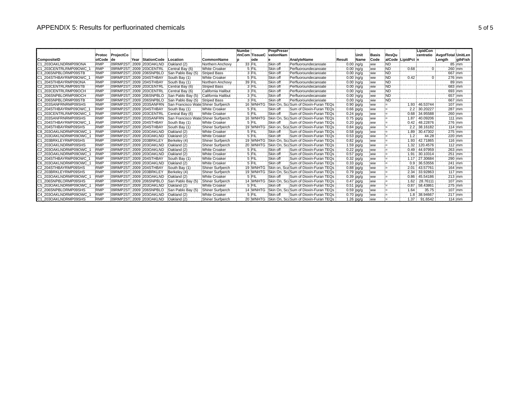|                             |            |               |                           |                                     |                           | Numbe          | PrepPreser    |                                                |               |               |                                      |                |                    | LipidCon |                              |                   |
|-----------------------------|------------|---------------|---------------------------|-------------------------------------|---------------------------|----------------|---------------|------------------------------------------------|---------------|---------------|--------------------------------------|----------------|--------------------|----------|------------------------------|-------------------|
|                             | Protoc     | ProjectCo     |                           |                                     |                           | rInCom TissueC | vationNam     |                                                |               | ∶Unit         | Basis                                | <b>ResQu</b>   |                    |          | centratio AvgofTotal UnitLen |                   |
| CompositeID                 | olCode de  |               | Year StationCode Location |                                     | CommonName                | ode            |               | AnalyteName                                    | Result        | :Name         | Code                                 |                | alCode LipidPct n  |          | ∶Length                      | gthFish           |
| 203OAKLNDRMP09ONA           | <b>RMP</b> | 09RMP2ST      | 2009 203OAKLND            | Oakland (2)                         | Northern Anchovy          | 33 FIL         | Skin of       | Perfluoroundecanoate                           |               | $0.00$ ing/g  | ww                                   | <b>ND</b>      |                    |          |                              | 85:mm             |
| 203CENTRLRMP09OWC           | <b>RMP</b> |               | 09RMP2ST 2009 203CENTRL   | Central Bay (6)                     | <b>White Croaker</b>      | $5$ FII        | Skin off<br>  | Perfluoroundecanoate                           |               | $0.00$ ing/g  | :ww<br>.                             | <b>ND</b>      | 0.68<br>. <i>.</i> |          | 260 mm                       |                   |
| <b>C3 206SNPBLORMP09STB</b> | <b>RMP</b> |               | 09RMP2ST 2009 206SNPBLO   | San Pablo Bay (5)                   | <b>Striped Bass</b>       | 3 FIL          | Skin off      | Perfluoroundecanoate                           |               | $0.00$ :ng/g  | <b>WW</b>                            | ND.            |                    |          |                              | 667 mm            |
| 204STHBAYRMP09OWC           | <b>RMP</b> |               | 09RMP2ST 2009 204STHBAY   | South Bay (1)                       | White Croaker             | $5$ Fil        | Skin off      | Perfluoroundecanoate                           | $0.00$ : ng/o |               | <b>WW</b>                            | <b>ND</b><br>. | 0.42               |          | 276 mm                       |                   |
| 204STHBAYRMP09ONA           | <b>RMP</b> |               | 09RMP2ST 2009 204STHBAY   | South Bay (1)                       | Northern Anchovy          | 39 FII<br>.    | Skin off<br>. | Perfluoroundecanoate                           |               | $0.00$ : ng/g | .ww<br>.                             | <b>ND</b><br>. |                    |          | . <b>.</b> .                 | 89 mm             |
| 203CENTRLRMP09STB           | <b>RMP</b> |               | 09RMP2ST 2009 203CENTRL   | Central Bay (6)                     | Striped Bass              | $3$ FII        | :Skin off     | Perfluoroundecanoate                           | $0.00$ : ng/  |               | <b>WW</b>                            | ND.<br>.       |                    |          | 683 mm                       |                   |
| 203CENTRLRMP09OCH           | <b>RMP</b> |               | 09RMP2ST 2009 203CENTRL   | Central Bay (6)                     | :California Halibut       | $3$ Fil        | Skin off      | Perfluoroundecanoate                           |               | $0.00$ ing/g  | <b>WW</b>                            | <b>ND</b>      |                    |          |                              | 693 mm            |
| 206SNPBLORMP09OCH           | <b>RMP</b> |               | 09RMP2ST 2009 206SNPBLO   | San Pablo Bay (5)                   | <b>California Halibut</b> | $3$ FII        | :Skin of      | Perfluoroundecanoate                           |               | $0.00$ :ng/g  | : WW<br>.                            | <b>ND</b>      |                    |          |                              | 657 mm            |
| IC4 206SNPBLORMP09STB       | RMP        |               | 09RMP2ST: 2009 206SNPBLO  | San Pablo Bay (5)                   | <b>Striped Bass</b>       | $3$ $FIL$      | Skin off      | Perfluoroundecanoate                           |               | $0.00$ : ng/g | <b>WW</b><br>.                       | ÑĎ<br>.        |                    |          | .                            | $667$ mm          |
| 203SANFRNRMP09SHS           | RMP        |               | 09RMP2ST: 2009 203SANFRN  | San Francisco Wate Shiner Surfperch |                           | 16 WNH         | 'Skin On      | Sum of Dioxin-Furan TEQs                       |               | $0.90$ pg/g   | <b>WW</b><br><b>Special Concerns</b> |                | 1.93               | 46.53744 | 107 mm                       |                   |
| IC2 204STHBAYRMP09OWC       | <b>RMP</b> |               | 09RMP2ST 2009 204STHBAY   | South Bay (1)                       | White Croaker             | 5 FI           | :Skin of      | Sum of Dioxin-Furan TEQs                       |               | $0.66$ :pg/g  | :ww                                  |                |                    | 30.20227 | 287 mm                       |                   |
| 203CENTRLRMP09OWC           | RMP        |               | 09RMP2ST: 2009 203CENTRI  | Central Bay (6)                     | <b>White Croaker</b>      | $5$ FII        | Skin of       | Sum of Dioxin-Furan TEOs                       |               | $0.24$ pg/g   |                                      |                | 0.68               | 34.95588 | 260 mm                       |                   |
| C2 203SANFRNRMP09SHS        | <b>RMP</b> |               | 09RMP2ST 2009 203SANFRN   | San Francisco                       | Shiner Surfperch          | 16 WNH         | Skin On       | Sum of Dioxin-Furan TEQs                       |               | $0.75$ pg/g   | .                                    | .              | 1.87               | 40.09206 | 111 'mm                      |                   |
| 204STHBAYRMP09OWC           | <b>RMP</b> |               | 09RMP2ST 2009 204STHBAY   | :South Bav (1)                      | White Croaker             | 5 FII          | Skin off      | Sum of Dioxin-Furan TEQs                       |               | $0.20$ pg/g   | :ww                                  |                | 0.42               | 48.22876 |                              | 276 mm            |
| 204STHBAYRMP09SHS           | <b>RMP</b> |               | 09RMP2ST: 2009 204STHBAY  | South Bay (1)                       | Shiner Surfperch          | 19 WNHTG       |               | Skin on. Sca Sum of Dioxin-Furan TEOs          |               | $0.84$ pg/g   | <b>WW</b>                            | <u>.</u>       | 2.2                | 38.16182 |                              | 114:mm            |
| IC8 203OAKLNDRMP09OWC       | <b>RMF</b> |               | 09RMP2ST 2009 203OAKLND   | Oakland (2)                         | <b>White Croaker</b>      | $5$ FII        | Skin off      | Sum of Dioxin-Furan TEOs                       |               | $0.58$ pg/g   | : WW                                 |                | 1.89               | 30.47302 | 275 mm                       |                   |
| 203OAKLNDRMP09OWC           | <b>RMP</b> |               | 09RMP2ST 2009 203OAKLND   | Oakland (2)                         | White Croaker             | 5 :FI          | Skin of       | Sum of Dioxin-Furan TEQs                       | $0.53$ :pg/s  |               |                                      |                | 2. ا               | 44.28    | 220 mm                       |                   |
| 203BRKLEYRMP09SHS           | <b>RMP</b> |               | 09RMP2ST 2009 203BRKLEY   | Berkelev (4)                        | Shiner Surfperch          | 19 WNHT        |               | Skin On. Sci Sum of Dioxin-Furan TEQs          |               | $0.82$ pg/g   |                                      |                | 1.93               | 42.71865 |                              | 116:mm            |
| IC2 203OAKLNDRMP09SHS       | <b>RMP</b> |               | 09RMP2ST 2009 203OAKLND   | Oakland (2)                         | Shiner Surfperch          | 20 WNH         | ГG.           | Skin On, Sc: Sum of Dioxin-Furan TEOs          |               | $1.59$ :pg/g  | :ww<br>.                             |                | 1.32               | 120.4576 |                              | $112 \cdot mm$    |
| IC2 203OAKLNDRMP09OWC       | <b>RMP</b> |               | 09RMP2ST 2009 203OAKLND   | Oakland (2)                         | White Croaker             | 5 FI           | :Skin off     | Sum of Dioxin-Furan TEOs                       |               | $0.22$ pg/g   |                                      |                | 0.49               | 44.97959 |                              | $263$ mm          |
| C7 203OAKLNDRMP09OWC        | <b>RMP</b> |               | 09RMP2ST: 2009 203OAKLND  | Oakland (2)                         | White Croaker             | 5 Fil          | Skin off      | Sum of Dioxin-Furan TEOs                       |               | $0.57$ pg/g   |                                      |                | 1.91               | 30.10314 |                              | $251$ mm          |
| C3 204STHBAYRMP09OWC        | <b>RMF</b> |               | 09RMP2ST 2009 204STHBAY   | South Bay (1)                       | <b>White Croaker</b>      | $5$ FI         | Skin off      | Sum of Dioxin-Furan TEQs                       |               | $0.32$ :pg/g  |                                      |                | 1.17               | 27.30684 | 290 mm                       |                   |
| IC6 203OAKLNDRMP09OWC       | <b>RMF</b> |               | 09RMP2ST 2009 203OAKLND   | Oakland (2)                         | <b>White Croaker</b>      | $5$ FI         | :Skin of      | Sum of Dioxin-Furan TEQs                       |               | $0.33$ pg/g   |                                      |                | 0.9                | 36.53556 | 241 mm                       |                   |
| C2 204STHBAYRMP09SHS        | <b>RMP</b> |               | 09RMP2ST 2009 204STHBAY   | South Bay (1)                       | :Shiner Surfperch         | <b>19 WNHT</b> |               | Skin on. Sca Sum of Dioxin-Furan TEQs          |               | $0.88$ pg/g   |                                      |                | 2.01               | 43.57761 | 164 mm                       |                   |
| C2 203BRKLEYRMP09SHS        | <b>RMP</b> |               | 09RMP2ST 2009 203BRKLEY   | :Berkelev (4)                       | Shiner Surfperch          | 19 WNHTG       |               | Skin On, Sc: Sum of Dioxin-Furan TEQs          |               | 0.79 pg/g     | :ww                                  |                | 2.34               | 33.92863 | $117 \cdot m$                |                   |
| 203OAKLNDRMP09OWC           | <b>RMP</b> |               | 09RMP2ST 2009 203OAKLND   | Oakland (2)                         | <b>White Croaker</b>      | $5$ Fil        | Skin off      | Sum of Dioxin-Furan TEOs                       |               | $0.39$ pg/g   | <b>WW</b>                            |                | 0.86               | 45.54186 | 213 mm                       |                   |
| 206SNPBLORMP09SHS           | <b>RMP</b> |               | 09RMP2ST 2009 206SNPBLO   | San Pablo Bay (5)                   | Shiner Surfperch          | 14 WNHT        |               | Skin On. Sc: Sum of Dioxin-Furan TEQs          |               | $0.47$ :pg/g  |                                      |                | 1.62               | 28.76111 | 107 mm                       |                   |
| C5 203OAKLNDRMP09OWC        | <b>RMP</b> | 09RMP2ST 2009 | 203OAKLND                 | Oakland (2)                         | White Croaker             | $5$ FI         | Skin of       | Sum of Dioxin-Furan TEQs                       |               | $0.51$ :pg/g  |                                      |                | 0.87               | 58.43861 | 275 mm                       |                   |
| C2 206SNPBLORMP09SHS        | <b>RMP</b> |               | 09RMP2ST: 2009 206SNPBLO  | San Pablo Bay (5)                   | Shiner Surfperch          | 14 WNHTG       |               | Skin On, Sc: Sum of Dioxin-Furan TEQs          | $0.59$ pg/    |               |                                      |                | 1.64               | 35.75    |                              | 107 mm            |
| C4 203OAKLNDRMP09OWC        | <b>RMF</b> |               | 09RMP2ST 2009 203OAKLND   | Oakland (2)                         | <b>White Croaker</b>      | 5 :FII         | Skin of       | Sum of Dioxin-Furan TEQs                       | $0.70$ pg/c   |               |                                      |                | 1.8                | 38.94667 | 217 mm                       |                   |
| C1 203OAKLNDRMP09SHS        | <b>RMP</b> |               | 09RMP2ST 2009 203OAKLND   | Cakland (2)                         | Shiner Surfperch          |                |               | 20 WNHTG Skin On, Sc: Sum of Dioxin-Furan TEQs |               | 1.26 pa/a     |                                      |                | 1.37               | 91.6542  |                              | $114 \mathrm{mm}$ |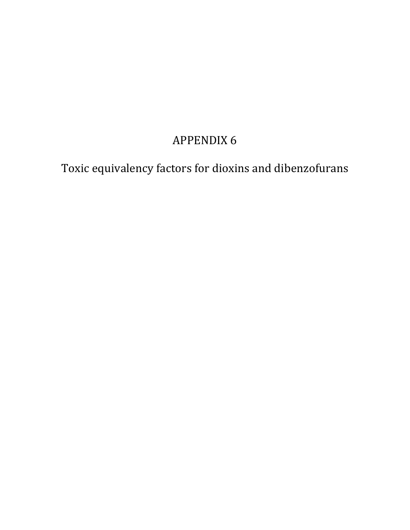# **APPENDIX 6**

Toxic equivalency factors for dioxins and dibenzofurans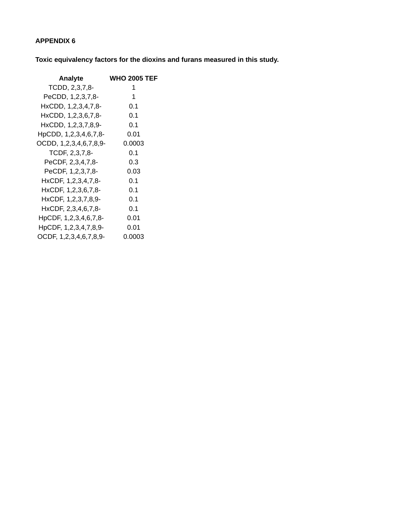### **APPENDIX 6**

**Toxic equivalency factors for the dioxins and furans measured in this study.** 

| <b>Analyte</b>         | <b>WHO 2005 TEF</b> |
|------------------------|---------------------|
| TCDD, 2,3,7,8-         | 1                   |
| PeCDD, 1,2,3,7,8-      | 1.                  |
| HxCDD, 1,2,3,4,7,8-    | 0.1                 |
| HxCDD, 1,2,3,6,7,8-    | 0.1                 |
| HxCDD, 1,2,3,7,8,9-    | 0.1                 |
| HpCDD, 1,2,3,4,6,7,8-  | 0.01                |
| OCDD, 1,2,3,4,6,7,8,9- | 0.0003              |
| TCDF, 2,3,7,8-         | 0.1                 |
| PeCDF, 2,3,4,7,8-      | 0.3                 |
| PeCDF, 1,2,3,7,8-      | 0.03                |
| HxCDF, 1,2,3,4,7,8-    | 0.1                 |
| HxCDF, 1,2,3,6,7,8-    | 0.1                 |
| HxCDF, 1,2,3,7,8,9-    | 0.1                 |
| HxCDF, 2,3,4,6,7,8-    | 0.1                 |
| HpCDF, 1,2,3,4,6,7,8-  | 0.01                |
| HpCDF, 1,2,3,4,7,8,9-  | 0.01                |
| OCDF, 1,2,3,4,6,7,8,9- | 0.0003              |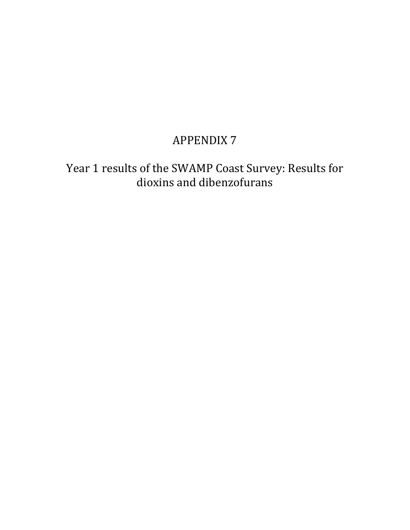## **APPENDIX 7**

Year 1 results of the SWAMP Coast Survey: Results for dioxins and dibenzofurans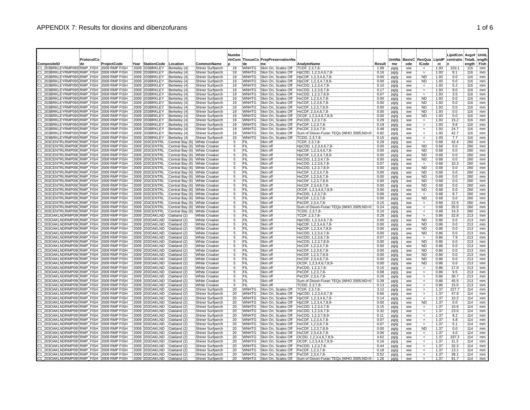| Year StationCode Location<br><b>ICode</b><br>CompositeID<br>:de<br>ProjectCode<br>CommonName<br>de<br>AnalyteName<br>Result<br>me<br>ode<br>ct<br>me<br>203BRKLEYRMP09S:RMP FISH : 2009 RMP FISH<br>2009 203BRKLEY<br><b>WNHTG</b><br>103.1<br>Berkeley (4)<br>Shiner Surfperch<br>19<br>Skin On, Scales Off<br>TCDF, 2,3,7,8-<br>1.99<br><b>WW</b><br>1.93<br>116<br>pg/g<br>203BRKLEYRMP09S;RMP_FISH 12009 RMP FISH<br>2009 203BRKLEY<br>Berkeley (4)<br>Shiner Surfperch<br>19<br>Skin On, Scales Off<br>1.93<br>8.1<br>116<br>WNHTG<br>HpCDD, 1,2,3,4,6,7,8-<br>0.16<br>ww<br>pg/g<br>$\equiv$<br>203BRKLEYRMP09S:RMP FISH : 2009 RMP FISH<br>2009 203BRKLEY<br>Shiner Surfperch<br>19<br>Skin On, Scales Off<br>1.93<br>0.0<br>116<br>Berkeley (4)<br>WNHTG<br>HpCDF, 1.2.3.4.6.7.8-<br>0.00<br><b>WW</b><br><b>ND</b><br>pg/g<br>203BRKLEYRMP09S:RMP FISH : 2009 RMP FISH<br>19<br>Skin On, Scales Off<br>ND <sup>-</sup><br>116<br>2009 203BRKLEY<br>Berkeley (4)<br>Shiner Surfperch<br><b>WNHTG</b><br>HpCDF, 1,2,3,4,7,8,9-<br>0.00<br>1.93<br>0.0<br>ww<br>pg/g<br>203BRKLEYRMP09S:RMP FISH : 2009 RMP FISH<br>2009 203BRKLEY<br>19<br>Skin On, Scales Off<br>HxCDD, 1,2,3,4,7,8-<br>1.93<br>5.2<br>116<br>Berkeley (4)<br>Shiner Surfperch<br><b>WNHTG</b><br>0.10<br><b>WW</b><br>pg/g<br>Ħ.<br>19<br>203BRKLEYRMP09S;RMP_FISH 72009 RMP FISH<br>2009 203BRKLEY<br>Berkeley (4)<br>Skin On, Scales Off<br>HxCDD, 1,2,3,6,7,8-<br>1.93<br>9.0<br>116<br>Shiner Surfperch<br>WNHTG<br>0.17<br>pg/g<br>WW<br>$\equiv$<br>19<br>203BRKLEYRMP09S;RMP FISH : 2009 RMP FISH<br>Skin On, Scales Off<br>3.5<br>2009 203BRKLEY<br>Berkeley (4)<br>Shiner Surfperch<br><b>WNHTG</b><br>HxCDD, 1,2,3,7,8,9-<br>1.93<br>116<br>0.07<br>ww<br>pg/g<br>19<br>203BRKLEYRMP09S:RMP FISH : 2009 RMP FISH<br>2009 203BRKLEY<br>Berkeley (4)<br>Skin On, Scales Off<br><b>ND</b><br>1.93<br>0.0<br>116<br>Shiner Surfperch<br>WNHTG<br>HxCDF, 1,2,3,4,7,8-<br>0.00<br>pg/g<br>ww<br>19<br>203BRKLEYRMP09S:RMP FISH : 2009 RMP FISH<br>2009 203BRKLEY<br>Berkeley (4)<br>Shiner Surfperch<br><b>WNHTG</b><br>Skin On, Scales Off<br>HxCDF, 1,2,3,6,7,8-<br>0.00<br><b>ND</b><br>1.93<br>0.0<br>116<br>pg/g<br>ww<br>19<br>203BRKLEYRMP09S:RMP FISH 2009 RMP FISH<br>2009 203BRKLEY<br>Berkeley (4)<br>Shiner Surfperch<br><b>WNHTG</b><br>Skin On, Scales Off<br>HxCDF, 1,2,3,7,8,9-<br>0.00<br><b>ND</b><br>1.93<br>0.0<br>116<br>pg/g<br>ww<br>19<br>203BRKLEYRMP09S;RMP FISH : 2009 RMP FISH<br>2009 203BRKLEY<br>Berkeley (4)<br>Shiner Surfperch<br><b>WNHTG</b><br>Skin On, Scales Off<br>HxCDF, 2,3,4,6,7,8-<br>0.00<br><b>ND</b><br>1.93<br>0.0<br>116<br>pg/g<br>ww<br>203BRKLEYRMP09S:RMP FISH : 2009 RMP FISH<br>2009 203BRKLEY<br>Berkeley (4)<br>Shiner Surfperch<br>19<br><b>WNHTG</b><br>Skin On, Scales Off<br>0.00<br><b>ND</b><br>1.93<br>0.0<br>116<br>OCDF, 1,2,3,4,6,7,8,9<br>pg/g<br>WW<br>203BRKLEYRMP09S:RMP_FISH 2009 RMP FISH<br>2009 203BRKLEY<br>19<br>Skin On, Scales Off<br>PeCDD, 1,2,3,7,8-<br>0.29<br>1.93<br>15.2<br>116<br>Berkeley (4)<br>Shiner Surfperch<br>WNHTG<br>pg/g<br>ww<br>203BRKLEYRMP09S;RMP_FISH 2009 RMP FISH<br>19<br>9.8<br>2009 203BRKLEY<br>Berkeley (4)<br>Skin On, Scales Off<br>PeCDF, 1,2,3,7,8-<br>1.93<br>116<br>Shiner Surfperch<br>WNHTG<br>0.19<br>ww<br>pg/g<br>$\quad =$<br>203BRKLEYRMP09S RMP FISH 2009 RMP FISH<br>19<br>24.7<br>2009 203BRKLEY<br>Berkeley (4)<br>Shiner Surfperch<br>WNHTG<br>Skin On, Scales Off<br>PeCDF, 2,3,4,7,8-<br>0.48<br>1.93<br>116<br>pg/g<br>ww<br>$\qquad \qquad =$<br>203BRKLEYRMP09S:RMP FISH : 2009 RMP FISH<br>2009 203BRKLEY<br>Berkeley (4)<br>Shiner Surfperch<br>19<br>WNHTG<br>Skin On, Scales Off<br>Sum of Dioxin-Furan TEQs (WHO 2005;ND=0<br>0.82<br>1.93<br>42.7<br>116<br>ww<br>pg/g<br>$\equiv$<br>19<br>7.7<br>203BRKLEYRMP09S:RMP FISH : 2009 RMP FISH<br>2009 203BRKLEY<br>Berkeley (4)<br>Shiner Surfperch<br>WNHTG<br>Skin On. Scales Off<br>TCDD, 2,3,7,8-<br>0.15<br>1.93<br>116<br>ww<br>pg/g<br>$=$<br>203CENTRLRMP09CRMP FISH 2009 RMP FISH<br>2009 203CENTRL<br>Central Bay (6) White Croaker<br>5<br>0.68<br>42.4<br>260<br>FIL<br>Skin off<br>TCDF, 2,3,7,8-<br>0.29<br>ww<br>pg/g<br>$=$<br>203CENTRLRMP09CRMP FISH 2009 RMP FISH<br>2009 203CENTRL<br>Central Bay (6) White Croaker<br>Ŧ,<br>ΪÑ.<br>0.68<br>0.0<br>FIL<br>Skin off<br>HpCDD, 1,2,3,4,6,7,8-<br>0.00<br>260<br>pg/g<br>ww<br>N <sub>D</sub><br>203CENTRLRMP09CRMP_FISH 2009 RMP FISH<br>Central Bay (6) White Croaker<br>5<br>FIL<br>Skin off<br>0.00<br>0.68<br>0.0<br>260<br>2009 203CENTRL<br>HpCDF, 1,2,3,4,6,7,8-<br>pg/g<br>ww<br>Central Bay (6) White Croaker<br><b>FIL</b><br><b>ND</b><br>0.0<br>203CENTRLRMP09CRMP FISH : 2009 RMP FISH<br>2009 203CENTRL<br>5<br>Skin off<br>HpCDF, 1,2,3,4,7,8,9-<br>0.00<br>0.68<br>260<br>pg/g<br>ww<br>203CENTRLRMP09CRMP FISH 2009 RMP FISH<br>2009 203CENTRL<br>Central Bay (6) White Croaker<br>HxCDD, 1,2,3,4,7,8-<br><b>ND</b><br>0.68<br>∖FIL<br>Skin off<br>0.00<br>pg/g<br>ww<br>0.0<br>260<br>203CENTRLRMP09CRMP FISH 2009 RMP FISH<br>2009 203CENTRL<br>Central Bay (6) White Croaker<br>5<br>FIL<br>Skin off<br>0.68<br>10.3<br>HxCDD, 1,2,3,6,7,8-<br>0.07<br>260<br>pg/g<br>ww<br>$=$<br>203CENTRLRMP09C:RMP_FISH_: 2009 RMP FISH<br><b>ND</b><br>2009 203CENTRL<br>Central Bay (6) White Croaker<br>١FIL<br>Skin off<br>HxCDD, 1,2,3,7,8,9-<br>0.00<br>0.68<br>0.0<br>260<br>ww<br>pg/g<br>203CENTRLRMP09CRMP FISH : 2009 RMP FISH<br>2009 203CENTRL<br>Central Bay (6) White Croaker<br>ΪFΪL<br>0.00<br><b>ND</b><br>0.68<br>0.0<br>260<br>5<br>Skin off<br>HxCDF, 1,2,3,4,7,8-<br>pg/g<br>ww<br>203CENTRLRMP09CRMP_FISH 2009 RMP FISH<br>FIL<br>2009 203CENTRL<br>Central Bay (6) White Croaker<br><b>ND</b><br>0.0<br>260<br>Skin off<br>HxCDF, 1,2,3,6,7,8-<br>0.00<br>0.68<br>5<br>pg/g<br>ww<br>203CENTRLRMP09CRMP FISH 2009 RMP FISH<br>Central Bay (6) White Croaker<br>'5<br>FIL<br><b>ND</b><br>0.0<br>260<br>2009 203CENTRL<br>Skin off<br>HxCDF, 1,2,3,7,8,9-<br>0.00<br>0.68<br>ww<br>pg/g<br>203CENTRLRMP09CRMP FISH : 2009 RMP FISH<br>2009 203CENTRL<br>Central Bay (6) White Croaker<br>5<br>(FIL<br>Skin off<br>HxCDF, 2,3,4,6,7,8-<br>0.00<br><b>ND</b><br>0.68<br>0.0<br>260<br>pg/g<br>ww | LipidCon Avgof UnitL<br>centratio TotalL ength |
|-----------------------------------------------------------------------------------------------------------------------------------------------------------------------------------------------------------------------------------------------------------------------------------------------------------------------------------------------------------------------------------------------------------------------------------------------------------------------------------------------------------------------------------------------------------------------------------------------------------------------------------------------------------------------------------------------------------------------------------------------------------------------------------------------------------------------------------------------------------------------------------------------------------------------------------------------------------------------------------------------------------------------------------------------------------------------------------------------------------------------------------------------------------------------------------------------------------------------------------------------------------------------------------------------------------------------------------------------------------------------------------------------------------------------------------------------------------------------------------------------------------------------------------------------------------------------------------------------------------------------------------------------------------------------------------------------------------------------------------------------------------------------------------------------------------------------------------------------------------------------------------------------------------------------------------------------------------------------------------------------------------------------------------------------------------------------------------------------------------------------------------------------------------------------------------------------------------------------------------------------------------------------------------------------------------------------------------------------------------------------------------------------------------------------------------------------------------------------------------------------------------------------------------------------------------------------------------------------------------------------------------------------------------------------------------------------------------------------------------------------------------------------------------------------------------------------------------------------------------------------------------------------------------------------------------------------------------------------------------------------------------------------------------------------------------------------------------------------------------------------------------------------------------------------------------------------------------------------------------------------------------------------------------------------------------------------------------------------------------------------------------------------------------------------------------------------------------------------------------------------------------------------------------------------------------------------------------------------------------------------------------------------------------------------------------------------------------------------------------------------------------------------------------------------------------------------------------------------------------------------------------------------------------------------------------------------------------------------------------------------------------------------------------------------------------------------------------------------------------------------------------------------------------------------------------------------------------------------------------------------------------------------------------------------------------------------------------------------------------------------------------------------------------------------------------------------------------------------------------------------------------------------------------------------------------------------------------------------------------------------------------------------------------------------------------------------------------------------------------------------------------------------------------------------------------------------------------------------------------------------------------------------------------------------------------------------------------------------------------------------------------------------------------------------------------------------------------------------------------------------------------------------------------------------------------------------------------------------------------------------------------------------------------------------------------------------------------------------------------------------------------------------------------------------------------------------------------------------------------------------------------------------------------------------------------------------------------------------------------------------------------------------------------------------------------------------------------------------------------------------------------------------------------------------------------------------------------------------------------------------------------------------------------------------------------------------------------------------------------------------------------------------------------------------------------------------------------------------------------------------------------------------------------------------------------------------------------------------------------------------------------------------|------------------------------------------------|
|                                                                                                                                                                                                                                                                                                                                                                                                                                                                                                                                                                                                                                                                                                                                                                                                                                                                                                                                                                                                                                                                                                                                                                                                                                                                                                                                                                                                                                                                                                                                                                                                                                                                                                                                                                                                                                                                                                                                                                                                                                                                                                                                                                                                                                                                                                                                                                                                                                                                                                                                                                                                                                                                                                                                                                                                                                                                                                                                                                                                                                                                                                                                                                                                                                                                                                                                                                                                                                                                                                                                                                                                                                                                                                                                                                                                                                                                                                                                                                                                                                                                                                                                                                                                                                                                                                                                                                                                                                                                                                                                                                                                                                                                                                                                                                                                                                                                                                                                                                                                                                                                                                                                                                                                                                                                                                                                                                                                                                                                                                                                                                                                                                                                                                                                                                                                                                                                                                                                                                                                                                                                                                                                                                                                                                                                       | ength: Fish<br>mm                              |
|                                                                                                                                                                                                                                                                                                                                                                                                                                                                                                                                                                                                                                                                                                                                                                                                                                                                                                                                                                                                                                                                                                                                                                                                                                                                                                                                                                                                                                                                                                                                                                                                                                                                                                                                                                                                                                                                                                                                                                                                                                                                                                                                                                                                                                                                                                                                                                                                                                                                                                                                                                                                                                                                                                                                                                                                                                                                                                                                                                                                                                                                                                                                                                                                                                                                                                                                                                                                                                                                                                                                                                                                                                                                                                                                                                                                                                                                                                                                                                                                                                                                                                                                                                                                                                                                                                                                                                                                                                                                                                                                                                                                                                                                                                                                                                                                                                                                                                                                                                                                                                                                                                                                                                                                                                                                                                                                                                                                                                                                                                                                                                                                                                                                                                                                                                                                                                                                                                                                                                                                                                                                                                                                                                                                                                                                       | mm                                             |
|                                                                                                                                                                                                                                                                                                                                                                                                                                                                                                                                                                                                                                                                                                                                                                                                                                                                                                                                                                                                                                                                                                                                                                                                                                                                                                                                                                                                                                                                                                                                                                                                                                                                                                                                                                                                                                                                                                                                                                                                                                                                                                                                                                                                                                                                                                                                                                                                                                                                                                                                                                                                                                                                                                                                                                                                                                                                                                                                                                                                                                                                                                                                                                                                                                                                                                                                                                                                                                                                                                                                                                                                                                                                                                                                                                                                                                                                                                                                                                                                                                                                                                                                                                                                                                                                                                                                                                                                                                                                                                                                                                                                                                                                                                                                                                                                                                                                                                                                                                                                                                                                                                                                                                                                                                                                                                                                                                                                                                                                                                                                                                                                                                                                                                                                                                                                                                                                                                                                                                                                                                                                                                                                                                                                                                                                       | mm                                             |
|                                                                                                                                                                                                                                                                                                                                                                                                                                                                                                                                                                                                                                                                                                                                                                                                                                                                                                                                                                                                                                                                                                                                                                                                                                                                                                                                                                                                                                                                                                                                                                                                                                                                                                                                                                                                                                                                                                                                                                                                                                                                                                                                                                                                                                                                                                                                                                                                                                                                                                                                                                                                                                                                                                                                                                                                                                                                                                                                                                                                                                                                                                                                                                                                                                                                                                                                                                                                                                                                                                                                                                                                                                                                                                                                                                                                                                                                                                                                                                                                                                                                                                                                                                                                                                                                                                                                                                                                                                                                                                                                                                                                                                                                                                                                                                                                                                                                                                                                                                                                                                                                                                                                                                                                                                                                                                                                                                                                                                                                                                                                                                                                                                                                                                                                                                                                                                                                                                                                                                                                                                                                                                                                                                                                                                                                       | mm<br>mm                                       |
|                                                                                                                                                                                                                                                                                                                                                                                                                                                                                                                                                                                                                                                                                                                                                                                                                                                                                                                                                                                                                                                                                                                                                                                                                                                                                                                                                                                                                                                                                                                                                                                                                                                                                                                                                                                                                                                                                                                                                                                                                                                                                                                                                                                                                                                                                                                                                                                                                                                                                                                                                                                                                                                                                                                                                                                                                                                                                                                                                                                                                                                                                                                                                                                                                                                                                                                                                                                                                                                                                                                                                                                                                                                                                                                                                                                                                                                                                                                                                                                                                                                                                                                                                                                                                                                                                                                                                                                                                                                                                                                                                                                                                                                                                                                                                                                                                                                                                                                                                                                                                                                                                                                                                                                                                                                                                                                                                                                                                                                                                                                                                                                                                                                                                                                                                                                                                                                                                                                                                                                                                                                                                                                                                                                                                                                                       | mm                                             |
|                                                                                                                                                                                                                                                                                                                                                                                                                                                                                                                                                                                                                                                                                                                                                                                                                                                                                                                                                                                                                                                                                                                                                                                                                                                                                                                                                                                                                                                                                                                                                                                                                                                                                                                                                                                                                                                                                                                                                                                                                                                                                                                                                                                                                                                                                                                                                                                                                                                                                                                                                                                                                                                                                                                                                                                                                                                                                                                                                                                                                                                                                                                                                                                                                                                                                                                                                                                                                                                                                                                                                                                                                                                                                                                                                                                                                                                                                                                                                                                                                                                                                                                                                                                                                                                                                                                                                                                                                                                                                                                                                                                                                                                                                                                                                                                                                                                                                                                                                                                                                                                                                                                                                                                                                                                                                                                                                                                                                                                                                                                                                                                                                                                                                                                                                                                                                                                                                                                                                                                                                                                                                                                                                                                                                                                                       | mm                                             |
|                                                                                                                                                                                                                                                                                                                                                                                                                                                                                                                                                                                                                                                                                                                                                                                                                                                                                                                                                                                                                                                                                                                                                                                                                                                                                                                                                                                                                                                                                                                                                                                                                                                                                                                                                                                                                                                                                                                                                                                                                                                                                                                                                                                                                                                                                                                                                                                                                                                                                                                                                                                                                                                                                                                                                                                                                                                                                                                                                                                                                                                                                                                                                                                                                                                                                                                                                                                                                                                                                                                                                                                                                                                                                                                                                                                                                                                                                                                                                                                                                                                                                                                                                                                                                                                                                                                                                                                                                                                                                                                                                                                                                                                                                                                                                                                                                                                                                                                                                                                                                                                                                                                                                                                                                                                                                                                                                                                                                                                                                                                                                                                                                                                                                                                                                                                                                                                                                                                                                                                                                                                                                                                                                                                                                                                                       | mm                                             |
|                                                                                                                                                                                                                                                                                                                                                                                                                                                                                                                                                                                                                                                                                                                                                                                                                                                                                                                                                                                                                                                                                                                                                                                                                                                                                                                                                                                                                                                                                                                                                                                                                                                                                                                                                                                                                                                                                                                                                                                                                                                                                                                                                                                                                                                                                                                                                                                                                                                                                                                                                                                                                                                                                                                                                                                                                                                                                                                                                                                                                                                                                                                                                                                                                                                                                                                                                                                                                                                                                                                                                                                                                                                                                                                                                                                                                                                                                                                                                                                                                                                                                                                                                                                                                                                                                                                                                                                                                                                                                                                                                                                                                                                                                                                                                                                                                                                                                                                                                                                                                                                                                                                                                                                                                                                                                                                                                                                                                                                                                                                                                                                                                                                                                                                                                                                                                                                                                                                                                                                                                                                                                                                                                                                                                                                                       | mm<br>mm                                       |
|                                                                                                                                                                                                                                                                                                                                                                                                                                                                                                                                                                                                                                                                                                                                                                                                                                                                                                                                                                                                                                                                                                                                                                                                                                                                                                                                                                                                                                                                                                                                                                                                                                                                                                                                                                                                                                                                                                                                                                                                                                                                                                                                                                                                                                                                                                                                                                                                                                                                                                                                                                                                                                                                                                                                                                                                                                                                                                                                                                                                                                                                                                                                                                                                                                                                                                                                                                                                                                                                                                                                                                                                                                                                                                                                                                                                                                                                                                                                                                                                                                                                                                                                                                                                                                                                                                                                                                                                                                                                                                                                                                                                                                                                                                                                                                                                                                                                                                                                                                                                                                                                                                                                                                                                                                                                                                                                                                                                                                                                                                                                                                                                                                                                                                                                                                                                                                                                                                                                                                                                                                                                                                                                                                                                                                                                       | mm                                             |
|                                                                                                                                                                                                                                                                                                                                                                                                                                                                                                                                                                                                                                                                                                                                                                                                                                                                                                                                                                                                                                                                                                                                                                                                                                                                                                                                                                                                                                                                                                                                                                                                                                                                                                                                                                                                                                                                                                                                                                                                                                                                                                                                                                                                                                                                                                                                                                                                                                                                                                                                                                                                                                                                                                                                                                                                                                                                                                                                                                                                                                                                                                                                                                                                                                                                                                                                                                                                                                                                                                                                                                                                                                                                                                                                                                                                                                                                                                                                                                                                                                                                                                                                                                                                                                                                                                                                                                                                                                                                                                                                                                                                                                                                                                                                                                                                                                                                                                                                                                                                                                                                                                                                                                                                                                                                                                                                                                                                                                                                                                                                                                                                                                                                                                                                                                                                                                                                                                                                                                                                                                                                                                                                                                                                                                                                       | mm                                             |
|                                                                                                                                                                                                                                                                                                                                                                                                                                                                                                                                                                                                                                                                                                                                                                                                                                                                                                                                                                                                                                                                                                                                                                                                                                                                                                                                                                                                                                                                                                                                                                                                                                                                                                                                                                                                                                                                                                                                                                                                                                                                                                                                                                                                                                                                                                                                                                                                                                                                                                                                                                                                                                                                                                                                                                                                                                                                                                                                                                                                                                                                                                                                                                                                                                                                                                                                                                                                                                                                                                                                                                                                                                                                                                                                                                                                                                                                                                                                                                                                                                                                                                                                                                                                                                                                                                                                                                                                                                                                                                                                                                                                                                                                                                                                                                                                                                                                                                                                                                                                                                                                                                                                                                                                                                                                                                                                                                                                                                                                                                                                                                                                                                                                                                                                                                                                                                                                                                                                                                                                                                                                                                                                                                                                                                                                       | mm                                             |
|                                                                                                                                                                                                                                                                                                                                                                                                                                                                                                                                                                                                                                                                                                                                                                                                                                                                                                                                                                                                                                                                                                                                                                                                                                                                                                                                                                                                                                                                                                                                                                                                                                                                                                                                                                                                                                                                                                                                                                                                                                                                                                                                                                                                                                                                                                                                                                                                                                                                                                                                                                                                                                                                                                                                                                                                                                                                                                                                                                                                                                                                                                                                                                                                                                                                                                                                                                                                                                                                                                                                                                                                                                                                                                                                                                                                                                                                                                                                                                                                                                                                                                                                                                                                                                                                                                                                                                                                                                                                                                                                                                                                                                                                                                                                                                                                                                                                                                                                                                                                                                                                                                                                                                                                                                                                                                                                                                                                                                                                                                                                                                                                                                                                                                                                                                                                                                                                                                                                                                                                                                                                                                                                                                                                                                                                       | mm<br>mm                                       |
|                                                                                                                                                                                                                                                                                                                                                                                                                                                                                                                                                                                                                                                                                                                                                                                                                                                                                                                                                                                                                                                                                                                                                                                                                                                                                                                                                                                                                                                                                                                                                                                                                                                                                                                                                                                                                                                                                                                                                                                                                                                                                                                                                                                                                                                                                                                                                                                                                                                                                                                                                                                                                                                                                                                                                                                                                                                                                                                                                                                                                                                                                                                                                                                                                                                                                                                                                                                                                                                                                                                                                                                                                                                                                                                                                                                                                                                                                                                                                                                                                                                                                                                                                                                                                                                                                                                                                                                                                                                                                                                                                                                                                                                                                                                                                                                                                                                                                                                                                                                                                                                                                                                                                                                                                                                                                                                                                                                                                                                                                                                                                                                                                                                                                                                                                                                                                                                                                                                                                                                                                                                                                                                                                                                                                                                                       | mm                                             |
|                                                                                                                                                                                                                                                                                                                                                                                                                                                                                                                                                                                                                                                                                                                                                                                                                                                                                                                                                                                                                                                                                                                                                                                                                                                                                                                                                                                                                                                                                                                                                                                                                                                                                                                                                                                                                                                                                                                                                                                                                                                                                                                                                                                                                                                                                                                                                                                                                                                                                                                                                                                                                                                                                                                                                                                                                                                                                                                                                                                                                                                                                                                                                                                                                                                                                                                                                                                                                                                                                                                                                                                                                                                                                                                                                                                                                                                                                                                                                                                                                                                                                                                                                                                                                                                                                                                                                                                                                                                                                                                                                                                                                                                                                                                                                                                                                                                                                                                                                                                                                                                                                                                                                                                                                                                                                                                                                                                                                                                                                                                                                                                                                                                                                                                                                                                                                                                                                                                                                                                                                                                                                                                                                                                                                                                                       | mm                                             |
|                                                                                                                                                                                                                                                                                                                                                                                                                                                                                                                                                                                                                                                                                                                                                                                                                                                                                                                                                                                                                                                                                                                                                                                                                                                                                                                                                                                                                                                                                                                                                                                                                                                                                                                                                                                                                                                                                                                                                                                                                                                                                                                                                                                                                                                                                                                                                                                                                                                                                                                                                                                                                                                                                                                                                                                                                                                                                                                                                                                                                                                                                                                                                                                                                                                                                                                                                                                                                                                                                                                                                                                                                                                                                                                                                                                                                                                                                                                                                                                                                                                                                                                                                                                                                                                                                                                                                                                                                                                                                                                                                                                                                                                                                                                                                                                                                                                                                                                                                                                                                                                                                                                                                                                                                                                                                                                                                                                                                                                                                                                                                                                                                                                                                                                                                                                                                                                                                                                                                                                                                                                                                                                                                                                                                                                                       | mm<br>mm                                       |
|                                                                                                                                                                                                                                                                                                                                                                                                                                                                                                                                                                                                                                                                                                                                                                                                                                                                                                                                                                                                                                                                                                                                                                                                                                                                                                                                                                                                                                                                                                                                                                                                                                                                                                                                                                                                                                                                                                                                                                                                                                                                                                                                                                                                                                                                                                                                                                                                                                                                                                                                                                                                                                                                                                                                                                                                                                                                                                                                                                                                                                                                                                                                                                                                                                                                                                                                                                                                                                                                                                                                                                                                                                                                                                                                                                                                                                                                                                                                                                                                                                                                                                                                                                                                                                                                                                                                                                                                                                                                                                                                                                                                                                                                                                                                                                                                                                                                                                                                                                                                                                                                                                                                                                                                                                                                                                                                                                                                                                                                                                                                                                                                                                                                                                                                                                                                                                                                                                                                                                                                                                                                                                                                                                                                                                                                       | mm                                             |
|                                                                                                                                                                                                                                                                                                                                                                                                                                                                                                                                                                                                                                                                                                                                                                                                                                                                                                                                                                                                                                                                                                                                                                                                                                                                                                                                                                                                                                                                                                                                                                                                                                                                                                                                                                                                                                                                                                                                                                                                                                                                                                                                                                                                                                                                                                                                                                                                                                                                                                                                                                                                                                                                                                                                                                                                                                                                                                                                                                                                                                                                                                                                                                                                                                                                                                                                                                                                                                                                                                                                                                                                                                                                                                                                                                                                                                                                                                                                                                                                                                                                                                                                                                                                                                                                                                                                                                                                                                                                                                                                                                                                                                                                                                                                                                                                                                                                                                                                                                                                                                                                                                                                                                                                                                                                                                                                                                                                                                                                                                                                                                                                                                                                                                                                                                                                                                                                                                                                                                                                                                                                                                                                                                                                                                                                       | mm                                             |
|                                                                                                                                                                                                                                                                                                                                                                                                                                                                                                                                                                                                                                                                                                                                                                                                                                                                                                                                                                                                                                                                                                                                                                                                                                                                                                                                                                                                                                                                                                                                                                                                                                                                                                                                                                                                                                                                                                                                                                                                                                                                                                                                                                                                                                                                                                                                                                                                                                                                                                                                                                                                                                                                                                                                                                                                                                                                                                                                                                                                                                                                                                                                                                                                                                                                                                                                                                                                                                                                                                                                                                                                                                                                                                                                                                                                                                                                                                                                                                                                                                                                                                                                                                                                                                                                                                                                                                                                                                                                                                                                                                                                                                                                                                                                                                                                                                                                                                                                                                                                                                                                                                                                                                                                                                                                                                                                                                                                                                                                                                                                                                                                                                                                                                                                                                                                                                                                                                                                                                                                                                                                                                                                                                                                                                                                       | mm<br>mm                                       |
|                                                                                                                                                                                                                                                                                                                                                                                                                                                                                                                                                                                                                                                                                                                                                                                                                                                                                                                                                                                                                                                                                                                                                                                                                                                                                                                                                                                                                                                                                                                                                                                                                                                                                                                                                                                                                                                                                                                                                                                                                                                                                                                                                                                                                                                                                                                                                                                                                                                                                                                                                                                                                                                                                                                                                                                                                                                                                                                                                                                                                                                                                                                                                                                                                                                                                                                                                                                                                                                                                                                                                                                                                                                                                                                                                                                                                                                                                                                                                                                                                                                                                                                                                                                                                                                                                                                                                                                                                                                                                                                                                                                                                                                                                                                                                                                                                                                                                                                                                                                                                                                                                                                                                                                                                                                                                                                                                                                                                                                                                                                                                                                                                                                                                                                                                                                                                                                                                                                                                                                                                                                                                                                                                                                                                                                                       | mm                                             |
|                                                                                                                                                                                                                                                                                                                                                                                                                                                                                                                                                                                                                                                                                                                                                                                                                                                                                                                                                                                                                                                                                                                                                                                                                                                                                                                                                                                                                                                                                                                                                                                                                                                                                                                                                                                                                                                                                                                                                                                                                                                                                                                                                                                                                                                                                                                                                                                                                                                                                                                                                                                                                                                                                                                                                                                                                                                                                                                                                                                                                                                                                                                                                                                                                                                                                                                                                                                                                                                                                                                                                                                                                                                                                                                                                                                                                                                                                                                                                                                                                                                                                                                                                                                                                                                                                                                                                                                                                                                                                                                                                                                                                                                                                                                                                                                                                                                                                                                                                                                                                                                                                                                                                                                                                                                                                                                                                                                                                                                                                                                                                                                                                                                                                                                                                                                                                                                                                                                                                                                                                                                                                                                                                                                                                                                                       | mm                                             |
|                                                                                                                                                                                                                                                                                                                                                                                                                                                                                                                                                                                                                                                                                                                                                                                                                                                                                                                                                                                                                                                                                                                                                                                                                                                                                                                                                                                                                                                                                                                                                                                                                                                                                                                                                                                                                                                                                                                                                                                                                                                                                                                                                                                                                                                                                                                                                                                                                                                                                                                                                                                                                                                                                                                                                                                                                                                                                                                                                                                                                                                                                                                                                                                                                                                                                                                                                                                                                                                                                                                                                                                                                                                                                                                                                                                                                                                                                                                                                                                                                                                                                                                                                                                                                                                                                                                                                                                                                                                                                                                                                                                                                                                                                                                                                                                                                                                                                                                                                                                                                                                                                                                                                                                                                                                                                                                                                                                                                                                                                                                                                                                                                                                                                                                                                                                                                                                                                                                                                                                                                                                                                                                                                                                                                                                                       | mm                                             |
|                                                                                                                                                                                                                                                                                                                                                                                                                                                                                                                                                                                                                                                                                                                                                                                                                                                                                                                                                                                                                                                                                                                                                                                                                                                                                                                                                                                                                                                                                                                                                                                                                                                                                                                                                                                                                                                                                                                                                                                                                                                                                                                                                                                                                                                                                                                                                                                                                                                                                                                                                                                                                                                                                                                                                                                                                                                                                                                                                                                                                                                                                                                                                                                                                                                                                                                                                                                                                                                                                                                                                                                                                                                                                                                                                                                                                                                                                                                                                                                                                                                                                                                                                                                                                                                                                                                                                                                                                                                                                                                                                                                                                                                                                                                                                                                                                                                                                                                                                                                                                                                                                                                                                                                                                                                                                                                                                                                                                                                                                                                                                                                                                                                                                                                                                                                                                                                                                                                                                                                                                                                                                                                                                                                                                                                                       | mm<br>mm                                       |
| 203CENTRLRMP09C:RMP_FISH_:2009 RMP FISH<br>2009 203CENTRL<br>Central Bay (6) White Croaker<br>5<br>Skin off<br>OCDF, 1,2,3,4,6,7,8,9-<br>0.00<br><b>ND</b><br>0.68<br>0.0<br>260<br>FIL<br>ww<br>pg/g                                                                                                                                                                                                                                                                                                                                                                                                                                                                                                                                                                                                                                                                                                                                                                                                                                                                                                                                                                                                                                                                                                                                                                                                                                                                                                                                                                                                                                                                                                                                                                                                                                                                                                                                                                                                                                                                                                                                                                                                                                                                                                                                                                                                                                                                                                                                                                                                                                                                                                                                                                                                                                                                                                                                                                                                                                                                                                                                                                                                                                                                                                                                                                                                                                                                                                                                                                                                                                                                                                                                                                                                                                                                                                                                                                                                                                                                                                                                                                                                                                                                                                                                                                                                                                                                                                                                                                                                                                                                                                                                                                                                                                                                                                                                                                                                                                                                                                                                                                                                                                                                                                                                                                                                                                                                                                                                                                                                                                                                                                                                                                                                                                                                                                                                                                                                                                                                                                                                                                                                                                                                 | mm                                             |
| 203CENTRLRMP09CRMP FISH '2009 RMP FISH<br>Central Bay (6) White Croaker<br>2009 203CENTRL<br>5<br>FIL<br>Skin off<br>PeCDD, 1,2,3,7,8-<br>0.06<br>0.68<br>8.7<br>260<br>ww<br>pg/g<br>$=$                                                                                                                                                                                                                                                                                                                                                                                                                                                                                                                                                                                                                                                                                                                                                                                                                                                                                                                                                                                                                                                                                                                                                                                                                                                                                                                                                                                                                                                                                                                                                                                                                                                                                                                                                                                                                                                                                                                                                                                                                                                                                                                                                                                                                                                                                                                                                                                                                                                                                                                                                                                                                                                                                                                                                                                                                                                                                                                                                                                                                                                                                                                                                                                                                                                                                                                                                                                                                                                                                                                                                                                                                                                                                                                                                                                                                                                                                                                                                                                                                                                                                                                                                                                                                                                                                                                                                                                                                                                                                                                                                                                                                                                                                                                                                                                                                                                                                                                                                                                                                                                                                                                                                                                                                                                                                                                                                                                                                                                                                                                                                                                                                                                                                                                                                                                                                                                                                                                                                                                                                                                                             | mm                                             |
| 203CENTRLRMP09CRMP_FISH 2009 RMP FISH<br>Central Bay (6) White Croaker<br><b>ND</b><br>0.0<br>2009 203CENTRL<br>-5<br>FIL<br>Skin off<br>PeCDF, 1,2,3,7,8-<br>0.00<br>0.68<br>260<br>ww<br>pg/g<br>5                                                                                                                                                                                                                                                                                                                                                                                                                                                                                                                                                                                                                                                                                                                                                                                                                                                                                                                                                                                                                                                                                                                                                                                                                                                                                                                                                                                                                                                                                                                                                                                                                                                                                                                                                                                                                                                                                                                                                                                                                                                                                                                                                                                                                                                                                                                                                                                                                                                                                                                                                                                                                                                                                                                                                                                                                                                                                                                                                                                                                                                                                                                                                                                                                                                                                                                                                                                                                                                                                                                                                                                                                                                                                                                                                                                                                                                                                                                                                                                                                                                                                                                                                                                                                                                                                                                                                                                                                                                                                                                                                                                                                                                                                                                                                                                                                                                                                                                                                                                                                                                                                                                                                                                                                                                                                                                                                                                                                                                                                                                                                                                                                                                                                                                                                                                                                                                                                                                                                                                                                                                                  | mm                                             |
| 203CENTRLRMP09CRMP_FISH 2009 RMP FISH<br>2009 203CENTRL<br>Central Bay (6) White Croaker<br><b>FIL</b><br>0.15<br>0.68<br>22.5<br>260<br>Skin off<br>PeCDF, 2,3,4,7,8-<br>pg/g<br>ww<br>$\equiv$<br>203CENTRLRMP09C:RMP FISH : 2009 RMP FISH<br>Central Bay (6) White Croaker<br>5<br>35.0<br>260<br>2009 203CENTRL<br>¦FIL<br>Sum of Dioxin-Furan TEQs (WHO 2005;ND=0<br>0.24<br>0.68<br>:Skin off<br>pg/g<br><b>WW</b><br>$\qquad \qquad =$                                                                                                                                                                                                                                                                                                                                                                                                                                                                                                                                                                                                                                                                                                                                                                                                                                                                                                                                                                                                                                                                                                                                                                                                                                                                                                                                                                                                                                                                                                                                                                                                                                                                                                                                                                                                                                                                                                                                                                                                                                                                                                                                                                                                                                                                                                                                                                                                                                                                                                                                                                                                                                                                                                                                                                                                                                                                                                                                                                                                                                                                                                                                                                                                                                                                                                                                                                                                                                                                                                                                                                                                                                                                                                                                                                                                                                                                                                                                                                                                                                                                                                                                                                                                                                                                                                                                                                                                                                                                                                                                                                                                                                                                                                                                                                                                                                                                                                                                                                                                                                                                                                                                                                                                                                                                                                                                                                                                                                                                                                                                                                                                                                                                                                                                                                                                                         | mm<br>mm                                       |
| 203CENTRLRMP09CRMP FISH : 2009 RMP FISH<br>2009 203CENTRL<br>Central Bay (6) White Croaker<br>FIL<br>14.3<br>260<br>5<br>Skin off<br>TCDD, 2,3,7,8-<br>0.10<br>0.68<br>pg/g<br><b>WW</b><br>$=$                                                                                                                                                                                                                                                                                                                                                                                                                                                                                                                                                                                                                                                                                                                                                                                                                                                                                                                                                                                                                                                                                                                                                                                                                                                                                                                                                                                                                                                                                                                                                                                                                                                                                                                                                                                                                                                                                                                                                                                                                                                                                                                                                                                                                                                                                                                                                                                                                                                                                                                                                                                                                                                                                                                                                                                                                                                                                                                                                                                                                                                                                                                                                                                                                                                                                                                                                                                                                                                                                                                                                                                                                                                                                                                                                                                                                                                                                                                                                                                                                                                                                                                                                                                                                                                                                                                                                                                                                                                                                                                                                                                                                                                                                                                                                                                                                                                                                                                                                                                                                                                                                                                                                                                                                                                                                                                                                                                                                                                                                                                                                                                                                                                                                                                                                                                                                                                                                                                                                                                                                                                                       | mm                                             |
| FIL<br>32.8<br>213<br>_203OAKLNDRMP09('RMP_FISH '2009 RMP FISH<br>2009 203OAKLND<br>Oakland (2)<br>White Croaker<br>5<br>Skin off<br>TCDF, 2,3,7,8-<br>0.28<br>0.86<br>pg/g<br>ww<br>$\equiv$                                                                                                                                                                                                                                                                                                                                                                                                                                                                                                                                                                                                                                                                                                                                                                                                                                                                                                                                                                                                                                                                                                                                                                                                                                                                                                                                                                                                                                                                                                                                                                                                                                                                                                                                                                                                                                                                                                                                                                                                                                                                                                                                                                                                                                                                                                                                                                                                                                                                                                                                                                                                                                                                                                                                                                                                                                                                                                                                                                                                                                                                                                                                                                                                                                                                                                                                                                                                                                                                                                                                                                                                                                                                                                                                                                                                                                                                                                                                                                                                                                                                                                                                                                                                                                                                                                                                                                                                                                                                                                                                                                                                                                                                                                                                                                                                                                                                                                                                                                                                                                                                                                                                                                                                                                                                                                                                                                                                                                                                                                                                                                                                                                                                                                                                                                                                                                                                                                                                                                                                                                                                         | mm                                             |
| 203OAKLNDRMP09CRMP FISH 2009 RMP FISH<br>2009 203OAKLND<br>5<br>FIL<br><b>ND</b><br>0.0<br>Oakland (2)<br><b>White Croaker</b><br>Skin off<br>HpCDD, 1,2,3,4,6,7,8-<br>0.00<br>0.86<br>213<br>pg/g<br>ww<br>203OAKLNDRMP09CRMP FISH : 2009 RMP FISH<br>2009 203OAKLND<br>Oakland (2)<br><b>White Croaker</b><br>ΈÏĹ<br>HpCDF, 1,2,3,4,6,7,8-<br>0.00<br><b>ND</b><br>0.86<br>0.0<br>213<br>Skin off<br>ww                                                                                                                                                                                                                                                                                                                                                                                                                                                                                                                                                                                                                                                                                                                                                                                                                                                                                                                                                                                                                                                                                                                                                                                                                                                                                                                                                                                                                                                                                                                                                                                                                                                                                                                                                                                                                                                                                                                                                                                                                                                                                                                                                                                                                                                                                                                                                                                                                                                                                                                                                                                                                                                                                                                                                                                                                                                                                                                                                                                                                                                                                                                                                                                                                                                                                                                                                                                                                                                                                                                                                                                                                                                                                                                                                                                                                                                                                                                                                                                                                                                                                                                                                                                                                                                                                                                                                                                                                                                                                                                                                                                                                                                                                                                                                                                                                                                                                                                                                                                                                                                                                                                                                                                                                                                                                                                                                                                                                                                                                                                                                                                                                                                                                                                                                                                                                                                             | mm<br>mm                                       |
| pg/g<br>203OAKLNDRMP09CRMP FISH 2009 RMP FISH<br>2009 203OAKLND<br>Oakland (2)<br>White Croaker<br>5<br>ΈïΕ<br>HpCDF, 1,2,3,4,7,8,9-<br>0.00<br>ND <sup>-</sup><br>0.86<br>0.0<br>213<br>Skin off<br>ww<br>pg/g                                                                                                                                                                                                                                                                                                                                                                                                                                                                                                                                                                                                                                                                                                                                                                                                                                                                                                                                                                                                                                                                                                                                                                                                                                                                                                                                                                                                                                                                                                                                                                                                                                                                                                                                                                                                                                                                                                                                                                                                                                                                                                                                                                                                                                                                                                                                                                                                                                                                                                                                                                                                                                                                                                                                                                                                                                                                                                                                                                                                                                                                                                                                                                                                                                                                                                                                                                                                                                                                                                                                                                                                                                                                                                                                                                                                                                                                                                                                                                                                                                                                                                                                                                                                                                                                                                                                                                                                                                                                                                                                                                                                                                                                                                                                                                                                                                                                                                                                                                                                                                                                                                                                                                                                                                                                                                                                                                                                                                                                                                                                                                                                                                                                                                                                                                                                                                                                                                                                                                                                                                                       | mm                                             |
| 203OAKLNDRMP09CRMP FISH 2009 RMP FISH<br>2009 203OAKLND<br>FIL<br>HxCDD, 1,2,3,4,7,8-<br><b>ND</b><br>0.0<br>213<br>Oakland (2)<br>White Croaker<br>5<br>0.00<br>0.86<br>Skin off<br>ww<br>pg/g                                                                                                                                                                                                                                                                                                                                                                                                                                                                                                                                                                                                                                                                                                                                                                                                                                                                                                                                                                                                                                                                                                                                                                                                                                                                                                                                                                                                                                                                                                                                                                                                                                                                                                                                                                                                                                                                                                                                                                                                                                                                                                                                                                                                                                                                                                                                                                                                                                                                                                                                                                                                                                                                                                                                                                                                                                                                                                                                                                                                                                                                                                                                                                                                                                                                                                                                                                                                                                                                                                                                                                                                                                                                                                                                                                                                                                                                                                                                                                                                                                                                                                                                                                                                                                                                                                                                                                                                                                                                                                                                                                                                                                                                                                                                                                                                                                                                                                                                                                                                                                                                                                                                                                                                                                                                                                                                                                                                                                                                                                                                                                                                                                                                                                                                                                                                                                                                                                                                                                                                                                                                       | mm                                             |
| 203OAKLNDRMP09CRMP FISH 2009 RMP FISH<br>7.9<br>2009 203OAKLND<br>FIL<br>0.07<br>213<br>Oakland (2)<br><b>White Croaker</b><br>5<br>Skin off<br>HxCDD, 1,2,3,6,7,8-<br>ww<br>0.86<br>pg/g<br>203OAKLNDRMP09CRMP_FISH :2009 RMP FISH<br><b>ND</b><br>0.0<br>Oakland (2)<br>5<br>١FIL<br>Skin off<br>213                                                                                                                                                                                                                                                                                                                                                                                                                                                                                                                                                                                                                                                                                                                                                                                                                                                                                                                                                                                                                                                                                                                                                                                                                                                                                                                                                                                                                                                                                                                                                                                                                                                                                                                                                                                                                                                                                                                                                                                                                                                                                                                                                                                                                                                                                                                                                                                                                                                                                                                                                                                                                                                                                                                                                                                                                                                                                                                                                                                                                                                                                                                                                                                                                                                                                                                                                                                                                                                                                                                                                                                                                                                                                                                                                                                                                                                                                                                                                                                                                                                                                                                                                                                                                                                                                                                                                                                                                                                                                                                                                                                                                                                                                                                                                                                                                                                                                                                                                                                                                                                                                                                                                                                                                                                                                                                                                                                                                                                                                                                                                                                                                                                                                                                                                                                                                                                                                                                                                                | mm                                             |
| HxCDD, 1,2,3,7,8,9-<br>2009 203OAKLND<br>White Croaker<br>0.00<br>0.86<br>pg/g<br>ww<br>203OAKLNDRMP09CRMP FISH : 2009 RMP FISH<br>ND <sup>-</sup><br>0.0<br>213<br>2009 203OAKLND<br>Oakland (2)<br>White Croaker<br>'FIL<br>Skin off<br>HxCDF, 1,2,3,4,7,8-<br>0.00<br>0.86<br>pg/g<br>ww                                                                                                                                                                                                                                                                                                                                                                                                                                                                                                                                                                                                                                                                                                                                                                                                                                                                                                                                                                                                                                                                                                                                                                                                                                                                                                                                                                                                                                                                                                                                                                                                                                                                                                                                                                                                                                                                                                                                                                                                                                                                                                                                                                                                                                                                                                                                                                                                                                                                                                                                                                                                                                                                                                                                                                                                                                                                                                                                                                                                                                                                                                                                                                                                                                                                                                                                                                                                                                                                                                                                                                                                                                                                                                                                                                                                                                                                                                                                                                                                                                                                                                                                                                                                                                                                                                                                                                                                                                                                                                                                                                                                                                                                                                                                                                                                                                                                                                                                                                                                                                                                                                                                                                                                                                                                                                                                                                                                                                                                                                                                                                                                                                                                                                                                                                                                                                                                                                                                                                           | mm<br>mm                                       |
| 203OAKLNDRMP09CRMP FISH 2009 RMP FISH<br>2009 203OAKLND<br>Oakland (2)<br><b>White Croaker</b><br>FIL<br>Skin off<br>HxCDF, 1,2,3,6,7,8-<br>0.00<br><b>WW</b><br><b>ND</b><br>0.86<br>0.0<br>213<br>5<br>pg/g                                                                                                                                                                                                                                                                                                                                                                                                                                                                                                                                                                                                                                                                                                                                                                                                                                                                                                                                                                                                                                                                                                                                                                                                                                                                                                                                                                                                                                                                                                                                                                                                                                                                                                                                                                                                                                                                                                                                                                                                                                                                                                                                                                                                                                                                                                                                                                                                                                                                                                                                                                                                                                                                                                                                                                                                                                                                                                                                                                                                                                                                                                                                                                                                                                                                                                                                                                                                                                                                                                                                                                                                                                                                                                                                                                                                                                                                                                                                                                                                                                                                                                                                                                                                                                                                                                                                                                                                                                                                                                                                                                                                                                                                                                                                                                                                                                                                                                                                                                                                                                                                                                                                                                                                                                                                                                                                                                                                                                                                                                                                                                                                                                                                                                                                                                                                                                                                                                                                                                                                                                                         | mm                                             |
| 203OAKLNDRMP09CRMP_FISH 2009 RMP FISH<br>2009 203OAKLND<br>Oakland (2)<br><b>White Croaker</b><br>5<br>Skin off<br>HxCDF, 1,2,3,7,8,9-<br>0.00<br><b>ND</b><br>0.86<br>0.0<br>213<br>FII<br>pg/g<br><b>WW</b>                                                                                                                                                                                                                                                                                                                                                                                                                                                                                                                                                                                                                                                                                                                                                                                                                                                                                                                                                                                                                                                                                                                                                                                                                                                                                                                                                                                                                                                                                                                                                                                                                                                                                                                                                                                                                                                                                                                                                                                                                                                                                                                                                                                                                                                                                                                                                                                                                                                                                                                                                                                                                                                                                                                                                                                                                                                                                                                                                                                                                                                                                                                                                                                                                                                                                                                                                                                                                                                                                                                                                                                                                                                                                                                                                                                                                                                                                                                                                                                                                                                                                                                                                                                                                                                                                                                                                                                                                                                                                                                                                                                                                                                                                                                                                                                                                                                                                                                                                                                                                                                                                                                                                                                                                                                                                                                                                                                                                                                                                                                                                                                                                                                                                                                                                                                                                                                                                                                                                                                                                                                         | mm                                             |
| 203OAKLNDRMP09CRMP FISH 2009 RMP FISH<br><b>ND</b><br>0.86<br>0.0<br>213<br>2009 203OAKLND<br>Oakland (2)<br>White Croaker<br>5<br>١FIL<br>Skin off<br>0.00<br>HxCDF, 2,3,4,6,7,8-<br>pg/g<br><b>WW</b><br>5<br>0.0<br>203OAKLNDRMP09CRMP FISH : 2009 RMP FISH<br>2009 203OAKLND<br>Oakland (2)<br>FIL<br><b>ND</b><br>0.86<br>213<br><b>White Croaker</b><br>Skin off<br>OCDF, 1,2,3,4,6,7,8,9<br>0.00<br><b>WW</b>                                                                                                                                                                                                                                                                                                                                                                                                                                                                                                                                                                                                                                                                                                                                                                                                                                                                                                                                                                                                                                                                                                                                                                                                                                                                                                                                                                                                                                                                                                                                                                                                                                                                                                                                                                                                                                                                                                                                                                                                                                                                                                                                                                                                                                                                                                                                                                                                                                                                                                                                                                                                                                                                                                                                                                                                                                                                                                                                                                                                                                                                                                                                                                                                                                                                                                                                                                                                                                                                                                                                                                                                                                                                                                                                                                                                                                                                                                                                                                                                                                                                                                                                                                                                                                                                                                                                                                                                                                                                                                                                                                                                                                                                                                                                                                                                                                                                                                                                                                                                                                                                                                                                                                                                                                                                                                                                                                                                                                                                                                                                                                                                                                                                                                                                                                                                                                                  | mm<br>mm                                       |
| pg/g<br>203OAKLNDRMP09GRMP FISH '2009 RMP FISH<br>2009 203OAKLND<br>Oakland (2)<br>White Croaker<br>5<br>`FIL<br>Skin off<br>PeCDD, 1,2,3,7,8-<br>0.15<br>0.86<br>17.0<br>213<br>pg/g<br><b>WW</b>                                                                                                                                                                                                                                                                                                                                                                                                                                                                                                                                                                                                                                                                                                                                                                                                                                                                                                                                                                                                                                                                                                                                                                                                                                                                                                                                                                                                                                                                                                                                                                                                                                                                                                                                                                                                                                                                                                                                                                                                                                                                                                                                                                                                                                                                                                                                                                                                                                                                                                                                                                                                                                                                                                                                                                                                                                                                                                                                                                                                                                                                                                                                                                                                                                                                                                                                                                                                                                                                                                                                                                                                                                                                                                                                                                                                                                                                                                                                                                                                                                                                                                                                                                                                                                                                                                                                                                                                                                                                                                                                                                                                                                                                                                                                                                                                                                                                                                                                                                                                                                                                                                                                                                                                                                                                                                                                                                                                                                                                                                                                                                                                                                                                                                                                                                                                                                                                                                                                                                                                                                                                    | mm                                             |
| 203OAKLNDRMP09CRMP FISH 2009 RMP FISH<br>5<br>ΪFIL<br>2009 203OAKLND<br>Oakland (2)<br><b>White Croaker</b><br>Skin off<br>PeCDF, 1,2,3,7,8-<br>0.08<br>0.86<br>9.5<br>213<br>pg/g<br>ww<br>$=$                                                                                                                                                                                                                                                                                                                                                                                                                                                                                                                                                                                                                                                                                                                                                                                                                                                                                                                                                                                                                                                                                                                                                                                                                                                                                                                                                                                                                                                                                                                                                                                                                                                                                                                                                                                                                                                                                                                                                                                                                                                                                                                                                                                                                                                                                                                                                                                                                                                                                                                                                                                                                                                                                                                                                                                                                                                                                                                                                                                                                                                                                                                                                                                                                                                                                                                                                                                                                                                                                                                                                                                                                                                                                                                                                                                                                                                                                                                                                                                                                                                                                                                                                                                                                                                                                                                                                                                                                                                                                                                                                                                                                                                                                                                                                                                                                                                                                                                                                                                                                                                                                                                                                                                                                                                                                                                                                                                                                                                                                                                                                                                                                                                                                                                                                                                                                                                                                                                                                                                                                                                                       | mm                                             |
| 203OAKLNDRMP09(RMP FISH 2009 RMP FISH<br>2009 203OAKLND<br>FIL<br>30.7<br>Oakland (2)<br><b>White Croaker</b><br>Skin off<br>PeCDF, 2,3,4,7,8-<br>0.26<br>0.86<br>213<br>pg/g<br><b>WW</b><br>Ξ.<br>5                                                                                                                                                                                                                                                                                                                                                                                                                                                                                                                                                                                                                                                                                                                                                                                                                                                                                                                                                                                                                                                                                                                                                                                                                                                                                                                                                                                                                                                                                                                                                                                                                                                                                                                                                                                                                                                                                                                                                                                                                                                                                                                                                                                                                                                                                                                                                                                                                                                                                                                                                                                                                                                                                                                                                                                                                                                                                                                                                                                                                                                                                                                                                                                                                                                                                                                                                                                                                                                                                                                                                                                                                                                                                                                                                                                                                                                                                                                                                                                                                                                                                                                                                                                                                                                                                                                                                                                                                                                                                                                                                                                                                                                                                                                                                                                                                                                                                                                                                                                                                                                                                                                                                                                                                                                                                                                                                                                                                                                                                                                                                                                                                                                                                                                                                                                                                                                                                                                                                                                                                                                                 | mm                                             |
| ΪË<br>203OAKLNDRMP09CRMP FISH : 2009 RMP FISH<br>2009 203OAKLND<br>Oakland (2)<br>White Croaker<br>Skin off<br>Sum of Dioxin-Furan TEQs (WHO 2005;ND=0<br>0.39<br>0.86<br>45.5<br>213<br>pg/g<br><b>WW</b><br>$=$<br>203OAKLNDRMP09CRMP FISH '2009 RMP FISH<br>2009 203OAKLND<br>FIL<br>0.13<br>15.0<br>213<br>Oakland (2)<br><b>White Croaker</b><br>5<br>Skin off<br>TCDD, 2,3,7,8-<br>0.86<br>pg/g<br>WW                                                                                                                                                                                                                                                                                                                                                                                                                                                                                                                                                                                                                                                                                                                                                                                                                                                                                                                                                                                                                                                                                                                                                                                                                                                                                                                                                                                                                                                                                                                                                                                                                                                                                                                                                                                                                                                                                                                                                                                                                                                                                                                                                                                                                                                                                                                                                                                                                                                                                                                                                                                                                                                                                                                                                                                                                                                                                                                                                                                                                                                                                                                                                                                                                                                                                                                                                                                                                                                                                                                                                                                                                                                                                                                                                                                                                                                                                                                                                                                                                                                                                                                                                                                                                                                                                                                                                                                                                                                                                                                                                                                                                                                                                                                                                                                                                                                                                                                                                                                                                                                                                                                                                                                                                                                                                                                                                                                                                                                                                                                                                                                                                                                                                                                                                                                                                                                           | mm<br>mm                                       |
| Ħ.<br>203OAKLNDRMP09SRMP_FISH 2009 RMP FISH<br>$\overline{20}$<br>227.7<br>2009 203OAKLND<br>Shiner Surfperch<br>WNHTG<br>Skin On, Scales Off<br>TCDF, 2,3,7,8-<br>3.12<br>1.37<br>114<br>Oakland (2)<br>pg/g<br>ww                                                                                                                                                                                                                                                                                                                                                                                                                                                                                                                                                                                                                                                                                                                                                                                                                                                                                                                                                                                                                                                                                                                                                                                                                                                                                                                                                                                                                                                                                                                                                                                                                                                                                                                                                                                                                                                                                                                                                                                                                                                                                                                                                                                                                                                                                                                                                                                                                                                                                                                                                                                                                                                                                                                                                                                                                                                                                                                                                                                                                                                                                                                                                                                                                                                                                                                                                                                                                                                                                                                                                                                                                                                                                                                                                                                                                                                                                                                                                                                                                                                                                                                                                                                                                                                                                                                                                                                                                                                                                                                                                                                                                                                                                                                                                                                                                                                                                                                                                                                                                                                                                                                                                                                                                                                                                                                                                                                                                                                                                                                                                                                                                                                                                                                                                                                                                                                                                                                                                                                                                                                   | mm                                             |
| 114<br>203OAKLNDRMP09S:RMP FISH : 2009 RMP FISH<br>2009 203OAKLND<br>20<br>47.9<br>Oakland (2)<br>Shiner Surfperch<br><b>WNHTG</b><br>Skin On, Scales Off<br>HpCDD, 1,2,3,4,6,7,8-<br>0.66<br>ww<br>1.37<br>pg/g                                                                                                                                                                                                                                                                                                                                                                                                                                                                                                                                                                                                                                                                                                                                                                                                                                                                                                                                                                                                                                                                                                                                                                                                                                                                                                                                                                                                                                                                                                                                                                                                                                                                                                                                                                                                                                                                                                                                                                                                                                                                                                                                                                                                                                                                                                                                                                                                                                                                                                                                                                                                                                                                                                                                                                                                                                                                                                                                                                                                                                                                                                                                                                                                                                                                                                                                                                                                                                                                                                                                                                                                                                                                                                                                                                                                                                                                                                                                                                                                                                                                                                                                                                                                                                                                                                                                                                                                                                                                                                                                                                                                                                                                                                                                                                                                                                                                                                                                                                                                                                                                                                                                                                                                                                                                                                                                                                                                                                                                                                                                                                                                                                                                                                                                                                                                                                                                                                                                                                                                                                                      | mm                                             |
| 203OAKLNDRMP09SRMP FISH : 2009 RMP FISH<br>20<br>114<br>2009 203OAKLND<br>Oakland (2)<br>Shiner Surfperch<br>WNHTG<br>Skin On, Scales Off<br>HpCDF, 1,2,3,4,6,7,8-<br>0.14<br>1.37<br>10.2<br>ww<br>pg/g<br>203OAKLNDRMP09SRMP FISH 12009 RMP FISH<br>2009 203OAKLND<br>Shiner Surfperch<br>20<br>WNHTG<br>Skin On, Scales Off<br>HpCDF, 1,2,3,4,7,8,9-<br><b>ND</b><br>1.37<br>0.0<br>114<br>Oakland (2)<br>0.00<br>ww                                                                                                                                                                                                                                                                                                                                                                                                                                                                                                                                                                                                                                                                                                                                                                                                                                                                                                                                                                                                                                                                                                                                                                                                                                                                                                                                                                                                                                                                                                                                                                                                                                                                                                                                                                                                                                                                                                                                                                                                                                                                                                                                                                                                                                                                                                                                                                                                                                                                                                                                                                                                                                                                                                                                                                                                                                                                                                                                                                                                                                                                                                                                                                                                                                                                                                                                                                                                                                                                                                                                                                                                                                                                                                                                                                                                                                                                                                                                                                                                                                                                                                                                                                                                                                                                                                                                                                                                                                                                                                                                                                                                                                                                                                                                                                                                                                                                                                                                                                                                                                                                                                                                                                                                                                                                                                                                                                                                                                                                                                                                                                                                                                                                                                                                                                                                                                               | mm<br>mm                                       |
| pg/g<br>$\overline{20}$<br>203OAKLNDRMP09SRMP FISH 2009 RMP FISH<br>2009 203OAKLND<br>Shiner Surfperch<br><b>WNHTG</b><br>Skin On, Scales Off<br>HxCDD, 1,2,3,4,7,8-<br>0.15<br>1.37<br>10.6<br>114<br>Oakland (2)<br><b>WW</b><br>pg/g<br>$=$                                                                                                                                                                                                                                                                                                                                                                                                                                                                                                                                                                                                                                                                                                                                                                                                                                                                                                                                                                                                                                                                                                                                                                                                                                                                                                                                                                                                                                                                                                                                                                                                                                                                                                                                                                                                                                                                                                                                                                                                                                                                                                                                                                                                                                                                                                                                                                                                                                                                                                                                                                                                                                                                                                                                                                                                                                                                                                                                                                                                                                                                                                                                                                                                                                                                                                                                                                                                                                                                                                                                                                                                                                                                                                                                                                                                                                                                                                                                                                                                                                                                                                                                                                                                                                                                                                                                                                                                                                                                                                                                                                                                                                                                                                                                                                                                                                                                                                                                                                                                                                                                                                                                                                                                                                                                                                                                                                                                                                                                                                                                                                                                                                                                                                                                                                                                                                                                                                                                                                                                                        | mm                                             |
| 203OAKLNDRMP095;RMP FISH : 2009 RMP FISH<br>2009 203OAKLND<br>20<br><b>WNHTG</b><br>Skin On, Scales Off<br>114<br>Oakland (2)<br>Shiner Surfperch<br>HxCDD, 1,2,3,6,7,8-<br>0.32<br>1.37<br>23.0<br>pg/g<br>WW<br>Ξ.                                                                                                                                                                                                                                                                                                                                                                                                                                                                                                                                                                                                                                                                                                                                                                                                                                                                                                                                                                                                                                                                                                                                                                                                                                                                                                                                                                                                                                                                                                                                                                                                                                                                                                                                                                                                                                                                                                                                                                                                                                                                                                                                                                                                                                                                                                                                                                                                                                                                                                                                                                                                                                                                                                                                                                                                                                                                                                                                                                                                                                                                                                                                                                                                                                                                                                                                                                                                                                                                                                                                                                                                                                                                                                                                                                                                                                                                                                                                                                                                                                                                                                                                                                                                                                                                                                                                                                                                                                                                                                                                                                                                                                                                                                                                                                                                                                                                                                                                                                                                                                                                                                                                                                                                                                                                                                                                                                                                                                                                                                                                                                                                                                                                                                                                                                                                                                                                                                                                                                                                                                                  | mm                                             |
| $20^{\circ}$<br>203OAKLNDRMP09 RMP_FISH : 2009 RMP FISH<br>2009 203OAKLND<br>114<br><b>WNHTG</b><br>Skin On, Scales Off<br>HxCDD, 1,2,3,7,8,9-<br>1.37<br>8.2<br>Oakland (2)<br>Shiner Surfperch<br>0.11<br>pg/g<br>ww<br>$\quad =$                                                                                                                                                                                                                                                                                                                                                                                                                                                                                                                                                                                                                                                                                                                                                                                                                                                                                                                                                                                                                                                                                                                                                                                                                                                                                                                                                                                                                                                                                                                                                                                                                                                                                                                                                                                                                                                                                                                                                                                                                                                                                                                                                                                                                                                                                                                                                                                                                                                                                                                                                                                                                                                                                                                                                                                                                                                                                                                                                                                                                                                                                                                                                                                                                                                                                                                                                                                                                                                                                                                                                                                                                                                                                                                                                                                                                                                                                                                                                                                                                                                                                                                                                                                                                                                                                                                                                                                                                                                                                                                                                                                                                                                                                                                                                                                                                                                                                                                                                                                                                                                                                                                                                                                                                                                                                                                                                                                                                                                                                                                                                                                                                                                                                                                                                                                                                                                                                                                                                                                                                                   | mm                                             |
| 20<br>203OAKLNDRMP09SRMP FISH : 2009 RMP FISH<br>2009 203OAKLND<br>Skin On, Scales Off<br>4.8<br>114<br>Oakland (2)<br>Shiner Surfperch<br><b>WNHTG</b><br>HxCDF, 1,2,3,4,7,8-<br>1.37<br>0.07<br><b>WW</b><br>pg/g<br>Ξ.<br>20<br>5.1<br>114<br>203OAKLNDRMP09SRMP FISH 2009 RMP FISH<br>2009 203OAKLND<br>Skin On, Scales Off<br>Oakland (2)<br>Shiner Surfperch<br>WNHTG<br>HxCDF, 1,2,3,6,7,8-<br>0.07<br>1.37<br>pg/g<br>ww                                                                                                                                                                                                                                                                                                                                                                                                                                                                                                                                                                                                                                                                                                                                                                                                                                                                                                                                                                                                                                                                                                                                                                                                                                                                                                                                                                                                                                                                                                                                                                                                                                                                                                                                                                                                                                                                                                                                                                                                                                                                                                                                                                                                                                                                                                                                                                                                                                                                                                                                                                                                                                                                                                                                                                                                                                                                                                                                                                                                                                                                                                                                                                                                                                                                                                                                                                                                                                                                                                                                                                                                                                                                                                                                                                                                                                                                                                                                                                                                                                                                                                                                                                                                                                                                                                                                                                                                                                                                                                                                                                                                                                                                                                                                                                                                                                                                                                                                                                                                                                                                                                                                                                                                                                                                                                                                                                                                                                                                                                                                                                                                                                                                                                                                                                                                                                      | mm<br>mm                                       |
| 203OAKLNDRMP095;RMP FISH : 2009 RMP FISH<br>2009 203OAKLND<br>Oakland (2)<br>Shiner Surfperch<br>20<br><b>WNHTG</b><br>Skin On, Scales Off<br>HxCDF, 1,2,3,7,8,9-<br>0.00<br><b>ND</b><br>1.37<br>0.0<br>114<br>ww<br>pg/g                                                                                                                                                                                                                                                                                                                                                                                                                                                                                                                                                                                                                                                                                                                                                                                                                                                                                                                                                                                                                                                                                                                                                                                                                                                                                                                                                                                                                                                                                                                                                                                                                                                                                                                                                                                                                                                                                                                                                                                                                                                                                                                                                                                                                                                                                                                                                                                                                                                                                                                                                                                                                                                                                                                                                                                                                                                                                                                                                                                                                                                                                                                                                                                                                                                                                                                                                                                                                                                                                                                                                                                                                                                                                                                                                                                                                                                                                                                                                                                                                                                                                                                                                                                                                                                                                                                                                                                                                                                                                                                                                                                                                                                                                                                                                                                                                                                                                                                                                                                                                                                                                                                                                                                                                                                                                                                                                                                                                                                                                                                                                                                                                                                                                                                                                                                                                                                                                                                                                                                                                                            | mm                                             |
| 203OAKLNDRMP09SRMP FISH : 2009 RMP FISH<br>2009 203OAKLND<br>Oakland (2)<br>Shiner Surfperch<br>20<br><b>WNHTG</b><br>Skin On. Scales Off<br>HxCDF, 2.3.4.6.7.8-<br>114<br>0.06<br>1.37<br>4.0<br>ww<br>pg/g                                                                                                                                                                                                                                                                                                                                                                                                                                                                                                                                                                                                                                                                                                                                                                                                                                                                                                                                                                                                                                                                                                                                                                                                                                                                                                                                                                                                                                                                                                                                                                                                                                                                                                                                                                                                                                                                                                                                                                                                                                                                                                                                                                                                                                                                                                                                                                                                                                                                                                                                                                                                                                                                                                                                                                                                                                                                                                                                                                                                                                                                                                                                                                                                                                                                                                                                                                                                                                                                                                                                                                                                                                                                                                                                                                                                                                                                                                                                                                                                                                                                                                                                                                                                                                                                                                                                                                                                                                                                                                                                                                                                                                                                                                                                                                                                                                                                                                                                                                                                                                                                                                                                                                                                                                                                                                                                                                                                                                                                                                                                                                                                                                                                                                                                                                                                                                                                                                                                                                                                                                                          | mm                                             |
| 203OAKLNDRMP09 RMP_FISH 2009 RMP FISH<br>2009 203OAKLND<br>20<br>Skin On, Scales Off<br>337.2<br>114<br>Oakland (2)<br>Shiner Surfperch<br><b>WNHTG</b><br>OCDD, 1,2,3,4,6,7,8,9-<br>4.62<br>1.37<br><b>WW</b><br>pg/g<br>203OAKLNDRMP09SRMP FISH 2009 RMP FISH<br>2009 2030AKLND<br>$\overline{20}$<br>Skin On, Scales Off<br>0.16<br>11.3<br>Oakland (2)<br>Shiner Surfperch<br>WNHTG<br>OCDF, 1,2,3,4,6,7,8,9-<br>1.37<br>114                                                                                                                                                                                                                                                                                                                                                                                                                                                                                                                                                                                                                                                                                                                                                                                                                                                                                                                                                                                                                                                                                                                                                                                                                                                                                                                                                                                                                                                                                                                                                                                                                                                                                                                                                                                                                                                                                                                                                                                                                                                                                                                                                                                                                                                                                                                                                                                                                                                                                                                                                                                                                                                                                                                                                                                                                                                                                                                                                                                                                                                                                                                                                                                                                                                                                                                                                                                                                                                                                                                                                                                                                                                                                                                                                                                                                                                                                                                                                                                                                                                                                                                                                                                                                                                                                                                                                                                                                                                                                                                                                                                                                                                                                                                                                                                                                                                                                                                                                                                                                                                                                                                                                                                                                                                                                                                                                                                                                                                                                                                                                                                                                                                                                                                                                                                                                                      | mm                                             |
| pg/g<br>ww<br>203OAKLNDRMP09SRMP FISH 2009 RMP FISH<br>20<br>2009 203OAKLND<br>Skin On, Scales Off<br>PeCDD, 1,2,3,7,8-<br>32.3<br>114<br>Oakland (2)<br>Shiner Surfperch<br>WNHTG<br>0.44<br>1.37<br><b>WW</b><br>pg/g                                                                                                                                                                                                                                                                                                                                                                                                                                                                                                                                                                                                                                                                                                                                                                                                                                                                                                                                                                                                                                                                                                                                                                                                                                                                                                                                                                                                                                                                                                                                                                                                                                                                                                                                                                                                                                                                                                                                                                                                                                                                                                                                                                                                                                                                                                                                                                                                                                                                                                                                                                                                                                                                                                                                                                                                                                                                                                                                                                                                                                                                                                                                                                                                                                                                                                                                                                                                                                                                                                                                                                                                                                                                                                                                                                                                                                                                                                                                                                                                                                                                                                                                                                                                                                                                                                                                                                                                                                                                                                                                                                                                                                                                                                                                                                                                                                                                                                                                                                                                                                                                                                                                                                                                                                                                                                                                                                                                                                                                                                                                                                                                                                                                                                                                                                                                                                                                                                                                                                                                                                               | mm<br>mm                                       |
| 203OAKLNDRMP09S:RMP FISH : 2009 RMP FISH<br>20<br>13.1<br>114<br>2009 203OAKLND<br>Oakland (2)<br>WNHTG<br>Skin On, Scales Off<br>PeCDF, 1,2,3,7,8-<br>0.18<br>1.37<br>Shiner Surfperch<br><b>WW</b><br>pg/g                                                                                                                                                                                                                                                                                                                                                                                                                                                                                                                                                                                                                                                                                                                                                                                                                                                                                                                                                                                                                                                                                                                                                                                                                                                                                                                                                                                                                                                                                                                                                                                                                                                                                                                                                                                                                                                                                                                                                                                                                                                                                                                                                                                                                                                                                                                                                                                                                                                                                                                                                                                                                                                                                                                                                                                                                                                                                                                                                                                                                                                                                                                                                                                                                                                                                                                                                                                                                                                                                                                                                                                                                                                                                                                                                                                                                                                                                                                                                                                                                                                                                                                                                                                                                                                                                                                                                                                                                                                                                                                                                                                                                                                                                                                                                                                                                                                                                                                                                                                                                                                                                                                                                                                                                                                                                                                                                                                                                                                                                                                                                                                                                                                                                                                                                                                                                                                                                                                                                                                                                                                          | mm                                             |
| 203OAKLNDRMP09SRMP_FISH 2009 RMP FISH<br>20<br>2009 203OAKLND Oakland (2)<br>Shiner Surfperch<br>WNHTG<br>Skin On, Scales Off<br>PeCDF, 2,3,4,7,8-<br>0.52<br>1.37<br>38.1<br>114<br>pg/g<br><b>WW</b><br>203OAKLNDRMP09SRMP FISH 2009 RMP FISH<br>2009 203OAKLND Oakland (2)<br>20<br>WNHTG Skin On, Scales Off Sum of Dioxin-Furan TEQs (WHO 2005;ND=0)<br>1.26<br>91.7<br>Shiner Surfperch<br>1.37<br>114<br>pg/g<br>ww                                                                                                                                                                                                                                                                                                                                                                                                                                                                                                                                                                                                                                                                                                                                                                                                                                                                                                                                                                                                                                                                                                                                                                                                                                                                                                                                                                                                                                                                                                                                                                                                                                                                                                                                                                                                                                                                                                                                                                                                                                                                                                                                                                                                                                                                                                                                                                                                                                                                                                                                                                                                                                                                                                                                                                                                                                                                                                                                                                                                                                                                                                                                                                                                                                                                                                                                                                                                                                                                                                                                                                                                                                                                                                                                                                                                                                                                                                                                                                                                                                                                                                                                                                                                                                                                                                                                                                                                                                                                                                                                                                                                                                                                                                                                                                                                                                                                                                                                                                                                                                                                                                                                                                                                                                                                                                                                                                                                                                                                                                                                                                                                                                                                                                                                                                                                                                            | mm<br>mm                                       |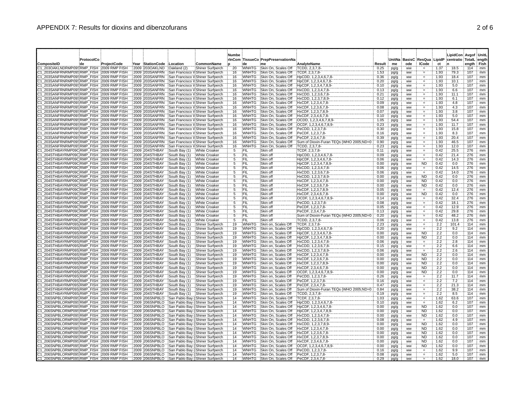### APPENDIX 7: Results for dioxins and dibenzofurans 2 of 6

|                                                                                      |                  |             |                                  |                                |                                                                      | Numbe             |                              |                                             |                                                |              |              |                        |                                   |              | LipidCon Avaof UnitL                                      |            |          |
|--------------------------------------------------------------------------------------|------------------|-------------|----------------------------------|--------------------------------|----------------------------------------------------------------------|-------------------|------------------------------|---------------------------------------------|------------------------------------------------|--------------|--------------|------------------------|-----------------------------------|--------------|-----------------------------------------------------------|------------|----------|
| CompositeID                                                                          | ProtocolCo<br>de | ProjectCode | Year StationCode Location        |                                | CommonName                                                           |                   | de                           | rInCom TissueCo PrepPreservationNa<br>me    | AnalyteName                                    | Result       | me           | ode                    | <b>ICode</b>                      | ct           | UnitNa BasisC ResQua LipidP centratio TotalL ength<br>۱'n | ength Fish |          |
| 203OAKLNDRMP095RMP FISH 2009 RMP FISH                                                |                  |             | 2009 203OAKLND                   | Oakland (2)                    | Shiner Surfperch                                                     | 20                | WNHTG                        | Skin On, Scales Off                         | TCDD, 2,3,7,8-                                 | 0.25         | pg/g         | <b>WW</b>              | Ħ.                                | 1.37         | 18.5                                                      | 114        | mm       |
| C1 203SANFRNRMP09SRMP FISH 2009 RMP FISH                                             |                  |             | 2009 203SANFRN                   |                                | San Francisco V Shiner Surfperch                                     | 16                | WNHTG                        | Skin On, Scales Off                         | TCDF, 2,3,7,8-                                 | 1.53         | pg/g         | ww                     | $\equiv$                          | 1.93         | 79.3                                                      | 107        | mm       |
| 203SANFRNRMP09S:RMP FISH : 2009 RMP FISH                                             |                  |             | 2009 203SANFRN                   |                                | San Francisco V Shiner Surfperch                                     | 16                | WNHTG                        | Skin On, Scales Off                         | HpCDD, 1,2,3,4,6,7,8                           | 0.36         | pg/g         | ww                     | Ħ.                                | 1.93         | 18.4                                                      | 107        | mm       |
| 203SANFRNRMP099RMP FISH : 2009 RMP FISH<br>203SANFRNRMP09SRMP FISH 12009 RMP FISH    |                  |             | 2009 203SANFRN<br>2009 203SANFRN |                                | San Francisco V Shiner Surfperch<br>San Francisco V Shiner Surfperch | 16<br>16          | <b>WNHTG</b><br>WNHTG        | Skin On, Scales Off<br>Skin On, Scales Off  | HpCDF, 1,2,3,4,6,7,8-<br>HpCDF, 1,2,3,4,7,8,9- | 0.20<br>0.10 | pg/g<br>pg/g | ww<br>ww               | $\equiv$<br>$\quad =$             | 1.93<br>1.93 | 10.1<br>5.0                                               | 107<br>107 | mm<br>mm |
| 203SANFRNRMP09SRMP FISH 2009 RMP FISH                                                |                  |             | 2009 203SANFRN                   |                                | San Francisco V Shiner Surfperch                                     | 16                | WNHTG                        | Skin On. Scales Off                         | HxCDD, 1.2.3.4.7.8-                            | 0.13         | pg/g         | ww                     | $\qquad \qquad =$                 | 1.93         | 6.6                                                       | 107        | mm       |
| 203SANFRNRMP09SRMP FISH 2009 RMP FISH                                                |                  |             | 2009 203SANFRN                   |                                | San Francisco V Shiner Surfperch                                     | 16                | WNHTG                        | Skin On, Scales Off                         | HxCDD, 1,2,3,6,7,8-                            | 0.21         | pg/g         | WW                     |                                   | 1.93         | 11.1                                                      | 107        | mm       |
| 203SANFRNRMP095:RMP FISH : 2009 RMP FISH                                             |                  |             | 2009 203SANFRN                   |                                | San Francisco V Shiner Surfperch                                     | 16                | <b>WNHTG</b>                 | Skin On, Scales Off                         | HxCDD, 1,2,3,7,8,9-                            | 0.12         | pg/g         | ww                     | $\quad =$                         | 1.93         | 6.1                                                       | 107        | mm       |
| 203SANFRNRMP09S:RMP_FISH : 2009 RMP FISH<br>203SANFRNRMP09SRMP FISH 2009 RMP FISH    |                  |             | 2009 203SANFRN<br>2009 203SANFRN |                                | San Francisco V Shiner Surfperch<br>San Francisco V Shiner Surfperch | 16<br>16          | WNHTG<br>WNHTG               | Skin On, Scales Off<br>Skin On, Scales Off  | HxCDF, 1,2,3,4,7,8-<br>HxCDF, 1,2,3,6,7,8-     | 0.09<br>0.08 | pg/g         | ww                     |                                   | 1.93<br>1.93 | 4.8<br>4.3                                                | 107<br>107 | mm<br>mm |
| 203SANFRNRMP095;RMP FISH 2009 RMP FISH                                               |                  |             | 2009 203SANFRN                   |                                | San Francisco V Shiner Surfperch                                     | 16                | <b>WNHTG</b>                 | Skin On, Scales Off                         | HxCDF, 1,2,3,7,8,9-                            | 0.07         | pg/g<br>pg/g | ww<br>ww               | $\qquad \qquad =$                 | 1.93         | 3.8                                                       | 107        | mm       |
| 203SANFRNRMP095RMP FISH : 2009 RMP FISH                                              |                  |             | 2009 203SANFRN                   |                                | San Francisco V Shiner Surfperch                                     | 16                | <b>WNHTG</b>                 | Skin On, Scales Off                         | HxCDF, 2,3,4,6,7,8-                            | 0.10         | pg/g         | ww                     |                                   | 1.93         | 5.0                                                       | 107        | mm       |
| 203SANFRNRMP09SRMP_FISH :2009 RMP FISH                                               |                  |             | 2009 203SANFRN                   |                                | San Francisco V Shiner Surfperch                                     | 16                | WNHTG                        | Skin On, Scales Off                         | OCDD, 1,2,3,4,6,7,8,9-                         | 1.05         | pg/g         | <b>WW</b>              | ∴.                                | 1.93         | 54.4                                                      | 107        | mm       |
| 203SANFRNRMP09SRMP FISH 2009 RMP FISH                                                |                  |             | 2009 203SANFRN                   |                                | San Francisco V Shiner Surfperch                                     | 16                | <b>WNHTG</b>                 | Skin On. Scales Off                         | OCDF, 1,2,3,4,6,7,8,9-                         | 0.23         | pg/g         | <b>WW</b>              | Æ.                                | 1.93         | 11.7                                                      | 107        | mm       |
| 203SANFRNRMP095RMP FISH 2009 RMP FISH<br>203SANFRNRMP09 (RMP FISH : 2009 RMP FISH    |                  |             | 2009 203SANFRN                   |                                | San Francisco V/Shiner Surfperch                                     | 16<br>16          | WNHTG                        | Skin On, Scales Off                         | PeCDD, 1,2,3,7,8-                              | 0.30         | pg/g         | <b>WW</b>              | $=$                               | 1.93         | 15.8                                                      | 107        | mm       |
| 203SANFRNRMP09SRMP FISH : 2009 RMP FISH                                              |                  |             | 2009 203SANFRN<br>2009 203SANFRN |                                | San Francisco V Shiner Surfperch<br>San Francisco V Shiner Surfperch | 16                | WNHTG<br>WNHTG               | Skin On, Scales Off<br>Skin On, Scales Off  | PeCDF, 1,2,3,7,8-<br>PeCDF, 2,3,4,7,8-         | 0.16<br>0.39 | pg/g<br>pg/g | <b>WW</b><br><b>WW</b> | Ħ.<br>$\equiv$                    | 1.93<br>1.93 | 8.3<br>20.4                                               | 107<br>107 | mm<br>mm |
| 203SANFRNRMP09SRMP FISH 2009 RMP FISH                                                |                  |             | 2009 203SANFRN                   |                                | San Francisco V Shiner Surfperch                                     | 16                | WNHTG                        | Skin On, Scales Off                         | Sum of Dioxin-Furan TEQs (WHO 2005;ND=0        | 0.90         | pg/g         | ww                     | Ħ.                                | 1.93         | 46.5                                                      | 107        | mm       |
| 203SANFRNRMP09SRMP FISH 2009 RMP FISH                                                |                  |             | 2009 203SANFRN                   |                                | San Francisco V:Shiner Surfperch                                     | 16                | <b>WNHTG</b>                 | Skin On, Scales Off                         | TCDD, 2,3,7,8-                                 | 0.23         | pg/g         | ww                     | $\equiv$                          | 1.93         | 12.0                                                      | 107        | mm       |
| 204STHBAYRMP09CRMP FISH 2009 RMP FISH                                                |                  |             | 2009 204STHBAY                   | South Bay (1) White Croaker    |                                                                      | 5                 | ΥFΙL                         | Skin off                                    | TCDF, 2,3,7,8-                                 | 0.11         | pg/g         | ww                     |                                   | 0.42         | 25.5                                                      | 276        | mm       |
| 204STHBAYRMP09C RMP FISH : 2009 RMP FISH                                             |                  |             | 2009 204STHBAY                   | South Bay (1)                  | White Croaker                                                        | 5                 | }FIL                         | Skin off                                    | HpCDD, 1,2,3,4,6,7,8-                          | 0.09         | pg/g         | <b>WW</b>              | $\quad =$                         | 0.42         | 21.4                                                      | 276        | mm       |
| 204STHBAYRMP09CRMP FISH 2009 RMP FISH                                                |                  |             | 2009 204STHBAY                   | South Bay (1)                  | White Croaker                                                        | 5<br>5            | ÎFIL<br>ΪFIL                 | Skin off                                    | HpCDF, 1,2,3,4,6,7,8-                          | 0.06         | pg/g         | WW                     |                                   | 0.42<br>0.42 | 14.3<br>0.0                                               | 276        | mm       |
| 204STHBAYRMP09CRMP FISH 2009 RMP FISH<br>204STHBAYRMP09C;RMP_FISH : 2009 RMP FISH    |                  |             | 2009 204STHBAY<br>2009 204STHBAY | South Bay (1)<br>South Bay (1) | White Croaker<br>White Croaker                                       | 5                 | <b>FIL</b>                   | Skin off<br>Skin off                        | HpCDF, 1,2,3,4,7,8,9-<br>HxCDD, 1,2,3,4,7,8-   | 0.00<br>0.06 | pg/g<br>pg/g | <b>WW</b><br>ww        | <b>ND</b><br>$\equiv$             | 0.42         | 14.5                                                      | 276<br>276 | mm<br>mm |
| 204STHBAYRMP09CRMP FISH : 2009 RMP FISH                                              |                  |             | 2009 204STHBAY                   | South Bay (1)                  | White Croaker                                                        | 5                 | FIL                          | Skin off                                    | HxCDD, 1,2,3,6,7,8-                            | 0.06         | pg/g         | ww                     |                                   | 0.42         | 14.0                                                      | 276        | mm       |
| 204STHBAYRMP09C;RMP_FISH : 2009 RMP FISH                                             |                  |             | 2009 204STHBAY                   | South Bay (1)                  | White Croaker                                                        | 5                 | FIL                          | Skin off                                    | HxCDD, 1,2,3,7,8,9-                            | 0.00         | pg/g         | ww                     | <b>ND</b>                         | 0.42         | 0.0                                                       | 276        | mm       |
| 204STHBAYRMP09CRMP FISH 2009 RMP FISH                                                |                  |             | 2009 204STHBAY                   | South Bay (1)                  | White Croaker                                                        | 5                 | FIL                          | Skin off                                    | HxCDF, 1,2,3,4,7,8-                            | 0.00         | pg/g         | ww                     | <b>ND</b>                         | 0.42         | 0.0                                                       | 276        | mm       |
| 204STHBAYRMP09C:RMP_FISH :2009 RMP FISH                                              |                  |             | 2009 204STHBAY                   | South Bay (1)                  | White Croaker                                                        | 5                 | ΈIL                          | Skin off                                    | HxCDF, 1,2,3,6,7,8-                            | 0.00         | pg/g         | ww                     | <b>ND</b>                         | 0.42         | 0.0                                                       | 276        | mm       |
| 204STHBAYRMP09C:RMP_FISH :2009 RMP FISH                                              |                  |             | 2009 204STHBAY<br>2009 204STHBAY | South Bay (1)                  | White Croaker                                                        | 5<br>5            | FIL<br>FIL                   | Skin off<br>Skin off                        | HxCDF, 1,2,3,7,8,9-                            | 0.05         | pg/g         | ww                     | $=$                               | 0.42<br>0.42 | 12.4<br>0.0                                               | 276<br>276 | mm       |
| 204STHBAYRMP09CRMP_FISH 2009 RMP FISH<br>204STHBAYRMP09CRMP FISH 2009 RMP FISH       |                  |             | 2009 204STHBAY                   | South Bay (1)<br>South Bay (1) | White Croaker<br>White Croaker                                       | 5                 | FIL                          | Skin off                                    | HxCDF, 2.3.4.6.7.8-<br>OCDF, 1,2,3,4,6,7,8,9   | 0.00<br>0.14 | pg/g<br>pg/g | ww<br><b>WW</b>        | <b>ND</b><br>$\equiv$             | 0.42         | 32.4                                                      | 276        | mm<br>mm |
| 204STHBAYRMP09CRMP FISH 2009 RMP FISH                                                |                  |             | 2009 204STHBAY                   | South Bay (1)                  | White Croaker                                                        | 5                 | FIL                          | Skin off                                    | PeCDD, 1,2,3,7,8-                              | 0.08         | pg/g         | ww                     | ÷.                                | 0.42         | 18.1                                                      | 276        | mm       |
| 204STHBAYRMP09C:RMP FISH : 2009 RMP FISH                                             |                  |             | 2009 204STHBAY                   | South Bay (1)                  | White Croaker                                                        | 5                 | (FIL                         | Skin off                                    | PeCDF, 1,2,3,7,8-                              | 0.05         | pg/g         | <b>WW</b>              | $\equiv$                          | 0.42         | 12.9                                                      | 276        | mm       |
| 204STHBAYRMP09CRMP FISH : 2009 RMP FISH                                              |                  |             | 2009 204STHBAY                   | South Bay (1)                  | White Croaker                                                        | 5                 | FIL                          | Skin off                                    | PeCDF, 2,3,4,7,8-                              | 0.13         | pg/g         | <b>WW</b>              | Æ.                                | 0.42         | 29.8                                                      | 276        | mm       |
| 204STHBAYRMP09CRMP FISH 2009 RMP FISH                                                |                  |             | 2009 204STHBAY                   | South Bay (1)                  | White Croaker                                                        | 5                 | FIL                          | Skin off                                    | Sum of Dioxin-Furan TEQs (WHO 2005;ND=0        | 0.20         | pg/g         | ww                     | $\equiv$                          | 0.42         | 48.2                                                      | 276        | mm       |
| 204STHBAYRMP09C:RMP FISH : 2009 RMP FISH<br>204STHBAYRMP09S:RMP FISH : 2009 RMP FISH |                  |             | 2009 204STHBAY<br>2009 204STHBAY | South Bay (1)<br>South Bay (1) | White Croaker<br><b>Shiner Surfperch</b>                             | $\tilde{5}$<br>19 | FIL<br><b>WNHTG</b>          | Skin off<br>Skin on, Scales Off             | TCDD, 2,3,7,8-<br>TCDF, 2,3,7,8-               | 0.06<br>2.23 | pg/g         | ww<br>ww               | $\qquad \qquad =$                 | 0.42<br>2.2  | 13.8<br>101.4                                             | 276<br>114 | mm<br>mm |
| 204STHBAYRMP09S:RMP FISH : 2009 RMP FISH                                             |                  |             | 2009 204STHBAY                   | South Bay (1)                  | Shiner Surfperch                                                     | 19                | WNHTG                        | Skin on, Scales Off                         | HpCDD, 1,2,3,4,6,7,8                           | 0.20         | pg/g<br>pg/g | WW                     | $\Xi.$                            | 2.2          | 9.2                                                       | 114        | mm       |
| 204STHBAYRMP09S;RMP_FISH 2009 RMP FISH                                               |                  |             | 2009 204STHBAY                   | South Bay (1)                  | Shiner Surfperch                                                     | 19                | <b>WNHTG</b>                 | Skin on, Scales Off                         | HpCDF, 1,2,3,4,6,7,8-                          | 0.00         | pg/g         | ww                     | <b>ND</b>                         | 2.2          | 0.0                                                       | 114        | mm       |
| 204STHBAYRMP09S;RMP FISH 2009 RMP FISH                                               |                  |             | 2009 204STHBAY                   | South Bay (1)                  | Shiner Surfperch                                                     | 19                | WNHTG                        | Skin on, Scales Off                         | HpCDF, 1,2,3,4,7,8,9-                          | 0.00         | pg/g         | ww                     | <b>ND</b>                         | 2.2          | 0.0                                                       | 114        | mm       |
| 204STHBAYRMP09S:RMP FISH : 2009 RMP FISH                                             |                  |             | 2009 204STHBAY                   | South Bay (1)                  | Shiner Surfperch                                                     | 19                | WNHTG                        | Skin on, Scales Off                         | HxCDD, 1,2,3,4,7,8-                            | 0.06         | pg/g         | ww                     | $\hspace{0.1in} = \hspace{0.1in}$ | 2.2          | 2.8                                                       | 114        | mm       |
| 204STHBAYRMP09S:RMP_FISH :2009 RMP FISH                                              |                  |             | 2009 204STHBAY                   | South Bay (1)                  | Shiner Surfperch                                                     | 19                | WNHTG                        | Skin on, Scales Off                         | HxCDD, 1,2,3,6,7,8                             | 0.15         | pg/g         | ww                     | $\equiv$                          | 2.2          | 6.6                                                       | 114        | mm       |
| 204STHBAYRMP09S:RMP FISH : 2009 RMP FISH<br>204STHBAYRMP09S;RMP FISH 2009 RMP FISH   |                  |             | 2009 204STHBAY<br>2009 204STHBAY | South Bay (1)<br>South Bay (1) | Shiner Surfperch<br>Shiner Surfperch                                 | 19<br>19          | <b>WNHTG</b><br><b>WNHTG</b> | Skin on, Scales Off<br>Skin on, Scales Off  | HxCDD, 1.2.3.7.8.9-<br>HxCDF, 1.2.3.4.7.8-     | 0.06<br>0.00 | pg/g         | ww<br>ww               | $=$<br><b>ND</b>                  | 2.2<br>2.2   | 2.6<br>0.0                                                | 114<br>114 | mm<br>mm |
| 204STHBAYRMP09S:RMP FISH : 2009 RMP FISH                                             |                  |             | 2009 204STHBAY                   | South Bay (1)                  | Shiner Surfperch                                                     | 19                | WNHTG                        | Skin on, Scales Off                         | HxCDF, 1,2,3,6,7,8-                            | 0.00         | pg/g<br>pg/g | <b>WW</b>              | <b>ND</b>                         | 2.2          | 0.0                                                       | 114        | mm       |
| 204STHBAYRMP09SRMP FISH 2009 RMP FISH                                                |                  |             | 2009 204STHBAY                   | South Bay (1)                  | Shiner Surfperch                                                     | 19                | WNHTG                        | Skin on, Scales Off                         | HxCDF, 1,2,3,7,8,9-                            | 0.00         | pg/g         | <b>WW</b>              | <b>ND</b>                         | 2.2          | 0.0                                                       | 114        | mm       |
| 204STHBAYRMP09SRMP FISH 2009 RMP FISH                                                |                  |             | 2009 204STHBAY                   | South Bay (1)                  | Shiner Surfperch                                                     | 19                | <b>WNHTG</b>                 | Skin on, Scales Off                         | HxCDF, 2,3,4,6,7,8-                            | 0.00         | pg/g         | ww                     | <b>ND</b>                         | 2.2          | 0.0                                                       | 114        | mm       |
| 204STHBAYRMP09S;RMP FISH : 2009 RMP FISH                                             |                  |             | 2009 204STHBAY                   | South Bay (1)                  | Shiner Surfperch                                                     | 19                | WNHTG                        | Skin on, Scales Off                         | OCDF, 1,2,3,4,6,7,8,9                          | 0.00         | pg/g         | ww                     | ÑĎ                                | 2.2          | 0.0                                                       | 114        | mm       |
| 204STHBAYRMP09S;RMP FISH : 2009 RMP FISH<br>204STHBAYRMP09S:RMP FISH : 2009 RMP FISH |                  |             | 2009 204STHBAY<br>2009 204STHBAY | South Bay (1)<br>South Bay (1) | Shiner Surfperch<br><b>Shiner Surfperch</b>                          | 19<br>19          | WNHTG<br>WNHTG               | Skin on, Scales Off<br>Skin on, Scales Off  | PeCDD, 1,2,3,7,8-<br>PeCDF, 1,2,3,7,8-         | 0.26<br>0.16 | pg/g         | <b>WW</b><br><b>WW</b> |                                   | 2.2<br>2.2   | 11.7<br>7.2                                               | 114<br>114 | mm<br>mm |
| 204STHBAYRMP09SRMP FISH 2009 RMP FISH                                                |                  |             | 2009 204STHBAY                   | South Bay (1)                  | Shiner Surfperch                                                     | 19                | WNHTG                        | Skin on, Scales Off                         | PeCDF, 2.3.4.7.8-                              | 0.47         | pg/g<br>pg/g | ww                     | $=$                               | 2.2          | 21.3                                                      | 114        | mm       |
| 204STHBAYRMP09S RMP FISH 2009 RMP FISH                                               |                  |             | 2009 204STHBAY                   | South Bay (1)                  | Shiner Surfperch                                                     | 19                | WNHTG                        | Skin on, Scales Off                         | Sum of Dioxin-Furan TEQs (WHO 2005;ND=0        | 0.84         | pg/g         | ww                     | Ħ,<br>F.                          | 2.2          | 38.2                                                      | 114        | mm       |
| 204STHBAYRMP09S:RMP FISH : 2009 RMP FISH                                             |                  |             | 2009 204STHBAY                   | South Bay (1)                  | Shiner Surfperch                                                     | 19                | <b>WNHTG</b>                 | Skin on, Scales Off                         | TCDD, 2,3,7,8-                                 | 0.19         | pg/g         | <b>WW</b>              |                                   | 2.2          | 8.5                                                       | 114        | mm       |
| 206SNPBLORMP09S:RMP FISH : 2009 RMP FISH                                             |                  |             | 2009 206SNPBLO                   |                                | San Pablo Bay (Shiner Surfperch                                      | 14                | <b>WNHTG</b>                 | Skin On, Scales Off                         | TCDF, 2,3,7,8-                                 | 1.03         | pg/g         | <b>WW</b>              | $\quad =$                         | 1.62         | 63.6                                                      | 107        | mm       |
| 206SNPBLORMP09SRMP FISH : 2009 RMP FISH<br>206SNPBLORMP09SRMP FISH 2009 RMP FISH     |                  |             | 2009 206SNPBLO                   |                                | San Pablo Bay (Shiner Surfperch                                      | 14                | <b>WNHTG</b>                 | Skin On, Scales Off                         | HpCDD, 1,2,3,4,6,7,8                           | 0.10         | pg/g         | WW                     | ÑĎ                                | 1.62         | 6.2<br>0.0                                                | 107<br>107 | mm       |
| 206SNPBLORMP09S:RMP FISH : 2009 RMP FISH                                             |                  |             | 2009 206SNPBLO<br>2009 206SNPBLO |                                | San Pablo Bay (Shiner Surfperch<br>San Pablo Bay (Shiner Surfperch   | 14<br>14          | WNHTG<br><b>WNHTG</b>        | Skin On, Scales Off<br>Skin On, Scales Off  | HpCDF, 1,2,3,4,6,7,8-<br>HpCDF, 1,2,3,4,7,8,9- | 0.00<br>0.00 | pg/g         | <b>WW</b><br>ww        | <b>ND</b>                         | 1.62<br>1.62 | 0.0                                                       | 107        | mm<br>mm |
| 206SNPBLORMP09S:RMP_FISH :2009 RMP FISH                                              |                  |             | 2009 206SNPBLO                   |                                | San Pablo Bay (Shiner Surfperch                                      | 14                | <b>WNHTG</b>                 | Skin On, Scales Off                         | HxCDD, 1,2,3,4,7,8-                            | 0.00         | pg/g<br>pg/g | ww                     | <b>ND</b>                         | 1.62         | 0.0                                                       | 107        | mm       |
| 206SNPBLORMP09SRMP FISH : 2009 RMP FISH                                              |                  |             | 2009 206SNPBLO                   |                                | San Pablo Bay (Shiner Surfperch                                      | 14                | <b>WNHTG</b>                 | Skin On. Scales Off                         | HxCDD, 1.2.3.6.7.8-                            | 0.08         | pg/g         | ww                     | $=$                               | 1.62         | 4.9                                                       | 107        | mm       |
| 206SNPBLORMP09SRMP FISH 2009 RMP FISH                                                |                  |             | 2009 206SNPBLO                   |                                | San Pablo Bay (Shiner Surfperch                                      | 14                | <b>WNHTG</b>                 | Skin On, Scales Off                         | HxCDD, 1,2,3,7,8,9-                            | 0.00         | pg/g         | ww                     | ÑĎ                                | 1.62         | 0.0                                                       | 107        | mm       |
| 206SNPBLORMP095;RMP FISH : 2009 RMP FISH                                             |                  |             | 2009 206SNPBLO                   |                                | San Pablo Bay (Shiner Surfperch                                      | 14                | <b>WNHTG</b>                 | Skin On, Scales Off                         | HxCDF, 1.2.3.4.7.8-                            | 0.00         | pg/g         | WW                     | <b>ND</b>                         | 1.62         | 0.0                                                       | 107        | mm       |
| 206SNPBLORMP09S:RMP_FISH :2009 RMP FISH<br>206SNPBLORMP09SRMP_FISH 2009 RMP FISH     |                  |             | 2009 206SNPBLO<br>2009 206SNPBLO |                                | San Pablo Bay (Shiner Surfperch<br>San Pablo Bay (Shiner Surfperch   | 14<br>14          | WNHTG<br><b>WNHTG</b>        | Skin On, Scales Off<br>Skin On, Scales Off  | HxCDF, 1,2,3,6,7,8-<br>HxCDF, 1,2,3,7,8,9-     | 0.00<br>0.00 | pg/g         | <b>WW</b><br><b>WW</b> | <b>ND</b><br>ÑĎ                   | 1.62<br>1.62 | 0.0<br>0.0                                                | 107<br>107 | mm<br>mm |
| 206SNPBLORMP09S;RMP FISH : 2009 RMP FISH                                             |                  |             | 2009 206SNPBLO                   |                                | San Pablo Bay (Shiner Surfperch                                      | 14                | <b>WNHTG</b>                 | Skin On, Scales Off                         | HxCDF, 2,3,4,6,7,8-                            | 0.00         | pg/g<br>pg/g | ww                     | ND.                               | 1.62         | 0.0                                                       | 107        | mm       |
| 206SNPBLORMP095;RMP FISH : 2009 RMP FISH                                             |                  |             | 2009 206SNPBLO                   |                                | San Pablo Bay ('Shiner Surfperch                                     | 14                | <b>WNHTG</b>                 | Skin On, Scales Off                         | OCDF, 1,2,3,4,6,7,8,9                          | 0.00         | pg/g         | ww                     | <b>ND</b>                         | 1.62         | 0.0                                                       | 107        | mm       |
| 206SNPBLORMP09S:RMP FISH : 2009 RMP FISH                                             |                  |             | 2009 206SNPBLO                   |                                | San Pablo Bay (Shiner Surfperch                                      | 14                | <b>WNHTG</b>                 | Skin On, Scales Off                         | PeCDD, 1,2,3,7,8-                              | 0.16         | pg/g         | <b>WW</b>              |                                   | 1.62         | 9.9                                                       | 107        | mm       |
| C1_206SNPBLORMP09S:RMP_FISH_:2009 RMP FISH                                           |                  |             | 2009 206SNPBLO                   |                                | San Pablo Bay (Shiner Surfperch                                      | 14                |                              | WNHTG Skin On, Scales Off PeCDF, 1,2,3,7,8- |                                                | 0.08         | pg/g         | ww                     |                                   | 1.62         | 5.0                                                       | 107        | mm       |
| 206SNPBLORMP09SRMP FISH 2009 RMP FISH                                                |                  |             | 2009 206SNPBLO                   |                                | San Pablo Bay (Shiner Surfperch                                      | 14                | <b>WNHTG</b>                 | Skin On, Scales Off PeCDF, 2,3,4,7,8-       |                                                | 0.29         | pg/g         | ww                     |                                   | 1.62         | 18.0                                                      | 107        | mm       |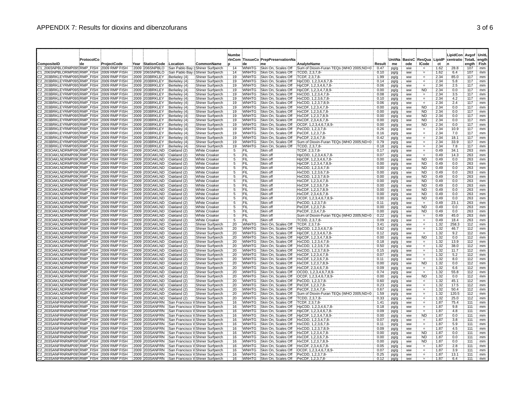|                                                                                            | ProtocolCo |              |                                             |                              |                                                                      | <b>Numbe</b>          |                              | rInCom TissueCo PrepPreservationNa         |                                                           |                | UnitNa i     |                        | <b>BasisC ResQua</b>              | LipidP       | LipidCon Avgof UnitL<br>centratio TotalL ength |                    |          |
|--------------------------------------------------------------------------------------------|------------|--------------|---------------------------------------------|------------------------------|----------------------------------------------------------------------|-----------------------|------------------------------|--------------------------------------------|-----------------------------------------------------------|----------------|--------------|------------------------|-----------------------------------|--------------|------------------------------------------------|--------------------|----------|
| CompositeID<br>21 206SNPBLORMP09SRMP FISH 2009 RMP FISH                                    | ∶de        | :ProjectCode | Year StationCode Location<br>2009 206SNPBLO |                              | CommonName<br>San Pablo Bay (Shiner Surfperch                        | 14                    | de<br><b>WNHTG</b>           | Skin On, Scales Off                        | AnalyteName<br>Sum of Dioxin-Furan TEQs (WHO 2005;ND=0    | Result<br>0.47 | me           | ode<br>ww              | <b>ICode</b>                      | ct<br>1.62   | 28.8                                           | ength: Fish<br>107 | mm       |
| 1 206SNPBLORMP09SRMP FISH 2009 RMP FISH                                                    |            |              | 2009 206SNPBLO                              |                              | San Pablo Bay (Shiner Surfperch                                      | $\overline{14}$       | WNHTG                        | Skin On, Scales Off                        | TCDD, 2,3,7,8-                                            | 0.10           | pg/g<br>pg/g | ww                     | $\equiv$                          | 1.62         | 6.4                                            | 107                | mm       |
| C2_203BRKLEYRMP09S:RMP_FISH_:2009 RMP FISH                                                 |            |              | 2009 203BRKLEY                              | Berkeley (4)                 | <b>Shiner Surfperch</b>                                              | 19                    | WNHTG                        | Skin On. Scales Off                        | TCDF, 2.3.7.8-                                            | 1.99           | pg/g         | ww                     | Ħ.                                | 2.34         | 85.0                                           | 117                | mm       |
| C2 203BRKLEYRMP09S:RMP FISH :2009 RMP FISH<br>C2 203BRKLEYRMP09S:RMP FISH :2009 RMP FISH   |            |              | 2009 203BRKLEY<br>2009 203BRKLEY            | Berkeley (4)<br>Berkeley (4) | Shiner Surfperch<br>Shiner Surfperch                                 | 19<br>19              | WNHTG<br><b>WNHTG</b>        | Skin On, Scales Off<br>Skin On, Scales Off | HpCDD, 1,2,3,4,6,7,8-<br>HpCDF, 1,2,3,4,6,7,8-            | 0.14<br>0.06   | pg/g<br>pg/g | ww<br><b>WW</b>        | $\qquad \qquad =$<br>$=$          | 2.34<br>2.34 | 5.8<br>2.5                                     | 117<br>117         | mm<br>mm |
| C2_203BRKLEYRMP09S;RMP_FISH ;2009 RMP FISH                                                 |            |              | 2009 203BRKLEY                              | Berkeley (4)                 | Shiner Surfperch                                                     | 19                    | <b>WNHTG</b>                 | Skin On, Scales Off                        | HpCDF, 1,2,3,4,7,8,9-                                     | 0.00           | pg/g         | ww                     | <b>ND</b>                         | 2.34         | 0.0                                            | 117                | mm       |
| C2 203BRKLEYRMP09S:RMP_FISH : 2009 RMP FISH                                                |            |              | 2009 203BRKLEY                              | Berkeley (4)                 | Shiner Surfperch                                                     | 19                    | WNHTG                        | Skin On, Scales Off                        | HxCDD, 1,2,3,4,7,8-                                       | 0.08           | pg/g         | ww                     | ÷.                                | 2.34         | 3.5                                            | 117                | mm       |
| C2_203BRKLEYRMP09S:RMP_FISH_:2009 RMP FISH<br>C2 203BRKLEYRMP09S:RMP FISH :2009 RMP FISH   |            |              | 2009 203BRKLEY<br>2009 203BRKLEY            | Berkeley (4)<br>Berkeley (4) | Shiner Surfperch<br>Shiner Surfperch                                 | 19<br>19              | <b>WNHTG</b><br><b>WNHTG</b> | Skin On, Scales Off<br>Skin On, Scales Off | HxCDD, 1,2,3,6,7,8-<br>HxCDD, 1,2,3,7,8,9-                | 0.10<br>0.06   | pg/g<br>pg/g | <b>WW</b><br><b>WW</b> | $\equiv$                          | 2.34<br>2.34 | 4.2<br>2.4                                     | 117<br>117         | mm<br>mm |
| C2_203BRKLEYRMP09S:RMP_FISH_:2009 RMP FISH                                                 |            |              | 2009 203BRKLEY                              | Berkeley (4)                 | Shiner Surfperch                                                     | 19                    | <b>WNHTG</b>                 | Skin On, Scales Off                        | HxCDF, 1,2,3,4,7,8-                                       | 0.00           | pg/g         | ww                     | <b>ND</b>                         | 2.34         | 0.0                                            | 117                | mm       |
| C2 203BRKLEYRMP09S:RMP FISH : 2009 RMP FISH<br>22 203BRKLEYRMP09S:RMP FISH : 2009 RMP FISH |            |              | 2009 203BRKLEY<br>2009 203BRKLEY            | Berkeley (4)                 | Shiner Surfperch                                                     | 19<br>19              | <b>WNHTG</b><br><b>WNHTG</b> | Skin On, Scales Off<br>Skin On, Scales Off | HxCDF, 1,2,3,6,7,8-<br>HxCDF, 1,2,3,7,8,9-                | 0.00<br>0.00   | pg/g         | ww                     | <b>ND</b><br><b>ND</b>            | 2.34<br>2.34 | 0.0<br>0.0                                     | 117<br>117         | mm       |
| C2 203BRKLEYRMP09S:RMP FISH :2009 RMP FISH                                                 |            |              | 2009 203BRKLEY                              | Berkeley (4)<br>Berkeley (4) | Shiner Surfperch<br>Shiner Surfperch                                 | 19                    | <b>WNHTG</b>                 | Skin On, Scales Off                        | HxCDF, 2,3,4,6,7,8-                                       | 0.00           | pg/g<br>pg/g | <b>WW</b><br>WW        | <b>ND</b>                         | 2.34         | 0.0                                            | 117                | mm<br>mm |
| C2 203BRKLEYRMP09S RMP FISH 2009 RMP FISH                                                  |            |              | 2009 203BRKLEY                              | Berkeley (4)                 | Shiner Surfperch                                                     | 19                    | <b>WNHTG</b>                 | Skin On, Scales Off                        | OCDF, 1,2,3,4,6,7,8,9                                     | 0.00           | pg/g         | ww                     | ND                                | 2.34         | 0.0                                            | 117                | mm       |
| 22 203BRKLEYRMP09S;RMP FISH : 2009 RMP FISH<br>22 203BRKLEYRMP09S:RMP FISH : 2009 RMP FISH |            |              | 2009 203BRKLEY<br>2009 203BRKLEY            | Berkeley (4)<br>Berkeley (4  | Shiner Surfperch<br>Shiner Surfperch                                 | 19<br>19              | WNHTG<br>WNHTG               | Skin On, Scales Off<br>Skin On, Scales Off | PeCDD, 1,2,3,7,8-<br>PeCDF, 1,2,3,7,8-                    | 0.26<br>0.16   | pg/g         | ww                     | $\equiv$                          | 2.34<br>2.34 | 10.9<br>7.0                                    | 117<br>117         | mm<br>mm |
| 22 203BRKLEYRMP09S:RMP FISH :2009 RMP FISH                                                 |            |              | 2009 203BRKLEY                              | Berkeley (4)                 | Shiner Surfperch                                                     | 19                    | WNHTG                        | Skin On, Scales Off                        | PeCDF, 2,3,4,7,8-                                         | 0.42           | pg/g<br>pg/g | ww<br>ww               | Ē                                 | 2.34         | 18.1                                           | 117                | mm       |
| C2 203BRKLEYRMP09S'RMP FISH '2009 RMP FISH                                                 |            |              | 2009 203BRKLEY                              | Berkeley (4)                 | Shiner Surfperch                                                     | 19                    | <b>WNHTG</b>                 | Skin On, Scales Off                        | Sum of Dioxin-Furan TEQs (WHO 2005;ND=0                   | 0.79           | pg/g         | ww                     | Ξ.                                | 2.34         | 33.9                                           | 117                | mm       |
| C2_203BRKLEYRMP09S:RMP_FISH_:2009 RMP FISH<br>C2_203OAKLNDRMP09(:RMP_FISH_:2009 RMP FISH   |            |              | 2009 203BRKLEY<br>2009 203OAKLND            | Berkeley (4)<br>Oakland (2)  | Shiner Surfperch<br>White Croaker                                    | 19<br>5               | <b>WNHTG</b><br>{FIL         | Skin On, Scales Off<br>Skin off            | TCDD, 2,3,7,8-<br>TCDF, 2,3,7,8-                          | 0.18<br>0.17   | pg/g         | <b>WW</b>              | $\hspace{1.6cm} = \hspace{1.6cm}$ | 2.34<br>0.49 | 7.8<br>34.1                                    | 117<br>263         | mm<br>mm |
| C2_203OAKLNDRMP09CRMP_FISH=2009 RMP FISH                                                   |            |              | 2009 203OAKLND                              | Oakland (2)                  | <b>White Croaker</b>                                                 | 5                     | }FIL                         | Skin off                                   | HpCDD, 1,2,3,4,6,7,8-                                     | 0.07           | pg/g<br>pg/g | WW<br><b>WW</b>        | Ξ.                                | 0.49         | 14.3                                           | 263                | mm       |
| C2_203OAKLNDRMP09CRMP_FISH_2009 RMP FISH                                                   |            |              | 2009 203OAKLND                              | Oakland (2)                  | <b>White Croaker</b>                                                 | 5                     | ∖FIL                         | Skin off                                   | HpCDF, 1,2,3,4,6,7,8-                                     | 0.00           | pg/g         | <b>WW</b>              | <b>ND</b>                         | 0.49         | 0.0                                            | 263                | mm       |
| 22 203OAKLNDRMP09(;RMP_FISH_;2009 RMP FISH<br>22 203OAKLNDRMP09(RMP FISH 2009 RMP FISH     |            |              | 2009 203OAKLND<br>2009 203OAKLND            | Oakland (2)<br>Oakland (2)   | <b>White Croaker</b><br><b>White Croaker</b>                         | 5<br>5                | ÏFIL<br><b>FIL</b>           | Skin off<br>Skin off                       | HpCDF, 1,2,3,4,7,8,9-<br>HxCDD, 1,2,3,4,7,8-              | 0.00<br>0.00   | pg/g         | ww<br>ww               | <b>ND</b><br><b>ND</b>            | 0.49<br>0.49 | 0.0<br>0.0                                     | 263<br>263         | mm<br>mm |
| C2 203OAKLNDRMP09CRMP FISH : 2009 RMP FISH                                                 |            |              | 2009 203OAKLND                              | Oakland (2)                  | <b>White Croaker</b>                                                 | 5                     | ΪFΪL                         | Skin off                                   | HxCDD, 1,2,3,6,7,8-                                       | 0.00           | pg/g<br>pg/g | ww                     | <b>ND</b>                         | 0.49         | 0.0                                            | 263                | mm       |
| 22 203OAKLNDRMP09CRMP FISH 72009 RMP FISH                                                  |            |              | 2009 203OAKLND                              | Oakland (2)                  | <b>White Croaker</b>                                                 | 5                     | ìFiL                         | Skin off                                   | HxCDD, 1,2,3,7,8,9-                                       | 0.00           | pg/g         | ww                     | <b>ND</b>                         | 0.49         | 0.0                                            | 263                | mm       |
| 22_203OAKLNDRMP09CRMP_FISH `2009 RMP FISH<br>22 203OAKLNDRMP09CRMP FISH :2009 RMP FISH     |            |              | 2009 203OAKLND<br>2009 203OAKLND            | Oakland (2)                  | White Croaker                                                        | 5                     | ₹FiL<br>(FIL                 | Skin off                                   | HxCDF, 1,2,3,4,7,8-                                       | 0.00           | pg/g         | WW                     | `ND<br><b>ND</b>                  | 0.49<br>0.49 | 0.0                                            | 263                | mm       |
| 2 203OAKLNDRMP09CRMP FISH 2009 RMP FISH                                                    |            |              | 2009 203OAKLND                              | Oakland (2)<br>Oakland (2    | White Croaker<br>White Croaker                                       | 5<br>5                | FIL                          | Skin off<br>Skin off                       | HxCDF, 1,2,3,6,7,8-<br>HxCDF, 1,2,3,7,8,9-                | 0.00<br>0.00   | pg/g<br>pg/g | ww<br>ww               | <b>ND</b>                         | 0.49         | 0.0<br>0.0                                     | 263<br>263         | mm<br>mm |
| 22 203OAKLNDRMP09CRMP FISH 2009 RMP FISH                                                   |            |              | 2009 203OAKLND                              | Oakland (2)                  | White Croaker                                                        | 5                     | FIL                          | Skin off                                   | HxCDF, 2,3,4,6,7,8-                                       | 0.00           | pg/g         | ww                     | <b>ND</b>                         | 0.49         | 0.0                                            | 263                | mm       |
| 22 203OAKLNDRMP09CRMP FISH 2009 RMP FISH                                                   |            |              | 2009 203OAKLND                              | Oakland (2)                  | <b>White Croaker</b>                                                 | 5                     | FIL                          | Skin off                                   | OCDF, 1,2,3,4,6,7,8,9                                     | 0.00           | pg/g         | ww                     | <b>ND</b>                         | 0.49         | 0.0                                            | 263                | mm       |
| 22 203OAKLNDRMP09CRMP FISH 2009 RMP FISH<br>22 203OAKLNDRMP09CRMP FISH : 2009 RMP FISH     |            |              | 2009 203OAKLND<br>2009 203OAKLND            | Oakland (2)<br>Oakland (2    | White Croaker<br><b>White Croaker</b>                                | 5<br>5                | <b>FIL</b><br>'Fil           | Skin off<br>Skin of                        | PeCDD, 1,2,3,7,8-<br>PeCDF, 1,2,3,7,8-                    | 0.11<br>0.00   | pg/g<br>pg/g | ww<br>WW               | ÑĎ                                | 0.49<br>0.49 | 23.1<br>0.0                                    | 263<br>263         | mm<br>mm |
| C2 203OAKLNDRMP09CRMP FISH : 2009 RMP FISH                                                 |            |              | 2009 203OAKLND                              | Oakland (2)                  | <b>White Croaker</b>                                                 | -5                    | FIL                          | Skin of                                    | PeCDF, 2,3,4,7,8-                                         | 0.00           | pg/g         | <b>WW</b>              | <b>ND</b>                         | 0.49         | 0.0                                            | 263                | mm       |
| C2_203OAKLNDRMP09CRMP_FISH 2009 RMP FISH                                                   |            |              | 2009 203OAKLND                              | Oakland (2)                  | <b>White Croaker</b>                                                 | Ï5                    | FIL.                         | Skin off                                   | Sum of Dioxin-Furan TEQs (WHO 2005;ND=0                   | 0.22           | pg/g         | ww                     | $\hspace{0.1in} = \hspace{0.1in}$ | 0.49         | 45.0                                           | 263                | mm       |
| C2_203OAKLNDRMP09CRMP_FISH_:2009 RMP FISH<br>22 203OAKLNDRMP09SRMP FISH :2009 RMP FISH     |            |              | 2009 203OAKLND<br>2009 203OAKLND            | Oakland (2)<br>Oakland (2)   | <b>White Croaker</b><br><b>Shiner Surfperch</b>                      | $\overline{5}$<br>20  | (Fil<br>WNHTG                | Skin off<br>Skin On, Scales Off            | TCDD, 2.3.7.8-<br>TCDF, 2,3,7,8-                          | 0.09<br>3.41   | pg/g         | ww<br>ww               | $=$                               | 0.49<br>1.32 | 18.4<br>258.3                                  | 263<br>112         | mm<br>mm |
| 22 203OAKLNDRMP09SRMP FISH :2009 RMP FISH                                                  |            |              | 2009 203OAKLND                              | Oakland (2)                  | Shiner Surfperch                                                     | $\overline{20}$       | <b>WNHTG</b>                 | Skin On, Scales Off                        | HpCDD, 1,2,3,4,6,7,8                                      | 0.62           | pg/g<br>pg/g | ww                     |                                   | 1.32         | 46.7                                           | 112                | mm       |
| C2 203OAKLNDRMP09SRMP FISH 2009 RMP FISH                                                   |            |              | 2009 203OAKLND                              | Oakland (2)                  | Shiner Surfperch                                                     | 20                    | <b>WNHTG</b>                 | Skin On, Scales Off                        | HpCDF, 1,2,3,4,6,7,8-                                     | 0.12           | pg/g         | ww                     |                                   | 1.32         | 9.2                                            | 112                | mm       |
| C2_203OAKLNDRMP09SRMP_FISH 2009 RMP FISH<br>22_203OAKLNDRMP09SRMP_FISH 32009 RMP FISH      |            |              | 2009 203OAKLND<br>2009 203OAKLND            | Oakland (2)<br>Oakland (2)   | Shiner Surfperch<br>Shiner Surfperch                                 | 20<br>20              | WNHTG<br><b>WNHTG</b>        | Skin On, Scales Off<br>Skin On, Scales Off | HpCDF, 1,2,3,4,7,8,9-<br>HxCDD, 1,2,3,4,7,8-              | 0.00<br>0.18   | pg/g<br>pg/g | WW<br>ww               | <b>ND</b>                         | 1.32<br>1.32 | 0.0<br>13.9                                    | 112<br>112         | mm<br>mm |
| 22 203OAKLNDRMP09SRMP FISH 2009 RMP FISH                                                   |            |              | 2009 203OAKLND                              | Oakland (2)                  | Shiner Surfperch                                                     | $\overline{20}$       | <b>WNHTG</b>                 | Skin On, Scales Off                        | HxCDD, 1,2,3,6,7,8-                                       | 0.50           | pg/g         | ww                     |                                   | 1.32         | 38.0                                           | 112                | mm       |
| 22 203OAKLNDRMP09SRMP FISH 2009 RMP FISH                                                   |            |              | 2009 203OAKLND                              | Oakland (2)                  | Shiner Surfperch                                                     | 20                    | <b>WNHTG</b>                 | Skin On, Scales Off                        | HxCDD, 1,2,3,7,8,9-                                       | 0.15           | pg/g         | ww                     |                                   | 1.32         | 11.7                                           | 112                | mm       |
| 22 203OAKLNDRMP095RMP FISH 2009 RMP FISH<br>22 203OAKLNDRMP09SRMP FISH 2009 RMP FISH       |            |              | 2009 203OAKLND<br>2009 203OAKLND            | Oakland (2)<br>Oakland (2)   | <b>Shiner Surfperch</b><br>Shiner Surfperch                          | 20<br>$\overline{20}$ | <b>WNHTG</b><br><b>WNHTG</b> | Skin On, Scales Off<br>Skin On. Scales Off | HxCDF, 1,2,3,4,7,8-<br>HxCDF, 1.2.3.6.7.8-                | 0.07<br>0.11   | pg/g         | ww<br>ww               | $\qquad \qquad =$<br>$\equiv$     | 1.32<br>1.32 | 5.2<br>8.0                                     | 112<br>112         | mm<br>mm |
| 22 203OAKLNDRMP09SRMP FISH 2009 RMP FISH                                                   |            |              | 2009 203OAKLND                              | Oakland (2)                  | Shiner Surfperch                                                     | 20                    | <b>WNHTG</b>                 | Skin On. Scales Off                        | HxCDF, 1,2,3,7,8,9-                                       | 0.00           | pg/g<br>pg/g | <b>WW</b>              | <b>ND</b>                         | 1.32         | 0.0                                            | 112                | mm       |
| C2 203OAKLNDRMP09SRMP FISH 2009 RMP FISH                                                   |            |              | 2009 203OAKLND                              | Oakland (2)                  | Shiner Surfperch                                                     | 20                    | <b>WNHTG</b>                 | Skin On, Scales Off                        | HxCDF, 2,3,4,6,7,8-                                       | 0.09           | pg/g         | <b>WW</b>              |                                   | 1.32         | 6.6                                            | 112                | mm       |
| C2_203OAKLNDRMP09S;RMP_FISH `2009 RMP FISH<br>C2_203OAKLNDRMP09S:RMP_FISH_:2009 RMP FISH   |            |              | 2009 203OAKLND<br>2009 203OAKLND            | Oakland (2)<br>Oakland (2)   | Shiner Surfperch<br>Shiner Surfperch                                 | 20<br>20              | WNHTG<br><b>WNHTG</b>        | Skin On, Scales Off<br>Skin On, Scales Off | OCDD, 1,2,3,4,6,7,8,9<br>OCDF, 1,2,3,4,6,7,8,9-           | 0.74<br>0.00   | pg/g         | ww<br><b>WW</b>        | <b>ND</b>                         | 1.32<br>1.32 | 55.8<br>0.0                                    | 112<br>112         | mm<br>mm |
| 22 203OAKLNDRMP09SRMP FISH : 2009 RMP FISH                                                 |            |              | 2009 203OAKLND                              | Oakland (2)                  | <b>Shiner Surfperch</b>                                              | $\overline{20}$       | <b>WNHTG</b>                 | Skin On, Scales Off                        | PeCDD, 1,2,3,7,8-                                         | 0.60           | pg/g<br>pg/g | ww                     | Ξ                                 | 1.32         | 45.1                                           | 112                | mm       |
| 22 203OAKLNDRMP09SRMP FISH 2009 RMP FISH                                                   |            |              | 2009 203OAKLND                              | Oakland (2)                  | <b>Shiner Surfperch</b>                                              | 20                    | <b>WNHTG</b>                 | Skin On, Scales Off                        | PeCDF, 1,2,3,7,8-                                         | 0.23           | pg/g         | <b>WW</b>              |                                   | 1.32         | 17.5                                           | 112                | mm       |
| C2_203OAKLNDRMP09SRMP_FISH_2009 RMP FISH<br>22 203OAKLNDRMP095:RMP FISH : 2009 RMP FISH    |            |              | 2009 203OAKLND<br>2009 203OAKLND            | Oakland (2)                  | Shiner Surfperch                                                     | 20                    | <b>WNHTG</b><br><b>WNHTG</b> | Skin On, Scales Off                        | PeCDF, 2,3,4,7,8-                                         | 0.67           | pg/g         | ww                     |                                   | 1.32         | 50.4<br>120.5                                  | 112<br>112         | mm       |
| 22_203OAKLNDRMP09SRMP_FISH 2009 RMP FISH                                                   |            |              | 2009 203OAKLND                              | Oakland (2)<br>Oakland (2)   | Shiner Surfperch<br>Shiner Surfperch                                 | $\overline{20}$<br>20 | <b>WNHTG</b>                 | Skin On, Scales Off<br>Skin On, Scales Off | Sum of Dioxin-Furan TEQs (WHO 2005;ND=0<br>TCDD, 2,3,7,8- | 1.59<br>0.33   | pg/g<br>pg/g | WW<br>ww               | $\quad =$                         | 1.32<br>1.32 | 25.0                                           | 112                | mm<br>mm |
| 22 203SANFRNRMP09SRMP FISH 2009 RMP FISH                                                   |            |              | 2009 203SANFRN                              |                              | San Francisco V Shiner Surfperch                                     | 16                    | <b>WNHTG</b>                 | Skin On, Scales Off                        | TCDF, 2,3,7,8-                                            | 1.41           | pg/g         | ww                     |                                   | 1.87         | 75.4                                           | 111                | mm       |
| 22 203SANFRNRMP09SRMP FISH 2009 RMP FISH                                                   |            |              | 2009 203SANFRN                              |                              | San Francisco V Shiner Surfperch                                     | 16                    | <b>WNHTG</b>                 | Skin On, Scales Off                        | HpCDD, 1,2,3,4,6,7,8-                                     | 0.18           | pg/g         | ww                     |                                   | 1.87         | 9.8                                            | 111                | mm       |
| 22 203SANFRNRMP09SRMP FISH 2009 RMP FISH<br>22 203SANFRNRMP09SRMP FISH 2009 RMP FISH       |            |              | 2009 203SANFRN<br>2009 203SANFRN            |                              | San Francisco V Shiner Surfperch<br>San Francisco V Shiner Surfperch | 16<br>16              | <b>WNHTG</b><br><b>WNHTG</b> | Skin On, Scales Off<br>Skin On. Scales Off | HpCDF, 1,2,3,4,6,7,8-<br>HpCDF, 1,2,3,4,7,8,9-            | 0.09<br>0.00   | pg/g<br>pg/g | ww<br>ww               | <b>ND</b>                         | 1.87<br>1.87 | 4.8<br>0.0                                     | 111<br>111         | mm<br>mm |
| 22 203SANFRNRMP09SRMP FISH 2009 RMP FISH                                                   |            |              | 2009 203SANFRN                              |                              | San Francisco V Shiner Surfperch                                     | 16                    | <b>WNHTG</b>                 | Skin On, Scales Off                        | HxCDD, 1,2,3,4,7,8-                                       | 0.07           | pg/g         | ww                     | Ξ.                                | 1.87         | 3.8                                            | 111                | mm       |
| C2 203SANFRNRMP09SRMP FISH 2009 RMP FISH                                                   |            |              | 2009 203SANFRN                              |                              | San Francisco V Shiner Surfperch                                     | 16                    | <b>WNHTG</b>                 | Skin On, Scales Off                        | HxCDD, 1,2,3,6,7,8-                                       | 0.11           | pg/g         | ww                     | $\equiv$                          | 1.87         | 5.9                                            | 111                | mm       |
| C2 203SANFRNRMP095;RMP FISH 2009 RMP FISH<br>22 203SANFRNRMP09SRMP FISH : 2009 RMP FISH    |            |              | 2009 203SANFRN<br>2009 203SANFRN            |                              | San Francisco V Shiner Surfperch<br>San Francisco V Shiner Surfperch | 16<br>16              | <b>WNHTG</b><br><b>WNHTG</b> | Skin On, Scales Off<br>Skin On, Scales Off | HxCDD, 1,2,3,7,8,9-<br>HxCDF, 1,2,3,4,7,8-                | 0.09<br>0.00   | pg/g<br>pg/g | <b>WW</b><br><b>WW</b> | <b>ND</b>                         | 1.87<br>1.87 | 4.5<br>0.0                                     | 111<br>111         | mm<br>mm |
| 22 203SANFRNRMP09SRMP FISH 2009 RMP FISH                                                   |            |              | 2009 203SANFRN                              |                              | San Francisco V Shiner Surfperch                                     | 16                    | <b>WNHTG</b>                 | Skin On, Scales Off                        | HxCDF, 1,2,3,6,7,8-                                       | 0.00           | pg/g         | <b>WW</b>              | ÑĎ                                | 1.87         | 0.0                                            | 111                | mm       |
| C2 203SANFRNRMP09SRMP FISH 2009 RMP FISH                                                   |            |              | 2009 203SANFRN                              |                              | San Francisco V Shiner Surfperch                                     | 16                    | WNHTG                        | Skin On, Scales Off                        | HxCDF, 1,2,3,7,8,9-                                       | 0.00           | pg/g         | <b>WW</b>              | <b>ND</b>                         | 1.87         | 0.0                                            | 111                | mm       |
| C2 203SANFRNRMP09SRMP FISH 2009 RMP FISH<br>22 203SANFRNRMP09SRMP FISH 2009 RMP FISH       |            |              | 2009 203SANFRN<br>2009 203SANFRN            |                              | San Francisco V Shiner Surfperch<br>San Francisco V Shiner Surfperch | 16<br>16              | WNHTG<br><b>WNHTG</b>        | Skin On. Scales Off<br>Skin On, Scales Off | HxCDF, 2.3.4.6.7.8-<br>OCDF, 1,2,3,4,6,7,8,9              | 0.05<br>0.07   | pg/g<br>pg/g | ww<br><b>WW</b>        | $\equiv$                          | 1.87<br>1.87 | 2.8<br>3.9                                     | 111<br>111         | mm<br>mm |
| C2_203SANFRNRMP09SRMP_FISH 12009 RMP FISH                                                  |            |              |                                             |                              | 2009 203SANFRN San Francisco V Shiner Surfperch                      | 16                    | <b>WNHTG</b>                 | Skin On, Scales Off                        | PeCDD, 1,2,3,7,8-                                         | 0.25           | pg/g         | <b>WW</b>              |                                   | 1.87         | 13.1                                           | 111                | mm       |
| C2 203SANFRNRMP095RMP FISH 2009 RMP FISH                                                   |            |              |                                             |                              | 2009 203SANFRN San Francisco V Shiner Surfperch                      | 16                    | <b>WNHTG</b>                 | Skin On, Scales Off                        | PeCDF, 1,2,3,7,8-                                         | 0.12           | pg/g         | ww                     |                                   | 1.87         | 6.4                                            | 111                | mm       |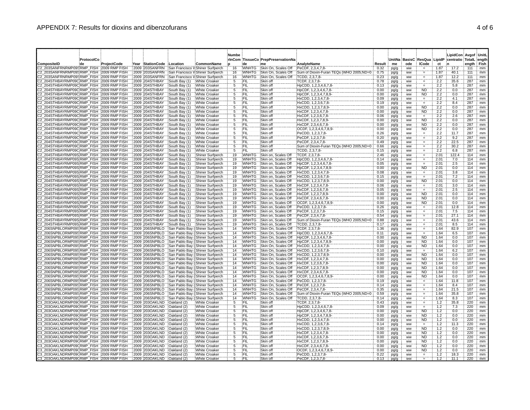| ProtocolCo                                                                               |                                                                    |                                                                      | Numbe                 |                              | rinCom TissueCo PrepPreservationNa         |                                                               |              |               |                        |                              |              | LipidCon Avgof UnitL<br>UnitNa BasisC ResQua LipidP centratio TotalL ength |            |          |
|------------------------------------------------------------------------------------------|--------------------------------------------------------------------|----------------------------------------------------------------------|-----------------------|------------------------------|--------------------------------------------|---------------------------------------------------------------|--------------|---------------|------------------------|------------------------------|--------------|----------------------------------------------------------------------------|------------|----------|
| CompositeID<br>∶de<br>ProjectCode                                                        | Year StationCode Location                                          | CommonName                                                           |                       | d۵                           | me                                         | <b>AnalvteName</b>                                            | Result       | me            | ode                    | <b>ICode</b>                 | ct           | 'n                                                                         | enath Fish |          |
| 22 203SANFRNRMP09SRMP FISH 72009 RMP FISH<br>22 203SANFRNRMP09SRMP FISH 2009 RMP FISH    | 2009 203SANFRN<br>2009 203SANFRN                                   | San Francisco V Shiner Surfperch<br>San Francisco V Shiner Surfperch | 16<br>16              | <b>WNHTG</b><br><b>WNHTG</b> | Skin On. Scales Off<br>Skin On, Scales Off | PeCDF, 2,3,4,7,8-<br>Sum of Dioxin-Furan TEQs (WHO 2005;ND=0) | 0.32<br>0.75 | pg/g<br>pg/g  | <b>WW</b><br><b>WW</b> | Ħ.<br>$\quad =$              | 1.87<br>1.87 | 17.2<br>40.1                                                               | 111<br>111 | mm<br>mm |
| C2_203SANFRNRMP09SRMP_FISH_:2009 RMP FISH                                                | 2009 203SANFRN                                                     | San Francisco V Shiner Surfperch                                     | 16                    | WNHTG                        | Skin On, Scales Off                        | TCDD, 2,3,7,8-                                                | 0.23         | pg/g          | <b>WW</b>              | Ξ.                           | 1.87         | 12.2                                                                       | 111        | mm       |
| C2 204STHBAYRMP09C:RMP FISH :2009 RMP FISH                                               | South Bay (1) White Croaker<br>2009 204STHBAY                      |                                                                      | 5                     | FIL                          | Skin off                                   | TCDF, 2,3,7,8-                                                | 0.78         | pg/g          | ww                     | $\qquad \qquad =$            | 2.2          | 35.6                                                                       | 287        | mm       |
| C2 204STHBAYRMP09CRMP FISH : 2009 RMP FISH<br>C2 204STHBAYRMP09CRMP FISH 2009 RMP FISH   | 2009 204STHBAY<br>South Bay (1)<br>2009 204STHBAY<br>South Bay (1) | White Croaker<br>White Croaker                                       | 5<br>5                | FIL<br>FIL                   | :Skin off<br>Skin off                      | HpCDD, 1,2,3,4,6,7,8-<br>HpCDF, 1,2,3,4,6,7,8-                | 0.13<br>0.00 | pg/g<br>pg/g  | ww<br><b>WW</b>        | $=$<br>ÑĎ                    | 2.2<br>2.2   | 5.8<br>0.0                                                                 | 287<br>287 | mm<br>mm |
| 22 204STHBAYRMP09C:RMP FISH : 2009 RMP FISH                                              | 2009 204STHBAY<br>South Bay (1)                                    | White Croaker                                                        |                       | ΈIΙ                          | Skin off                                   | HpCDF, 1.2.3.4.7.8.9-                                         | 0.00         | pg/g          | ww                     | <b>ND</b>                    | 2.2          | 0.0                                                                        | 287        | mm       |
| 22 204STHBAYRMP09C:RMP FISH : 2009 RMP FISH                                              | 2009 204STHBAY<br>South Bay (1)                                    | White Croaker                                                        | 5                     | :FIL                         | Skin off                                   | HxCDD, 1,2,3,4,7,8-                                           | 0.09         | pg/g          | ww                     | $=$                          | 2.2          | 4.1                                                                        | 287        | mm       |
| 22 204STHBAYRMP09CRMP FISH : 2009 RMP FISH<br>C2_204STHBAYRMP09C RMP_FISH 32009 RMP FISH | 2009 204STHBAY<br>South Bay (1)<br>2009 204STHBAY<br>South Bay (1) | White Croaker<br>White Croaker                                       | 5<br>5                | FIL<br>Fil                   | Skin off<br>Skin off                       | HxCDD, 1,2,3,6,7,8-<br>HxCDD, 1,2,3,7,8,9-                    | 0.19<br>0.00 | pg/g<br>pg/g  | ww<br>ww               | 'ND.                         | 2.2<br>2.2   | 8.4<br>0.0                                                                 | 287<br>287 | mm<br>mm |
| 22 204STHBAYRMP09CRMP FISH 2009 RMP FISH                                                 | 2009 204STHBAY<br>South Bay (1)                                    | White Croaker                                                        | 5                     | FIL                          | :Skin off                                  | HxCDF, 1,2,3,4,7,8-                                           | 0.00         | pg/g          | <b>WW</b>              | <b>ND</b>                    | 2.2          | 0.0                                                                        | 287        | mm       |
| 2 204STHBAYRMP09C:RMP FISH : 2009 RMP FISH                                               | 2009 204STHBAY<br>South Bay (1)                                    | White Croaker                                                        | 5                     | (Fil                         | :Skin off                                  | HxCDF, 1,2,3,6,7,8-                                           | 0.06         | pg/g          | <b>WW</b>              |                              | 2.2          | 2.6                                                                        | 287        | mm       |
| 204STHBAYRMP09C:RMP_FISH :2009 RMP FISH<br>C2 204STHBAYRMP09CRMP FISH 2009 RMP FISH      | 2009 204STHBAY<br>South Bay (1)<br>2009 204STHBAY<br>South Bay (1) | White Croaker<br>White Croaker                                       | 5                     | ΪË<br>FIL                    | Skin off<br>Skin off                       | HxCDF, 1,2,3,7,8,9-<br>HxCDF, 2,3,4,6,7,8-                    | 0.00<br>0.00 | pg/g<br>pg/g  | <b>WW</b><br><b>WW</b> | <b>ND</b><br><b>ND</b>       | 2.2<br>2.2   | 0.0<br>0.0                                                                 | 287<br>287 | mm<br>mm |
| C2 204STHBAYRMP09C;RMP_FISH ;2009 RMP FISH                                               | 2009 204STHBAY<br>South Bay (1)                                    | White Croaker                                                        | 5                     | (FIL                         | :Skin off                                  | OCDF, 1,2,3,4,6,7,8,9                                         | 0.00         | pg/g          | ww                     | <b>ND</b>                    | 2.2          | 0.0                                                                        | 287        | mm       |
| 22 204STHBAYRMP09C:RMP FISH :2009 RMP FISH                                               | 2009 204STHBAY<br>South Bay (1)                                    | White Croaker                                                        | 5                     | ΈÏĹ                          | Skin off                                   | PeCDD, 1,2,3,7,8-                                             | 0.26         | pg/g          | ww                     | Ħ,                           | 2.2          | 11.7                                                                       | 287        | mm       |
| C2_204STHBAYRMP09C:RMP_FISH_:2009 RMP FISH<br>C2_204STHBAYRMP09C RMP_FISH_ 2009 RMP FISH | 2009 204STHBAY<br>South Bay (1)<br>2009 204STHBAY<br>South Bay (1) | White Croaker<br>White Croaker                                       | 5<br>5                | ΈïL.<br>(FIL                 | Skin off<br>Skin off                       | PeCDF, 1,2,3,7,8-<br>PeCDF, 2,3,4,7,8-                        | 0.20<br>0.49 | pg/g          | <b>WW</b><br><b>WW</b> | $\qquad \qquad =$            | 2.2<br>2.2   | 9.2<br>22.5                                                                | 287<br>287 | mm<br>mm |
| C2_204STHBAYRMP09C;RMP_FISH_;2009 RMP FISH                                               | 2009 204STHBAY<br>South Bay (1)                                    | <b>White Croaker</b>                                                 | 5                     | FIL                          | Skin off                                   | Sum of Dioxin-Furan TEQs (WHO 2005;ND=0                       | 0.66         | pg/g<br>pg/g  | <b>WW</b>              | $\qquad \qquad =$            | 2.2          | 30.2                                                                       | 287        | mm       |
| 22 204STHBAYRMP09C:RMP_FISH_:2009 RMP FISH                                               | 2009 204STHBAY<br>South Bay (1)                                    | White Croaker                                                        | 5                     | FIL                          | Skin off                                   | TCDD, 2,3,7,8-                                                | 0.15         | pg/g          | ww                     | $=$                          | 2.2          | 6.8                                                                        | 287        | mm       |
| C2 204STHBAYRMP09S RMP FISH 2009 RMP FISH<br>C2 204STHBAYRMP09SRMP FISH 2009 RMP FISH    | 2009 204STHBAY<br>South Bay (1)<br>2009 204STHBAY<br>South Bay (1) | Shiner Surfperch<br>Shiner Surfperch                                 | 19<br>19              | <b>WNHTG</b><br><b>WNHTG</b> | Skin on, Scales Off<br>Skin on, Scales Off | TCDF, 2.3.7.8-<br>HpCDD, 1,2,3,4,6,7,8-                       | 2.46<br>0.14 | pg/g          | <b>WW</b>              | $=$                          | 2.01<br>2.01 | 122.4<br>7.0                                                               | 114<br>114 | mm       |
| C2_204STHBAYRMP09S;RMP_FISH_;2009 RMP FISH                                               | 2009 204STHBAY<br>South Bay (1)                                    | Shiner Surfperch                                                     | 19                    | <b>WNHTG</b>                 | Skin on, Scales Off                        | HpCDF, 1,2,3,4,6,7,8-                                         | 0.05         | pg/g<br>pg/g  | <b>WW</b><br><b>WW</b> | Ħ.                           | 2.01         | 2.5                                                                        | 114        | mm<br>mm |
| C2 204STHBAYRMP09S;RMP FISH : 2009 RMP FISH                                              | 2009 204STHBAY<br>South Bay (1)                                    | Shiner Surfperch                                                     | 19                    | <b>WNHTG</b>                 | Skin on, Scales Off                        | HpCDF, 1,2,3,4,7,8,9-                                         | 0.00         | pg/g          | ww                     | <b>ND</b>                    | 2.01         | 0.0                                                                        | 114        | mm       |
| 22 204STHBAYRMP09S:RMP FISH :2009 RMP FISH                                               | 2009 204STHBAY<br>South Bay (1)                                    | Shiner Surfperch                                                     | 19                    | <b>WNHTG</b>                 | Skin on, Scales Off                        | HxCDD, 1,2,3,4,7,8-                                           | 0.08         | pg/g          | ww                     | $\qquad \qquad =$            | 2.01         | 3.8                                                                        | 114        | mm       |
| 2 204STHBAYRMP09SRMP FISH 2009 RMP FISH<br>2_204STHBAYRMP09S;RMP_FISH ;2009 RMP FISH     | 2009 204STHBAY<br>South Bay (1)<br>2009 204STHBAY<br>South Bay (1) | Shiner Surfperch<br>Shiner Surfperch                                 | 19<br>19              | WNHTG<br><b>WNHTG</b>        | Skin on, Scales Off<br>Skin on, Scales Off | HxCDD, 1,2,3,6,7,8-<br>HxCDD, 1,2,3,7,8,9-                    | 0.15<br>0.00 | pg/g<br>pg/g  | ww<br>ww               | ΪÑ.                          | 2.01<br>2.01 | 7.2<br>0.0                                                                 | 114<br>714 | mm<br>mm |
| C2_204STHBAYRMP09S:RMP_FISH_:2009 RMP FISH                                               | 2009 204STHBAY<br>South Bay (1)                                    | Shiner Surfperch                                                     | 19                    | <b>WNHTG</b>                 | Skin on, Scales Off                        | HxCDF, 1,2,3,4,7,8-                                           | 0.06         | pg/g          | ww                     | Ħ,                           | 2.01         | 3.0                                                                        | 114        | mm       |
| C2 204STHBAYRMP09S:RMP_FISH :2009 RMP FISH                                               | 2009 204STHBAY<br>South Bay (1)                                    | Shiner Surfperch                                                     | 19                    | <b>WNHTG</b>                 | Skin on, Scales Off                        | HxCDF, 1,2,3,6,7,8-                                           | 0.05         | pg/g          | ww                     |                              | 2.01         | 2.5                                                                        | 114        | mm       |
| C2 204STHBAYRMP09S:RMP FISH :2009 RMP FISH<br>C2_204STHBAYRMP09S;RMP_FISH_;2009 RMP FISH | 2009 204STHBAY<br>South Bay (1)<br>2009 204STHBAY<br>South Bay (1) | Shiner Surfperch<br>Shiner Surfperch                                 | 19<br>19              | <b>WNHTG</b><br><b>WNHTG</b> | Skin on, Scales Off<br>Skin on, Scales Off | HxCDF, 1,2,3,7,8,9-<br>HxCDF, 2,3,4,6,7,8-                    | 0.00<br>0.00 | pg/g<br>pg/g  | ww<br>ww               | <b>ND</b><br><b>ND</b>       | 2.01<br>2.01 | 0.0<br>0.0                                                                 | 114<br>114 | mm<br>mm |
| C2_204STHBAYRMP09S:RMP_FISH_:2009 RMP FISH                                               | 2009 204STHBAY<br>South Bay (1)                                    | Shiner Surfperch                                                     | 19                    | <b>WNHTG</b>                 | Skin on, Scales Off                        | OCDF, 1,2,3,4,6,7,8,9                                         | 0.00         | pg/g          | ww                     | <b>ND</b>                    | 2.01         | 0.0                                                                        | 114        | mm       |
| 22 204STHBAYRMP09S:RMP FISH :2009 RMP FISH                                               | 2009 204STHBAY<br>South Bay (1)                                    | Shiner Surfperch                                                     | 19                    | <b>WNHTG</b>                 | Skin on, Scales Off                        | PeCDD, 1,2,3,7,8-                                             | 0.26         | pg/g          | <b>WW</b>              | $\qquad \qquad =$            | 2.01         | 12.8                                                                       | 114        | mm       |
| 22 204STHBAYRMP09S:RMP_FISH= 2009 RMP FISH<br>22 204STHBAYRMP09S RMP FISH 2009 RMP FISH  | 2009 204STHBAY<br>South Bay (1)<br>2009 204STHBAY<br>South Bay (1) | Shiner Surfperch<br>Shiner Surfperch                                 | 19<br>19              | <b>WNHTG</b><br>WNHTG        | Skin on, Scales Off<br>Skin on, Scales Off | PeCDF, 1.2.3.7.8-<br>PeCDF, 2,3,4,7,8-                        | 0.15<br>0.54 | pg/g<br>pg/g  | ww<br>ww               | $=$<br>$\quad =$             | 2.01<br>2.01 | 7.5<br>27.1                                                                | 114<br>114 | mm<br>mm |
| 22 204STHBAYRMP09S:RMP FISH : 2009 RMP FISH                                              | 2009 204STHBAY<br>South Bay (1)                                    | Shiner Surfperch                                                     | 19                    | <b>WNHTG</b>                 | Skin on, Scales Off                        | Sum of Dioxin-Furan TEQs (WHO 2005;ND=0                       | 0.88         | pg/g          | ww                     | $=$                          | 2.01         | 43.6                                                                       | 114        | mm       |
| 22 204STHBAYRMP09S:RMP FISH : 2009 RMP FISH                                              | 2009 204STHBAY<br>South Bay (1)                                    | Shiner Surfperch                                                     | 19                    | <b>WNHTG</b>                 | Skin on, Scales Off                        | TCDD, 2,3,7,8-                                                | 0.17         | pg/g          | ww                     |                              | 2.01         | 8.5                                                                        | 114        | mm       |
| 2 206SNPBLORMP09S:RMP FISH :2009 RMP FISH<br>2 206SNPBLORMP09SRMP FISH 2009 RMP FISH     | 2009 206SNPBLO<br>2009 206SNPBLO                                   | San Pablo Bay (Shiner Surfperch<br>San Pablo Bay (Shiner Surfperch   | $\overline{14}$<br>14 | <b>WNHTG</b><br>WNHTG        | Skin On, Scales Off<br>Skin On, Scales Off | TCDF, 2,3,7,8-<br>HpCDD, 1,2,3,4,6,7,8-                       | 1.36<br>0.11 | pg/g          | ww<br>ww               |                              | 1.64<br>1.64 | 82.9<br>6.5                                                                | 107<br>107 | mm<br>mm |
| 206SNPBLORMP09S:RMP_FISH 2009 RMP FISH                                                   | 2009 206SNPBLO                                                     | San Pablo Bay (Shiner Surfperch                                      | $\overline{14}$       | WNHTG                        | Skin On, Scales Off                        | HpCDF, 1,2,3,4,6,7,8-                                         | 0.00         | pg/g<br>pg/g  | ww                     | <b>ND</b>                    | 1.64         | 0.0                                                                        | 107        | mm       |
| 206SNPBLORMP09S:RMP FISH : 2009 RMP FISH                                                 | 2009 206SNPBLO                                                     | San Pablo Bay (Shiner Surfperch                                      | $\overline{14}$       | WNHTG                        | Skin On, Scales Off                        | HpCDF, 1,2,3,4,7,8,9-                                         | 0.00         | pg/g          | ww                     | <b>ND</b>                    | 1.64         | 0.0                                                                        | 107        | mm       |
| 2 206SNPBLORMP09S:RMP FISH :2009 RMP FISH<br>C2 206SNPBLORMP09SRMP_FISH 2009 RMP FISH    | 2009 206SNPBLO<br>2009 206SNPBLO                                   | San Pablo Bay (Shiner Surfperch<br>San Pablo Bay (Shiner Surfperch   | $\overline{14}$<br>14 | WNHTG<br><b>WNHTG</b>        | Skin On, Scales Off<br>Skin On, Scales Off | HxCDD, 1,2,3,4,7,8-<br>HxCDD, 1,2,3,6,7,8-                    | 0.00<br>0.10 | pg/g          | <b>WW</b><br>ww        | <b>ND</b><br>$=$             | 1.64<br>1.64 | 0.0<br>6.2                                                                 | 107<br>107 | mm<br>mm |
| 22 206SNPBLORMP09SRMP_FISH 2009 RMP FISH                                                 | 2009 206SNPBLO                                                     | San Pablo Bay ('Shiner Surfperch                                     | 14                    | <b>WNHTG</b>                 | Skin On, Scales Off                        | HxCDD, 1,2,3,7,8,9-                                           | 0.00         | pg/g<br>pg/g  | ww                     | 'ND.                         | 1.64         | 0.0                                                                        | 107        | mm       |
| 2 206SNPBLORMP09S:RMP FISH :2009 RMP FISH                                                | 2009 206SNPBLO                                                     | San Pablo Bay (Shiner Surfperch                                      | 14                    | WNHTG                        | Skin On, Scales Off                        | HxCDF, 1,2,3,4,7,8-                                           | 0.00         | pg/g          | <b>WW</b>              | <b>ND</b>                    | 1.64         | 0.0                                                                        | 107        | mm       |
| C2 206SNPBLORMP09SRMP FISH : 2009 RMP FISH                                               | 2009 206SNPBLO                                                     | San Pablo Bay (Shiner Surfperch                                      | 14                    | WNHTG                        | Skin On, Scales Off                        | HxCDF, 1,2,3,6,7,8                                            | 0.00         | pg/g          | ww                     | <b>ND</b>                    | 1.64         | 0.0                                                                        | 107        | mm       |
| 22 206SNPBLORMP09SRMP FISH 2009 RMP FISH<br>2 206SNPBLORMP09SRMP_FISH=2009 RMP FISH      | 2009 206SNPBLO<br>2009 206SNPBLO                                   | San Pablo Bay (Shiner Surfperch<br>San Pablo Bay ('Shiner Surfperch  | 14<br>14              | WNHTG<br><b>WNHTG</b>        | Skin On, Scales Off<br>Skin On, Scales Off | HxCDF, 1,2,3,7,8,9-<br>HxCDF, 2,3,4,6,7,8-                    | 0.00<br>0.00 | .pg/g<br>pg/g | <b>WW</b><br>ww        | <b>ND</b><br>ND.             | 1.64<br>1.64 | 0.0<br>0.0                                                                 | 107<br>107 | mm<br>mm |
| 2 206SNPBLORMP09S:RMP FISH : 2009 RMP FISH                                               | 2009 206SNPBLO                                                     | San Pablo Bay ('Shiner Surfperch                                     | 14                    | <b>WNHTG</b>                 | Skin On, Scales Off                        | OCDF, 1,2,3,4,6,7,8,9                                         | 0.00         | pg/g          | ww                     | <b>ND</b>                    | 1.64         | 0.0                                                                        | 107        | mm       |
| 22 206SNPBLORMP09S:RMP FISH : 2009 RMP FISH                                              | 2009 206SNPBLO                                                     | San Pablo Bay (Shiner Surfperch                                      | 14                    | <b>WNHTG</b>                 | Skin On, Scales Off                        | PeCDD, 1,2,3,7,8-                                             | 0.19         | pg/g          | <b>WW</b>              | $=$                          | 1.64         | 11.8                                                                       | 107        | mm       |
| 2_206SNPBLORMP09SRMP_FISH 2009 RMP FISH<br>2_206SNPBLORMP09S;RMP_FISH`;2009 RMP FISH     | 2009 206SNPBLO<br>2009 206SNPBLO                                   | San Pablo Bay (Shiner Surfperch<br>San Pablo Bay (Shiner Surfperch   | 14<br>14              | <b>WNHTG</b><br><b>WNHTG</b> | Skin On, Scales Off<br>Skin On, Scales Off | PeCDF, 1,2,3,7,8-<br>PeCDF, 2,3,4,7,8-                        | 0.14<br>0.35 | pg/g<br>pg/g  | ww<br>ww               | F.<br>$=$                    | 1.64<br>1.64 | 8.4<br>21.5                                                                | 107<br>107 | mm<br>mm |
| 2 206SNPBLORMP09S:RMP FISH : 2009 RMP FISH                                               | 2009 206SNPBLO                                                     | San Pablo Bay (Shiner Surfperch                                      | $\overline{14}$       | WNHTG                        | Skin On, Scales Off                        | Sum of Dioxin-Furan TEQs (WHO 2005;ND=0                       | 0.59         | pg/g          | ww                     |                              | 1.64         | 35.8                                                                       | 107        | mm       |
| 206SNPBLORMP09S:RMP_FISH :2009 RMP FISH                                                  | 2009 206SNPBLO                                                     | San Pablo Bay (Shiner Surfperch                                      | 14                    | WNHTG                        | Skin On, Scales Off                        | TCDD, 2,3,7,8-                                                | 0.14         | pg/g          | ww                     | $\qquad \qquad =$            | 1.64         | 8.3                                                                        | 107        | mm       |
| 3 203OAKLNDRMP09CRMP FISH : 2009 RMP FISH<br>3 203OAKLNDRMP09CRMP FISH 2009 RMP FISH     | 2009 203OAKLND<br>Oakland (2)<br>2009 203OAKLND<br>Oakland (2)     | <b>White Croaker</b><br>White Croaker                                | 5                     | FII.<br>FIL                  | Skin off<br>Skin off                       | TCDF, 2,3,7,8-<br>HpCDD, 1,2,3,4,6,7,8                        | 0.43<br>0.09 | pg/g<br>pg/g  | ww<br>ww               | $\qquad \qquad =$            | 1.2<br>1.2   | 35.8<br>7.3                                                                | 220<br>220 | mm<br>mm |
| 3 203OAKLNDRMP09(RMP FISH 2009 RMP FISH                                                  | 2009 203OAKLND<br>Oakland (2)                                      | White Croaker                                                        | 5                     | FIL                          | Skin off                                   | HpCDF, 1,2,3,4,6,7,8-                                         | 0.00         | pg/g          | <b>WW</b>              | <b>ND</b>                    | 1.2          | 0.0                                                                        | 220        | mm       |
| 3 203OAKLNDRMP09CRMP FISH : 2009 RMP FISH                                                | 2009 203OAKLND<br>Oakland (2)                                      | White Croaker                                                        | 5                     | ΈÏL.                         | Skin off                                   | HpCDF, 1,2,3,4,7,8,9-                                         | 0.00         | pg/g          | <b>WW</b>              | ND.                          | 1.2          | 0.0                                                                        | 220        | mm       |
| 3 203OAKLNDRMP09(:RMP_FISH_:2009 RMP FISH<br>C3_203OAKLNDRMP09CRMP_FISH 2009 RMP FISH    | 2009 203OAKLND<br>Oakland (2)<br>2009 203OAKLND<br>Oakland (2)     | White Croaker<br><b>White Croaker</b>                                | 5<br>5                | ١F١١<br>FIL                  | Skin off<br>Skin off                       | HxCDD, 1,2,3,4,7,8-<br>HxCDD, 1,2,3,6,7,8-                    | 0.00<br>0.14 | pg/g<br>pg/g  | <b>WW</b><br>ww        | <b>ND</b><br>$=$             | 1.2<br>1.2   | 0.0<br>11.3                                                                | 220<br>220 | mm<br>mm |
| 3 203OAKLNDRMP09(:RMP_FISH_:2009 RMP FISH                                                | 2009 203OAKLND<br>Oakland (2)                                      | <b>White Croaker</b>                                                 | 5                     | 'FIL                         | Skin off                                   | HxCDD, 1,2,3,7,8,9-                                           | 0.00         | pg/g          | ww                     | <b>ND</b>                    | 1.2          | 0.0                                                                        | 220        | mm       |
| 3 203OAKLNDRMP09CRMP FISH :2009 RMP FISH                                                 | 2009 203OAKLND<br>Oakland (2)                                      | <b>White Croaker</b>                                                 | 5                     | ١FIL                         | Skin off                                   | HxCDF, 1,2,3,4,7,8-                                           | 0.00         | pg/g          | ww                     | <b>ND</b>                    | 1.2          | 0.0                                                                        | 220        | mm       |
| 3 203OAKLNDRMP09CRMP FISH : 2009 RMP FISH<br>3 203OAKLNDRMP09(RMP FISH 2009 RMP FISH     | 2009 203OAKLND<br>Oakland (2)<br>2009 203OAKLND<br>Oakland (2)     | <b>White Croaker</b><br><b>White Croaker</b>                         | 5                     | FIL<br>FIL                   | Skin off<br>Skin off                       | HxCDF, 1,2,3,6,7,8-<br>HxCDF, 1,2,3,7,8,9-                    | 0.00<br>0.00 | pg/g          | ww<br><b>WW</b>        | ND <sup>-</sup><br><b>ND</b> | 7.2<br>1.2   | 0.0<br>0.0                                                                 | 220<br>220 | mm<br>mm |
| 3 203OAKLNDRMP09CRMP FISH 2009 RMP FISH                                                  | 2009 203OAKLND<br>Oakland (2)                                      | <b>White Croaker</b>                                                 | 5                     | FIL.                         | Skin off                                   | HxCDF, 2,3,4,6,7,8-                                           | 0.00         | pg/g<br>pg/g  | ww                     | <b>ND</b>                    | 1.2          | 0.0                                                                        | 220        | mm       |
| 3 203OAKLNDRMP09CRMP FISH : 2009 RMP FISH                                                | 2009 203OAKLND<br>Oakland (2)                                      | <b>White Croaker</b>                                                 | 5                     | ŒΪľ                          | :Skin off                                  | OCDF, 1,2,3,4,6,7,8,9                                         | 0.00         | pg/g          | ww                     | <b>ND</b>                    | 1.2          | 0.0                                                                        | 220        | mm       |
| 3_203OAKLNDRMP09CRMP_FISH 12009 RMP FISH<br>203OAKLNDRMP09CRMP FISH 2009 RMP FISH        | 2009 203OAKLND Oakland (2)<br>2009 203OAKLND Oakland (2)           | White Croaker<br>White Croaker                                       | 5<br>-5               | ÏFIL<br>∖F⊪                  | Skin off<br>Skin off                       | PeCDD, 1,2,3,7,8-<br>PeCDF, 1.2.3.7.8-                        | 0.22<br>0.13 | pg/g<br>pa/a  | <b>WW</b><br>ww        | $\equiv$                     | 1.2<br>12    | 18.3<br>1111                                                               | 220<br>220 | mm<br>mm |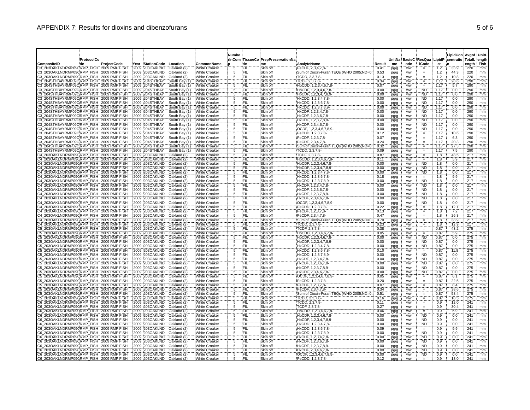|                                                                                          |                   |             |                                  |                                |                                              | Numbe   |                    |                                          |                                                              |              |                     |                             |                                   |              | LipidCon Avgof UnitL   |             |          |
|------------------------------------------------------------------------------------------|-------------------|-------------|----------------------------------|--------------------------------|----------------------------------------------|---------|--------------------|------------------------------------------|--------------------------------------------------------------|--------------|---------------------|-----------------------------|-----------------------------------|--------------|------------------------|-------------|----------|
| CompositeID                                                                              | ProtocolCo<br>∶de | ProjectCode | Year StationCode                 | Location                       | CommonName                                   |         | de                 | rinCom TissueCo PrepPreservationNa<br>me | AnalyteName                                                  | Result       | <b>UnitNa</b><br>me | <b>BasisC ResQua</b><br>ode | <b>ICode</b>                      | LipidP<br>ct | centratio TotalL ength | ength: Fish |          |
| 23 203OAKLNDRMP09CRMP FISH 2009 RMP FISH                                                 |                   |             | 2009 203OAKLND                   | Oakland (2)                    | White Croaker                                | 5       | FIL.               | :Skin off                                | PeCDF, 2,3,4,7,8-                                            | 0.41         | pg/g                | ww                          |                                   | 1.2          | 33.9                   | 220         | mm       |
| 23 203OAKLNDRMP09CRMP FISH 2009 RMP FISH<br>C3_203OAKLNDRMP09CRMP_FISH_2009 RMP FISH     |                   |             | 2009 203OAKLND<br>2009 203OAKLND | Oakland (2)<br>Oakland (2)     | <b>White Croaker</b><br>White Croaker        | 5<br>5  | ∛FIL<br>١FIL       | Skin off<br>Skin off                     | Sum of Dioxin-Furan TEQs (WHO 2005;ND=0<br>TCDD, 2.3.7.8-    | 0.53<br>0.13 | pg/g<br>pg/g        | ww<br>ww                    | $\quad =$                         | 1.2<br>1.2   | 44.3<br>10.8           | 220<br>220  | mm<br>mm |
| 23 204STHBAYRMP09C:RMP FISH :2009 RMP FISH                                               |                   |             | 2009 204STHBAY                   | South Bay (1)                  | White Croaker                                | 5       | \FIL               | Skin off                                 | TCDF, 2,3,7,8-                                               | 0.34         | pg/g                | <b>WW</b>                   | Ħ.<br>$\qquad \qquad =$           | 1.17         | 28.6                   | 290         | mm       |
| C3 204STHBAYRMP09CRMP FISH 2009 RMP FISH<br>C3_204STHBAYRMP09CRMP_FISH_2009 RMP FISH     |                   |             | 2009 204STHBAY<br>2009 204STHBAY | South Bay (1)<br>South Bay (1) | White Croaker<br>White Croaker               | 5<br>5  | FIL<br>`Fil        | Skin of<br>Skin off                      | HpCDD, 1,2,3,4,6,7,8-<br>HpCDF, 1,2,3,4,6,7,8-               | 0.07<br>0.00 | pg/g                | <b>WW</b><br><b>WW</b>      | $=$<br><b>ND</b>                  | 1.17<br>1.17 | 5.7<br>0.0             | 290<br>290  | mm<br>mm |
| 23 204STHBAYRMP09C:RMP FISH : 2009 RMP FISH                                              |                   |             | 2009 204STHBAY                   | South Bay (1)                  | White Croaker                                | 5       | {FIL               | Skin off                                 | HpCDF, 1,2,3,4,7,8,9-                                        | 0.00         | pg/g<br>pg/g        | ww                          | <b>ND</b>                         | 1.17         | 0.0                    | 290         | mm       |
| 23 204STHBAYRMP09C:RMP FISH :2009 RMP FISH                                               |                   |             | 2009 204STHBAY                   | South Bay (1)                  | White Croaker                                | 5       | FIL                | Skin off                                 | HxCDD, 1,2,3,4,7,8-                                          | 0.00         | pg/g                | <b>WW</b>                   | <b>ND</b>                         | 1.17         | 0.0                    | 290         | mm       |
| C3 204STHBAYRMP09CRMP FISH 2009 RMP FISH<br>C3_204STHBAYRMP09C:RMP_FISH_:2009 RMP FISH   |                   |             | 2009 204STHBAY<br>2009 204STHBAY | South Bay (1)<br>South Bay (1) | White Croaker<br>White Croaker               | 5       | ∖FIL<br>∖FIL       | Skin off<br>Skin off                     | HxCDD, 1,2,3,6,7,8-<br>HxCDD, 1,2,3,7,8,9                    | 0.00<br>0.00 | pg/g<br>pg/g        | ww<br>ww                    | <b>ND</b><br><b>ND</b>            | 1.17<br>1.17 | 0.0<br>0.0             | 290<br>290  | mm<br>mm |
| C3 204STHBAYRMP09C:RMP FISH : 2009 RMP FISH                                              |                   |             | 2009 204STHBAY                   | South Bay (1)                  | White Croaker                                | 5       | <b>FIL</b>         | Skin off                                 | HxCDF, 1,2,3,4,7,8-                                          | 0.00         | pg/g                | ww                          | <b>ND</b>                         | 1.17         | 0.0                    | 290         | mm       |
| 23 204STHBAYRMP09C:RMP FISH :2009 RMP FISH<br>C3_204STHBAYRMP09C:RMP_FISH_2009 RMP FISH  |                   |             | 2009 204STHBAY<br>2009 204STHBAY | South Bay (1)<br>South Bay (1) | White Croaker<br>White Croaker               | 5<br>5  | ΥFΙL<br>(FIL       | Skin off<br>Skin off                     | HxCDF, 1,2,3,6,7,8-<br>HxCDF, 1,2,3,7,8,9-                   | 0.00<br>0.00 | pg/g<br>pg/g        | ww<br>WW                    | <b>ND</b><br><b>ND</b>            | 1.17<br>1.17 | 0.0<br>0.0             | 290<br>290  | mm<br>mm |
| 23 204STHBAYRMP09CRMP FISH 2009 RMP FISH                                                 |                   |             | 2009 204STHBAY                   | South Bay (1)                  | White Croaker                                | 5       | FIL                | Skin off                                 | HxCDF, 2,3,4,6,7,8-                                          | 0.00         | pg/g                | ww                          | <b>ND</b>                         | 1.17         | 0.0                    | 290         | mm       |
| 23 204STHBAYRMP09CRMP FISH 2009 RMP FISH                                                 |                   |             | 2009 204STHBAY                   | South Bay (1                   | White Croaker                                | 5       | <b>FIL</b>         | Skin off                                 | OCDF, 1,2,3,4,6,7,8,9                                        | 0.00         | pg/g                | ww                          | <b>ND</b>                         | 1.17         | 0.0                    | 290         | mm       |
| 23 204STHBAYRMP09C:RMP FISH :2009 RMP FISH<br>23 204STHBAYRMP09C:RMP FISH :2009 RMP FISH |                   |             | 2009 204STHBAY<br>2009 204STHBAY | South Bay (1)<br>South Bay (1) | White Croaker<br><b>White Croaker</b>        | 5<br>Ï5 | ١FIL<br>FIL        | Skin off<br>Skin off                     | PeCDD, 1,2,3,7,8-<br>PeCDF, 1,2,3,7,8-                       | 0.12<br>0.07 | pg/g<br>pg/g        | ww<br><b>WW</b>             | Φ                                 | 1.17<br>1.17 | 10.6<br>6.3            | 290<br>290  | mm<br>mm |
| C3 204STHBAYRMP09CRMP FISH '2009 RMP FISH                                                |                   |             | 2009 204STHBAY                   | South Bay (1)                  | White Croaker                                | 5       | FIL.               | Skin off                                 | PeCDF, 2,3,4,7,8-                                            | 0.24         | pg/g                | ww                          | Ξ.                                | 1.17         | 20.3                   | 290         | mm       |
| 23 204STHBAYRMP09C;RMP FISH 2009 RMP FISH<br>23 204STHBAYRMP09C:RMP FISH :2009 RMP FISH  |                   |             | 2009 204STHBAY<br>2009 204STHBAY | South Bay (1)<br>South Bay (1) | White Croaker<br>White Croaker               | 5<br>5  | ΪFΙL<br>FIL        | Skin off<br>Skin off                     | Sum of Dioxin-Furan TEQs (WHO 2005;ND=0<br>TCDD, 2,3,7,8-    | 0.32<br>0.09 | pg/g                | <b>WW</b><br>ww             | $\qquad \qquad =$                 | 1.17<br>1.17 | 27.3<br>7.5            | 290<br>290  | mm<br>mm |
| 24 203OAKLNDRMP09CRMP FISH 2009 RMP FISH                                                 |                   |             | 2009 203OAKLND                   | Oakland (2)                    | <b>White Croaker</b>                         | 5       | FIL.               | Skin off                                 | TCDF, 2,3,7,8-                                               | 0.87         | pg/g<br>pg/g        | ww                          | Ξ.<br>$=$                         | 1.8          | 48.5                   | 217         | mm       |
| 24 203OAKLNDRMP09CRMP FISH \$2009 RMP FISH                                               |                   |             | 2009 203OAKLND                   | Oakland (2)                    | <b>White Croaker</b>                         |         | :FIL               | Skin off                                 | HpCDD, 1,2,3,4,6,7,8                                         | 0.11         | pg/g                | ww                          |                                   | 1.8          | 5.9                    | 217         | mm       |
| 24 203OAKLNDRMP09CRMP FISH 2009 RMP FISH<br>C4 203OAKLNDRMP09(RMP FISH 2009 RMP FISH     |                   |             | 2009 203OAKLND<br>2009 203OAKLND | Oakland (2)<br>Oakland (2)     | <b>White Croaker</b><br><b>White Croaker</b> | 5<br>5  | (FIL<br>FIL        | Skin off<br>Skin of                      | HpCDF, 1,2,3,4,6,7,8-<br>HpCDF, 1,2,3,4,7,8,9-               | 0.00<br>0.00 | pg/g<br>pg/g        | ww<br>ww                    | ΪÑ.<br><b>ND</b>                  | 1.8<br>1.8   | 0.0<br>0.0             | 217<br>217  | mm<br>mm |
| C4 203OAKLNDRMP09CRMP FISH 2009 RMP FISH                                                 |                   |             | 2009 203OAKLND                   | Oakland (2)                    | <b>White Croaker</b>                         | 5       | FIL                | Skin off                                 | HxCDD, 1,2,3,4,7,8-                                          | 0.00         | pg/g                | <b>WW</b>                   | <b>ND</b>                         | 1.8          | 0.0                    | 217         | mm       |
| C4 203OAKLNDRMP09(RMP FISH 2009 RMP FISH                                                 |                   |             | 2009 203OAKLND                   | Oakland (2)                    | <b>White Croaker</b>                         | 5<br>5  | FIL<br>∖FIL        | Skin of                                  | HxCDD, 1,2,3,6,7,8-                                          | 0.18         | pg/g                | WW                          |                                   | 1.8          | 9.9<br>0.0             | 217         | mm       |
| C4_203OAKLNDRMP09CRMP_FISH `2009 RMP FISH<br>24 203OAKLNDRMP09CRMP FISH 2009 RMP FISH    |                   |             | 2009 203OAKLND<br>2009 203OAKLND | Oakland (2)<br>Oakland (2)     | White Croaker<br>White Croaker               | 5       | ١FIL               | Skin off<br>Skin off                     | HxCDD, 1,2,3,7,8,9-<br>HxCDF, 1,2,3,4,7,8-                   | 0.00<br>0.00 | pg/g<br>pg/g        | ww<br>ww                    | <b>ND</b><br><b>ND</b>            | 1.8<br>1.8   | 0.0                    | 217<br>217  | mm<br>mm |
| 24 203OAKLNDRMP09CRMP FISH :2009 RMP FISH                                                |                   |             | 2009 203OAKLND                   | Oakland (2)                    | <b>White Croaker</b>                         | 5       | FIL                | Skin off                                 | HxCDF, 1,2,3,6,7,8-                                          | 0.00         | pg/g                | ww                          | <b>ND</b>                         | 1.8          | 0.0                    | 217         | mm       |
| C4 203OAKLNDRMP09CRMP FISH :2009 RMP FISH<br>24 203OAKLNDRMP09CRMP FISH 2009 RMP FISH    |                   |             | 2009 203OAKLND<br>2009 203OAKLND | Oakland (2)<br>Oakland (2)     | <b>White Croaker</b><br><b>White Croaker</b> | 5<br>5  | FIL<br>ÏFIL        | Skin off<br>Skin off                     | HxCDF, 1,2,3,7,8,9-<br>HxCDF, 2,3,4,6,7,8-                   | 0.00<br>0.00 | pg/g                | ww<br>ww                    | <b>ND</b><br><b>ND</b>            | 1.8<br>1.8   | 0.0<br>0.0             | 217<br>217  | mm<br>mm |
| 24 203OAKLNDRMP09CRMP FISH 2009 RMP FISH                                                 |                   |             | 2009 203OAKLND                   | Oakland (2)                    | <b>White Croaker</b>                         |         | FIL                | Skin of                                  | OCDF, 1,2,3,4,6,7,8,9                                        | 0.00         | pg/g<br>pg/g        | WW                          | <b>ND</b>                         | 1.8          | 0.0                    | 217         | mm       |
| C4_203OAKLNDRMP09CRMP_FISH :2009 RMP FISH                                                |                   |             | 2009 203OAKLND                   | Oakland (2)                    | <b>White Croaker</b>                         | 5       | FIL                | Skin off                                 | PeCDD, 1,2,3,7,8-                                            | 0.22         | pg/g                | ww                          | $\quad =$                         | 1.8          | 12.1                   | 217         | mm       |
| 24 203OAKLNDRMP09CRMP FISH : 2009 RMP FISH<br>24 203OAKLNDRMP09CRMP FISH 2009 RMP FISH   |                   |             | 2009 203OAKLND<br>2009 203OAKLND | Oakland (2)<br>:Oakland (2)    | <b>White Croaker</b><br><b>White Croaker</b> | 5<br>5  | FIL<br>FIL         | Skin off<br>Skin off                     | PeCDF, 1,2,3,7,8-<br>PeCDF, 2,3,4,7,8-                       | 0.13<br>0.47 | pg/g<br>pg/g        | <b>WW</b><br>ww             | $\hspace{1.0cm} = \hspace{1.0cm}$ | 1.8<br>1.8   | 7.2<br>26.3            | 217<br>217  | mm<br>mm |
| C4 203OAKLNDRMP09(RMP FISH 2009 RMP FISH                                                 |                   |             | 2009 203OAKLND                   | Oakland (2)                    | <b>White Croaker</b>                         | 5       | FIL                | Skin off                                 | Sum of Dioxin-Furan TEQs (WHO 2005;ND=0                      | 0.70         | pg/g                | ww                          | $\qquad \qquad =$                 | 1.8          | 38.9                   | 217         | mm       |
| C4 203OAKLNDRMP09CRMP FISH :2009 RMP FISH                                                |                   |             | 2009 203OAKLND                   | Oakland (2)                    | <b>White Croaker</b>                         | 5       | (FIL<br>(FIL       | Skin off                                 | TCDD, 2.3.7.8-                                               | 0.23         | pg/g                | ww                          |                                   | 1.8          | 12.9<br>43.2           | 217<br>275  | mm       |
| C5_203OAKLNDRMP09CRMP_FISH_:2009 RMP FISH<br>25 203OAKLNDRMP09CRMP FISH 2009 RMP FISH    |                   |             | 2009 203OAKLND<br>2009 203OAKLND | Oakland (2)<br>Oakland (2)     | <b>White Croaker</b><br><b>White Croaker</b> | 5       | FIL                | Skin off<br>Skin off                     | TCDF, 2,3,7,8-<br>HpCDD, 1,2,3,4,6,7,8                       | 0.38<br>0.05 | pg/g<br>pg/g        | ww<br>ww                    |                                   | 0.87<br>0.87 | 5.9                    | 275         | mm<br>mm |
| 25 203OAKLNDRMP09CRMP FISH 2009 RMP FISH                                                 |                   |             | 2009 203OAKLND                   | Oakland (2)                    | <b>White Croaker</b>                         | 5       | <b>FIL</b>         | Skin off                                 | HpCDF, 1,2,3,4,6,7,8-                                        | 0.00         | pg/g                | ww                          | <b>ND</b>                         | 0.87         | 0.0                    | 275         | mm       |
| 25 203OAKLNDRMP09CRMP FISH 2009 RMP FISH<br>25 203OAKLNDRMP09CRMP FISH 2009 RMP FISH     |                   |             | 2009 203OAKLND<br>2009 203OAKLND | Oakland (2)<br>Oakland (2)     | <b>White Croaker</b><br><b>White Croaker</b> | 5<br>5  | FIL<br>(FIL        | :Skin off<br>Skin off                    | HpCDF, 1,2,3,4,7,8,9-<br>HxCDD, 1,2,3,4,7,8-                 | 0.00<br>0.00 | pg/g<br>pg/g        | ww<br>ww                    | <b>ND</b><br><b>ND</b>            | 0.87<br>0.87 | 0.0<br>0.0             | 275<br>275  | mm<br>mm |
| 25 203OAKLNDRMP09CRMP FISH 2009 RMP FISH                                                 |                   |             | 2009 203OAKLND                   | Oakland (2)                    | <b>White Croaker</b>                         | 5       | FIL                | Skin off                                 | HxCDD, 1,2,3,6,7,8-                                          | 0.10         | pg/g                | <b>WW</b>                   | $=$                               | 0.87         | 11.8                   | 275         | mm       |
| 25 203OAKLNDRMP09CRMP FISH 2009 RMP FISH                                                 |                   |             | 2009 203OAKLND                   | Oakland (2)                    | <b>White Croaker</b>                         | 5       | (FIL               | Skin off                                 | HxCDD, 1,2,3,7,8,9                                           | 0.00         | pg/g                | <b>WW</b>                   | <b>ND</b>                         | 0.87         | 0.0                    | 275         | mm       |
| 25 203OAKLNDRMP09CRMP FISH 2009 RMP FISH<br>25 203OAKLNDRMP09CRMP FISH 2009 RMP FISH     |                   |             | 2009 203OAKLND<br>2009 203OAKLND | Oakland (2)<br>Oakland (2)     | <b>White Croaker</b><br><b>White Croaker</b> | 5<br>5  | 'FIL<br>}FIL       | Skin off<br>Skin off                     | HxCDF, 1,2,3,4,7,8-<br>HxCDF, 1,2,3,6,7,8-                   | 0.00<br>0.00 | pg/g<br>pg/g        | ww<br>ww                    | <b>ND</b><br><b>ND</b>            | 0.87<br>0.87 | 0.0<br>0.0             | 275<br>275  | mm<br>mm |
| 25 203OAKLNDRMP09CRMP FISH 2009 RMP FISH                                                 |                   |             | 2009 203OAKLND                   | Oakland (2)                    | <b>White Croaker</b>                         | 5       | ∖FIL               | <b>Skin off</b>                          | HxCDF, 1,2,3,7,8,9                                           | 0.00         | pg/g                | <b>WW</b>                   | <b>ND</b>                         | 0.87         | 0.0                    | 275         | mm       |
| 25 203OAKLNDRMP09CRMP FISH 2009 RMP FISH<br>25 203OAKLNDRMP09CRMP_FISH_:2009 RMP FISH    |                   |             | 2009 203OAKLND<br>2009 203OAKLND | Oakland (2)<br>Oakland (2)     | <b>White Croaker</b><br>White Croaker        | 5<br>5  | ΪFΙL<br><b>FIL</b> | Skin off<br>Skin off                     | HxCDF, 2,3,4,6,7,8-<br>OCDF, 1,2,3,4,6,7,8,9                 | 0.00<br>0.05 | pg/g                | <b>WW</b><br>ww             | <b>ND</b>                         | 0.87<br>0.87 | 0.0<br>6.1             | 275<br>275  | mm<br>mm |
| C5 203OAKLNDRMP09CRMP FISH : 2009 RMP FISH                                               |                   |             | 2009 203OAKLND                   | Oakland (2)                    | White Croaker                                | 5       | FIL                | Skin off                                 | PeCDD, 1,2,3,7,8-                                            | 0.20         | pg/g<br>pg/g        | ww                          | $=$                               | 0.87         | 22.5                   | 275         | mm       |
| C5 203OAKLNDRMP09(RMP_FISH 2009 RMP FISH                                                 |                   |             | 2009 203OAKLND                   | Oakland (2)                    | <b>White Croaker</b>                         | 5       | FIL.               | Skin of                                  | PeCDF, 1,2,3,7,8-                                            | 0.07         | pg/g                | ww                          | Ħ.                                | 0.87         | 8.4                    | 275         | mm       |
| C5 203OAKLNDRMP09CRMP_FISH 2009 RMP FISH<br>25 203OAKLNDRMP09CRMP FISH 2009 RMP FISH     |                   |             | 2009 203OAKLND<br>2009 203OAKLND | Oakland (2)<br>Oakland (2)     | <b>White Croaker</b><br>White Croaker        | 5<br>5  | `FIL<br><b>FIL</b> | Skin off<br>Skin off                     | PeCDF, 2,3,4,7,8-<br>Sum of Dioxin-Furan TEQs (WHO 2005;ND=0 | 0.34<br>0.51 | pg/g<br>pg/g        | ww<br>ww                    |                                   | 0.87<br>0.87 | 38.6<br>58.4           | 275<br>275  | mm<br>mm |
| 25 203OAKLNDRMP09CRMP FISH 2009 RMP FISH                                                 |                   |             | 2009 203OAKLND                   | Oakland (2)                    | White Croaker                                | 5       | (FIL               | Skin off                                 | TCDD, 2,3,7,8-                                               | 0.16         | pg/g                | ww                          | $\equiv$                          | 0.87         | 18.5                   | 275         | mm       |
| C6_203OAKLNDRMP09CRMP_FISH : 2009 RMP FISH                                               |                   |             | 2009 203OAKLND                   | Oakland (2)                    | <b>White Croaker</b>                         | 5       | FIL<br>FIL         | Skin off                                 | TCDD, 2,3,7,8-                                               | 0.11         | pg/g                | ww                          | $\overline{a}$                    | 0.9          | 12.0                   | 241         | mm       |
| C6_203OAKLNDRMP09CRMP_FISH_2009 RMP FISH<br>C6 203OAKLNDRMP09(RMP FISH 2009 RMP FISH     |                   |             | 2009 203OAKLND<br>2009 203OAKLND | Oakland (2)<br>Oakland (2)     | <b>White Croaker</b><br><b>White Croaker</b> | 5       | <b>FIL</b>         | Skin off<br>Skin off                     | TCDF, 2,3,7,8-<br>HpCDD, 1,2,3,4,6,7,8-                      | 0.27<br>0.06 | pg/g<br>pg/g        | ww<br>ww                    | $\qquad \qquad =$                 | 0.9<br>0.9   | 30.4<br>6.9            | 241<br>241  | mm<br>mm |
| C6_203OAKLNDRMP09CRMP_FISH_:2009 RMP FISH                                                |                   |             | 2009 203OAKLND                   | Oakland (2)                    | <b>White Croaker</b>                         | 5       | FIL                | Skin off                                 | HpCDF, 1,2,3,4,6,7,8-                                        | 0.00         | pg/g                | <b>WW</b>                   | <b>ND</b>                         | 0.9          | 0.0                    | 241         | mm       |
| C6 203OAKLNDRMP09CRMP FISH :2009 RMP FISH<br>C6_203OAKLNDRMP09CRMP_FISH 2009 RMP FISH    |                   |             | 2009 203OAKLND<br>2009 203OAKLND | Oakland (2)<br>Oakland (2)     | <b>White Croaker</b><br><b>White Croaker</b> | 5       | FIL<br>FIL         | :Skin of<br>Skin off                     | HpCDF, 1,2,3,4,7,8,9-<br>HxCDD, 1,2,3,4,7,8-                 | 0.00<br>0.00 | pg/g                | <b>WW</b><br>WW             | <b>ND</b><br><b>ND</b>            | 0.9<br>0.9   | 0.0<br>0.0             | 241<br>241  | mm<br>mm |
| C6_203OAKLNDRMP09(RMP_FISH_2009 RMP FISH                                                 |                   |             | 2009 203OAKLND                   | Oakland (2)                    | <b>White Croaker</b>                         |         | FIL                | Skin off                                 | HxCDD, 1,2,3,6,7,8-                                          | 0.09         | pg/g<br>pg/g        | <b>WW</b>                   |                                   | 0.9          | 9.9                    | 241         | mm       |
| C6_203OAKLNDRMP09CRMP_FISH_:2009 RMP FISH                                                |                   |             | 2009 203OAKLND                   | Oakland (2)                    | <b>White Croaker</b>                         |         | ۱FIL)              | Skin off                                 | HxCDD, 1,2,3,7,8,9-                                          | 0.00         | pg/g                | ww                          | <b>ND</b>                         | 0.9          | 0.0                    | 241         | mm       |
| C6 203OAKLNDRMP09CRMP FISH 2009 RMP FISH<br>C6 203OAKLNDRMP09(RMP FISH 2009 RMP FISH     |                   |             | 2009 203OAKLND<br>2009 203OAKLND | Oakland (2)<br>Oakland (2)     | <b>White Croaker</b><br><b>White Croaker</b> |         | ΪË<br>∛FIL         | Skin off<br>Skin off                     | HxCDF, 1,2,3,4,7,8-<br>HxCDF, 1,2,3,6,7,8-                   | 0.00<br>0.00 | pg/g<br>pg/g        | <b>WW</b><br><b>WW</b>      | <b>ND</b><br><b>ND</b>            | 0.9<br>0.9   | 0.0<br>0.0             | 241<br>241  | mm<br>mm |
| C6 203OAKLNDRMP09CRMP FISH 2009 RMP FISH                                                 |                   |             | 2009 203OAKLND                   | Oakland (2)                    | <b>White Croaker</b>                         | 5       | <b>FIL</b>         | :Skin off                                | HxCDF, 1,2,3,7,8,9-                                          | 0.00         | pg/g                | <b>WW</b>                   | <b>ND</b>                         | 0.9          | 0.0                    | 241         | mm       |
| C6 203OAKLNDRMP09CRMP FISH : 2009 RMP FISH<br>C6 203OAKLNDRMP09CRMP FISH 2009 RMP FISH   |                   |             | 2009 203OAKLND<br>2009 203OAKLND | Oakland (2)<br>Oakland (2)     | <b>White Croaker</b><br>White Croaker        | 5<br>5  | ŒΪĹ<br>ΪFIL        | Skin off<br>Skin off                     | HxCDF, 2,3,4,6,7,8-<br>OCDF, 1,2,3,4,6,7,8,9                 | 0.00<br>0.00 | pg/g                | <b>WW</b><br>ww             | <b>ND</b><br><b>ND</b>            | 0.9<br>0.9   | 0.0<br>0.0             | 241<br>241  | mm<br>mm |
| C6 203OAKLNDRMP09(RMP FISH 2009 RMP FISH                                                 |                   |             | 2009 203OAKLND                   | Oakland (2)                    | <b>White Croaker</b>                         |         | ìΕil               | Skin off                                 | PeCDD, 1, 2, 3, 7, 8                                         | 0.12         | pg/g<br>pa/a        | ww                          |                                   | n a          | 13.0                   | 241         | mm       |